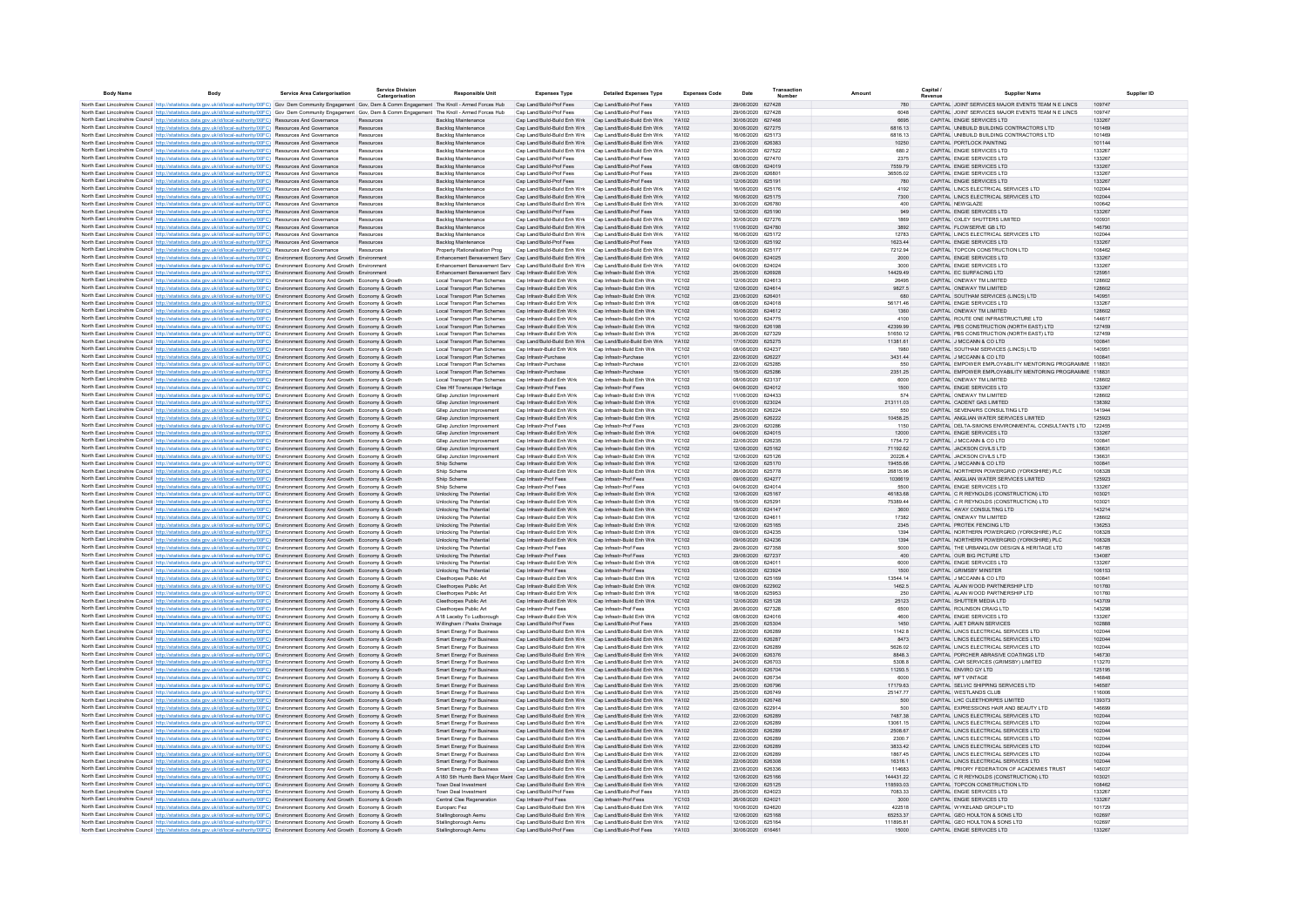| <b>Body Name</b> | <b>Rody</b>                                                                                                                                                                                                                                                                      | <b>Service Area Catergorisation</b> | Service Division<br>Catergorisatio | <b>Responsible Unit</b>                                                                  | <b>Expenses Type</b>                                         | <b>Detailed Expenses Type</b>                                                                                          | <b>Expenses Code</b>         | Date                                   | Transaction | Amount                | Capital<br><b>Supplier Name</b><br>Revenue                                      | Supplier ID      |
|------------------|----------------------------------------------------------------------------------------------------------------------------------------------------------------------------------------------------------------------------------------------------------------------------------|-------------------------------------|------------------------------------|------------------------------------------------------------------------------------------|--------------------------------------------------------------|------------------------------------------------------------------------------------------------------------------------|------------------------------|----------------------------------------|-------------|-----------------------|---------------------------------------------------------------------------------|------------------|
|                  | North East Lincolnshire Council http://statistics.data.gov.uk/id/local-authority/00FC) Gov Dem Community Engagement Gov, Dem & Comm Engagement The Knoll - Armed Forces Hub Cap Land/Build-Prof Fees                                                                             |                                     |                                    |                                                                                          |                                                              | Cap Land/Build-Prof Fees                                                                                               | YA103                        | 29/06/2020 627428                      |             | 780                   | CAPITAL JOINT SERVICES MAJOR EVENTS TEAM N E LINCS                              | 109747           |
|                  | North East Lincolnshire Council http://statistics.data.gov.uk/id/local-authority/00FC) Gov Dem Community Engagement Gov, Dem & Comm Engagement The Knoll - Armed Forces Hub                                                                                                      |                                     |                                    |                                                                                          | Cap Land/Build-Prof Fees                                     | Cap Land/Build-Prof Fees                                                                                               | YA103                        | 29/06/2020 627428                      |             | 6048                  | CAPITAL JOINT SERVICES MAJOR EVENTS TEAM N E LINCS                              | 109747           |
|                  | North East Lincolnshire Council http://statistics.data.gov.uk/id/local-authority/00FC) Resources And Governance                                                                                                                                                                  |                                     | Resources                          | Backlog Maintenance                                                                      | Cap Land/Build-Build Enh Wrk                                 | Cap Land/Build-Build Enh Wrk                                                                                           | YA102                        | 30/06/2020 627468                      |             | 6695                  | CAPITAL ENGIE SERVICES LTD                                                      | 133267           |
|                  | North East Lincolnshire Council http://statistics.data.gov.uk/id/local-authority/00FC) Resources And Governance                                                                                                                                                                  |                                     | Resources                          | Backlog Maintenance                                                                      | Can Land/Build-Build Enh Wrk                                 | Can Land/Build-Build Fnh Wrk                                                                                           | YA102                        | 30/06/2020 627275                      |             | 6816 13               | CAPITAL LINIBUILD BUILDING CONTRACTORS LTD.                                     | 101469<br>101469 |
|                  | North East Lincolnshire Council http://statistics.data.gov.uk/id/local-authority/00FC) Resources And Governance<br>North East Lincolnshire Council http://statistics.data.gov.uk/id/local-authority/00FC) Resources And Governance                                               |                                     | Resources<br>Resources             | Backlog Maintenance<br><b>Backlog Maintenance</b>                                        | Cap Land/Build-Build Enh Wrk<br>Cap Land/Build-Build Enh Wrk | Cap Land/Build-Build Enh Wrk<br>Cap Land/Build-Build Enh Wrk                                                           | YA102<br>YA102               | 16/06/2020 625173<br>23/06/2020 626383 |             | 6816.13<br>10250      | CAPITAL UNIBUILD BUILDING CONTRACTORS LTD<br>CAPITAL PORTLOCK PAINTING          | 101144           |
|                  | North East Lincolnshire Council http://statistics.data.gov.uk/id/local-authority/00FC) Resources And Governance                                                                                                                                                                  |                                     | Resources                          | <b>Backlog Maintenance</b>                                                               | Cap Land/Build-Build Enh Wrk                                 | Cap Land/Build-Build Enh Wrk                                                                                           | YA102                        | 30/06/2020 627522                      |             | 680.2                 | CAPITAL ENGIE SERVICES LTD                                                      | 133267           |
|                  | North East Lincolnshire Council http://statistics.data.gov.uk/id/local-authority/00FC) Resources And Governanc                                                                                                                                                                   |                                     | Resources                          | Backlog Maintenance                                                                      | Cap Land/Build-Prof Fees                                     | Cap Land/Build-Prof Fees                                                                                               | YA103                        | 30/06/2020 627470                      |             | 2375                  | CAPITAL ENGIE SERVICES LTD                                                      | 133267           |
|                  | North East Lincolnshire Council http://statistics.data.gov.uk/id/local-authority/00FC) Resources And Governance                                                                                                                                                                  |                                     | Resources                          | <b>Backlog Maintenance</b>                                                               | Cap Land/Build-Prof Fees                                     | Cap Land/Build-Prof Fees                                                                                               | YA103                        | 08/06/2020 624019                      |             | 7559.79               | CAPITAL ENGIE SERVICES LTD                                                      | 133267           |
|                  | North East Lincolnshire Council http://statistics.data.gov.uk/id/local-authority/00FC) Resources And Governance                                                                                                                                                                  |                                     | Resources                          | Backlog Maintenance                                                                      | Cap Land/Build-Prof Fees                                     | Cap Land/Build-Prof Fees                                                                                               | YA103                        | 29/06/2020 62680                       |             | 36505.02              | CAPITAL ENGIE SERVICES LTD                                                      | 133267           |
|                  | North East Lincolnshire Council http://statistics.data.gov.uk/id/local-authority/00FC) Resources And Governance                                                                                                                                                                  |                                     | Resources<br>Resources             | <b>Backlog Maintenance</b>                                                               | Cap Land/Build-Prof Fees<br>Cap Land/Build-Build Enh Wrk     | Cap Land/Build-Prof Fees<br>Cap Land/Build-Build Enh Wrk                                                               | YA103<br>YA102               | 12/06/2020 62519<br>16/06/2020 625176  |             | 780<br>4192           | CAPITAL ENGIE SERVICES LTD<br>CAPITAL LINCS ELECTRICAL SERVICES LTD             | 133267<br>102044 |
|                  | North East Lincolnshire Council http://statistics.data.gov.uk/id/local-authority/00FC) Resources And Governance<br>North East Lincolnshire Council http://statistics.data.gov.uk/id/local-authority/00FC) Resources And Governance                                               |                                     | Resources                          | <b>Backlog Maintenance</b><br>Backlog Maintenance                                        | Cap Land/Build-Build Enh Wrk                                 | Cap Land/Build-Build Enh Wrk                                                                                           | YA102                        | 16/06/2020 625175                      |             | 7300                  | CAPITAL LINCS ELECTRICAL SERVICES LTD                                           | 102044           |
|                  | North East Lincolnshire Council http://statistics.data.gov.uk/id/local-authority/00FC) Resources And Governance                                                                                                                                                                  |                                     | Resources                          | Backlog Maintenance                                                                      | Cap Land/Build-Build Enh Wrk                                 | Cap Land/Build-Build Enh Wrk                                                                                           | YA102                        | 30/06/2020 626780                      |             | 400                   | CAPITAL NEWGLAZE                                                                | 100642           |
|                  | North East Lincolnshire Council http://statistics.data.gov.uk/id/local-authority/00FC) Resources And Governance                                                                                                                                                                  |                                     | Resources                          | Backlog Maintenance                                                                      | Cap Land/Build-Prof Fees                                     | Cap Land/Build-Prof Fees                                                                                               | YA103                        | 12/06/2020 625190                      |             | 949                   | CAPITAL ENGIE SERVICES LTD                                                      | 133267           |
|                  | North East Lincolnshire Council http://statistics.data.gov.uk/id/local-authority/00FC) Resources And Governance                                                                                                                                                                  |                                     | Resources                          | Backlog Maintenance                                                                      | Cap Land/Build-Build Enh Wrk                                 | Cap Land/Build-Build Enh Wrk                                                                                           | YA102                        | 30/06/2020 627276                      |             | 1869                  | CAPITAL OXLEY SHUTTERS LIMITED                                                  | 100931           |
|                  | North East Lincolnshire Council http://statistics.data.gov.uk/id/local-authority/00FC) Resources And Governance                                                                                                                                                                  |                                     | Resources                          | Backlog Maintenance                                                                      | Cap Land/Build-Build Enh Wrk                                 | Cap Land/Build-Build Enh Wrk                                                                                           | YA102                        | 11/06/2020 624780                      |             | 3892                  | CAPITAL FLOWSERVE GB LTD                                                        | 146790           |
|                  | North East Lincolnshire Council http://statistics.data.gov.uk/id/local-authority/00FC) Resources And Governance                                                                                                                                                                  |                                     | Resources                          | Backlog Maintenance                                                                      | Cap Land/Build-Build Enh Wrk                                 | Cap Land/Build-Build Enh Wrk                                                                                           | YA102                        | 16/06/2020 625172                      |             | 12783                 | CAPITAL LINCS ELECTRICAL SERVICES LTD                                           | 102044           |
|                  | North East Lincolnshire Council http://statistics.data.gov.uk/id/local-authority/00FC) Resources And Governance<br>North East Lincolnshire Council http://statistics.data.gov.uk/id/local-authority/00FC) Resources And Governance                                               |                                     | Resources<br>Resources             | Backlog Maintenance<br>Property Rationalisation Prop                                     | Cap Land/Build-Prof Fees<br>Can Land/Build-Build Enh Wrk     | Cap Land/Build-Prof Fees<br>Can Land/Build-Build Enh Wrk                                                               | YA103<br>YA102               | 12/06/2020 625192<br>16/06/2020 625177 |             | 1623.44<br>721294     | CAPITAL ENGIE SERVICES LTD<br>CAPITAL TOPCON CONSTRUCTION LTD.                  | 133267<br>108462 |
|                  | North East Lincolnshire Council http://statistics.data.gov.uk/id/local-authority/00FC) Environment Economy And Growth Environment                                                                                                                                                |                                     |                                    | Enhancement Bereavement Serv Cap Land/Build-Build Enh Wrk Cap Land/Build-Build Enh Wrk   |                                                              |                                                                                                                        | YA102                        | 04/06/2020 624025                      |             | 2000                  | CAPITAL ENGIE SERVICES LTD                                                      | 133267           |
|                  | North East Lincolnshire Council http://statistics.data.gov.uk/id/local-authority/00FC) Environment Economy And Growth Environmen                                                                                                                                                 |                                     |                                    | Enhancement Bereavement Serv Cap Land/Build-Build Enh Wrk                                |                                                              | Cap Land/Build-Build Enh Wrk                                                                                           | YA102                        | 04/06/2020 624024                      |             | 3000                  | CAPITAL ENGIE SERVICES LTD                                                      | 133267           |
|                  | North East Lincolnshire Council http://statistics.data.gov.uk/id/local-authority/00FC) Environment Economy And Growth Environment                                                                                                                                                |                                     |                                    | Enhancement Bereavement Serv Cap Infrastr-Build Enh Wrk                                  |                                                              | Cap Infrastr-Build Enh Wrk                                                                                             | <b>YC102</b>                 | 25/06/2020 626928                      |             | 14429.49              | CAPITAL EC SURFACING LTD                                                        | 125951           |
|                  | North East Lincolnshire Council http://statistics.data.gov.uk/id/local-authority/00FC) Environment Economy And Growth Economy & Growth                                                                                                                                           |                                     |                                    | Local Transport Plan Schemes                                                             | Cap Infrastr-Build Enh Wrk                                   | Cap Infrastr-Build Enh Wrk                                                                                             | <b>YC102</b>                 | 12/06/2020 624613                      |             | 26495                 | CAPITAL ONEWAY TM LIMITED                                                       | 128602           |
|                  | North East Lincolnshire Council http://statistics.data.gov.uk/id/local-authority/00FC) Environment Economy And Growth Economy & Growth                                                                                                                                           |                                     |                                    | Local Transport Plan Schemes                                                             | Cap Infrastr-Build Enh Wrk                                   | Cap Infrastr-Build Enh Wrk                                                                                             | <b>YC102</b>                 | 12/06/2020 624614                      |             | 9827.5                | CAPITAL ONEWAY TM LIMITED                                                       | 128602           |
|                  | North East Lincolnshire Council http://statistics.data.gov.uk/id/local-authority/00FC) Environment Economy And Growth Economy & Growth<br>North East Lincolnshire Council http://statistics.data.gov.uk/id/local-authority/00FC) Environment Economy And Growth Economy & Growth |                                     |                                    | Local Transport Plan Schemes<br>Local Transport Plan Schemes                             | Cap Infrastr-Build Enh Wrk<br>Cap Infrastr-Build Enh Wrk     | Cap Infrastr-Build Enh Wrk<br>Cap Infrastr-Build Enh Wrk                                                               | <b>YC102</b><br><b>YC102</b> | 23/06/2020 62640<br>08/06/2020 624018  |             | 680<br>56171.46       | CAPITAL SOUTHAM SERVICES (LINCS) LTD<br>CAPITAL ENGIE SERVICES LTD              | 140951<br>133267 |
|                  | North East Lincolnshire Council http://statistics.data.gov.uk/id/local-authority/00FC) Environment Economy And Growth Economy & Growth                                                                                                                                           |                                     |                                    | Local Transport Plan Schemes                                                             | Cap Infrastr-Build Enh Wrk                                   | Cap Infrastr-Build Enh Wrk                                                                                             | <b>YC102</b>                 | 10/06/2020 624612                      |             | 1360                  | CAPITAL ONEWAY TM LIMITED                                                       | 128602           |
|                  | North East Lincolnshire Council http://statistics.data.gov.uk/id/local-authority/00FC) Environment Economy And Growth Economy & Growth                                                                                                                                           |                                     |                                    | Local Transport Plan Schemes                                                             | Cap Infrastr-Build Enh Wrk                                   | Cap Infrastr-Build Enh Wrk                                                                                             | <b>YC102</b>                 | 10/06/2020 624775                      |             | 4100                  | CAPITAL ROUTE ONE INFRASTRUCTURE LTD                                            | 144617           |
|                  | North East Lincolnshire Council http://statistics.data.gov.uk/id/local-authority/00FC) Environment Economy And Growth Economy & Growth                                                                                                                                           |                                     |                                    | Local Transport Plan Schemes                                                             | Cap Infrastr-Build Enh Wrk                                   | Cap Infrastr-Build Enh Wrk                                                                                             | <b>YC102</b>                 | 19/06/2020 626198                      |             | 42399.99              | CAPITAL PBS CONSTRUCTION (NORTH EAST) LTD                                       | 127459           |
|                  | North East Lincolnshire Council http://statistics.data.gov.uk/id/local-authority/00FC) Environment Economy And Growth Economy & Growth                                                                                                                                           |                                     |                                    | Local Transport Plan Schemes                                                             | Cap Infrastr-Build Enh Wrk                                   | Cap Infrastr-Build Enh Wrk                                                                                             | <b>YC102</b>                 | 26/06/2020 627329                      |             | 51650.12              | CAPITAL PBS CONSTRUCTION (NORTH EAST) LTD                                       | 127459           |
|                  | North East Lincolnshire Council http://statistics.data.gov.uk/id/local-authority/00FC) Environment Economy And Growth Economy & Growth                                                                                                                                           |                                     |                                    | Local Transport Plan Schemes                                                             | Cap Land/Build-Build Enh Wrk                                 | Cap Land/Build-Build Enh Wrk                                                                                           | YA102                        | 17/06/2020 625275                      |             | 11381.61              | CAPITAL J MCCANN & CO LTD                                                       | 100841           |
|                  | North East Lincolnshire Council http://statistics.data.gov.uk/id/local-authority/00FC) Environment Economy And Growth Economy & Growth<br>North East Lincolnshire Council http://statistics.data.gov.uk/id/local-authority/00FC) Environment Economy And Growth Economy & Growth |                                     |                                    | Local Transport Plan Schemes<br>Local Transport Plan Schemes                             | Cap Infrastr-Build Enh Wrk<br>Cap Infrastr-Purchase          | Cap Infrastr-Build Enh Wrk<br>Cap Infrastr-Purchase                                                                    | <b>YC102</b><br>YC101        | 08/06/2020 624237<br>22/06/2020 626227 |             | 1980<br>3431.44       | CAPITAL SOUTHAM SERVICES (LINCS) LTD<br>CAPITAL J MCCANN & CO LTD               | 140951<br>100841 |
|                  | North East Lincolnshire Council http://statistics.data.gov.uk/id/local-authority/00FC) Environment Economy And Growth Economy & Growth                                                                                                                                           |                                     |                                    | Local Transport Plan Schemes                                                             | Cap Infrastr-Purchase                                        | Cap Infrastr-Purchase                                                                                                  | <b>YC101</b>                 | 22/06/2020 625285                      |             | 550                   | CAPITAL EMPOWER EMPLOYABILITY MENTORING PROGRAMME 118831                        |                  |
|                  | North East Lincolnshire Council http://statistics.data.gov.uk/id/local-authority/00FC) Environment Economy And Growth Economy & Growth                                                                                                                                           |                                     |                                    | Local Transport Plan Schemes                                                             | Cap Infrastr-Purchase                                        | Cap Infrastr-Purchase                                                                                                  | YC101                        | 15/06/2020 625286                      |             | 2351.25               | CAPITAL EMPOWER EMPLOYABILITY MENTORING PROGRAMME 118831                        |                  |
|                  | North East Lincolnshire Council http://statistics.data.gov.uk/id/local-authority/00FC) Environment Economy And Growth Economy & Growth                                                                                                                                           |                                     |                                    | Local Transport Plan Schemes                                                             | Cap Infrastr-Build Enh Wrk                                   | Cap Infrastr-Build Enh Wrk                                                                                             | <b>YC102</b>                 | 08/06/2020 623137                      |             | 6000                  | CAPITAL ONEWAY TM LIMITED                                                       | 128602           |
|                  | North East Lincolnshire Council http://statistics.data.gov.uk/id/local-authority/00FC) Environment Economy And Growth Economy & Growth                                                                                                                                           |                                     |                                    | Clee Hif Townscape Heritage                                                              | Cap Infrastr-Prof Fees                                       | Cap Infrastr-Prof Fees                                                                                                 | <b>YC103</b>                 | 04/06/2020 624012                      |             | 1500                  | CAPITAL ENGIE SERVICES LTD                                                      | 133267           |
|                  | North East Lincolnshire Council http://statistics.data.gov.uk/id/local-authority/00FC) Environment Economy And Growth Economy & Growth                                                                                                                                           |                                     |                                    | Gliep Junction Improvement                                                               | Cap Infrastr-Build Enh Wrk                                   | Cap Infrastr-Build Enh Wrk                                                                                             | <b>YC102</b>                 | 11/06/2020 624433                      |             | 574                   | CAPITAL ONEWAY TM LIMITED                                                       | 128602           |
|                  | North East Lincolnshire Council http://statistics.data.gov.uk/id/local-authority/00FC) Environment Economy And Growth Economy & Growth                                                                                                                                           |                                     |                                    | Gliep Junction Improvemen                                                                | Cap Infrastr-Build Enh Wrk                                   | Cap Infrastr-Build Enh Wrk                                                                                             | <b>YC102</b>                 | 01/06/2020 623024                      |             | 213111.03             | CAPITAL CADENT GAS LIMITED                                                      | 138392           |
|                  | North East Lincolnshire Council http://statistics.data.gov.uk/id/local-authority/00FC) Environment Economy And Growth Economy & Growth<br>North East Lincolnshire Council http://statistics.data.gov.uk/id/local-authority/00FC) Environment Economy And Growth Economy & Growth |                                     |                                    | Gliep Junction Improvemen<br>Gliep Junction Improvemen                                   | Cap Infrastr-Build Enh Wrk<br>Cap Infrastr-Build Enh Wrk     | Cap Infrastr-Build Enh Wrk<br>Cap Infrastr-Build Enh Wrk                                                               | <b>YC102</b><br><b>YC102</b> | 25/06/2020 626224<br>25/06/2020 626222 |             | 550<br>10458.25       | CAPITAL SEVENAIRS CONSULTING LTD<br>CAPITAL ANGLIAN WATER SERVICES LIMITED      | 141944<br>125923 |
|                  | North East Lincolnshire Council http://statistics.data.gov.uk/id/local-authority/00FC) Environment Economy And Growth Economy & Grow                                                                                                                                             |                                     |                                    | Gliep Junction Improvemen                                                                | Cap Infrastr-Prof Fees                                       | Cap Infrastr-Prof Fees                                                                                                 | YC103                        | 29/06/2020 62028                       |             | 1150                  | CAPITAL DELTA-SIMONS ENVIRONMENTAL CONSULTANTS LTD                              | 122455           |
|                  | North East Lincolnshire Council http://statistics.data.gov.uk/id/local-authority/00FC) Environment Economy And Growth Economy & Growth                                                                                                                                           |                                     |                                    | Gliep Junction Improvement                                                               | Cap Infrastr-Build Enh Wrk                                   | Cap Infrastr-Build Enh Wrk                                                                                             | <b>YC102</b>                 | 04/06/2020 624015                      |             | 12000                 | CAPITAL ENGIE SERVICES LTD                                                      | 133267           |
|                  | North East Lincolnshire Council http://statistics.data.gov.uk/id/local-authority/00FC) Environment Economy And Growth Economy & Growth                                                                                                                                           |                                     |                                    | Gliep Junction Improvement                                                               | Cap Infrastr-Build Enh Wrk                                   | Cap Infrastr-Build Enh Wrk                                                                                             | YC102                        | 22/06/2020 626235                      |             | 1754.72               | CAPITAL J MCCANN & CO LTD                                                       | 100841           |
|                  | North East Lincolnshire Council http://statistics.data.gov.uk/id/local-authority/00FC) Environment Economy And Growth Economy & Growth                                                                                                                                           |                                     |                                    | Gliep Junction Improvement                                                               | Cap Infrastr-Build Enh Wrk                                   | Cap Infrastr-Build Enh Wrk                                                                                             | <b>YC102</b>                 | 12/06/2020 625162                      |             | 71192.62              | CAPITAL JACKSON CIVILS LTD                                                      | 136631           |
|                  | North East Lincolnshire Council http://statistics.data.gov.uk/id/local-authority/00FC) Environment Economy And Growth Economy & Growth                                                                                                                                           |                                     |                                    | Gliep Junction Improvement                                                               | Cap Infrastr-Build Enh Wrk                                   | Cap Infrastr-Build Enh Wrk                                                                                             | <b>YC102</b>                 | 12/06/2020 625126                      |             | 20226.4               | CAPITAL JACKSON CIVILS LTD                                                      | 136631           |
|                  | North East Lincolnshire Council http://statistics.data.gov.uk/id/local-authority/00FC) Environment Economy And Growth Economy & Growth<br>North East Lincolnshire Council http://statistics.data.gov.uk/id/local-authority/00FC) Environment Economy And Growth Economy & Growth |                                     |                                    | Shiip Scheme                                                                             | Cap Infrastr-Build Enh Wrk                                   | Cap Infrastr-Build Enh Wrk                                                                                             | <b>YC102</b>                 | 12/06/2020 625170                      |             | 19455.66              | CAPITAL J MCCANN & CO LTD<br>CAPITAL NORTHERN POWERGRID (YORKSHIRE) PLC         | 100841           |
|                  | North East Lincolnshire Council http://statistics.data.gov.uk/id/local-authority/00FC) Environment Economy And Growth Economy & Growth                                                                                                                                           |                                     |                                    | Shiip Scheme<br>Shiip Scheme                                                             | Cap Infrastr-Build Enh Wrk<br>Cap Infrastr-Prof Fees         | Cap Infrastr-Build Enh Wrk<br>Cap Infrastr-Prof Fees                                                                   | <b>YC102</b><br><b>YC103</b> | 26/06/2020 625778<br>09/06/2020 624277 |             | 26815.96<br>1036619   | CAPITAL ANGLIAN WATER SERVICES LIMITED                                          | 108328<br>125923 |
|                  | North East Lincolnshire Council http://statistics.data.gov.uk/id/local-authority/00FC) Environment Economy And Growth Economy & Growth                                                                                                                                           |                                     |                                    | Shiip Scheme                                                                             | Cap Infrastr-Prof Fees                                       | Cap Infrastr-Prof Fees                                                                                                 | <b>YC103</b>                 | 04/06/2020 624014                      |             | 5500                  | CAPITAL ENGIE SERVICES LTD                                                      | 133267           |
|                  | North East Lincolnshire Council http://statistics.data.gov.uk/id/local-authority/00FC) Environment Economy And Growth Economy & Growth                                                                                                                                           |                                     |                                    | Unlocking The Potentia                                                                   | Cap Infrastr-Build Enh Wrk                                   | Cap Infrastr-Build Enh Wrk                                                                                             | <b>YC102</b>                 | 12/06/2020 625167                      |             | 46183.68              | CAPITAL C R REYNOLDS (CONSTRUCTION) LTD                                         | 103021           |
|                  | North East Lincolnshire Council http://statistics.data.gov.uk/id/local-authority/00FC) Environment Economy And Growth Economy & Growth                                                                                                                                           |                                     |                                    | Unlocking The Potential                                                                  | Cap Infrastr-Build Enh Wrk                                   | Cap Infrastr-Build Enh Wrk                                                                                             | <b>YC102</b>                 | 15/06/2020 62529                       |             | 75389.44              | CAPITAL C R REYNOLDS (CONSTRUCTION) LTD                                         | 103021           |
|                  | North East Lincolnshire Council http://statistics.data.gov.uk/id/local-authority/00FC) Environment Economy And Growth Economy & Growth                                                                                                                                           |                                     |                                    | Unlocking The Potential                                                                  | Cap Infrastr-Build Enh Wrk                                   | Cap Infrastr-Build Enh Wrk                                                                                             | <b>YC102</b>                 | 08/06/2020 624147                      |             | 3600                  | CAPITAL 4WAY CONSULTING LTD                                                     | 143214           |
|                  | North East Lincolnshire Council http://statistics.data.gov.uk/id/local-authority/00FC) Environment Economy And Growth Economy & Growth                                                                                                                                           |                                     |                                    | Unlocking The Potentia                                                                   | Cap Infrastr-Build Enh Wrk                                   | Cap Infrastr-Build Enh Wrk                                                                                             | <b>YC102</b>                 | 12/06/2020 62461                       |             | 17382                 | CAPITAL ONEWAY TM LIMITED                                                       | 128602           |
|                  | North East Lincolnshire Council http://statistics.data.gov.uk/id/local-authority/00FC) Environment Economy And Growth Economy & Growth<br>North East Lincolnshire Council http://statistics.data.gov.uk/id/local-authority/00FC) Environment Economy And Growth Economy & Growth |                                     |                                    | Unlocking The Potential<br>Unlocking The Potentia                                        | Cap Infrastr-Build Enh Wrk<br>Cap Infrastr-Build Enh Wrk     | Cap Infrastr-Build Enh Wrk<br>Cap Infrastr-Build Enh Wrk                                                               | <b>YC102</b><br><b>YC102</b> | 12/06/2020 625165<br>09/06/2020 624235 |             | 2345<br>1394          | CAPITAL PROTEK FENCING LTD<br>CAPITAL NORTHERN POWERGRID (YORKSHIRE) PLC        | 136253<br>108328 |
|                  | North East Lincolnshire Council http://statistics.data.gov.uk/id/local-authority/00FC) Environment Economy And Growth Economy & Growth                                                                                                                                           |                                     |                                    | Unlocking The Potential                                                                  | Cap Infrastr-Build Enh Wrk                                   | Cap Infrastr-Build Enh Wrk                                                                                             | <b>YC102</b>                 | 09/06/2020 624236                      |             | 1394                  | CAPITAL NORTHERN POWERGRID (YORKSHIRE) PLC                                      | 108328           |
|                  | North East Lincolnshire Council http://statistics.data.gov.uk/id/local-authority/00FC) Environment Economy And Growth Economy & Growth                                                                                                                                           |                                     |                                    | Unlocking The Potentia                                                                   | Cap Infrastr-Prof Fees                                       | Cap Infrastr-Prof Fees                                                                                                 | YC103                        | 29/06/2020 627358                      |             | 5000                  | CAPITAL THE URBANGLOW DESIGN & HERITAGE LTD                                     | 146785           |
|                  | North East Lincolnshire Council http://statistics.data.gov.uk/id/local-authority/00FC) Environment Economy And Growth Economy & Growth                                                                                                                                           |                                     |                                    | Unlocking The Potential                                                                  | Cap Infrastr-Prof Fees                                       | Cap Infrastr-Prof Fees                                                                                                 | <b>YC103</b>                 | 29/06/2020 627237                      |             | 400                   | CAPITAL OUR BIG PICTURE LTD                                                     | 134087           |
|                  | North East Lincolnshire Council http://statistics.data.gov.uk/id/local-authority/00FC) Environment Economy And Growth Economy & Growth                                                                                                                                           |                                     |                                    | Unlocking The Potentia                                                                   | Cap Infrastr-Build Enh Wrk                                   | Cap Infrastr-Build Enh Wrk                                                                                             | <b>YC102</b>                 | 08/06/2020 62401                       |             | 6000                  | CAPITAL ENGIE SERVICES LTD                                                      | 133267           |
|                  | North East Lincolnshire Council http://statistics.data.gov.uk/id/local-authority/00FC) Environment Economy And Growth Economy & Growth                                                                                                                                           |                                     |                                    | Unlocking The Potential                                                                  | Cap Infrastr-Prof Fees                                       | Cap Infrastr-Prof Fees                                                                                                 | <b>YC103</b>                 | 03/06/2020 623924                      |             | 1500                  | CAPITAL GRIMSRY MINSTER                                                         | 106153           |
|                  | North East Lincolnshire Council http://statistics.data.gov.uk/id/local-authority/00FC) Environment Economy And Growth Economy & Growth<br>North East Lincolnshire Council http://statistics.data.gov.uk/id/local-authority/00FC) Environment Economy And Growth Economy & Growth |                                     |                                    | Cleethorpes Public Art<br>Cleethorpes Public Art                                         | Cap Infrastr-Build Enh Wrk<br>Cap Infrastr-Build Enh Wrk     | Cap Infrastr-Build Enh Wrk<br>Cap Infrastr-Build Enh Wrk                                                               | <b>YC102</b><br><b>YC102</b> | 12/06/2020 625169<br>09/06/2020 622902 |             | 13544.14<br>1462.5    | CAPITAL J MCCANN & CO LTD<br>CAPITAL ALAN WOOD PARTNERSHIP LTD                  | 100841<br>101760 |
|                  | North East Lincolnshire Council http://statistics.data.gov.uk/id/local-authority/00FC) Environment Economy And Growth Economy & Growth                                                                                                                                           |                                     |                                    | Cleethorpes Public Art                                                                   | Cap Infrastr-Build Enh Wrk                                   | Cap Infrastr-Build Enh Wrk                                                                                             | <b>YC102</b>                 | 18/06/2020 625953                      |             | 250                   | CAPITAL ALAN WOOD PARTNERSHIP LTD                                               | 101760           |
|                  | North East Lincolnshire Council http://statistics.data.gov.uk/id/local-authority/00FC) Environment Economy And Growth Economy & Growth                                                                                                                                           |                                     |                                    | Cleethorpes Public Art                                                                   | Cap Infrastr-Build Enh Wrk                                   | Cap Infrastr-Build Enh Wrk                                                                                             | <b>YC102</b>                 | 12/06/2020 625128                      |             | 25123                 | CAPITAL SHUTTER MEDIA LTD                                                       | 143709           |
|                  | North East Lincolnshire Council http://statistics.data.gov.uk/id/local-authority/00FC) Environment Economy And Growth Economy & Growth                                                                                                                                           |                                     |                                    | Cleethorpes Public Art                                                                   | Cap Infrastr-Prof Fees                                       | Cap Infrastr-Prof Fees                                                                                                 | <b>YC103</b>                 | 26/06/2020 627328                      |             | 6500                  | CAPITAL ROLINSON CRAIG LTD                                                      | 143298           |
|                  | North East Lincolnshire Council http://statistics.data.gov.uk/id/local-authority/00FC) Environment Economy And Growth Economy & Growth                                                                                                                                           |                                     |                                    | A18 Laceby To Ludborough                                                                 | Cap Infrastr-Build Enh Wrk                                   | Cap Infrastr-Build Enh Wrk                                                                                             | <b>YC102</b>                 | 08/06/2020 624016                      |             | 4600                  | CAPITAL ENGIE SERVICES LTD                                                      | 133267           |
|                  | North East Lincolnshire Council http://statistics.data.gov.uk/id/local-authority/00FC) Environment Economy And Growth Economy & Growth                                                                                                                                           |                                     |                                    | Willingham / Peaks Drainage                                                              | Can Land/Build-Prof Fees                                     | Can Land/Build-Prof Fees                                                                                               | YA103                        | 25/06/2020 625304                      |             | 1450                  | CAPITAL A IFT DRAIN SERVICES                                                    | 102888           |
|                  | North East Lincolnshire Council http://statistics.data.gov.uk/id/local-authority/00FC) Environment Economy And Growth Economy & Growth                                                                                                                                           |                                     |                                    | Smart Energy For Business                                                                | Cap Land/Build-Build Enh Wrk                                 | Cap Land/Build-Build Enh Wrk                                                                                           | V4102<br>YA102               | 22/06/2020 626289                      |             | 1142.8                | CAPITAL LINCS ELECTRICAL SERVICES LTD<br>CAPITAL LINCS ELECTRICAL SERVICES LTD  | 102044<br>102044 |
|                  | North East Lincolnshire Council http://statistics.data.gov.uk/id/local-authority/00FC) Environment Economy And Growth Economy & Growth<br>North East Lincolnshire Council http://statistics.data.gov.uk/id/local-authority/00FC) Environment Economy And Growth Economy & Growth |                                     |                                    | <b>Smart Energy For Business</b><br><b>Smart Energy For Business</b>                     | Cap Land/Build-Build Enh Wrk<br>Cap Land/Build-Build Enh Wrk | Cap Land/Build-Build Enh Wrk<br>Cap Land/Build-Build Enh Wrk                                                           | YA102                        | 22/06/2020 626287<br>22/06/2020 626289 |             | 8473<br>5626.02       | CAPITAL LINCS ELECTRICAL SERVICES LTD                                           | 102044           |
|                  | North East Lincolnshire Council http://statistics.data.gov.uk/id/local-authority/00FC) Environment Economy And Growth Economy & Growth                                                                                                                                           |                                     |                                    | <b>Smart Energy For Business</b>                                                         | Cap Land/Build-Build Enh Wrk                                 | Cap Land/Build-Build Enh Wrk                                                                                           | YA102                        | 24/06/2020 626376                      |             | 8848.3                | CAPITAL PORCHER ABRASIVE COATINGS LTD                                           | 146730           |
|                  | North East Lincolnshire Council http://statistics.data.gov.uk/id/local-authority/00FC) Environment Economy And Growth Economy & Growth                                                                                                                                           |                                     |                                    | Smart Energy For Business                                                                | Cap Land/Build-Build Enh Wrk                                 | Cap Land/Build-Build Enh Wrk                                                                                           | <b>YA102</b>                 | 24/06/2020 626703                      |             | 5308.8                | CAPITAL CAR SERVICES (GRIMSBY) LIMITED                                          | 113270           |
|                  | North East Lincolnshire Council http://statistics.data.gov.uk/id/local-authority/00FC) Environment Economy And Growth Economy & Growth                                                                                                                                           |                                     |                                    | Smart Energy For Business                                                                | Cap Land/Build-Build Enh Wrk                                 | Cap Land/Build-Build Enh Wrk                                                                                           | <b>YA102</b>                 | 24/06/2020 626704                      |             | 11293.5               | CAPITAL ENVIRO GY LTD                                                           | 125195           |
|                  | North East Lincolnshire Council http://statistics.data.gov.uk/id/local-authority/00FC) Environment Economy And Growth Economy & Growth                                                                                                                                           |                                     |                                    | Smart Energy For Business                                                                | Cap Land/Build-Build Enh Wrk                                 | Cap Land/Build-Build Enh Wrk                                                                                           | YA102                        | 24/06/2020 62673                       |             | 6000                  | CAPITAL MFT VINTAGE                                                             | 146848           |
|                  | North East Lincolnshire Council http://statistics.data.gov.uk/id/local-authority/00FC) Environment Economy And Growth Economy & Growth                                                                                                                                           |                                     |                                    | Smart Energy For Business                                                                | Cap Land/Build-Build Enh Wrk                                 | Cap Land/Build-Build Enh Wrk                                                                                           | YA102                        | 25/06/2020 626796                      |             | 17179.63              | CAPITAL SELVIC SHIPPING SERVICES LTD                                            | 146587           |
|                  | North East Lincolnshire Council http://statistics.data.gov.uk/id/local-authority/00FC) Environment Economy And Growth Economy & Growth                                                                                                                                           |                                     |                                    | <b>Smart Energy For Business</b>                                                         | Cap Land/Build-Build Enh Wrk                                 | Cap Land/Build-Build Enh Wrk                                                                                           | YA102                        | 25/06/2020 626749                      |             | 25147.77              | CAPITAL WESTLANDS CLUB                                                          | 116006           |
|                  | North East Lincolnshire Council http://statistics.data.gov.uk/id/local-authority/00FC) Environment Economy And Growth Economy & Growth<br>North East Lincolnshire Council http://statistics.data.gov.uk/id/local-authority/00FC) Environment Economy And Growth Economy & Growth |                                     |                                    | <b>Smart Energy For Business</b><br><b>Smart Energy For Business</b>                     | Cap Land/Build-Build Enh Wrk<br>Cap Land/Build-Build Enh Wrk | Cap Land/Build-Build Enh Wrk<br>Cap Land/Build-Build Enh Wrk                                                           | YA102<br>YA102               | 25/06/2020 626748<br>02/06/2020 622914 |             | 500<br>500            | CAPITAL LHC CLEETHORPES LIMITED<br>CAPITAL EXPRESSIONS HAIR AND BEAUTY LTD      | 139373<br>146699 |
|                  | North East Lincolnshire Council http://statistics.data.gov.uk/id/local-authority/00FC) Environment Economy And Growth Economy & Growth                                                                                                                                           |                                     |                                    | <b>Smart Energy For Business</b>                                                         | Cap Land/Build-Build Enh Wrk                                 | Cap Land/Build-Build Enh Wrk                                                                                           | YA102                        | 22/06/2020 626289                      |             | 7487.38               | CAPITAL LINCS ELECTRICAL SERVICES LTD                                           | 102044           |
|                  | North East Lincolnshire Council http://statistics.data.gov.uk/id/local-authority/00FC) Environment Economy And Growth Economy & Growth                                                                                                                                           |                                     |                                    | <b>Smart Energy For Business</b>                                                         | Cap Land/Build-Build Enh Wrk                                 | Cap Land/Build-Build Enh Wrk                                                                                           | YA102                        | 22/06/2020 626289                      |             | 13061.15              | CAPITAL LINCS ELECTRICAL SERVICES LTD                                           | 102044           |
|                  | North East Lincolnshire Council http://statistics.data.gov.uk/id/local-authority/00FC) Environment Economy And Growth Economy & Growth                                                                                                                                           |                                     |                                    | <b>Smart Energy For Business</b>                                                         | Cap Land/Build-Build Enh Wrk                                 | Cap Land/Build-Build Enh Wrk                                                                                           | YA102                        | 22/06/2020 626289                      |             | 2508.67               | CAPITAL LINCS ELECTRICAL SERVICES LTD                                           | 102044           |
|                  | North East Lincolnshire Council http://statistics.data.gov.uk/id/local-authority/00FC) Environment Economy And Growth Economy & Growth                                                                                                                                           |                                     |                                    | <b>Smart Energy For Business</b>                                                         | Cap Land/Build-Build Enh Wrk                                 | Cap Land/Build-Build Enh Wrk                                                                                           | YA102                        | 22/06/2020 626289                      |             | 2300.7                | CAPITAL LINCS ELECTRICAL SERVICES LTD                                           | 102044           |
|                  | North East Lincolnshire Council http://statistics.data.gov.uk/id/local-authority/00FC) Environment Economy And Growth Economy & Growth                                                                                                                                           |                                     |                                    | Smart Energy For Business                                                                | Cap Land/Build-Build Enh Wrk Cap Land/Build-Build Enh Wrk    |                                                                                                                        | YA102                        | 22/06/2020 626289                      |             | 3833.42               | CAPITAL LINCS ELECTRICAL SERVICES LTD                                           | 102044           |
|                  | North East Lincolnshire Council http://statistics.data.gov.uk/id/local-authority/00FC) Environment Economy And Growth Economy & Growth                                                                                                                                           |                                     |                                    | Smart Energy For Business                                                                | Cap Land/Build-Build Enh Wrk                                 | Cap Land/Build-Build Enh Wrk                                                                                           | YA102<br>YA102               | 22/06/2020 626289<br>22/06/2020 626308 |             | 1867 45<br>16316.1    | CAPITAL LINCS ELECTRICAL SERVICES LTD<br>CAPITAL LINCS ELECTRICAL SERVICES LTD. | 102044<br>102044 |
|                  | North East Lincolnshire Council http://statistics.data.gov.uk/id/local-authority/00FC) Environment Economy And Growth Economy & Growth<br>North East Lincolnshire Council http://statistics.data.gov.uk/id/local-authority/00FC) Environment Economy And Growth Economy & Growth |                                     |                                    | <b>Smart Energy For Business</b><br><b>Smart Energy For Business</b>                     | Cap Land/Build-Build Enh Wrk                                 | Cap Land/Build-Build Enh Wrk Cap Land/Build-Build Enh Wrk<br>Cap Land/Build-Build Enh Wrk                              | YA102                        | 23/06/2020 626336                      |             | 114683                | CAPITAL PRIORY FEDERATION OF ACADEMIES TRUST                                    | 146037           |
|                  | North East Lincolnshire Council http://statistics.data.gov.uk/id/local-authority/00FC) Environment Economy And Growth Economy & Growth                                                                                                                                           |                                     |                                    | A180 Sth Humb Bank Major Maint Cap Land/Build-Build Enh Wrk Cap Land/Build-Build Enh Wrk |                                                              |                                                                                                                        | YA102                        | 12/06/2020 625166                      |             | 144431.22             | CAPITAL C R REYNOLDS (CONSTRUCTION) LTD                                         | 103021           |
|                  | North East Lincolnshire Council http://statistics.data.gov.uk/id/local-authority/00FC) Environment Economy And Growth Economy & Growth                                                                                                                                           |                                     |                                    | Town Deal Investment                                                                     | Cap Land/Build-Build Enh Wrk                                 | Cap Land/Build-Build Enh Wrk                                                                                           | YA102                        | 12/06/2020 625125                      |             | 118593.03             | CAPITAL TOPCON CONSTRUCTION LTD                                                 | 108462           |
|                  | North East Lincolnshire Council http://statistics.data.gov.uk/id/local-authority/00FC) Environment Economy And Growth Economy & Growth                                                                                                                                           |                                     |                                    | Town Deal Investmen                                                                      | Cap Land/Build-Prof Fees                                     | Cap Land/Build-Prof Fees                                                                                               | YA103                        | 25/06/2020 624023                      |             | 7083.33               | CAPITAL ENGIE SERVICES LTD                                                      | 133267           |
|                  | North East Lincolnshire Council http://statistics.data.gov.uk/id/local-authority/00FC) Environment Economy And Growth Economy & Growth                                                                                                                                           |                                     |                                    | Central Clee Regeneration                                                                | Cap Infrastr-Prof Fees                                       | Cap Infrastr-Prof Fees                                                                                                 | <b>YC103</b>                 | 26/06/2020 62402                       |             | 3000                  | CAPITAL ENGIE SERVICES LTD                                                      | 133267           |
|                  | North East Lincolnshire Council http://statistics.data.gov.uk/id/local-authority/00FC) Environment Economy And Growth Economy & Growth                                                                                                                                           |                                     |                                    | Europarc Fez                                                                             | Cap Land/Build-Build Enh Wrk                                 | Cap Land/Build-Build Enh Wrk                                                                                           | YA102                        | 10/06/2020 624620                      |             | 422518                | CAPITAL WYKELAND GROUP LTD                                                      | 101729           |
|                  | North East Lincolnshire Council http://statistics.data.gov.uk/id/local-authority/00FC) Environment Economy And Growth Economy & Growth                                                                                                                                           |                                     |                                    | Stallingborough Aemu                                                                     |                                                              | Cap Land/Build-Build Enh Wrk Cap Land/Build-Build Enh Wrk<br>Cap Land/Build-Build Enh Wrk Cap Land/Build-Build Enh Wrk | YA102<br>YA102               | 12/06/2020 625168<br>12/06/2020 625164 |             | 65253.37<br>111895.81 | CAPITAL GEO HOULTON & SONS LTD<br>CAPITAL GEO HOULTON & SONS LTD                | 102697           |
|                  | North East Lincolnshire Council http://statistics.data.gov.uk/id/local-authority/00FC) Environment Economy And Growth Economy & Growth<br>North East Lincolnshire Council http://statistics.data.gov.uk/id/local-authority/00FC) Environment Economy And Growth Economy & Growth |                                     |                                    | Stallingborough Aemu<br>Stallingborough Aemu                                             | Cap Land/Build-Prof Fees                                     | Cap Land/Build-Prof Fees                                                                                               | YA103                        | 30/06/2020 61646                       |             | 15000                 | CAPITAL ENGIE SERVICES LTD                                                      | 102697<br>133267 |
|                  |                                                                                                                                                                                                                                                                                  |                                     |                                    |                                                                                          |                                                              |                                                                                                                        |                              |                                        |             |                       |                                                                                 |                  |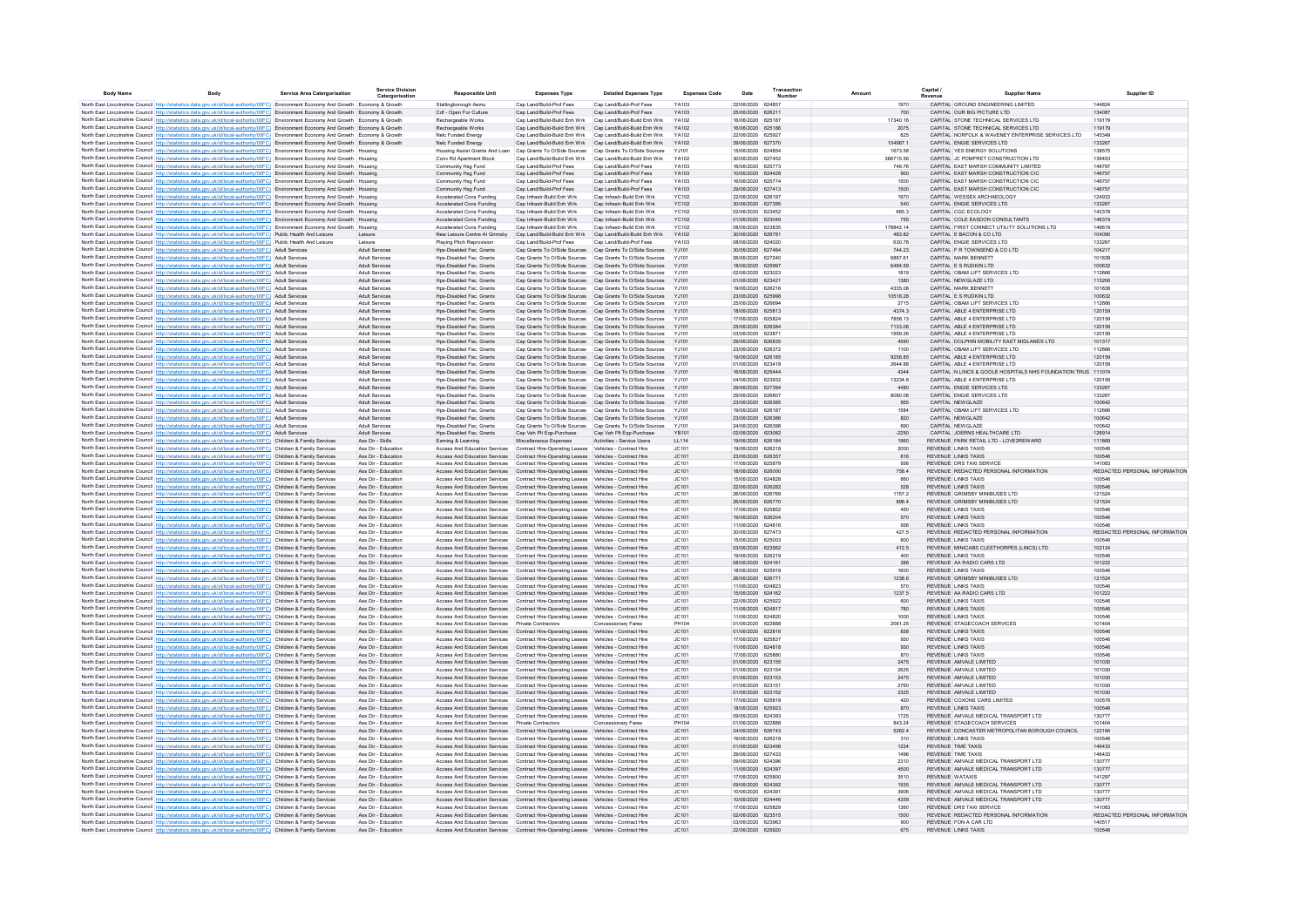| <b>Body Name</b> | Rody                                                                                                                                                                                                                                                                            | <b>Service Area Catergorisation</b> | <b>Service Division</b><br>Catergorisation     | <b>Responsible Unit</b>                                                                                                                                                          | <b>Expenses Type</b>                                         | <b>Detailed Expenses Type</b>                                                                                                      | <b>Expenses Code</b> | Date                                   | Transaction | Amount           | Capital<br><b>Supplier Name</b><br>evenu                                        | Supplier ID                             |
|------------------|---------------------------------------------------------------------------------------------------------------------------------------------------------------------------------------------------------------------------------------------------------------------------------|-------------------------------------|------------------------------------------------|----------------------------------------------------------------------------------------------------------------------------------------------------------------------------------|--------------------------------------------------------------|------------------------------------------------------------------------------------------------------------------------------------|----------------------|----------------------------------------|-------------|------------------|---------------------------------------------------------------------------------|-----------------------------------------|
|                  | North East Lincolnshire Council http://statistics.data.gov.uk/id/local-authority/00FC) Environment Economy And Growth Economy & Growth                                                                                                                                          |                                     |                                                | Stallingborough Aemu                                                                                                                                                             | Cap Land/Build-Prof Fees                                     | Cap Land/Build-Prof Fees                                                                                                           | YA103                | 22/06/2020 624857                      |             | 1970             | CAPITAL GROUND ENGINEERING LIMITED                                              | 144824                                  |
|                  | North East Lincolnshire Council http://statistics.data.gov.uk/id/local-authority/00FC) Environment Economy And Growth Economy & Growth                                                                                                                                          |                                     |                                                | Cdf - Open For Culture                                                                                                                                                           | Cap Land/Build-Prof Fees                                     | Cap Land/Build-Prof Fees                                                                                                           | YA103                | 25/06/2020 626211                      |             | 700              | CAPITAL OUR BIG PICTURE LTD                                                     | 134087                                  |
|                  | North East Lincolnshire Council http://statistics.data.gov.uk/id/local-authority/00FC) Environment Economy And Growth Economy & Growth                                                                                                                                          |                                     |                                                | Rechargeable Works                                                                                                                                                               | Cap Land/Build-Build Enh Wrk                                 | Cap Land/Build-Build Enh Wrk                                                                                                       | YA102                | 16/06/2020 625187                      |             | 17340.16         | CAPITAL STONE TECHNICAL SERVICES LTD                                            | 119179                                  |
|                  | North East Lincolnshire Council http://statistics.data.gov.uk/id/local-authority/00FC) Environment Economy And Growth Economy & Growth                                                                                                                                          |                                     |                                                | Rechargeable Works                                                                                                                                                               | Can Land/Build-Build Enh Wrk                                 | Cap Land/Build-Build Enh Wrk                                                                                                       | YA102                | 16/06/2020 625186                      |             | 2075             | CAPITAL STONE TECHNICAL SERVICES LTD.                                           | 119179<br>145349                        |
|                  | North East Lincolnshire Council http://statistics.data.gov.uk/id/local-authority/00FC) Environment Economy And Growth Economy & Growt<br>North East Lincolnshire Council http://statistics.data.gov.uk/id/local-authority/00FC) Environment Economy And Growth Economy & Growth |                                     |                                                | Nelc Funded Energy<br>Nelc Funded Energy                                                                                                                                         | Cap Land/Build-Build Enh Wrk<br>Cap Land/Build-Build Enh Wrk | Cap Land/Build-Build Enh Wrk<br>Cap Land/Build-Build Enh Wrk                                                                       | YA102<br>YA102       | 22/06/2020 625927<br>29/06/2020 627370 |             | 825<br>104967.1  | CAPITAL NORFOLK & WAVENEY ENTERPRISE SERVICES LTD<br>CAPITAL ENGIE SERVICES LTD | 133267                                  |
|                  | North East Lincolnshire Council http://statistics.data.gov.uk/id/local-authority/00FC) Environment Economy And Growth Housing                                                                                                                                                   |                                     |                                                | Housing Assist Grants And Loan                                                                                                                                                   | Cap Grants To O/Side Sources                                 | Cap Grants To O/Side Sources                                                                                                       | YJ101                | 15/06/2020 624854                      |             | 1673.58          | CAPITAL YES ENERGY SOLUTIONS                                                    | 138575                                  |
|                  | North East Lincolnshire Council http://statistics.data.gov.uk/id/local-authority/00FC) Environment Economy And Growth Housing                                                                                                                                                   |                                     |                                                | Conv Rd Apartment Block                                                                                                                                                          | Cap Land/Build-Build Enh Wrk                                 | Cap Land/Build-Build Enh Wrk                                                                                                       | YA102                | 30/06/2020 627452                      |             | 366715.56        | CAPITAL JC POMFRET CONSTRUCTION LTD                                             | 136453                                  |
|                  | North East Lincolnshire Council http://statistics.data.gov.uk/id/local-authority/00FC) Environment Economy And Growth Housing                                                                                                                                                   |                                     |                                                | Community Hsg Fund                                                                                                                                                               | Cap Land/Build-Prof Fees                                     | Cap Land/Build-Prof Fees                                                                                                           | YA103                | 16/06/2020 625773                      |             | 746.76           | CAPITAL EAST MARSH COMMUNITY LIMITED                                            | 146797                                  |
|                  | North East Lincolnshire Council http://statistics.data.gov.uk/id/local-authority/00FC) Environment Economy And Growth Housing                                                                                                                                                   |                                     |                                                | Community Hsg Fund                                                                                                                                                               | Cap Land/Build-Prof Fees                                     | Cap Land/Build-Prof Fees                                                                                                           | YA103                | 10/06/2020 624428                      |             | 900              | CAPITAL EAST MARSH CONSTRUCTION CIC                                             | 146757                                  |
|                  | North East Lincolnshire Council http://statistics.data.gov.uk/id/local-authority/00FC) Environment Economy And Growth Housing                                                                                                                                                   |                                     |                                                | Community Hsg Fund                                                                                                                                                               | Cap Land/Build-Prof Fees<br>Cap Land/Build-Prof Fees         | Cap Land/Build-Prof Fees<br>Cap Land/Build-Prof Fees                                                                               | YA103<br>YA103       | 16/06/2020<br>29/06/2020 627413        | 625774      | 1500<br>1500     | CAPITAL EAST MARSH CONSTRUCTION CIC<br>CAPITAL EAST MARSH CONSTRUCTION CIC      | 146757<br>146757                        |
|                  | North East Lincolnshire Council http://statistics.data.gov.uk/id/local-authority/00FC) Environment Economy And Growth Housing<br>North East Lincolnshire Council http://statistics.data.gov.uk/id/local-authority/00FC) Environment Economy And Growth Housing                  |                                     |                                                | Community Hsg Fund<br>Accelerated Cons Funding                                                                                                                                   | Cap Infrastr-Build Enh Wrk                                   | Cap Infrastr-Build Enh Wrk                                                                                                         | <b>YC102</b>         | 22/06/2020 626197                      |             | 1970             | CAPITAL WESSEX ARCHAEOLOGY                                                      | 124933                                  |
|                  | North East Lincolnshire Council http://statistics.data.gov.uk/id/local-authority/00FC) Environment Economy And Growth Housing                                                                                                                                                   |                                     |                                                | Accelerated Cons Funding                                                                                                                                                         | Cap Infrastr-Build Enh Wrk                                   | Cap Infrastr-Build Enh Wrk                                                                                                         | <b>YC102</b>         | 30/06/2020 627395                      |             | 540              | CAPITAL ENGIE SERVICES LTD                                                      | 133267                                  |
|                  | North East Lincolnshire Council http://statistics.data.gov.uk/id/local-authority/00FC) Environment Economy And Growth Housing                                                                                                                                                   |                                     |                                                | Accelerated Cons Funding                                                                                                                                                         | Cap Infrastr-Build Enh Wrk                                   | Cap Infrastr-Build Enh Wrk                                                                                                         | <b>YC102</b>         | 02/06/2020 623452                      |             | 665.3            | CAPITAL CGC ECOLOGY                                                             | 142378                                  |
|                  | North East Lincolnshire Council http://statistics.data.gov.uk/id/local-authority/00FC) Environment Economy And Growth Housing                                                                                                                                                   |                                     |                                                | Accelerated Cons Funding                                                                                                                                                         | Cap Infrastr-Build Enh Wrk                                   | Cap Infrastr-Build Enh Wrk                                                                                                         | <b>YC102</b>         | 01/06/2020 623049                      |             | 755              | CAPITAL COLE EASDON CONSULTANTS                                                 | 146319                                  |
|                  | North East Lincolnshire Council http://statistics.data.gov.uk/id/local-authority/00FC) Environment Economy And Growth Housing                                                                                                                                                   |                                     |                                                | Accelerated Cons Funding                                                                                                                                                         | Cap Infrastr-Build Enh Wrk                                   | Cap Infrastr-Build Enh Wrk                                                                                                         | <b>YC102</b>         | 08/06/2020 623835                      |             | 178842.14        | CAPITAL FIRST CONNECT UTILITY SOLUTIONS LTD                                     | 146619                                  |
|                  | North East Lincolnshire Council http://statistics.data.gov.uk/id/local-authority/00FC) Public Health And Leisure                                                                                                                                                                |                                     | Leisure                                        | New Leisure Centre At Grimsby                                                                                                                                                    | Cap Land/Build-Build Enh Wrk                                 | Cap Land/Build-Build Enh Wrk                                                                                                       | YA102                | 30/06/2020 626781                      |             | 483.82           | CAPITAL E BACON & CO LTD                                                        | 104090                                  |
|                  | North East Lincolnshire Council http://statistics.data.gov.uk/id/local-authority/00FC) Public Health And Leisure<br>North East Lincolnshire Council http://statistics.data.gov.uk/id/local-authority/00FC) Adult Services                                                       |                                     | Leisure<br><b>Adult Services</b>               | Plaving Pitch Reprovision<br>Hps-Disabled Fac. Grants                                                                                                                            | Cap Land/Build-Prof Fees<br>Cap Grants To O/Side Sources     | Cap Land/Build-Prof Fees<br>Can Grants To O/Side Sources Y.I101                                                                    | YA103                | 08/06/2020 624020<br>30/06/2020 627464 |             | 630.78<br>744.23 | CAPITAL ENGIE SERVICES LTD<br>CAPITAL F R TOWNSEND & CO LTD                     | 133267<br>104217                        |
|                  | North East Lincolnshire Council http://statistics.data.gov.uk/id/local-authority/00FC) Adult Services                                                                                                                                                                           |                                     | Adult Services                                 | Hps-Disabled Fac. Grants                                                                                                                                                         | Cap Grants To O/Side Sources                                 | Cap Grants To O/Side Sources                                                                                                       | YJ101                | 26/06/2020 627240                      |             | 6887.61          | CAPITAL MARK BENNETT                                                            | 101838                                  |
|                  | North East Lincolnshire Council http://statistics.data.gov.uk/id/local-authority/00FC) Adult Services                                                                                                                                                                           |                                     | <b>Adult Services</b>                          | Hps-Disabled Fac. Grants                                                                                                                                                         | Cap Grants To O/Side Sources                                 | Cap Grants To O/Side Sources                                                                                                       | YJ101                | 18/06/2020 625997                      |             | 6484.59          | CAPITAL E S RUDKIN LTD                                                          | 100632                                  |
|                  | North East Lincolnshire Council http://statistics.data.gov.uk/id/local-authority/00FC) Adult Services                                                                                                                                                                           |                                     | Adult Services                                 | Hps-Disabled Fac. Grants                                                                                                                                                         | Cap Grants To O/Side Sources                                 | Cap Grants To O/Side Sources                                                                                                       | YJ101                | 02/06/2020 623023                      |             | 1819             | CAPITAL OBAM LIFT SERVICES LTD                                                  | 112666                                  |
|                  | North East Lincolnshire Council http://statistics.data.gov.uk/id/local-authority/00FC) Adult Services                                                                                                                                                                           |                                     | <b>Adult Services</b>                          | Hps-Disabled Fac. Grants                                                                                                                                                         | Cap Grants To O/Side Sources                                 | Cap Grants To O/Side Sources YJ101                                                                                                 |                      | 01/06/2020 623421                      |             | 1380             | CAPITAL NEWGLAZE LTD                                                            | 113206                                  |
|                  | North East Lincolnshire Council http://statistics.data.gov.uk/id/local-authority/00FC) Adult Services                                                                                                                                                                           |                                     | Adult Service                                  | Hps-Disabled Fac. Grants                                                                                                                                                         | Cap Grants To O/Side Sources                                 | Cap Grants To O/Side Sources YJ101                                                                                                 |                      | 19/06/2020 626216                      |             | 4335.08          | CAPITAL MARK BENNETT                                                            | 101838                                  |
|                  | North East Lincolnshire Council http://statistics.data.gov.uk/id/local-authority/00FC) Adult Services<br>North East Lincolnshire Council http://statistics.data.gov.uk/id/local-authority/00FC) Adult Services                                                                  |                                     | Adult Services<br>Adult Services               | Hps-Disabled Fac. Grants<br>Hps-Disabled Fac. Grants                                                                                                                             | Cap Grants To O/Side Sources<br>Cap Grants To O/Side Sources | Cap Grants To O/Side Sources YJ101<br>Cap Grants To O/Side Sources YJ10                                                            |                      | 23/06/2020 625998<br>25/06/2020 62669  |             | 10518.28<br>2715 | CAPITAL E S RUDKIN LTD<br>CAPITAL OBAM LIFT SERVICES LTD                        | 100632<br>112666                        |
|                  | North East Lincolnshire Council http://statistics.data.gov.uk/id/local-authority/00FC) Adult Services                                                                                                                                                                           |                                     | Adult Services                                 | Hps-Disabled Fac. Grants                                                                                                                                                         | Cap Grants To O/Side Sources                                 | Cap Grants To O/Side Sources YJ101                                                                                                 |                      | 18/06/2020 625813                      |             | 4374.3           | CAPITAL ABLE 4 ENTERPRISE LTD                                                   | 120159                                  |
|                  | North East Lincolnshire Council http://statistics.data.gov.uk/id/local-authority/00FC) Adult Services                                                                                                                                                                           |                                     | Adult Services                                 | Hps-Disabled Fac. Grants                                                                                                                                                         |                                                              | Cap Grants To O/Side Sources Cap Grants To O/Side Sources YJ101                                                                    |                      | 17/06/2020 625824                      |             | 7858.13          | CAPITAL ABLE 4 ENTERPRISE LTD                                                   | 120159                                  |
|                  | North East Lincolnshire Council http://statistics.data.gov.uk/id/local-authority/00FC) Adult Services                                                                                                                                                                           |                                     | Adult Services                                 | Hos-Disabled Fac. Grants                                                                                                                                                         |                                                              | Cap Grants To O/Side Sources Cap Grants To O/Side Sources YJ101                                                                    |                      | 25/06/2020 626384                      |             | 7133.08          | CAPITAL ABLE 4 ENTERPRISE LTD                                                   | 120159                                  |
|                  | North East Lincolnshire Council http://statistics.data.gov.uk/id/local-authority/00FC) Adult Services                                                                                                                                                                           |                                     | <b>Adult Services</b>                          | Hos-Disabled Fac. Grants                                                                                                                                                         |                                                              | Cap Grants To O/Side Sources Cap Grants To O/Side Sources YJ101                                                                    |                      | 03/06/2020 623871                      |             | 1959.26          | CAPITAL ABLE 4 ENTERPRISE LTD                                                   | 120159                                  |
|                  | North East Lincolnshire Council http://statistics.data.gov.uk/id/local-authority/00FC) Adult Services                                                                                                                                                                           |                                     | Adult Services                                 | Hos-Disabled Fac. Grants                                                                                                                                                         |                                                              | Cap Grants To O/Side Sources Cap Grants To O/Side Sources YJ101                                                                    |                      | 29/06/2020 626835                      |             | 4590             | CAPITAL DOLPHIN MOBILITY EAST MIDLANDS LTD                                      | 101317                                  |
|                  | North East Lincolnshire Council http://statistics.data.gov.uk/id/local-authority/00FC) Adult Services<br>North East Lincolnshire Council http://statistics.data.gov.uk/id/local-authority/00FC) Adult Services                                                                  |                                     | <b>Adult Services</b><br><b>Adult Services</b> | Hos-Disabled Fac. Grants<br>Hos-Disabled Fac. Grants                                                                                                                             |                                                              | Cap Grants To O/Side Sources Cap Grants To O/Side Sources YJ101<br>Cap Grants To O/Side Sources Cap Grants To O/Side Sources YJ101 |                      | 23/06/2020 626372<br>19/06/2020 626185 |             | 1100<br>9258.85  | CAPITAL OBAM LIFT SERVICES LTD<br>CAPITAL ABLE 4 ENTERPRISE LTD                 | 112666<br>120159                        |
|                  | North East Lincolnshire Council http://statistics.data.gov.uk/id/local-authority/00FC) Adult Services                                                                                                                                                                           |                                     | <b>Adult Services</b>                          | Hps-Disabled Fac. Grants                                                                                                                                                         |                                                              | Cap Grants To O/Side Sources Cap Grants To O/Side Sources YJ101                                                                    |                      | 01/06/2020 623418                      |             | 2644.88          | CAPITAL ABLE 4 ENTERPRISE LTD                                                   | 120159                                  |
|                  | North East Lincolnshire Council http://statistics.data.gov.uk/id/local-authority/00FC) Adult Services                                                                                                                                                                           |                                     | <b>Adult Services</b>                          | Hos-Disabled Fac. Grants                                                                                                                                                         |                                                              | Cap Grants To O/Side Sources Cap Grants To O/Side Sources YJ101                                                                    |                      | 16/06/2020 625444                      |             | 4344             | CAPITAL N LINCS & GOOLE HOSPITALS NHS FOUNDATION TRUS 111074                    |                                         |
|                  | North East Lincolnshire Council http://statistics.data.gov.uk/id/local-authority/00FC) Adult Services                                                                                                                                                                           |                                     | Adult Services                                 | Hps-Disabled Fac. Grants                                                                                                                                                         |                                                              | Cap Grants To O/Side Sources Cap Grants To O/Side Sources                                                                          | YJ101                | 04/06/2020 623932                      |             | 13234.8          | CAPITAL ABLE 4 ENTERPRISE LTD                                                   | 120159                                  |
|                  | North East Lincolnshire Council http://statistics.data.gov.uk/id/local-authority/00FC) Adult Services                                                                                                                                                                           |                                     | <b>Adult Services</b>                          | Hps-Disabled Fac. Grants                                                                                                                                                         |                                                              | Cap Grants To O/Side Sources Cap Grants To O/Side Sources YJ101                                                                    |                      | 29/06/2020 627394                      |             | 4480             | CAPITAL ENGIE SERVICES LTD                                                      | 133267                                  |
|                  | North East Lincolnshire Council http://statistics.data.gov.uk/id/local-authority/00FC) Adult Services                                                                                                                                                                           |                                     | Adult Services                                 | Hps-Disabled Fac. Grants                                                                                                                                                         |                                                              | Cap Grants To O/Side Sources Cap Grants To O/Side Sources                                                                          | YJ101                | 29/06/2020 626807                      |             | 8080.08          | CAPITAL ENGIE SERVICES LTD                                                      | 133267                                  |
|                  | North East Lincolnshire Council http://statistics.data.gov.uk/id/local-authority/00FC) Adult Services                                                                                                                                                                           |                                     | <b>Adult Services</b>                          | Hps-Disabled Fac. Grants                                                                                                                                                         |                                                              | Cap Grants To O/Side Sources Cap Grants To O/Side Sources YJ101                                                                    |                      | 23/06/2020 626385                      |             | 955              | CAPITAL NEWGLAZE                                                                | 100642                                  |
|                  | North East Lincolnshire Council http://statistics.data.gov.uk/id/local-authority/00FC) Adult Services<br>North East Lincolnshire Council http://statistics.data.gov.uk/id/local-authority/00FC) Adult Services                                                                  |                                     | Adult Service<br><b>Adult Services</b>         | Hps-Disabled Fac. Grants<br>Hps-Disabled Fac. Grants                                                                                                                             | Cap Grants To O/Side Sources                                 | Cap Grants To O/Side Sources<br>Cap Grants To O/Side Sources Cap Grants To O/Side Sources YJ101                                    | YJ10                 | 19/06/2020 626187<br>23/06/2020 626386 |             | 1584<br>820      | CAPITAL OBAM LIFT SERVICES LTD<br>CAPITAL NEWGLAZE                              | 112666<br>100642                        |
|                  | North East Lincolnshire Council http://statistics.data.gov.uk/id/local-authority/00FC) Adult Services                                                                                                                                                                           |                                     | Adult Services                                 | Hps-Disabled Fac. Grants                                                                                                                                                         | Cap Grants To O/Side Sources                                 | Cap Grants To O/Side Sources                                                                                                       | YJ10                 | 24/06/2020                             | 626398      | 690              | CAPITAL NEWGLAZE                                                                | 100642                                  |
|                  | North East Lincolnshire Council http://statistics.data.gov.uk/id/local-authority/00FC) Adult Services                                                                                                                                                                           |                                     | <b>Adult Services</b>                          | Hps-Disabled Fac. Grants                                                                                                                                                         | Cap Veh Plt Eqp-Purchase                                     | Cap Veh Plt Eqp-Purchase                                                                                                           | YB101                | 02/06/2020 623082                      |             | $-2250$          | CAPITAL JOERNS HEALTHCARE LTD                                                   | 126914                                  |
|                  | North East Lincolnshire Council http://statistics.data.gov.uk/id/local-authority/00FC) Children & Family Services                                                                                                                                                               |                                     | Ass Dir - Skills                               | Earning & Learning                                                                                                                                                               | Miscellaneous Expenses                                       | Activities - Service Users                                                                                                         | LL114                | 19/06/2020 626184                      |             | 1960             | REVENUE PARK RETAIL LTD - LOVE2REWARD                                           | 111869                                  |
|                  | North East Lincolnshire Council http://statistics.data.gov.uk/id/local-authority/00FC) Children & Family Services                                                                                                                                                               |                                     | Ass Dir - Education                            | Access And Education Services Contract Hire-Operating Leases Vehicles - Contract Hire                                                                                            |                                                              |                                                                                                                                    | JC101                | 19/06/2020 626218                      |             | 2000             | <b>REVENUE LINKS TAXIS</b>                                                      | 100546                                  |
|                  | North East Lincolnshire Council http://statistics.data.gov.uk/id/local-authority/00FC) Children & Family Services                                                                                                                                                               |                                     | Ass Dir - Education                            | Access And Education Services                                                                                                                                                    | Contract Hire-Operating Leases Vehicles - Contract Hire      |                                                                                                                                    | JC101                | 23/06/2020 626357                      |             | 616              | <b>REVENUE LINKS TAXIS</b>                                                      | 100546                                  |
|                  | North East Lincolnshire Council http://statistics.data.gov.uk/id/local-authority/00FC) Children & Family Services<br>North East Lincolnshire Council http://statistics.data.gov.uk/id/local-authority/00FC) Children & Family Services                                          |                                     | Ass Dir - Education                            | Access And Education Services Contract Hire-Operating Leases Vehicles - Contract Hire                                                                                            |                                                              |                                                                                                                                    | JC101                | 17/06/2020 625879                      |             | 936              | REVENUE DRS TAXI SERVICE<br>REVENUE REDACTED PERSONAL INFORMATION               | 141083<br>REDACTED PERSONAL INFORMATION |
|                  | North East Lincolnshire Council http://statistics.data.gov.uk/id/local-authority/00FC) Children & Family Services                                                                                                                                                               |                                     | Ass Dir - Education<br>Ass Dir - Education     | Access And Education Services Contract Hire-Operating Leases Vehicles - Contract Hire<br>Access And Education Services Contract Hire-Operating Leases Vehicles - Contract Hire   |                                                              |                                                                                                                                    | JC101<br>JC101       | 18/06/2020 626000<br>15/06/2020 624828 |             | 758.4<br>660     | <b>REVENUE LINKS TAXIS</b>                                                      | 100546                                  |
|                  | North East Lincolnshire Council http://statistics.data.gov.uk/id/local-authority/00FC) Children & Family Services                                                                                                                                                               |                                     | Ass Dir - Education                            | Access And Education Services Contract Hire-Operating Leases Vehicles - Contract Hire                                                                                            |                                                              |                                                                                                                                    | JC101                | 22/06/2020 626282                      |             | 528              | <b>REVENUE LINKS TAXIS</b>                                                      | 100546                                  |
|                  | North East Lincolnshire Council http://statistics.data.gov.uk/id/local-authority/00FC) Children & Family Services                                                                                                                                                               |                                     | Ass Dir - Education                            | Access And Education Services Contract Hire-Operating Leases Vehicles - Contract Hire                                                                                            |                                                              |                                                                                                                                    | JC101                | 26/06/2020 626769                      |             | 1157.2           | REVENUE GRIMSBY MINIBUSES LTD                                                   | 121524                                  |
|                  | North East Lincolnshire Council http://statistics.data.gov.uk/id/local-authority/00FC) Children & Family Services                                                                                                                                                               |                                     | Ass Dir - Education                            | Access And Education Services Contract Hire-Operating Leases Vehicles - Contract Hire                                                                                            |                                                              |                                                                                                                                    | JC101                | 26/06/2020 626770                      |             | 896.4            | REVENUE GRIMSBY MINIBUSES LTD                                                   | 121524                                  |
|                  | North East Lincolnshire Council http://statistics.data.gov.uk/id/local-authority/00FC) Children & Family Services                                                                                                                                                               |                                     | Ass Dir - Education                            | Access And Education Services                                                                                                                                                    | Contract Hire-Operating Leases Vehicles - Contract Hire      |                                                                                                                                    | JC101                | 17/06/2020 625852                      |             | 450              | <b>REVENUE LINKS TAXIS</b>                                                      | 100546                                  |
|                  | North East Lincolnshire Council http://statistics.data.gov.uk/id/local-authority/00FC) Children & Family Services                                                                                                                                                               |                                     | Ass Dir - Education                            | Access And Education Services Contract Hire-Operating Leases Vehicles - Contract Hire                                                                                            |                                                              |                                                                                                                                    | JC101                | 19/06/2020 626204<br>11/06/2020 624816 |             | 570<br>936       | <b>REVENUE LINKS TAXIS</b><br><b>REVENUE LINKS TAXIS</b>                        | 100546<br>100546                        |
|                  | North East Lincolnshire Council http://statistics.data.gov.uk/id/local-authority/00FC) Children & Family Services<br>North East Lincolnshire Council http://statistics.data.gov.uk/id/local-authority/00FC) Children & Family Services                                          |                                     | Ass Dir - Education<br>Ass Dir - Education     | Access And Education Services<br>Access And Education Services  Contract Hire-Operating Leases  Vehicles - Contract Hire                                                         | Contract Hire-Operating Leases Vehicles - Contract Hire      |                                                                                                                                    | JC101<br>JC101       | 30/06/2020 627473                      |             | 427.5            | REVENUE REDACTED PERSONAL INFORMATION                                           | REDACTED PERSONAL INFORMATION           |
|                  | North East Lincolnshire Council http://statistics.data.gov.uk/id/local-authority/00FC) Children & Family Services                                                                                                                                                               |                                     | Ass Dir - Education                            | Access And Education Services                                                                                                                                                    | Contract Hire-Operating Leases Vehicles - Contract Hire      |                                                                                                                                    | JC101                | 15/06/2020                             | 625003      | 600              | <b>REVENUE LINKS TAXIS</b>                                                      | 100546                                  |
|                  | North East Lincolnshire Council http://statistics.data.gov.uk/id/local-authority/00FC) Children & Family Services                                                                                                                                                               |                                     | Ass Dir - Education                            | Access And Education Services Contract Hire-Operating Leases Vehicles - Contract Hire                                                                                            |                                                              |                                                                                                                                    | JC101                | 03/06/2020 623562                      |             | 412.5            | REVENUE MINICABS CLEETHORPES (LINCS) LTD                                        | 102124                                  |
|                  | North East Lincolnshire Council http://statistics.data.gov.uk/id/local-authority/00FC) Children & Family Services                                                                                                                                                               |                                     | Ass Dir - Educatio                             | Access And Education Services                                                                                                                                                    | Contract Hire-Operating Leases Vehicles - Contract Hire      |                                                                                                                                    | JC101                | 19/06/2020                             | 626219      | 400              | <b>REVENUE LINKS TAXIS</b>                                                      | 100546                                  |
|                  | North East Lincolnshire Council http://statistics.data.gov.uk/id/local-authority/00FC) Children & Family Services                                                                                                                                                               |                                     | Ass Dir - Education                            | Access And Education Services Contract Hire-Operating Leases Vehicles - Contract Hire                                                                                            |                                                              |                                                                                                                                    | JC101                | 08/06/2020 624161                      |             | 288              | REVENUE AA RADIO CARS LTD                                                       | 101222                                  |
|                  | North East Lincolnshire Council http://statistics.data.gov.uk/id/local-authority/00FC) Children & Family Services                                                                                                                                                               |                                     | Ass Dir - Education                            | Access And Education Services Contract Hire-Operating Leases Vehicles - Contract Hire                                                                                            |                                                              |                                                                                                                                    | JC101                | 18/06/2020 625918                      |             | 1600             | <b>REVENUE LINKS TAXIS</b>                                                      | 100546                                  |
|                  | North East Lincolnshire Council http://statistics.data.gov.uk/id/local-authority/00FC) Children & Family Services<br>North East Lincolnshire Council http://statistics.data.gov.uk/id/local-authority/00FC) Children & Family Services                                          |                                     | Ass Dir - Education<br>Ass Dir - Education     | Access And Education Services  Contract Hire-Operating Leases  Vehicles - Contract Hire<br>Access And Education Services Contract Hire-Operating Leases Vehicles - Contract Hire |                                                              |                                                                                                                                    | JC101<br>JC101       | 26/06/2020 626771<br>11/06/2020 624823 |             | 1238.6<br>570    | REVENUE GRIMSBY MINIBUSES LTD<br><b>REVENUE LINKS TAXIS</b>                     | 121524<br>100546                        |
|                  | North East Lincolnshire Council http://statistics.data.gov.uk/id/local-authority/00FC) Children & Family Services                                                                                                                                                               |                                     | Ass Dir - Education                            | Access And Education Services Contract Hire-Operating Leases Vehicles - Contract Hire                                                                                            |                                                              |                                                                                                                                    | JC101                | 15/06/2020 624162                      |             | 1237.5           | REVENUE AA RADIO CARS LTD                                                       | 101222                                  |
|                  | North East Lincolnshire Council http://statistics.data.gov.uk/id/local-authority/00FC) Children & Family Services                                                                                                                                                               |                                     | Ass Dir - Education                            | Access And Education Services Contract Hire-Operating Leases Vehicles - Contract Hire                                                                                            |                                                              |                                                                                                                                    | JC101                | 22/06/2020 625922                      |             | 600              | <b>REVENUE LINKS TAXIS</b>                                                      | 100546                                  |
|                  | North East Lincolnshire Council http://statistics.data.gov.uk/id/local-authority/00FC) Children & Family Services                                                                                                                                                               |                                     | Ass Dir - Education                            | Access And Education Services Contract Hire-Operating Leases Vehicles - Contract Hire                                                                                            |                                                              |                                                                                                                                    | JC101                | 11/06/2020 624817                      |             | 780              | <b>REVENUE LINKS TAXIS</b>                                                      | 100546                                  |
|                  | North East Lincolnshire Council http://statistics.data.gov.uk/id/local-authority/00FC) Children & Family Services                                                                                                                                                               |                                     | Ass Dir - Education                            | Access And Education Services Contract Hire-Operating Leases Vehicles - Contract Hire                                                                                            |                                                              |                                                                                                                                    | JC101                | 11/06/2020 624820                      |             | 1000             | <b>REVENUE LINKS TAXIS</b>                                                      | 100546                                  |
|                  | North East Lincolnshire Council http://statistics.data.gov.uk/id/local-authority/00FC) Children & Family Services                                                                                                                                                               |                                     | Ass Dir - Education                            | Access And Education Services Private Contractors                                                                                                                                |                                                              | Concessionary Fares                                                                                                                | PH104                | 01/06/2020 622888                      |             | 2061.25          | REVENUE STAGECOACH SERVICES<br>REVENUE LINKS TAXIS                              | 101404                                  |
|                  | North East Lincolnshire Council http://statistics.data.gov.uk/id/local-authority/00FC) Children & Family Services<br>North East Lincolnshire Council http://statistics.data.gov.uk/id/local-authority/00FC) Children & Family Services                                          |                                     | Ass Dir - Education<br>Ass Dir - Education     | Access And Education Services  Contract Hire-Operating Leases  Vehicles - Contract Hire<br>Access And Education Services                                                         | Contract Hire-Operating Leases Vehicles - Contract Hire      |                                                                                                                                    | JC101<br>JC101       | 01/06/2020 622816<br>17/06/2020 625837 |             | 838<br>930       | <b>REVENUE LINKS TAXIS</b>                                                      | 100546<br>100546                        |
|                  | North East Lincolnshire Council http://statistics.data.gov.uk/id/local-authority/00FC) Children & Family Services                                                                                                                                                               |                                     | Ass Dir - Education                            | Access And Education Services Contract Hire-Operating Leases Vehicles - Contract Hire                                                                                            |                                                              |                                                                                                                                    | JC101                | 11/06/2020 624818                      |             | 930              | <b>REVENUE LINKS TAXIS</b>                                                      | 100546                                  |
|                  | North East Lincolnshire Council http://statistics.data.gov.uk/id/local-authority/00FC) Children & Family Services                                                                                                                                                               |                                     | Ass Dir - Education                            | Access And Education Services                                                                                                                                                    | Contract Hire-Operating Leases Vehicles - Contract Hire      |                                                                                                                                    | JC101                | 17/06/2020 625880                      |             | 870              | <b>REVENUE LINKS TAXIS</b>                                                      | 100546                                  |
|                  | North East Lincolnshire Council http://statistics.data.gov.uk/id/local-authority/00FC) Children & Family Services                                                                                                                                                               |                                     | Ass Dir - Education                            | Access And Education Services Contract Hire-Operating Leases Vehicles - Contract Hire                                                                                            |                                                              |                                                                                                                                    | JC101                | 01/06/2020 623155                      |             | 2475             | REVENUE AMVALE LIMITED                                                          | 101030                                  |
|                  | North East Lincolnshire Council http://statistics.data.gov.uk/id/local-authority/00FC) Children & Family Service                                                                                                                                                                |                                     | Ass Dir - Education                            | Access And Education Services                                                                                                                                                    | Contract Hire-Operating Leases Vehicles - Contract Hire      |                                                                                                                                    | JC101                | 01/06/2020 623154                      |             | 2625             | REVENUE AMVALE LIMITED                                                          | 101030                                  |
|                  | North East Lincolnshire Council http://statistics.data.gov.uk/id/local-authority/00FC) Children & Family Services                                                                                                                                                               |                                     | Ass Dir - Education                            | Access And Education Services Contract Hire-Operating Leases Vehicles - Contract Hire                                                                                            |                                                              |                                                                                                                                    | JC101                | 01/06/2020 623153                      |             | 2475             | REVENUE AMVALE LIMITED                                                          | 101030                                  |
|                  | North East Lincolnshire Council http://statistics.data.gov.uk/id/local-authority/00FC) Children & Family Services                                                                                                                                                               |                                     | Ass Dir - Educatio                             | Access And Education Services                                                                                                                                                    | Contract Hire-Operating Leases Vehicles - Contract Hire      |                                                                                                                                    | JC101                | 01/06/2020                             | 623151      | 2760             | REVENUE AMVALE LIMITED<br>REVENUE AMVALE LIMITED                                | 101030<br>101030                        |
|                  | North East Lincolnshire Council http://statistics.data.gov.uk/id/local-authority/00FC) Children & Family Services<br>North East Lincolnshire Council http://statistics.data.gov.uk/id/local-authority/00FC) Children & Family Services                                          |                                     | Ass Dir - Education<br>Ass Dir - Education     | Access And Education Services Contract Hire-Operating Leases Vehicles - Contract Hire<br>Access And Education Services Contract Hire-Operating Leases Vehicles - Contract Hire   |                                                              |                                                                                                                                    | JC101<br>JC101       | 01/06/2020 623152<br>17/06/2020 625818 |             | 2325<br>420      | REVENUE COXONS CARS LIMITED                                                     | 100578                                  |
|                  | North East Lincolnshire Council http://statistics.data.gov.uk/id/local-authority/00FC) Children & Family Services                                                                                                                                                               |                                     | Ass Dir - Education                            | Access And Education Services Contract Hire-Operating Leases Vehicles - Contract Hire                                                                                            |                                                              |                                                                                                                                    | JC101                | 18/06/2020 625923                      |             | 870              | <b>REVENUE LINKS TAXIS</b>                                                      | 100546                                  |
|                  | North East Lincolnshire Council http://statistics.data.gov.uk/id/local-authority/00FC) Children & Family Services                                                                                                                                                               |                                     | Ass Dir - Education                            | Access And Education Services Contract Hire-Operating Leases Vehicles - Contract Hire                                                                                            |                                                              |                                                                                                                                    | JC101                | 09/06/2020 624393                      |             | 1725             | REVENUE AMVALE MEDICAL TRANSPORT LTD                                            | 130777                                  |
|                  | North East Lincolnshire Council http://statistics.data.gov.uk/id/local-authority/00FC) Children & Family Services                                                                                                                                                               |                                     | Ass Dir - Education                            | Access And Education Services  Private Contractors                                                                                                                               |                                                              | Concessionary Fares                                                                                                                | PH104                | 01/06/2020 622888                      |             | 843.24           | REVENUE STAGECOACH SERVICES                                                     | 101404                                  |
|                  | North East Lincolnshire Council http://statistics.data.gov.uk/id/local-authority/00FC) Children & Family Services                                                                                                                                                               |                                     | Ass Dir - Education                            | Access And Education Services Contract Hire-Operating Leases Vehicles - Contract Hire                                                                                            |                                                              |                                                                                                                                    | JC101                | 24/06/2020 626743                      |             | 5262.4           | REVENUE DONCASTER METROPOLITAN BOROUGH COUNCIL                                  | 122184                                  |
|                  | North East Lincolnshire Council http://statistics.data.gov.uk/id/local-authority/00FC) Children & Family Services                                                                                                                                                               |                                     | Ass Dir - Education                            | Access And Education Services Contract Hire-Operating Leases Vehicles - Contract Hire                                                                                            |                                                              |                                                                                                                                    | JC101                | 19/06/2020 626218                      |             | 310              | <b>REVENUE LINKS TAXIS</b>                                                      | 100546                                  |
|                  | North East Lincolnshire Council http://statistics.data.gov.uk/id/local-authority/00FC) Children & Family Services                                                                                                                                                               |                                     | Ass Dir - Education<br>Ass Dir - Education     | Access And Education Services Contract Hire-Operating Leases Vehicles - Contract Hire                                                                                            |                                                              |                                                                                                                                    | JC101                | 01/06/2020 623456<br>29/06/2020 627433 |             | 1224             | <b>REVENUE TIME TAXIS</b><br>REVENUE TIME TAXIS                                 | 146433<br>146433                        |
|                  | North East Lincolnshire Council http://statistics.data.gov.uk/id/local-authority/00FC) Children & Family Services<br>North East Lincolnshire Council http://statistics.data.gov.uk/id/local-authority/00FC) Children & Family Services                                          |                                     | Ass Dir - Education                            | Access And Education Services Contract Hire-Operating Leases Vehicles - Contract Hire<br>Access And Education Services                                                           | Contract Hire-Operating Leases Vehicles - Contract Hire      |                                                                                                                                    | JC101<br>JC101       | 09/06/2020 624396                      |             | 1496<br>2310     | REVENUE AMVALE MEDICAL TRANSPORT LTD                                            | 130777                                  |
|                  | North East Lincolnshire Council http://statistics.data.gov.uk/id/local-authority/00FC) Children & Family Services                                                                                                                                                               |                                     | Ass Dir - Education                            | Access And Education Services Contract Hire-Operating Leases Vehicles - Contract Hire                                                                                            |                                                              |                                                                                                                                    | JC101                | 11/06/2020 624397                      |             | 4500             | REVENUE AMVALE MEDICAL TRANSPORT LTD                                            | 130777                                  |
|                  | North East Lincolnshire Council http://statistics.data.gov.uk/id/local-authority/00FC) Children & Family Services                                                                                                                                                               |                                     | Ass Dir - Education                            | Access And Education Services Contract Hire-Operating Leases Vehicles - Contract Hire                                                                                            |                                                              |                                                                                                                                    | JC101                | 17/06/2020 625800                      |             | 3510             | <b>REVENUE WATAXIS</b>                                                          | 141297                                  |
|                  | North East Lincolnshire Council http://statistics.data.gov.uk/id/local-authority/00FC) Children & Family Services                                                                                                                                                               |                                     | Ass Dir - Education                            | Access And Education Services  Contract Hire-Operating Leases  Vehicles - Contract Hire                                                                                          |                                                              |                                                                                                                                    | JC101                | 09/06/2020 624392                      |             | 1935             | REVENUE AMVALE MEDICAL TRANSPORT LTD                                            | 130777                                  |
|                  | North East Lincolnshire Council http://statistics.data.gov.uk/id/local-authority/00FC) Children & Family Services                                                                                                                                                               |                                     | Ass Dir - Education                            | Access And Education Services  Contract Hire-Operating Leases  Vehicles - Contract Hire                                                                                          |                                                              |                                                                                                                                    | JC101                | 10/06/2020 624391                      |             | 3906             | REVENUE AMVALE MEDICAL TRANSPORT LTD                                            | 130777                                  |
|                  | North East Lincolnshire Council http://statistics.data.gov.uk/id/local-authority/00FC) Children & Family Services<br>North East Lincolnshire Council http://statistics.data.gov.uk/id/local-authority/00FC) Children & Family Services                                          |                                     | Ass Dir - Education<br>Ass Dir - Education     | Access And Education Services  Contract Hire-Operating Leases  Vehicles - Contract Hire<br>Access And Education Services Contract Hire-Operating Leases Vehicles - Contract Hire |                                                              |                                                                                                                                    | JC101<br>JC101       | 10/06/2020 624446<br>17/06/2020 625829 |             | 4359<br>1360     | REVENUE AMVALE MEDICAL TRANSPORT LTD<br>REVENUE DRS TAXI SERVICE                | 130777<br>141083                        |
|                  | North East Lincolnshire Council http://statistics.data.gov.uk/id/local-authority/00FC) Children & Family Services                                                                                                                                                               |                                     | Ass Dir - Education                            | Access And Education Services Contract Hire-Operating Leases Vehicles - Contract Hire                                                                                            |                                                              |                                                                                                                                    | JC101                | 02/06/2020 623515                      |             | 1500             | REVENUE REDACTED PERSONAL INFORMATION                                           | REDACTED PERSONAL INFORMATION           |
|                  | North East Lincolnshire Council http://statistics.data.gov.uk/id/local-authority/00FC) Children & Family Services                                                                                                                                                               |                                     | Ass Dir - Education                            | Access And Education Services Contract Hire-Operating Leases Vehicles - Contract Hire                                                                                            |                                                              |                                                                                                                                    | JC101                | 03/06/2020 623963                      |             | 900              | REVENUE FON A CAR LTD                                                           | 140517                                  |
|                  | North East Lincolnshire Council http://statistics.data.gov.uk/id/local-authority/00FC) Children & Family Services                                                                                                                                                               |                                     | Ass Dir - Education                            | Access And Education Services Contract Hire-Operating Leases Vehicles - Contract Hire                                                                                            |                                                              |                                                                                                                                    | JC101                | 22/06/2020 625920                      |             | 675              | <b>REVENUE LINKS TAXIS</b>                                                      | 100546                                  |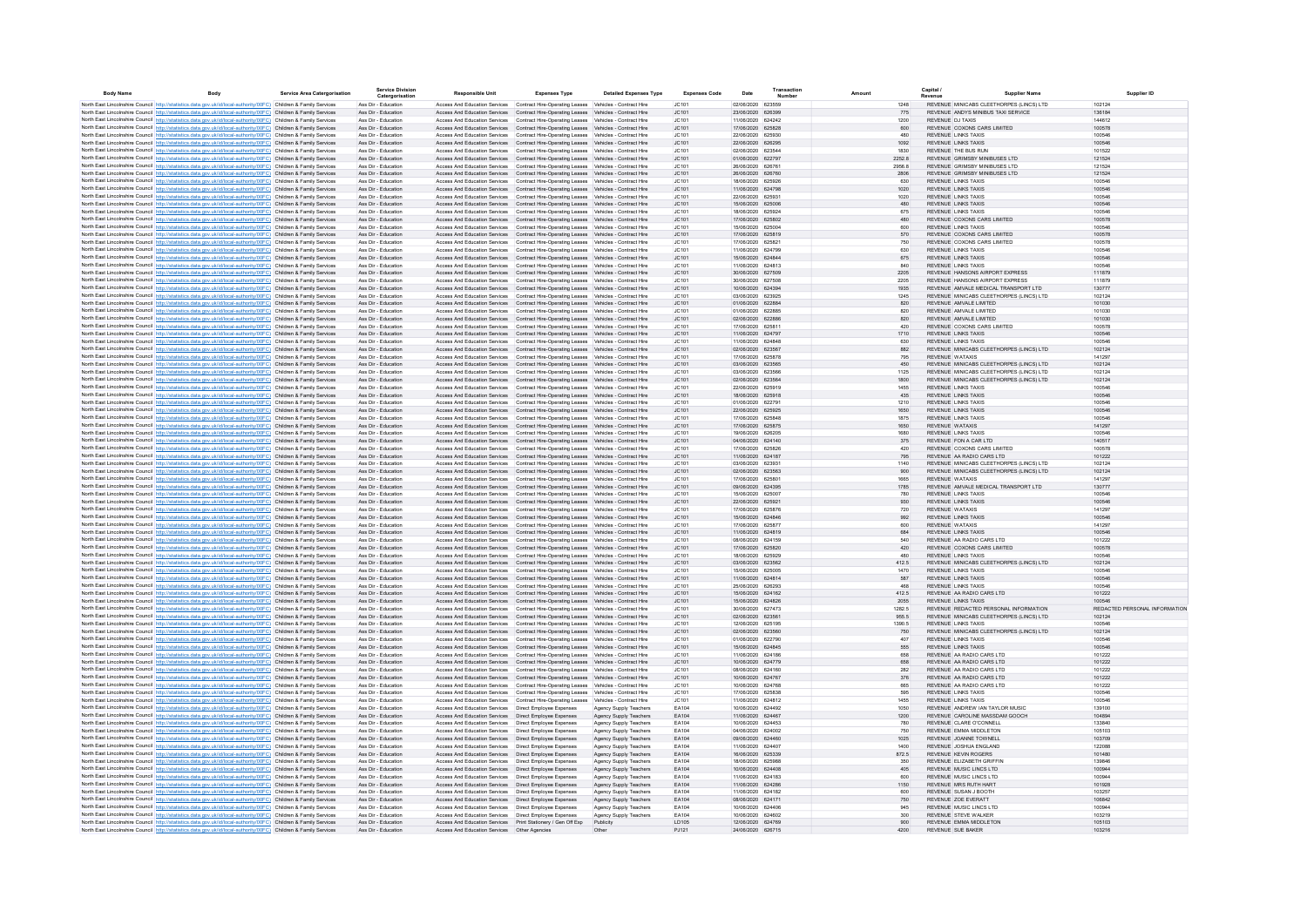| <b>Rody Name</b> | Rody                                                                                                                                                                                                                                   | <b>Service Area Catergorisation</b> | <b>Service Division</b><br>Catergorisation | <b>Responsible Unit</b>                                                                                                                                                          | <b>Expenses Type</b>                                                                  | <b>Detailed Expenses Type</b>                    | <b>Expenses Code</b>  | Date                                   | Transaction | Amount         | Capital                                              | <b>Supplier Name</b>                                                                 | Supplier ID                             |
|------------------|----------------------------------------------------------------------------------------------------------------------------------------------------------------------------------------------------------------------------------------|-------------------------------------|--------------------------------------------|----------------------------------------------------------------------------------------------------------------------------------------------------------------------------------|---------------------------------------------------------------------------------------|--------------------------------------------------|-----------------------|----------------------------------------|-------------|----------------|------------------------------------------------------|--------------------------------------------------------------------------------------|-----------------------------------------|
|                  | North East Lincolnshire Council http://statistics.data.gov.uk/id/local-authority/00FC) Children & Family Services                                                                                                                      |                                     | Ass Dir - Education                        | Access And Education Services Contract Hire-Operating Leases Vehicles - Contract Hire                                                                                            |                                                                                       |                                                  | JC101                 | 02/06/2020 623559                      |             | 1248           |                                                      | REVENUE MINICABS CLEETHORPES (LINCS) LTD                                             | 102124                                  |
|                  | North East Lincolnshire Council http://statistics.data.gov.uk/id/local-authority/00FC) Children & Family Services                                                                                                                      |                                     | Ass Dir - Education                        | Access And Education Services  Contract Hire-Operating Leases  Vehicles - Contract Hire                                                                                          |                                                                                       |                                                  | JC101                 | 23/06/2020 626399                      |             | 775            |                                                      | REVENUE ANDYS MINIBUS TAXI SERVICE                                                   | 136184                                  |
|                  | North East Lincolnshire Council http://statistics.data.gov.uk/id/local-authority/00FC) Children & Family Services                                                                                                                      |                                     | Ass Dir - Education                        | Access And Education Services Contract Hire-Operating Leases Vehicles - Contract Hire                                                                                            |                                                                                       |                                                  | JC101                 | 11/06/2020 624242                      |             | 1200           | REVENUE DJ TAXIS                                     |                                                                                      | 144612                                  |
|                  | North East Lincolnshire Council http://statistics.data.gov.uk/id/local-authority/00FC) Children & Family Services                                                                                                                      |                                     | Ass Dir - Education                        | Access And Education Services Contract Hire-Operating Leases Vehicles - Contract Hire                                                                                            |                                                                                       |                                                  | JC101                 | 17/06/2020 625828                      |             | 600            |                                                      | REVENUE COXONS CARS LIMITED                                                          | 100578                                  |
|                  | North East Lincolnshire Council http://statistics.data.gov.uk/id/local-authority/00FC) Children & Family Services<br>North East Lincolnshire Council http://statistics.data.gov.uk/id/local-authority/00FC) Children & Family Services |                                     | Ass Dir - Education<br>Ass Dir - Education | Access And Education Services Contract Hire-Operating Leases Vehicles - Contract Hire                                                                                            | Access And Education Services Contract Hire-Operating Leases Vehicles - Contract Hire |                                                  | JC101<br>JC101        | 22/06/2020 625930<br>22/06/2020 626295 |             | 480<br>1092    | <b>REVENUE LINKS TAXIS</b><br>REVENUE LINKS TAXIS    |                                                                                      | 100546<br>100546                        |
|                  | North East Lincolnshire Council http://statistics.data.gov.uk/id/local-authority/00FC) Children & Family Services                                                                                                                      |                                     | Ass Dir - Education                        | Access And Education Services                                                                                                                                                    | Contract Hire-Operating Leases Vehicles - Contract Hire                               |                                                  | JC101                 | 02/06/2020 623544                      |             | 1830           | <b>REVENUE THE BUS RUN</b>                           |                                                                                      | 101522                                  |
|                  | North East Lincolnshire Council http://statistics.data.gov.uk/id/local-authority/00FC) Children & Family Services                                                                                                                      |                                     | Ass Dir - Education                        | Access And Education Services Contract Hire-Operating Leases Vehicles - Contract Hire                                                                                            |                                                                                       |                                                  | JC101                 | 01/06/2020 622797                      |             | 2252.8         |                                                      | REVENUE GRIMSBY MINIBUSES LTD                                                        | 121524                                  |
|                  | North East Lincolnshire Council http://statistics.data.gov.uk/id/local-authority/00FC) Children & Family Services                                                                                                                      |                                     | Ass Dir - Education                        | ccess And Education Services                                                                                                                                                     | Contract Hire-Operating Leases Vehicles - Contract Hire                               |                                                  | JC101                 | 26/06/2020 626761                      |             | 2956.8         |                                                      | REVENUE GRIMSBY MINIBUSES LTD                                                        | 121524                                  |
|                  | North East Lincolnshire Council http://statistics.data.gov.uk/id/local-authority/00FC) Children & Family Services                                                                                                                      |                                     | Ass Dir - Education                        | Access And Education Services Contract Hire-Operating Leases Vehicles - Contract Hire                                                                                            |                                                                                       |                                                  | JC101                 | 26/06/2020 626760                      |             | 2806           |                                                      | REVENUE GRIMSBY MINIBUSES LTD                                                        | 121524                                  |
|                  | North East Lincolnshire Council http://statistics.data.gov.uk/id/local-authority/00FC) Children & Family Services                                                                                                                      |                                     | Ass Dir - Education                        | Access And Education Services                                                                                                                                                    | Contract Hire-Operating Leases Vehicles - Contract Hire                               |                                                  | JC101                 | 18/06/2020                             | 625926      | 630            | <b>REVENUE LINKS TAXIS</b>                           |                                                                                      | 100546                                  |
|                  | North East Lincolnshire Council http://statistics.data.gov.uk/id/local-authority/00FC) Children & Family Services                                                                                                                      |                                     | Ass Dir - Education                        | Access And Education Services Contract Hire-Operating Leases Vehicles - Contract Hire                                                                                            |                                                                                       |                                                  | JC101                 | 11/06/2020 624798<br>22/06/2020 625931 |             | 1020<br>1020   | REVENUE LINKS TAXIS<br>REVENUE LINKS TAXIS           |                                                                                      | 100546<br>100546                        |
|                  | North East Lincolnshire Council http://statistics.data.gov.uk/id/local-authority/00FC) Children & Family Services<br>North East Lincolnshire Council http://statistics.data.gov.uk/id/local-authority/00FC) Children & Family Services |                                     | Ass Dir - Education<br>Ass Dir - Education | Access And Education Services Contract Hire-Operating Leases Vehicles - Contract Hire<br>Access And Education Services Contract Hire-Operating Leases Vehicles - Contract Hire   |                                                                                       |                                                  | JC101<br>JC101        | 15/06/2020 625006                      |             | 480            | <b>REVENUE LINKS TAXIS</b>                           |                                                                                      | 100546                                  |
|                  | North East Lincolnshire Council http://statistics.data.gov.uk/id/local-authority/00FC) Children & Family Services                                                                                                                      |                                     | Ass Dir - Education                        | Access And Education Services Contract Hire-Operating Leases Vehicles - Contract Hire                                                                                            |                                                                                       |                                                  | JC101                 | 18/06/2020 625924                      |             | 675            | <b>REVENUE LINKS TAXIS</b>                           |                                                                                      | 100546                                  |
|                  | North East Lincolnshire Council http://statistics.data.gov.uk/id/local-authority/00FC) Children & Family Services                                                                                                                      |                                     | Ass Dir - Education                        | Access And Education Services Contract Hire-Operating Leases Vehicles - Contract Hire                                                                                            |                                                                                       |                                                  | JC101                 | 17/06/2020 625802                      |             | 480            |                                                      | REVENUE COXONS CARS LIMITED                                                          | 100578                                  |
|                  | North East Lincolnshire Council http://statistics.data.gov.uk/id/local-authority/00FC) Children & Family Services                                                                                                                      |                                     | Ass Dir - Education                        | Access And Education Services Contract Hire-Operating Leases Vehicles - Contract Hire                                                                                            |                                                                                       |                                                  | JC101                 | 15/06/2020 625004                      |             | 600            | <b>REVENUE LINKS TAXIS</b>                           |                                                                                      | 100546                                  |
|                  | North East Lincolnshire Council http://statistics.data.gov.uk/id/local-authority/00FC) Children & Family Services                                                                                                                      |                                     | Ass Dir - Education                        | Access And Education Services Contract Hire-Operating Leases Vehicles - Contract Hire                                                                                            |                                                                                       |                                                  | JC101                 | 17/06/2020 625819                      |             | 570            |                                                      | REVENUE COXONS CARS LIMITED                                                          | 100578                                  |
|                  | North East Lincolnshire Council http://statistics.data.gov.uk/id/local-authority/00FC) Children & Family Services                                                                                                                      |                                     | Ass Dir - Education<br>Ass Dir - Education | Access And Education Services Contract Hire-Operating Leases Vehicles - Contract Hire                                                                                            |                                                                                       |                                                  | JC101<br>JC101        | 17/06/2020 625821<br>11/06/2020 624799 |             | 750<br>630     | <b>REVENUE LINKS TAXIS</b>                           | REVENUE COXONS CARS LIMITED                                                          | 100578<br>100546                        |
|                  | North East Lincolnshire Council http://statistics.data.gov.uk/id/local-authority/00FC) Children & Family Services<br>North East Lincolnshire Council http://statistics.data.gov.uk/id/local-authority/00FC) Children & Family Services |                                     | Ass Dir - Education                        | Access And Education Services Contract Hire-Operating Leases Vehicles - Contract Hire<br>Access And Education Services Contract Hire-Operating Leases Vehicles - Contract Hire   |                                                                                       |                                                  | JC101                 | 15/06/2020 624844                      |             | 675            | <b>REVENUE LINKS TAXIS</b>                           |                                                                                      | 100546                                  |
|                  | North East Lincolnshire Council http://statistics.data.gov.uk/id/local-authority/00FC) Children & Family Services                                                                                                                      |                                     | Ass Dir - Education                        |                                                                                                                                                                                  | Access And Education Services Contract Hire-Operating Leases Vehicles - Contract Hire |                                                  | JC101                 | 11/06/2020 624813                      |             | 840            | <b>REVENUE LINKS TAXIS</b>                           |                                                                                      | 100546                                  |
|                  | North East Lincolnshire Council http://statistics.data.gov.uk/id/local-authority/00FC) Children & Family Services                                                                                                                      |                                     | Ass Dir - Education                        | Access And Education Services Contract Hire-Operating Leases Vehicles - Contract Hire                                                                                            |                                                                                       |                                                  | JC101                 | 30/06/2020 627509                      |             | 2205           |                                                      | REVENUE HANSONS AIRPORT EXPRESS                                                      | 111879                                  |
|                  | North East Lincolnshire Council http://statistics.data.gov.uk/id/local-authority/00FC) Children & Family Services                                                                                                                      |                                     | Ass Dir - Education                        | Access And Education Services                                                                                                                                                    | Contract Hire-Operating Leases Vehicles - Contract Hire                               |                                                  | JC101                 | 30/06/2020 627508                      |             | 2205           |                                                      | REVENUE HANSONS AIRPORT EXPRESS                                                      | 111879                                  |
|                  | North East Lincolnshire Council http://statistics.data.gov.uk/id/local-authority/00FC) Children & Family Services                                                                                                                      |                                     | Ass Dir - Education                        | Access And Education Services Contract Hire-Operating Leases Vehicles - Contract Hire                                                                                            |                                                                                       |                                                  | JC101                 | 10/06/2020 624394                      |             | 1935           |                                                      | REVENUE AMVALE MEDICAL TRANSPORT LTD                                                 | 130777                                  |
|                  | North East Lincolnshire Council http://statistics.data.gov.uk/id/local-authority/00FC) Children & Family Services                                                                                                                      |                                     | Ass Dir - Education                        | ccess And Education Services                                                                                                                                                     | Contract Hire-Operating Leases Vehicles - Contract Hire                               |                                                  | JC101                 | 03/06/2020 623925                      |             | 1245           |                                                      | REVENUE MINICABS CLEETHORPES (LINCS) LTD                                             | 102124                                  |
|                  | North East Lincolnshire Council http://statistics.data.gov.uk/id/local-authority/00FC) Children & Family Services<br>North East Lincolnshire Council http://statistics.data.gov.uk/id/local-authority/00FC) Children & Family Service  |                                     | Ass Dir - Education<br>Ass Dir - Educatio  | Access And Education Services Contract Hire-Operating Leases Vehicles - Contract Hire<br>Access And Education Services                                                           | Contract Hire-Operating Leases Vehicles - Contract Hire                               |                                                  | JC101<br>JC101        | 01/06/2020 622884<br>01/06/2020 622885 |             | 820<br>820     | REVENUE AMVALE LIMITED<br>REVENUE AMVALE LIMITED     |                                                                                      | 101030<br>101030                        |
|                  | North East Lincolnshire Council http://statistics.data.gov.uk/id/local-authority/00FC) Children & Family Services                                                                                                                      |                                     | Ass Dir - Education                        | Access And Education Services Contract Hire-Operating Leases Vehicles - Contract Hire                                                                                            |                                                                                       |                                                  | JC101                 | 02/06/2020 622886                      |             | 820            | REVENUE AMVALE LIMITED                               |                                                                                      | 101030                                  |
|                  | North East Lincolnshire Council http://statistics.data.gov.uk/id/local-authority/00FC) Children & Family Services                                                                                                                      |                                     | Ass Dir - Education                        | Access And Education Services Contract Hire-Operating Leases Vehicles - Contract Hire                                                                                            |                                                                                       |                                                  | JC101                 | 17/06/2020 625811                      |             | 420            |                                                      | REVENUE COXONS CARS LIMITED                                                          | 100578                                  |
|                  | North East Lincolnshire Council http://statistics.data.gov.uk/id/local-authority/00FC) Children & Family Services                                                                                                                      |                                     | Ass Dir - Education                        | Access And Education Services Contract Hire-Operating Leases Vehicles - Contract Hire                                                                                            |                                                                                       |                                                  | JC101                 | 11/06/2020 624797                      |             | 1710           | REVENUE LINKS TAXIS                                  |                                                                                      | 100546                                  |
|                  | North East Lincolnshire Council http://statistics.data.gov.uk/id/local-authority/00FC) Children & Family Services                                                                                                                      |                                     | Ass Dir - Education                        | Access And Education Services Contract Hire-Operating Leases Vehicles - Contract Hire                                                                                            |                                                                                       |                                                  | JC101                 | 11/06/2020 624848                      |             | 630            | <b>REVENUE LINKS TAXIS</b>                           |                                                                                      | 100546                                  |
|                  | North East Lincolnshire Council http://statistics.data.gov.uk/id/local-authority/00FC) Children & Family Services                                                                                                                      |                                     | Ass Dir - Education                        | Access And Education Services Contract Hire-Operating Leases Vehicles - Contract Hire                                                                                            |                                                                                       |                                                  | JC101                 | 02/06/2020 623567                      |             | 882            |                                                      | REVENUE MINICABS CLEETHORPES (LINCS) LTD                                             | 102124                                  |
|                  | North East Lincolnshire Council http://statistics.data.gov.uk/id/local-authority/00FC) Children & Family Services                                                                                                                      |                                     | Ass Dir - Education                        | Access And Education Services Contract Hire-Operating Leases Vehicles - Contract Hire                                                                                            |                                                                                       |                                                  | JC101                 | 17/06/2020 625878                      |             | 795            | <b>REVENUE WATAXIS</b>                               |                                                                                      | 141297                                  |
|                  | North East Lincolnshire Council http://statistics.data.gov.uk/id/local-authority/00FC) Children & Family Services                                                                                                                      |                                     | Ass Dir - Education<br>Ass Dir - Education | Access And Education Services Contract Hire-Operating Leases Vehicles - Contract Hire<br>Access And Education Services Contract Hire-Operating Leases Vehicles - Contract Hire   |                                                                                       |                                                  | JC101<br>JC101        | 03/06/2020 623565<br>03/06/2020 623566 |             | 450<br>1125    |                                                      | REVENUE MINICABS CLEETHORPES (LINCS) LTD<br>REVENUE MINICABS CLEETHORPES (LINCS) LTD | 102124<br>102124                        |
|                  | North East Lincolnshire Council http://statistics.data.gov.uk/id/local-authority/00FC) Children & Family Services<br>North East Lincolnshire Council http://statistics.data.gov.uk/id/local-authority/00FC) Children & Family Services |                                     | Ass Dir - Education                        | Access And Education Services Contract Hire-Operating Leases Vehicles - Contract Hire                                                                                            |                                                                                       |                                                  | JC101                 | 02/06/2020 623564                      |             | 1800           |                                                      | REVENUE MINICABS CLEETHORPES (LINCS) LTD                                             | 102124                                  |
|                  | North East Lincolnshire Council http://statistics.data.gov.uk/id/local-authority/00FC) Children & Family Services                                                                                                                      |                                     | Ass Dir - Education                        | Access And Education Services Contract Hire-Operating Leases Vehicles - Contract Hire                                                                                            |                                                                                       |                                                  | JC101                 | 22/06/2020 625919                      |             | 1455           | <b>REVENUE LINKS TAXIS</b>                           |                                                                                      | 100546                                  |
|                  | North East Lincolnshire Council http://statistics.data.gov.uk/id/local-authority/00FC) Children & Family Services                                                                                                                      |                                     | Ass Dir - Education                        | Access And Education Services Contract Hire-Operating Leases Vehicles - Contract Hire                                                                                            |                                                                                       |                                                  | JC101                 | 18/06/2020 625918                      |             | 435            | <b>REVENUE LINKS TAXIS</b>                           |                                                                                      | 100546                                  |
|                  | North East Lincolnshire Council http://statistics.data.gov.uk/id/local-authority/00FC) Children & Family Services                                                                                                                      |                                     | Ass Dir - Education                        | Access And Education Services Contract Hire-Operating Leases Vehicles - Contract Hire                                                                                            |                                                                                       |                                                  | JC101                 | 01/06/2020 622791                      |             | 1210           | <b>REVENUE LINKS TAXIS</b>                           |                                                                                      | 100546                                  |
|                  | North East Lincolnshire Council http://statistics.data.gov.uk/id/local-authority/00FC) Children & Family Services                                                                                                                      |                                     | Ass Dir - Education                        | Access And Education Services Contract Hire-Operating Leases Vehicles - Contract Hire                                                                                            |                                                                                       |                                                  | JC101                 | 22/06/2020 625925                      |             | 1650           | <b>REVENUE LINKS TAXIS</b>                           |                                                                                      | 100546                                  |
|                  | North East Lincolnshire Council http://statistics.data.gov.uk/id/local-authority/00FC) Children & Family Services                                                                                                                      |                                     | Ass Dir - Education                        | Access And Education Services Contract Hire-Operating Leases Vehicles - Contract Hire                                                                                            |                                                                                       |                                                  | JC101                 | 17/06/2020 625848                      |             | 1875           | <b>REVENUE LINKS TAXIS</b>                           |                                                                                      | 100546                                  |
|                  | North East Lincolnshire Council http://statistics.data.gov.uk/id/local-authority/00FC) Children & Family Services                                                                                                                      |                                     | Ass Dir - Education<br>Ass Dir - Education | Access And Education Services Contract Hire-Operating Leases Vehicles - Contract Hire<br>Access And Education Services  Contract Hire-Operating Leases  Vehicles - Contract Hire |                                                                                       |                                                  | JC101<br>JC101        | 17/06/2020 625875<br>19/06/2020 626205 |             | 1650<br>1680   | <b>REVENUE WATAXIS</b><br><b>REVENUE LINKS TAXIS</b> |                                                                                      | 141297<br>100546                        |
|                  | North East Lincolnshire Council http://statistics.data.gov.uk/id/local-authority/00FC) Children & Family Services<br>North East Lincolnshire Council http://statistics.data.gov.uk/id/local-authority/00FC) Children & Family Services |                                     | Ass Dir - Education                        | Access And Education Services Contract Hire-Operating Leases Vehicles - Contract Hire                                                                                            |                                                                                       |                                                  | JC101                 | 04/06/2020 624140                      |             | 375            | REVENUE FON A CAR LTD                                |                                                                                      | 140517                                  |
|                  | North East Lincolnshire Council http://statistics.data.gov.uk/id/local-authority/00FC) Children & Family Services                                                                                                                      |                                     | Ass Dir - Education                        | Access And Education Services Contract Hire-Operating Leases Vehicles - Contract Hire                                                                                            |                                                                                       |                                                  | JC101                 | 17/06/2020 625826                      |             | 420            |                                                      | REVENUE COXONS CARS LIMITED                                                          | 100578                                  |
|                  | North East Lincolnshire Council http://statistics.data.gov.uk/id/local-authority/00FC) Children & Family Services                                                                                                                      |                                     | Ass Dir - Education                        | Access And Education Services Contract Hire-Operating Leases Vehicles - Contract Hire                                                                                            |                                                                                       |                                                  | JC101                 | 11/06/2020 624187                      |             | 795            |                                                      | REVENUE AA RADIO CARS LTD                                                            | 101222                                  |
|                  | North East Lincolnshire Council http://statistics.data.gov.uk/id/local-authority/00FC) Children & Family Services                                                                                                                      |                                     | Ass Dir - Education                        | Access And Education Services Contract Hire-Operating Leases Vehicles - Contract Hire                                                                                            |                                                                                       |                                                  | JC101                 | 03/06/2020 623931                      |             | 1140           |                                                      | REVENUE MINICABS CLEETHORPES (LINCS) LTD                                             | 102124                                  |
|                  | North East Lincolnshire Council http://statistics.data.gov.uk/id/local-authority/00FC) Children & Family Services                                                                                                                      |                                     | Ass Dir - Education                        | Access And Education Services Contract Hire-Operating Leases Vehicles - Contract Hire                                                                                            |                                                                                       |                                                  | JC101                 | 02/06/2020 623563                      |             | 900            |                                                      | REVENUE MINICABS CLEETHORPES (LINCS) LTD                                             | 102124                                  |
|                  | North East Lincolnshire Council http://statistics.data.gov.uk/id/local-authority/00FC) Children & Family Services<br>North East Lincolnshire Council http://statistics.data.gov.uk/id/local-authority/00FC) Children & Family Services |                                     | Ass Dir - Education                        | Access And Education Services Contract Hire-Operating Leases Vehicles - Contract Hire                                                                                            |                                                                                       |                                                  | JC101                 | 17/06/2020 625801                      |             | 1665           | <b>REVENUE WATAXIS</b>                               | REVENUE AMVALE MEDICAL TRANSPORT LTD                                                 | 141297                                  |
|                  | North East Lincolnshire Council http://statistics.data.gov.uk/id/local-authority/00FC) Children & Family Services                                                                                                                      |                                     | Ass Dir - Education<br>Ass Dir - Education | Access And Education Services  Contract Hire-Operating Leases  Vehicles - Contract Hire<br>Access And Education Services Contract Hire-Operating Leases Vehicles - Contract Hire |                                                                                       |                                                  | JC101<br>JC101        | 09/06/2020 624395<br>15/06/2020 625007 |             | 1785<br>780    | <b>REVENUE LINKS TAXIS</b>                           |                                                                                      | 130777<br>100546                        |
|                  | North East Lincolnshire Council http://statistics.data.gov.uk/id/local-authority/00FC) Children & Family Services                                                                                                                      |                                     | Ass Dir - Education                        | Access And Education Services Contract Hire-Operating Leases Vehicles - Contract Hire                                                                                            |                                                                                       |                                                  | JC101                 | 22/06/2020 625921                      |             | 930            | <b>REVENUE LINKS TAXIS</b>                           |                                                                                      | 100546                                  |
|                  | North East Lincolnshire Council http://statistics.data.gov.uk/id/local-authority/00FC) Children & Family Services                                                                                                                      |                                     | Ass Dir - Education                        | Access And Education Services  Contract Hire-Operating Leases  Vehicles - Contract Hire                                                                                          |                                                                                       |                                                  | JC101                 | 17/06/2020 625876                      |             | 720            | <b>REVENUE WATAXIS</b>                               |                                                                                      | 141297                                  |
|                  | North East Lincolnshire Council http://statistics.data.gov.uk/id/local-authority/00FC) Children & Family Services                                                                                                                      |                                     | Ass Dir - Education                        | Access And Education Services Contract Hire-Operating Leases Vehicles - Contract Hire                                                                                            |                                                                                       |                                                  | JC101                 | 15/06/2020 624846                      |             | 992            | <b>REVENUE LINKS TAXIS</b>                           |                                                                                      | 100546                                  |
|                  | North East Lincolnshire Council http://statistics.data.gov.uk/id/local-authority/00FC) Children & Family Services                                                                                                                      |                                     | Ass Dir - Education                        | Access And Education Services                                                                                                                                                    | Contract Hire-Operating Leases Vehicles - Contract Hire                               |                                                  | JC101                 | 17/06/2020 625877                      |             | 600            | REVENUE WATAXIS                                      |                                                                                      | 141297                                  |
|                  | North East Lincolnshire Council http://statistics.data.gov.uk/id/local-authority/00FC) Children & Family Services                                                                                                                      |                                     | Ass Dir - Education                        | Access And Education Services Contract Hire-Operating Leases Vehicles - Contract Hire                                                                                            |                                                                                       |                                                  | JC101                 | 11/06/2020 624819                      |             | 684            | <b>REVENUE LINKS TAXIS</b>                           |                                                                                      | 100546                                  |
|                  | North East Lincolnshire Council http://statistics.data.gov.uk/id/local-authority/00FC) Children & Family Services                                                                                                                      |                                     | Ass Dir - Education<br>Ass Dir - Education | Access And Education Services<br>Access And Education Services Contract Hire-Operating Leases Vehicles - Contract Hire                                                           | Contract Hire-Operating Leases Vehicles - Contract Hire                               |                                                  | JC101<br>JC101        | 08/06/2020 624159<br>17/06/2020 625820 |             | 540<br>420     |                                                      | REVENUE AA RADIO CARS LTD<br>REVENUE COXONS CARS LIMITED                             | 101222<br>100578                        |
|                  | North East Lincolnshire Council http://statistics.data.gov.uk/id/local-authority/00FC) Children & Family Services<br>North East Lincolnshire Council http://statistics.data.gov.uk/id/local-authority/00FC) Children & Family Services |                                     | Ass Dir - Education                        | Access And Education Services                                                                                                                                                    | Contract Hire-Operating Leases Vehicles - Contract Hire                               |                                                  | JC101                 | 18/06/2020 625929                      |             | 480            | <b>REVENUE LINKS TAXIS</b>                           |                                                                                      | 100546                                  |
|                  | North East Lincolnshire Council http://statistics.data.gov.uk/id/local-authority/00FC) Children & Family Services                                                                                                                      |                                     | Ass Dir - Education                        | Access And Education Services Contract Hire-Operating Leases Vehicles - Contract Hire                                                                                            |                                                                                       |                                                  | JC101                 | 03/06/2020 623562                      |             | 412.5          |                                                      | REVENUE MINICABS CLEETHORPES (LINCS) LTD                                             | 102124                                  |
|                  | North East Lincolnshire Council http://statistics.data.gov.uk/id/local-authority/00FC) Children & Family Services                                                                                                                      |                                     | Ass Dir - Education                        | Access And Education Services  Contract Hire-Operating Leases  Vehicles - Contract Hire                                                                                          |                                                                                       |                                                  | JC101                 | 15/06/2020 625005                      |             | 1470           | <b>REVENUE LINKS TAXIS</b>                           |                                                                                      | 100546                                  |
|                  | North East Lincolnshire Council http://statistics.data.gov.uk/id/local-authority/00FC) Children & Family Services                                                                                                                      |                                     | Ass Dir - Education                        | Access And Education Services Contract Hire-Operating Leases Vehicles - Contract Hire                                                                                            |                                                                                       |                                                  | JC101                 | 11/06/2020 624814                      |             | 587            | <b>REVENUE LINKS TAXIS</b>                           |                                                                                      | 100546                                  |
|                  | North East Lincolnshire Council http://statistics.data.gov.uk/id/local-authority/00FC) Children & Family Services                                                                                                                      |                                     | Ass Dir - Education                        | Access And Education Services Contract Hire-Operating Leases Vehicles - Contract Hire                                                                                            |                                                                                       |                                                  | JC101                 | 25/06/2020 626293                      |             | 468            | <b>REVENUE LINKS TAXIS</b>                           |                                                                                      | 100546                                  |
|                  | North East Lincolnshire Council http://statistics.data.gov.uk/id/local-authority/00FC) Children & Family Services                                                                                                                      |                                     | Ass Dir - Education                        | Access And Education Services Contract Hire-Operating Leases Vehicles - Contract Hire                                                                                            |                                                                                       |                                                  | JC101                 | 15/06/2020 624162                      |             | 412.5          |                                                      | REVENUE AA RADIO CARS LTD                                                            | 101222                                  |
|                  | North East Lincolnshire Council http://statistics.data.gov.uk/id/local-authority/00FC) Children & Family Services<br>North East Lincolnshire Council http://statistics.data.gov.uk/id/local-authority/00FC) Children & Family Services |                                     | Ass Dir - Education<br>Ass Dir - Education | Access And Education Services Contract Hire-Operating Leases Vehicles - Contract Hire<br>Access And Education Services Contract Hire-Operating Leases Vehicles - Contract Hire   |                                                                                       |                                                  | JC101<br>JC101        | 15/06/2020 624826<br>30/06/2020 627473 |             | 2055<br>1282.5 | REVENUE LINKS TAXIS                                  | REVENUE REDACTED PERSONAL INFORMATION                                                | 100546<br>REDACTED PERSONAL INFORMATION |
|                  | North East Lincolnshire Council http://statistics.data.gov.uk/id/local-authority/00FC) Children & Family Services                                                                                                                      |                                     | Ass Dir - Education                        | Access And Education Services Contract Hire-Operating Leases Vehicles - Contract Hire                                                                                            |                                                                                       |                                                  | JC101                 | 02/06/2020 623561                      |             | 955.5          |                                                      | REVENUE MINICABS CLEETHORPES (LINCS) LTD                                             | 102124                                  |
|                  | North East Lincolnshire Council http://statistics.data.gov.uk/id/local-authority/00FC) Children & Family Services                                                                                                                      |                                     | Ass Dir - Education                        | Access And Education Services Contract Hire-Operating Leases Vehicles - Contract Hire                                                                                            |                                                                                       |                                                  | JC101                 | 12/06/2020 625195                      |             | 1390.5         | <b>REVENUE LINKS TAXIS</b>                           |                                                                                      | 100546                                  |
|                  | North East Lincolnshire Council http://statistics.data.gov.uk/id/local-authority/00FC) Children & Family Services                                                                                                                      |                                     | Ass Dir - Education                        | Access And Education Services Contract Hire-Operating Leases Vehicles - Contract Hire                                                                                            |                                                                                       |                                                  | JC101                 | 02/06/2020 623560                      |             | 750            |                                                      | REVENUE MINICABS CLEETHORPES (LINCS) LTD                                             | 102124                                  |
|                  | North East Lincolnshire Council http://statistics.data.gov.uk/id/local-authority/00FC) Children & Family Services                                                                                                                      |                                     | Ass Dir - Education                        | Access And Education Services Contract Hire-Operating Leases Vehicles - Contract Hire                                                                                            |                                                                                       |                                                  | JC101                 | 01/06/2020 622790                      |             | 407            | <b>REVENUE LINKS TAXIS</b>                           |                                                                                      | 100546                                  |
|                  | North East Lincolnshire Council http://statistics.data.gov.uk/id/local-authority/00FC) Children & Family Services                                                                                                                      |                                     | Ass Dir - Education                        | Access And Education Services Contract Hire-Operating Leases Vehicles - Contract Hire                                                                                            |                                                                                       |                                                  | JC101                 | 15/06/2020 624845                      |             | 555            | <b>REVENUE LINKS TAXIS</b>                           |                                                                                      | 100546                                  |
|                  | North East Lincolnshire Council http://statistics.data.gov.uk/id/local-authority/00FC) Children & Family Services                                                                                                                      |                                     | Ass Dir - Education                        |                                                                                                                                                                                  | Access And Education Services Contract Hire-Operating Leases Vehicles - Contract Hire |                                                  | JC101                 | 11/06/2020 624186                      |             | 658            |                                                      | REVENUE AA RADIO CARS LTD                                                            | 101222                                  |
|                  | North East Lincolnshire Council http://statistics.data.gov.uk/id/local-authority/00FC) Children & Family Services                                                                                                                      |                                     | Ass Dir - Education<br>Ass Dir - Education | Access And Education Services Contract Hire-Operating Leases Vehicles - Contract Hire<br>Access And Education Services Contract Hire-Operating Leases Vehicles - Contract Hire   |                                                                                       |                                                  | JC101<br>JC101        | 10/06/2020 624779<br>08/06/2020 624160 |             | 658<br>282     |                                                      | REVENUE AA RADIO CARS LTD<br>REVENUE AA RADIO CARS LTD                               | 101222<br>101222                        |
|                  | North East Lincolnshire Council http://statistics.data.gov.uk/id/local-authority/00FC) Children & Family Services<br>North East Lincolnshire Council http://statistics.data.gov.uk/id/local-authority/00FC) Children & Family Services |                                     | Ass Dir - Education                        | Access And Education Services Contract Hire-Operating Leases Vehicles - Contract Hire                                                                                            |                                                                                       |                                                  | JC101                 | 10/06/2020 624767                      |             | 376            |                                                      | REVENUE AA RADIO CARS LTD                                                            | 101222                                  |
|                  | North East Lincolnshire Council http://statistics.data.gov.uk/id/local-authority/00FC) Children & Family Services                                                                                                                      |                                     | Ass Dir - Education                        | Access And Education Services                                                                                                                                                    | Contract Hire-Operating Leases Vehicles - Contract Hire                               |                                                  | JC101                 | 10/06/2020 624768                      |             | 665            |                                                      | REVENUE AA RADIO CARS LTD                                                            | 101222                                  |
|                  | North East Lincolnshire Council http://statistics.data.gov.uk/id/local-authority/00FC) Children & Family Services                                                                                                                      |                                     | Ass Dir - Education                        | Access And Education Services Contract Hire-Operating Leases Vehicles - Contract Hire                                                                                            |                                                                                       |                                                  | JC101                 | 17/06/2020 625838                      |             | 595            | <b>REVENUE LINKS TAXIS</b>                           |                                                                                      | 100546                                  |
|                  | North East Lincolnshire Council http://statistics.data.gov.uk/id/local-authority/00FC) Children & Family Services                                                                                                                      |                                     | Ass Dir - Education                        | Access And Education Services Contract Hire-Operating Leases Vehicles - Contract Hire                                                                                            |                                                                                       |                                                  | JC101                 | 11/06/2020 624812                      |             | 1455           | <b>REVENUE LINKS TAXIS</b>                           |                                                                                      | 100546                                  |
|                  | North East Lincolnshire Council http://statistics.data.gov.uk/id/local-authority/00FC) Children & Family Services                                                                                                                      |                                     | Ass Dir - Education                        | Access And Education Services   Direct Employee Expenses                                                                                                                         |                                                                                       | Agency Supply Teachers                           | EA104                 | 10/06/2020 624492                      |             | 1050           |                                                      | REVENUE ANDREW IAN TAYLOR MUSIC                                                      | 139100                                  |
|                  | North East Lincolnshire Council http://statistics.data.gov.uk/id/local-authority/00FC) Children & Family Services                                                                                                                      |                                     | Ass Dir - Education                        | Access And Education Services   Direct Employee Expenses                                                                                                                         |                                                                                       | Agency Supply Teachers                           | EA104                 | 11/06/2020 624467                      |             | 1200<br>780    |                                                      | REVENUE CAROLINE MASSDAM GOOCH<br>REVENUE CLARE O'CONNELL                            | 104894<br>133840                        |
|                  | North East Lincolnshire Council http://statistics.data.gov.uk/id/local-authority/00FC) Children & Family Services<br>North East Lincolnshire Council http://statistics.data.gov.uk/id/local-authority/00FC) Children & Family Services |                                     | Ass Dir - Education<br>Ass Dir - Education | Access And Education Services  Direct Employee Expenses<br>Access And Education Services  Direct Employee Expenses                                                               |                                                                                       | Agency Supply Teachers<br>Agency Supply Teachers | EA104<br>EA104        | 10/06/2020 624453<br>04/06/2020 624002 |             | 750            |                                                      | REVENUE EMMA MIDDLETON                                                               | 105103                                  |
|                  | North East Lincolnshire Council http://statistics.data.gov.uk/id/local-authority/00FC) Children & Family Services                                                                                                                      |                                     | Ass Dir - Education                        | Access And Education Services   Direct Employee Expenses                                                                                                                         |                                                                                       | Agency Supply Teachers                           | EA104                 | 09/06/2020 624460                      |             | 1025           |                                                      | REVENUE JOANNE TOWNELL                                                               | 103709                                  |
|                  | North East Lincolnshire Council http://statistics.data.gov.uk/id/local-authority/00FC) Children & Family Services                                                                                                                      |                                     | Ass Dir - Education                        | Access And Education Services  Direct Employee Expenses                                                                                                                          |                                                                                       | Agency Supply Teachers                           | EA104                 | 11/06/2020 624407                      |             | 1400           |                                                      | REVENUE JOSHUA ENGLAND                                                               | 122088                                  |
|                  | North East Lincolnshire Council http://statistics.data.gov.uk/id/local-authority/00FC) Children & Family Services                                                                                                                      |                                     | Ass Dir - Education                        | Access And Education Services   Direct Employee Expenses                                                                                                                         |                                                                                       | Agency Supply Teachers                           | FA104                 | 16/06/2020 625339                      |             | 872.5          | REVENUE KEVIN ROGERS                                 |                                                                                      | 101480                                  |
|                  | North East Lincolnshire Council http://statistics.data.gov.uk/id/local-authority/00FC) Children & Family Services                                                                                                                      |                                     | Ass Dir - Education                        |                                                                                                                                                                                  |                                                                                       | Agency Supply Teachers                           | <b>FA104</b>          | 18/06/2020 625988                      |             | 350            |                                                      | REVENUE ELIZABETH GRIEFIN                                                            | 139846                                  |
|                  | North East Lincolnshire Council http://statistics.data.gov.uk/id/local-authority/00FC) Children & Family Services                                                                                                                      |                                     | Ass Dir - Education<br>Ass Dir - Education | Access And Education Services   Direct Employee Expenses                                                                                                                         |                                                                                       | Agency Supply Teachers                           | FA104<br><b>FA104</b> | 10/06/2020 624408<br>11/06/2020 624183 |             | 405            |                                                      | REVENUE MUSIC LINCS LTD<br>REVENUE MUSIC LINCS LTD                                   | 100944<br>100944                        |
|                  | North East Lincolnshire Council http://statistics.data.gov.uk/id/local-authority/00FC) Children & Family Services                                                                                                                      |                                     | Ass Dir - Education                        | Access And Education Services   Direct Employee Expenses                                                                                                                         |                                                                                       | Agency Supply Teachers                           | EA104                 | 11/06/2020 624286                      |             | 600<br>1150    | REVENUE MRS RUTH HART                                |                                                                                      | 101928                                  |
|                  | North East Lincolnshire Council http://statistics.data.gov.uk/id/local-authority/00FC) Children & Family Services<br>North East Lincolnshire Council http://statistics.data.gov.uk/id/local-authority/00FC) Children & Family Services |                                     | Ass Dir - Education                        | Access And Education Services   Direct Employee Expenses<br>Access And Education Services   Direct Employee Expenses                                                             |                                                                                       | Agency Supply Teachers<br>Agency Supply Teachers | <b>FA104</b>          | 11/06/2020 624182                      |             | 600            | REVENUE SUSAN J BOOTH                                |                                                                                      | 103257                                  |
|                  | North East Lincolnshire Council http://statistics.data.gov.uk/id/local-authority/00FC) Children & Family Services                                                                                                                      |                                     | Ass Dir - Education                        | Access And Education Services   Direct Employee Expenses                                                                                                                         |                                                                                       | Agency Supply Teachers                           | EA104                 | 08/06/2020 624171                      |             | 750            | REVENUE ZOE EVERATT                                  |                                                                                      | 106842                                  |
|                  | North East Lincolnshire Council http://statistics.data.gov.uk/id/local-authority/00FC) Children & Family Services                                                                                                                      |                                     | Ass Dir - Education                        | Access And Education Services   Direct Employee Expenses                                                                                                                         |                                                                                       | Agency Supply Teachers                           | EA104                 | 10/06/2020 624406                      |             | 945            |                                                      | REVENUE MUSIC LINCS LTD                                                              | 100944                                  |
|                  | North East Lincolnshire Council http://statistics.data.gov.uk/id/local-authority/00FC) Children & Family Services                                                                                                                      |                                     | Ass Dir - Education                        | Access And Education Services  Direct Employee Expenses                                                                                                                          |                                                                                       | Agency Supply Teachers                           | EA104                 | 10/06/2020 624602                      |             | 300            | <b>REVENUE STEVE WALKER</b>                          |                                                                                      | 103219                                  |
|                  | North East Lincolnshire Council http://statistics.data.gov.uk/id/local-authority/00FC) Children & Family Services                                                                                                                      |                                     | Ass Dir - Education                        | Access And Education Services Print Stationery / Gen Off Exp                                                                                                                     |                                                                                       | Publicity                                        | LD105                 | 12/06/2020 624769                      |             | 900            |                                                      | REVENUE EMMA MIDDLETON                                                               | 105103                                  |
|                  | North East Lincolnshire Council http://statistics.data.gov.uk/id/local-authority/00FC) Children & Family Services                                                                                                                      |                                     | Ass Dir - Education                        | Access And Education Services   Other Agencies                                                                                                                                   |                                                                                       | Other                                            | PJ121                 | 24/06/2020 626715                      |             | 4200           | REVENUE SUE BAKER                                    |                                                                                      | 103216                                  |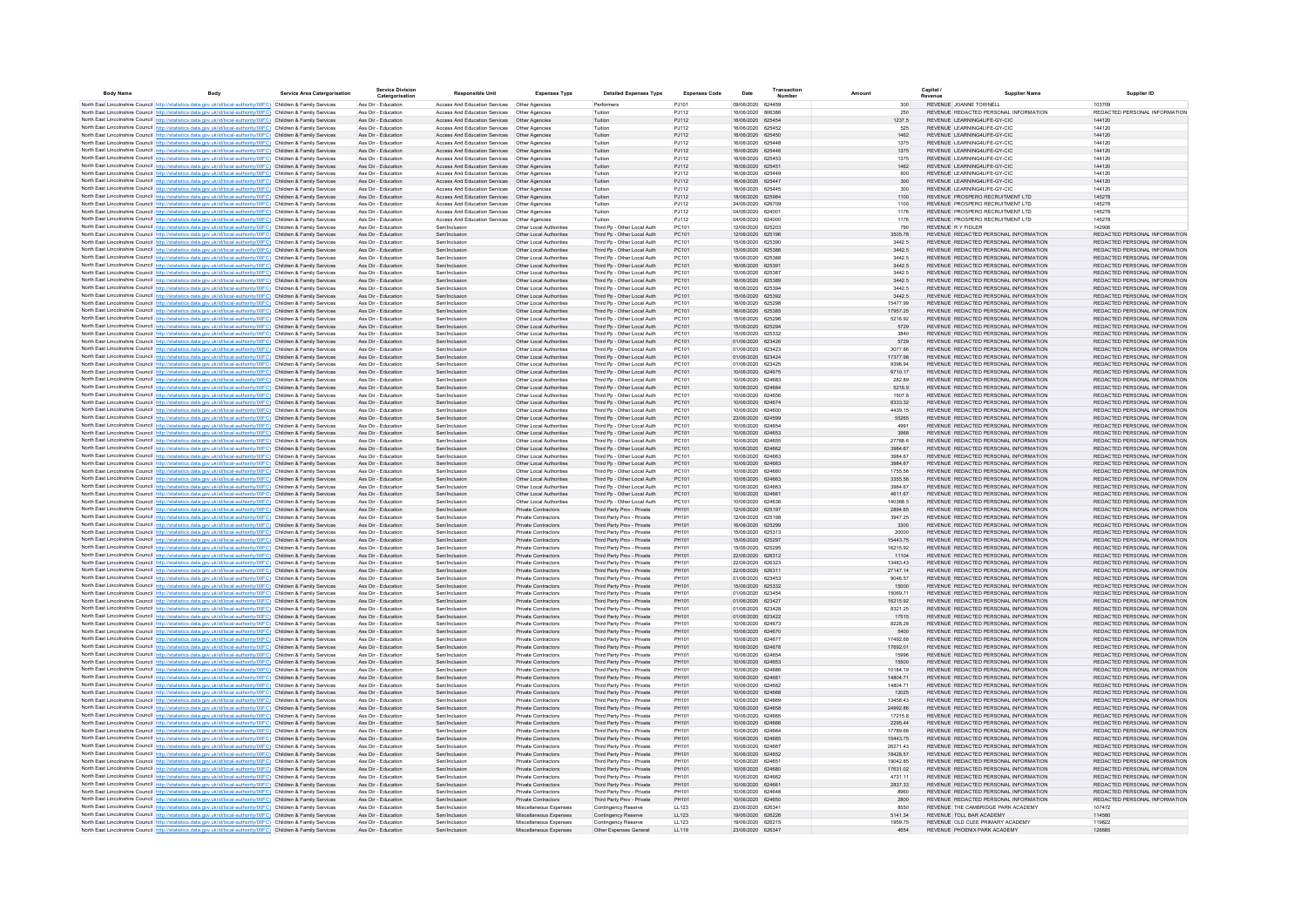| <b>Body Name</b> | Rody                                                                                                                                                                                                                                   | <b>Service Area Catergorisation</b> | <b>Service Division</b><br>Catergorisation | <b>Responsible Unit</b>                                                                        | <b>Expenses Type</b>                               | <b>Detailed Expenses Type</b>                              | <b>Expenses Code</b> | Date                                   | Transaction | Amount               | Capital                                                                        | <b>Supplier Name</b> | Supplier ID                                                    |
|------------------|----------------------------------------------------------------------------------------------------------------------------------------------------------------------------------------------------------------------------------------|-------------------------------------|--------------------------------------------|------------------------------------------------------------------------------------------------|----------------------------------------------------|------------------------------------------------------------|----------------------|----------------------------------------|-------------|----------------------|--------------------------------------------------------------------------------|----------------------|----------------------------------------------------------------|
|                  | North East Lincolnshire Council http://statistics.data.gov.uk/id/local-authority/00FC) Children & Family Services                                                                                                                      |                                     | Ass Dir - Education                        | Access And Education Services   Other Agencies                                                 |                                                    | Performers                                                 | PJ101                | 09/06/2020 624459                      |             | 300                  | REVENUE JOANNE TOWNELL                                                         |                      | 103709                                                         |
|                  | North East Lincolnshire Council http://statistics.data.gov.uk/id/local-authority/00FC) Children & Family Services                                                                                                                      |                                     | Ass Dir - Education                        |                                                                                                |                                                    | Tuition                                                    | PJ112                | 16/06/2020 806386                      |             | 250                  | REVENUE REDACTED PERSONAL INFORMATION                                          |                      | REDACTED PERSONAL INFORMATION                                  |
|                  | North East Lincolnshire Council http://statistics.data.gov.uk/id/local-authority/00FC) Children & Family Services                                                                                                                      |                                     | Ass Dir - Education                        | Access And Education Services   Other Agencies                                                 |                                                    | Tuition                                                    | PJ112                | 16/06/2020 625454                      |             | 1237.5               | REVENUE LEARNING4LIFE-GY-CIC                                                   |                      | 144120                                                         |
|                  | North East Lincolnshire Council http://statistics.data.gov.uk/id/local-authority/00FC) Children & Family Services                                                                                                                      |                                     | Ass Dir - Education                        |                                                                                                |                                                    | Tuiltion                                                   | P.I112               | 16/06/2020 625452                      |             | 525                  | REVENUE LEARNING4LIFE-GY-CIC                                                   |                      | 144120                                                         |
|                  | North East Lincolnshire Council http://statistics.data.gov.uk/id/local-authority/00FC) Children & Family Services                                                                                                                      |                                     | Ass Dir - Education                        | Access And Education Services                                                                  | Other Agencies                                     | Tuition                                                    | PJ112                | 16/06/2020 625450                      |             | 1462                 | REVENUE LEARNING4LIFE-GY-CIC<br>REVENUE LEARNING4LIFE-GY-CIC                   |                      | 144120                                                         |
|                  | North East Lincolnshire Council http://statistics.data.gov.uk/id/local-authority/00FC) Children & Family Services<br>North East Lincolnshire Council http://statistics.data.gov.uk/id/local-authority/00FC) Children & Family Services |                                     | Ass Dir - Education<br>Ass Dir - Education | Access And Education Services<br>Access And Education Services                                 | Other Agencies<br>Other Agencies                   | Tuition<br>Tuition                                         | PJ112<br>PJ112       | 16/06/2020 625448<br>16/06/2020 625446 |             | 1375<br>1375         | REVENUE LEARNING4LIFE-GY-CIC                                                   |                      | 144120<br>144120                                               |
|                  | North East Lincolnshire Council http://statistics.data.gov.uk/id/local-authority/00FC) Children & Family Services                                                                                                                      |                                     | Ass Dir - Education                        | Access And Education Services                                                                  | Other Agencies                                     | Tuition                                                    | PJ112                | 16/06/2020 625453                      |             | 1375                 | REVENUE LEARNING4LIFE-GY-CIC                                                   |                      | 144120                                                         |
|                  | North East Lincolnshire Council http://statistics.data.gov.uk/id/local-authority/00FC) Children & Family Services                                                                                                                      |                                     | Ass Dir - Education                        | Access And Education Services                                                                  | Other Agencies                                     | Tuition                                                    | PJ112                | 16/06/2020 625451                      |             | 1462                 | REVENUE LEARNING4LIFE-GY-CIC                                                   |                      | 144120                                                         |
|                  | North East Lincolnshire Council http://statistics.data.gov.uk/id/local-authority/00FC) Children & Family Services                                                                                                                      |                                     | Ass Dir - Education                        | Access And Education Services                                                                  | Other Agencies                                     | Tuition                                                    | PJ112                | 16/06/2020 625449                      |             | 600                  | REVENUE LEARNING4LIFE-GY-CIC                                                   |                      | 144120                                                         |
|                  | North East Lincolnshire Council http://statistics.data.gov.uk/id/local-authority/00FC) Children & Family Services                                                                                                                      |                                     | Ass Dir - Education                        | Access And Education Services                                                                  | Other Agencies                                     | Tuition                                                    | PJ112                | 16/06/2020 625447                      |             | 300                  | REVENUE LEARNING4LIFE-GY-CIC                                                   |                      | 144120                                                         |
|                  | North East Lincolnshire Council http://statistics.data.gov.uk/id/local-authority/00FC) Children & Family Services                                                                                                                      |                                     | Ass Dir - Education                        | Access And Education Services                                                                  | Other Agencies                                     | Tuition                                                    | PJ112                | 16/06/2020 625445                      |             | 300                  | REVENUE LEARNING4LIFE-GY-CIC                                                   |                      | 144120                                                         |
|                  | North East Lincolnshire Council http://statistics.data.gov.uk/id/local-authority/00FC) Children & Family Services<br>North East Lincolnshire Council http://statistics.data.gov.uk/id/local-authority/00FC) Children & Family Services |                                     | Ass Dir - Education<br>Ass Dir - Education | Access And Education Services  Other Agencies<br>Access And Education Services  Other Agencies |                                                    | Tuition<br>Tuition                                         | PJ112<br>PJ112       | 18/06/2020 625984<br>24/06/2020 626709 |             | 1100<br>1100         | REVENUE PROSPERO RECRUITMENT LTD<br>REVENUE PROSPERO RECRUITMENT LTD           |                      | 145278<br>145278                                               |
|                  | North East Lincolnshire Council http://statistics.data.gov.uk/id/local-authority/00FC) Children & Family Services                                                                                                                      |                                     | Ass Dir - Education                        | Access And Education Services   Other Agencies                                                 |                                                    | Tuition                                                    | PJ112                | 04/06/2020 624001                      |             | 1176                 | REVENUE PROSPERO RECRUITMENT LTD                                               |                      | 145278                                                         |
|                  | North East Lincolnshire Council http://statistics.data.gov.uk/id/local-authority/00FC) Children & Family Services                                                                                                                      |                                     | Ass Dir - Education                        | Access And Education Services  Other Agencies                                                  |                                                    | Tuition                                                    | PJ112                | 04/06/2020 624000                      |             | 1176                 | REVENUE PROSPERO RECRUITMENT LTD                                               |                      | 145278                                                         |
|                  | North East Lincolnshire Council http://statistics.data.gov.uk/id/local-authority/00FC) Children & Family Services                                                                                                                      |                                     | Ass Dir - Education                        | Sen/Inclusion                                                                                  | Other Local Authorities                            | Third Pp - Other Local Auth                                | PC101                | 12/06/2020 625203                      |             | 790                  | REVENUE RY FIDLER                                                              |                      | 142906                                                         |
|                  | North East Lincolnshire Council http://statistics.data.gov.uk/id/local-authority/00FC) Children & Family Services                                                                                                                      |                                     | Ass Dir - Education                        | Sen/Inclusion                                                                                  | Other Local Authorities                            | Third Pp - Other Local Auth                                | PC101                | 12/06/2020 625196                      |             | 3505.78              | REVENUE REDACTED PERSONAL INFORMATION                                          |                      | REDACTED PERSONAL INFORMATION                                  |
|                  | North East Lincolnshire Council http://statistics.data.gov.uk/id/local-authority/00FC) Children & Family Services                                                                                                                      |                                     | Ass Dir - Education                        | Sen/Inclusion                                                                                  | Other Local Authorities                            | Third Pp - Other Local Auth                                | PC101                | 15/06/2020 625390                      |             | 3442.5               | REVENUE REDACTED PERSONAL INFORMATION                                          |                      | REDACTED PERSONAL INFORMATION                                  |
|                  | North East Lincolnshire Council http://statistics.data.gov.uk/id/local-authority/00FC) Children & Family Services                                                                                                                      |                                     | Ass Dir - Education                        | Sen/Inclusion                                                                                  | Other Local Authorities                            | Third Pp - Other Local Auth                                | PC101                | 15/06/2020 625386                      |             | 3442.5               | REVENUE REDACTED PERSONAL INFORMATION                                          |                      | REDACTED PERSONAL INFORMATION<br>REDACTED PERSONAL INFORMATION |
|                  | North East Lincolnshire Council http://statistics.data.gov.uk/id/local-authority/00FC) Children & Family Services<br>North East Lincolnshire Council http://statistics.data.gov.uk/id/local-authority/00FC) Children & Family Services |                                     | Ass Dir - Education<br>Ass Dir - Education | Sen/Inclusion<br>Sen/Inclusion                                                                 | Other Local Authorities<br>Other Local Authorities | Third Pp - Other Local Auth<br>Third Pp - Other Local Auth | PC101<br>PC101       | 15/06/2020 625388<br>16/06/2020 625391 |             | 3442.5<br>3442.5     | REVENUE REDACTED PERSONAL INFORMATION<br>REVENUE REDACTED PERSONAL INFORMATION |                      | REDACTED PERSONAL INFORMATION                                  |
|                  | North East Lincolnshire Council http://statistics.data.gov.uk/id/local-authority/00FC) Children & Family Services                                                                                                                      |                                     | Ass Dir - Education                        | Sen/Inclusion                                                                                  | Other Local Authorities                            | Third Pp - Other Local Auth                                | PC101                | 15/06/2020 625387                      |             | 3442.5               | REVENUE REDACTED PERSONAL INFORMATION                                          |                      | REDACTED PERSONAL INFORMATION                                  |
|                  | North East Lincolnshire Council http://statistics.data.gov.uk/id/local-authority/00FC) Children & Family Services                                                                                                                      |                                     | Ass Dir - Education                        | Sen/Inclusion                                                                                  | Other Local Authorities                            | Third Pp - Other Local Auth                                | PC101                | 16/06/2020 625389                      |             | 3442.5               | REVENUE REDACTED PERSONAL INFORMATION                                          |                      | REDACTED PERSONAL INFORMATION                                  |
|                  | North East Lincolnshire Council http://statistics.data.gov.uk/id/local-authority/00FC) Children & Family Services                                                                                                                      |                                     | Ass Dir - Education                        | Sen/Inclusion                                                                                  | Other Local Authorities                            | Third Pp - Other Local Auth                                | PC101                | 16/06/2020 62539                       |             | 3442.5               | REVENUE REDACTED PERSONAL INFORMATION                                          |                      | REDACTED PERSONAL INFORMATION                                  |
|                  | North East Lincolnshire Council http://statistics.data.gov.uk/id/local-authority/00FC) Children & Family Services                                                                                                                      |                                     | Ass Dir - Education                        | Sen/Inclusion                                                                                  | Other Local Authorities                            | Third Pp - Other Local Auth                                | PC101                | 15/06/2020 625392                      |             | 3442.5               | REVENUE REDACTED PERSONAL INFORMATION                                          |                      | REDACTED PERSONAL INFORMATION                                  |
|                  | North East Lincolnshire Council http://statistics.data.gov.uk/id/local-authority/00FC) Children & Family Services                                                                                                                      |                                     | Ass Dir - Education                        | Sen/Inclusion                                                                                  | Other Local Authorities                            | Third Pp - Other Local Auth                                | PC101                | 16/06/2020 625298                      |             | 15477.99             | REVENUE REDACTED PERSONAL INFORMATION                                          |                      | REDACTED PERSONAL INFORMATION                                  |
|                  | North East Lincolnshire Council http://statistics.data.gov.uk/id/local-authority/00FC) Children & Family Services                                                                                                                      |                                     | Ass Dir - Education                        | Sen/Inclusion                                                                                  | Other Local Authorities                            | Third Pp - Other Local Auth                                | PC101                | 16/06/2020 625385                      |             | 17957.25             | REVENUE REDACTED PERSONAL INFORMATION                                          |                      | REDACTED PERSONAL INFORMATION<br>REDACTED PERSONAL INFORMATION |
|                  | North East Lincolnshire Council http://statistics.data.gov.uk/id/local-authority/00FC) Children & Family Services<br>North East Lincolnshire Council http://statistics.data.gov.uk/id/local-authority/00FC) Children & Family Services |                                     | Ass Dir - Education<br>Ass Dir - Education | Sen/Inclusion<br>Sen/Inclusion                                                                 | Other Local Authorities<br>Other Local Authorities | Third Pp - Other Local Auth<br>Third Pp - Other Local Auth | PC101<br>PC101       | 15/06/2020 625296<br>15/06/2020 625294 |             | 5216.92<br>5729      | REVENUE REDACTED PERSONAL INFORMATION<br>REVENUE REDACTED PERSONAL INFORMATION |                      | REDACTED PERSONAL INFORMATION                                  |
|                  | North East Lincolnshire Council http://statistics.data.gov.uk/id/local-authority/00FC) Children & Family Services                                                                                                                      |                                     | Ass Dir - Education                        | Sen/Inclusion                                                                                  | Other Local Authorities                            | Third Pp - Other Local Auth                                | PC101                | 15/06/2020 625332                      |             | 3840                 | REVENUE REDACTED PERSONAL INFORMATION                                          |                      | REDACTED PERSONAL INFORMATION                                  |
|                  | North East Lincolnshire Council http://statistics.data.gov.uk/id/local-authority/00FC) Children & Family Services                                                                                                                      |                                     | Ass Dir - Education                        | Sen/Inclusion                                                                                  | Other Local Authorities                            | Third Pp - Other Local Auth                                | PC101                | 01/06/2020 623426                      |             | 5729                 | REVENUE REDACTED PERSONAL INFORMATION                                          |                      | REDACTED PERSONAL INFORMATION                                  |
|                  | North East Lincolnshire Council http://statistics.data.gov.uk/id/local-authority/00FC) Children & Family Services                                                                                                                      |                                     | Ass Dir - Education                        | Sen/Inclusion                                                                                  | Other Local Authorities                            | Third Pp - Other Local Auth                                | PC101                | 01/06/2020 623423                      |             | 3077.86              | REVENUE REDACTED PERSONAL INFORMATION                                          |                      | REDACTED PERSONAL INFORMATION                                  |
|                  | North East Lincolnshire Council http://statistics.data.gov.uk/id/local-authority/00FC) Children & Family Services                                                                                                                      |                                     | Ass Dir - Education                        | Sen/Inclusion                                                                                  | Other Local Authorities                            | Third Pp - Other Local Auth                                | PC101                | 01/06/2020 623424                      |             | 17377 98             | REVENUE REDACTED PERSONAL INFORMATION                                          |                      | REDACTED PERSONAL INFORMATION                                  |
|                  | North East Lincolnshire Council http://statistics.data.gov.uk/id/local-authority/00FC) Children & Family Services                                                                                                                      |                                     | Ass Dir - Education                        | Sen/Inclusion                                                                                  | Other Local Authorities                            | Third Pp - Other Local Auth                                | PC101                | 01/06/2020 623425                      |             | 9396.94              | REVENUE REDACTED PERSONAL INFORMATION                                          |                      | REDACTED PERSONAL INFORMATION                                  |
|                  | North East Lincolnshire Council http://statistics.data.gov.uk/id/local-authority/00FC) Children & Family Services                                                                                                                      |                                     | Ass Dir - Education                        | Sen/Inclusion                                                                                  | Other Local Authorities                            | Third Pp - Other Local Auth                                | PC101                | 10/06/2020 624675                      |             | 9710.17              | REVENUE REDACTED PERSONAL INFORMATION                                          |                      | REDACTED PERSONAL INFORMATION                                  |
|                  | North East Lincolnshire Council http://statistics.data.gov.uk/id/local-authority/00FC) Children & Family Services<br>North East Lincolnshire Council http://statistics.data.gov.uk/id/local-authority/00FC) Children & Family Services |                                     | Ass Dir - Education<br>Ass Dir - Education | Sen/Inclusion<br>Sen/Inclusion                                                                 | Other Local Authorities<br>Other Local Authorities | Third Pp - Other Local Auth<br>Third Pp - Other Local Auth | PC101<br>PC101       | 10/06/2020 624683<br>10/06/2020 624684 |             | 282.89<br>5216.9     | REVENUE REDACTED PERSONAL INFORMATION<br>REVENUE REDACTED PERSONAL INFORMATION |                      | REDACTED PERSONAL INFORMATION<br>REDACTED PERSONAL INFORMATION |
|                  | North East Lincolnshire Council http://statistics.data.gov.uk/id/local-authority/00FC) Children & Family Services                                                                                                                      |                                     | Ass Dir - Education                        | Sen/Inclusio                                                                                   | Other Local Authorities                            | Third Pp - Other Local Auth                                | PC10                 | 10/06/2020                             | 624656      | 1507.8               | REVENUE REDACTED PERSONAL INFORMATION                                          |                      | REDACTED PERSONAL INFORMATION                                  |
|                  | North East Lincolnshire Council http://statistics.data.gov.uk/id/local-authority/00FC) Children & Family Services                                                                                                                      |                                     | Ass Dir - Education                        | Sen/Inclusion                                                                                  | Other Local Authorities                            | Third Pp - Other Local Auth                                | PC101                | 10/06/2020 624674                      |             | 8333.32              | REVENUE REDACTED PERSONAL INFORMATION                                          |                      | REDACTED PERSONAL INFORMATION                                  |
|                  | North East Lincolnshire Council http://statistics.data.gov.uk/id/local-authority/00FC) Children & Family Services                                                                                                                      |                                     | Ass Dir - Education                        | Sen/Inclusion                                                                                  | Other Local Authorities                            | Third Pp - Other Local Auth                                | PC10                 | 10/06/2020                             | 624600      | 4439.15              | REVENUE REDACTED PERSONAL INFORMATION                                          |                      | REDACTED PERSONAL INFORMATION                                  |
|                  | North East Lincolnshire Council http://statistics.data.gov.uk/id/local-authority/00FC) Children & Family Services                                                                                                                      |                                     | Ass Dir - Education                        | Sen/Inclusion                                                                                  | Other Local Authorities                            | Third Pp - Other Local Auth                                | PC101                | 23/06/2020 624599                      |             | 55265                | REVENUE REDACTED PERSONAL INFORMATION                                          |                      | REDACTED PERSONAL INFORMATION                                  |
|                  | North East Lincolnshire Council http://statistics.data.gov.uk/id/local-authority/00FC) Children & Family Services                                                                                                                      |                                     | Ass Dir - Education                        | sen/Inclusion                                                                                  | Other Local Authorities                            | Third Pp - Other Local Auth                                | PC101                | 10/06/2020 624654                      |             | 4991                 | REVENUE REDACTED PERSONAL INFORMATION                                          |                      | REDACTED PERSONAL INFORMATION                                  |
|                  | North East Lincolnshire Council http://statistics.data.gov.uk/id/local-authority/00FC) Children & Family Services                                                                                                                      |                                     | Ass Dir - Education                        | Sen/Inclusion                                                                                  | Other Local Authorities                            | Third Pp - Other Local Auth                                | PC101                | 10/06/2020 624653                      |             | 3968                 | REVENUE REDACTED PERSONAL INFORMATION                                          |                      | REDACTED PERSONAL INFORMATION<br>REDACTED PERSONAL INFORMATION |
|                  | North East Lincolnshire Council http://statistics.data.gov.uk/id/local-authority/00FC) Children & Family Services<br>North East Lincolnshire Council http://statistics.data.gov.uk/id/local-authority/00FC) Children & Family Services |                                     | Ass Dir - Education<br>Ass Dir - Education | Sen/Inclusion<br>Sen/Inclusion                                                                 | Other Local Authorities<br>Other Local Authorities | Third Po - Other Local Auth<br>Third Pp - Other Local Auth | PC101<br>PC101       | 10/06/2020 624655<br>10/06/2020 624662 |             | 27768.6<br>3984.67   | REVENUE REDACTED PERSONAL INFORMATION<br>REVENUE REDACTED PERSONAL INFORMATION |                      | REDACTED PERSONAL INFORMATION                                  |
|                  | North East Lincolnshire Council http://statistics.data.gov.uk/id/local-authority/00FC) Children & Family Services                                                                                                                      |                                     | Ass Dir - Education                        | Sen/Inclusion                                                                                  | Other Local Authorities                            | Third Pp - Other Local Auth                                | PC101                | 10/06/2020 624663                      |             | 3984.67              | REVENUE REDACTED PERSONAL INFORMATION                                          |                      | REDACTED PERSONAL INFORMATION                                  |
|                  | North East Lincolnshire Council http://statistics.data.gov.uk/id/local-authority/00FC) Children & Family Services                                                                                                                      |                                     | Ass Dir - Education                        | Sen/Inclusion                                                                                  | Other Local Authorities                            | Third Pp - Other Local Auth                                | PC101                | 10/06/2020 624663                      |             | 3984.67              | REVENUE REDACTED PERSONAL INFORMATION                                          |                      | REDACTED PERSONAL INFORMATION                                  |
|                  | North East Lincolnshire Council http://statistics.data.gov.uk/id/local-authority/00FC) Children & Family Services                                                                                                                      |                                     | Ass Dir - Education                        | Sen/Inclusion                                                                                  | Other Local Authorities                            | Third Pp - Other Local Auth                                | PC101                | 10/06/2020 624660                      |             | 1755 56              | REVENUE REDACTED PERSONAL INFORMATION                                          |                      | REDACTED PERSONAL INFORMATION                                  |
|                  | North East Lincolnshire Council http://statistics.data.gov.uk/id/local-authority/00FC) Children & Family Services                                                                                                                      |                                     | Ass Dir - Education                        | Sen/Inclusion                                                                                  | Other Local Authorities                            | Third Pp - Other Local Auth                                | PC101                | 10/06/2020 624663                      |             | 3355.56              | REVENUE REDACTED PERSONAL INFORMATION                                          |                      | REDACTED PERSONAL INFORMATION                                  |
|                  | North East Lincolnshire Council http://statistics.data.gov.uk/id/local-authority/00FC) Children & Family Services                                                                                                                      |                                     | Ass Dir - Education                        | Sen/Inclusion                                                                                  | Other Local Authorities                            | Third Pp - Other Local Auth                                | PC101                | 10/06/2020 624663                      |             | 3984 67              | REVENUE REDACTED PERSONAL INFORMATION                                          |                      | REDACTED PERSONAL INFORMATION                                  |
|                  | North East Lincolnshire Council http://statistics.data.gov.uk/id/local-authority/00FC) Children & Family Services                                                                                                                      |                                     | Ass Dir - Education                        | Sen/Inclusion                                                                                  | Other Local Authorities                            | Third Pp - Other Local Auth                                | PC101                | 10/06/2020 624661                      |             | 4611.67              | REVENUE REDACTED PERSONAL INFORMATION                                          |                      | REDACTED PERSONAL INFORMATION<br>REDACTED PERSONAL INFORMATION |
|                  | North East Lincolnshire Council http://statistics.data.gov.uk/id/local-authority/00FC) Children & Family Services<br>North East Lincolnshire Council http://statistics.data.gov.uk/id/local-authority/00FC) Children & Family Services |                                     | Ass Dir - Education<br>Ass Dir - Education | Sen/Inclusion<br>Sen/Inclusion                                                                 | Other Local Authorities<br>Private Contractors     | Third Pp - Other Local Auth<br>Third Party Prov - Private  | PC101<br>PH101       | 10/06/2020 624636<br>12/06/2020 625197 |             | 140368.5<br>2894.65  | REVENUE REDACTED PERSONAL INFORMATION<br>REVENUE REDACTED PERSONAL INFORMATION |                      | REDACTED PERSONAL INFORMATION                                  |
|                  | North East Lincolnshire Council http://statistics.data.gov.uk/id/local-authority/00FC) Children & Family Services                                                                                                                      |                                     | Ass Dir - Education                        | Sen/Inclusion                                                                                  | Private Contractors                                | Third Party Prov - Private                                 | PH101                | 12/06/2020 625198                      |             | 3947.25              | REVENUE REDACTED PERSONAL INFORMATION                                          |                      | REDACTED PERSONAL INFORMATION                                  |
|                  | North East Lincolnshire Council http://statistics.data.gov.uk/id/local-authority/00FC) Children & Family Services                                                                                                                      |                                     | Ass Dir - Education                        | Sen/Inclusion                                                                                  | Private Contractors                                | Third Party Prov - Private                                 | PH101                | 16/06/2020 625299                      |             | 3300                 | REVENUE REDACTED PERSONAL INFORMATION                                          |                      | REDACTED PERSONAL INFORMATION                                  |
|                  | North East Lincolnshire Council http://statistics.data.gov.uk/id/local-authority/00FC) Children & Family Services                                                                                                                      |                                     | Ass Dir - Education                        | Sen/Inclusion                                                                                  | Private Contractors                                | Third Party Prov - Private                                 | PH101                | 15/06/2020 625313                      |             | 20000                | REVENUE REDACTED PERSONAL INFORMATION                                          |                      | REDACTED PERSONAL INFORMATION                                  |
|                  | North East Lincolnshire Council http://statistics.data.gov.uk/id/local-authority/00FC) Children & Family Services                                                                                                                      |                                     | Ass Dir - Education                        | Sen/Inclusion                                                                                  | Private Contractors                                | Third Party Prov - Private                                 | PH101                | 15/06/2020 625297                      |             | 15443.75             | REVENUE REDACTED PERSONAL INFORMATION                                          |                      | REDACTED PERSONAL INFORMATION                                  |
|                  | North East Lincolnshire Council http://statistics.data.gov.uk/id/local-authority/00FC) Children & Family Services                                                                                                                      |                                     | Ass Dir - Education                        | Sen/Inclusion<br>Sen/Inclusion                                                                 | Private Contractors                                | Third Party Prov - Private                                 | PH101<br>PH101       | 15/06/2020 625295                      |             | 16215.92             | REVENUE REDACTED PERSONAL INFORMATION<br>REVENUE REDACTED PERSONAL INFORMATION |                      | REDACTED PERSONAL INFORMATION<br>REDACTED PERSONAL INFORMATION |
|                  | North East Lincolnshire Council http://statistics.data.gov.uk/id/local-authority/00FC) Children & Family Services<br>North East Lincolnshire Council http://statistics.data.gov.uk/id/local-authority/00FC) Children & Family Services |                                     | Ass Dir - Education<br>Ass Dir - Education | Sen/Inclusion                                                                                  | Private Contractors<br>Private Contractors         | Third Party Prov - Private<br>Third Party Prov - Private   | PH101                | 22/06/2020 626312<br>22/06/2020 626323 |             | 11104<br>13483.43    | REVENUE REDACTED PERSONAL INFORMATION                                          |                      | REDACTED PERSONAL INFORMATION                                  |
|                  | North East Lincolnshire Council http://statistics.data.gov.uk/id/local-authority/00FC) Children & Family Services                                                                                                                      |                                     | Ass Dir - Education                        | Sen/Inclusion                                                                                  | Private Contractors                                | Third Party Prov - Private                                 | PH101                | 22/06/2020 626311                      |             | 27147.14             | REVENUE REDACTED PERSONAL INFORMATION                                          |                      | REDACTED PERSONAL INFORMATION                                  |
|                  | North East Lincolnshire Council http://statistics.data.gov.uk/id/local-authority/00FC) Children & Family Services                                                                                                                      |                                     | Ass Dir - Education                        | Sen/Inclusion                                                                                  | Private Contractors                                | Third Party Prov - Private                                 | PH101                | 01/06/2020 623453                      |             | 9046.57              | REVENUE REDACTED PERSONAL INFORMATION                                          |                      | REDACTED PERSONAL INFORMATION                                  |
|                  | North East Lincolnshire Council http://statistics.data.gov.uk/id/local-authority/00FC) Children & Family Services                                                                                                                      |                                     | Ass Dir - Education                        | Sen/Inclusion                                                                                  | Private Contractors                                | Third Party Prov - Private                                 | PH101                | 15/06/2020 625332                      |             | 15000                | REVENUE REDACTED PERSONAL INFORMATION                                          |                      | REDACTED PERSONAL INFORMATION                                  |
|                  | North East Lincolnshire Council http://statistics.data.gov.uk/id/local-authority/00FC) Children & Family Services                                                                                                                      |                                     | Ass Dir - Education                        | Sen/Inclusion                                                                                  | Private Contractors                                | Third Party Prov - Private                                 | PH101                | 01/06/2020 623454                      |             | 15069 71             | REVENUE REDACTED PERSONAL INFORMATION                                          |                      | REDACTED PERSONAL INFORMATION                                  |
|                  | North East Lincolnshire Council http://statistics.data.gov.uk/id/local-authority/00FC) Children & Family Services                                                                                                                      |                                     | Ass Dir - Education                        | Sen/Inclusion                                                                                  | Private Contractors                                | Third Party Prov - Private                                 | PH101                | 01/06/2020 623427                      |             | 16215.92             | REVENUE REDACTED PERSONAL INFORMATION                                          |                      | REDACTED PERSONAL INFORMATION                                  |
|                  | North East Lincolnshire Council http://statistics.data.gov.uk/id/local-authority/00FC) Children & Family Services                                                                                                                      |                                     | Ass Dir - Education<br>Ass Dir - Education | Sen/Inclusion<br>Sen/Inclusion                                                                 | Private Contractors                                | Third Party Prov - Private                                 | PH101<br>PH101       | 01/06/2020 623428<br>01/06/2020 623422 |             | 8321.25              | REVENUE REDACTED PERSONAL INFORMATION<br>REVENUE REDACTED PERSONAL INFORMATION |                      | REDACTED PERSONAL INFORMATION<br>REDACTED PERSONAL INFORMATION |
|                  | North East Lincolnshire Council http://statistics.data.gov.uk/id/local-authority/00FC) Children & Family Services<br>North East Lincolnshire Council http://statistics.data.gov.uk/id/local-authority/00FC) Children & Family Services |                                     | Ass Dir - Education                        | Sen/Inclusion                                                                                  | Private Contractors<br>Private Contractors         | Third Party Prov - Private<br>Third Party Prov - Private   | PH101                | 10/06/2020 624673                      |             | 17515<br>8228.28     | REVENUE REDACTED PERSONAL INFORMATION                                          |                      | REDACTED PERSONAL INFORMATION                                  |
|                  | North East Lincolnshire Council http://statistics.data.gov.uk/id/local-authority/00FC) Children & Family Services                                                                                                                      |                                     | Ass Dir - Education                        | Sen/Inclusion                                                                                  | Private Contractors                                | Third Party Prov - Private                                 | PH101                | 10/06/2020 624670                      |             | 5400                 | REVENUE REDACTED PERSONAL INFORMATION                                          |                      | REDACTED PERSONAL INFORMATION                                  |
|                  | North East Lincolnshire Council http://statistics.data.gov.uk/id/local-authority/00FC) Children & Family Services                                                                                                                      |                                     | Ass Dir - Education                        | Sen/Inclusion                                                                                  | Private Contractors                                | Third Party Prov - Private                                 | PH101                | 10/06/2020                             | 624677      | 17492.68             | REVENUE REDACTED PERSONAL INFORMATION                                          |                      | REDACTED PERSONAL INFORMATION                                  |
|                  | North East Lincolnshire Council http://statistics.data.gov.uk/id/local-authority/00FC) Children & Family Services                                                                                                                      |                                     | Ass Dir - Education                        | Sen/Inclusion                                                                                  | Private Contractors                                | Third Party Prov - Private                                 | PH101                | 10/06/2020 624678                      |             | 17692.01             | REVENUE REDACTED PERSONAL INFORMATION                                          |                      | REDACTED PERSONAL INFORMATION                                  |
|                  | North East Lincolnshire Council http://statistics.data.gov.uk/id/local-authority/00FC) Children & Family Services                                                                                                                      |                                     | Ass Dir - Education                        | sen/Inclusion                                                                                  | Private Contractors                                | Third Party Prov - Private                                 | PH101                | 10/06/2020 624654                      |             | 15996                | REVENUE REDACTED PERSONAL INFORMATION                                          |                      | REDACTED PERSONAL INFORMATION                                  |
|                  | North East Lincolnshire Council http://statistics.data.gov.uk/id/local-authority/00FC) Children & Family Services                                                                                                                      |                                     | Ass Dir - Education                        | Sen/Inclusion                                                                                  | Private Contractors                                | Third Party Prov - Private                                 | PH101                | 10/06/2020 624653                      |             | 15500                | REVENUE REDACTED PERSONAL INFORMATION                                          |                      | REDACTED PERSONAL INFORMATION                                  |
|                  | North East Lincolnshire Council http://statistics.data.gov.uk/id/local-authority/00FC) Children & Family Services                                                                                                                      |                                     | Ass Dir - Education                        | Sen/Inclusion                                                                                  | Private Contractors                                | Third Party Prov - Private                                 | PH101                | 10/06/2020 624686                      |             | 10184.19             | REVENUE REDACTED PERSONAL INFORMATION                                          |                      | REDACTED PERSONAL INFORMATION<br>REDACTED PERSONAL INFORMATION |
|                  | North East Lincolnshire Council http://statistics.data.gov.uk/id/local-authority/00FC) Children & Family Services<br>North East Lincolnshire Council http://statistics.data.gov.uk/id/local-authority/00FC) Children & Family Services |                                     | Ass Dir - Education<br>Ass Dir - Education | Sen/Inclusion<br>Sen/Inclusion                                                                 | Private Contractors<br>Private Contractors         | Third Party Prov - Private<br>Third Party Prov - Private   | PH101<br>PH101       | 10/06/2020 624681<br>10/06/2020 624682 |             | 14804.71<br>14804.71 | REVENUE REDACTED PERSONAL INFORMATION<br>REVENUE REDACTED PERSONAL INFORMATION |                      | REDACTED PERSONAL INFORMATION                                  |
|                  | North East Lincolnshire Council http://statistics.data.gov.uk/id/local-authority/00FC) Children & Family Services                                                                                                                      |                                     | Ass Dir - Education                        | Sen/Inclusion                                                                                  | Private Contractors                                | Third Party Prov - Private                                 | PH101                | 10/06/2020 624668                      |             | 12025                | REVENUE REDACTED PERSONAL INFORMATION                                          |                      | REDACTED PERSONAL INFORMATION                                  |
|                  | North East Lincolnshire Council http://statistics.data.gov.uk/id/local-authority/00FC) Children & Family Services                                                                                                                      |                                     | Ass Dir - Education                        | Sen/Inclusion                                                                                  | Private Contractors                                | Third Party Prov - Private                                 | PH101                | 10/06/2020 624669                      |             | 13458.43             | REVENUE REDACTED PERSONAL INFORMATION                                          |                      | REDACTED PERSONAL INFORMATION                                  |
|                  | North East Lincolnshire Council http://statistics.data.gov.uk/id/local-authority/00FC) Children & Family Services                                                                                                                      |                                     | Ass Dir - Education                        | Sen/Inclusion                                                                                  | Private Contractors                                | Third Party Prov - Private                                 | PH101                | 10/06/2020 624658                      |             | 2499286              | REVENUE REDACTED PERSONAL INFORMATION                                          |                      | REDACTED PERSONAL INFORMATION                                  |
|                  | North East Lincolnshire Council http://statistics.data.gov.uk/id/local-authority/00FC) Children & Family Services                                                                                                                      |                                     | Ass Dir - Education                        | Sen/Inclusion                                                                                  | Private Contractors                                | Third Party Prov - Private                                 | PH101                | 10/06/2020 624665                      |             | 172158               | REVENUE REDACTED PERSONAL INFORMATION                                          |                      | REDACTED PERSONAL INFORMATION                                  |
|                  | North East Lincolnshire Council http://statistics.data.gov.uk/id/local-authority/00FC) Children & Family Services                                                                                                                      |                                     | Ass Dir - Education                        | Sen/Inclusion                                                                                  | Private Contractors                                | Third Party Prov - Private                                 | PH101                | 10/06/2020 624666                      |             | 2295.44              | REVENUE REDACTED PERSONAL INFORMATION                                          |                      | REDACTED PERSONAL INFORMATION                                  |
|                  | North East Lincolnshire Council http://statistics.data.gov.uk/id/local-authority/00FC) Children & Family Services                                                                                                                      |                                     | Ass Dir - Education                        | Sen/Inclusion                                                                                  | Private Contractors                                | Third Party Prov - Private                                 | PH101                | 10/06/2020 624664                      |             | 17789.66             | REVENUE REDACTED PERSONAL INFORMATION                                          |                      | REDACTED PERSONAL INFORMATION                                  |
|                  | North East Lincolnshire Council http://statistics.data.gov.uk/id/local-authority/00FC) Children & Family Services                                                                                                                      |                                     | Ass Dir - Education<br>Ass Dir - Education | Sen/Inclusion<br>Sen/Inclusion                                                                 | Private Contractors<br>Private Contractors         | Third Party Prov - Private<br>Third Party Prov - Private   | PH101<br>PH101       | 10/06/2020 624685<br>10/06/2020 624667 |             | 15443.75<br>26271.43 | REVENUE REDACTED PERSONAL INFORMATION<br>REVENUE REDACTED PERSONAL INFORMATION |                      | REDACTED PERSONAL INFORMATION<br>REDACTED PERSONAL INFORMATION |
|                  | North East Lincolnshire Council http://statistics.data.gov.uk/id/local-authority/00FC) Children & Family Services<br>North East Lincolnshire Council http://statistics.data.gov.uk/id/local-authority/00FC) Children & Family Services |                                     | Ass Dir - Education                        | Sen/Inclusion                                                                                  | Private Contractors                                | Third Party Prov - Private                                 | PH101                | 10/06/2020 624652                      |             | 18428.57             | REVENUE REDACTED PERSONAL INFORMATION                                          |                      | REDACTED PERSONAL INFORMATION                                  |
|                  | North East Lincolnshire Council http://statistics.data.gov.uk/id/local-authority/00FC) Children & Family Services                                                                                                                      |                                     | Ass Dir - Education                        | Sen/Inclusion                                                                                  | Private Contractors                                | Third Party Prov - Private                                 | PH101                | 10/06/2020 624651                      |             | 19042.85             | REVENUE REDACTED PERSONAL INFORMATION                                          |                      | REDACTED PERSONAL INFORMATION                                  |
|                  | North East Lincolnshire Council http://statistics.data.gov.uk/id/local-authority/00FC) Children & Family Services                                                                                                                      |                                     | Ass Dir - Education                        | Sen/Inclusion                                                                                  | Private Contractors                                | Third Party Prov - Private                                 | PH101                | 10/06/2020 624680                      |             | 17631.02             | REVENUE REDACTED PERSONAL INFORMATION                                          |                      | REDACTED PERSONAL INFORMATION                                  |
|                  | North East Lincolnshire Council http://statistics.data.gov.uk/id/local-authority/00FC) Children & Family Services                                                                                                                      |                                     | Ass Dir - Education                        | Sen/Inclusion                                                                                  | Private Contractors                                | Third Party Prov - Private                                 | PH101                | 10/06/2020 624662                      |             | 4731.11              | REVENUE REDACTED PERSONAL INFORMATION                                          |                      | REDACTED PERSONAL INFORMATION                                  |
|                  | North East Lincolnshire Council http://statistics.data.gov.uk/id/local-authority/00FC) Children & Family Services                                                                                                                      |                                     | Ass Dir - Education                        | Sen/Inclusion                                                                                  | Private Contractors                                | Third Party Prov - Private                                 | PH101                | 10/06/2020 624661                      |             | 2837.33              | REVENUE REDACTED PERSONAL INFORMATION                                          |                      | REDACTED PERSONAL INFORMATION                                  |
|                  | North East Lincolnshire Council http://statistics.data.gov.uk/id/local-authority/00FC) Children & Family Services                                                                                                                      |                                     | Ass Dir - Education                        | Sen/Inclusion                                                                                  | Private Contractors                                | Third Party Prov - Private                                 | PH101                | 10/06/2020 624648                      |             | 8960                 | REVENUE REDACTED PERSONAL INFORMATION                                          |                      | REDACTED PERSONAL INFORMATION                                  |
|                  | North East Lincolnshire Council http://statistics.data.gov.uk/id/local-authority/00FC) Children & Family Services<br>North East Lincolnshire Council http://statistics.data.gov.uk/id/local-authority/00FC) Children & Family Services |                                     | Ass Dir - Education<br>Ass Dir - Education | Sen/Inclusion<br>Sen/Inclusion                                                                 | Private Contractors<br>Miscellaneous Expenses      | Third Party Prov - Private<br>Contingency Reserve          | PH101<br>LL123       | 10/06/2020 624650<br>23/06/2020 626341 |             | 2800<br>8550         | REVENUE REDACTED PERSONAL INFORMATION<br>REVENUE THE CAMBRIDGE PARK ACADEMY    |                      | REDACTED PERSONAL INFORMATION<br>107472                        |
|                  | North East Lincolnshire Council http://statistics.data.gov.uk/id/local-authority/00FC) Children & Family Services                                                                                                                      |                                     | Ass Dir - Education                        | Sen/Inclusion                                                                                  | Miscellaneous Expenses                             | Contingency Reserve                                        | LL123                | 19/06/2020 626226                      |             | 5141.34              | REVENUE TOLL BAR ACADEMY                                                       |                      | 114560                                                         |
|                  | North East Lincolnshire Council http://statistics.data.gov.uk/id/local-authority/00FC) Children & Family Services                                                                                                                      |                                     | Ass Dir - Education                        | Sen/Inclusion                                                                                  | Miscellaneous Expenses                             | Contingency Reserve                                        | 11 123               | 19/06/2020 626215                      |             | 1959 75              | REVENUE OLD CLEE PRIMARY ACADEMY                                               |                      | 119822                                                         |
|                  | North East Lincolnshire Council http://statistics.data.gov.uk/id/local-authority/00FC) Children & Family Services                                                                                                                      |                                     | Ass Dir - Education                        | Sen/Inclusion                                                                                  | Miscellaneous Expenses                             | Other Expenses General                                     | LL119                | 23/06/2020 626347                      |             | 4654                 | REVENUE PHOENIX PARK ACADEMY                                                   |                      | 126685                                                         |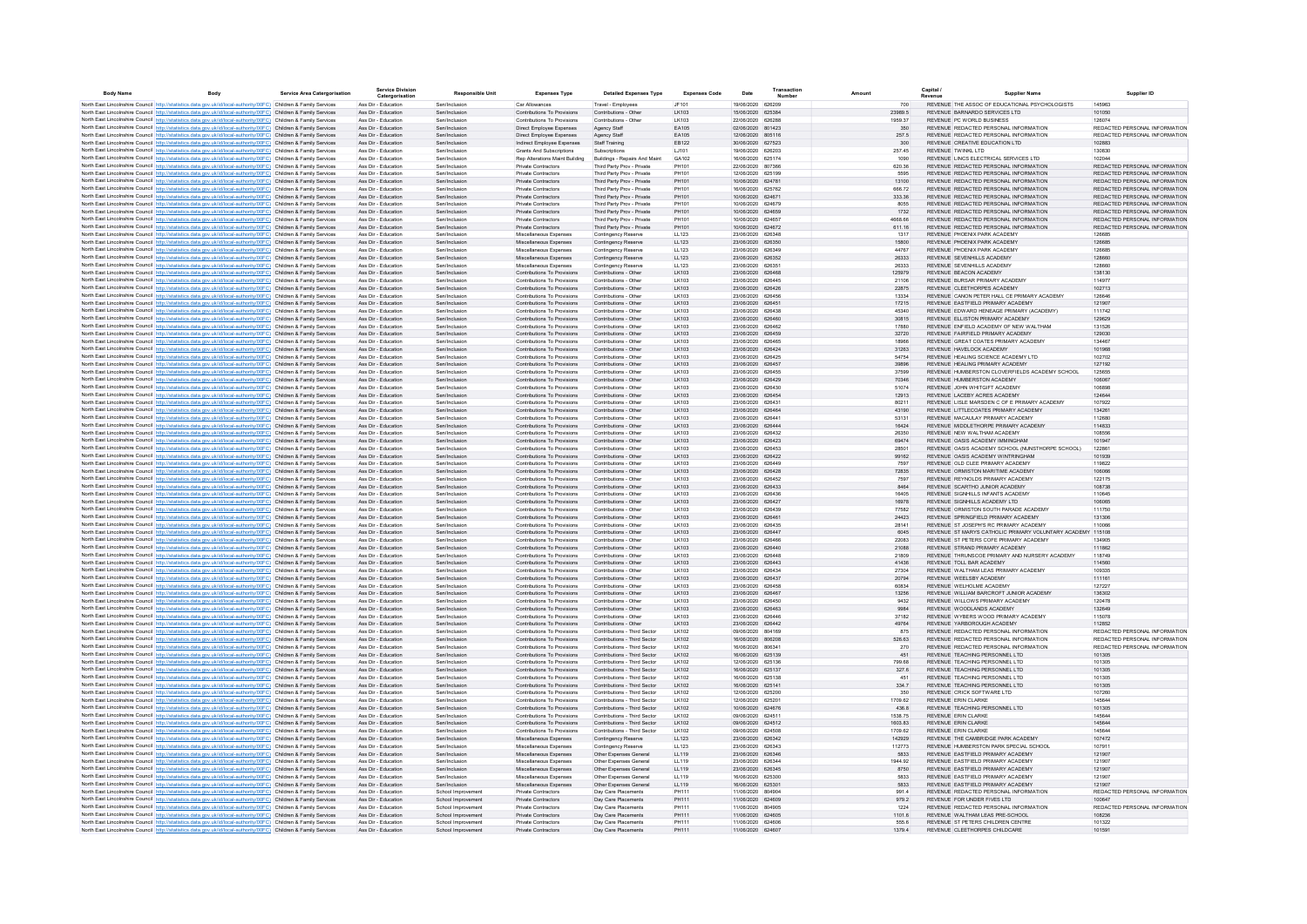| <b>Body Name</b> | <b>Rody</b>                                                                                                                                                                                                                            | <b>Service Area Catergorisation</b> | <b>Service Division</b><br>Catergorisation | <b>Responsible Unit</b>                  | <b>Expenses Type</b>                                       | <b>Detailed Expenses Type</b>                                | <b>Expenses Code</b> | Date                                   | Transaction | Amount             | Capital<br><b>Supplier Name</b>                                                                      | Supplier ID                                                    |
|------------------|----------------------------------------------------------------------------------------------------------------------------------------------------------------------------------------------------------------------------------------|-------------------------------------|--------------------------------------------|------------------------------------------|------------------------------------------------------------|--------------------------------------------------------------|----------------------|----------------------------------------|-------------|--------------------|------------------------------------------------------------------------------------------------------|----------------------------------------------------------------|
|                  | North East Lincolnshire Council http://statistics.data.gov.uk/id/local-authority/00FC) Children & Family Services                                                                                                                      |                                     | Ass Dir - Education                        | Sen/Inclusion                            | Car Allowances                                             | Travel - Employees                                           | JF101                | 19/06/2020 626209                      |             | 700                | REVENUE THE ASSOC OF EDUCATIONAL PSYCHOLOGISTS                                                       | 145963                                                         |
|                  | North East Lincolnshire Council http://statistics.data.gov.uk/id/local-authority/00FC) Children & Family Services                                                                                                                      |                                     | Ass Dir - Education                        | Sen/Inclusion                            | Contributions To Provisions                                | Contributions - Other                                        | LK103                | 15/06/2020 625384                      |             | 23989.5            | REVENUE BARNARDO SERVICES LTD                                                                        | 101050                                                         |
|                  | North East Lincolnshire Council http://statistics.data.gov.uk/id/local-authority/00FC) Children & Family Services<br>North East Lincolnshire Council http://statistics.data.gov.uk/id/local-authority/00FC) Children & Family Services |                                     | Ass Dir - Education<br>Ass Dir - Education | Sen/Inclusion<br>Sen/Inclusion           | Contributions To Provisions                                | Contributions - Other<br>Agency Staff                        | LK103<br>EA105       | 22/06/2020 626288<br>02/06/2020 801423 |             | 1959.37<br>350     | REVENUE PC WORLD BUSINESS<br>REVENUE REDACTED PERSONAL INFORMATION                                   | 126074<br>REDACTED PERSONAL INFORMATION                        |
|                  | North East Lincolnshire Council http://statistics.data.gov.uk/id/local-authority/00FC) Children & Family Services                                                                                                                      |                                     | Ass Dir - Education                        | Sen/Inclusion                            | Direct Employee Expenses<br>Direct Employee Expenses       | Agency Staff                                                 | EA105                | 12/06/2020 805116                      |             | 257.5              | REVENUE REDACTED PERSONAL INFORMATION                                                                | REDACTED PERSONAL INFORMATION                                  |
|                  | North East Lincolnshire Council http://statistics.data.gov.uk/id/local-authority/00FC) Children & Family Services                                                                                                                      |                                     | Ass Dir - Education                        | Sen/Inclusion                            | Indirect Employee Expenses                                 | Staff Training                                               | EB122                | 30/06/2020 627523                      |             | 300                | REVENUE CREATIVE EDUCATION LTD                                                                       | 102883                                                         |
|                  | North East Lincolnshire Council http://statistics.data.gov.uk/id/local-authority/00FC) Children & Family Services                                                                                                                      |                                     | Ass Dir - Education                        | Sen/Inclusion                            | <b>Grants And Subscriptions</b>                            | Subscriptions                                                | LJ101                | 19/06/2020                             | 626203      | 257.45             | REVENUE TWINKL LTD                                                                                   | 130830                                                         |
|                  | North East Lincolnshire Council http://statistics.data.gov.uk/id/local-authority/00FC) Children & Family Services<br>North East Lincolnshire Council http://statistics.data.gov.uk/id/local-authority/00FC) Children & Family Services |                                     | Ass Dir - Education<br>Ass Dir - Education | Sen/Inclusion<br>Sen/Inclusion           | Rep Alterations Maint Building<br>Private Contractors      | Buildings - Repairs And Maint<br>Third Party Prov - Private  | GA102<br>PH101       | 16/06/2020 625174<br>22/06/2020        | 807366      | 1090<br>620.36     | REVENUE LINCS ELECTRICAL SERVICES LTD<br>REVENUE REDACTED PERSONAL INFORMATION                       | 102044<br>REDACTED PERSONAL INFORMATION                        |
|                  | North East Lincolnshire Council http://statistics.data.gov.uk/id/local-authority/00FC) Children & Family Services                                                                                                                      |                                     | Ass Dir - Education                        | Sen/Inclusion                            | Private Contractors                                        | Third Party Prov - Private                                   | PH101                | 12/06/2020 625199                      |             | 5595               | REVENUE REDACTED PERSONAL INFORMATION                                                                | REDACTED PERSONAL INFORMATION                                  |
|                  | North East Lincolnshire Council http://statistics.data.gov.uk/id/local-authority/00FC) Children & Family Services                                                                                                                      |                                     | Ass Dir - Education                        | Sen/Inclusion                            | Private Contractors                                        | Third Party Prov - Private                                   | PH101                | 10/06/2020 624781                      |             | 13100              | REVENUE REDACTED PERSONAL INFORMATION                                                                | REDACTED PERSONAL INFORMATION                                  |
|                  | North East Lincolnshire Council http://statistics.data.gov.uk/id/local-authority/00FC) Children & Family Services                                                                                                                      |                                     | Ass Dir - Education                        | Sen/Inclusion                            | Private Contractors                                        | Third Party Prov - Private                                   | PH101                | 16/06/2020 625762                      |             | 666.72             | REVENUE REDACTED PERSONAL INFORMATION                                                                | REDACTED PERSONAL INFORMATION                                  |
|                  | North East Lincolnshire Council http://statistics.data.gov.uk/id/local-authority/00FC) Children & Family Services                                                                                                                      |                                     | Ass Dir - Education                        | Sen/Inclusion                            | Private Contractors                                        | Third Party Prov - Private                                   | PH101                | 10/06/2020 624671                      |             | 333.36             | REVENUE REDACTED PERSONAL INFORMATION                                                                | REDACTED PERSONAL INFORMATION                                  |
|                  | North East Lincolnshire Council http://statistics.data.gov.uk/id/local-authority/00FC) Children & Family Services<br>North East Lincolnshire Council http://statistics.data.gov.uk/id/local-authority/00FC) Children & Family Services |                                     | Ass Dir - Education<br>Ass Dir - Education | Sen/Inclusion<br>Sen/Inclusion           | Private Contractors<br><b>Private Contractors</b>          | Third Party Prov - Private<br>Third Party Prov - Private     | PH101<br>PH101       | 10/06/2020 624679<br>10/06/2020 624659 |             | 8055<br>1732       | REVENUE REDACTED PERSONAL INFORMATION<br>REVENUE REDACTED PERSONAL INFORMATION                       | REDACTED PERSONAL INFORMATION<br>REDACTED PERSONAL INFORMATION |
|                  | North East Lincolnshire Council http://statistics.data.gov.uk/id/local-authority/00FC) Children & Family Services                                                                                                                      |                                     | Ass Dir - Education                        | Sen/Inclusion                            | Private Contractors                                        | Third Party Prov - Private                                   | PH101                | 10/06/2020 624657                      |             | 4668.66            | REVENUE REDACTED PERSONAL INFORMATION                                                                | REDACTED PERSONAL INFORMATION                                  |
|                  | North East Lincolnshire Council http://statistics.data.gov.uk/id/local-authority/00FC) Children & Family Services                                                                                                                      |                                     | Ass Dir - Education                        | Sen/Inclusion                            | <b>Private Contractors</b>                                 | Third Party Prov - Private                                   | PH101                | 10/06/2020 624672                      |             | 611.16             | REVENUE REDACTED PERSONAL INFORMATION                                                                | REDACTED PERSONAL INFORMATION                                  |
|                  | North East Lincolnshire Council http://statistics.data.gov.uk/id/local-authority/00FC) Children & Family Services                                                                                                                      |                                     | Ass Dir - Education                        | Sen/Inclusion                            | Miscellaneous Expenses                                     | Contingency Reserve                                          | LL123                | 23/06/2020 626348                      |             | 1317               | REVENUE PHOENIX PARK ACADEMY                                                                         | 126685                                                         |
|                  | North East Lincolnshire Council http://statistics.data.gov.uk/id/local-authority/00FC) Children & Family Services                                                                                                                      |                                     | Ass Dir - Education                        | Sen/Inclusion                            | Miscellaneous Expenses                                     | Contingency Reserve                                          | LL123                | 23/06/2020 626350                      |             | 15800              | REVENUE PHOENIX PARK ACADEMY                                                                         | 126685                                                         |
|                  | North East Lincolnshire Council http://statistics.data.gov.uk/id/local-authority/00FC) Children & Family Services<br>North East Lincolnshire Council http://statistics.data.gov.uk/id/local-authority/00FC) Children & Family Services |                                     | Ass Dir - Education<br>Ass Dir - Education | Sen/Inclusion<br>Sen/Inclusion           | Miscellaneous Expenses                                     | Contingency Reserve                                          | LL123<br>LL123       | 23/06/2020 626349<br>23/06/2020 626352 |             | 44767<br>26333     | REVENUE PHOENIX PARK ACADEMY<br>REVENUE SEVENHILLS ACADEMY                                           | 126685<br>128660                                               |
|                  | North East Lincolnshire Council http://statistics.data.gov.uk/id/local-authority/00FC) Children & Family Services                                                                                                                      |                                     | Ass Dir - Education                        | Sen/Inclusion                            | Miscellaneous Expenses<br>Miscellaneous Expenses           | Contingency Reserve<br>Contingency Reserv                    | LL123                | 23/06/2020 626351                      |             | 26333              | REVENUE SEVENHILLS ACADEMY                                                                           | 128660                                                         |
|                  | North East Lincolnshire Council http://statistics.data.gov.uk/id/local-authority/00FC) Children & Family Services                                                                                                                      |                                     | Ass Dir - Education                        | Sen/Inclusion                            | Contributions To Provisions                                | Contributions - Other                                        | LK103                | 23/06/2020 626468                      |             | 125979             | REVENUE BEACON ACADEMY                                                                               | 138130                                                         |
|                  | North East Lincolnshire Council http://statistics.data.gov.uk/id/local-authority/00FC) Children & Family Services                                                                                                                      |                                     | Ass Dir - Education                        | Sen/Inclusion                            | Contributions To Provisions                                | Contributions - Othe                                         | LK103                | 23/06/2020 626445                      |             | 21106              | REVENUE BURSAR PRIMARY ACADEMY                                                                       | 114977                                                         |
|                  | North East Lincolnshire Council http://statistics.data.gov.uk/id/local-authority/00FC) Children & Family Services                                                                                                                      |                                     | Ass Dir - Education                        | Sen/Inclusion                            | Contributions To Provisions                                | Contributions - Other                                        | LK103                | 23/06/2020 626426                      |             | 22875              | REVENUE CLEETHORPES ACADEMY                                                                          | 102713                                                         |
|                  | North East Lincolnshire Council http://statistics.data.gov.uk/id/local-authority/00FC) Children & Family Services<br>North East Lincolnshire Council http://statistics.data.gov.uk/id/local-authority/00FC) Children & Family Services |                                     | Ass Dir - Education<br>Ass Dir - Education | Sen/Inclusio<br>Sen/Inclusion            | Contributions To Provisions<br>Contributions To Provisions | Contributions - Othe<br>Contributions - Other                | LK103<br>LK103       | 23/06/2020 626456<br>23/06/2020 626451 |             | 13334<br>17215     | REVENUE CANON PETER HALL CE PRIMARY ACADEMY<br>REVENUE EASTFIELD PRIMARY ACADEMY                     | 126646<br>121907                                               |
|                  | North East Lincolnshire Council http://statistics.data.gov.uk/id/local-authority/00FC) Children & Family Service                                                                                                                       |                                     | Ass Dir - Educatio                         | Sen/Inclusio                             | Contributions To Provisions                                | Contributions - Othe                                         | LK103                | 23/06/2020 626438                      |             | 45340              | REVENUE EDWARD HENEAGE PRIMARY (ACADEMY)                                                             | 111742                                                         |
|                  | North East Lincolnshire Council http://statistics.data.gov.uk/id/local-authority/00FC) Children & Family Services                                                                                                                      |                                     | Ass Dir - Education                        | Sen/Inclusion                            | Contributions To Provisions                                | Contributions - Other                                        | LK103                | 23/06/2020 626460                      |             | 30815              | REVENUE ELLISTON PRIMARY ACADEMY                                                                     | 129629                                                         |
|                  | North East Lincolnshire Council http://statistics.data.gov.uk/id/local-authority/00FC) Children & Family Services                                                                                                                      |                                     | Ass Dir - Education                        | Sen/Inclusion                            | Contributions To Provisions                                | Contributions - Other                                        | LK103                | 23/06/2020 626462                      |             | 17880              | REVENUE ENFIELD ACADEMY OF NEW WALTHAM                                                               | 131526                                                         |
|                  | North East Lincolnshire Council http://statistics.data.gov.uk/id/local-authority/00FC) Children & Family Services                                                                                                                      |                                     | Ass Dir - Education                        | Sen/Inclusion                            | Contributions To Provisions                                | Contributions - Other                                        | LK103                | 23/06/2020 626459                      |             | 32720              | REVENUE FAIRFIELD PRIMARY ACADEMY                                                                    | 129030                                                         |
|                  | North East Lincolnshire Council http://statistics.data.gov.uk/id/local-authority/00FC) Children & Family Services<br>North East Lincolnshire Council http://statistics.data.gov.uk/id/local-authority/00FC) Children & Family Services |                                     | Ass Dir - Education<br>Ass Dir - Education | Sen/Inclusion<br>Sen/Inclusion           | Contributions To Provisions<br>Contributions To Provisions | Contributions - Other<br>Contributions - Other               | LK103<br>LK103       | 23/06/2020 626465<br>23/06/2020 626424 |             | 18966<br>31263     | REVENUE GREAT COATES PRIMARY ACADEMY<br>REVENUE HAVELOCK ACADEMY                                     | 134467<br>101968                                               |
|                  | North East Lincolnshire Council http://statistics.data.gov.uk/id/local-authority/00FC) Children & Family Services                                                                                                                      |                                     | Ass Dir - Education                        | Sen/Inclusion                            | Contributions To Provisions                                | Contributions - Other                                        | LK103                | 23/06/2020 626425                      |             | 54754              | REVENUE HEALING SCIENCE ACADEMY LTD                                                                  | 102702                                                         |
|                  | North East Lincolnshire Council http://statistics.data.gov.uk/id/local-authority/00FC) Children & Family Services                                                                                                                      |                                     | Ass Dir - Education                        | Sen/Inclusion                            | Contributions To Provisions                                | Contributions - Other                                        | LK103                | 23/06/2020 626457                      |             | 39896              | REVENUE HEALING PRIMARY ACADEMY                                                                      | 127192                                                         |
|                  | North East Lincolnshire Council http://statistics.data.gov.uk/id/local-authority/00FC) Children & Family Services                                                                                                                      |                                     | Ass Dir - Education                        | Sen/Inclusion                            | Contributions To Provisions                                | Contributions - Other                                        | LK103                | 23/06/2020 626455                      |             | 37599              | REVENUE HUMBERSTON CLOVERFIELDS ACADEMY SCHOOL                                                       | 125655                                                         |
|                  | North East Lincolnshire Council http://statistics.data.gov.uk/id/local-authority/00FC) Children & Family Services                                                                                                                      |                                     | Ass Dir - Education                        | Sen/Inclusion                            | Contributions To Provisions                                | Contributions - Other                                        | LK103                | 23/06/2020 626429                      |             | 70346              | REVENUE HUMBERSTON ACADEMY                                                                           | 106067                                                         |
|                  | North East Lincolnshire Council http://statistics.data.gov.uk/id/local-authority/00FC) Children & Family Services                                                                                                                      |                                     | Ass Dir - Education                        | Sen/Inclusion                            | Contributions To Provisions                                | Contributions - Other                                        | LK103                | 23/06/2020 626430                      |             | 51074              | REVENUE JOHN WHITGIFT ACADEMY                                                                        | 106898                                                         |
|                  | North East Lincolnshire Council http://statistics.data.gov.uk/id/local-authority/00FC) Children & Family Services<br>North East Lincolnshire Council http://statistics.data.gov.uk/id/local-authority/00FC) Children & Family Services |                                     | Ass Dir - Education<br>Ass Dir - Education | Sen/Inclusion<br>Sen/Inclusion           | Contributions To Provisions<br>Contributions To Provisions | Contributions - Other<br>Contributions - Other               | LK103<br>LK103       | 23/06/2020 626454<br>23/06/2020 626431 |             | 12913<br>80211     | REVENUE LACEBY ACRES ACADEMY<br>REVENUE LISLE MARSDEN C OF E PRIMARY ACADEMY                         | 124644<br>107922                                               |
|                  | North East Lincolnshire Council http://statistics.data.gov.uk/id/local-authority/00FC) Children & Family Services                                                                                                                      |                                     | Ass Dir - Education                        | Sen/Inclusion                            | Contributions To Provisions                                | Contributions - Other                                        | LK103                | 23/06/2020 626464                      |             | 43190              | REVENUE LITTLECOATES PRIMARY ACADEMY                                                                 | 134261                                                         |
|                  | North East Lincolnshire Council http://statistics.data.gov.uk/id/local-authority/00FC) Children & Family Services                                                                                                                      |                                     | Ass Dir - Education                        | Sen/Inclusio                             | Contributions To Provisions                                | Contributions - Other                                        | LK103                | 23/06/2020 626441                      |             | 53131              | REVENUE, MACAULAY PRIMARY ACADEMY                                                                    | 112680                                                         |
|                  | North East Lincolnshire Council http://statistics.data.gov.uk/id/local-authority/00FC) Children & Family Services                                                                                                                      |                                     | Ass Dir - Education                        | Sen/Inclusion                            | Contributions To Provisions                                | Contributions - Other                                        | LK103                | 23/06/2020 626444                      |             | 16424              | REVENUE MIDDLETHORPE PRIMARY ACADEM'                                                                 | 114833                                                         |
|                  | North East Lincolnshire Council http://statistics.data.gov.uk/id/local-authority/00FC) Children & Family Services                                                                                                                      |                                     | Ass Dir - Education                        | Sen/Inclusion                            | Contributions To Provisions                                | Contributions - Othe                                         | LK103                | 23/06/2020 626432                      |             | 26350              | REVENUE NEW WALTHAM ACADEMY                                                                          | 108556                                                         |
|                  | North East Lincolnshire Council http://statistics.data.gov.uk/id/local-authority/00FC) Children & Family Services<br>North East Lincolnshire Council http://statistics.data.gov.uk/id/local-authority/00FC) Children & Family Services |                                     | Ass Dir - Education<br>Ass Dir - Education | Sen/Inclusion<br>Sen/Inclusion           | Contributions To Provisions<br>Contributions To Provisions | Contributions - Other<br>Contributions - Other               | LK103<br>LK103       | 23/06/2020 626423<br>23/06/2020 626453 |             | 69474<br>28501     | REVENUE OASIS ACADEMY IMMINGHAM<br>REVENUE OASIS ACADEMY SCHOOL (NUNSTHORPE SCHOOL)                  | 101947<br>122861                                               |
|                  | North East Lincolnshire Council http://statistics.data.gov.uk/id/local-authority/00FC) Children & Family Services                                                                                                                      |                                     | Ass Dir - Education                        | Sen/Inclusion                            | Contributions To Provisions                                | Contributions - Other                                        | LK103                | 23/06/2020 626422                      |             | 99162              | REVENUE OASIS ACADEMY WINTRINGHAM                                                                    | 101939                                                         |
|                  | North East Lincolnshire Council http://statistics.data.gov.uk/id/local-authority/00FC) Children & Family Services                                                                                                                      |                                     | Ass Dir - Education                        | Sen/Inclusion                            | Contributions To Provisions                                | Contributions - Other                                        | LK103                | 23/06/2020 626449                      |             | 7597               | REVENUE OLD CLEE PRIMARY ACADEMY                                                                     | 119822                                                         |
|                  | North East Lincolnshire Council http://statistics.data.gov.uk/id/local-authority/00FC) Children & Family Services                                                                                                                      |                                     | Ass Dir - Education                        | Sen/Inclusion                            | Contributions To Provisions                                | Contributions - Other                                        | LK103                | 23/06/2020 626428                      |             | 72835              | REVENUE ORMISTON MARITIME ACADEMY                                                                    | 106066                                                         |
|                  | North East Lincolnshire Council http://statistics.data.gov.uk/id/local-authority/00FC) Children & Family Services                                                                                                                      |                                     | Ass Dir - Education                        | Sen/Inclusion                            | Contributions To Provisions                                | Contributions - Other                                        | LK103                | 23/06/2020 626452                      |             | 7597               | REVENUE REYNOLDS PRIMARY ACADEMY                                                                     | 122175                                                         |
|                  | North East Lincolnshire Council http://statistics.data.gov.uk/id/local-authority/00FC) Children & Family Services<br>North East Lincolnshire Council http://statistics.data.gov.uk/id/local-authority/00FC) Children & Family Services |                                     | Ass Dir - Education<br>Ass Dir - Education | Sen/Inclusion<br>Sen/Inclusion           | Contributions To Provisions<br>Contributions To Provisions | Contributions - Other<br>Contributions - Other               | LK103<br>LK103       | 23/06/2020 626433<br>23/06/2020 626436 |             | 8464<br>16405      | REVENUE SCARTHO JUNIOR ACADEMY<br>REVENUE SIGNHILLS INFANTS ACADEMY                                  | 108738<br>110645                                               |
|                  | North East Lincolnshire Council http://statistics.data.gov.uk/id/local-authority/00FC) Children & Family Services                                                                                                                      |                                     | Ass Dir - Education                        | Sen/Inclusion                            | Contributions To Provisions                                | Contributions - Other                                        | LK103                | 23/06/2020 626427                      |             | 16978              | REVENUE SIGNHILLS ACADEMY LTD                                                                        | 106065                                                         |
|                  | North East Lincolnshire Council http://statistics.data.gov.uk/id/local-authority/00FC) Children & Family Services                                                                                                                      |                                     | Ass Dir - Education                        | Sen/Inclusion                            | Contributions To Provisions                                | Contributions - Other                                        | I K103               | 23/06/2020 626439                      |             | 77582              | REVENUE ORMISTON SOUTH PARADE ACADEMY                                                                | 111750                                                         |
|                  | North East Lincolnshire Council http://statistics.data.gov.uk/id/local-authority/00FC) Children & Family Services                                                                                                                      |                                     | Ass Dir - Education                        | Sen/Inclusion                            | Contributions To Provisions                                | Contributions - Other                                        | LK103                | 23/06/2020 626461                      |             | 24423              | REVENUE SPRINGFIELD PRIMARY ACADEMY                                                                  | 131306                                                         |
|                  | North East Lincolnshire Council http://statistics.data.gov.uk/id/local-authority/00FC) Children & Family Services                                                                                                                      |                                     | Ass Dir - Education                        | Sen/Inclusion<br>Sen/Inclusion           | Contributions To Provisions                                | Contributions - Other                                        | LK103                | 23/06/2020 626435<br>23/06/2020 626447 |             | 28141              | REVENUE ST JOSEPH'S RC PRIMARY ACADEMY<br>REVENUE ST MARYS CATHOLIC PRIMARY VOLUNTARY ACADEMY 115108 | 110066                                                         |
|                  | North East Lincolnshire Council http://statistics.data.gov.uk/id/local-authority/00FC) Children & Family Services<br>North East Lincolnshire Council http://statistics.data.gov.uk/id/local-authority/00FC) Children & Family Services |                                     | Ass Dir - Education<br>Ass Dir - Education | Sentinclusion                            | Contributions To Provisions<br>Contributions To Provisions | Contributions - Other<br>Contributions - Other               | LK103<br>LK103       | 23/06/2020 626466                      |             | 6045<br>22083      | REVENUE ST PETERS COFE PRIMARY ACADEMY                                                               | 134905                                                         |
|                  | North East Lincolnshire Council http://statistics.data.gov.uk/id/local-authority/00FC) Children & Family Services                                                                                                                      |                                     | Ass Dir - Education                        | Sen/Inclusion                            | Contributions To Provisions                                | Contributions - Other                                        | LK103                | 23/06/2020 626440                      |             | 21088              | REVENUE STRAND PRIMARY ACADEMY                                                                       | 111862                                                         |
|                  | North East Lincolnshire Council http://statistics.data.gov.uk/id/local-authority/00FC) Children & Family Services                                                                                                                      |                                     | Ass Dir - Education                        | Sen/Inclusio                             | Contributions To Provisions                                | Contributions - Othe                                         | LK103                | 23/06/2020 626448                      |             | 21809              | REVENUE THRUNSCOE PRIMARY AND NURSERY ACADEMY                                                        | 118749                                                         |
|                  | North East Lincolnshire Council http://statistics.data.gov.uk/id/local-authority/00FC) Children & Family Services                                                                                                                      |                                     | Ass Dir - Education                        | Sen/Inclusion                            | Contributions To Provisions                                | Contributions - Other                                        | LK103                | 23/06/2020 626443                      |             | 41436              | REVENUE TOLL BAR ACADEMY                                                                             | 114560                                                         |
|                  | North East Lincolnshire Council http://statistics.data.gov.uk/id/local-authority/00FC) Children & Family Services                                                                                                                      |                                     | Ass Dir - Education                        | Sen/Inclusion                            | Contributions To Provisions                                | Contributions - Other                                        | LK103                | 23/06/2020 626434<br>23/06/2020 626437 |             | 27304              | REVENUE WALTHAM LEAS PRIMARY ACADEMY<br>REVENUE WEELSBY ACADEMY                                      | 109335<br>111161                                               |
|                  | North East Lincolnshire Council http://statistics.data.gov.uk/id/local-authority/00FC) Children & Family Services<br>North East Lincolnshire Council http://statistics.data.gov.uk/id/local-authority/00FC) Children & Family Services |                                     | Ass Dir - Education<br>Ass Dir - Education | Sen/Inclusion<br>Sen/Inclusion           | Contributions To Provisions<br>Contributions To Provisions | Contributions - Other<br>Contributions - Other               | LK103<br>LK103       | 23/06/2020 626458                      |             | 20794<br>60834     | REVENUE WELHOLME ACADEMY                                                                             | 127227                                                         |
|                  | North East Lincolnshire Council http://statistics.data.gov.uk/id/local-authority/00FC) Children & Family Services                                                                                                                      |                                     | Ass Dir - Education                        | Sen/Inclusion                            | Contributions To Provisions                                | Contributions - Other                                        | LK103                | 23/06/2020 626467                      |             | 13256              | REVENUE WILLIAM BARCROFT JUNIOR ACADEMY                                                              | 136302                                                         |
|                  | North East Lincolnshire Council http://statistics.data.gov.uk/id/local-authority/00FC) Children & Family Services                                                                                                                      |                                     | Ass Dir - Education                        | Sen/Inclusion                            | Contributions To Provisions                                | Contributions - Other                                        | LK103                | 23/06/2020 626450                      |             | 9432               | REVENUE WILLOWS PRIMARY ACADEMY                                                                      | 120478                                                         |
|                  | North East Lincolnshire Council http://statistics.data.gov.uk/id/local-authority/00FC) Children & Family Services                                                                                                                      |                                     | Ass Dir - Education                        | Sen/Inclusion                            | Contributions To Provisions                                | Contributions - Other                                        | LK103                | 23/06/2020 626463                      |             | 9984               | REVENUE WOODLANDS ACADEMY                                                                            | 132649                                                         |
|                  | North East Lincolnshire Council http://statistics.data.gov.uk/id/local-authority/00FC) Children & Family Services                                                                                                                      |                                     | Ass Dir - Education                        | Sen/Inclusion                            | Contributions To Provisions                                | Contributions - Other                                        | LK103                | 23/06/2020 626446                      |             | 37182              | REVENUE WYBERS WOOD PRIMARY ACADEMY                                                                  | 115078                                                         |
|                  | North East Lincolnshire Council http://statistics.data.gov.uk/id/local-authority/00FC) Children & Family Services<br>North East Lincolnshire Council http://statistics.data.gov.uk/id/local-authority/00EC) Children & Family Services |                                     | Ass Dir - Education<br>Ass Dir - Education | Sen/Inclusion<br>Sen/Inclusion           | Contributions To Provisions<br>Contributions To Provisions | Contributions - Other<br>Contributions - Third Sector        | LK103<br>I K102      | 23/06/2020 626442<br>09/06/2020 804169 |             | 49764<br>875       | REVENUE YARBOROUGH ACADEMY<br>REVENUE REDACTED PERSONAL INFORMATION                                  | 112852<br>REDACTED PERSONAL INFORMATION                        |
|                  | North East Lincolnshire Council http://statistics.data.gov.uk/id/local-authority/00FC) Children & Family Services                                                                                                                      |                                     | Ass Dir - Education                        | Sen/Inclusion                            | Contributions To Provisions                                | Contributions - Third Sector                                 | LK102                | 16/06/2020 806208                      |             | 526.63             | REVENUE REDACTED PERSONAL INFORMATION                                                                | REDACTED PERSONAL INFORMATION                                  |
|                  | North East Lincolnshire Council http://statistics.data.gov.uk/id/local-authority/00FC) Children & Family Services                                                                                                                      |                                     | Ass Dir - Education                        | Sen/Inclusion                            | Contributions To Provisions                                | Contributions - Third Sector                                 | I K102               | 16/06/2020 806341                      |             | 270                | REVENUE REDACTED PERSONAL INFORMATION                                                                | REDACTED PERSONAL INFORMATION                                  |
|                  | North East Lincolnshire Council http://statistics.data.gov.uk/id/local-authority/00FC) Children & Family Services                                                                                                                      |                                     | Ass Dir - Education                        | Sen/Inclusion                            | Contributions To Provisions                                | Contributions - Third Sector                                 | LK102                | 16/06/2020 625139                      |             | 451                | REVENUE TEACHING PERSONNEL LTD                                                                       | 101305                                                         |
|                  | North East Lincolnshire Council http://statistics.data.gov.uk/id/local-authority/00FC) Children & Family Services                                                                                                                      |                                     | Ass Dir - Education                        | Sen/Inclusion                            | Contributions To Provisions                                | Contributions - Third Sector                                 | I K102               | 12/06/2020 625136                      |             | 799.68             | REVENUE TEACHING PERSONNEL LTD                                                                       | 101305                                                         |
|                  | North East Lincolnshire Council http://statistics.data.gov.uk/id/local-authority/00FC) Children & Family Services<br>North East Lincolnshire Council http://statistics.data.gov.uk/id/local-authority/00FC) Children & Family Services |                                     | Ass Dir - Education<br>Ass Dir - Education | Sen/Inclusion<br>Sen/Inclusion           | Contributions To Provisions<br>Contributions To Provisions | Contributions - Third Sector<br>Contributions - Third Sector | LK102<br>I K102      | 16/06/2020 625137<br>16/06/2020 625138 |             | 327.6<br>451       | REVENUE TEACHING PERSONNEL LTD<br>REVENUE TEACHING PERSONNEL LTD                                     | 101305<br>101305                                               |
|                  | North East Lincolnshire Council http://statistics.data.gov.uk/id/local-authority/00FC) Children & Family Services                                                                                                                      |                                     | Ass Dir - Education                        | Sen/Inclusion                            | Contributions To Provisions                                | Contributions - Third Sector                                 | LK102                | 16/06/2020 625141                      |             | 334.7              | REVENUE TEACHING PERSONNEL LTD                                                                       | 101305                                                         |
|                  | North East Lincolnshire Council http://statistics.data.gov.uk/id/local-authority/00FC) Children & Family Services                                                                                                                      |                                     | Ass Dir - Education                        | Sen/Inclusion                            | Contributions To Provisions                                | Contributions - Third Sector                                 | LK102                | 12/06/2020 625200                      |             | 350                | REVENUE CRICK SOFTWARE LTD                                                                           | 107260                                                         |
|                  | North East Lincolnshire Council http://statistics.data.gov.uk/id/local-authority/00FC) Children & Family Services                                                                                                                      |                                     | Ass Dir - Education                        | Sen/Inclusion                            | Contributions To Provisions                                | Contributions - Third Sector                                 | LK102                | 12/06/2020 625201                      |             | 1709.62            | REVENUE ERIN CLARKE                                                                                  | 145644                                                         |
|                  | North East Lincolnshire Council http://statistics.data.gov.uk/id/local-authority/00FC) Children & Family Services                                                                                                                      |                                     | Ass Dir - Education                        | Sen/Inclusion                            | Contributions To Provisions                                | Contributions - Third Sector                                 | LK102                | 10/06/2020 624676                      |             | 436.8              | REVENUE TEACHING PERSONNEL LTD                                                                       | 101305                                                         |
|                  | North East Lincolnshire Council http://statistics.data.gov.uk/id/local-authority/00FC) Children & Family Services<br>North East Lincolnshire Council http://statistics.data.gov.uk/id/local-authority/00FC) Children & Family Services |                                     | Ass Dir - Education<br>Ass Dir - Education | Sen/Inclusion<br>Sen/Inclusion           | Contributions To Provisions<br>Contributions To Provisions | Contributions - Third Sector<br>Contributions - Third Sector | LK102<br>LK102       | 09/06/2020 624511<br>09/06/2020 624512 |             | 1538.75<br>1603.83 | REVENUE ERIN CLARKE<br>REVENUE ERIN CLARKE                                                           | 145644<br>145644                                               |
|                  | North East Lincolnshire Council http://statistics.data.gov.uk/id/local-authority/00FC) Children & Family Services                                                                                                                      |                                     | Ass Dir - Education                        | Sen/Inclusion                            | Contributions To Provisions                                | Contributions - Third Sector                                 | LK102                | 09/06/2020 624508                      |             | 1709.62            | REVENUE ERIN CLARKE                                                                                  | 145644                                                         |
|                  | North East Lincolnshire Council http://statistics.data.gov.uk/id/local-authority/00FC) Children & Family Services                                                                                                                      |                                     | Ass Dir - Education                        | Sen/Inclusion                            | Miscellaneous Expenses                                     | Contingency Reserve                                          | LL123                | 23/06/2020 626342                      |             | 142929             | REVENUE THE CAMBRIDGE PARK ACADEMY                                                                   | 107472                                                         |
|                  | North East Lincolnshire Council http://statistics.data.gov.uk/id/local-authority/00FC) Children & Family Services                                                                                                                      |                                     | Ass Dir - Education                        | Sen/Inclusion                            | Miscellaneous Expenses                                     | Contingency Reserve                                          | LL123                | 23/06/2020 626343                      |             | 112773             | REVENUE HUMBERSTON PARK SPECIAL SCHOOL                                                               | 107911                                                         |
|                  | North East Lincolnshire Council http://statistics.data.gov.uk/id/local-authority/00FC) Children & Family Services                                                                                                                      |                                     | Ass Dir - Education                        | Sen/Inclusion                            | Miscellaneous Expenses                                     | Other Expenses General                                       | LL119                | 23/06/2020 626346                      |             | 5833               | REVENUE FASTEIELD PRIMARY ACADEMY                                                                    | 121907                                                         |
|                  | North East Lincolnshire Council http://statistics.data.gov.uk/id/local-authority/00FC) Children & Family Services                                                                                                                      |                                     | Ass Dir - Education                        | Sen/Inclusion<br>Sen/Inclusion           | Miscellaneous Expenses                                     | Other Expenses General                                       | 11119                | 23/06/2020 626344<br>23/06/2020 626345 |             | 1944 92            | REVENUE FASTEIELD PRIMARY ACADEMY                                                                    | 121907                                                         |
|                  | North East Lincolnshire Council http://statistics.data.gov.uk/id/local-authority/00FC) Children & Family Services<br>North East Lincolnshire Council http://statistics.data.gov.uk/id/local-authority/00FC) Children & Family Services |                                     | Ass Dir - Education<br>Ass Dir - Education | Sen/Inclusion                            | Miscellaneous Expenses<br>Miscellaneous Expenses           | Other Expenses General<br>Other Expenses General             | LL119<br>11119       | 16/06/2020 625300                      |             | 8750<br>5833       | REVENUE EASTFIELD PRIMARY ACADEMY<br>REVENUE FASTEIELD PRIMARY ACADEMY                               | 121907<br>121907                                               |
|                  | North East Lincolnshire Council http://statistics.data.gov.uk/id/local-authority/00FC) Children & Family Services                                                                                                                      |                                     | Ass Dir - Education                        | Sen/Inclusion                            | Miscellaneous Expenses                                     | Other Expenses General                                       | LL119                | 16/06/2020 625301                      |             | 5833               | REVENUE EASTFIELD PRIMARY ACADEMY                                                                    | 121907                                                         |
|                  | North East Lincolnshire Council http://statistics.data.gov.uk/id/local-authority/00FC) Children & Family Services                                                                                                                      |                                     | Ass Dir - Education                        | School Improvement                       | Private Contractors                                        | Day Care Placements                                          | PH111                | 11/06/2020 804904                      |             | 991.4              | REVENUE REDACTED PERSONAL INFORMATION                                                                | REDACTED PERSONAL INFORMATION                                  |
|                  | North East Lincolnshire Council http://statistics.data.gov.uk/id/local-authority/00FC) Children & Family Services                                                                                                                      |                                     | Ass Dir - Education                        | School Improvement                       | Private Contractors                                        | Day Care Placements                                          | PH111                | 11/06/2020 624609                      |             | 979.2              | REVENUE FOR UNDER FIVES LTD                                                                          | 100647                                                         |
|                  | North East Lincolnshire Council http://statistics.data.gov.uk/id/local-authority/00FC) Children & Family Services                                                                                                                      |                                     | Ass Dir - Education                        | School Improvemen                        | Private Contractors                                        | Day Care Placement                                           | PH111                | 11/06/2020 804905                      |             | 1224               | REVENUE REDACTED PERSONAL INFORMATION                                                                | REDACTED PERSONAL INFORMATION                                  |
|                  | North East Lincolnshire Council http://statistics.data.gov.uk/id/local-authority/00FC) Children & Family Services<br>North East Lincolnshire Council http://statistics.data.gov.uk/id/local-authority/00FC) Children & Family Services |                                     | Ass Dir - Education<br>Ass Dir - Education | School Improvement<br>School Improvement | Private Contractors<br>Private Contractors                 | Day Care Placements<br>Day Care Placements                   | PH111<br>PH111       | 11/06/2020 624605<br>11/06/2020 624606 |             | 1101.6<br>555.6    | REVENUE WALTHAM LEAS PRE-SCHOOL<br>REVENUE ST PETERS CHILDREN CENTRE                                 | 108236<br>101322                                               |
|                  | North East Lincolnshire Council http://statistics.data.gov.uk/id/local-authority/00FC) Children & Family Services                                                                                                                      |                                     | Ass Dir - Education                        | School Improvement                       | Private Contractors                                        | Day Care Placements                                          | PH111                | 11/06/2020 624607                      |             | 1379.4             | REVENUE CLEETHORPES CHILDCARE                                                                        | 101591                                                         |
|                  |                                                                                                                                                                                                                                        |                                     |                                            |                                          |                                                            |                                                              |                      |                                        |             |                    |                                                                                                      |                                                                |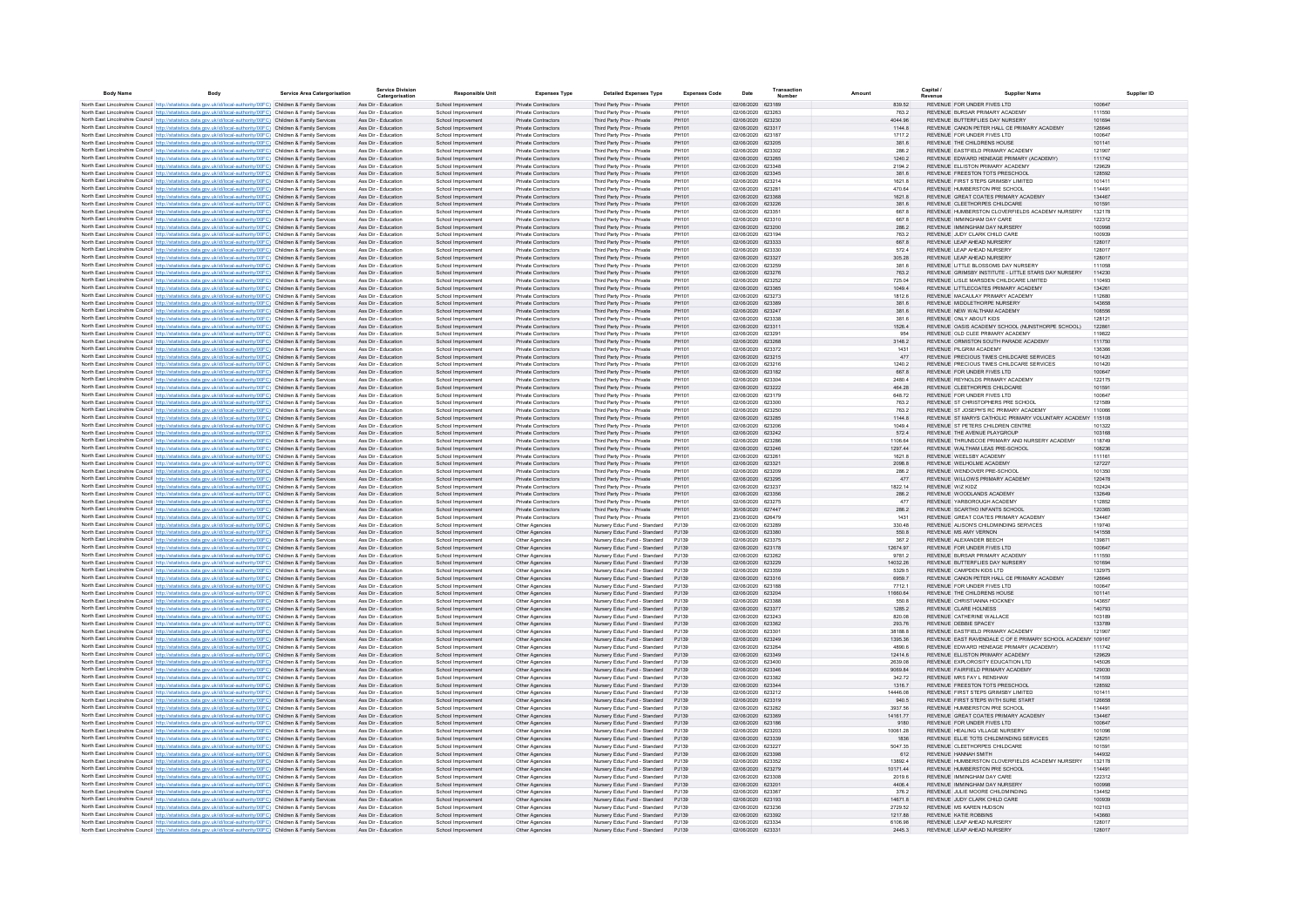| <b>Body Name</b> | Body                                                                                                                                                                                                                                   | Service Area Catergorisation | <b>Service Division</b><br>Catergorisation | <b>Responsible Unit</b>                  | <b>Expenses Type</b>                                     | <b>Detailed Expenses Type</b>                                | <b>Expenses Code</b> | Date                                   | Transaction<br>Numbe | Amount             | Capital i<br>Supplier Name                                                                              |                  |
|------------------|----------------------------------------------------------------------------------------------------------------------------------------------------------------------------------------------------------------------------------------|------------------------------|--------------------------------------------|------------------------------------------|----------------------------------------------------------|--------------------------------------------------------------|----------------------|----------------------------------------|----------------------|--------------------|---------------------------------------------------------------------------------------------------------|------------------|
|                  | North East Lincolnshire Council http://statistics.data.gov.uk/id/local-authority/00FC) Children & Family Services                                                                                                                      |                              | Ass Dir - Education                        | School Improvement                       | Private Contractors                                      | Third Party Prov - Private                                   | PH101                | 02/06/2020 623189                      |                      | 839.52             | REVENUE FOR UNDER FIVES LTD.                                                                            | 100647           |
|                  | North East Lincolnshire Council http://statistics.data.gov.uk/id/local-authority/00FC) Children & Family Services                                                                                                                      |                              | Ass Dir - Education                        | School Improvement                       | Private Contractors                                      | Third Party Prov - Private                                   | PH101                | 02/06/2020 623263                      |                      | 7632               | REVENUE BURSAR PRIMARY ACADEMY                                                                          | 111550           |
|                  | North East Lincolnshire Council http://statistics.data.gov.uk/id/local-authority/00FC) Children & Family Services                                                                                                                      |                              | Ass Dir - Education                        | School Improvement                       | Private Contractors                                      | Third Party Prov - Private                                   | PH101                | 02/06/2020 623230                      |                      | 4044.96            | REVENUE BUTTEREUFS DAY NURSERY                                                                          | 101694           |
|                  | North East Lincolnshire Council http://statistics.data.gov.uk/id/local-authority/00FC) Children & Family Services                                                                                                                      |                              | Ass Dir - Education                        | School Improvement                       | Private Contractors                                      | Third Party Prov - Private                                   | PH101                | 02/06/2020 623317                      |                      | 1144.8             | REVENUE CANON PETER HALL CE PRIMARY ACADEMY                                                             | 126646           |
|                  | North East Lincolnshire Council http://statistics.data.gov.uk/id/local-authority/00FC) Children & Family Services<br>North East Lincolnshire Council http://statistics.data.gov.uk/id/local-authority/00FC) Children & Family Services |                              | Ass Dir - Education<br>Ass Dir - Education | School Improvement<br>School Improvement | Private Contractors<br>Private Contractors               | Third Party Prov - Private<br>Third Party Prov - Private     | PH101<br>PH101       | 02/06/2020 623187<br>02/06/2020 623205 |                      | 1717.2<br>381.6    | REVENUE FOR UNDER FIVES LTD<br>REVENUE THE CHILDRENS HOUSE                                              | 100647<br>101141 |
|                  | North East Lincolnshire Council http://statistics.data.gov.uk/id/local-authority/00FC) Children & Family Services                                                                                                                      |                              | Ass Dir - Education                        | School Improvement                       | Private Contractors                                      | Third Party Prov - Private                                   | PH101                | 02/06/2020 623302                      |                      | 286.2              | REVENUE EASTFIELD PRIMARY ACADEMY                                                                       | 121907           |
|                  | North East Lincolnshire Council http://statistics.data.gov.uk/id/local-authority/00FC) Children & Family Services                                                                                                                      |                              | Ass Dir - Education                        | School Improvement                       | Private Contractors                                      | Third Party Prov - Private                                   | PH101                | 02/06/2020 623265                      |                      | 1240.2             | REVENUE EDWARD HENEAGE PRIMARY (ACADEMY)                                                                | 111742           |
|                  | North East Lincolnshire Council http://statistics.data.gov.uk/id/local-authority/00FC) Children & Family Services                                                                                                                      |                              | Ass Dir - Education                        | School Improvement                       | Private Contractors                                      | Third Party Prov - Private                                   | PH101                | 02/06/2020 623348                      |                      | 2194.2             | REVENUE ELLISTON PRIMARY ACADEMY                                                                        | 129629           |
|                  | North East Lincolnshire Council http://statistics.data.gov.uk/id/local-authority/00FC) Children & Family Services                                                                                                                      |                              | Ass Dir - Education                        | School Improvement                       | Private Contractors                                      | Third Party Prov - Private                                   | PH101                | 02/06/2020 623345                      |                      | 381.6              | REVENUE FREESTON TOTS PRESCHOOL                                                                         | 128592           |
|                  | North East Lincolnshire Council http://statistics.data.gov.uk/id/local-authority/00FC) Children & Family Services<br>North East Lincolnshire Council http://statistics.data.gov.uk/id/local-authority/00FC) Children & Family Services |                              | Ass Dir - Education<br>Ass Dir - Education | School Improvement<br>School Improvement | Private Contractors<br>Private Contractors               | Third Party Prov - Private<br>Third Party Prov - Private     | PH101<br>PH101       | 02/06/2020 623214<br>02/06/2020 623281 |                      | 1621.8<br>470.64   | REVENUE FIRST STEPS GRIMSBY LIMITED<br>REVENUE HUMBERSTON PRE SCHOOL                                    | 101411<br>114491 |
|                  | North East Lincolnshire Council http://statistics.data.gov.uk/id/local-authority/00FC) Children & Family Services                                                                                                                      |                              | Ass Dir - Education                        | School Improvement                       | Private Contractors                                      | Third Party Prov - Private                                   | PH101                | 02/06/2020 623368                      |                      | 1621.8             | REVENUE GREAT COATES PRIMARY ACADEMY                                                                    | 134467           |
|                  | North East Lincolnshire Council http://statistics.data.gov.uk/id/local-authority/00FC) Children & Family Services                                                                                                                      |                              | Ass Dir - Education                        | School Improvement                       | Private Contractors                                      | Third Party Prov - Private                                   | PH101                | 02/06/2020 623226                      |                      | 381.6              | REVENUE CLEETHORPES CHILDCARE                                                                           | 101591           |
|                  | North East Lincolnshire Council http://statistics.data.gov.uk/id/local-authority/00FC) Children & Family Services                                                                                                                      |                              | Ass Dir - Education                        | School Improvement                       | Private Contractors                                      | Third Party Prov - Private                                   | PH101                | 02/06/2020 623351                      |                      | 667.8              | REVENUE HUMBERSTON CLOVERFIELDS ACADEMY NURSERY                                                         | 132178           |
|                  | North East Lincolnshire Council http://statistics.data.gov.uk/id/local-authority/00FC) Children & Family Services                                                                                                                      |                              | Ass Dir - Education                        | School Improvement                       | Private Contractors                                      | Third Party Prov - Private                                   | PH101                | 02/06/2020 623310                      |                      | 667.8              | REVENUE IMMINGHAM DAY CARE                                                                              | 122312           |
|                  | North East Lincolnshire Council http://statistics.data.gov.uk/id/local-authority/00FC) Children & Family Services<br>North East Lincolnshire Council http://statistics.data.gov.uk/id/local-authority/00FC) Children & Family Services |                              | Ass Dir - Education<br>Ass Dir - Education | School Improvement<br>School Improvement | Private Contractors<br>Private Contractors               | Third Party Prov - Private<br>Third Party Prov - Private     | PH101<br>PH101       | 02/06/2020 623200<br>02/06/2020 623194 |                      | 286.2<br>7632      | REVENUE IMMINGHAM DAY NURSERY<br>REVENUE JUDY CLARK CHILD CARE                                          | 100998<br>100939 |
|                  | North East Lincolnshire Council http://statistics.data.gov.uk/id/local-authority/00FC) Children & Family Services                                                                                                                      |                              | Ass Dir - Education                        | School Improvement                       | Private Contractors                                      | Third Party Prov - Private                                   | PH101                | 02/06/2020 623333                      |                      | 667.8              | REVENUE LEAP AHEAD NURSERY                                                                              | 128017           |
|                  | North East Lincolnshire Council http://statistics.data.gov.uk/id/local-authority/00FC) Children & Family Services                                                                                                                      |                              | Ass Dir - Education                        | School Improvement                       | Private Contractors                                      | Third Party Prov - Private                                   | PH101                | 02/06/2020 623330                      |                      | 5724               | REVENUE LEAP AHEAD NURSERY                                                                              | 128017           |
|                  | North East Lincolnshire Council http://statistics.data.gov.uk/id/local-authority/00FC) Children & Family Services                                                                                                                      |                              | Ass Dir - Education                        | School Improvement                       | Private Contractors                                      | Third Party Prov - Private                                   | PH101                | 02/06/2020 623327                      |                      | 305.28             | REVENUE LEAP AHEAD NURSERY                                                                              | 128017           |
|                  | North East Lincolnshire Council http://statistics.data.gov.uk/id/local-authority/00FC) Children & Family Services                                                                                                                      |                              | Ass Dir - Education                        | School Improvemen                        | Private Contractors                                      | Third Party Prov - Private                                   | PH101                | 02/06/2020 623259                      |                      | 381.6              | REVENUE LITTLE BLOSSOMS DAY NURSERY                                                                     | 111058           |
|                  | North East Lincolnshire Council http://statistics.data.gov.uk/id/local-authority/00FC) Children & Family Services<br>North East Lincolnshire Council http://statistics.data.gov.uk/id/local-authority/00FC) Children & Family Services |                              | Ass Dir - Education<br>Ass Dir - Education | School Improvement<br>School Improvement | Private Contractors<br>Private Contractors               | Third Party Prov - Private<br>Third Party Prov - Private     | PH101<br>PH101       | 02/06/2020 623276<br>02/06/2020 623252 |                      | 763.2<br>725.04    | REVENUE GRIMSBY INSTITUTE - LITTLE STARS DAY NURSERY<br>REVENUE LISLE MARSDEN CHILDCARE LIMITED         | 114230<br>110493 |
|                  | North East Lincolnshire Council http://statistics.data.gov.uk/id/local-authority/00FC) Children & Family Services                                                                                                                      |                              | Ass Dir - Education                        | School Improvement                       | Private Contractors                                      | Third Party Prov - Private                                   | PH101                | 02/06/2020 623365                      |                      | 1049.4             | REVENUE LITTLECOATES PRIMARY ACADEMY                                                                    | 134261           |
|                  | North East Lincolnshire Council http://statistics.data.gov.uk/id/local-authority/00FC) Children & Family Services                                                                                                                      |                              | Ass Dir - Education                        | School Improvement                       | Private Contractors                                      | Third Party Prov - Private                                   | PH101                | 02/06/2020 623273                      |                      | 1812.6             | REVENUE MACAULAY PRIMARY ACADEMY                                                                        | 112680           |
|                  | North East Lincolnshire Council http://statistics.data.gov.uk/id/local-authority/00FC) Children & Family Services                                                                                                                      |                              | Ass Dir - Education                        | School Improvement                       | Private Contractors                                      | Third Party Prov - Private                                   | PH101                | 02/06/2020 623389                      |                      | 381.6              | REVENUE MIDDLETHORPE NURSERY                                                                            | 143658           |
|                  | North East Lincolnshire Council http://statistics.data.gov.uk/id/local-authority/00FC) Children & Family Services                                                                                                                      |                              | Ass Dir - Education                        | School Improvement                       | Private Contractors                                      | Third Party Prov - Private                                   | PH101                | 02/06/2020 623247                      |                      | 381.6              | REVENUE NEW WALTHAM ACADEMY                                                                             | 108556           |
|                  | North East Lincolnshire Council http://statistics.data.gov.uk/id/local-authority/00FC) Children & Family Services<br>North East Lincolnshire Council http://statistics.data.gov.uk/id/local-authority/00FC) Children & Family Services |                              | Ass Dir - Education                        | School Improvement                       | Private Contractors                                      | Third Party Prov - Private                                   | PH101                | 02/06/2020 623338                      |                      | 381.6              | REVENUE ONLY ABOUT KIDS<br>REVENUE OASIS ACADEMY SCHOOL (NUNSTHORPE SCHOOL)                             | 128121           |
|                  | North East Lincolnshire Council http://statistics.data.gov.uk/id/local-authority/00FC) Children & Family Services                                                                                                                      |                              | Ass Dir - Education<br>Ass Dir - Education | School Improvement<br>School Improvement | <b>Private Contractors</b><br>Private Contractors        | Third Party Prov - Private<br>Third Party Prov - Private     | PH101<br>PH101       | 02/06/2020 623311<br>02/06/2020 623291 |                      | 1526.4<br>954      | REVENUE OLD CLEE PRIMARY ACADEMY                                                                        | 122861<br>119822 |
|                  | North East Lincolnshire Council http://statistics.data.gov.uk/id/local-authority/00FC) Children & Family Services                                                                                                                      |                              | Ass Dir - Education                        | School Improvement                       | Private Contractors                                      | Third Party Prov - Private                                   | PH101                | 02/06/2020 623268                      |                      | 3148.2             | REVENUE ORMISTON SOUTH PARADE ACADEMY                                                                   | 111750           |
|                  | North East Lincolnshire Council http://statistics.data.gov.uk/id/local-authority/00FC) Children & Family Services                                                                                                                      |                              | Ass Dir - Education                        | School Improvement                       | Private Contractors                                      | Third Party Prov - Private                                   | PH101                | 02/06/2020 623372                      |                      | 1431               | REVENUE PILGRIM ACADEMY                                                                                 | 136366           |
|                  | North East Lincolnshire Council http://statistics.data.gov.uk/id/local-authority/00FC) Children & Family Services                                                                                                                      |                              | Ass Dir - Education                        | School Improvement                       | Private Contractors                                      | Third Party Prov - Private                                   | PH101                | 02/06/2020 623215                      |                      | 477                | REVENUE PRECIOUS TIMES CHILDCARE SERVICES                                                               | 101420           |
|                  | North East Lincolnshire Council http://statistics.data.gov.uk/id/local-authority/00FC) Children & Family Services                                                                                                                      |                              | Ass Dir - Education<br>Ass Dir - Education | School Improvement                       | Private Contractors<br>Private Contractors               | Third Party Prov - Private                                   | PH101<br>PH101       | 02/06/2020 623216<br>02/06/2020 623182 |                      | 1240.2<br>667.8    | REVENUE, PRECIOUS TIMES CHILDCARE SERVICES<br>REVENUE FOR UNDER FIVES ITD                               | 101420<br>100647 |
|                  | North East Lincolnshire Council http://statistics.data.gov.uk/id/local-authority/00FC) Children & Family Services<br>North East Lincolnshire Council http://statistics.data.gov.uk/id/local-authority/00FC) Children & Family Services |                              | Ass Dir - Education                        | School Improvement<br>School Improvement | Private Contractors                                      | Third Party Prov - Private<br>Third Party Prov - Private     | PH101                | 02/06/2020 623304                      |                      | 2480.4             | REVENUE REYNOLDS PRIMARY ACADEMY                                                                        | 122175           |
|                  | North East Lincolnshire Council http://statistics.data.gov.uk/id/local-authority/00FC) Children & Family Services                                                                                                                      |                              | Ass Dir - Education                        | School Improvement                       | Private Contractors                                      | Third Party Prov - Private                                   | PH101                | 02/06/2020 623222                      |                      | 464.28             | REVENUE CLEETHORPES CHILDCARE                                                                           | 101591           |
|                  | North East Lincolnshire Council http://statistics.data.gov.uk/id/local-authority/00FC) Children & Family Services                                                                                                                      |                              | Ass Dir - Education                        | School Improvement                       | Private Contractors                                      | Third Party Prov - Private                                   | PH101                | 02/06/2020 623179                      |                      | 648.72             | REVENUE FOR UNDER FIVES LTD                                                                             | 100647           |
|                  | North East Lincolnshire Council http://statistics.data.gov.uk/id/local-authority/00FC) Children & Family Services                                                                                                                      |                              | Ass Dir - Education                        | School Improvement                       | Private Contractors                                      | Third Party Prov - Private                                   | PH101                | 02/06/2020 623300                      |                      | 763.2              | REVENUE ST CHRISTOPHERS PRE SCHOOL                                                                      | 121589           |
|                  | North East Lincolnshire Council http://statistics.data.gov.uk/id/local-authority/00FC) Children & Family Services                                                                                                                      |                              | Ass Dir - Education                        | School Improvement                       | Private Contractors                                      | Third Party Prov - Private                                   | PH101                | 02/06/2020 623250                      |                      | 763.2              | REVENUE ST JOSEPH'S RC PRIMARY ACADEMY                                                                  | 110066           |
|                  | North East Lincolnshire Council http://statistics.data.gov.uk/id/local-authority/00FC) Children & Family Services<br>North East Lincolnshire Council http://statistics.data.gov.uk/id/local-authority/00FC) Children & Family Services |                              | Ass Dir - Education<br>Ass Dir - Education | School Improvement<br>School Improvemen  | Private Contractors<br>Private Contractors               | Third Party Prov - Private<br>Third Party Prov - Private     | PH101<br>PH101       | 02/06/2020 623285<br>02/06/2020 623206 |                      | 1144.8<br>1049.4   | REVENUE ST MARYS CATHOLIC PRIMARY VOLUNTARY ACADEMY 115108<br>REVENUE ST PETERS CHILDREN CENTRE         | 101322           |
|                  | North East Lincolnshire Council http://statistics.data.gov.uk/id/local-authority/00FC) Children & Family Services                                                                                                                      |                              | Ass Dir - Education                        | School Improvement                       | Private Contractors                                      | Third Party Prov - Private                                   | PH101                | 02/06/2020 623242                      |                      | 572.4              | REVENUE THE AVENUE PLAYGROUP                                                                            | 103168           |
|                  | North East Lincolnshire Council http://statistics.data.gov.uk/id/local-authority/00FC) Children & Family Services                                                                                                                      |                              | Ass Dir - Education                        | School Improvement                       | Private Contractors                                      | Third Party Prov - Private                                   | PH101                | 02/06/2020 623286                      |                      | 1106.64            | REVENUE THRUNSCOE PRIMARY AND NURSERY ACADEMY                                                           | 118749           |
|                  | North East Lincolnshire Council http://statistics.data.gov.uk/id/local-authority/00FC) Children & Family Services                                                                                                                      |                              | Ass Dir - Education                        | School Improvement                       | Private Contractors                                      | Third Party Prov - Private                                   | PH101                | 02/06/2020 623246                      |                      | 1297.44            | REVENUE WALTHAM LEAS PRE-SCHOOL                                                                         | 108236           |
|                  | North East Lincolnshire Council http://statistics.data.gov.uk/id/local-authority/00FC) Children & Family Services                                                                                                                      |                              | Ass Dir - Education                        | School Improvement                       | <b>Private Contractors</b>                               | Third Party Prov - Private                                   | PH101                | 02/06/2020 623261                      |                      | 1621.8             | REVENUE WEELSBY ACADEMY                                                                                 | 111161           |
|                  | North East Lincolnshire Council http://statistics.data.gov.uk/id/local-authority/00FC) Children & Family Services<br>North East Lincolnshire Council http://statistics.data.gov.uk/id/local-authority/00FC) Children & Family Services |                              | Ass Dir - Education<br>Ass Dir - Education | School Improvement<br>School Improvement | <b>Private Contractors</b><br><b>Private Contractors</b> | Third Party Prov - Private<br>Third Party Prov - Private     | PH101<br>PH101       | 02/06/2020 623321<br>02/06/2020 623209 |                      | 2098.8<br>286.2    | REVENUE WELHOLME ACADEMY<br>REVENUE WENDOVER PRE-SCHOOL                                                 | 127227<br>101350 |
|                  | North East Lincolnshire Council http://statistics.data.gov.uk/id/local-authority/00FC) Children & Family Services                                                                                                                      |                              | Ass Dir - Education                        | School Improvement                       | Private Contractors                                      | Third Party Prov - Private                                   | PH101                | 02/06/2020 623295                      |                      | 477                | REVENUE WILLOWS PRIMARY ACADEMY                                                                         | 120478           |
|                  | North East Lincolnshire Council http://statistics.data.gov.uk/id/local-authority/00FC) Children & Family Services                                                                                                                      |                              | Ass Dir - Education                        | School Improvement                       | Private Contractors                                      | Third Party Prov - Private                                   | PH101                | 02/06/2020 623237                      |                      | 1822.14            | REVENUE WIZ KIDZ                                                                                        | 102424           |
|                  | North East Lincolnshire Council http://statistics.data.gov.uk/id/local-authority/00FC) Children & Family Services                                                                                                                      |                              | Ass Dir - Education                        | School Improvement                       | Private Contractors                                      | Third Party Prov - Private                                   | PH101                | 02/06/2020 623356                      |                      | 286.2              | REVENUE WOODLANDS ACADEMY                                                                               | 132649           |
|                  | North East Lincolnshire Council http://statistics.data.gov.uk/id/local-authority/00FC) Children & Family Services                                                                                                                      |                              | Ass Dir - Education                        | School Improvement                       | Private Contractors                                      | Third Party Prov - Private                                   | PH101                | 02/06/2020 623275                      |                      | 477                | REVENUE YARBOROUGH ACADEMY                                                                              | 112852           |
|                  | North East Lincolnshire Council http://statistics.data.gov.uk/id/local-authority/00FC) Children & Family Services<br>North East Lincolnshire Council http://statistics.data.gov.uk/id/local-authority/00FC) Children & Family Services |                              | Ass Dir - Education<br>Ass Dir - Education | School Improvement                       | Private Contractors<br>Private Contractors               | Third Party Prov - Private                                   | PH101<br>PH101       | 30/06/2020 627447<br>23/06/2020 626479 |                      | 286.2<br>1431      | REVENUE SCARTHO INFANTS SCHOOL<br>REVENUE GREAT COATES PRIMARY ACADEMY                                  | 120365<br>134467 |
|                  | North East Lincolnshire Council http://statistics.data.gov.uk/id/local-authority/00FC) Children & Family Services                                                                                                                      |                              | Ass Dir - Education                        | School Improvement<br>School Improvement | Other Agencies                                           | Third Party Prov - Private<br>Nursery Educ Fund - Standard   | PJ139                | 02/06/2020 623289                      |                      | 330.48             | REVENUE ALISON'S CHILDMINDING SERVICES                                                                  | 119740           |
|                  | North East Lincolnshire Council http://statistics.data.gov.uk/id/local-authority/00FC) Children & Family Services                                                                                                                      |                              | Ass Dir - Education                        | School Improvement                       | Other Agencies                                           | Nursery Educ Fund - Standard                                 | PJ139                | 02/06/2020 623380                      |                      | 550.8              | REVENUE MS AMY VERNON                                                                                   | 141558           |
|                  | North East Lincolnshire Council http://statistics.data.gov.uk/id/local-authority/00FC) Children & Family Services                                                                                                                      |                              | Ass Dir - Education                        | School Improvement                       | Other Agencies                                           | Nursery Educ Fund - Standard                                 | PJ139                | 02/06/2020 623375                      |                      | 367.2              | REVENUE ALEXANDER BEECH                                                                                 | 139871           |
|                  | North East Lincolnshire Council http://statistics.data.gov.uk/id/local-authority/00FC) Children & Family Services                                                                                                                      |                              | Ass Dir - Education                        | School Improvement                       | Other Agencies                                           | Nursery Educ Fund - Standard                                 | PJ139                | 02/06/2020 623178                      |                      | 12674.97           | REVENUE FOR UNDER FIVES LTD                                                                             | 100647           |
|                  | North East Lincolnshire Council http://statistics.data.gov.uk/id/local-authority/00FC) Children & Family Services<br>North East Lincolnshire Council http://statistics.data.gov.uk/id/local-authority/00FC) Children & Family Services |                              | Ass Dir - Education<br>Ass Dir - Education | School Improvement<br>School Improvement | Other Agencies<br>Other Agencies                         | Nursery Educ Fund - Standard<br>Nursery Educ Fund - Standard | PJ139<br>PJ139       | 02/06/2020 623262<br>02/06/2020 623229 |                      | 9781.2<br>14032.26 | REVENUE BURSAR PRIMARY ACADEMY<br>REVENUE BUTTERFLIES DAY NURSERY                                       | 111550<br>101694 |
|                  | North East Lincolnshire Council http://statistics.data.gov.uk/id/local-authority/00FC) Children & Family Services                                                                                                                      |                              | Ass Dir - Education                        | School Improvement                       | Other Agencies                                           | Nursery Educ Fund - Standard                                 | PJ139                | 02/06/2020 623359                      |                      | 5329.5             | REVENUE CAMPDEN KIDS LTD                                                                                | 132975           |
|                  | North East Lincolnshire Council http://statistics.data.gov.uk/id/local-authority/00FC) Children & Family Services                                                                                                                      |                              | Ass Dir - Education                        | School Improvement                       | Other Agencies                                           | Nursery Educ Fund - Standard                                 | PJ139                | 02/06/2020 623316                      |                      | 6959.7             | REVENUE CANON PETER HALL CE PRIMARY ACADEMY                                                             | 126646           |
|                  | North East Lincolnshire Council http://statistics.data.gov.uk/id/local-authority/00FC) Children & Family Services                                                                                                                      |                              | Ass Dir - Education                        | School Improvement                       | Other Agencies                                           | Nursery Educ Fund - Standard                                 | P.1139               | 02/06/2020 623188                      |                      | 7712.1             | REVENUE FOR UNDER FIVES LTD                                                                             | 100647           |
|                  | North East Lincolnshire Council http://statistics.data.gov.uk/id/local-authority/00FC) Children & Family Services                                                                                                                      |                              | Ass Dir - Education                        | School Improvement                       | Other Agencies                                           | Nursery Educ Fund - Standard                                 | PJ139                | 02/06/2020 623204                      |                      | 11660.64           | REVENUE THE CHILDRENS HOUSE                                                                             | 101141           |
|                  | North East Lincolnshire Council http://statistics.data.gov.uk/id/local-authority/00FC) Children & Family Services<br>North East Lincolnshire Council http://statistics.data.gov.uk/id/local-authority/00FC) Children & Family Services |                              | Ass Dir - Education<br>Ass Dir - Education | School Improvement<br>School Improvement | Other Agencies<br>Other Agencies                         | Nursery Educ Fund - Standard<br>Nursery Educ Fund - Standard | P.1139<br>PJ139      | 02/06/2020 623388<br>02/06/2020 623377 |                      | 550.8<br>1285.2    | REVENUE CHRISTIANNA HOCKNEY<br>REVENUE CLARE HOLNESS                                                    | 143657<br>140793 |
|                  | North East Lincolnshire Council http://statistics.data.gov.uk/id/local-authority/00FC) Children & Family Services                                                                                                                      |                              | Ass Dir - Education                        | School Improvement                       | Other Agencies                                           | Nursery Educ Fund - Standard                                 | PJ139                | 02/06/2020 623243                      |                      | 820.08             | REVENUE CATHERINE WALLACE                                                                               | 103189           |
|                  | North East Lincolnshire Council http://statistics.data.gov.uk/id/local-authority/00FC) Children & Family Services                                                                                                                      |                              | Ass Dir - Education                        | School Improvement                       | Other Agencies                                           | Nursery Educ Fund - Standard                                 | PJ139                | 02/06/2020 623362                      |                      | 293.76             | REVENUE DEBBIE SPACEY                                                                                   | 133789           |
|                  | North East Lincolnshire Council http://statistics.data.gov.uk/id/local-authority/00FC) Children & Family Services                                                                                                                      |                              | Ass Dir - Education                        | School Improvement                       | Other Agencies                                           | Nursery Educ Fund - Standard                                 | P.1139               | 02/06/2020 623301                      |                      | 38188.8            | REVENUE FASTEIELD PRIMARY ACADEMY                                                                       | 121907           |
|                  | North East Lincolnshire Council http://statistics.data.gov.uk/id/local-authority/00FC) Children & Family Services                                                                                                                      |                              | Ass Dir - Education<br>Ass Dir - Education | School Improvement                       | Other Agencies                                           | Nursery Educ Fund - Standard                                 | PJ139                | 02/06/2020 623249                      |                      | 1395.36            | REVENUE EAST RAVENDALE C OF E PRIMARY SCHOOL ACADEMY 109167<br>REVENUE EDWARD HENEAGE PRIMARY (ACADEMY) |                  |
|                  | North East Lincolnshire Council http://statistics.data.gov.uk/id/local-authority/00FC) Children & Family Services<br>North East Lincolnshire Council http://statistics.data.gov.uk/id/local-authority/00FC) Children & Family Services |                              | Ass Dir - Education                        | School Improvement<br>School Improvement | Other Agencies<br>Other Agencies                         | Nursery Educ Fund - Standard<br>Nursery Educ Fund - Standard | PJ139<br>PJ139       | 02/06/2020 623264<br>02/06/2020 623349 |                      | 4890.6<br>12414.6  | REVENUE ELLISTON PRIMARY ACADEMY                                                                        | 111742<br>129629 |
|                  | North East Lincolnshire Council http://statistics.data.gov.uk/id/local-authority/00FC) Children & Family Services                                                                                                                      |                              | Ass Dir - Education                        | School Improvement                       | Other Agencies                                           | Nursery Educ Fund - Standard                                 | P.1139               | 02/06/2020 623400                      |                      | 2639.08            | REVENUE EXPLOROSITY EDUCATION LTD                                                                       | 145026           |
|                  | North East Lincolnshire Council http://statistics.data.gov.uk/id/local-authority/00FC) Children & Family Services                                                                                                                      |                              | Ass Dir - Education                        | School Improvement                       | Other Agencies                                           | Nursery Educ Fund - Standard                                 | PJ139                | 02/06/2020 623346                      |                      | 9069.84            | REVENUE FAIRFIELD PRIMARY ACADEMY                                                                       | 129030           |
|                  | North East Lincolnshire Council http://statistics.data.gov.uk/id/local-authority/00FC) Children & Family Services                                                                                                                      |                              | Ass Dir - Education                        | School Improvemen                        | Other Agencies                                           | Nursery Educ Fund - Standard                                 | PJ139                | 02/06/2020 623382                      |                      | 342.72             | REVENUE MRS FAY L RENSHAW                                                                               | 141559           |
|                  | North East Lincolnshire Council http://statistics.data.gov.uk/id/local-authority/00FC) Children & Family Services                                                                                                                      |                              | Ass Dir - Education<br>Ass Dir - Education | School Improvement                       | Other Agencies                                           | Nursery Educ Fund - Standard                                 | PJ139<br>PJ139       | 02/06/2020 623344<br>02/06/2020 623212 |                      | 1316.7<br>14446.08 | REVENUE FREESTON TOTS PRESCHOOL<br>REVENUE FIRST STEPS GRIMSBY LIMITED                                  | 128592<br>101411 |
|                  | North East Lincolnshire Council http://statistics.data.gov.uk/id/local-authority/00FC) Children & Family Services<br>North East Lincolnshire Council http://statistics.data.gov.uk/id/local-authority/00FC) Children & Family Services |                              | Ass Dir - Education                        | School Improvement<br>School Improvement | Other Agencies<br>Other Agencies                         | Nursery Educ Fund - Standard<br>Nursery Educ Fund - Standard | PJ139                | 02/06/2020 623319                      |                      | 940.5              | REVENUE FIRST STEPS WITH SURE START                                                                     | 126658           |
|                  | North East Lincolnshire Council http://statistics.data.gov.uk/id/local-authority/00FC) Children & Family Services                                                                                                                      |                              | Ass Dir - Education                        | School Improvement                       | Other Agencies                                           | Nursery Educ Fund - Standard                                 | PJ139                | 02/06/2020 623282                      |                      | 3937.56            | REVENUE HUMBERSTON PRE SCHOOL                                                                           | 114491           |
|                  | North East Lincolnshire Council http://statistics.data.gov.uk/id/local-authority/00FC) Children & Family Services                                                                                                                      |                              | Ass Dir - Education                        | School Improvement                       | Other Agencies                                           | Nursery Educ Fund - Standard                                 | PJ139                | 02/06/2020 623369                      |                      | 14161.77           | REVENUE GREAT COATES PRIMARY ACADEMY                                                                    | 134467           |
|                  | North East Lincolnshire Council http://statistics.data.gov.uk/id/local-authority/00FC) Children & Family Services                                                                                                                      |                              | Ass Dir - Education                        | School Improvement                       | Other Agencies                                           | Nursery Educ Fund - Standard                                 | PJ139                | 02/06/2020 623186                      |                      | 9180               | REVENUE FOR UNDER FIVES LTD                                                                             | 100647           |
|                  | North East Lincolnshire Council http://statistics.data.gov.uk/id/local-authority/00FC) Children & Family Services                                                                                                                      |                              | Ass Dir - Education                        | School Improvement                       | Other Agencies                                           | Nursery Educ Fund - Standard                                 | P.1139               | 02/06/2020 623203                      |                      | 10061.28           | REVENUE HEALING VILLAGE NURSERY<br>REVENUE ELLIE TOTS CHILDMINDING SERVICES                             | 101096           |
|                  | North East Lincolnshire Council http://statistics.data.gov.uk/id/local-authority/00FC) Children & Family Services<br>North East Lincolnshire Council http://statistics.data.gov.uk/id/local-authority/00FC) Children & Family Services |                              | Ass Dir - Education<br>Ass Dir - Education | School Improvement<br>School Improvement | Other Agencies<br>Other Agencies                         | Nursery Educ Fund - Standard<br>Nursery Educ Fund - Standard | PJ139<br>P.1139      | 02/06/2020 623339<br>02/06/2020 623227 |                      | 1836<br>5047.35    | REVENUE CLEETHORPES CHILDCARE                                                                           | 128251<br>101591 |
|                  | North East Lincolnshire Council http://statistics.data.gov.uk/id/local-authority/00FC) Children & Family Services                                                                                                                      |                              | Ass Dir - Education                        | School Improvement                       | Other Agencies                                           | Nursery Educ Fund - Standard                                 | P.1139               | 02/06/2020 623398                      |                      | 612                | REVENUE HANNAH SMITH                                                                                    | 144932           |
|                  | North East Lincolnshire Council http://statistics.data.gov.uk/id/local-authority/00EC) Children & Family Services                                                                                                                      |                              | Ass Dir - Education                        | School Improvement                       | Other Agencies                                           | Nursery Educ Fund - Standard                                 | P.1139               | 02/06/2020 623352                      |                      | 138924             | REVENUE, HUMBERSTON CLOVEREJELDS ACADEMY NURSERY                                                        | 132178           |
|                  | North East Lincolnshire Council http://statistics.data.gov.uk/id/local-authority/00FC) Children & Family Services                                                                                                                      |                              | Ass Dir - Education                        | School Improvement                       | Other Agencies                                           | Nursery Educ Fund - Standard                                 | PJ139                | 02/06/2020 623279                      |                      | 10171.44           | REVENUE HUMBERSTON PRE SCHOOL                                                                           | 114491           |
|                  | North East Lincolnshire Council http://statistics.data.gov.uk/id/local-authority/00FC) Children & Family Services                                                                                                                      |                              | Ass Dir - Education                        | School Improvement                       | Other Agencies                                           | Nursery Educ Fund - Standard                                 | P.1139               | 02/06/2020 623308                      |                      | 2019.6             | REVENUE IMMINGHAM DAY CARE                                                                              | 122312           |
|                  | North East Lincolnshire Council http://statistics.data.gov.uk/id/local-authority/00FC) Children & Family Services                                                                                                                      |                              | Ass Dir - Education<br>Ass Dir - Education | School Improvement<br>School Improvement | Other Agencies<br>Other Agencies                         | Nursery Educ Fund - Standard<br>Nursery Educ Fund - Standard | PJ139<br>P.1139      | 02/06/2020 623201<br>02/06/2020 623367 |                      | 4406.4<br>376.2    | REVENUE IMMINGHAM DAY NURSERY<br>REVENUE JULIE MOORE CHILDMINDING                                       | 100998<br>134452 |
|                  | North East Lincolnshire Council http://statistics.data.gov.uk/id/local-authority/00FC) Children & Family Services<br>North East Lincolnshire Council http://statistics.data.gov.uk/id/local-authority/00FC) Children & Family Services |                              | Ass Dir - Education                        | School Improvement                       | Other Agencies                                           | Nursery Educ Fund - Standard                                 | PJ139                | 02/06/2020 623193                      |                      | 14671.8            | REVENUE JUDY CLARK CHILD CARE                                                                           | 100939           |
|                  | North East Lincolnshire Council http://statistics.data.gov.uk/id/local-authority/00FC) Children & Family Services                                                                                                                      |                              | Ass Dir - Education                        | School Improvement                       | Other Agencies                                           | Nursery Educ Fund - Standard                                 | PJ139                | 02/06/2020 623236                      |                      | 2729.52            | REVENUE MS KAREN HUDSON                                                                                 | 102103           |
|                  | North East Lincolnshire Council http://statistics.data.gov.uk/id/local-authority/00FC) Children & Family Services                                                                                                                      |                              | Ass Dir - Education                        | School Improvement                       | Other Agencies                                           | Nursery Educ Fund - Standard                                 | PJ139                | 02/06/2020 623392                      |                      | 1217.88            | REVENUE KATIE ROBBINS                                                                                   | 143660           |
|                  | North East Lincolnshire Council http://statistics.data.gov.uk/id/local-authority/00FC) Children & Family Services                                                                                                                      |                              | Ass Dir - Education                        | School Improvement                       | Other Agencies                                           | Nursery Educ Fund - Standard                                 | PJ139                | 02/06/2020 623334                      |                      | 6106.98            | REVENUE LEAP AHEAD NURSERY                                                                              | 128017           |
|                  | North East Lincolnshire Council http://statistics.data.gov.uk/id/local-authority/00FC) Children & Family Services                                                                                                                      |                              | Ass Dir - Education                        | School Improvement                       | Other Agencies                                           | Nursery Educ Fund - Standard                                 | PJ139                | 02/06/2020 623331                      |                      | 2445.3             | REVENUE LEAP AHEAD NURSERY                                                                              | 128017           |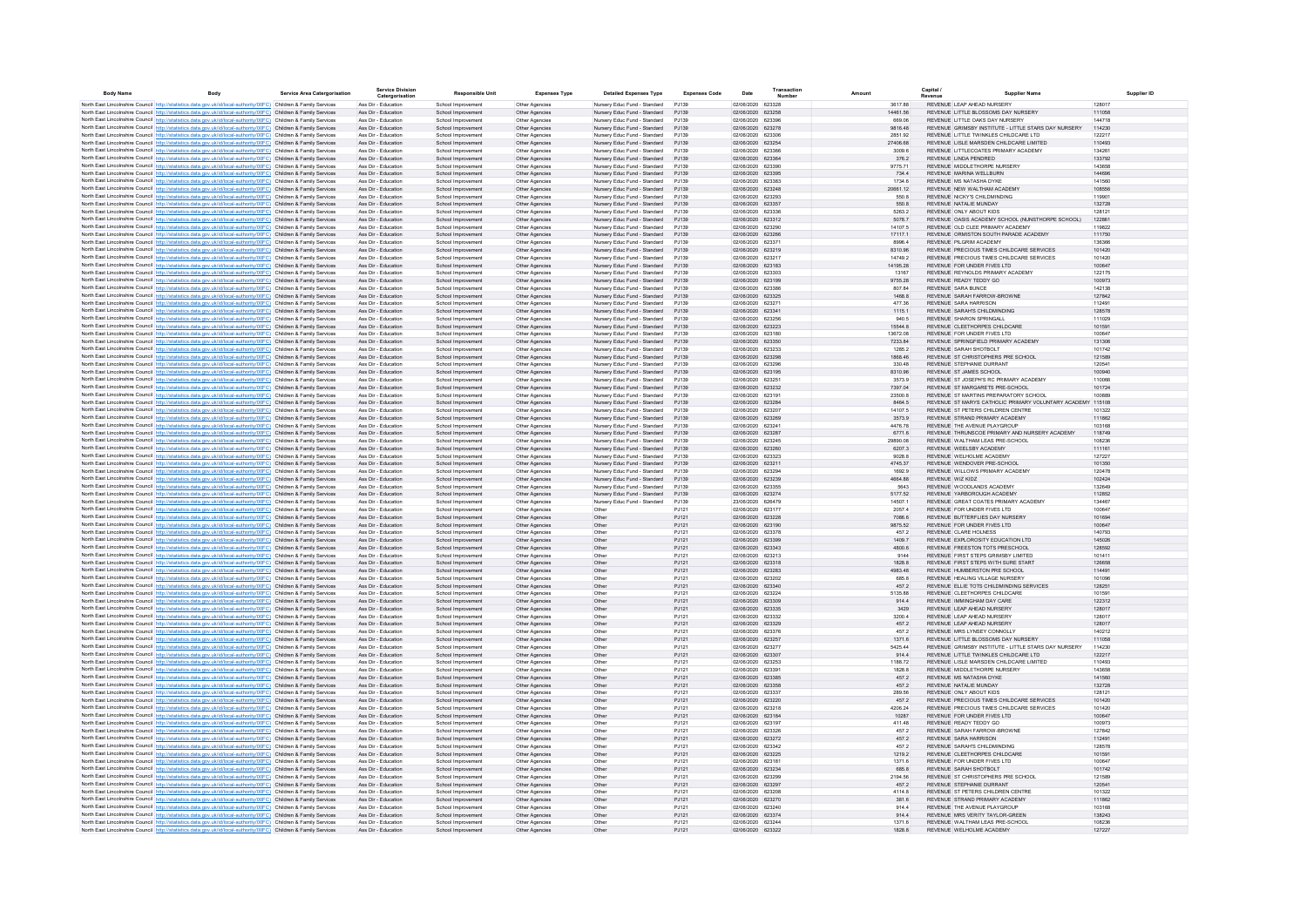| <b>Body Name</b> | <b>Rody</b>                                                                                                                                                                                                                            | <b>Service Area Catergorisation</b> |                                            | <b>Service Division</b><br>Catergorisation | <b>Responsible Unit</b>                  | <b>Expenses Type</b>             | <b>Detailed Expenses Type</b>                                | <b>Expenses Code</b> | Date                                   | Transaction | Amount              | Capital / | <b>Supplier Name</b>                                                                                | Supplier ID      |
|------------------|----------------------------------------------------------------------------------------------------------------------------------------------------------------------------------------------------------------------------------------|-------------------------------------|--------------------------------------------|--------------------------------------------|------------------------------------------|----------------------------------|--------------------------------------------------------------|----------------------|----------------------------------------|-------------|---------------------|-----------|-----------------------------------------------------------------------------------------------------|------------------|
|                  | North East Lincolnshire Council http://statistics.data.gov.uk/id/local-authority/00FC) Children & Family Services                                                                                                                      |                                     | Ass Dir - Education                        |                                            | School Improvement                       | Other Agencies                   | Nursery Educ Fund - Standard                                 | PJ139                | 02/06/2020 623328                      |             | 3617.88             |           | REVENUE LEAP AHEAD NURSERY                                                                          | 128017           |
|                  | North East Lincolnshire Council http://statistics.data.gov.uk/id/local-authority/00FC) Children & Family Services                                                                                                                      |                                     | Ass Dir - Education                        |                                            | School Improvement                       | Other Agencies                   | Nursery Educ Fund - Standard                                 | PJ139                | 02/06/2020 623258                      |             | 14461.56            |           | REVENUE LITTLE BLOSSOMS DAY NURSERY                                                                 | 111058           |
|                  | North East Lincolnshire Council http://statistics.data.gov.uk/id/local-authority/00FC) Children & Family Services                                                                                                                      |                                     | Ass Dir - Education<br>Ass Dir - Education |                                            | School Improvement                       | Other Agencies                   | Nursery Educ Fund - Standard                                 | PJ139<br>PJ139       | 02/06/2020 623396<br>02/06/2020 623278 |             | 669.06<br>9816.48   |           | REVENUE LITTLE OAKS DAY NURSERY<br>REVENUE GRIMSBY INSTITUTE - LITTLE STARS DAY NURSERY             | 144718<br>114230 |
|                  | North East Lincolnshire Council http://statistics.data.gov.uk/id/local-authority/00FC) Children & Family Services<br>North East Lincolnshire Council http://statistics.data.gov.uk/id/local-authority/00FC) Children & Family Services |                                     | Ass Dir - Education                        |                                            | School Improvement<br>School Improvemen  | Other Agencies<br>Other Agencies | Nursery Educ Fund - Standard<br>Nursery Educ Fund - Standard | PJ139                | 02/06/2020 623306                      |             | 2851.92             |           | REVENUE LITTLE TWINKLES CHILDCARE LTD                                                               | 122217           |
|                  | North East Lincolnshire Council http://statistics.data.gov.uk/id/local-authority/00FC) Children & Family Services                                                                                                                      |                                     | Ass Dir - Education                        |                                            | School Improvemen                        | Other Agencies                   | Nursery Educ Fund - Standard                                 | PJ139                | 02/06/2020 623254                      |             | 27406.68            |           | REVENUE LISLE MARSDEN CHILDCARE LIMITED                                                             | 110493           |
|                  | North East Lincolnshire Council http://statistics.data.gov.uk/id/local-authority/00FC) Children & Family Services                                                                                                                      |                                     | Ass Dir - Education                        |                                            | School Improvemen                        | Other Agencies                   | Nursery Educ Fund - Standard                                 | PJ139                | 02/06/2020 623366                      |             | 3009.6              |           | REVENUE LITTLECOATES PRIMARY ACADEMY                                                                | 134261           |
|                  | North East Lincolnshire Council http://statistics.data.gov.uk/id/local-authority/00FC) Children & Family Services                                                                                                                      |                                     | Ass Dir - Education                        |                                            | School Improvement                       | Other Agencies                   | Nursery Educ Fund - Standard                                 | PJ139                | 02/06/2020 623364                      |             | 376.2               |           | REVENUE LINDA PENDRED                                                                               | 133792           |
|                  | North East Lincolnshire Council http://statistics.data.gov.uk/id/local-authority/00FC) Children & Family Services<br>North East Lincolnshire Council http://statistics.data.gov.uk/id/local-authority/00FC) Children & Family Services |                                     | Ass Dir - Education<br>Ass Dir - Education |                                            | School Improvemer<br>School Improvemen   | Other Agencies<br>Other Agencies | Nursery Educ Fund - Standard<br>Nursery Educ Fund - Standard | PJ139<br>PJ139       | 02/06/2020 623390<br>02/06/2020 62339  |             | 9775.71<br>734.4    |           | REVENUE MIDDLETHORPE NURSERY<br>REVENUE MARINA WELLBURN                                             | 143658<br>144696 |
|                  | North East Lincolnshire Council http://statistics.data.gov.uk/id/local-authority/00FC) Children & Family Services                                                                                                                      |                                     | Ass Dir - Education                        |                                            | School Improvemer                        | Other Agencies                   | Nursery Educ Fund - Standard                                 | PJ139                | 02/06/2020 62338                       |             | 1734.6              |           | REVENUE MS NATASHA DYKE                                                                             | 141560           |
|                  | North East Lincolnshire Council http://statistics.data.gov.uk/id/local-authority/00FC) Children & Family Services                                                                                                                      |                                     | Ass Dir - Education                        |                                            | School Improvement                       | Other Agencies                   | Nursery Educ Fund - Standard                                 | PJ139                | 02/06/2020 623248                      |             | 20661.12            |           | REVENUE NEW WALTHAM ACADEMY                                                                         | 108556           |
|                  | North East Lincolnshire Council http://statistics.data.gov.uk/id/local-authority/00FC) Children & Family Services                                                                                                                      |                                     | Ass Dir - Education                        |                                            | School Improvement                       | Other Agencies                   | Nursery Educ Fund - Standard                                 | PJ139                | 02/06/2020 623293                      |             | 550.8               |           | REVENUE NICKY'S CHILDMINDING                                                                        | 119901           |
|                  | North East Lincolnshire Council http://statistics.data.gov.uk/id/local-authority/00FC) Children & Family Services                                                                                                                      |                                     | Ass Dir - Education                        |                                            | School Improvement                       | Other Agencies                   | Nursery Educ Fund - Standard                                 | P.1139               | 02/06/2020 623357                      |             | 550.8               |           | REVENUE NATALIE MUNDAY                                                                              | 132728           |
|                  | North East Lincolnshire Council http://statistics.data.gov.uk/id/local-authority/00FC) Children & Family Services<br>North East Lincolnshire Council http://statistics.data.gov.uk/id/local-authority/00FC) Children & Family Services |                                     | Ass Dir - Education<br>Ass Dir - Education |                                            | School Improvement<br>School Improvement | Other Agencies<br>Other Agencies | Nursery Educ Fund - Standard<br>Nursery Educ Fund - Standard | P.1139<br>PJ139      | 02/06/2020 623336<br>02/06/2020 623312 |             | 5263.2<br>5078.7    |           | REVENUE ONLY ABOUT KIDS<br>REVENUE OASIS ACADEMY SCHOOL (NUNSTHORPE SCHOOL)                         | 128121<br>122861 |
|                  | North East Lincolnshire Council http://statistics.data.gov.uk/id/local-authority/00FC) Children & Family Services                                                                                                                      |                                     | Ass Dir - Education                        |                                            | School Improvement                       | Other Agencies                   | Nursery Educ Fund - Standard                                 | P.1139               | 02/06/2020 623290                      |             | 14107.5             |           | REVENUE OLD CLEE PRIMARY ACADEMY                                                                    | 119822           |
|                  | North East Lincolnshire Council http://statistics.data.gov.uk/id/local-authority/00FC) Children & Family Services                                                                                                                      |                                     | Ass Dir - Education                        |                                            | School Improvement                       | Other Agencies                   | Nursery Educ Fund - Standard                                 | PJ139                | 02/06/2020 623266                      |             | 17117.1             |           | REVENUE ORMISTON SOUTH PARADE ACADEMY                                                               | 111750           |
|                  | North East Lincolnshire Council http://statistics.data.gov.uk/id/local-authority/00FC) Children & Family Services                                                                                                                      |                                     | Ass Dir - Education                        |                                            | School Improvement                       | Other Agencies                   | Nursery Educ Fund - Standard                                 | PJ139                | 02/06/2020 62337                       |             | 8996.4              |           | REVENUE PILGRIM ACADEMY                                                                             | 136366           |
|                  | North East Lincolnshire Council http://statistics.data.gov.uk/id/local-authority/00FC) Children & Family Services                                                                                                                      |                                     | Ass Dir - Education                        |                                            | School Improvement                       | Other Agencies                   | Nursery Educ Fund - Standard                                 | PJ139                | 02/06/2020 623219                      |             | 8310.96             |           | REVENUE PRECIOUS TIMES CHILDCARE SERVICES                                                           | 101420           |
|                  | North East Lincolnshire Council http://statistics.data.gov.uk/id/local-authority/00FC) Children & Family Services<br>North East Lincolnshire Council http://statistics.data.gov.uk/id/local-authority/00FC) Children & Family Services |                                     | Ass Dir - Education<br>Ass Dir - Education |                                            | School Improvement<br>School Improvement | Other Agencies<br>Other Agencies | Nursery Educ Fund - Standard<br>Nursery Educ Fund - Standard | PJ139<br>PJ139       | 02/06/2020 623217<br>02/06/2020 623183 |             | 14749.2<br>14195.28 |           | REVENUE PRECIOUS TIMES CHILDCARE SERVICES<br>REVENUE FOR UNDER FIVES LTD                            | 101420<br>100647 |
|                  | North East Lincolnshire Council http://statistics.data.gov.uk/id/local-authority/00FC) Children & Family Services                                                                                                                      |                                     | Ass Dir - Education                        |                                            | School Improvemen                        | Other Agencies                   | Nursery Educ Fund - Standard                                 | P.1139               | 02/06/2020 623303                      |             | 13167               |           | REVENUE REYNOLDS PRIMARY ACADEMY                                                                    | 122175           |
|                  | North East Lincolnshire Council http://statistics.data.gov.uk/id/local-authority/00FC) Children & Family Services                                                                                                                      |                                     | Ass Dir - Education                        |                                            | School Improvement                       | Other Agencies                   | Nursery Educ Fund - Standard                                 | PJ139                | 02/06/2020 623199                      |             | 9755.28             |           | REVENUE READY TEDDY GO                                                                              | 100973           |
|                  | North East Lincolnshire Council http://statistics.data.gov.uk/id/local-authority/00FC) Children & Family Services                                                                                                                      |                                     | Ass Dir - Education                        |                                            | School Improvemen                        | Other Agencies                   | Nursery Educ Fund - Standard                                 | PJ139                | 02/06/2020 623386                      |             | 807.84              |           | REVENUE SARA BUNCE                                                                                  | 142138           |
|                  | North East Lincolnshire Council http://statistics.data.gov.uk/id/local-authority/00FC) Children & Family Services                                                                                                                      |                                     | Ass Dir - Education                        |                                            | School Improvement                       | Other Agencies                   | Nursery Educ Fund - Standard                                 | PJ139<br>PJ139       | 02/06/2020 623325                      |             | 1468.8              |           | REVENUE SARAH FARROW-BROWNE<br>REVENUE SARA HARRISON                                                | 127842           |
|                  | North East Lincolnshire Council http://statistics.data.gov.uk/id/local-authority/00FC) Children & Family Services<br>North East Lincolnshire Council http://statistics.data.gov.uk/id/local-authority/00FC) Children & Family Services |                                     | Ass Dir - Education<br>Ass Dir - Education |                                            | School Improvemer<br>School Improvement  | Other Agencies<br>Other Agencies | Nursery Educ Fund - Standard<br>Nursery Educ Fund - Standard | PJ139                | 02/06/2020 62327<br>02/06/2020 62334   |             | 477.36<br>1115.1    |           | REVENUE SARAH'S CHILDMINDING                                                                        | 112491<br>128578 |
|                  | North East Lincolnshire Council http://statistics.data.gov.uk/id/local-authority/00FC) Children & Family Services                                                                                                                      |                                     | Ass Dir - Education                        |                                            | School Improvement                       | Other Agencies                   | Nursery Educ Fund - Standard                                 | PJ139                | 02/06/2020 623256                      |             | 940.5               |           | REVENUE SHARON SPRINGALL                                                                            | 111029           |
|                  | North East Lincolnshire Council http://statistics.data.gov.uk/id/local-authority/00FC) Children & Family Services                                                                                                                      |                                     | Ass Dir - Education                        |                                            | School Improvement                       | Other Agencies                   | Nursery Educ Fund - Standard                                 | PJ139                | 02/06/2020 623223                      |             | 15544.8             |           | REVENUE CLEETHORPES CHILDCARE                                                                       | 101591           |
|                  | North East Lincolnshire Council http://statistics.data.gov.uk/id/local-authority/00FC) Children & Family Services                                                                                                                      |                                     | Ass Dir - Education                        |                                            | School Improvement                       | Other Agencies                   | Nursery Educ Fund - Standard                                 | PJ139                | 02/06/2020 623180                      |             | 13672.08            |           | REVENUE FOR UNDER FIVES LTD                                                                         | 100647           |
|                  | North East Lincolnshire Council http://statistics.data.gov.uk/id/local-authority/00FC) Children & Family Services                                                                                                                      |                                     | Ass Dir - Education                        |                                            | School Improvement                       | Other Agencies                   | Nursery Educ Fund - Standard                                 | P.1139               | 02/06/2020 623350                      |             | 7233.84             |           | REVENUE SPRINGFIELD PRIMARY ACADEMY                                                                 | 131306           |
|                  | North East Lincolnshire Council http://statistics.data.gov.uk/id/local-authority/00FC) Children & Family Services<br>North East Lincolnshire Council http://statistics.data.gov.uk/id/local-authority/00FC) Children & Family Services |                                     | Ass Dir - Education<br>Ass Dir - Education |                                            | School Improvement<br>School Improvement | Other Agencies<br>Other Agencies | Nursery Educ Fund - Standard<br>Nursery Educ Fund - Standard | P.1139<br>PJ139      | 02/06/2020 623233<br>02/06/2020 623298 |             | 1285.2<br>1868.46   |           | REVENUE SARAH SHOTBOLT<br>REVENUE ST CHRISTOPHERS PRE SCHOOL                                        | 101742<br>121589 |
|                  | North East Lincolnshire Council http://statistics.data.gov.uk/id/local-authority/00FC) Children & Family Services                                                                                                                      |                                     | Ass Dir - Education                        |                                            | School Improvement                       | Other Agencies                   | Nursery Educ Fund - Standard                                 | PJ139                | 02/06/2020 623296                      |             | 330.48              |           | REVENUE STEPHANIE DURRANT                                                                           | 120541           |
|                  | North East Lincolnshire Council http://statistics.data.gov.uk/id/local-authority/00FC) Children & Family Services                                                                                                                      |                                     | Ass Dir - Education                        |                                            | School Improvement                       | Other Agencies                   | Nursery Educ Fund - Standard                                 | PJ139                | 02/06/2020 623195                      |             | 8310.96             |           | REVENUE ST JAMES SCHOOL                                                                             | 100940           |
|                  | North East Lincolnshire Council http://statistics.data.gov.uk/id/local-authority/00FC) Children & Family Services                                                                                                                      |                                     | Ass Dir - Education                        |                                            | School Improvement                       | Other Agencies                   | Nursery Educ Fund - Standard                                 | PJ139                | 02/06/2020 62325                       |             | 3573.9              |           | REVENUE ST JOSEPH'S RC PRIMARY ACADEMY                                                              | 110066           |
|                  | North East Lincolnshire Council http://statistics.data.gov.uk/id/local-authority/00FC) Children & Family Services                                                                                                                      |                                     | Ass Dir - Education                        |                                            | School Improvement                       | Other Agencies                   | Nursery Educ Fund - Standard                                 | PJ139                | 02/06/2020 623232                      |             | 7397.04             |           | REVENUE ST MARGARETS PRE-SCHOOL                                                                     | 101724           |
|                  | North East Lincolnshire Council http://statistics.data.gov.uk/id/local-authority/00FC) Children & Family Services                                                                                                                      |                                     | Ass Dir - Education                        |                                            | School Improvement                       | Other Agencies                   | Nursery Educ Fund - Standard                                 | PJ139                | 02/06/2020 62319                       |             | 23500.8             |           | REVENUE ST MARTINS PREPARATORY SCHOOL<br>REVENUE ST MARYS CATHOLIC PRIMARY VOLUNTARY ACADEMY 115108 | 100889           |
|                  | North East Lincolnshire Council http://statistics.data.gov.uk/id/local-authority/00FC) Children & Family Services<br>North East Lincolnshire Council http://statistics.data.gov.uk/id/local-authority/00FC) Children & Family Services |                                     | Ass Dir - Education<br>Ass Dir - Education |                                            | School Improvement<br>School Improvemen  | Other Agencies<br>Other Agencies | Nursery Educ Fund - Standard<br>Nursery Educ Fund - Standard | PJ139<br>P.1139      | 02/06/2020 623284<br>02/06/2020 623207 |             | 8464.5<br>14107.5   |           | REVENUE ST PETERS CHILDREN CENTRE                                                                   | 101322           |
|                  | North East Lincolnshire Council http://statistics.data.gov.uk/id/local-authority/00FC) Children & Family Services                                                                                                                      |                                     | Ass Dir - Education                        |                                            | School Improvemen                        | Other Agencies                   | Nursery Educ Fund - Standard                                 | PJ139                | 02/06/2020 623269                      |             | 3573.9              |           | REVENUE STRAND PRIMARY ACADEMY                                                                      | 111862           |
|                  | North East Lincolnshire Council http://statistics.data.gov.uk/id/local-authority/00FC) Children & Family Services                                                                                                                      |                                     | Ass Dir - Education                        |                                            | School Improvemen                        | Other Agencies                   | Nursery Educ Fund - Standard                                 | PJ139                | 02/06/2020 62324                       |             | 4476.78             |           | REVENUE THE AVENUE PLAYGROUP                                                                        | 103168           |
|                  | North East Lincolnshire Council http://statistics.data.gov.uk/id/local-authority/00FC) Children & Family Services                                                                                                                      |                                     | Ass Dir - Education                        |                                            | School Improvemen                        | Other Agencies                   | Nursery Educ Fund - Standard                                 | PJ139                | 02/06/2020 623287                      |             | 6771.6              |           | REVENUE THRUNSCOE PRIMARY AND NURSERY ACADEMY                                                       | 118749           |
|                  | North East Lincolnshire Council http://statistics.data.gov.uk/id/local-authority/00FC) Children & Family Services                                                                                                                      |                                     | Ass Dir - Education                        |                                            | School Improvement                       | Other Agencies                   | Nursery Educ Fund - Standard                                 | PJ139                | 02/06/2020 623245                      |             | 29890.08            |           | REVENUE WALTHAM LEAS PRE-SCHOOL                                                                     | 108236<br>111161 |
|                  | North East Lincolnshire Council http://statistics.data.gov.uk/id/local-authority/00FC) Children & Family Services<br>North East Lincolnshire Council http://statistics.data.gov.uk/id/local-authority/00FC) Children & Family Services |                                     | Ass Dir - Education<br>Ass Dir - Education |                                            | School Improvement<br>School Improvement | Other Agencies<br>Other Agencies | Nursery Educ Fund - Standard<br>Nursery Educ Fund - Standard | PJ139<br>PJ139       | 02/06/2020 623260<br>02/06/2020 623323 |             | 6207.3<br>9028.8    |           | REVENUE WEELSBY ACADEMY<br>REVENUE WELHOLME ACADEMY                                                 | 127227           |
|                  | North East Lincolnshire Council http://statistics.data.gov.uk/id/local-authority/00FC) Children & Family Services                                                                                                                      |                                     | Ass Dir - Education                        |                                            | School Improvement                       | Other Agencies                   | Nursery Educ Fund - Standard                                 | PJ139                | 02/06/2020 623211                      |             | 4745.37             |           | REVENUE WENDOVER PRE-SCHOOL                                                                         | 101350           |
|                  | North East Lincolnshire Council http://statistics.data.gov.uk/id/local-authority/00FC) Children & Family Services                                                                                                                      |                                     | Ass Dir - Education                        |                                            | School Improvement                       | Other Agencies                   | Nursery Educ Fund - Standard                                 | P.1139               | 02/06/2020 62329                       |             | 1692.9              |           | REVENUE WILLOWS PRIMARY ACADEMY                                                                     | 120478           |
|                  | North East Lincolnshire Council http://statistics.data.gov.uk/id/local-authority/00FC) Children & Family Services                                                                                                                      |                                     | Ass Dir - Education                        |                                            | School Improvement                       | Other Agencies                   | Nursery Educ Fund - Standard                                 | PJ139                | 02/06/2020 623239                      |             | 4664.88             |           | REVENUE WIZ KIDZ                                                                                    | 102424           |
|                  | North East Lincolnshire Council http://statistics.data.gov.uk/id/local-authority/00FC) Children & Family Services                                                                                                                      |                                     | Ass Dir - Education<br>Ass Dir - Education |                                            | School Improvement<br>School Improvement | Other Agencies<br>Other Agencies | Nursery Educ Fund - Standard<br>Nursery Educ Fund - Standard | P.1139<br>PJ139      | 02/06/2020 623355<br>02/06/2020 623274 |             | 5643<br>5177.52     |           | REVENUE WOODLANDS ACADEMY<br>REVENUE YARBOROUGH ACADEMY                                             | 132649<br>112852 |
|                  | North East Lincolnshire Council http://statistics.data.gov.uk/id/local-authority/00FC) Children & Family Services<br>North East Lincolnshire Council http://statistics.data.gov.uk/id/local-authority/00EC) Children & Family Services |                                     | Ass Dir - Education                        |                                            | School Improvement                       | Other Agencies                   | Nursery Educ Fund - Standard                                 | P.1139               | 23/06/2020 626479                      |             | 145071              |           | REVENUE, GREAT COATES PRIMARY ACADEMY                                                               | 134467           |
|                  | North East Lincolnshire Council http://statistics.data.gov.uk/id/local-authority/00FC) Children & Family Services                                                                                                                      |                                     | Ass Dir - Education                        |                                            | School Improvement                       | Other Agencies                   | Other                                                        | P.1121               | 02/06/2020 623177                      |             | 2057.4              |           | REVENUE FOR UNDER FIVES LTD.                                                                        | 100647           |
|                  | North East Lincolnshire Council http://statistics.data.gov.uk/id/local-authority/00FC) Children & Family Services                                                                                                                      |                                     | Ass Dir - Education                        |                                            | School Improvement                       | Other Agencies                   | Other                                                        | PJ121                | 02/06/2020 623228                      |             | 7086.6              |           | REVENUE BUTTERFLIES DAY NURSERY                                                                     | 101694           |
|                  | North East Lincolnshire Council http://statistics.data.gov.uk/id/local-authority/00FC) Children & Family Services                                                                                                                      |                                     | Ass Dir - Education                        |                                            | School Improvement                       | Other Agencies                   | Other                                                        | PJ121                | 02/06/2020 623190                      |             | 9875.52             |           | REVENUE FOR UNDER FIVES LTD                                                                         | 100647           |
|                  | North East Lincolnshire Council http://statistics.data.gov.uk/id/local-authority/00FC) Children & Family Services<br>North East Lincolnshire Council http://statistics.data.gov.uk/id/local-authority/00FC) Children & Family Services |                                     | Ass Dir - Education<br>Ass Dir - Education |                                            | School Improvemen<br>School Improvement  | Other Agencies<br>Other Agencies | Other<br>Other                                               | PJ121<br>PJ121       | 02/06/2020 623378<br>02/06/2020 623399 |             | 457.2<br>1409.7     |           | REVENUE CLARE HOLNESS<br>REVENUE EXPLOROSITY EDUCATION LTD                                          | 140793<br>145026 |
|                  | North East Lincolnshire Council http://statistics.data.gov.uk/id/local-authority/00FC) Children & Family Services                                                                                                                      |                                     | Ass Dir - Education                        |                                            | School Improvemen                        | Other Agencies                   | Other                                                        | PJ121                | 02/06/2020 623343                      |             | 4800.6              |           | REVENUE FREESTON TOTS PRESCHOOL                                                                     | 128592           |
|                  | North East Lincolnshire Council http://statistics.data.gov.uk/id/local-authority/00FC) Children & Family Services                                                                                                                      |                                     | Ass Dir - Education                        |                                            | School Improvemen                        | Other Agencies                   | Other                                                        | PJ121                | 02/06/2020 623213                      |             | 9144                |           | REVENUE FIRST STEPS GRIMSBY LIMITED                                                                 | 101411           |
|                  | North East Lincolnshire Council http://statistics.data.gov.uk/id/local-authority/00FC) Children & Family Services                                                                                                                      |                                     | Ass Dir - Education                        |                                            | School Improvemen                        | Other Agencies                   | Other                                                        | PJ121                | 02/06/2020 623318                      |             | 1828.8              |           | REVENUE FIRST STEPS WITH SURE START                                                                 | 126658           |
|                  | North East Lincolnshire Council http://statistics.data.gov.uk/id/local-authority/00FC) Children & Family Services                                                                                                                      |                                     | Ass Dir - Education                        |                                            | School Improvement                       | Other Agencies                   | Other                                                        | PJ121                | 02/06/2020 623283                      |             | 4983.48             |           | REVENUE HUMBERSTON PRE SCHOOL                                                                       | 114491           |
|                  | North East Lincolnshire Council http://statistics.data.gov.uk/id/local-authority/00FC) Children & Family Services<br>North East Lincolnshire Council http://statistics.data.gov.uk/id/local-authority/00FC) Children & Family Services |                                     | Ass Dir - Education<br>Ass Dir - Education |                                            | School Improvement                       | Other Agencies                   | Other<br>Other                                               | PJ121<br>PJ121       | 02/06/2020 623202<br>02/06/2020 623340 |             | 685.8<br>457.2      |           | REVENUE HEALING VILLAGE NURSERY<br>REVENUE ELLIE TOTS CHILDMINDING SERVICES                         | 101096<br>128251 |
|                  | North East Lincolnshire Council http://statistics.data.gov.uk/id/local-authority/00FC) Children & Family Services                                                                                                                      |                                     | Ass Dir - Education                        |                                            | School Improvement<br>School Improvement | Other Agencies<br>Other Agencies | Other                                                        | PJ121                | 02/06/2020 623224                      |             | 5135.88             |           | REVENUE CLEETHORPES CHILDCARE                                                                       | 101591           |
|                  | North East Lincolnshire Council http://statistics.data.gov.uk/id/local-authority/00FC) Children & Family Services                                                                                                                      |                                     | Ass Dir - Education                        |                                            | School Improvement                       | Other Agencies                   | Other                                                        | PJ121                | 02/06/2020 623309                      |             | 914.4               |           | REVENUE IMMINGHAM DAY CARE                                                                          | 122312           |
|                  | North East Lincolnshire Council http://statistics.data.gov.uk/id/local-authority/00FC) Children & Family Services                                                                                                                      |                                     | Ass Dir - Education                        |                                            | School Improvement                       | Other Agencies                   | Other                                                        | PJ121                | 02/06/2020 623335                      |             | 3429                |           | REVENUE LEAP AHEAD NURSERY                                                                          | 128017           |
|                  | North East Lincolnshire Council http://statistics.data.gov.uk/id/local-authority/00FC) Children & Family Services                                                                                                                      |                                     | Ass Dir - Education                        |                                            | School Improvement                       | Other Agencies                   | Other                                                        | PJ121                | 02/06/2020 623332                      |             | 3200.4              |           | REVENUE LEAP AHEAD NURSERY                                                                          | 128017           |
|                  | North East Lincolnshire Council http://statistics.data.gov.uk/id/local-authority/00FC) Children & Family Services<br>North East Lincolnshire Council http://statistics.data.gov.uk/id/local-authority/00FC) Children & Family Services |                                     | Ass Dir - Education<br>Ass Dir - Education |                                            | School Improvement<br>School Improvement | Other Agencies<br>Other Agencies | Other<br>Other                                               | PJ121<br>P.1121      | 02/06/2020 623329<br>02/06/2020 623376 |             | 457.2<br>4572       |           | REVENUE LEAP AHEAD NURSERY<br>REVENUE MRS LYNSEY CONNOLLY                                           | 128017<br>140212 |
|                  | North East Lincolnshire Council http://statistics.data.gov.uk/id/local-authority/00FC) Children & Family Services                                                                                                                      |                                     | Ass Dir - Education                        |                                            | School Improvement                       | Other Agencies                   | Other                                                        | PJ121                | 02/06/2020 623257                      |             | 1371.6              |           | REVENUE LITTLE BLOSSOMS DAY NURSERY                                                                 | 111058           |
|                  | North East Lincolnshire Council http://statistics.data.gov.uk/id/local-authority/00FC) Children & Family Services                                                                                                                      |                                     | Ass Dir - Education                        |                                            | School Improvement                       | Other Agencies                   | Other                                                        | P.1121               | 02/06/2020 623277                      |             | 5425.44             |           | REVENUE GRIMSBY INSTITUTE - LITTLE STARS DAY NURSERY                                                | 114230           |
|                  | North East Lincolnshire Council http://statistics.data.gov.uk/id/local-authority/00FC) Children & Family Services                                                                                                                      |                                     | Ass Dir - Education                        |                                            | School Improvement                       | Other Agencies                   | Other                                                        | PJ121                | 02/06/2020 623307                      |             | 914.4               |           | REVENUE LITTLE TWINKLES CHILDCARE LTD                                                               | 122217           |
|                  | North East Lincolnshire Council http://statistics.data.gov.uk/id/local-authority/00FC) Children & Family Services                                                                                                                      |                                     | Ass Dir - Education                        |                                            | School Improvement                       | Other Agencies                   | Other                                                        | PJ121                | 02/06/2020 623253                      |             | 1188.72             |           | REVENUE LISLE MARSDEN CHILDCARE LIMITED                                                             | 110493           |
|                  | North East Lincolnshire Council http://statistics.data.gov.uk/id/local-authority/00FC) Children & Family Services<br>North East Lincolnshire Council http://statistics.data.gov.uk/id/local-authority/00FC) Children & Family Services |                                     | Ass Dir - Education<br>Ass Dir - Education |                                            | School Improvement                       | Other Agencies                   | Other                                                        | PJ121                | 02/06/2020 62339<br>02/06/2020 623385  |             | 1828.8<br>457.2     |           | REVENUE MIDDLETHORPE NURSERY<br>REVENUE MS NATASHA DYKE                                             | 143658<br>141560 |
|                  | North East Lincolnshire Council http://statistics.data.gov.uk/id/local-authority/00FC) Children & Family Services                                                                                                                      |                                     | Ass Dir - Education                        |                                            | School Improvement<br>School Improvement | Other Agencies<br>Other Agencies | Other<br>Other                                               | PJ121<br>PJ121       | 02/06/2020 623358                      |             | 457.2               |           | REVENUE NATALIE MUNDAY                                                                              | 132728           |
|                  | North East Lincolnshire Council http://statistics.data.gov.uk/id/local-authority/00FC) Children & Family Services                                                                                                                      |                                     | Ass Dir - Education                        |                                            | School Improvement                       | Other Agencies                   | Other                                                        | PJ121                | 02/06/2020 623337                      |             | 289.56              |           | REVENUE ONLY ABOUT KIDS                                                                             | 128121           |
|                  | North East Lincolnshire Council http://statistics.data.gov.uk/id/local-authority/00FC) Children & Family Services                                                                                                                      |                                     | Ass Dir - Education                        |                                            | School Improvement                       | Other Agencies                   | Other                                                        | PJ121                | 02/06/2020 623220                      |             | 457.2               |           | REVENUE PRECIOUS TIMES CHILDCARE SERVICES                                                           | 101420           |
|                  | North East Lincolnshire Council http://statistics.data.gov.uk/id/local-authority/00FC) Children & Family Services                                                                                                                      |                                     | Ass Dir - Education                        |                                            | School Improvement                       | Other Agencies                   | Other                                                        | PJ121                | 02/06/2020 623218                      |             | 4206.24             |           | REVENUE PRECIOUS TIMES CHILDCARE SERVICES                                                           | 101420           |
|                  | North East Lincolnshire Council http://statistics.data.gov.uk/id/local-authority/00FC) Children & Family Services                                                                                                                      |                                     | Ass Dir - Education<br>Ass Dir - Education |                                            | School Improvement                       | Other Agencies                   | Other                                                        | PJ121                | 02/06/2020 623184<br>02/06/2020 623197 |             | 10287               |           | REVENUE FOR UNDER FIVES LTD<br>REVENUE READY TEDDY GO                                               | 100647<br>100973 |
|                  | North East Lincolnshire Council http://statistics.data.gov.uk/id/local-authority/00FC) Children & Family Services<br>North East Lincolnshire Council http://statistics.data.gov.uk/id/local-authority/00FC) Children & Family Services |                                     | Ass Dir - Education                        |                                            | School Improvement<br>School Improvement | Other Agencies<br>Other Agencies | Other<br>Other                                               | PJ121<br>PJ121       | 02/06/2020 623326                      |             | 411.48<br>457.2     |           | REVENUE SARAH FARROW-BROWNE                                                                         | 127842           |
|                  | North East Lincolnshire Council http://statistics.data.gov.uk/id/local-authority/00FC) Children & Family Services                                                                                                                      |                                     | Ass Dir - Education                        |                                            | School Improvement                       | Other Agencies                   | Other                                                        | PJ121                | 02/06/2020 623272                      |             | 457.2               |           | REVENUE SARA HARRISON                                                                               | 112491           |
|                  | North East Lincolnshire Council http://statistics.data.gov.uk/id/local-authority/00FC) Children & Family Services                                                                                                                      |                                     | Ass Dir - Education                        |                                            | School Improvement                       | Other Agencies                   | Other                                                        | PJ121                | 02/06/2020 623342                      |             | 457.2               |           | REVENUE SARAH'S CHILDMINDING                                                                        | 128578           |
|                  | North East Lincolnshire Council http://statistics.data.gov.uk/id/local-authority/00EC) Children & Family Services                                                                                                                      |                                     | Ass Dir - Education                        |                                            | School Improvement                       | Other Agencies                   | Other                                                        | PJ121                | 02/06/2020 623225                      |             | 1219.2              |           | REVENUE CLEETHORPES CHILDCARE                                                                       | 101591           |
|                  | North East Lincolnshire Council http://statistics.data.gov.uk/id/local-authority/00EC) Children & Family Services                                                                                                                      |                                     | Ass Dir - Education                        |                                            | School Improvement                       | Other Agencies                   | Other                                                        | P.1121               | 02/06/2020 623181                      |             | 1371.6              |           | REVENUE FOR UNDER FIVES LTD.<br>REVENUE SARAH SHOTBOLT                                              | 100647<br>101742 |
|                  | North East Lincolnshire Council http://statistics.data.gov.uk/id/local-authority/00FC) Children & Family Services<br>North East Lincolnshire Council http://statistics.data.gov.uk/id/local-authority/00FC) Children & Family Services |                                     | Ass Dir - Education<br>Ass Dir - Education |                                            | School Improvement<br>School Improvement | Other Agencies<br>Other Agencies | Other<br>Other                                               | PJ121<br>P.1121      | 02/06/2020 623234<br>02/06/2020 623299 |             | 685.8<br>2194.56    |           | REVENUE ST CHRISTOPHERS PRE SCHOOL                                                                  | 121589           |
|                  | North East Lincolnshire Council http://statistics.data.gov.uk/id/local-authority/00FC) Children & Family Services                                                                                                                      |                                     | Ass Dir - Education                        |                                            | School Improvement                       | Other Agencies                   | Other                                                        | PJ121                | 02/06/2020 623297                      |             | 457.2               |           | REVENUE STEPHANIE DURRANT                                                                           | 120541           |
|                  | North East Lincolnshire Council http://statistics.data.gov.uk/id/local-authority/00FC) Children & Family Services                                                                                                                      |                                     | Ass Dir - Education                        |                                            | School Improvement                       | Other Agencies                   | Other                                                        | PJ121                | 02/06/2020 623208                      |             | 4114.8              |           | REVENUE ST PETERS CHILDREN CENTRE                                                                   | 101322           |
|                  | North East Lincolnshire Council http://statistics.data.gov.uk/id/local-authority/00FC) Children & Family Services                                                                                                                      |                                     | Ass Dir - Education                        |                                            | School Improvement                       | Other Agencies                   | Other                                                        | PJ121                | 02/06/2020 623270                      |             | 381.6               |           | REVENUE STRAND PRIMARY ACADEMY                                                                      | 111862           |
|                  | North East Lincolnshire Council http://statistics.data.gov.uk/id/local-authority/00FC) Children & Family Services                                                                                                                      |                                     | Ass Dir - Education                        |                                            | School Improvemen                        | Other Agencies                   | Other                                                        | PJ121                | 02/06/2020 623240                      |             | 914.4               |           | REVENUE THE AVENUE PLAYGROUP                                                                        | 103168           |
|                  | North East Lincolnshire Council http://statistics.data.gov.uk/id/local-authority/00FC) Children & Family Services<br>North East Lincolnshire Council http://statistics.data.gov.uk/id/local-authority/00FC) Children & Family Services |                                     | Ass Dir - Education<br>Ass Dir - Education |                                            | School Improvement<br>School Improvement | Other Agencies<br>Other Agencies | Other<br>Other                                               | PJ121<br>PJ121       | 02/06/2020 623374<br>02/06/2020 62324  |             | 914.4<br>1371.6     |           | REVENUE MRS VERITY TAYLOR-GREEN<br>REVENUE WALTHAM LEAS PRE-SCHOOL                                  | 138243<br>108236 |
|                  | North East Lincolnshire Council http://statistics.data.gov.uk/id/local-authority/00FC) Children & Family Services                                                                                                                      |                                     | Ass Dir - Education                        |                                            | School Improvement                       | Other Agencies                   | Other                                                        | PJ121                | 02/06/2020 623322                      |             | 1828.8              |           | REVENUE WELHOLME ACADEMY                                                                            | 127227           |
|                  |                                                                                                                                                                                                                                        |                                     |                                            |                                            |                                          |                                  |                                                              |                      |                                        |             |                     |           |                                                                                                     |                  |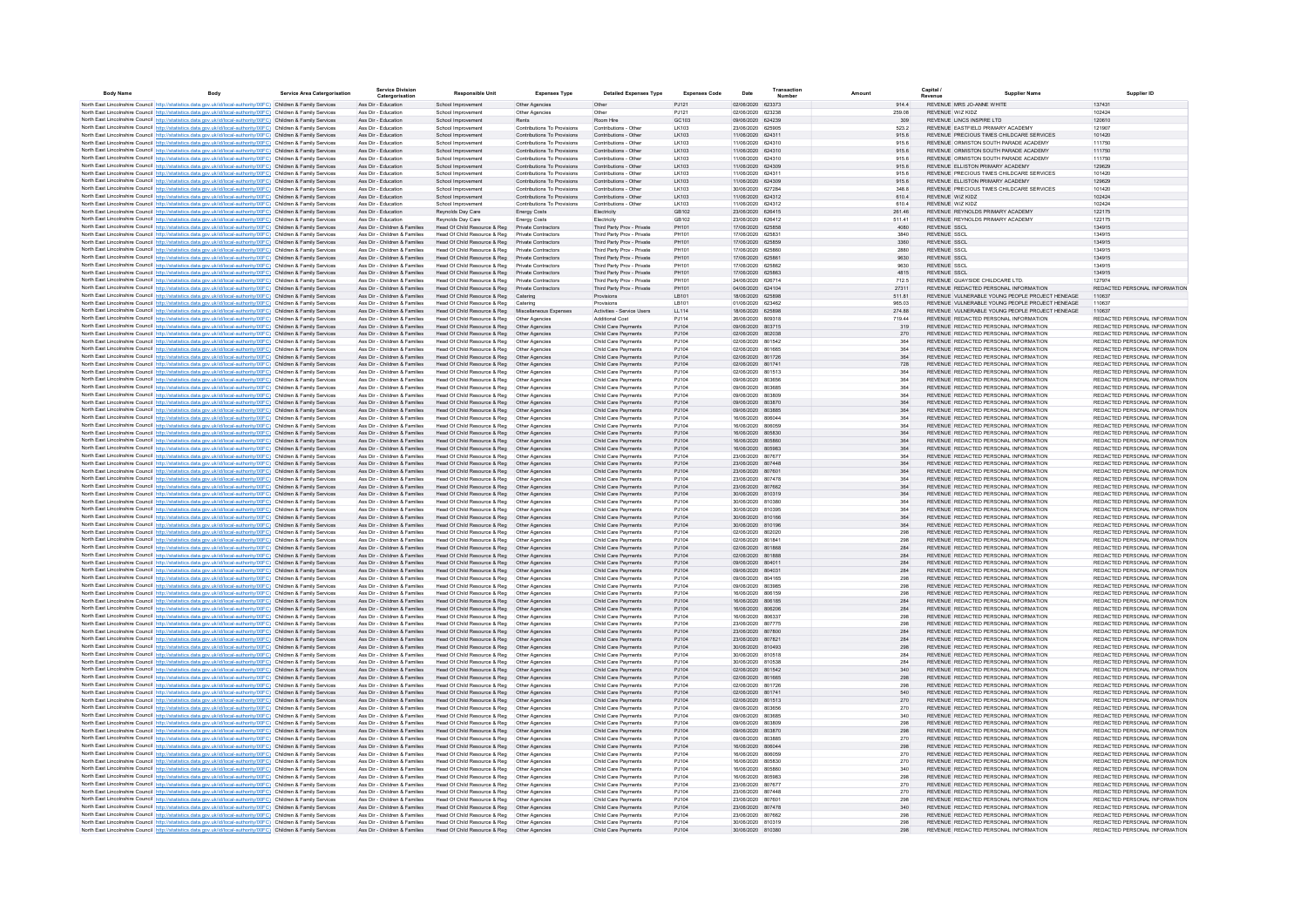| <b>Body Name</b> | Body                                                                                                                                                                                                                                   | Service Area Catergorisation | <b>Service Division</b><br>Catergorisation                     | <b>Responsible Unit</b>                                                       | <b>Expenses Type</b>                                       | <b>Detailed Expenses Type</b>                            | <b>Expenses Code</b>  | Date                                   | Transaction<br>Numbe |                | Capital i | Supplier Name                                                                  |                                                                |
|------------------|----------------------------------------------------------------------------------------------------------------------------------------------------------------------------------------------------------------------------------------|------------------------------|----------------------------------------------------------------|-------------------------------------------------------------------------------|------------------------------------------------------------|----------------------------------------------------------|-----------------------|----------------------------------------|----------------------|----------------|-----------|--------------------------------------------------------------------------------|----------------------------------------------------------------|
|                  | North East Lincolnshire Council http://statistics.data.gov.uk/id/local-authority/00FC) Children & Family Services                                                                                                                      |                              | Ass Dir - Education                                            | School Improvement                                                            | Other Agencies                                             | Other                                                    | PJ121                 | 02/06/2020 623373                      |                      | 914.4          |           | REVENUE MRS JO-ANNE WHITE                                                      | 137431                                                         |
|                  | North East Lincolnshire Council http://statistics.data.gov.uk/id/local-authority/00FC) Children & Family Services                                                                                                                      |                              | Ass Dir - Education                                            | School Improvement                                                            | Other Agencies                                             | Other                                                    | P.1121                | 02/06/2020 623238                      |                      | 259.08         |           | REVENUE WIZ KIDZ                                                               | 102424                                                         |
|                  | North East Lincolnshire Council http://statistics.data.gov.uk/id/local-authority/00FC) Children & Family Services                                                                                                                      |                              | Ass Dir - Education                                            | School Improvement                                                            | Rents                                                      | Room Hire                                                | GC103                 | 09/06/2020 624239                      |                      | 309            |           | REVENUE LINCS INSPIRE LTD                                                      | 120610                                                         |
|                  | North East Lincolnshire Council http://statistics.data.gov.uk/id/local-authority/00FC) Children & Family Services                                                                                                                      |                              | Ass Dir - Education                                            | School Improvemen                                                             | Contributions To Provisions                                | Contributions - Other                                    | LK103                 | 23/06/2020 625905                      |                      | 523.2          |           | REVENUE EASTFIELD PRIMARY ACADEMY                                              | 121907                                                         |
|                  | North East Lincolnshire Council http://statistics.data.gov.uk/id/local-authority/00FC) Children & Family Services                                                                                                                      |                              | Ass Dir - Education                                            | School Improvemen                                                             | Contributions To Provisions                                | Contributions - Other                                    | LK103                 | 11/06/2020 624311                      |                      | 915.6          |           | REVENUE PRECIOUS TIMES CHILDCARE SERVICES                                      | 101420                                                         |
|                  | North East Lincolnshire Council http://statistics.data.gov.uk/id/local-authority/00FC) Children & Family Services                                                                                                                      |                              | Ass Dir - Education                                            | School Improvement                                                            | Contributions To Provisions                                | Contributions - Other                                    | LK103                 | 11/06/2020 624310                      |                      | 915.6          |           | REVENUE ORMISTON SOUTH PARADE ACADEMY                                          | 111750                                                         |
|                  | North East Lincolnshire Council http://statistics.data.gov.uk/id/local-authority/00FC) Children & Family Services                                                                                                                      |                              | Ass Dir - Education                                            | School Improvement                                                            | Contributions To Provisions                                | Contributions - Other                                    | LK103                 | 11/06/2020 624310                      |                      | 915.6          |           | REVENUE ORMISTON SOUTH PARADE ACADEMY                                          | 111750                                                         |
|                  | North East Lincolnshire Council http://statistics.data.gov.uk/id/local-authority/00FC) Children & Family Services                                                                                                                      |                              | Ass Dir - Education<br>Ass Dir - Education                     | School Improvemen                                                             | Contributions To Provisions<br>Contributions To Provisions | Contributions - Other<br>Contributions - Other           | LK103<br>LK103        | 11/06/2020 624310<br>11/06/2020 624309 |                      | 915.6<br>915.6 |           | REVENUE ORMISTON SOUTH PARADE ACADEMY<br>REVENUE ELLISTON PRIMARY ACADEMY      | 111750<br>129629                                               |
|                  | North East Lincolnshire Council http://statistics.data.gov.uk/id/local-authority/00FC) Children & Family Services<br>North East Lincolnshire Council http://statistics.data.gov.uk/id/local-authority/00FC) Children & Family Services |                              | Ass Dir - Education                                            | School Improvemen<br>School Improvemen                                        | Contributions To Provisions                                | Contributions - Other                                    | LK103                 | 11/06/2020 624311                      |                      | 915.6          |           | REVENUE PRECIOUS TIMES CHILDCARE SERVICES                                      | 101420                                                         |
|                  | North East Lincolnshire Council http://statistics.data.gov.uk/id/local-authority/00FC) Children & Family Services                                                                                                                      |                              | Ass Dir - Education                                            | School Improvement                                                            | Contributions To Provisions                                | Contributions - Other                                    | LK103                 | 11/06/2020 624309                      |                      | 915.6          |           | REVENUE ELLISTON PRIMARY ACADEMY                                               | 129629                                                         |
|                  | North East Lincolnshire Council http://statistics.data.gov.uk/id/local-authority/00FC) Children & Family Services                                                                                                                      |                              | Ass Dir - Education                                            | School Improvement                                                            | Contributions To Provisions                                | Contributions - Other                                    | LK103                 | 30/06/2020 627284                      |                      | 348.8          |           | REVENUE PRECIOUS TIMES CHILDCARE SERVICES                                      | 101420                                                         |
|                  | North East Lincolnshire Council http://statistics.data.gov.uk/id/local-authority/00FC) Children & Family Services                                                                                                                      |                              | Ass Dir - Education                                            | School Improvement                                                            | Contributions To Provisions                                | Contributions - Other                                    | I K103                | 11/06/2020 624312                      |                      | 6104           |           | REVENUE WIZ KIDZ                                                               | 102424                                                         |
|                  | North East Lincolnshire Council Intro Ustatistics data nov uk/id/local-authority/00EC) Children & Family Services                                                                                                                      |                              | Ass Dir - Education                                            | School Improvement                                                            | Contributions To Provisions                                | Contributions - Other                                    | I K103                | 11/06/2020 624312                      |                      | 6104           |           | REVENUE WIZ KIDZ                                                               | 102424                                                         |
|                  | North East Lincolnshire Council http://statistics.data.gov.uk/id/local-authority/00FC) Children & Family Services                                                                                                                      |                              | Ass Dir - Education                                            | Revnolds Day Care                                                             | <b>Energy Costs</b>                                        | Electricity                                              | GR102                 | 23/06/2020 626415                      |                      | 261.46         |           | REVENUE REYNOLDS PRIMARY ACADEMY                                               | 122175                                                         |
|                  | North East Lincolnshire Council http://statistics.data.gov.uk/id/local-authority/00FC) Children & Family Services                                                                                                                      |                              | Ass Dir - Education                                            | Revnolds Day Care                                                             | <b>Energy Costs</b>                                        | Electricity                                              | GR102                 | 23/06/2020 626412                      |                      | 511.41         |           | REVENUE, REYNOLDS PRIMARY ACADEMY                                              | 122175                                                         |
|                  | North East Lincolnshire Council http://statistics.data.gov.uk/id/local-authority/00FC) Children & Family Services                                                                                                                      |                              | Ass Dir - Children & Families                                  | Head Of Child Resource & Reg                                                  | Private Contractors                                        | Third Party Prov - Private                               | PH101                 | 17/06/2020 625858                      |                      | 4080           |           | REVENUE SSCL                                                                   | 134915                                                         |
|                  | North East Lincolnshire Council http://statistics.data.gov.uk/id/local-authority/00FC) Children & Family Services                                                                                                                      |                              | Ass Dir - Children & Families                                  | Head Of Child Resource & Reg                                                  | Private Contractors                                        | Third Party Prov - Private                               | PH101                 | 17/06/2020 625831                      |                      | 3840           |           | <b>REVENUE SSCL</b>                                                            | 134915                                                         |
|                  | North East Lincolnshire Council http://statistics.data.gov.uk/id/local-authority/00FC) Children & Family Services                                                                                                                      |                              | Ass Dir - Children & Families                                  | Head Of Child Resource & Reg                                                  | Private Contractors                                        | Third Party Prov - Private                               | PH101<br><b>PH101</b> | 17/06/2020 625859<br>17/06/2020 625860 |                      | 3360           |           | <b>REVENUE SSCL</b>                                                            | 134915                                                         |
|                  | North East Lincolnshire Council http://statistics.data.gov.uk/id/local-authority/00FC) Children & Family Services                                                                                                                      |                              | Ass Dir - Children & Families                                  | Head Of Child Resource & Reg                                                  | <b>Private Contractors</b>                                 | Third Party Prov - Private                               |                       |                                        |                      | 2880           |           | <b>REVENUE SSCL</b>                                                            | 134915                                                         |
|                  | North East Lincolnshire Council http://statistics.data.gov.uk/id/local-authority/00FC) Children & Family Services<br>North East Lincolnshire Council http://statistics.data.gov.uk/id/local-authority/00FC) Children & Family Services |                              | Ass Dir - Children & Families<br>Ass Dir - Children & Families | Head Of Child Resource & Reg<br>Head Of Child Resource & Reg                  | Private Contractors<br><b>Private Contractors</b>          | Third Party Prov - Private<br>Third Party Prov - Private | PH101<br>PH101        | 17/06/2020 625861<br>17/06/2020 625862 |                      | 9630<br>9630   |           | <b>REVENUE SSCL</b><br><b>REVENUE SSCL</b>                                     | 134915<br>134915                                               |
|                  | North East Lincolnshire Council http://statistics.data.gov.uk/id/local-authority/00FC) Children & Family Services                                                                                                                      |                              | Ass Dir - Children & Families                                  | Head Of Child Resource & Reg Private Contractors                              |                                                            | Third Party Prov - Private                               | PH101                 | 17/06/2020 625863                      |                      | 4815           |           | <b>REVENUE SSCL</b>                                                            | 134915                                                         |
|                  | North East Lincolnshire Council http://statistics.data.gov.uk/id/local-authority/00FC) Children & Family Services                                                                                                                      |                              | Ass Dir - Children & Families                                  | Head Of Child Resource & Reg                                                  | <b>Private Contractors</b>                                 | Third Party Prov - Private                               | PH101                 | 24/06/2020 626714                      |                      | 712.5          |           | REVENUE QUAYSIDE CHILDCARE LTD.                                                | 127974                                                         |
|                  | North East Lincolnshire Council http://statistics.data.gov.uk/id/local-authority/00FC) Children & Family Services                                                                                                                      |                              | Ass Dir - Children & Families                                  | Head Of Child Resource & Reg                                                  | Private Contractors                                        | Third Party Prov - Private                               | PH101                 | 04/06/2020 624104                      |                      | 27311          |           | REVENUE REDACTED PERSONAL INFORMATION                                          | REDACTED PERSONAL INFORMATION                                  |
|                  | North East Lincolnshire Council http://statistics.data.gov.uk/id/local-authority/00FC) Children & Family Services                                                                                                                      |                              | Ass Dir - Children & Families                                  | Head Of Child Resource & Reg                                                  | Catering                                                   | Provisions                                               | LB101                 | 18/06/2020 625898                      |                      | 511.81         |           | REVENUE VULNERABLE YOUNG PEOPLE PROJECT HENEAGE                                | 110637                                                         |
|                  | North East Lincolnshire Council http://statistics.data.gov.uk/id/local-authority/00FC) Children & Family Services                                                                                                                      |                              | Ass Dir - Children & Families                                  | Head Of Child Resource & Reg                                                  | Catering                                                   | Provisions                                               | LB101                 | 01/06/2020 623462                      |                      | 965.03         |           | REVENUE VULNERABLE YOUNG PEOPLE PROJECT HENEAGE                                | 110637                                                         |
|                  | North East Lincolnshire Council http://statistics.data.gov.uk/id/local-authority/00FC) Children & Family Services                                                                                                                      |                              | Ass Dir - Children & Families                                  | Head Of Child Resource & Reg                                                  | Miscellaneous Expenses                                     | Activities - Service Users                               | LL114                 | 18/06/2020 625898                      |                      | 274.88         |           | REVENUE VULNERABLE YOUNG PEOPLE PROJECT HENEAGE                                | 110637                                                         |
|                  | North East Lincolnshire Council http://statistics.data.gov.uk/id/local-authority/00FC) Children & Family Services                                                                                                                      |                              | Ass Dir - Children & Families                                  | Head Of Child Resource & Reg                                                  | Other Agencies                                             | Additional Cost                                          | PJ114                 | 26/06/2020 809318                      |                      | 719.44         |           | REVENUE REDACTED PERSONAL INFORMATION                                          | REDACTED PERSONAL INFORMATION                                  |
|                  | North East Lincolnshire Council http://statistics.data.gov.uk/id/local-authority/00FC) Children & Family Services                                                                                                                      |                              | Ass Dir - Children & Families                                  | Head Of Child Resource & Reg                                                  | Other Agencies                                             | Child Care Payments                                      | P.1104                | 09/06/2020 803715                      |                      | 319            |           | REVENUE REDACTED PERSONAL INFORMATION                                          | REDACTED PERSONAL INFORMATION                                  |
|                  | North East Lincolnshire Council http://statistics.data.gov.uk/id/local-authority/00FC) Children & Family Services                                                                                                                      |                              | Ass Dir - Children & Families                                  | Head Of Child Resource & Reg                                                  | Other Agencies                                             | Child Care Payments                                      | P.1104                | 02/06/2020 802038                      |                      | 270            |           | REVENUE REDACTED PERSONAL INFORMATION                                          | REDACTED PERSONAL INFORMATION                                  |
|                  | North East Lincolnshire Council http://statistics.data.gov.uk/id/local-authority/00FC) Children & Family Services                                                                                                                      |                              | Ass Dir - Children & Families                                  | Head Of Child Resource & Reg                                                  | Other Agencies                                             | Child Care Payments                                      | P.1104                | 02/06/2020 801542                      |                      | 364            |           | REVENUE REDACTED PERSONAL INFORMATION                                          | REDACTED PERSONAL INFORMATION                                  |
|                  | North East Lincolnshire Council http://statistics.data.gov.uk/id/local-authority/00FC) Children & Family Services                                                                                                                      |                              | Ass Dir - Children & Families                                  | Head Of Child Resource & Reg                                                  | Other Agencies                                             | Child Care Payments                                      | P.1104                | 02/06/2020 801665<br>02/06/2020 801726 |                      | 364            |           | REVENUE REDACTED PERSONAL INFORMATION<br>REVENUE REDACTED PERSONAL INFORMATION | REDACTED PERSONAL INFORMATION                                  |
|                  | North East Lincolnshire Council http://statistics.data.gov.uk/id/local-authority/00FC) Children & Family Services                                                                                                                      |                              | Ass Dir - Children & Families<br>Ass Dir - Children & Families | Head Of Child Resource & Reg                                                  | Other Agencies                                             | Child Care Payments                                      | PJ104<br>PJ104        | 02/06/2020 801741                      |                      | 364<br>728     |           | REVENUE REDACTED PERSONAL INFORMATION                                          | REDACTED PERSONAL INFORMATION<br>REDACTED PERSONAL INFORMATION |
|                  | North East Lincolnshire Council http://statistics.data.gov.uk/id/local-authority/00FC) Children & Family Services                                                                                                                      |                              | Ass Dir - Children & Families                                  | Head Of Child Resource & Reg<br>Head Of Child Resource & Reg                  | Other Agencies<br>Other Agencies                           | Child Care Payments<br>Child Care Payments               | PJ104                 | 02/06/2020 801513                      |                      | 364            |           | REVENUE REDACTED PERSONAL INFORMATION                                          | REDACTED PERSONAL INFORMATION                                  |
|                  | North East Lincolnshire Council http://statistics.data.gov.uk/id/local-authority/00FC) Children & Family Services<br>North East Lincolnshire Council http://statistics.data.gov.uk/id/local-authority/00FC) Children & Family Services |                              | Ass Dir - Children & Families                                  | Head Of Child Resource & Reg                                                  | Other Agencies                                             | Child Care Payments                                      | PJ104                 | 09/06/2020 803656                      |                      | 364            |           | REVENUE REDACTED PERSONAL INFORMATION                                          | REDACTED PERSONAL INFORMATION                                  |
|                  | North East Lincolnshire Council http://statistics.data.gov.uk/id/local-authority/00FC) Children & Family Services                                                                                                                      |                              | Ass Dir - Children & Families                                  | Head Of Child Resource & Reg                                                  | Other Agencies                                             | Child Care Payments                                      | PJ104                 | 09/06/2020 803685                      |                      | 364            |           | REVENUE REDACTED PERSONAL INFORMATION                                          | REDACTED PERSONAL INFORMATION                                  |
|                  | North East Lincolnshire Council http://statistics.data.gov.uk/id/local-authority/00FC) Children & Family Services                                                                                                                      |                              | Ass Dir - Children & Families                                  | Head Of Child Resource & Reg                                                  | Other Agencies                                             | Child Care Payments                                      | PJ104                 | 09/06/2020                             | 803809               | 364            |           | REVENUE REDACTED PERSONAL INFORMATION                                          | REDACTED PERSONAL INFORMATION                                  |
|                  | North East Lincolnshire Council http://statistics.data.gov.uk/id/local-authority/00FC) Children & Family Services                                                                                                                      |                              | Ass Dir - Children & Families                                  | Head Of Child Resource & Reg                                                  | Other Agencies                                             | Child Care Payments                                      | PJ104                 | 09/06/2020 803870                      |                      | 364            |           | REVENUE REDACTED PERSONAL INFORMATION                                          | REDACTED PERSONAL INFORMATION                                  |
|                  | North East Lincolnshire Council http://statistics.data.gov.uk/id/local-authority/00FC) Children & Family Services                                                                                                                      |                              | Ass Dir - Children & Families                                  | Head Of Child Resource & Reg                                                  | Other Agencies                                             | Child Care Payments                                      | PJ104                 | 09/06/2020 803885                      |                      | 364            |           | REVENUE REDACTED PERSONAL INFORMATION                                          | REDACTED PERSONAL INFORMATION                                  |
|                  | North East Lincolnshire Council http://statistics.data.gov.uk/id/local-authority/00FC) Children & Family Services                                                                                                                      |                              | Ass Dir - Children & Families                                  | Head Of Child Resource & Reg                                                  | Other Agencies                                             | Child Care Payments                                      | PJ104                 | 16/06/2020 806044                      |                      | 364            |           | REVENUE REDACTED PERSONAL INFORMATION                                          | REDACTED PERSONAL INFORMATION                                  |
|                  | North East Lincolnshire Council http://statistics.data.gov.uk/id/local-authority/00FC) Children & Family Services                                                                                                                      |                              | Ass Dir - Children & Families                                  | Head Of Child Resource & Reg                                                  | Other Agencies                                             | Child Care Payments                                      | PJ104                 | 16/06/2020 806059                      |                      | 364            |           | REVENUE REDACTED PERSONAL INFORMATION                                          | REDACTED PERSONAL INFORMATION                                  |
|                  | North East Lincolnshire Council http://statistics.data.gov.uk/id/local-authority/00FC) Children & Family Services                                                                                                                      |                              | Ass Dir - Children & Families                                  | Head Of Child Resource & Reg  Other Agencies                                  |                                                            | Child Care Payments                                      | PJ104                 | 16/06/2020 805830                      |                      | 364            |           | REVENUE REDACTED PERSONAL INFORMATION                                          | REDACTED PERSONAL INFORMATION                                  |
|                  | North East Lincolnshire Council http://statistics.data.gov.uk/id/local-authority/00FC) Children & Family Services                                                                                                                      |                              | Ass Dir - Children & Families                                  | Head Of Child Resource & Reg                                                  | Other Agencies                                             | Child Care Payments                                      | PJ104                 | 16/06/2020 805860                      |                      | 364            |           | REVENUE REDACTED PERSONAL INFORMATION                                          | REDACTED PERSONAL INFORMATION                                  |
|                  | North East Lincolnshire Council http://statistics.data.gov.uk/id/local-authority/00FC) Children & Family Services                                                                                                                      |                              | Ass Dir - Children & Families                                  | Head Of Child Resource & Reg                                                  | Other Agencies                                             | Child Care Payments                                      | P.1104                | 16/06/2020 805983                      |                      | 364            |           | REVENUE REDACTED PERSONAL INFORMATION                                          | REDACTED PERSONAL INFORMATION                                  |
|                  | North East Lincolnshire Council http://statistics.data.gov.uk/id/local-authority/00FC) Children & Family Services                                                                                                                      |                              | Ass Dir - Children & Families<br>Ass Dir - Children & Families | Head Of Child Resource & Reg<br>Head Of Child Resource & Reg                  | Other Agencies<br>Other Agencies                           | Child Care Payments                                      | P.1104<br>P.1104      | 23/06/2020 807677<br>23/06/2020 807448 |                      | 364            |           | REVENUE REDACTED PERSONAL INFORMATION<br>REVENUE REDACTED PERSONAL INFORMATION | REDACTED PERSONAL INFORMATION<br>REDACTED PERSONAL INFORMATION |
|                  | North East Lincolnshire Council http://statistics.data.gov.uk/id/local-authority/00FC) Children & Family Services<br>North East Lincolnshire Council http://statistics.data.gov.uk/id/local-authority/00FC) Children & Family Services |                              | Ass Dir - Children & Families                                  |                                                                               | Other Agencies                                             | Child Care Payments<br>Child Care Payments               | PJ104                 | 23/06/2020 807601                      |                      | 364<br>364     |           | REVENUE REDACTED PERSONAL INFORMATION                                          | REDACTED PERSONAL INFORMATION                                  |
|                  | North East Lincolnshire Council http://statistics.data.gov.uk/id/local-authority/00FC) Children & Family Services                                                                                                                      |                              | Ass Dir - Children & Families                                  | Head Of Child Resource & Reg<br>Head Of Child Resource & Reg                  | Other Agencies                                             | Child Care Payments                                      | P.1104                | 23/06/2020 807478                      |                      | 364            |           | REVENUE REDACTED PERSONAL INFORMATION                                          | REDACTED PERSONAL INFORMATION                                  |
|                  | North East Lincolnshire Council http://statistics.data.gov.uk/id/local-authority/00FC) Children & Family Services                                                                                                                      |                              | Ass Dir - Children & Families                                  | Head Of Child Resource & Reg                                                  | Other Agencies                                             | Child Care Payments                                      | PJ104                 | 23/06/2020 807662                      |                      | 364            |           | REVENUE REDACTED PERSONAL INFORMATION                                          | REDACTED PERSONAL INFORMATION                                  |
|                  | North East Lincolnshire Council http://statistics.data.gov.uk/id/local-authority/00FC) Children & Family Services                                                                                                                      |                              | Ass Dir - Children & Families                                  | Head Of Child Resource & Reg                                                  | Other Agencies                                             | Child Care Payments                                      | PJ104                 | 30/06/2020 810319                      |                      | 364            |           | REVENUE REDACTED PERSONAL INFORMATION                                          | REDACTED PERSONAL INFORMATION                                  |
|                  | North East Lincolnshire Council http://statistics.data.gov.uk/id/local-authority/00FC) Children & Family Services                                                                                                                      |                              | Ass Dir - Children & Families                                  | Head Of Child Resource & Reg   Other Agencies                                 |                                                            | Child Care Payments                                      | PJ104                 | 30/06/2020 810380                      |                      | 364            |           | REVENUE REDACTED PERSONAL INFORMATION                                          | REDACTED PERSONAL INFORMATION                                  |
|                  | North East Lincolnshire Council http://statistics.data.gov.uk/id/local-authority/00FC) Children & Family Services                                                                                                                      |                              | Ass Dir - Children & Families                                  | Head Of Child Resource & Reg                                                  | Other Agencies                                             | Child Care Payments                                      | PJ104                 | 30/06/2020                             | 810395               | 364            |           | REVENUE REDACTED PERSONAL INFORMATION                                          | REDACTED PERSONAL INFORMATION                                  |
|                  | North East Lincolnshire Council http://statistics.data.gov.uk/id/local-authority/00FC) Children & Family Services                                                                                                                      |                              | Ass Dir - Children & Families                                  | Head Of Child Resource & Reg                                                  | Other Agencies                                             | Child Care Payments                                      | PJ104                 | 30/06/2020 810166                      |                      | 364            |           | REVENUE REDACTED PERSONAL INFORMATION                                          | REDACTED PERSONAL INFORMATION                                  |
|                  | North East Lincolnshire Council http://statistics.data.gov.uk/id/local-authority/00FC) Children & Family Services                                                                                                                      |                              | Ass Dir - Children & Families                                  | Head Of Child Resource & Reg                                                  | Other Agencies                                             | Child Care Payments                                      | PJ104                 | 30/06/2020 810196                      |                      | 364            |           | REVENUE REDACTED PERSONAL INFORMATION                                          | REDACTED PERSONAL INFORMATION                                  |
|                  | North East Lincolnshire Council http://statistics.data.gov.uk/id/local-authority/00FC) Children & Family Services                                                                                                                      |                              | Ass Dir - Children & Families                                  | Head Of Child Resource & Reg                                                  | Other Agencies                                             | Child Care Payments                                      | PJ104                 | 02/06/2020 802020                      |                      | 298            |           | REVENUE REDACTED PERSONAL INFORMATION                                          | REDACTED PERSONAL INFORMATION                                  |
|                  | North East Lincolnshire Council http://statistics.data.gov.uk/id/local-authority/00FC) Children & Family Services                                                                                                                      |                              | Ass Dir - Children & Families<br>Ass Dir - Children & Families | Head Of Child Resource & Reg                                                  | Other Agencies                                             | Child Care Payments                                      | PJ104                 | 02/06/2020 801841                      |                      | 298            |           | REVENUE REDACTED PERSONAL INFORMATION                                          | REDACTED PERSONAL INFORMATION<br>REDACTED PERSONAL INFORMATION |
|                  | North East Lincolnshire Council http://statistics.data.gov.uk/id/local-authority/00FC) Children & Family Services                                                                                                                      |                              |                                                                | Head Of Child Resource & Reg<br>Head Of Child Resource & Reg                  | Other Agencies                                             | Child Care Payments                                      | PJ104                 | 02/06/2020 801868<br>02/06/2020 801888 |                      | 284            |           | REVENUE REDACTED PERSONAL INFORMATION<br>REVENUE REDACTED PERSONAL INFORMATION | REDACTED PERSONAL INFORMATION                                  |
|                  | North East Lincolnshire Council http://statistics.data.gov.uk/id/local-authority/00FC) Children & Family Services<br>North East Lincolnshire Council http://statistics.data.gov.uk/id/local-authority/00FC) Children & Family Services |                              | Ass Dir - Children & Families<br>Ass Dir - Children & Families | Head Of Child Resource & Reg  Other Agencies                                  | Other Agencies                                             | Child Care Payments<br>Child Care Payments               | PJ104<br>PJ104        | 09/06/2020 804011                      |                      | 284<br>284     |           | REVENUE REDACTED PERSONAL INFORMATION                                          | REDACTED PERSONAL INFORMATION                                  |
|                  | North East Lincolnshire Council http://statistics.data.gov.uk/id/local-authority/00FC) Children & Family Services                                                                                                                      |                              | Ass Dir - Children & Families                                  | Head Of Child Resource & Reg                                                  | Other Agencies                                             | Child Care Payments                                      | P.1104                | 09/06/2020 804031                      |                      | 284            |           | REVENUE REDACTED PERSONAL INFORMATION                                          | REDACTED PERSONAL INFORMATION                                  |
|                  | North East Lincolnshire Council http://statistics.data.gov.uk/id/local-authority/00FC) Children & Family Services                                                                                                                      |                              | Ass Dir - Children & Families                                  | Head Of Child Resource & Reg                                                  | Other Agencies                                             | Child Care Payments                                      | P.1104                | 09/06/2020 804165                      |                      | 298            |           | REVENUE REDACTED PERSONAL INFORMATION                                          | REDACTED PERSONAL INFORMATION                                  |
|                  | North East Lincolnshire Council http://statistics.data.gov.uk/id/local-authority/00FC) Children & Family Services                                                                                                                      |                              | Ass Dir - Children & Families                                  | Head Of Child Resource & Reg                                                  | Other Agencies                                             | Child Care Payments                                      | P.1104                | 09/06/2020 803985                      |                      | 298            |           | REVENUE REDACTED PERSONAL INFORMATION                                          | REDACTED PERSONAL INFORMATION                                  |
|                  | North East Lincolnshire Council http://statistics.data.gov.uk/id/local-authority/00FC) Children & Family Services                                                                                                                      |                              | Ass Dir - Children & Families                                  | Head Of Child Resource & Reg                                                  | Other Agencies                                             | Child Care Payments                                      | P.1104                | 16/06/2020 806159                      |                      | 298            |           | REVENUE REDACTED PERSONAL INFORMATION                                          | REDACTED PERSONAL INFORMATION                                  |
|                  | North East Lincolnshire Council http://statistics.data.gov.uk/id/local-authority/00FC) Children & Family Services                                                                                                                      |                              | Ass Dir - Children & Families                                  | Head Of Child Resource & Reg                                                  | Other Agencies                                             | Child Care Payments                                      | PJ104                 | 16/06/2020 806185                      |                      | 284            |           | REVENUE REDACTED PERSONAL INFORMATION                                          | REDACTED PERSONAL INFORMATION                                  |
|                  | North East Lincolnshire Council http://statistics.data.gov.uk/id/local-authority/00FC) Children & Family Services                                                                                                                      |                              | Ass Dir - Children & Families                                  | Head Of Child Resource & Reg                                                  | Other Agencies                                             | Child Care Payments                                      | PJ104                 | 16/06/2020 806206                      |                      | 284            |           | REVENUE REDACTED PERSONAL INFORMATION                                          | REDACTED PERSONAL INFORMATION                                  |
|                  | North East Lincolnshire Council http://statistics.data.gov.uk/id/local-authority/00FC) Children & Family Services                                                                                                                      |                              | Ass Dir - Children & Families                                  | Head Of Child Resource & Reg                                                  | Other Agencies                                             | Child Care Payments                                      | PJ104                 | 16/06/2020 806337                      |                      | 298            |           | REVENUE REDACTED PERSONAL INFORMATION                                          | REDACTED PERSONAL INFORMATION                                  |
|                  | North East Lincolnshire Council http://statistics.data.gov.uk/id/local-authority/00FC) Children & Family Services                                                                                                                      |                              | Ass Dir - Children & Families                                  | Head Of Child Resource & Reg                                                  | Other Agencies                                             | Child Care Payments                                      | PJ104                 | 23/06/2020 807775                      |                      | 298            |           | REVENUE REDACTED PERSONAL INFORMATION                                          | REDACTED PERSONAL INFORMATION                                  |
|                  | North East Lincolnshire Council http://statistics.data.gov.uk/id/local-authority/00FC) Children & Family Services                                                                                                                      |                              | Ass Dir - Children & Families                                  | Head Of Child Resource & Reg                                                  | Other Agencies                                             | Child Care Payments                                      | PJ104                 | 23/06/2020 807800                      |                      | 284            |           | REVENUE REDACTED PERSONAL INFORMATION                                          | REDACTED PERSONAL INFORMATION                                  |
|                  | North East Lincolnshire Council http://statistics.data.gov.uk/id/local-authority/00FC) Children & Family Services                                                                                                                      |                              | Ass Dir - Children & Families<br>Ass Dir - Children & Families | Head Of Child Resource & Reg                                                  | Other Agencies                                             | Child Care Payments                                      | PJ104                 | 23/06/2020 807821<br>30/06/2020 810493 |                      | 284            |           | REVENUE REDACTED PERSONAL INFORMATION<br>REVENUE REDACTED PERSONAL INFORMATION | REDACTED PERSONAL INFORMATION<br>REDACTED PERSONAL INFORMATION |
|                  | North East Lincolnshire Council http://statistics.data.gov.uk/id/local-authority/00FC) Children & Family Services                                                                                                                      |                              | Ass Dir - Children & Families                                  | Head Of Child Resource & Reg   Other Agencies<br>Head Of Child Resource & Reg | Other Agencies                                             | Child Care Payments<br>Child Care Payments               | PJ104<br>PJ104        | 30/06/2020 810518                      |                      | 298<br>284     |           | REVENUE REDACTED PERSONAL INFORMATION                                          | REDACTED PERSONAL INFORMATION                                  |
|                  | North East Lincolnshire Council http://statistics.data.gov.uk/id/local-authority/00FC) Children & Family Services<br>North East Lincolnshire Council http://statistics.data.gov.uk/id/local-authority/00FC) Children & Family Services |                              | Ass Dir - Children & Families                                  | Head Of Child Resource & Reg                                                  | Other Agencies                                             | Child Care Payments                                      | PJ104                 | 30/06/2020 810538                      |                      | 284            |           | REVENUE REDACTED PERSONAL INFORMATION                                          | REDACTED PERSONAL INFORMATION                                  |
|                  | North East Lincolnshire Council http://statistics.data.gov.uk/id/local-authority/00FC) Children & Family Services                                                                                                                      |                              | Ass Dir - Children & Families                                  | Head Of Child Resource & Reg                                                  | Other Agencies                                             | Child Care Payments                                      | PJ104                 | 02/06/2020 801542                      |                      | 340            |           | REVENUE REDACTED PERSONAL INFORMATION                                          | REDACTED PERSONAL INFORMATION                                  |
|                  | North East Lincolnshire Council http://statistics.data.gov.uk/id/local-authority/00FC) Children & Family Services                                                                                                                      |                              | Ass Dir - Children & Families                                  | Head Of Child Resource & Reg                                                  | Other Agencies                                             | Child Care Payments                                      | PJ104                 | 02/06/2020 801665                      |                      | 298            |           | REVENUE REDACTED PERSONAL INFORMATION                                          | REDACTED PERSONAL INFORMATION                                  |
|                  | North East Lincolnshire Council http://statistics.data.gov.uk/id/local-authority/00FC) Children & Family Services                                                                                                                      |                              | Ass Dir - Children & Families                                  | Head Of Child Resource & Reg                                                  | Other Agencies                                             | Child Care Payments                                      | PJ104                 | 02/06/2020 801726                      |                      | 298            |           | REVENUE REDACTED PERSONAL INFORMATION                                          | REDACTED PERSONAL INFORMATION                                  |
|                  | North East Lincolnshire Council http://statistics.data.gov.uk/id/local-authority/00FC) Children & Family Services                                                                                                                      |                              | Ass Dir - Children & Families                                  | Head Of Child Resource & Reg                                                  | Other Agencies                                             | Child Care Payments                                      | PJ104                 | 02/06/2020 801741                      |                      | 540            |           | REVENUE REDACTED PERSONAL INFORMATION                                          | REDACTED PERSONAL INFORMATION                                  |
|                  | North East Lincolnshire Council http://statistics.data.gov.uk/id/local-authority/00FC) Children & Family Services                                                                                                                      |                              | Ass Dir - Children & Families                                  | Head Of Child Resource & Reg                                                  | Other Agencies                                             | Child Care Payments                                      | P.1104                | 02/06/2020 801513                      |                      | 270            |           | REVENUE REDACTED PERSONAL INFORMATION                                          | REDACTED PERSONAL INFORMATION                                  |
|                  | North East Lincolnshire Council http://statistics.data.gov.uk/id/local-authority/00FC) Children & Family Services                                                                                                                      |                              | Ass Dir - Children & Families                                  | Head Of Child Resource & Reg                                                  | Other Agencies                                             | Child Care Payments                                      | P.1104                | 09/06/2020 803656                      |                      | 270            |           | REVENUE REDACTED PERSONAL INFORMATION                                          | REDACTED PERSONAL INFORMATION                                  |
|                  | North East Lincolnshire Council http://statistics.data.gov.uk/id/local-authority/00FC) Children & Family Services                                                                                                                      |                              | Ass Dir - Children & Families                                  | Head Of Child Resource & Reg                                                  | Other Agencies                                             | Child Care Payments                                      | P.1104                | 09/06/2020 803685                      |                      | 340            |           | REVENUE REDACTED PERSONAL INFORMATION                                          | REDACTED PERSONAL INFORMATION                                  |
|                  | North East Lincolnshire Council http://statistics.data.gov.uk/id/local-authority/00FC) Children & Family Services                                                                                                                      |                              | Ass Dir - Children & Families                                  | Head Of Child Resource & Reg                                                  | Other Agencies                                             | Child Care Payments                                      | P.1104                | 808809 02020 09/09/09                  |                      | 298            |           | REVENUE REDACTED PERSONAL INFORMATION                                          | REDACTED PERSONAL INFORMATION                                  |
|                  | North East Lincolnshire Council http://statistics.data.gov.uk/id/local-authority/00FC) Children & Family Services                                                                                                                      |                              | Ass Dir - Children & Families<br>Ass Dir - Children & Families | Head Of Child Resource & Reg<br>Head Of Child Resource & Reg                  | Other Agencies                                             | Child Care Payments<br>Child Care Payments               | PJ104<br>PJ104        | 09/06/2020 803870<br>09/06/2020 803885 |                      | 298<br>270     |           | REVENUE REDACTED PERSONAL INFORMATION<br>REVENUE REDACTED PERSONAL INFORMATION | REDACTED PERSONAL INFORMATION<br>REDACTED PERSONAL INFORMATION |
|                  | North East Lincolnshire Council http://statistics.data.gov.uk/id/local-authority/00FC) Children & Family Services                                                                                                                      |                              | Ass Dir - Children & Families                                  | Head Of Child Resource & Reg                                                  | Other Agencies<br>Other Agencies                           | Child Care Payments                                      | PJ104                 | 16/06/2020 806044                      |                      | 298            |           | REVENUE REDACTED PERSONAL INFORMATION                                          | REDACTED PERSONAL INFORMATION                                  |
|                  | North East Lincolnshire Council http://statistics.data.gov.uk/id/local-authority/00FC) Children & Family Services<br>North East Lincolnshire Council http://statistics.data.gov.uk/id/local-authority/00FC) Children & Family Services |                              | Ass Dir - Children & Families                                  | Head Of Child Resource & Reg                                                  | Other Agencies                                             | Child Care Payments                                      | PJ104                 | 16/06/2020 806059                      |                      | 270            |           | REVENUE REDACTED PERSONAL INFORMATION                                          | REDACTED PERSONAL INFORMATION                                  |
|                  | North East Lincolnshire Council http://statistics.data.gov.uk/id/local-authority/00FC) Children & Family Services                                                                                                                      |                              | Ass Dir - Children & Families                                  | Head Of Child Resource & Reg                                                  | Other Agencies                                             | Child Care Payments                                      | PJ104                 | 16/06/2020 805830                      |                      | 270            |           | REVENUE REDACTED PERSONAL INFORMATION                                          | REDACTED PERSONAL INFORMATION                                  |
|                  | North East Lincolnshire Council http://statistics.data.gov.uk/id/local-authority/00FC) Children & Family Services                                                                                                                      |                              | Ass Dir - Children & Families                                  | Head Of Child Resource & Reg                                                  | Other Agencies                                             | Child Care Payments                                      | PJ104                 | 16/06/2020 805860                      |                      | 340            |           | REVENUE REDACTED PERSONAL INFORMATION                                          | REDACTED PERSONAL INFORMATION                                  |
|                  | North East Lincolnshire Council http://statistics.data.gov.uk/id/local-authority/00FC) Children & Family Services                                                                                                                      |                              | Ass Dir - Children & Families                                  | Head Of Child Resource & Reg                                                  | Other Agencies                                             | Child Care Payments                                      | PJ104                 | 16/06/2020 805983                      |                      | 298            |           | REVENUE REDACTED PERSONAL INFORMATION                                          | REDACTED PERSONAL INFORMATION                                  |
|                  | North East Lincolnshire Council http://statistics.data.gov.uk/id/local-authority/00FC) Children & Family Services                                                                                                                      |                              | Ass Dir - Children & Families                                  | Head Of Child Resource & Reg                                                  | Other Agencies                                             | Child Care Payments                                      | PJ104                 | 23/06/2020 807677                      |                      | 270            |           | REVENUE REDACTED PERSONAL INFORMATION                                          | REDACTED PERSONAL INFORMATION                                  |
|                  | North East Lincolnshire Council http://statistics.data.gov.uk/id/local-authority/00FC) Children & Family Services                                                                                                                      |                              | Ass Dir - Children & Families                                  | Head Of Child Resource & Reg                                                  | Other Agencies                                             | Child Care Payments                                      | PJ104                 | 23/06/2020 807448                      |                      | 270            |           | REVENUE REDACTED PERSONAL INFORMATION                                          | REDACTED PERSONAL INFORMATION                                  |
|                  | North East Lincolnshire Council http://statistics.data.gov.uk/id/local-authority/00FC) Children & Family Services                                                                                                                      |                              | Ass Dir - Children & Families                                  | Head Of Child Resource & Reg                                                  | Other Agencies                                             | Child Care Payments                                      | PJ104                 | 23/06/2020 807601                      |                      | 298            |           | REVENUE REDACTED PERSONAL INFORMATION                                          | REDACTED PERSONAL INFORMATION                                  |
|                  | North East Lincolnshire Council http://statistics.data.gov.uk/id/local-authority/00FC) Children & Family Services                                                                                                                      |                              | Ass Dir - Children & Families                                  | Head Of Child Resource & Reg   Other Agencies                                 |                                                            | Child Care Payments                                      | PJ104                 | 23/06/2020 807478                      |                      | 340            |           | REVENUE REDACTED PERSONAL INFORMATION                                          | REDACTED PERSONAL INFORMATION                                  |
|                  | North East Lincolnshire Council http://statistics.data.gov.uk/id/local-authority/00FC) Children & Family Services                                                                                                                      |                              | Ass Dir - Children & Families                                  | Head Of Child Resource & Reg                                                  | Other Agencies                                             | Child Care Payments                                      | PJ104                 | 23/06/2020 807662                      |                      | 298            |           | REVENUE REDACTED PERSONAL INFORMATION                                          | REDACTED PERSONAL INFORMATION                                  |
|                  | North East Lincolnshire Council http://statistics.data.gov.uk/id/local-authority/00FC) Children & Family Services                                                                                                                      |                              | Ass Dir - Children & Families                                  | Head Of Child Resource & Reg  Other Agencies                                  | Other Agencies                                             | Child Care Payments<br>Child Care Payments               | P.1104<br>P.1104      | 30/06/2020 810319<br>30/06/2020 810380 |                      | 298            |           | REVENUE REDACTED PERSONAL INFORMATION<br>REVENUE REDACTED PERSONAL INFORMATION | REDACTED PERSONAL INFORMATION<br>REDACTED PERSONAL INFORMATION |
|                  | North East Lincolnshire Council http://statistics.data.gov.uk/id/local-authority/00FC) Children & Family Services                                                                                                                      |                              | Ass Dir - Children & Families                                  | Head Of Child Resource & Reg                                                  |                                                            |                                                          |                       |                                        |                      | 298            |           |                                                                                |                                                                |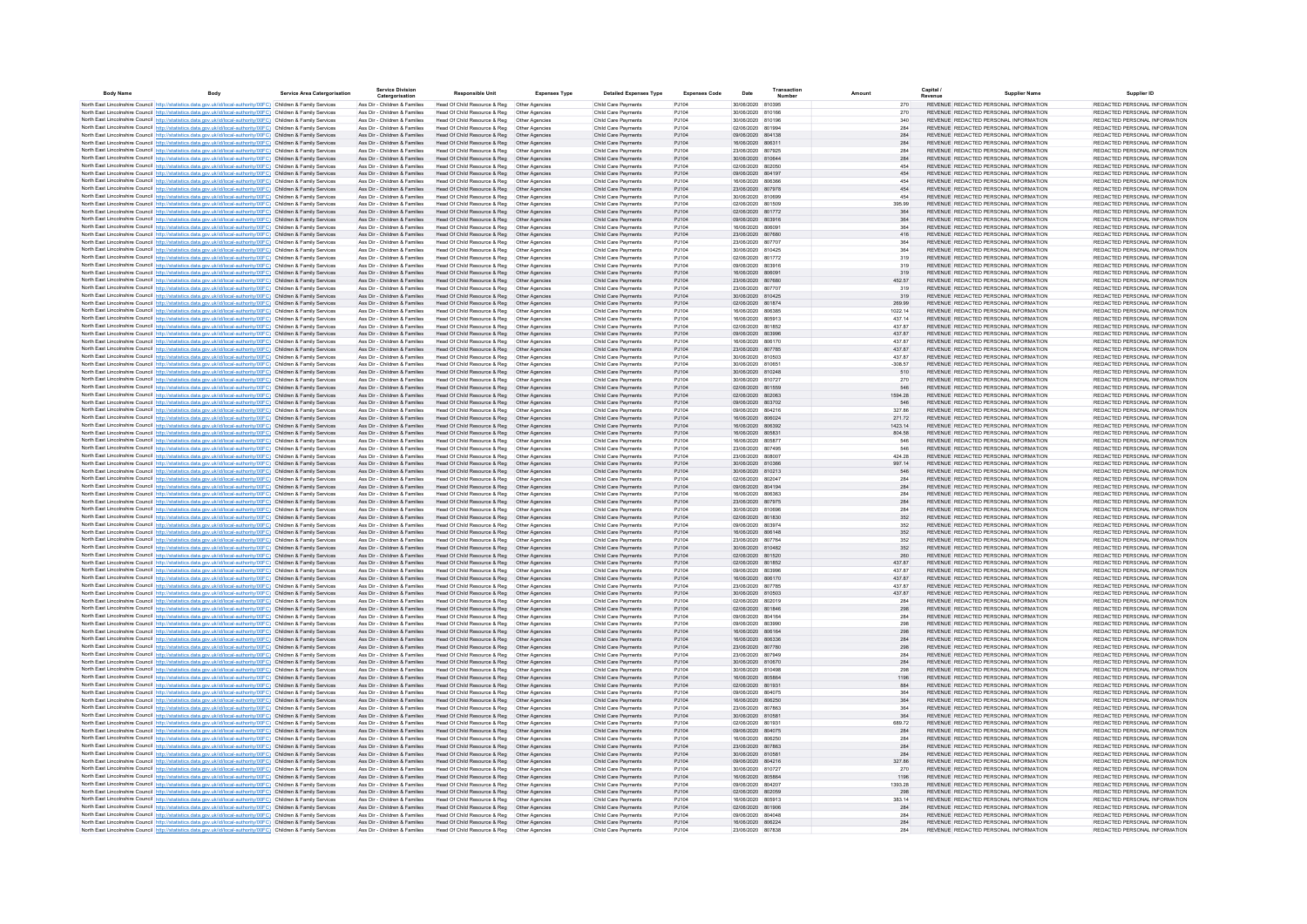| <b>Body Name</b> | <b>Rody</b>                                                                                                                                                                                                                            | Service Area Caternorisation | <b>Service Division</b><br>Catergorisation                     | <b>Responsible Unit</b>                                                       | <b>Expenses Type</b>             | <b>Detailed Expenses Type</b>              | <b>Expenses Code</b> | Date                                   | Transaction | Amount            | Capital                                                                        | <b>Supplier Name</b> | Supplier ID                                                    |
|------------------|----------------------------------------------------------------------------------------------------------------------------------------------------------------------------------------------------------------------------------------|------------------------------|----------------------------------------------------------------|-------------------------------------------------------------------------------|----------------------------------|--------------------------------------------|----------------------|----------------------------------------|-------------|-------------------|--------------------------------------------------------------------------------|----------------------|----------------------------------------------------------------|
|                  | North East Lincolnshire Council http://statistics.data.gov.uk/id/local-authority/00FC) Children & Family Services                                                                                                                      |                              | Ass Dir - Children & Families                                  | Head Of Child Resource & Reg  Other Agencies                                  |                                  | Child Care Payments                        | PJ104                | 30/06/2020 810395                      |             | 270               | REVENUE REDACTED PERSONAL INFORMATION                                          |                      | REDACTED PERSONAL INFORMATION                                  |
|                  | North East Lincolnshire Council http://statistics.data.gov.uk/id/local-authority/00FC) Children & Family Services                                                                                                                      |                              | Ass Dir - Children & Families                                  | Head Of Child Resource & Reg                                                  | Other Agencies                   | Child Care Payments                        | PJ104                | 30/06/2020 810166                      |             | 270               | REVENUE REDACTED PERSONAL INFORMATION                                          |                      | REDACTED PERSONAL INFORMATION                                  |
|                  | North East Lincolnshire Council http://statistics.data.gov.uk/id/local-authority/00FC) Children & Family Services                                                                                                                      |                              | Ass Dir - Children & Families                                  | Head Of Child Resource & Reg                                                  | Other Agencies                   | Child Care Payments                        | P.1104               | 30/06/2020 810196                      |             | 340               | REVENUE REDACTED PERSONAL INFORMATION                                          |                      | REDACTED PERSONAL INFORMATION                                  |
|                  | North East Lincolnshire Council http://statistics.data.gov.uk/id/local-authority/00FC) Children & Family Services                                                                                                                      |                              | Ass Dir - Children & Families                                  | Head Of Child Resource & Reg                                                  | Other Agencies                   | Child Care Payments                        | P.1104               | 02/06/2020 801994                      |             | 284               | REVENUE REDACTED PERSONAL INFORMATION                                          |                      | REDACTED PERSONAL INFORMATION                                  |
|                  | North East Lincolnshire Council http://statistics.data.gov.uk/id/local-authority/00FC) Children & Family Services<br>North East Lincolnshire Council http://statistics.data.gov.uk/id/local-authority/00FC) Children & Family Services |                              | Ass Dir - Children & Families<br>Ass Dir - Children & Families | Head Of Child Resource & Reg<br>Head Of Child Resource & Reg                  | Other Agencies<br>Other Agencies | Child Care Payments<br>Child Care Payments | PJ104<br>PJ104       | 09/06/2020 804138<br>16/06/2020 806311 |             | 284<br>284        | REVENUE REDACTED PERSONAL INFORMATION<br>REVENUE REDACTED PERSONAL INFORMATION |                      | REDACTED PERSONAL INFORMATION<br>REDACTED PERSONAL INFORMATION |
|                  | North East Lincolnshire Council http://statistics.data.gov.uk/id/local-authority/00FC) Children & Family Services                                                                                                                      |                              | Ass Dir - Children & Families                                  | Head Of Child Resource & Reg                                                  | Other Agencies                   | Child Care Payments                        | PJ104                | 23/06/2020 807925                      |             | 284               | REVENUE REDACTED PERSONAL INFORMATION                                          |                      | REDACTED PERSONAL INFORMATION                                  |
|                  | North East Lincolnshire Council http://statistics.data.gov.uk/id/local-authority/00FC) Children & Family Services                                                                                                                      |                              | Ass Dir - Children & Families                                  | Head Of Child Resource & Reg                                                  | Other Agencies                   | Child Care Payments                        | PJ104                | 30/06/2020 810644                      |             | 284               | REVENUE REDACTED PERSONAL INFORMATION                                          |                      | REDACTED PERSONAL INFORMATION                                  |
|                  | North East Lincolnshire Council http://statistics.data.gov.uk/id/local-authority/00FC) Children & Family Services                                                                                                                      |                              | Ass Dir - Children & Families                                  | Head Of Child Resource & Reg                                                  | Other Agencies                   | Child Care Payment                         | PJ104                | 02/06/2020 802050                      |             |                   | REVENUE REDACTED PERSONAL INFORMATION                                          |                      | REDACTED PERSONAL INFORMATION                                  |
|                  | North East Lincolnshire Council http://statistics.data.gov.uk/id/local-authority/00FC) Children & Family Services                                                                                                                      |                              | Ass Dir - Children & Families                                  | Head Of Child Resource & Reg   Other Agencies                                 |                                  | Child Care Payments                        | PJ104                | 09/06/2020 804197                      |             | 454               | REVENUE REDACTED PERSONAL INFORMATION                                          |                      | REDACTED PERSONAL INFORMATION                                  |
|                  | North East Lincolnshire Council http://statistics.data.gov.uk/id/local-authority/00FC) Children & Family Services                                                                                                                      |                              | Ass Dir - Children & Families                                  | Head Of Child Resource & Reg                                                  | Other Agencies                   | Child Care Payments                        | PJ104                | 16/06/2020                             | 806366      | 454               | REVENUE REDACTED PERSONAL INFORMATION                                          |                      | REDACTED PERSONAL INFORMATION                                  |
|                  | North East Lincolnshire Council http://statistics.data.gov.uk/id/local-authority/00FC) Children & Family Services<br>North East Lincolnshire Council http://statistics.data.gov.uk/id/local-authority/00FC) Children & Family Services |                              | Ass Dir - Children & Families                                  | Head Of Child Resource & Reg   Other Agencies                                 |                                  | Child Care Payments                        | PJ104                | 23/06/2020 807978                      |             | 454               | REVENUE REDACTED PERSONAL INFORMATION                                          |                      | REDACTED PERSONAL INFORMATION<br>REDACTED PERSONAL INFORMATION |
|                  | North East Lincolnshire Council http://statistics.data.gov.uk/id/local-authority/00FC) Children & Family Services                                                                                                                      |                              | Ass Dir - Children & Families<br>Ass Dir - Children & Families | Head Of Child Resource & Reg<br>Head Of Child Resource & Reg                  | Other Agencies<br>Other Agencies | Child Care Payments<br>Child Care Payments | PJ104<br>PJ104       | 30/06/2020 810699<br>02/06/2020 801509 |             | 454<br>395.99     | REVENUE REDACTED PERSONAL INFORMATION<br>REVENUE REDACTED PERSONAL INFORMATION |                      | REDACTED PERSONAL INFORMATION                                  |
|                  | North East Lincolnshire Council http://statistics.data.gov.uk/id/local-authority/00FC) Children & Family Services                                                                                                                      |                              | Ass Dir - Children & Families                                  | Head Of Child Resource & Reg                                                  | Other Agencies                   | Child Care Payments                        | PJ104                | 02/06/2020 801772                      |             | 364               | REVENUE REDACTED PERSONAL INFORMATION                                          |                      | REDACTED PERSONAL INFORMATION                                  |
|                  | North East Lincolnshire Council http://statistics.data.gov.uk/id/local-authority/00FC) Children & Family Services                                                                                                                      |                              | Ass Dir - Children & Families                                  | Head Of Child Resource & Reg                                                  | Other Agencies                   | Child Care Payments                        | PJ104                | 09/06/2020 803916                      |             | 364               | REVENUE REDACTED PERSONAL INFORMATION                                          |                      | REDACTED PERSONAL INFORMATION                                  |
|                  | North East Lincolnshire Council http://statistics.data.gov.uk/id/local-authority/00FC) Children & Family Services                                                                                                                      |                              | Ass Dir - Children & Families                                  | Head Of Child Resource & Reg                                                  | Other Agencies                   | Child Care Payments                        | PJ104                | 16/06/2020 806091                      |             | 364               | REVENUE REDACTED PERSONAL INFORMATION                                          |                      | REDACTED PERSONAL INFORMATION                                  |
|                  | North East Lincolnshire Council http://statistics.data.gov.uk/id/local-authority/00FC) Children & Family Services                                                                                                                      |                              | Ass Dir - Children & Families                                  | Head Of Child Resource & Reg                                                  | Other Agencies                   | Child Care Payments                        | PJ104                | 23/06/2020 807680                      |             | 416               | REVENUE REDACTED PERSONAL INFORMATION                                          |                      | REDACTED PERSONAL INFORMATION                                  |
|                  | North East Lincolnshire Council http://statistics.data.gov.uk/id/local-authority/00FC) Children & Family Services                                                                                                                      |                              | Ass Dir - Children & Families<br>Ass Dir - Children & Families | Head Of Child Resource & Reg<br>Head Of Child Resource & Reg                  | Other Agencies                   | Child Care Payments                        | P.1104               | 23/06/2020 807707<br>30/06/2020 810425 |             | 364               | REVENUE REDACTED PERSONAL INFORMATION                                          |                      | REDACTED PERSONAL INFORMATION                                  |
|                  | North East Lincolnshire Council http://statistics.data.gov.uk/id/local-authority/00FC) Children & Family Services<br>North East Lincolnshire Council http://statistics.data.gov.uk/id/local-authority/00FC) Children & Family Services |                              | Ass Dir - Children & Families                                  | Head Of Child Resource & Reg                                                  | Other Agencies<br>Other Agencies | Child Care Payments<br>Child Care Payments | PJ104<br>PJ104       | 02/06/2020 801772                      |             | 364<br>319        | REVENUE REDACTED PERSONAL INFORMATION<br>REVENUE REDACTED PERSONAL INFORMATION |                      | REDACTED PERSONAL INFORMATION<br>REDACTED PERSONAL INFORMATION |
|                  | North East Lincolnshire Council http://statistics.data.gov.uk/id/local-authority/00FC) Children & Family Services                                                                                                                      |                              | Ass Dir - Children & Families                                  | Head Of Child Resource & Reg                                                  | Other Agencies                   | Child Care Payment                         | PJ104                | 09/06/2020                             | 803916      | 319               | REVENUE REDACTED PERSONAL INFORMATION                                          |                      | REDACTED PERSONAL INFORMATION                                  |
|                  | North East Lincolnshire Council http://statistics.data.gov.uk/id/local-authority/00FC) Children & Family Services                                                                                                                      |                              | Ass Dir - Children & Families                                  | Head Of Child Resource & Reg                                                  | Other Agencies                   | Child Care Payments                        | PJ104                | 16/06/2020 806091                      |             | 319               | REVENUE REDACTED PERSONAL INFORMATION                                          |                      | REDACTED PERSONAL INFORMATION                                  |
|                  | North East Lincolnshire Council http://statistics.data.gov.uk/id/local-authority/00FC) Children & Family Services                                                                                                                      |                              | Ass Dir - Children & Families                                  | Head Of Child Resource & Reg                                                  | Other Agencies                   | Child Care Payments                        | PJ104                | 23/06/2020 807680                      |             | 452.57            | REVENUE REDACTED PERSONAL INFORMATION                                          |                      | REDACTED PERSONAL INFORMATION                                  |
|                  | North East Lincolnshire Council http://statistics.data.gov.uk/id/local-authority/00FC) Children & Family Services                                                                                                                      |                              | Ass Dir - Children & Families                                  | Head Of Child Resource & Reg                                                  | Other Agencies                   | Child Care Payments                        | PJ104                | 23/06/2020 807707                      |             | 319               | REVENUE REDACTED PERSONAL INFORMATION                                          |                      | REDACTED PERSONAL INFORMATION                                  |
|                  | North East Lincolnshire Council http://statistics.data.gov.uk/id/local-authority/00FC) Children & Family Services                                                                                                                      |                              | Ass Dir - Children & Families                                  | Head Of Child Resource & Reg                                                  | Other Agencies                   | Child Care Payments                        | PJ104                | 30/06/2020 810425                      |             | 319               | REVENUE REDACTED PERSONAL INFORMATION                                          |                      | REDACTED PERSONAL INFORMATION                                  |
|                  | North East Lincolnshire Council http://statistics.data.gov.uk/id/local-authority/00FC) Children & Family Services                                                                                                                      |                              | Ass Dir - Children & Families                                  | Head Of Child Resource & Reg   Other Agencies                                 |                                  | Child Care Payments                        | PJ104<br>PJ104       | 02/06/2020 801874<br>16/06/2020 806385 |             | 269.99            | REVENUE REDACTED PERSONAL INFORMATION<br>REVENUE REDACTED PERSONAL INFORMATION |                      | REDACTED PERSONAL INFORMATION<br>REDACTED PERSONAL INFORMATION |
|                  | North East Lincolnshire Council http://statistics.data.gov.uk/id/local-authority/00FC) Children & Family Services<br>North East Lincolnshire Council http://statistics.data.gov.uk/id/local-authority/00FC) Children & Family Services |                              | Ass Dir - Children & Families<br>Ass Dir - Children & Families | Head Of Child Resource & Reg<br>Head Of Child Resource & Reg   Other Agencies | Other Agencies                   | Child Care Payments<br>Child Care Payments | PJ104                | 16/06/2020 805913                      |             | 1022.14<br>437.14 | REVENUE REDACTED PERSONAL INFORMATION                                          |                      | REDACTED PERSONAL INFORMATION                                  |
|                  | North East Lincolnshire Council http://statistics.data.gov.uk/id/local-authority/00FC) Children & Family Services                                                                                                                      |                              | Ass Dir - Children & Families                                  | Head Of Child Resource & Reg                                                  | Other Agencies                   | Child Care Payments                        | PJ104                | 02/06/2020 801852                      |             | 437.87            | REVENUE REDACTED PERSONAL INFORMATION                                          |                      | REDACTED PERSONAL INFORMATION                                  |
|                  | North East Lincolnshire Council http://statistics.data.gov.uk/id/local-authority/00FC) Children & Family Services                                                                                                                      |                              | Ass Dir - Children & Families                                  | Head Of Child Resource & Reg  Other Agencies                                  |                                  | Child Care Payments                        | PJ104                | 09/06/2020 803996                      |             | 437.87            | REVENUE REDACTED PERSONAL INFORMATION                                          |                      | REDACTED PERSONAL INFORMATION                                  |
|                  | North East Lincolnshire Council http://statistics.data.gov.uk/id/local-authority/00FC) Children & Family Services                                                                                                                      |                              | Ass Dir - Children & Families                                  | Head Of Child Resource & Reg                                                  | Other Agencies                   | Child Care Payments                        | P.1104               | 16/06/2020 806170                      |             | 437 87            | REVENUE REDACTED PERSONAL INFORMATION                                          |                      | REDACTED PERSONAL INFORMATION                                  |
|                  | North East Lincolnshire Council http://statistics.data.gov.uk/id/local-authority/00FC) Children & Family Services                                                                                                                      |                              | Ass Dir - Children & Families                                  | Head Of Child Resource & Reg                                                  | Other Agencies                   | Child Care Payments                        | PJ104                | 23/06/2020 807785                      |             | 437.87            | REVENUE REDACTED PERSONAL INFORMATION                                          |                      | REDACTED PERSONAL INFORMATION                                  |
|                  | North East Lincolnshire Council http://statistics.data.gov.uk/id/local-authority/00FC) Children & Family Services                                                                                                                      |                              | Ass Dir - Children & Families                                  | Head Of Child Resource & Reg                                                  | Other Agencies                   | Child Care Payments                        | P.1104               | 30/06/2020 810503                      |             | 437 87            | REVENUE REDACTED PERSONAL INFORMATION                                          |                      | REDACTED PERSONAL INFORMATION                                  |
|                  | North East Lincolnshire Council http://statistics.data.gov.uk/id/local-authority/00FC) Children & Family Services                                                                                                                      |                              | Ass Dir - Children & Families                                  | Head Of Child Resource & Reg                                                  | Other Agencies                   | Child Care Payments                        | P.1104               | 30/06/2020 810651                      |             | $-308.57$         | REVENUE REDACTED PERSONAL INFORMATION                                          |                      | REDACTED PERSONAL INFORMATION                                  |
|                  | North East Lincolnshire Council http://statistics.data.gov.uk/id/local-authority/00FC) Children & Family Services                                                                                                                      |                              | Ass Dir - Children & Families                                  | Head Of Child Resource & Reg                                                  | Other Agencies                   | Child Care Payments                        | PJ104                | 30/06/2020 810248                      |             | 510               | REVENUE REDACTED PERSONAL INFORMATION                                          |                      | REDACTED PERSONAL INFORMATION                                  |
|                  | North East Lincolnshire Council http://statistics.data.gov.uk/id/local-authority/00FC) Children & Family Services<br>North East Lincolnshire Council http://statistics.data.gov.uk/id/local-authority/00FC) Children & Family Services |                              | Ass Dir - Children & Families<br>Ass Dir - Children & Families | Head Of Child Resource & Reg<br>Head Of Child Resource & Reg                  | Other Agencies<br>Other Agencies | Child Care Payments<br>Child Care Payments | PJ104<br>PJ104       | 30/06/2020 810727<br>02/06/2020 801559 |             | 270<br>546        | REVENUE REDACTED PERSONAL INFORMATION<br>REVENUE REDACTED PERSONAL INFORMATION |                      | REDACTED PERSONAL INFORMATION<br>REDACTED PERSONAL INFORMATION |
|                  | North East Lincolnshire Council http://statistics.data.gov.uk/id/local-authority/00FC) Children & Family Services                                                                                                                      |                              | Ass Dir - Children & Families                                  | Head Of Child Resource & Reg                                                  | Other Agencies                   | Child Care Payments                        | PJ104                | 02/06/2020 802063                      |             | 1594.28           | REVENUE REDACTED PERSONAL INFORMATION                                          |                      | REDACTED PERSONAL INFORMATION                                  |
|                  | North East Lincolnshire Council http://statistics.data.gov.uk/id/local-authority/00FC) Children & Family Services                                                                                                                      |                              | Ass Dir - Children & Families                                  | Head Of Child Resource & Reg   Other Agencies                                 |                                  | Child Care Payments                        | PJ104                | 09/06/2020 803702                      |             | 546               | REVENUE REDACTED PERSONAL INFORMATION                                          |                      | REDACTED PERSONAL INFORMATION                                  |
|                  | North East Lincolnshire Council http://statistics.data.gov.uk/id/local-authority/00FC) Children & Family Services                                                                                                                      |                              | Ass Dir - Children & Families                                  | Head Of Child Resource & Reg                                                  | Other Agencies                   | Child Care Payments                        | PJ104                | 09/06/2020                             | 804216      | 327.86            | REVENUE REDACTED PERSONAL INFORMATION                                          |                      | REDACTED PERSONAL INFORMATION                                  |
|                  | North East Lincolnshire Council http://statistics.data.gov.uk/id/local-authority/00FC) Children & Family Services                                                                                                                      |                              | Ass Dir - Children & Families                                  | Head Of Child Resource & Reg                                                  | Other Agencies                   | Child Care Payments                        | PJ104                | 16/06/2020 806024                      |             | 271.72            | REVENUE REDACTED PERSONAL INFORMATION                                          |                      | REDACTED PERSONAL INFORMATION                                  |
|                  | North East Lincolnshire Council http://statistics.data.gov.uk/id/local-authority/00FC) Children & Family Services                                                                                                                      |                              | Ass Dir - Children & Families                                  | Head Of Child Resource & Reg                                                  | Other Agencies                   | Child Care Payments                        | PJ104                | 16/06/2020 806392                      |             | 1423.14           | REVENUE REDACTED PERSONAL INFORMATION                                          |                      | REDACTED PERSONAL INFORMATION                                  |
|                  | North East Lincolnshire Council http://statistics.data.gov.uk/id/local-authority/00FC) Children & Family Services<br>North East Lincolnshire Council http://statistics.data.gov.uk/id/local-authority/00FC) Children & Family Services |                              | Ass Dir - Children & Families<br>Ass Dir - Children & Families | Head Of Child Resource & Reg  Other Agencies                                  | Other Agencies                   | Child Care Payments<br>Child Care Payments | PJ104<br>PJ104       | 16/06/2020 805831<br>16/06/2020 805877 |             | 804.58<br>546     | REVENUE REDACTED PERSONAL INFORMATION<br>REVENUE REDACTED PERSONAL INFORMATION |                      | REDACTED PERSONAL INFORMATION<br>REDACTED PERSONAL INFORMATION |
|                  | North East Lincolnshire Council Intro Ustatistics data nov uk/id/local-authority/00EC) Children & Family Services                                                                                                                      |                              | Ass Dir - Children & Families                                  | Head Of Child Resource & Reg<br>Head Of Child Resource & Reg                  | Other Agencies                   | Child Care Payments                        | P.1104               | 23/06/2020 807495                      |             | 546               | REVENUE REDACTED PERSONAL INFORMATION                                          |                      | REDACTED PERSONAL INFORMATION                                  |
|                  | North East Lincolnshire Council http://statistics.data.gov.uk/id/local-authority/00FC) Children & Family Services                                                                                                                      |                              | Ass Dir - Children & Families                                  | Head Of Child Resource & Reg                                                  | Other Agencies                   | Child Care Payments                        | P.1104               | 23/06/2020 808007                      |             | 424.28            | REVENUE REDACTED PERSONAL INFORMATION                                          |                      | REDACTED PERSONAL INFORMATION                                  |
|                  | North East Lincolnshire Council http://statistics.data.gov.uk/id/local-authority/00FC) Children & Family Services                                                                                                                      |                              | Ass Dir - Children & Families                                  | Head Of Child Resource & Reg                                                  | Other Agencies                   | Child Care Payments                        | PJ104                | 30/06/2020 810366                      |             | 997 14            | REVENUE REDACTED PERSONAL INFORMATION                                          |                      | REDACTED PERSONAL INFORMATION                                  |
|                  | North East Lincolnshire Council http://statistics.data.gov.uk/id/local-authority/00FC) Children & Family Services                                                                                                                      |                              | Ass Dir - Children & Families                                  | Head Of Child Resource & Reg                                                  | Other Agencies                   | Child Care Payments                        | PJ104                | 30/06/2020 810213                      |             | 546               | REVENUE REDACTED PERSONAL INFORMATION                                          |                      | REDACTED PERSONAL INFORMATION                                  |
|                  | North East Lincolnshire Council http://statistics.data.gov.uk/id/local-authority/00FC) Children & Family Services                                                                                                                      |                              | Ass Dir - Children & Families                                  | Head Of Child Resource & Reg                                                  | Other Agencies                   | Child Care Payments                        | PJ104                | 02/06/2020 802047                      |             | 284               | REVENUE REDACTED PERSONAL INFORMATION                                          |                      | REDACTED PERSONAL INFORMATION                                  |
|                  | North East Lincolnshire Council http://statistics.data.gov.uk/id/local-authority/00FC) Children & Family Services                                                                                                                      |                              | Ass Dir - Children & Families<br>Ass Dir - Children & Families | Head Of Child Resource & Reg                                                  | Other Agencies<br>Other Agencies | Child Care Payments<br>Child Care Payments | PJ104<br>PJ104       | 09/06/2020 804194<br>16/06/2020 806363 |             | 284<br>284        | REVENUE REDACTED PERSONAL INFORMATION<br>REVENUE REDACTED PERSONAL INFORMATION |                      | REDACTED PERSONAL INFORMATION<br>REDACTED PERSONAL INFORMATION |
|                  | North East Lincolnshire Council http://statistics.data.gov.uk/id/local-authority/00FC) Children & Family Services<br>North East Lincolnshire Council http://statistics.data.gov.uk/id/local-authority/00FC) Children & Family Services |                              | Ass Dir - Children & Families                                  | Head Of Child Resource & Reg<br>Head Of Child Resource & Reg  Other Agencies  |                                  | Child Care Payments                        | PJ104                | 23/06/2020 807975                      |             | 284               | REVENUE REDACTED PERSONAL INFORMATION                                          |                      | REDACTED PERSONAL INFORMATION                                  |
|                  | North East Lincolnshire Council http://statistics.data.gov.uk/id/local-authority/00FC) Children & Family Services                                                                                                                      |                              | Ass Dir - Children & Families                                  | Head Of Child Resource & Reg                                                  | Other Agencies                   | Child Care Payments                        | PJ104                | 30/06/2020 810696                      |             | 284               | REVENUE REDACTED PERSONAL INFORMATION                                          |                      | REDACTED PERSONAL INFORMATION                                  |
|                  | North East Lincolnshire Council http://statistics.data.gov.uk/id/local-authority/00FC) Children & Family Services                                                                                                                      |                              | Ass Dir - Children & Families                                  | Head Of Child Resource & Reg   Other Agencies                                 |                                  | Child Care Payments                        | PJ104                | 02/06/2020 801830                      |             | 352               | REVENUE REDACTED PERSONAL INFORMATION                                          |                      | REDACTED PERSONAL INFORMATION                                  |
|                  | North East Lincolnshire Council http://statistics.data.gov.uk/id/local-authority/00FC) Children & Family Services                                                                                                                      |                              | Ass Dir - Children & Families                                  | Head Of Child Resource & Reg                                                  | Other Agencies                   | Child Care Payments                        | PJ104                | 09/06/2020 803974                      |             | 352               | REVENUE REDACTED PERSONAL INFORMATION                                          |                      | REDACTED PERSONAL INFORMATION                                  |
|                  | North East Lincolnshire Council http://statistics.data.gov.uk/id/local-authority/00FC) Children & Family Services                                                                                                                      |                              | Ass Dir - Children & Families                                  | Head Of Child Resource & Reg   Other Agencies                                 |                                  | Child Care Payments                        | PJ104                | 16/06/2020 806148                      |             | 352               | REVENUE REDACTED PERSONAL INFORMATION                                          |                      | REDACTED PERSONAL INFORMATION                                  |
|                  | North East Lincolnshire Council http://statistics.data.gov.uk/id/local-authority/00FC) Children & Family Services                                                                                                                      |                              | Ass Dir - Children & Families                                  | Head Of Child Resource & Reg                                                  | Other Agencies                   | Child Care Payments                        | PJ104                | 23/06/2020 807764                      |             | 352               | REVENUE REDACTED PERSONAL INFORMATION                                          |                      | REDACTED PERSONAL INFORMATION                                  |
|                  | North East Lincolnshire Council http://statistics.data.gov.uk/id/local-authority/00FC) Children & Family Services<br>North East Lincolnshire Council http://statistics.data.gov.uk/id/local-authority/00FC) Children & Family Services |                              | Ass Dir - Children & Families<br>Ass Dir - Children & Families | Head Of Child Resource & Reg   Other Agencies<br>Head Of Child Resource & Reg | Other Agencies                   | Child Care Payments<br>Child Care Payments | PJ104<br>PJ104       | 30/06/2020 810482<br>02/06/2020 801520 |             | 352<br>260        | REVENUE REDACTED PERSONAL INFORMATION<br>REVENUE REDACTED PERSONAL INFORMATION |                      | REDACTED PERSONAL INFORMATION<br>REDACTED PERSONAL INFORMATION |
|                  | North East Lincolnshire Council http://statistics.data.gov.uk/id/local-authority/00FC) Children & Family Services                                                                                                                      |                              | Ass Dir - Children & Families                                  | Head Of Child Resource & Reg  Other Agencies                                  |                                  | Child Care Payments                        | PJ104                | 02/06/2020 801852                      |             | 437.87            | REVENUE REDACTED PERSONAL INFORMATION                                          |                      | REDACTED PERSONAL INFORMATION                                  |
|                  | North East Lincolnshire Council Intro Ustatistics data nov uk/id/local-authority/00FC) Children & Family Services                                                                                                                      |                              | Ass Dir - Children & Families                                  | Head Of Child Resource & Reg                                                  | Other Agencies                   | Child Care Payments                        | P.1104               | 09/06/2020 803996                      |             | 437 87            | REVENUE REDACTED PERSONAL INFORMATION                                          |                      | REDACTED PERSONAL INFORMATION                                  |
|                  | North East Lincolnshire Council http://statistics.data.gov.uk/id/local-authority/00FC) Children & Family Services                                                                                                                      |                              | Ass Dir - Children & Families                                  | Head Of Child Resource & Reg                                                  | Other Agencies                   | Child Care Payments                        | PJ104                | 16/06/2020 806170                      |             | 437.87            | REVENUE REDACTED PERSONAL INFORMATION                                          |                      | REDACTED PERSONAL INFORMATION                                  |
|                  | North East Lincolnshire Council http://statistics.data.gov.uk/id/local-authority/00FC) Children & Family Services                                                                                                                      |                              | Ass Dir - Children & Families                                  | Head Of Child Resource & Reg                                                  | Other Agencies                   | Child Care Payments                        | PJ104                | 23/06/2020 807785                      |             | 437.87            | REVENUE REDACTED PERSONAL INFORMATION                                          |                      | REDACTED PERSONAL INFORMATION                                  |
|                  | North East Lincolnshire Council http://statistics.data.gov.uk/id/local-authority/00FC) Children & Family Services                                                                                                                      |                              | Ass Dir - Children & Families                                  | Head Of Child Resource & Reg                                                  | Other Agencies                   | Child Care Payments                        | PJ104                | 30/06/2020 810503                      |             | 437.87            | REVENUE REDACTED PERSONAL INFORMATION                                          |                      | REDACTED PERSONAL INFORMATION                                  |
|                  | North East Lincolnshire Council http://statistics.data.gov.uk/id/local-authority/00FC) Children & Family Services                                                                                                                      |                              | Ass Dir - Children & Families                                  | Head Of Child Resource & Reg                                                  | Other Agencies                   | Child Care Payments                        | PJ104                | 02/06/2020 802019<br>02/06/2020 801846 |             | 284               | REVENUE REDACTED PERSONAL INFORMATION                                          |                      | REDACTED PERSONAL INFORMATION                                  |
|                  | North East Lincolnshire Council http://statistics.data.gov.uk/id/local-authority/00FC) Children & Family Services<br>North East Lincolnshire Council http://statistics.data.gov.uk/id/local-authority/00FC) Children & Family Services |                              | Ass Dir - Children & Families<br>Ass Dir - Children & Families | Head Of Child Resource & Reg<br>Head Of Child Resource & Reg                  | Other Agencies<br>Other Agencies | Child Care Payments<br>Child Care Payments | PJ104<br>PJ104       | 09/06/2020 804164                      |             | 298<br>284        | REVENUE REDACTED PERSONAL INFORMATION<br>REVENUE REDACTED PERSONAL INFORMATION |                      | REDACTED PERSONAL INFORMATION<br>REDACTED PERSONAL INFORMATION |
|                  | North East Lincolnshire Council http://statistics.data.gov.uk/id/local-authority/00FC) Children & Family Services                                                                                                                      |                              | Ass Dir - Children & Families                                  | Head Of Child Resource & Reg                                                  | Other Agencies                   | Child Care Payments                        | PJ104                | 09/06/2020                             | 803990      | 298               | REVENUE REDACTED PERSONAL INFORMATION                                          |                      | REDACTED PERSONAL INFORMATION                                  |
|                  | North East Lincolnshire Council http://statistics.data.gov.uk/id/local-authority/00FC) Children & Family Services                                                                                                                      |                              | Ass Dir - Children & Families                                  | Head Of Child Resource & Reg                                                  | Other Agencies                   | Child Care Payments                        | PJ104                | 16/06/2020 806164                      |             | 298               | REVENUE REDACTED PERSONAL INFORMATION                                          |                      | REDACTED PERSONAL INFORMATION                                  |
|                  | North East Lincolnshire Council http://statistics.data.gov.uk/id/local-authority/00FC) Children & Family Services                                                                                                                      |                              | Ass Dir - Children & Families                                  | Head Of Child Resource & Reg                                                  | Other Agencies                   | Child Care Payments                        | PJ104                | 16/06/2020 806336                      |             | 284               | REVENUE REDACTED PERSONAL INFORMATION                                          |                      | REDACTED PERSONAL INFORMATION                                  |
|                  | North East Lincolnshire Council http://statistics.data.gov.uk/id/local-authority/00FC) Children & Family Services                                                                                                                      |                              | Ass Dir - Children & Families                                  | Head Of Child Resource & Reg  Other Agencies                                  |                                  | Child Care Payments                        | PJ104                | 23/06/2020 807780                      |             | 298               | REVENUE REDACTED PERSONAL INFORMATION                                          |                      | REDACTED PERSONAL INFORMATION                                  |
|                  | North East Lincolnshire Council http://statistics.data.gov.uk/id/local-authority/00FC) Children & Family Services                                                                                                                      |                              | Ass Dir - Children & Families                                  | Head Of Child Resource & Reg                                                  | Other Agencies                   | Child Care Payments                        | PJ104                | 23/06/2020 807949                      |             | 284               | REVENUE REDACTED PERSONAL INFORMATION                                          |                      | REDACTED PERSONAL INFORMATION                                  |
|                  | North East Lincolnshire Council http://statistics.data.gov.uk/id/local-authority/00FC) Children & Family Services                                                                                                                      |                              | Ass Dir - Children & Families                                  | Head Of Child Resource & Reg  Other Agencies                                  |                                  | Child Care Payments                        | PJ104                | 30/06/2020 810670                      |             | 284               | REVENUE REDACTED PERSONAL INFORMATION                                          |                      | REDACTED PERSONAL INFORMATION                                  |
|                  | North East Lincolnshire Council http://statistics.data.gov.uk/id/local-authority/00FC) Children & Family Services<br>North East Lincolnshire Council http://statistics.data.gov.uk/id/local-authority/00FC) Children & Family Services |                              | Ass Dir - Children & Families<br>Ass Dir - Children & Families | Head Of Child Resource & Reg<br>Head Of Child Resource & Reg                  | Other Agencies<br>Other Agencies | Child Care Payments<br>Child Care Payments | PJ104<br>PJ104       | 30/06/2020 810498<br>16/06/2020 805864 |             | 298<br>1196       | REVENUE REDACTED PERSONAL INFORMATION<br>REVENUE REDACTED PERSONAL INFORMATION |                      | REDACTED PERSONAL INFORMATION<br>REDACTED PERSONAL INFORMATION |
|                  | North East Lincolnshire Council http://statistics.data.gov.uk/id/local-authority/00FC) Children & Family Services                                                                                                                      |                              | Ass Dir - Children & Families                                  | Head Of Child Resource & Reg                                                  | Other Agencies                   | Child Care Payments                        | PJ104                | 02/06/2020 801931                      |             | 884               | REVENUE REDACTED PERSONAL INFORMATION                                          |                      | REDACTED PERSONAL INFORMATION                                  |
|                  | North East Lincolnshire Council http://statistics.data.gov.uk/id/local-authority/00FC) Children & Family Services                                                                                                                      |                              | Ass Dir - Children & Families                                  | Head Of Child Resource & Reg                                                  | Other Agencies                   | Child Care Payments                        | PJ104                | 09/06/2020 804075                      |             | 364               | REVENUE REDACTED PERSONAL INFORMATION                                          |                      | REDACTED PERSONAL INFORMATION                                  |
|                  | North East Lincolnshire Council http://statistics.data.gov.uk/id/local-authority/00FC) Children & Family Services                                                                                                                      |                              | Ass Dir - Children & Families                                  | Head Of Child Resource & Reg                                                  | Other Agencies                   | Child Care Payments                        | PJ104                | 16/06/2020 806250                      |             | 364               | REVENUE REDACTED PERSONAL INFORMATION                                          |                      | REDACTED PERSONAL INFORMATION                                  |
|                  | North East Lincolnshire Council http://statistics.data.gov.uk/id/local-authority/00FC) Children & Family Services                                                                                                                      |                              | Ass Dir - Children & Families                                  | Head Of Child Resource & Reg                                                  | Other Agencies                   | Child Care Payments                        | PJ104                | 23/06/2020 807863                      |             | 364               | REVENUE REDACTED PERSONAL INFORMATION                                          |                      | REDACTED PERSONAL INFORMATION                                  |
|                  | North East Lincolnshire Council http://statistics.data.gov.uk/id/local-authority/00FC) Children & Family Services                                                                                                                      |                              | Ass Dir - Children & Families                                  | Head Of Child Resource & Reg                                                  | Other Agencies                   | Child Care Payments                        | PJ104                | 30/06/2020 810581                      |             | 364               | REVENUE REDACTED PERSONAL INFORMATION                                          |                      | REDACTED PERSONAL INFORMATION                                  |
|                  | North East Lincolnshire Council http://statistics.data.gov.uk/id/local-authority/00FC) Children & Family Services                                                                                                                      |                              | Ass Dir - Children & Families                                  | Head Of Child Resource & Reg                                                  | Other Agencies                   | Child Care Payments                        | PJ104                | 02/06/2020 801931                      |             | 689.72            | REVENUE REDACTED PERSONAL INFORMATION                                          |                      | REDACTED PERSONAL INFORMATION                                  |
|                  | North East Lincolnshire Council http://statistics.data.gov.uk/id/local-authority/00FC) Children & Family Services<br>North East Lincolnshire Council http://statistics.data.gov.uk/id/local-authority/00FC) Children & Family Services |                              | Ass Dir - Children & Families<br>Ass Dir - Children & Families | Head Of Child Resource & Reg<br>Head Of Child Resource & Reg                  | Other Agencies<br>Other Agencies | Child Care Payments<br>Child Care Payments | PJ104<br>PJ104       | 09/06/2020 804075<br>16/06/2020        | 806250      | 284<br>284        | REVENUE REDACTED PERSONAL INFORMATION<br>REVENUE REDACTED PERSONAL INFORMATION |                      | REDACTED PERSONAL INFORMATION<br>REDACTED PERSONAL INFORMATION |
|                  | North East Lincolnshire Council http://statistics.data.gov.uk/id/local-authority/00FC) Children & Family Services                                                                                                                      |                              | Ass Dir - Children & Families                                  | Head Of Child Resource & Reg                                                  | Other Agencies                   | Child Care Payments                        | PJ104                | 23/06/2020 807863                      |             | 284               | REVENUE REDACTED PERSONAL INFORMATION                                          |                      | REDACTED PERSONAL INFORMATION                                  |
|                  | North East Lincolnshire Council http://statistics.data.gov.uk/id/local-authority/00FC) Children & Family Services                                                                                                                      |                              | Ass Dir - Children & Families                                  | Head Of Child Resource & Reg                                                  | Other Agencies                   | Child Care Payments                        | PJ104                | 30/06/2020 810581                      |             | 284               | REVENUE REDACTED PERSONAL INFORMATION                                          |                      | REDACTED PERSONAL INFORMATION                                  |
|                  | North East Lincolnshire Council http://statistics.data.gov.uk/id/local-authority/00FC) Children & Family Services                                                                                                                      |                              | Ass Dir - Children & Families                                  | Head Of Child Resource & Reg  Other Agencies                                  |                                  | Child Care Payments                        | PJ104                | 09/06/2020 804216                      |             | 327.86            | REVENUE REDACTED PERSONAL INFORMATION                                          |                      | REDACTED PERSONAL INFORMATION                                  |
|                  | North East Lincolnshire Council http://statistics.data.gov.uk/id/local-authority/00FC) Children & Family Services                                                                                                                      |                              | Ass Dir - Children & Families                                  | Head Of Child Resource & Reg                                                  | Other Agencies                   | Child Care Payments                        | PJ104                | 30/06/2020 810727                      |             | 270               | REVENUE REDACTED PERSONAL INFORMATION                                          |                      | REDACTED PERSONAL INFORMATION                                  |
|                  | North East Lincolnshire Council http://statistics.data.gov.uk/id/local-authority/00FC) Children & Family Services                                                                                                                      |                              | Ass Dir - Children & Families                                  | Head Of Child Resource & Reg   Other Agencies                                 |                                  | Child Care Payments                        | PJ104                | 16/06/2020 805864                      |             | 1196              | REVENUE REDACTED PERSONAL INFORMATION                                          |                      | REDACTED PERSONAL INFORMATION                                  |
|                  | North East Lincolnshire Council http://statistics.data.gov.uk/id/local-authority/00FC) Children & Family Services                                                                                                                      |                              | Ass Dir - Children & Families                                  | Head Of Child Resource & Reg                                                  | Other Agencies                   | Child Care Payments                        | PJ104                | 09/06/2020 804207                      |             | 1393.28           | REVENUE REDACTED PERSONAL INFORMATION                                          |                      | REDACTED PERSONAL INFORMATION<br>REDACTED PERSONAL INFORMATION |
|                  | North East Lincolnshire Council http://statistics.data.gov.uk/id/local-authority/00FC) Children & Family Services<br>North East Lincolnshire Council http://statistics.data.gov.uk/id/local-authority/00FC) Children & Family Services |                              | Ass Dir - Children & Families<br>Ass Dir - Children & Families | Head Of Child Resource & Reg  Other Agencies<br>Head Of Child Resource & Reg  | Other Agencies                   | Child Care Payments<br>Child Care Payments | PJ104<br>PJ104       | 02/06/2020 802059<br>16/06/2020 805913 |             | 298<br>383.14     | REVENUE REDACTED PERSONAL INFORMATION<br>REVENUE REDACTED PERSONAL INFORMATION |                      | REDACTED PERSONAL INFORMATION                                  |
|                  | North East Lincolnshire Council http://statistics.data.gov.uk/id/local-authority/00FC) Children & Family Services                                                                                                                      |                              | Ass Dir - Children & Families                                  | Head Of Child Resource & Reg  Other Agencies                                  |                                  | Child Care Payments                        | PJ104                | 02/06/2020 801906                      |             | 284               | REVENUE REDACTED PERSONAL INFORMATION                                          |                      | REDACTED PERSONAL INFORMATION                                  |
|                  | North East Lincolnshire Council http://statistics.data.gov.uk/id/local-authority/00FC) Children & Family Services                                                                                                                      |                              | Ass Dir - Children & Families                                  | Head Of Child Resource & Reg                                                  | Other Agencies                   | Child Care Payments                        | PJ104                | 09/06/2020 804048                      |             | 284               | REVENUE REDACTED PERSONAL INFORMATION                                          |                      | REDACTED PERSONAL INFORMATION                                  |
|                  | North East Lincolnshire Council http://statistics.data.gov.uk/id/local-authority/00FC) Children & Family Services                                                                                                                      |                              | Ass Dir - Children & Families                                  | Head Of Child Resource & Reg   Other Agencies                                 |                                  | Child Care Payments                        | PJ104                | 16/06/2020 806224                      |             | 284               | REVENUE REDACTED PERSONAL INFORMATION                                          |                      | REDACTED PERSONAL INFORMATION                                  |
|                  | North East Lincolnshire Council http://statistics.data.gov.uk/id/local-authority/00FC) Children & Family Services                                                                                                                      |                              | Ass Dir - Children & Families                                  | Head Of Child Resource & Reg  Other Agencies                                  |                                  | Child Care Payments                        | PJ104                | 23/06/2020 807838                      |             |                   | REVENUE REDACTED PERSONAL INFORMATION                                          |                      | REDACTED PERSONAL INFORMATION                                  |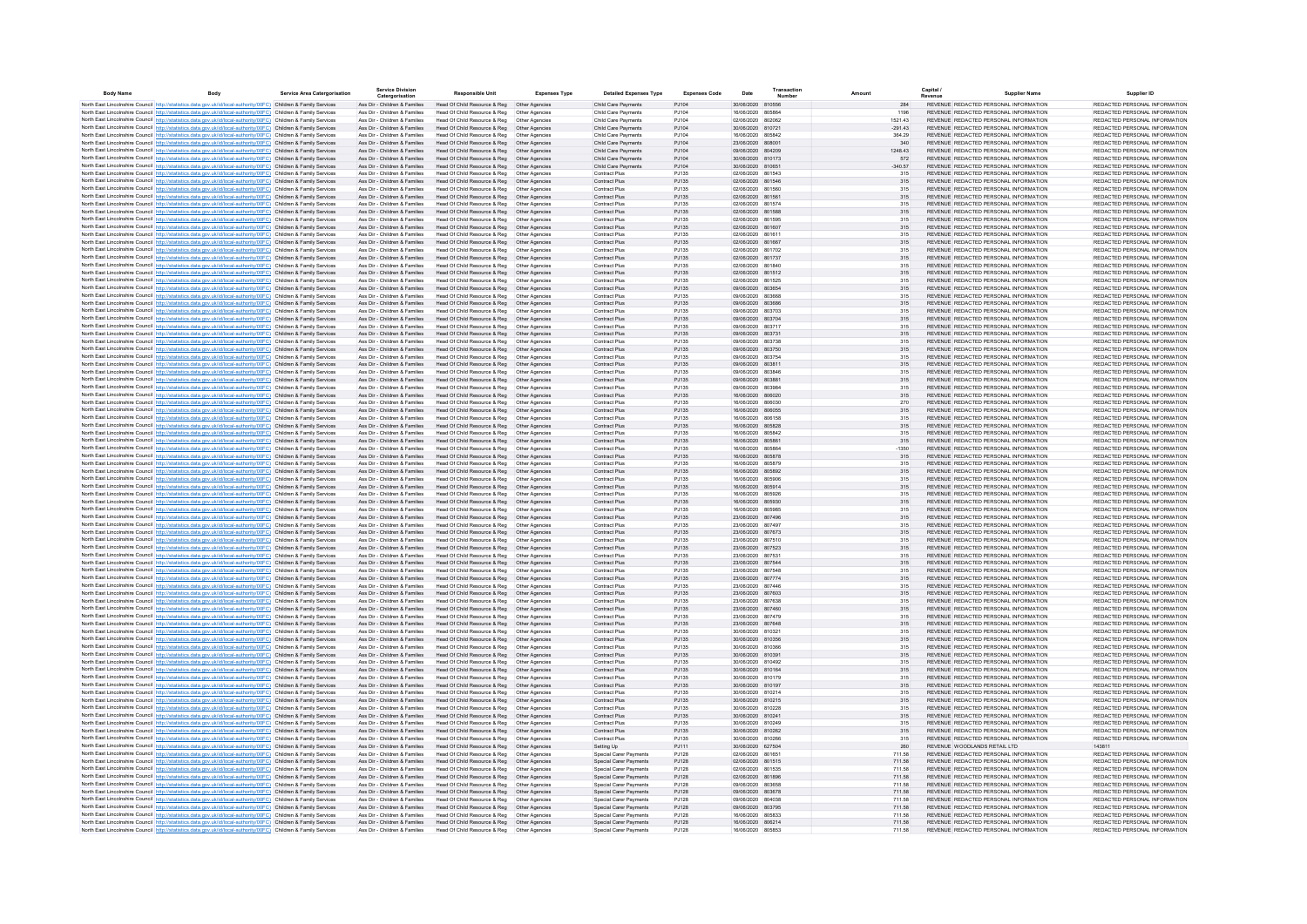| <b>Body Name</b> | <b>Rody</b>                                                                                                                                                                                                                            | Service Area Catergorisation | <b>Service Division</b><br>Catergorisatio                      | <b>Responsible Unit</b>                                                       | <b>Expenses Type</b>             | <b>Detailed Expenses Type</b>                    | <b>Expenses Code</b> | Date                                   | Transaction | Amount           | Capital                                                                        | <b>Supplier Name</b> | Supplier ID                                                    |
|------------------|----------------------------------------------------------------------------------------------------------------------------------------------------------------------------------------------------------------------------------------|------------------------------|----------------------------------------------------------------|-------------------------------------------------------------------------------|----------------------------------|--------------------------------------------------|----------------------|----------------------------------------|-------------|------------------|--------------------------------------------------------------------------------|----------------------|----------------------------------------------------------------|
|                  | North East Lincolnshire Council http://statistics.data.gov.uk/id/local-authority/00FC) Children & Family Services                                                                                                                      |                              | Ass Dir - Children & Families                                  | Head Of Child Resource & Reg  Other Agencies                                  |                                  | Child Care Payments                              | PJ104                | 30/06/2020 810556                      |             | 284              | REVENUE REDACTED PERSONAL INFORMATION                                          |                      | REDACTED PERSONAL INFORMATION                                  |
|                  | North East Lincolnshire Council http://statistics.data.gov.uk/id/local-authority/00FC) Children & Family Services                                                                                                                      |                              | Ass Dir - Children & Families                                  | Head Of Child Resource & Reg                                                  | Other Agencies                   | Child Care Payments                              | PJ104                | 16/06/2020 805864                      |             | 1196             | REVENUE REDACTED PERSONAL INFORMATION                                          |                      | REDACTED PERSONAL INFORMATION                                  |
|                  | North East Lincolnshire Council http://statistics.data.gov.uk/id/local-authority/00FC) Children & Family Services                                                                                                                      |                              | Ass Dir - Children & Families                                  | Head Of Child Resource & Reg                                                  | Other Agencies                   | Child Care Payments                              | PJ104                | 02/06/2020 802062                      |             | 1521.43          | REVENUE REDACTED PERSONAL INFORMATION                                          |                      | REDACTED PERSONAL INFORMATION                                  |
|                  | North East Lincolnshire Council http://statistics.data.gov.uk/id/local-authority/00FC) Children & Family Services                                                                                                                      |                              | Ass Dir - Children & Families                                  | Head Of Child Resource & Reg                                                  | Other Agencies                   | Child Care Payments                              | PJ104                | 30/06/2020 810721                      |             | $-291.43$        | REVENUE REDACTED PERSONAL INFORMATION                                          |                      | REDACTED PERSONAL INFORMATION                                  |
|                  | North East Lincolnshire Council http://statistics.data.gov.uk/id/local-authority/00FC) Children & Family Services                                                                                                                      |                              | Ass Dir - Children & Families                                  | Head Of Child Resource & Reg                                                  | Other Agencies                   | Child Care Payments                              | PJ104                | 16/06/2020 805842                      |             | 364.29           | REVENUE REDACTED PERSONAL INFORMATION                                          |                      | REDACTED PERSONAL INFORMATION<br>REDACTED PERSONAL INFORMATION |
|                  | North East Lincolnshire Council http://statistics.data.gov.uk/id/local-authority/00FC) Children & Family Services<br>North East Lincolnshire Council http://statistics.data.gov.uk/id/local-authority/00FC) Children & Family Services |                              | Ass Dir - Children & Families<br>Ass Dir - Children & Families | Head Of Child Resource & Reg<br>Head Of Child Resource & Reg                  | Other Agencies<br>Other Agencies | Child Care Payments<br>Child Care Payments       | PJ104<br>PJ104       | 23/06/2020 808001<br>09/06/2020 804209 |             | 1248.43          | REVENUE REDACTED PERSONAL INFORMATION<br>REVENUE REDACTED PERSONAL INFORMATION |                      | REDACTED PERSONAL INFORMATION                                  |
|                  | North East Lincolnshire Council http://statistics.data.gov.uk/id/local-authority/00FC) Children & Family Services                                                                                                                      |                              | Ass Dir - Children & Families                                  | Head Of Child Resource & Reg                                                  | Other Agencies                   | Child Care Payments                              | PJ104                | 30/06/2020 810173                      |             | 572              | REVENUE REDACTED PERSONAL INFORMATION                                          |                      | REDACTED PERSONAL INFORMATION                                  |
|                  | North East Lincolnshire Council http://statistics.data.gov.uk/id/local-authority/00FC) Children & Family Services                                                                                                                      |                              | Ass Dir - Children & Families                                  | Head Of Child Resource & Reg                                                  | Other Agencies                   | Child Care Payments                              | PJ104                | 30/06/2020 810651                      |             | $-340.57$        | REVENUE REDACTED PERSONAL INFORMATION                                          |                      | REDACTED PERSONAL INFORMATION                                  |
|                  | North East Lincolnshire Council http://statistics.data.gov.uk/id/local-authority/00FC) Children & Family Services                                                                                                                      |                              | Ass Dir - Children & Families                                  | Head Of Child Resource & Reg                                                  | Other Agencies                   | Contract Plus                                    | PJ135                | 02/06/2020 801543                      |             | 315              | REVENUE REDACTED PERSONAL INFORMATION                                          |                      | REDACTED PERSONAL INFORMATION                                  |
|                  | North East Lincolnshire Council http://statistics.data.gov.uk/id/local-authority/00FC) Children & Family Services                                                                                                                      |                              | Ass Dir - Children & Families                                  | Head Of Child Resource & Reg                                                  | Other Agencies                   | Contract Plus                                    | PJ135                | 02/06/2020 801546                      |             | 315              | REVENUE REDACTED PERSONAL INFORMATION                                          |                      | REDACTED PERSONAL INFORMATION                                  |
|                  | North East Lincolnshire Council http://statistics.data.gov.uk/id/local-authority/00FC) Children & Family Services                                                                                                                      |                              | Ass Dir - Children & Families                                  | Head Of Child Resource & Reg                                                  | Other Agencies                   | Contract Plus                                    | PJ135                | 02/06/2020 801560                      |             | 315              | REVENUE REDACTED PERSONAL INFORMATION                                          |                      | REDACTED PERSONAL INFORMATION                                  |
|                  | North East Lincolnshire Council http://statistics.data.gov.uk/id/local-authority/00FC) Children & Family Services<br>North East Lincolnshire Council http://statistics.data.gov.uk/id/local-authority/00FC) Children & Family Services |                              | Ass Dir - Children & Families<br>Ass Dir - Children & Families | Head Of Child Resource & Reg<br>Head Of Child Resource & Reg                  | Other Agencies<br>Other Agencies | <b>Contract Plus</b><br><b>Contract Plus</b>     | PJ135<br>PJ135       | 02/06/2020 801561<br>02/06/2020 801574 |             | 315<br>315       | REVENUE REDACTED PERSONAL INFORMATION<br>REVENUE REDACTED PERSONAL INFORMATION |                      | REDACTED PERSONAL INFORMATION<br>REDACTED PERSONAL INFORMATION |
|                  | North East Lincolnshire Council http://statistics.data.gov.uk/id/local-authority/00FC) Children & Family Services                                                                                                                      |                              | Ass Dir - Children & Families                                  | Head Of Child Resource & Reg                                                  | Other Agencies                   | <b>Contract Plus</b>                             | PJ135                | 02/06/2020 801588                      |             | 315              | REVENUE REDACTED PERSONAL INFORMATION                                          |                      | REDACTED PERSONAL INFORMATION                                  |
|                  | North East Lincolnshire Council http://statistics.data.gov.uk/id/local-authority/00FC) Children & Family Services                                                                                                                      |                              | Ass Dir - Children & Families                                  | Head Of Child Resource & Reg                                                  | Other Agencies                   | Contract Plus                                    | PJ135                | 02/06/2020 801595                      |             | 315              | REVENUE REDACTED PERSONAL INFORMATION                                          |                      | REDACTED PERSONAL INFORMATION                                  |
|                  | North East Lincolnshire Council http://statistics.data.gov.uk/id/local-authority/00FC) Children & Family Services                                                                                                                      |                              | Ass Dir - Children & Families                                  | Head Of Child Resource & Reg                                                  | Other Agencies                   | <b>Contract Plus</b>                             | PJ135                | 02/06/2020 801607                      |             | 315              | REVENUE REDACTED PERSONAL INFORMATION                                          |                      | REDACTED PERSONAL INFORMATION                                  |
|                  | North East Lincolnshire Council http://statistics.data.gov.uk/id/local-authority/00FC) Children & Family Services                                                                                                                      |                              | Ass Dir - Children & Families                                  | Head Of Child Resource & Reg                                                  | Other Agencies                   | Contract Plus                                    | PJ135                | 02/06/2020 801611                      |             | 315              | REVENUE REDACTED PERSONAL INFORMATION                                          |                      | REDACTED PERSONAL INFORMATION                                  |
|                  | North East Lincolnshire Council http://statistics.data.gov.uk/id/local-authority/00FC) Children & Family Services                                                                                                                      |                              | Ass Dir - Children & Families                                  | Head Of Child Resource & Reg                                                  | Other Agencies                   | <b>Contract Plus</b>                             | P.1135               | 02/06/2020 801667                      |             | 315              | REVENUE REDACTED PERSONAL INFORMATION                                          |                      | REDACTED PERSONAL INFORMATION                                  |
|                  | North East Lincolnshire Council http://statistics.data.gov.uk/id/local-authority/00FC) Children & Family Services                                                                                                                      |                              | Ass Dir - Children & Families                                  | Head Of Child Resource & Reg                                                  | Other Agencies                   | Contract Plus                                    | PJ135                | 02/06/2020 801702                      |             | 315              | REVENUE REDACTED PERSONAL INFORMATION                                          |                      | REDACTED PERSONAL INFORMATION<br>REDACTED PERSONAL INFORMATION |
|                  | North East Lincolnshire Council http://statistics.data.gov.uk/id/local-authority/00FC) Children & Family Services<br>North East Lincolnshire Council http://statistics.data.gov.uk/id/local-authority/00FC) Children & Family Services |                              | Ass Dir - Children & Families<br>Ass Dir - Children & Families | Head Of Child Resource & Reg  Other Agencies<br>Head Of Child Resource & Reg  | Other Agencies                   | Contract Plus<br>Contract Plu                    | PJ135<br>PJ135       | 02/06/2020 801737<br>02/06/2020 801840 |             | 315              | REVENUE REDACTED PERSONAL INFORMATION<br>REVENUE REDACTED PERSONAL INFORMATION |                      | REDACTED PERSONAL INFORMATION                                  |
|                  | North East Lincolnshire Council http://statistics.data.gov.uk/id/local-authority/00FC) Children & Family Services                                                                                                                      |                              | Ass Dir - Children & Families                                  | Head Of Child Resource & Reg                                                  | Other Agencies                   | Contract Plus                                    | PJ135                | 02/06/2020 801512                      |             | 315              | REVENUE REDACTED PERSONAL INFORMATION                                          |                      | REDACTED PERSONAL INFORMATION                                  |
|                  | North East Lincolnshire Council http://statistics.data.gov.uk/id/local-authority/00FC) Children & Family Services                                                                                                                      |                              | Ass Dir - Children & Families                                  | Head Of Child Resource & Reg                                                  | Other Agencies                   | Contract Plu                                     | PJ135                | 02/06/2020 801525                      |             | 315              | REVENUE REDACTED PERSONAL INFORMATION                                          |                      | REDACTED PERSONAL INFORMATION                                  |
|                  | North East Lincolnshire Council http://statistics.data.gov.uk/id/local-authority/00FC) Children & Family Services                                                                                                                      |                              | Ass Dir - Children & Families                                  | Head Of Child Resource & Reg                                                  | Other Agencies                   | Contract Plus                                    | PJ135                | 09/06/2020 803654                      |             | 315              | REVENUE REDACTED PERSONAL INFORMATION                                          |                      | REDACTED PERSONAL INFORMATION                                  |
|                  | North East Lincolnshire Council http://statistics.data.gov.uk/id/local-authority/00FC) Children & Family Services                                                                                                                      |                              | Ass Dir - Children & Families                                  | Head Of Child Resource & Reg                                                  | Other Agencies                   | Contract Plus                                    | PJ135                | 09/06/2020                             | 803668      | 315              | REVENUE REDACTED PERSONAL INFORMATION                                          |                      | REDACTED PERSONAL INFORMATION                                  |
|                  | North East Lincolnshire Council http://statistics.data.gov.uk/id/local-authority/00FC) Children & Family Services                                                                                                                      |                              | Ass Dir - Children & Families                                  | Head Of Child Resource & Reg   Other Agencies                                 |                                  | Contract Plus                                    | PJ135                | 09/06/2020 803686                      |             | 315              | REVENUE REDACTED PERSONAL INFORMATION                                          |                      | REDACTED PERSONAL INFORMATION                                  |
|                  | North East Lincolnshire Council http://statistics.data.gov.uk/id/local-authority/00FC) Children & Family Services                                                                                                                      |                              | Ass Dir - Children & Families                                  | Head Of Child Resource & Reg                                                  | Other Agencies                   | Contract Plus                                    | PJ135                | 09/06/2020 803703                      |             | 315              | REVENUE REDACTED PERSONAL INFORMATION                                          |                      | REDACTED PERSONAL INFORMATION                                  |
|                  | North East Lincolnshire Council http://statistics.data.gov.uk/id/local-authority/00FC) Children & Family Services<br>North East Lincolnshire Council http://statistics.data.gov.uk/id/local-authority/00FC) Children & Family Services |                              | Ass Dir - Children & Families<br>Ass Dir - Children & Families | Head Of Child Resource & Reg  Other Agencies<br>Head Of Child Resource & Reg  | Other Agencies                   | <b>Contract Plus</b><br><b>Contract Plus</b>     | PJ135<br>PJ135       | 09/06/2020 803704<br>09/06/2020 803717 |             | 315<br>315       | REVENUE REDACTED PERSONAL INFORMATION<br>REVENUE REDACTED PERSONAL INFORMATION |                      | REDACTED PERSONAL INFORMATION<br>REDACTED PERSONAL INFORMATION |
|                  | North East Lincolnshire Council http://statistics.data.gov.uk/id/local-authority/00FC) Children & Family Services                                                                                                                      |                              | Ass Dir - Children & Families                                  | Head Of Child Resource & Reg  Other Agencies                                  |                                  | <b>Contract Plus</b>                             | PJ135                | 09/06/2020 803731                      |             | 315              | REVENUE REDACTED PERSONAL INFORMATION                                          |                      | REDACTED PERSONAL INFORMATION                                  |
|                  | North East Lincolnshire Council http://statistics.data.gov.uk/id/local-authority/00FC) Children & Family Services                                                                                                                      |                              | Ass Dir - Children & Families                                  | Head Of Child Resource & Reg                                                  | Other Agencies                   | Contract Plus                                    | PJ135                | 09/06/2020 803738                      |             | 315              | REVENUE REDACTED PERSONAL INFORMATION                                          |                      | REDACTED PERSONAL INFORMATION                                  |
|                  | North East Lincolnshire Council http://statistics.data.gov.uk/id/local-authority/00FC) Children & Family Services                                                                                                                      |                              | Ass Dir - Children & Families                                  | Head Of Child Resource & Reg                                                  | Other Agencies                   | <b>Contract Plus</b>                             | PJ135                | 09/06/2020 803750                      |             | 315              | REVENUE REDACTED PERSONAL INFORMATION                                          |                      | REDACTED PERSONAL INFORMATION                                  |
|                  | North East Lincolnshire Council Intro Ustatistics data nov uk/id/local-authority/00FC) Children & Family Services                                                                                                                      |                              | Ass Dir - Children & Families                                  | Head Of Child Resource & Reg                                                  | Other Agencies                   | Contract Plus                                    | P.1135               | 09/06/2020 803754                      |             | 315              | REVENUE REDACTED PERSONAL INFORMATION                                          |                      | REDACTED PERSONAL INFORMATION                                  |
|                  | North East Lincolnshire Council http://statistics.data.gov.uk/id/local-authority/00FC) Children & Family Services                                                                                                                      |                              | Ass Dir - Children & Families                                  | Head Of Child Resource & Reg                                                  | Other Agencies                   | <b>Contract Plus</b>                             | PJ135                | 09/06/2020 803811                      |             | 315              | REVENUE REDACTED PERSONAL INFORMATION                                          |                      | REDACTED PERSONAL INFORMATION                                  |
|                  | North East Lincolnshire Council http://statistics.data.gov.uk/id/local-authority/00FC) Children & Family Services                                                                                                                      |                              | Ass Dir - Children & Families                                  | Head Of Child Resource & Reg                                                  | Other Agencies                   | Contract Plus                                    | P.1135               | 09/06/2020 803846                      |             | 315              | REVENUE REDACTED PERSONAL INFORMATION                                          |                      | REDACTED PERSONAL INFORMATION                                  |
|                  | North East Lincolnshire Council http://statistics.data.gov.uk/id/local-authority/00FC) Children & Family Services<br>North East Lincolnshire Council http://statistics.data.gov.uk/id/local-authority/00FC) Children & Family Services |                              | Ass Dir - Children & Families<br>Ass Dir - Children & Families | Head Of Child Resource & Reg<br>Head Of Child Resource & Reg                  | Other Agencies<br>Other Agencies | Contract Plus<br>Contract Plu                    | PJ135<br>PJ135       | 09/06/2020 803881<br>09/06/2020 803984 |             | 315<br>315       | REVENUE REDACTED PERSONAL INFORMATION<br>REVENUE REDACTED PERSONAL INFORMATION |                      | REDACTED PERSONAL INFORMATION<br>REDACTED PERSONAL INFORMATION |
|                  | North East Lincolnshire Council http://statistics.data.gov.uk/id/local-authority/00FC) Children & Family Services                                                                                                                      |                              | Ass Dir - Children & Families                                  | Head Of Child Resource & Reg                                                  | Other Agencies                   | Contract Plus                                    | PJ135                | 16/06/2020                             | 806020      | 315              | REVENUE REDACTED PERSONAL INFORMATION                                          |                      | REDACTED PERSONAL INFORMATION                                  |
|                  | North East Lincolnshire Council http://statistics.data.gov.uk/id/local-authority/00FC) Children & Family Services                                                                                                                      |                              | Ass Dir - Children & Families                                  | Head Of Child Resource & Reg                                                  | Other Agencies                   | Contract Plus                                    | PJ135                | 16/06/2020 806030                      |             | 270              | REVENUE REDACTED PERSONAL INFORMATION                                          |                      | REDACTED PERSONAL INFORMATION                                  |
|                  | North East Lincolnshire Council http://statistics.data.gov.uk/id/local-authority/00FC) Children & Family Services                                                                                                                      |                              | Ass Dir - Children & Families                                  | Head Of Child Resource & Reg                                                  | Other Agencies                   | Contract Plus                                    | PJ135                | 16/06/2020 806055                      |             | 315              | REVENUE REDACTED PERSONAL INFORMATION                                          |                      | REDACTED PERSONAL INFORMATION                                  |
|                  | North East Lincolnshire Council http://statistics.data.gov.uk/id/local-authority/00FC) Children & Family Services                                                                                                                      |                              | Ass Dir - Children & Families                                  | Head Of Child Resource & Reg                                                  | Other Agencies                   | Contract Plus                                    | PJ135                | 16/06/2020 806158                      |             | 315              | REVENUE REDACTED PERSONAL INFORMATION                                          |                      | REDACTED PERSONAL INFORMATION                                  |
|                  | North East Lincolnshire Council http://statistics.data.gov.uk/id/local-authority/00FC) Children & Family Services                                                                                                                      |                              | Ass Dir - Children & Families                                  | Head Of Child Resource & Reg                                                  | Other Agencies                   | <b>Contract Plus</b>                             | PJ135                | 16/06/2020 805828                      |             | 315              | REVENUE REDACTED PERSONAL INFORMATION                                          |                      | REDACTED PERSONAL INFORMATION                                  |
|                  | North East Lincolnshire Council http://statistics.data.gov.uk/id/local-authority/00FC) Children & Family Services                                                                                                                      |                              | Ass Dir - Children & Families                                  | Head Of Child Resource & Reg                                                  | Other Agencies                   | Contract Plus                                    | PJ135                | 16/06/2020 805842                      |             | 315              | REVENUE REDACTED PERSONAL INFORMATION                                          |                      | REDACTED PERSONAL INFORMATION<br>REDACTED PERSONAL INFORMATION |
|                  | North East Lincolnshire Council http://statistics.data.gov.uk/id/local-authority/00FC) Children & Family Services<br>North East Lincolnshire Council http://statistics.data.gov.uk/id/local-authority/00FC) Children & Family Services |                              | Ass Dir - Children & Families<br>Ass Dir - Children & Families | Head Of Child Resource & Reg<br>Head Of Child Resource & Reg                  | Other Agencies<br>Other Agencies | <b>Contract Plus</b><br>Contract Plus            | PJ135<br>PJ135       | 16/06/2020 805861<br>16/06/2020 805864 |             | 315<br>$-1350$   | REVENUE REDACTED PERSONAL INFORMATION<br>REVENUE REDACTED PERSONAL INFORMATION |                      | REDACTED PERSONAL INFORMATION                                  |
|                  | North East Lincolnshire Council http://statistics.data.gov.uk/id/local-authority/00FC) Children & Family Services                                                                                                                      |                              | Ass Dir - Children & Families                                  | Head Of Child Resource & Reg                                                  | Other Agencies                   | <b>Contract Plus</b>                             | PJ135                | 16/06/2020 805878                      |             | 315              | REVENUE REDACTED PERSONAL INFORMATION                                          |                      | REDACTED PERSONAL INFORMATION                                  |
|                  | North East Lincolnshire Council http://statistics.data.gov.uk/id/local-authority/00FC) Children & Family Services                                                                                                                      |                              | Ass Dir - Children & Families                                  | Head Of Child Resource & Reg                                                  | Other Agencies                   | Contract Plus                                    | PJ135                | 16/06/2020 805879                      |             | 315              | REVENUE REDACTED PERSONAL INFORMATION                                          |                      | REDACTED PERSONAL INFORMATION                                  |
|                  | North East Lincolnshire Council http://statistics.data.gov.uk/id/local-authority/00FC) Children & Family Services                                                                                                                      |                              | Ass Dir - Children & Families                                  | Head Of Child Resource & Reg                                                  | Other Agencies                   | Contract Plus                                    | P.1135               | 16/06/2020 805892                      |             | 315              | REVENUE REDACTED PERSONAL INFORMATION                                          |                      | REDACTED PERSONAL INFORMATION                                  |
|                  | North East Lincolnshire Council http://statistics.data.gov.uk/id/local-authority/00FC) Children & Family Services                                                                                                                      |                              | Ass Dir - Children & Families                                  | Head Of Child Resource & Reg                                                  | Other Agencies                   | Contract Plus                                    | P.1135               | 16/06/2020 805906                      |             | 315              | REVENUE REDACTED PERSONAL INFORMATION                                          |                      | REDACTED PERSONAL INFORMATION                                  |
|                  | North East Lincolnshire Council http://statistics.data.gov.uk/id/local-authority/00FC) Children & Family Services                                                                                                                      |                              | Ass Dir - Children & Families                                  | Head Of Child Resource & Reg                                                  | Other Agencies                   | <b>Contract Plus</b>                             | PJ135                | 16/06/2020 805914                      |             | 315              | REVENUE REDACTED PERSONAL INFORMATION                                          |                      | REDACTED PERSONAL INFORMATION                                  |
|                  | North East Lincolnshire Council http://statistics.data.gov.uk/id/local-authority/00FC) Children & Family Services                                                                                                                      |                              | Ass Dir - Children & Families                                  | Head Of Child Resource & Reg                                                  | Other Agencies                   | Contract Plus                                    | PJ135                | 16/06/2020 805926                      |             | 315              | REVENUE REDACTED PERSONAL INFORMATION                                          |                      | REDACTED PERSONAL INFORMATION<br>REDACTED PERSONAL INFORMATION |
|                  | North East Lincolnshire Council http://statistics.data.gov.uk/id/local-authority/00FC) Children & Family Services<br>North East Lincolnshire Council http://statistics.data.gov.uk/id/local-authority/00FC) Children & Family Services |                              | Ass Dir - Children & Families<br>Ass Dir - Children & Families | Head Of Child Resource & Reg   Other Agencies<br>Head Of Child Resource & Reg | Other Agencies                   | Contract Plus<br>Contract Plu                    | PJ135<br>PJ135       | 16/06/2020 805930<br>16/06/2020        | 805985      | 315<br>315       | REVENUE REDACTED PERSONAL INFORMATION<br>REVENUE REDACTED PERSONAL INFORMATION |                      | REDACTED PERSONAL INFORMATION                                  |
|                  | North East Lincolnshire Council http://statistics.data.gov.uk/id/local-authority/00FC) Children & Family Services                                                                                                                      |                              | Ass Dir - Children & Families                                  | Head Of Child Resource & Reg                                                  | Other Agencies                   | Contract Plus                                    | PJ135                | 23/06/2020 807496                      |             | 315              | REVENUE REDACTED PERSONAL INFORMATION                                          |                      | REDACTED PERSONAL INFORMATION                                  |
|                  | North East Lincolnshire Council http://statistics.data.gov.uk/id/local-authority/00FC) Children & Family Services                                                                                                                      |                              | Ass Dir - Children & Families                                  | Head Of Child Resource & Reg                                                  | Other Agencies                   | Contract Plus                                    | PJ135                | 23/06/2020                             | 807497      | 315              | REVENUE REDACTED PERSONAL INFORMATION                                          |                      | REDACTED PERSONAL INFORMATION                                  |
|                  | North East Lincolnshire Council http://statistics.data.gov.uk/id/local-authority/00FC) Children & Family Services                                                                                                                      |                              | Ass Dir - Children & Families                                  | Head Of Child Resource & Reg   Other Agencies                                 |                                  | Contract Plus                                    | PJ135                | 23/06/2020 807673                      |             | 315              | REVENUE REDACTED PERSONAL INFORMATION                                          |                      | REDACTED PERSONAL INFORMATION                                  |
|                  | North East Lincolnshire Council http://statistics.data.gov.uk/id/local-authority/00FC) Children & Family Services                                                                                                                      |                              | Ass Dir - Children & Families                                  | Head Of Child Resource & Reg                                                  | Other Agencies                   | Contract Plus                                    | PJ135                | 23/06/2020                             | 807510      | 315              | REVENUE REDACTED PERSONAL INFORMATION                                          |                      | REDACTED PERSONAL INFORMATION                                  |
|                  | North East Lincolnshire Council http://statistics.data.gov.uk/id/local-authority/00FC) Children & Family Services                                                                                                                      |                              | Ass Dir - Children & Families                                  | Head Of Child Resource & Reg   Other Agencies                                 |                                  | <b>Contract Plus</b>                             | PJ135                | 23/06/2020 807523<br>23/06/2020 807531 |             | 315              | REVENUE REDACTED PERSONAL INFORMATION<br>REVENUE REDACTED PERSONAL INFORMATION |                      | REDACTED PERSONAL INFORMATION<br>REDACTED PERSONAL INFORMATION |
|                  | North East Lincolnshire Council http://statistics.data.gov.uk/id/local-authority/00FC) Children & Family Services<br>North East Lincolnshire Council http://statistics.data.gov.uk/id/local-authority/00FC) Children & Family Services |                              | Ass Dir - Children & Families<br>Ass Dir - Children & Families | Head Of Child Resource & Reg<br>Head Of Child Resource & Reg   Other Agencies | Other Agencies                   | Contract Plus<br>Contract Plus                   | PJ135<br>PJ135       | 23/06/2020 807544                      |             | 315<br>315       | REVENUE REDACTED PERSONAL INFORMATION                                          |                      | REDACTED PERSONAL INFORMATION                                  |
|                  | North East Lincolnshire Council http://statistics.data.gov.uk/id/local-authority/00FC) Children & Family Services                                                                                                                      |                              | Ass Dir - Children & Families                                  | Head Of Child Resource & Reg                                                  | Other Agencies                   | Contract Plus                                    | PJ135                | 23/06/2020 807548                      |             | 315              | REVENUE REDACTED PERSONAL INFORMATION                                          |                      | REDACTED PERSONAL INFORMATION                                  |
|                  | North East Lincolnshire Council http://statistics.data.gov.uk/id/local-authority/00FC) Children & Family Services                                                                                                                      |                              | Ass Dir - Children & Families                                  | Head Of Child Resource & Reg                                                  | Other Agencies                   | <b>Contract Plus</b>                             | PJ135                | 23/06/2020 807774                      |             | 315              | REVENUE REDACTED PERSONAL INFORMATION                                          |                      | REDACTED PERSONAL INFORMATION                                  |
|                  | North East Lincolnshire Council http://statistics.data.gov.uk/id/local-authority/00FC) Children & Family Services                                                                                                                      |                              | Ass Dir - Children & Families                                  | Head Of Child Resource & Reg                                                  | Other Agencies                   | Contract Plus                                    | PJ135                | 23/06/2020 807446                      |             | 315              | REVENUE REDACTED PERSONAL INFORMATION                                          |                      | REDACTED PERSONAL INFORMATION                                  |
|                  | North East Lincolnshire Council http://statistics.data.gov.uk/id/local-authority/00FC) Children & Family Services                                                                                                                      |                              | Ass Dir - Children & Families                                  | Head Of Child Resource & Reg                                                  | Other Agencies                   | <b>Contract Plus</b>                             | PJ135                | 23/06/2020 807603                      |             | 315              | REVENUE REDACTED PERSONAL INFORMATION                                          |                      | REDACTED PERSONAL INFORMATION                                  |
|                  | North East Lincolnshire Council http://statistics.data.gov.uk/id/local-authority/00FC) Children & Family Services                                                                                                                      |                              | Ass Dir - Children & Families                                  | Head Of Child Resource & Reg                                                  | Other Agencies                   | Contract Plus                                    | P.1135               | 23/06/2020 807638                      |             | 315              | REVENUE REDACTED PERSONAL INFORMATION                                          |                      | REDACTED PERSONAL INFORMATION                                  |
|                  | North East Lincolnshire Council http://statistics.data.gov.uk/id/local-authority/00FC) Children & Family Services                                                                                                                      |                              | Ass Dir - Children & Families<br>Ass Dir - Children & Families | Head Of Child Resource & Reg<br>Head Of Child Resource & Reg                  | Other Agencies                   | <b>Contract Plus</b>                             | PJ135<br>PJ135       | 23/06/2020 807460<br>23/06/2020 807479 |             | 315              | REVENUE REDACTED PERSONAL INFORMATION<br>REVENUE REDACTED PERSONAL INFORMATION |                      | REDACTED PERSONAL INFORMATION<br>REDACTED PERSONAL INFORMATION |
|                  | North East Lincolnshire Council http://statistics.data.gov.uk/id/local-authority/00FC) Children & Family Services<br>North East Lincolnshire Council http://statistics.data.gov.uk/id/local-authority/00FC) Children & Family Services |                              | Ass Dir - Children & Families                                  | Head Of Child Resource & Reg                                                  | Other Agencies<br>Other Agencies | Contract Plus<br>Contract Plus                   | PJ135                | 23/06/2020 807648                      |             | 315<br>315       | REVENUE REDACTED PERSONAL INFORMATION                                          |                      | REDACTED PERSONAL INFORMATION                                  |
|                  | North East Lincolnshire Council http://statistics.data.gov.uk/id/local-authority/00FC) Children & Family Services                                                                                                                      |                              | Ass Dir - Children & Families                                  | Head Of Child Resource & Reg                                                  | Other Agencies                   | Contract Plus                                    | PJ135                | 30/06/2020 810321                      |             | 315              | REVENUE REDACTED PERSONAL INFORMATION                                          |                      | REDACTED PERSONAL INFORMATION                                  |
|                  | North East Lincolnshire Council http://statistics.data.gov.uk/id/local-authority/00FC) Children & Family Services                                                                                                                      |                              | Ass Dir - Children & Families                                  | Head Of Child Resource & Reg                                                  | Other Agencies                   | Contract Plus                                    | PJ135                | 30/06/2020 810356                      |             | 315              | REVENUE REDACTED PERSONAL INFORMATION                                          |                      | REDACTED PERSONAL INFORMATION                                  |
|                  | North East Lincolnshire Council http://statistics.data.gov.uk/id/local-authority/00FC) Children & Family Services                                                                                                                      |                              | Ass Dir - Children & Families                                  | Head Of Child Resource & Reg                                                  | Other Agencies                   | Contract Plus                                    | PJ135                | 30/06/2020 810366                      |             | 315              | REVENUE REDACTED PERSONAL INFORMATION                                          |                      | REDACTED PERSONAL INFORMATION                                  |
|                  | North East Lincolnshire Council http://statistics.data.gov.uk/id/local-authority/00FC) Children & Family Services                                                                                                                      |                              | Ass Dir - Children & Families                                  | Head Of Child Resource & Reg                                                  | Other Agencies                   | <b>Contract Plus</b>                             | PJ135                | 30/06/2020 810391                      |             | 315              | REVENUE REDACTED PERSONAL INFORMATION                                          |                      | REDACTED PERSONAL INFORMATION                                  |
|                  | North East Lincolnshire Council http://statistics.data.gov.uk/id/local-authority/00FC) Children & Family Services                                                                                                                      |                              | Ass Dir - Children & Families                                  | Head Of Child Resource & Reg                                                  | Other Agencies                   | Contract Plus                                    | PJ135                | 30/06/2020 810492                      |             | 315              | REVENUE REDACTED PERSONAL INFORMATION                                          |                      | REDACTED PERSONAL INFORMATION                                  |
|                  | North East Lincolnshire Council http://statistics.data.gov.uk/id/local-authority/00FC) Children & Family Services                                                                                                                      |                              | Ass Dir - Children & Families                                  | Head Of Child Resource & Reg                                                  | Other Agencies                   | <b>Contract Plus</b>                             | PJ135                | 30/06/2020 810164                      |             | 315              | REVENUE REDACTED PERSONAL INFORMATION                                          |                      | REDACTED PERSONAL INFORMATION                                  |
|                  | North East Lincolnshire Council http://statistics.data.gov.uk/id/local-authority/00FC) Children & Family Services<br>North East Lincolnshire Council http://statistics.data.gov.uk/id/local-authority/00FC) Children & Family Services |                              | Ass Dir - Children & Families<br>Ass Dir - Children & Families | Head Of Child Resource & Reg<br>Head Of Child Resource & Reg                  | Other Agencies<br>Other Agencies | Contract Plus<br>Contract Plus                   | PJ135<br>PJ135       | 30/06/2020 810179<br>30/06/2020 810197 |             | 315<br>315       | REVENUE REDACTED PERSONAL INFORMATION<br>REVENUE REDACTED PERSONAL INFORMATION |                      | REDACTED PERSONAL INFORMATION<br>REDACTED PERSONAL INFORMATION |
|                  | North East Lincolnshire Council http://statistics.data.gov.uk/id/local-authority/00FC) Children & Family Services                                                                                                                      |                              | Ass Dir - Children & Families                                  | Head Of Child Resource & Reg                                                  | Other Agencies                   | Contract Plus                                    | PJ135                | 30/06/2020 810214                      |             | 315              | REVENUE REDACTED PERSONAL INFORMATION                                          |                      | REDACTED PERSONAL INFORMATION                                  |
|                  | North East Lincolnshire Council http://statistics.data.gov.uk/id/local-authority/00FC) Children & Family Services                                                                                                                      |                              | Ass Dir - Children & Families                                  | Head Of Child Resource & Reg                                                  | Other Agencies                   | <b>Contract Plus</b>                             | PJ135                | 30/06/2020 810215                      |             | 315              | REVENUE REDACTED PERSONAL INFORMATION                                          |                      | REDACTED PERSONAL INFORMATION                                  |
|                  | North East Lincolnshire Council http://statistics.data.gov.uk/id/local-authority/00FC) Children & Family Services                                                                                                                      |                              | Ass Dir - Children & Families                                  | Head Of Child Resource & Reg                                                  | Other Agencies                   | Contract Plus                                    | P.1135               | 30/06/2020 810228                      |             | 315              | REVENUE REDACTED PERSONAL INFORMATION                                          |                      | REDACTED PERSONAL INFORMATION                                  |
|                  | North East Lincolnshire Council http://statistics.data.gov.uk/id/local-authority/00FC) Children & Family Services                                                                                                                      |                              | Ass Dir - Children & Families                                  | Head Of Child Resource & Reg                                                  | Other Agencies                   | <b>Contract Plus</b>                             | PJ135                | 30/06/2020 810241                      |             | 315              | REVENUE REDACTED PERSONAL INFORMATION                                          |                      | REDACTED PERSONAL INFORMATION                                  |
|                  | North East Lincolnshire Council http://statistics.data.gov.uk/id/local-authority/00FC) Children & Family Services                                                                                                                      |                              | Ass Dir - Children & Families                                  | Head Of Child Resource & Reg                                                  | Other Agencies                   | Contract Plus                                    | P.1135               | 30/06/2020 810249                      |             | 315              | REVENUE REDACTED PERSONAL INFORMATION                                          |                      | REDACTED PERSONAL INFORMATION                                  |
|                  | North East Lincolnshire Council http://statistics.data.gov.uk/id/local-authority/00FC) Children & Family Services                                                                                                                      |                              | Ass Dir - Children & Families<br>Ass Dir - Children & Families | Head Of Child Resource & Reg<br>Head Of Child Resource & Reg                  | Other Agencies                   | Contract Plus<br>Contract Plus                   | PJ135<br>PJ135       | 30/06/2020 810262<br>30/06/2020 810266 |             | 315<br>315       | REVENUE REDACTED PERSONAL INFORMATION<br>REVENUE REDACTED PERSONAL INFORMATION |                      | REDACTED PERSONAL INFORMATION<br>REDACTED PERSONAL INFORMATION |
|                  | North East Lincolnshire Council http://statistics.data.gov.uk/id/local-authority/00FC) Children & Family Services<br>North East Lincolnshire Council http://statistics.data.gov.uk/id/local-authority/00FC) Children & Family Services |                              | Ass Dir - Children & Families                                  | Head Of Child Resource & Reg                                                  | Other Agencies<br>Other Agencies | Setting Up                                       | PJ111                | 30/06/2020 627504                      |             | 260              | REVENUE WOODLANDS RETAIL LTD                                                   |                      | 143811                                                         |
|                  | North East Lincolnshire Council http://statistics.data.gov.uk/id/local-authority/00FC) Children & Family Services                                                                                                                      |                              | Ass Dir - Children & Families                                  | Head Of Child Resource & Reg                                                  | Other Agencies                   | Special Carer Payments                           | PJ128                | 02/06/2020 801651                      |             | 711.58           | REVENUE REDACTED PERSONAL INFORMATION                                          |                      | REDACTED PERSONAL INFORMATION                                  |
|                  | North East Lincolnshire Council http://statistics.data.gov.uk/id/local-authority/00FC) Children & Family Services                                                                                                                      |                              | Ass Dir - Children & Families                                  | Head Of Child Resource & Reg  Other Agencies                                  |                                  | Special Carer Payments                           | PJ128                | 02/06/2020 801515                      |             | 711.58           | REVENUE REDACTED PERSONAL INFORMATION                                          |                      | REDACTED PERSONAL INFORMATION                                  |
|                  | North East Lincolnshire Council http://statistics.data.gov.uk/id/local-authority/00FC) Children & Family Services                                                                                                                      |                              | Ass Dir - Children & Families                                  | Head Of Child Resource & Reg                                                  | Other Agencies                   | Special Carer Payments                           | PJ128                | 02/06/2020                             | 801535      | 711.58           | REVENUE REDACTED PERSONAL INFORMATION                                          |                      | REDACTED PERSONAL INFORMATION                                  |
|                  | North East Lincolnshire Council http://statistics.data.gov.uk/id/local-authority/00FC) Children & Family Services                                                                                                                      |                              | Ass Dir - Children & Families                                  | Head Of Child Resource & Reg   Other Agencies                                 |                                  | Special Carer Payments                           | PJ128                | 02/06/2020 801896                      |             | 711.58           | REVENUE REDACTED PERSONAL INFORMATION                                          |                      | REDACTED PERSONAL INFORMATION                                  |
|                  | North East Lincolnshire Council http://statistics.data.gov.uk/id/local-authority/00FC) Children & Family Services                                                                                                                      |                              | Ass Dir - Children & Families                                  | Head Of Child Resource & Reg                                                  | Other Agencies                   | Special Carer Payments                           | PJ128                | 09/06/2020 803658                      |             | 711.58           | REVENUE REDACTED PERSONAL INFORMATION                                          |                      | REDACTED PERSONAL INFORMATION                                  |
|                  | North East Lincolnshire Council http://statistics.data.gov.uk/id/local-authority/00FC) Children & Family Services                                                                                                                      |                              | Ass Dir - Children & Families<br>Ass Dir - Children & Families | Head Of Child Resource & Reg   Other Agencies<br>Head Of Child Resource & Reg |                                  | Special Carer Payments                           | PJ128<br>PJ128       | 09/06/2020 803678<br>09/06/2020 804038 |             | 711.58<br>711.58 | REVENUE REDACTED PERSONAL INFORMATION<br>REVENUE REDACTED PERSONAL INFORMATION |                      | REDACTED PERSONAL INFORMATION<br>REDACTED PERSONAL INFORMATION |
|                  | North East Lincolnshire Council http://statistics.data.gov.uk/id/local-authority/00FC) Children & Family Services<br>North East Lincolnshire Council http://statistics.data.gov.uk/id/local-authority/00FC) Children & Family Services |                              | Ass Dir - Children & Families                                  | Head Of Child Resource & Reg   Other Agencies                                 | Other Agencies                   | Special Carer Payments<br>Special Carer Payments | PJ128                | 09/06/2020 803795                      |             | 711.58           | REVENUE REDACTED PERSONAL INFORMATION                                          |                      | REDACTED PERSONAL INFORMATION                                  |
|                  | North East Lincolnshire Council http://statistics.data.gov.uk/id/local-authority/00FC) Children & Family Services                                                                                                                      |                              | Ass Dir - Children & Families                                  | Head Of Child Resource & Reg                                                  | Other Agencies                   | Special Carer Payments                           | PJ128                | 16/06/2020 805833                      |             | 711.58           | REVENUE REDACTED PERSONAL INFORMATION                                          |                      | REDACTED PERSONAL INFORMATION                                  |
|                  | North East Lincolnshire Council http://statistics.data.gov.uk/id/local-authority/00FC) Children & Family Services                                                                                                                      |                              |                                                                | Ass Dir - Children & Families Head Of Child Resource & Reg Other Agencies     |                                  | Special Carer Payments                           | P.1128               | 16/06/2020 806214                      |             | 711.58           | REVENUE REDACTED PERSONAL INFORMATION                                          |                      | REDACTED PERSONAL INFORMATION                                  |
|                  | North East Lincolnshire Council http://statistics.data.gov.uk/id/local-authority/00FC) Children & Family Services                                                                                                                      |                              | Ass Dir - Children & Families                                  | Head Of Child Resource & Reg                                                  | Other Agencies                   | Special Carer Payments                           | P.1128               | 16/06/2020 805853                      |             | 711.58           | REVENUE REDACTED PERSONAL INFORMATION                                          |                      | REDACTED PERSONAL INFORMATION                                  |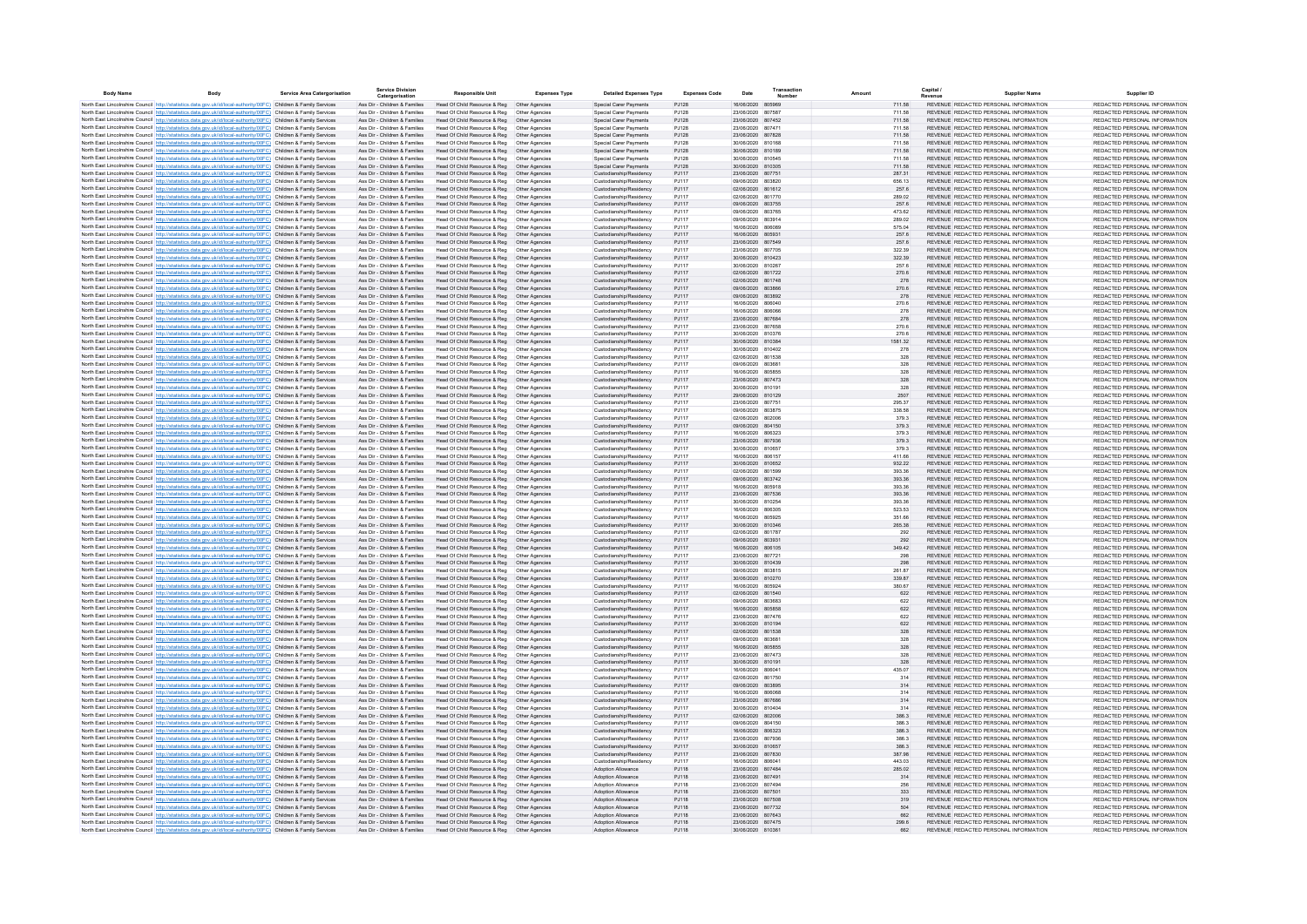| <b>Body Name</b> | <b>Rody</b>                                                                                                                                                                                                                            | Service Area Caternorisation | <b>Service Division</b><br>Catergorisation                     | <b>Responsible Unit</b>                                      | <b>Expenses Type</b>             | <b>Detailed Expenses Type</b>                      | <b>Expenses Code</b> | Date                                   | Transaction | Amount           | Capital                                                                        | <b>Supplier Name</b> | Supplier ID                                                    |
|------------------|----------------------------------------------------------------------------------------------------------------------------------------------------------------------------------------------------------------------------------------|------------------------------|----------------------------------------------------------------|--------------------------------------------------------------|----------------------------------|----------------------------------------------------|----------------------|----------------------------------------|-------------|------------------|--------------------------------------------------------------------------------|----------------------|----------------------------------------------------------------|
|                  | North East Lincolnshire Council http://statistics.data.gov.uk/id/local-authority/00FC) Children & Family Services                                                                                                                      |                              | Ass Dir - Children & Families                                  | Head Of Child Resource & Reg   Other Agencies                |                                  | Special Carer Payments                             | PJ128                | 16/06/2020 805969                      |             | 711.58           | REVENUE REDACTED PERSONAL INFORMATION                                          |                      | REDACTED PERSONAL INFORMATION                                  |
|                  | North East Lincolnshire Council http://statistics.data.gov.uk/id/local-authority/00FC) Children & Family Services                                                                                                                      |                              | Ass Dir - Children & Families                                  | Head Of Child Resource & Reg                                 | Other Agencies                   | Special Carer Payments                             | PJ128                | 23/06/2020 807587                      |             | 711.58           | REVENUE REDACTED PERSONAL INFORMATION                                          |                      | REDACTED PERSONAL INFORMATION                                  |
|                  | North East Lincolnshire Council http://statistics.data.gov.uk/id/local-authority/00FC) Children & Family Services                                                                                                                      |                              | Ass Dir - Children & Families                                  | Head Of Child Resource & Reg                                 | Other Agencies                   | Special Carer Payments                             | P.1128               | 23/06/2020 807452                      |             | 711.58           | REVENUE REDACTED PERSONAL INFORMATION                                          |                      | REDACTED PERSONAL INFORMATION                                  |
|                  | North East Lincolnshire Council http://statistics.data.gov.uk/id/local-authority/00FC) Children & Family Services                                                                                                                      |                              | Ass Dir - Children & Families                                  | Head Of Child Resource & Reg                                 | Other Agencies                   | Special Carer Payments                             | P.1128               | 23/06/2020 807471                      |             | 711.58           | REVENUE REDACTED PERSONAL INFORMATION                                          |                      | REDACTED PERSONAL INFORMATION                                  |
|                  | North East Lincolnshire Council http://statistics.data.gov.uk/id/local-authority/00FC) Children & Family Services<br>North East Lincolnshire Council http://statistics.data.gov.uk/id/local-authority/00FC) Children & Family Services |                              | Ass Dir - Children & Families<br>Ass Dir - Children & Families | Head Of Child Resource & Reg<br>Head Of Child Resource & Reg | Other Agencies<br>Other Agencies | Special Carer Payments<br>Special Carer Payments   | PJ128<br>PJ128       | 23/06/2020 807828<br>30/06/2020 810168 |             | 711.58<br>711.58 | REVENUE REDACTED PERSONAL INFORMATION<br>REVENUE REDACTED PERSONAL INFORMATION |                      | REDACTED PERSONAL INFORMATION<br>REDACTED PERSONAL INFORMATION |
|                  | North East Lincolnshire Council http://statistics.data.gov.uk/id/local-authority/00FC) Children & Family Services                                                                                                                      |                              | Ass Dir - Children & Families                                  | Head Of Child Resource & Reg                                 | Other Agencies                   | Special Carer Payments                             | PJ128                | 30/06/2020 810189                      |             | 711.58           | REVENUE REDACTED PERSONAL INFORMATION                                          |                      | REDACTED PERSONAL INFORMATION                                  |
|                  | North East Lincolnshire Council http://statistics.data.gov.uk/id/local-authority/00FC) Children & Family Service                                                                                                                       |                              | Ass Dir - Children & Families                                  | Head Of Child Resource & Reg                                 | Other Agencies                   | Special Carer Payments                             | PJ128                | 30/06/2020 810545                      |             | 711.58           | REVENUE REDACTED PERSONAL INFORMATION                                          |                      | REDACTED PERSONAL INFORMATION                                  |
|                  | North East Lincolnshire Council http://statistics.data.gov.uk/id/local-authority/00FC) Children & Family Services                                                                                                                      |                              | Ass Dir - Children & Families                                  | Head Of Child Resource & Reg                                 | Other Agencies                   | Special Carer Payments                             | PJ128                | 30/06/2020 810305                      |             | 711.58           | REVENUE REDACTED PERSONAL INFORMATION                                          |                      | REDACTED PERSONAL INFORMATION                                  |
|                  | North East Lincolnshire Council http://statistics.data.gov.uk/id/local-authority/00FC) Children & Family Services                                                                                                                      |                              | Ass Dir - Children & Families                                  | Head Of Child Resource & Reg                                 | Other Agencies                   | Custodianship/Residency                            | PJ117                | 23/06/2020 807751                      |             | 287.31           | REVENUE REDACTED PERSONAL INFORMATION                                          |                      | REDACTED PERSONAL INFORMATION                                  |
|                  | North East Lincolnshire Council http://statistics.data.gov.uk/id/local-authority/00FC) Children & Family Services                                                                                                                      |                              | Ass Dir - Children & Families                                  | Head Of Child Resource & Reg                                 | Other Agencies                   | Custodianship/Residency                            | PJ117                | 09/06/2020                             | 803820      | 656.13           | REVENUE REDACTED PERSONAL INFORMATION                                          |                      | REDACTED PERSONAL INFORMATION                                  |
|                  | North East Lincolnshire Council http://statistics.data.gov.uk/id/local-authority/00FC) Children & Family Services<br>North East Lincolnshire Council http://statistics.data.gov.uk/id/local-authority/00FC) Children & Family Services |                              | Ass Dir - Children & Families                                  | Head Of Child Resource & Reg                                 | Other Agencies                   | Custodianship/Residency                            | PJ117                | 02/06/2020 801612                      |             | 257.6            | REVENUE REDACTED PERSONAL INFORMATION                                          |                      | REDACTED PERSONAL INFORMATION<br>REDACTED PERSONAL INFORMATION |
|                  | North East Lincolnshire Council http://statistics.data.gov.uk/id/local-authority/00FC) Children & Family Services                                                                                                                      |                              | Ass Dir - Children & Families<br>Ass Dir - Children & Families | Head Of Child Resource & Reg<br>Head Of Child Resource & Reg | Other Agencies<br>Other Agencies | Custodianship/Residency<br>Custodianship/Residency | PJ117<br>PJ117       | 02/06/2020 801770<br>09/06/2020 803755 |             | 289.02<br>257.6  | REVENUE REDACTED PERSONAL INFORMATION<br>REVENUE REDACTED PERSONAL INFORMATION |                      | REDACTED PERSONAL INFORMATION                                  |
|                  | North East Lincolnshire Council http://statistics.data.gov.uk/id/local-authority/00FC) Children & Family Services                                                                                                                      |                              | Ass Dir - Children & Families                                  | Head Of Child Resource & Reg                                 | Other Agencies                   | Custodianship/Residency                            | PJ117                | 09/06/2020 803765                      |             | 473.62           | REVENUE REDACTED PERSONAL INFORMATION                                          |                      | REDACTED PERSONAL INFORMATION                                  |
|                  | North East Lincolnshire Council http://statistics.data.gov.uk/id/local-authority/00FC) Children & Family Services                                                                                                                      |                              | Ass Dir - Children & Families                                  | Head Of Child Resource & Reg                                 | Other Agencies                   | Custodianship/Residency                            | PJ117                | 09/06/2020 803914                      |             | 289.02           | REVENUE REDACTED PERSONAL INFORMATION                                          |                      | REDACTED PERSONAL INFORMATION                                  |
|                  | North East Lincolnshire Council http://statistics.data.gov.uk/id/local-authority/00FC) Children & Family Services                                                                                                                      |                              | Ass Dir - Children & Families                                  | Head Of Child Resource & Reg                                 | Other Agencies                   | Custodianship/Residency                            | PJ117                | 16/06/2020 806089                      |             | 575.04           | REVENUE REDACTED PERSONAL INFORMATION                                          |                      | REDACTED PERSONAL INFORMATION                                  |
|                  | North East Lincolnshire Council http://statistics.data.gov.uk/id/local-authority/00FC) Children & Family Services                                                                                                                      |                              | Ass Dir - Children & Families                                  | Head Of Child Resource & Reg                                 | Other Agencies                   | Custodianship/Residency                            | P.1117               | 16/06/2020 805931                      |             | 257.6            | REVENUE REDACTED PERSONAL INFORMATION                                          |                      | REDACTED PERSONAL INFORMATION                                  |
|                  | North East Lincolnshire Council http://statistics.data.gov.uk/id/local-authority/00FC) Children & Family Services                                                                                                                      |                              | Ass Dir - Children & Families<br>Ass Dir - Children & Families | Head Of Child Resource & Reg<br>Head Of Child Resource & Reg | Other Agencies                   | Custodianship/Residency<br>Custodianship/Residency | PJ117<br>P.1117      | 23/06/2020 807549<br>23/06/2020 807705 |             | 257.6            | REVENUE REDACTED PERSONAL INFORMATION<br>REVENUE REDACTED PERSONAL INFORMATION |                      | REDACTED PERSONAL INFORMATION                                  |
|                  | North East Lincolnshire Council http://statistics.data.gov.uk/id/local-authority/00FC) Children & Family Services<br>North East Lincolnshire Council http://statistics.data.gov.uk/id/local-authority/00FC) Children & Family Services |                              | Ass Dir - Children & Families                                  | Head Of Child Resource & Reg                                 | Other Agencies<br>Other Agencies | Custodianship/Residency                            | PJ117                | 30/06/2020 810423                      |             | 322.39<br>322.39 | REVENUE REDACTED PERSONAL INFORMATION                                          |                      | REDACTED PERSONAL INFORMATION<br>REDACTED PERSONAL INFORMATION |
|                  | North East Lincolnshire Council http://statistics.data.gov.uk/id/local-authority/00FC) Children & Family Service                                                                                                                       |                              | Ass Dir - Children & Families                                  | Head Of Child Resource & Reg                                 | Other Agencies                   | Custodianship/Residency                            | PJ117                | 30/06/2020 810267                      |             | 257.6            | REVENUE REDACTED PERSONAL INFORMATION                                          |                      | REDACTED PERSONAL INFORMATION                                  |
|                  | North East Lincolnshire Council http://statistics.data.gov.uk/id/local-authority/00FC) Children & Family Services                                                                                                                      |                              | Ass Dir - Children & Families                                  | Head Of Child Resource & Reg                                 | Other Agencies                   | Custodianship/Residency                            | PJ117                | 02/06/2020 801722                      |             | 270.6            | REVENUE REDACTED PERSONAL INFORMATION                                          |                      | REDACTED PERSONAL INFORMATION                                  |
|                  | North East Lincolnshire Council http://statistics.data.gov.uk/id/local-authority/00FC) Children & Family Services                                                                                                                      |                              | Ass Dir - Children & Families                                  | Head Of Child Resource & Reg                                 | Other Agencies                   | Custodianship/Residency                            | PJ117                | 02/06/2020                             | 801748      | 278              | REVENUE REDACTED PERSONAL INFORMATION                                          |                      | REDACTED PERSONAL INFORMATION                                  |
|                  | North East Lincolnshire Council http://statistics.data.gov.uk/id/local-authority/00FC) Children & Family Services                                                                                                                      |                              | Ass Dir - Children & Families                                  | Head Of Child Resource & Reg                                 | Other Agencies                   | Custodianship/Residency                            | <b>PJ117</b>         | 09/06/2020                             | 803866      | 270.6            | REVENUE REDACTED PERSONAL INFORMATION                                          |                      | REDACTED PERSONAL INFORMATION                                  |
|                  | North East Lincolnshire Council http://statistics.data.gov.uk/id/local-authority/00FC) Children & Family Services                                                                                                                      |                              | Ass Dir - Children & Families                                  | Head Of Child Resource & Reg                                 | Other Agencies                   | Custodianship/Residency                            | PJ117                | 09/06/2020 803892                      |             | 278              | REVENUE REDACTED PERSONAL INFORMATION                                          |                      | REDACTED PERSONAL INFORMATION                                  |
|                  | North East Lincolnshire Council http://statistics.data.gov.uk/id/local-authority/00FC) Children & Family Services                                                                                                                      |                              | Ass Dir - Children & Families                                  | Head Of Child Resource & Reg                                 | Other Agencies                   | Custodianship/Residency                            | PJ117<br>PJ117       | 16/06/2020 806040<br>16/06/2020 806066 |             | 270.6<br>278     | REVENUE REDACTED PERSONAL INFORMATION<br>REVENUE REDACTED PERSONAL INFORMATION |                      | REDACTED PERSONAL INFORMATION<br>REDACTED PERSONAL INFORMATION |
|                  | North East Lincolnshire Council http://statistics.data.gov.uk/id/local-authority/00FC) Children & Family Services<br>North East Lincolnshire Council http://statistics.data.gov.uk/id/local-authority/00FC) Children & Family Services |                              | Ass Dir - Children & Families<br>Ass Dir - Children & Families | Head Of Child Resource & Reg<br>Head Of Child Resource & Reg | Other Agencies<br>Other Agencies | Custodianship/Residency<br>Custodianship/Residency | PJ117                | 23/06/2020 807684                      |             | 278              | REVENUE REDACTED PERSONAL INFORMATION                                          |                      | REDACTED PERSONAL INFORMATION                                  |
|                  | North East Lincolnshire Council http://statistics.data.gov.uk/id/local-authority/00FC) Children & Family Services                                                                                                                      |                              | Ass Dir - Children & Families                                  | Head Of Child Resource & Reg                                 | Other Agencies                   | Custodianship/Residency                            | PJ117                | 23/06/2020 807658                      |             | 270.6            | REVENUE REDACTED PERSONAL INFORMATION                                          |                      | REDACTED PERSONAL INFORMATION                                  |
|                  | North East Lincolnshire Council http://statistics.data.gov.uk/id/local-authority/00FC) Children & Family Services                                                                                                                      |                              | Ass Dir - Children & Families                                  | Head Of Child Resource & Reg                                 | Other Agencies                   | Custodianship/Residency                            | PJ117                | 30/06/2020 810376                      |             | 270.6            | REVENUE REDACTED PERSONAL INFORMATION                                          |                      | REDACTED PERSONAL INFORMATION                                  |
|                  | North East Lincolnshire Council http://statistics.data.gov.uk/id/local-authority/00FC) Children & Family Services                                                                                                                      |                              | Ass Dir - Children & Families                                  | Head Of Child Resource & Reg                                 | Other Agencies                   | Custodianship/Residency                            | P.1117               | 30/06/2020 810384                      |             | 1581.32          | REVENUE REDACTED PERSONAL INFORMATION                                          |                      | REDACTED PERSONAL INFORMATION                                  |
|                  | North East Lincolnshire Council http://statistics.data.gov.uk/id/local-authority/00FC) Children & Family Services                                                                                                                      |                              | Ass Dir - Children & Families                                  | Head Of Child Resource & Reg                                 | Other Agencies                   | Custodianship/Residency                            | P.1117               | 30/06/2020 810402                      |             | 278              | REVENUE REDACTED PERSONAL INFORMATION                                          |                      | REDACTED PERSONAL INFORMATION                                  |
|                  | North East Lincolnshire Council http://statistics.data.gov.uk/id/local-authority/00FC) Children & Family Services                                                                                                                      |                              | Ass Dir - Children & Families                                  | Head Of Child Resource & Reg                                 | Other Agencies                   | Custodianship/Residency                            | P.1117               | 02/06/2020 801538                      |             | 328              | REVENUE REDACTED PERSONAL INFORMATION                                          |                      | REDACTED PERSONAL INFORMATION                                  |
|                  | North East Lincolnshire Council http://statistics.data.gov.uk/id/local-authority/00FC) Children & Family Services                                                                                                                      |                              | Ass Dir - Children & Families                                  | Head Of Child Resource & Reg                                 | Other Agencies                   | Custodianship/Residency                            | PJ117                | 09/06/2020 803681                      |             | 328              | REVENUE REDACTED PERSONAL INFORMATION                                          |                      | REDACTED PERSONAL INFORMATION                                  |
|                  | North East Lincolnshire Council http://statistics.data.gov.uk/id/local-authority/00FC) Children & Family Services                                                                                                                      |                              | Ass Dir - Children & Families                                  | Head Of Child Resource & Reg                                 | Other Agencies                   | Custodianship/Residency                            | P.1117               | 16/06/2020 805855                      |             | 328              | REVENUE REDACTED PERSONAL INFORMATION                                          |                      | REDACTED PERSONAL INFORMATION                                  |
|                  | North East Lincolnshire Council http://statistics.data.gov.uk/id/local-authority/00FC) Children & Family Services<br>North East Lincolnshire Council http://statistics.data.gov.uk/id/local-authority/00FC) Children & Family Services |                              | Ass Dir - Children & Families<br>Ass Dir - Children & Families | Head Of Child Resource & Reg<br>Head Of Child Resource & Reg | Other Agencies<br>Other Agencies | Custodianship/Residency<br>Custodianship/Residency | PJ117<br>PJ117       | 23/06/2020 807473<br>30/06/2020 81019  |             | 328<br>328       | REVENUE REDACTED PERSONAL INFORMATION<br>REVENUE REDACTED PERSONAL INFORMATION |                      | REDACTED PERSONAL INFORMATION<br>REDACTED PERSONAL INFORMATION |
|                  | North East Lincolnshire Council http://statistics.data.gov.uk/id/local-authority/00FC) Children & Family Services                                                                                                                      |                              | Ass Dir - Children & Families                                  | Head Of Child Resource & Reg                                 | Other Agencies                   | Custodianship/Residency                            | PJ117                | 29/06/2020 810129                      |             | 2507             | REVENUE REDACTED PERSONAL INFORMATION                                          |                      | REDACTED PERSONAL INFORMATION                                  |
|                  | North East Lincolnshire Council http://statistics.data.gov.uk/id/local-authority/00FC) Children & Family Services                                                                                                                      |                              | Ass Dir - Children & Families                                  | Head Of Child Resource & Reg                                 | Other Agencies                   | Custodianship/Residency                            | PJ117                | 23/06/2020 807751                      |             | 295.37           | REVENUE REDACTED PERSONAL INFORMATION                                          |                      | REDACTED PERSONAL INFORMATION                                  |
|                  | North East Lincolnshire Council http://statistics.data.gov.uk/id/local-authority/00FC) Children & Family Services                                                                                                                      |                              | Ass Dir - Children & Families                                  | Head Of Child Resource & Reg                                 | Other Agencies                   | Custodianship/Residency                            | PJ117                | 09/06/2020 803875                      |             | 338.58           | REVENUE REDACTED PERSONAL INFORMATION                                          |                      | REDACTED PERSONAL INFORMATION                                  |
|                  | North East Lincolnshire Council http://statistics.data.gov.uk/id/local-authority/00FC) Children & Family Services                                                                                                                      |                              | Ass Dir - Children & Families                                  | Head Of Child Resource & Reg                                 | Other Agencies                   | Custodianship/Residency                            | PJ117                | 02/06/2020 802006                      |             | 379.3            | REVENUE REDACTED PERSONAL INFORMATION                                          |                      | REDACTED PERSONAL INFORMATION                                  |
|                  | North East Lincolnshire Council http://statistics.data.gov.uk/id/local-authority/00FC) Children & Family Services                                                                                                                      |                              | Ass Dir - Children & Families                                  | Head Of Child Resource & Reg                                 | Other Agencies                   | Custodianship/Residency                            | PJ117                | 09/06/2020 804150                      |             | 379.3            | REVENUE REDACTED PERSONAL INFORMATION                                          |                      | REDACTED PERSONAL INFORMATION                                  |
|                  | North East Lincolnshire Council http://statistics.data.gov.uk/id/local-authority/00FC) Children & Family Services<br>North East Lincolnshire Council http://statistics.data.gov.uk/id/local-authority/00FC) Children & Family Services |                              | Ass Dir - Children & Families<br>Ass Dir - Children & Families | Head Of Child Resource & Reg<br>Head Of Child Resource & Reg | Other Agencies<br>Other Agencies | Custodianship/Residency<br>Custodianship/Residency | PJ117<br>PJ117       | 16/06/2020 806323<br>23/06/2020 807936 |             | 379.3<br>379.3   | REVENUE REDACTED PERSONAL INFORMATION<br>REVENUE REDACTED PERSONAL INFORMATION |                      | REDACTED PERSONAL INFORMATION<br>REDACTED PERSONAL INFORMATION |
|                  | North East Lincolnshire Council http://statistics.data.gov.uk/id/local-authority/00EC) Children & Family Services                                                                                                                      |                              | Ass Dir - Children & Families                                  | Head Of Child Resource & Reg                                 | Other Agencies                   | Custodianship/Residency                            | P.1117               | 30/06/2020 810657                      |             | 3793             | REVENUE REDACTED PERSONAL INFORMATION                                          |                      | REDACTED PERSONAL INFORMATION                                  |
|                  | North East Lincolnshire Council http://statistics.data.gov.uk/id/local-authority/00FC) Children & Family Services                                                                                                                      |                              | Ass Dir - Children & Families                                  | Head Of Child Resource & Reg                                 | Other Agencies                   | Custodianship/Residency                            | P.1117               | 16/06/2020 806157                      |             | 411.66           | REVENUE REDACTED PERSONAL INFORMATION                                          |                      | REDACTED PERSONAL INFORMATION                                  |
|                  | North East Lincolnshire Council http://statistics.data.gov.uk/id/local-authority/00FC) Children & Family Services                                                                                                                      |                              | Ass Dir - Children & Families                                  | Head Of Child Resource & Reg                                 | Other Agencies                   | Custodianship/Residency                            | PJ117                | 30/06/2020 810652                      |             | 932.22           | REVENUE REDACTED PERSONAL INFORMATION                                          |                      | REDACTED PERSONAL INFORMATION                                  |
|                  | North East Lincolnshire Council http://statistics.data.gov.uk/id/local-authority/00FC) Children & Family Services                                                                                                                      |                              | Ass Dir - Children & Families                                  | Head Of Child Resource & Reg                                 | Other Agencies                   | Custodianship/Residency                            | P.1117               | 02/06/2020 801599                      |             | 393.36           | REVENUE REDACTED PERSONAL INFORMATION                                          |                      | REDACTED PERSONAL INFORMATION                                  |
|                  | North East Lincolnshire Council http://statistics.data.gov.uk/id/local-authority/00FC) Children & Family Services                                                                                                                      |                              | Ass Dir - Children & Families                                  | Head Of Child Resource & Reg                                 | Other Agencies                   | Custodianship/Residency                            | PJ117                | 09/06/2020 803742                      |             | 393.36           | REVENUE REDACTED PERSONAL INFORMATION                                          |                      | REDACTED PERSONAL INFORMATION                                  |
|                  | North East Lincolnshire Council http://statistics.data.gov.uk/id/local-authority/00FC) Children & Family Services                                                                                                                      |                              | Ass Dir - Children & Families<br>Ass Dir - Children & Families | Head Of Child Resource & Reg                                 | Other Agencies                   | Custodianship/Residency<br>Custodianship/Residency | PJ117<br>PJ117       | 16/06/2020 805918<br>23/06/2020 807536 |             | 393.36<br>393.36 | REVENUE REDACTED PERSONAL INFORMATION<br>REVENUE REDACTED PERSONAL INFORMATION |                      | REDACTED PERSONAL INFORMATION<br>REDACTED PERSONAL INFORMATION |
|                  | North East Lincolnshire Council http://statistics.data.gov.uk/id/local-authority/00FC) Children & Family Services<br>North East Lincolnshire Council http://statistics.data.gov.uk/id/local-authority/00FC) Children & Family Services |                              | Ass Dir - Children & Families                                  | Head Of Child Resource & Reg<br>Head Of Child Resource & Reg | Other Agencies<br>Other Agencies | Custodianship/Residency                            | PJ117                | 30/06/2020 810254                      |             | 393.36           | REVENUE REDACTED PERSONAL INFORMATION                                          |                      | REDACTED PERSONAL INFORMATION                                  |
|                  | North East Lincolnshire Council http://statistics.data.gov.uk/id/local-authority/00FC) Children & Family Services                                                                                                                      |                              | Ass Dir - Children & Families                                  | Head Of Child Resource & Reg                                 | Other Agencies                   | Custodianship/Residency                            | PJ117                | 16/06/2020 806305                      |             | 523.53           | REVENUE REDACTED PERSONAL INFORMATION                                          |                      | REDACTED PERSONAL INFORMATION                                  |
|                  | North East Lincolnshire Council http://statistics.data.gov.uk/id/local-authority/00FC) Children & Family Services                                                                                                                      |                              | Ass Dir - Children & Families                                  | Head Of Child Resource & Reg                                 | Other Agencies                   | Custodianship/Residency                            | PJ117                | 16/06/2020 805925                      |             | 351.66           | REVENUE REDACTED PERSONAL INFORMATION                                          |                      | REDACTED PERSONAL INFORMATION                                  |
|                  | North East Lincolnshire Council http://statistics.data.gov.uk/id/local-authority/00FC) Children & Family Services                                                                                                                      |                              | Ass Dir - Children & Families                                  | Head Of Child Resource & Reg                                 | Other Agencies                   | Custodianship/Residency                            | PJ117                | 30/06/2020 810346                      |             | 265.38           | REVENUE REDACTED PERSONAL INFORMATION                                          |                      | REDACTED PERSONAL INFORMATION                                  |
|                  | North East Lincolnshire Council http://statistics.data.gov.uk/id/local-authority/00FC) Children & Family Services                                                                                                                      |                              | Ass Dir - Children & Families                                  | Head Of Child Resource & Reg                                 | Other Agencies                   | Custodianship/Residency                            | PJ117                | 02/06/2020 801787                      |             | 292              | REVENUE REDACTED PERSONAL INFORMATION                                          |                      | REDACTED PERSONAL INFORMATION                                  |
|                  | North East Lincolnshire Council http://statistics.data.gov.uk/id/local-authority/00FC) Children & Family Services                                                                                                                      |                              | Ass Dir - Children & Families                                  | Head Of Child Resource & Reg                                 | Other Agencies                   | Custodianship/Residency                            | PJ117                | 09/06/2020 803931                      |             | 292              | REVENUE REDACTED PERSONAL INFORMATION                                          |                      | REDACTED PERSONAL INFORMATION                                  |
|                  | North East Lincolnshire Council http://statistics.data.gov.uk/id/local-authority/00FC) Children & Family Services<br>North East Lincolnshire Council http://statistics.data.gov.uk/id/local-authority/00FC) Children & Family Services |                              | Ass Dir - Children & Families<br>Ass Dir - Children & Families | Head Of Child Resource & Reg<br>Head Of Child Resource & Reg | Other Agencies<br>Other Agencies | Custodianship/Residency<br>Custodianship/Residency | PJ117<br>PJ117       | 16/06/2020 806105<br>23/06/2020 807721 |             | 349.42<br>298    | REVENUE REDACTED PERSONAL INFORMATION<br>REVENUE REDACTED PERSONAL INFORMATION |                      | REDACTED PERSONAL INFORMATION<br>REDACTED PERSONAL INFORMATION |
|                  | North East Lincolnshire Council http://statistics.data.gov.uk/id/local-authority/00FC) Children & Family Services                                                                                                                      |                              | Ass Dir - Children & Families                                  | Head Of Child Resource & Reg                                 | Other Agencies                   | Custodianship/Residency                            | PJ117                | 30/06/2020 810439                      |             | 298              | REVENUE REDACTED PERSONAL INFORMATION                                          |                      | REDACTED PERSONAL INFORMATION                                  |
|                  | North East Lincolnshire Council http://statistics.data.gov.uk/id/local-authority/00EC) Children & Family Services                                                                                                                      |                              | Ass Dir - Children & Families                                  | Head Of Child Resource & Reg                                 | Other Agencies                   | Custodianship/Residency                            | P.1117               | 09/06/2020 803815                      |             | 261.87           | REVENUE REDACTED PERSONAL INFORMATION                                          |                      | REDACTED PERSONAL INFORMATION                                  |
|                  | North East Lincolnshire Council http://statistics.data.gov.uk/id/local-authority/00FC) Children & Family Services                                                                                                                      |                              | Ass Dir - Children & Families                                  | Head Of Child Resource & Reg                                 | Other Agencies                   | Custodianship/Residency                            | PJ117                | 30/06/2020 810270                      |             | 339.87           | REVENUE REDACTED PERSONAL INFORMATION                                          |                      | REDACTED PERSONAL INFORMATION                                  |
|                  | North East Lincolnshire Council http://statistics.data.gov.uk/id/local-authority/00FC) Children & Family Services                                                                                                                      |                              | Ass Dir - Children & Families                                  | Head Of Child Resource & Reg                                 | Other Agencies                   | Custodianship/Residency                            | PJ117                | 16/06/2020 805924                      |             | 380.67           | REVENUE REDACTED PERSONAL INFORMATION                                          |                      | REDACTED PERSONAL INFORMATION                                  |
|                  | North East Lincolnshire Council http://statistics.data.gov.uk/id/local-authority/00FC) Children & Family Services                                                                                                                      |                              | Ass Dir - Children & Families                                  | Head Of Child Resource & Reg                                 | Other Agencies                   | Custodianship/Residency                            | PJ117                | 02/06/2020 801540                      |             | 622              | REVENUE REDACTED PERSONAL INFORMATION                                          |                      | REDACTED PERSONAL INFORMATION                                  |
|                  | North East Lincolnshire Council http://statistics.data.gov.uk/id/local-authority/00FC) Children & Family Services                                                                                                                      |                              | Ass Dir - Children & Families                                  | Head Of Child Resource & Reg                                 | Other Agencies                   | Custodianship/Residency                            | PJ117                | 09/06/2020 803683<br>16/06/2020 805858 |             | 622              | REVENUE REDACTED PERSONAL INFORMATION<br>REVENUE REDACTED PERSONAL INFORMATION |                      | REDACTED PERSONAL INFORMATION                                  |
|                  | North East Lincolnshire Council http://statistics.data.gov.uk/id/local-authority/00FC) Children & Family Services<br>North East Lincolnshire Council http://statistics.data.gov.uk/id/local-authority/00FC) Children & Family Services |                              | Ass Dir - Children & Families<br>Ass Dir - Children & Families | Head Of Child Resource & Reg<br>Head Of Child Resource & Reg | Other Agencies<br>Other Agencie  | Custodianship/Residency<br>Custodianship/Residency | PJ117<br>PJ117       | 23/06/2020 807476                      |             | 622<br>622       | REVENUE REDACTED PERSONAL INFORMATION                                          |                      | REDACTED PERSONAL INFORMATION<br>REDACTED PERSONAL INFORMATION |
|                  | North East Lincolnshire Council http://statistics.data.gov.uk/id/local-authority/00FC) Children & Family Services                                                                                                                      |                              | Ass Dir - Children & Families                                  | Head Of Child Resource & Reg                                 | Other Agencies                   | Custodianship/Residency                            | PJ117                | 30/06/2020 810194                      |             | 622              | REVENUE REDACTED PERSONAL INFORMATION                                          |                      | REDACTED PERSONAL INFORMATION                                  |
|                  | North East Lincolnshire Council http://statistics.data.gov.uk/id/local-authority/00FC) Children & Family Services                                                                                                                      |                              | Ass Dir - Children & Families                                  | Head Of Child Resource & Reg                                 | Other Agencies                   | Custodianship/Residency                            | PJ117                | 02/06/2020 801538                      |             | 328              | REVENUE REDACTED PERSONAL INFORMATION                                          |                      | REDACTED PERSONAL INFORMATION                                  |
|                  | North East Lincolnshire Council http://statistics.data.gov.uk/id/local-authority/00FC) Children & Family Services                                                                                                                      |                              | Ass Dir - Children & Families                                  | Head Of Child Resource & Reg                                 | Other Agencies                   | Custodianship/Residency                            | PJ117                | 09/06/2020 803681                      |             | 328              | REVENUE REDACTED PERSONAL INFORMATION                                          |                      | REDACTED PERSONAL INFORMATION                                  |
|                  | North East Lincolnshire Council http://statistics.data.gov.uk/id/local-authority/00FC) Children & Family Services                                                                                                                      |                              | Ass Dir - Children & Families                                  | Head Of Child Resource & Reg                                 | Other Agencies                   | Custodianship/Residency                            | PJ117                | 16/06/2020 805855                      |             | 328              | REVENUE REDACTED PERSONAL INFORMATION                                          |                      | REDACTED PERSONAL INFORMATION                                  |
|                  | North East Lincolnshire Council http://statistics.data.gov.uk/id/local-authority/00FC) Children & Family Services                                                                                                                      |                              | Ass Dir - Children & Families                                  | Head Of Child Resource & Reg                                 | Other Agencies                   | Custodianship/Residency                            | PJ117                | 23/06/2020 807473                      |             | 328              | REVENUE REDACTED PERSONAL INFORMATION                                          |                      | REDACTED PERSONAL INFORMATION                                  |
|                  | North East Lincolnshire Council http://statistics.data.gov.uk/id/local-authority/00FC) Children & Family Services                                                                                                                      |                              | Ass Dir - Children & Families                                  | Head Of Child Resource & Reg                                 | Other Agencies                   | Custodianship/Residency                            | PJ117                | 30/06/2020 810191                      |             | 328              | REVENUE REDACTED PERSONAL INFORMATION                                          |                      | REDACTED PERSONAL INFORMATION                                  |
|                  | North East Lincolnshire Council http://statistics.data.gov.uk/id/local-authority/00FC) Children & Family Services<br>North East Lincolnshire Council http://statistics.data.gov.uk/id/local-authority/00FC) Children & Family Services |                              | Ass Dir - Children & Families<br>Ass Dir - Children & Families | Head Of Child Resource & Reg<br>Head Of Child Resource & Reg | Other Agencies<br>Other Agencies | Custodianship/Residency<br>Custodianship/Residency | PJ117<br>PJ117       | 16/06/2020 806041<br>02/06/2020 801750 |             | 435.07<br>314    | REVENUE REDACTED PERSONAL INFORMATION<br>REVENUE REDACTED PERSONAL INFORMATION |                      | REDACTED PERSONAL INFORMATION<br>REDACTED PERSONAL INFORMATION |
|                  | North East Lincolnshire Council http://statistics.data.gov.uk/id/local-authority/00FC) Children & Family Services                                                                                                                      |                              | Ass Dir - Children & Families                                  | Head Of Child Resource & Reg                                 | Other Agencies                   | Custodianship/Residency                            | PJ117                | 09/06/2020 803895                      |             | 314              | REVENUE REDACTED PERSONAL INFORMATION                                          |                      | REDACTED PERSONAL INFORMATION                                  |
|                  | North East Lincolnshire Council http://statistics.data.gov.uk/id/local-authority/00FC) Children & Family Services                                                                                                                      |                              | Ass Dir - Children & Families                                  | Head Of Child Resource & Reg                                 | Other Agencies                   | Custodianship/Residency                            | PJ117                | 16/06/2020 806068                      |             | 314              | REVENUE REDACTED PERSONAL INFORMATION                                          |                      | REDACTED PERSONAL INFORMATION                                  |
|                  | North East Lincolnshire Council http://statistics.data.gov.uk/id/local-authority/00FC) Children & Family Services                                                                                                                      |                              | Ass Dir - Children & Families                                  | Head Of Child Resource & Reg                                 | Other Agencies                   | Custodianship/Residency                            | PJ117                | 23/06/2020 807686                      |             | 314              | REVENUE REDACTED PERSONAL INFORMATION                                          |                      | REDACTED PERSONAL INFORMATION                                  |
|                  | North East Lincolnshire Council http://statistics.data.gov.uk/id/local-authority/00FC) Children & Family Services                                                                                                                      |                              | Ass Dir - Children & Families                                  | Head Of Child Resource & Reg                                 | Other Agencies                   | Custodianship/Residency                            | PJ117                | 30/06/2020 810404                      |             | 314              | REVENUE REDACTED PERSONAL INFORMATION                                          |                      | REDACTED PERSONAL INFORMATION                                  |
|                  | North East Lincolnshire Council http://statistics.data.gov.uk/id/local-authority/00FC) Children & Family Services                                                                                                                      |                              | Ass Dir - Children & Families                                  | Head Of Child Resource & Reg                                 | Other Agencies                   | Custodianship/Residency                            | PJ117                | 02/06/2020 802006                      |             | 386.3            | REVENUE REDACTED PERSONAL INFORMATION                                          |                      | REDACTED PERSONAL INFORMATION                                  |
|                  | North East Lincolnshire Council http://statistics.data.gov.uk/id/local-authority/00FC) Children & Family Services                                                                                                                      |                              | Ass Dir - Children & Families                                  | Head Of Child Resource & Reg                                 | Other Agencies                   | Custodianship/Residency                            | PJ117                | 09/06/2020 804150                      |             | 386.3            | REVENUE REDACTED PERSONAL INFORMATION                                          |                      | REDACTED PERSONAL INFORMATION                                  |
|                  | North East Lincolnshire Council http://statistics.data.gov.uk/id/local-authority/00FC) Children & Family Services<br>North East Lincolnshire Council http://statistics.data.gov.uk/id/local-authority/00FC) Children & Family Service  |                              | Ass Dir - Children & Families<br>Ass Dir - Children & Families | Head Of Child Resource & Reg<br>Head Of Child Resource & Reg | Other Agencies<br>Other Agencies | Custodianship/Residency<br>Custodianship/Residency | PJ117<br>PJ117       | 16/06/2020 806323<br>23/06/2020 807936 |             | 386.3<br>386.3   | REVENUE REDACTED PERSONAL INFORMATION<br>REVENUE REDACTED PERSONAL INFORMATION |                      | REDACTED PERSONAL INFORMATION<br>REDACTED PERSONAL INFORMATION |
|                  | North East Lincolnshire Council http://statistics.data.gov.uk/id/local-authority/00FC) Children & Family Services                                                                                                                      |                              | Ass Dir - Children & Families                                  | Head Of Child Resource & Reg                                 | Other Agencies                   | Custodianship/Residency                            | PJ117                | 30/06/2020 810657                      |             | 386.3            | REVENUE REDACTED PERSONAL INFORMATION                                          |                      | REDACTED PERSONAL INFORMATION                                  |
|                  | North East Lincolnshire Council http://statistics.data.gov.uk/id/local-authority/00FC) Children & Family Services                                                                                                                      |                              | Ass Dir - Children & Families                                  | Head Of Child Resource & Reg                                 | Other Agencies                   | Custodianship/Residency                            | PJ117                | 23/06/2020 807830                      |             | 387.98           | REVENUE REDACTED PERSONAL INFORMATION                                          |                      | REDACTED PERSONAL INFORMATION                                  |
|                  | North East Lincolnshire Council http://statistics.data.gov.uk/id/local-authority/00FC) Children & Family Services                                                                                                                      |                              | Ass Dir - Children & Families                                  | Head Of Child Resource & Reg                                 | Other Agencies                   | Custodianship/Residency                            | PJ117                | 16/06/2020 806041                      |             | 443.03           | REVENUE REDACTED PERSONAL INFORMATION                                          |                      | REDACTED PERSONAL INFORMATION                                  |
|                  | North East Lincolnshire Council http://statistics.data.gov.uk/id/local-authority/00FC) Children & Family Services                                                                                                                      |                              | Ass Dir - Children & Families                                  | Head Of Child Resource & Reg                                 | Other Agencies                   | Adoption Allowance                                 | PJ118                | 23/06/2020 807484                      |             | 285.02           | REVENUE REDACTED PERSONAL INFORMATION                                          |                      | REDACTED PERSONAL INFORMATION                                  |
|                  | North East Lincolnshire Council http://statistics.data.gov.uk/id/local-authority/00FC) Children & Family Services                                                                                                                      |                              | Ass Dir - Children & Families                                  | Head Of Child Resource & Reg                                 | Other Agencies                   | Adoption Allowance                                 | PJ118                | 23/06/2020 807491                      |             | 314              | REVENUE REDACTED PERSONAL INFORMATION                                          |                      | REDACTED PERSONAL INFORMATION                                  |
|                  | North East Lincolnshire Council http://statistics.data.gov.uk/id/local-authority/00FC) Children & Family Services                                                                                                                      |                              | Ass Dir - Children & Families                                  | Head Of Child Resource & Reg                                 | Other Agencies                   | Adoption Allowance                                 | PJ118                | 23/06/2020 807494                      |             | 256              | REVENUE REDACTED PERSONAL INFORMATION                                          |                      | REDACTED PERSONAL INFORMATION<br>REDACTED PERSONAL INFORMATION |
|                  | North East Lincolnshire Council http://statistics.data.gov.uk/id/local-authority/00FC) Children & Family Services<br>North East Lincolnshire Council http://statistics.data.gov.uk/id/local-authority/00FC) Children & Family Services |                              | Ass Dir - Children & Families<br>Ass Dir - Children & Families | Head Of Child Resource & Reg<br>Head Of Child Resource & Reg | Other Agencies<br>Other Agencies | Adoption Allowance<br>Adoption Allowance           | PJ118<br>PJ118       | 23/06/2020 807501<br>23/06/2020 807508 |             | 333<br>319       | REVENUE REDACTED PERSONAL INFORMATION<br>REVENUE REDACTED PERSONAL INFORMATION |                      | REDACTED PERSONAL INFORMATION                                  |
|                  | North East Lincolnshire Council http://statistics.data.gov.uk/id/local-authority/00FC) Children & Family Services                                                                                                                      |                              | Ass Dir - Children & Families                                  | Head Of Child Resource & Reg                                 | Other Agencies                   | Adoption Allowance                                 | PJ118                | 23/06/2020 807732                      |             | 504              | REVENUE REDACTED PERSONAL INFORMATION                                          |                      | REDACTED PERSONAL INFORMATION                                  |
|                  | North East Lincolnshire Council http://statistics.data.gov.uk/id/local-authority/00FC) Children & Family Services                                                                                                                      |                              | Ass Dir - Children & Families                                  | Head Of Child Resource & Reg                                 | Other Agencies                   | Adoption Allowance                                 | PJ118                | 23/06/2020 807643                      |             | 662              | REVENUE REDACTED PERSONAL INFORMATION                                          |                      | REDACTED PERSONAL INFORMATION                                  |
|                  | North East Lincolnshire Council http://statistics.data.gov.uk/id/local-authority/00FC) Children & Family Services                                                                                                                      |                              | Ass Dir - Children & Families                                  | Head Of Child Resource & Reg                                 | Other Agencies                   | Adoption Allowance                                 | PJ118                | 23/06/2020 807475                      |             | 299.6            | REVENUE REDACTED PERSONAL INFORMATION                                          |                      | REDACTED PERSONAL INFORMATION                                  |
|                  | North East Lincolnshire Council http://statistics.data.gov.uk/id/local-authority/00FC) Children & Family Services                                                                                                                      |                              | Ass Dir - Children & Families                                  | Head Of Child Resource & Reg                                 |                                  | <b>Adoption Allows</b>                             | PJ118                | 30/06/2020 81036                       |             |                  | REVENUE REDACTED PERSONAL INFORMATION                                          |                      | REDACTED PERSONAL INFORMATION                                  |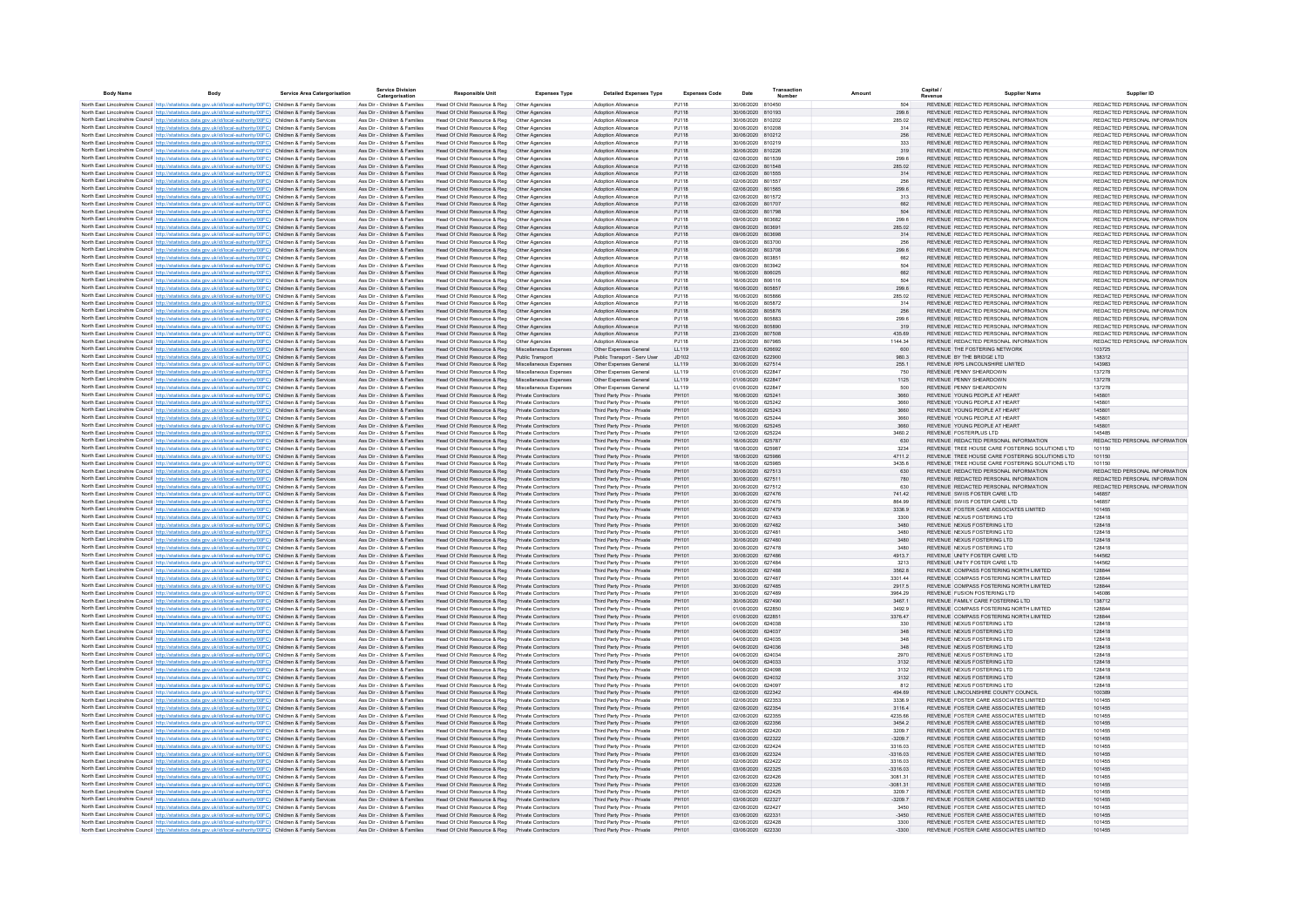| <b>Body Name</b> | Body                                                                                                                                                                                                                                   | Service Area Catergorisation     | <b>Service Division</b><br>Catergorisation                     | <b>Responsible Unit</b>                                      | <b>Expenses Type</b>                                     | <b>Detailed Expenses Type</b>                            | <b>Expenses Code</b>  | Date                                   | Transactio<br>Numbe |                       | Capital<br>Supplier Name                                                         | Supplier ID                                                    |
|------------------|----------------------------------------------------------------------------------------------------------------------------------------------------------------------------------------------------------------------------------------|----------------------------------|----------------------------------------------------------------|--------------------------------------------------------------|----------------------------------------------------------|----------------------------------------------------------|-----------------------|----------------------------------------|---------------------|-----------------------|----------------------------------------------------------------------------------|----------------------------------------------------------------|
|                  | North East Lincolnshire Council http://statistics.data.gov.uk/id/local-authority/00FC) Children & Family Services                                                                                                                      |                                  | Ass Dir - Children & Families                                  | Head Of Child Resource & Reg                                 | Other Agencies                                           | Adoption Allowance                                       | P.I118                | 30/06/2020 810450                      |                     | 504                   | REVENUE REDACTED PERSONAL INFORMATION                                            | REDACTED PERSONAL INFORMATION                                  |
|                  | North East Lincolnshire Council http://statistics.data.gov.uk/id/local-authority/00FC) Children & Family Services                                                                                                                      |                                  | Ass Dir - Children & Families                                  | Head Of Child Resource & Reg                                 | Other Agencies                                           | Adoption Allowance                                       | PJ118                 | 30/06/2020 810193                      |                     | 299.6                 | REVENUE REDACTED PERSONAL INFORMATION                                            | REDACTED PERSONAL INFORMATION                                  |
|                  | North East Lincolnshire Council http://statistics.data.gov.uk/id/local-authority/00FC) Children & Family Services                                                                                                                      |                                  | Ass Dir - Children & Families                                  | Head Of Child Resource & Reg                                 | Other Agencies                                           | Adoption Allowance                                       | PJ118                 | 30/06/2020 810202                      |                     | 285.02                | REVENUE REDACTED PERSONAL INFORMATION                                            | REDACTED PERSONAL INFORMATION                                  |
|                  | North East Lincolnshire Council http://statistics.data.gov.uk/id/local-authority/00FC) Children & Family Services                                                                                                                      |                                  | Ass Dir - Children & Families                                  | Head Of Child Resource & Reg                                 | Other Agencie                                            | Adoption Allowance                                       | P.I118                | 30/06/2020 810208                      |                     | 314                   | REVENUE REDACTED PERSONAL INFORMATION                                            | REDACTED PERSONAL INFORMATION                                  |
|                  | North East Lincolnshire Council http://statistics.data.gov.uk/id/local-authority/00FC) Children & Family Services<br>North East Lincolnshire Council http://statistics.data.gov.uk/id/local-authority/00FC) Children & Family Services |                                  | Ass Dir - Children & Families<br>Ass Dir - Children & Families | Head Of Child Resource & Reg<br>Head Of Child Resource & Reg | Other Agencies                                           | Adoption Allowance<br>Adoption Allowance                 | PJ118<br>PJ118        | 30/06/2020 810212<br>30/06/2020 810219 |                     | 256<br>333            | REVENUE REDACTED PERSONAL INFORMATION<br>REVENUE REDACTED PERSONAL INFORMATION   | REDACTED PERSONAL INFORMATION<br>REDACTED PERSONAL INFORMATION |
|                  | North East Lincolnshire Council http://statistics.data.gov.uk/id/local-authority/00FC) Children & Family Services                                                                                                                      |                                  | Ass Dir - Children & Families                                  | Head Of Child Resource & Reg                                 | Other Agencies<br>Other Agencies                         | Adoption Allowance                                       | PJ118                 | 30/06/2020 810226                      |                     | 319                   | REVENUE REDACTED PERSONAL INFORMATION                                            | REDACTED PERSONAL INFORMATION                                  |
|                  | North East Lincolnshire Council http://statistics.data.gov.uk/id/local-authority/00FC) Children & Family Services                                                                                                                      |                                  | Ass Dir - Children & Families                                  | Head Of Child Resource & Reg                                 | Other Agencies                                           | Adoption Allowance                                       | PJ118                 | 02/06/2020 801539                      |                     | 299.6                 | REVENUE REDACTED PERSONAL INFORMATION                                            | REDACTED PERSONAL INFORMATION                                  |
|                  | North East Lincolnshire Council http://statistics.data.gov.uk/id/local-authority/00FC) Children & Family Services                                                                                                                      |                                  | Ass Dir - Children & Families                                  | Head Of Child Resource & Reg                                 | Other Agencies                                           | Adoption Allowance                                       | PJ118                 | 02/06/2020 801548                      |                     | 285.02                | REVENUE REDACTED PERSONAL INFORMATION                                            | REDACTED PERSONAL INFORMATION                                  |
|                  | North East Lincolnshire Council http://statistics.data.gov.uk/id/local-authority/00FC) Children & Family Services                                                                                                                      |                                  | Ass Dir - Children & Families                                  | Head Of Child Resource & Reg  Other Agencies                 |                                                          | Adoption Allowance                                       | PJ118                 | 02/06/2020 801555                      |                     | 314                   | REVENUE REDACTED PERSONAL INFORMATION                                            | REDACTED PERSONAL INFORMATION                                  |
|                  | North East Lincolnshire Council http://statistics.data.gov.uk/id/local-authority/00FC) Children & Family Services                                                                                                                      |                                  | Ass Dir - Children & Families                                  | Head Of Child Resource & Reg                                 | Other Agencies                                           | Adoption Allowance                                       | PJ118                 | 02/06/2020 801557                      |                     | 256                   | REVENUE REDACTED PERSONAL INFORMATION                                            | REDACTED PERSONAL INFORMATION                                  |
|                  | North East Lincolnshire Council http://statistics.data.gov.uk/id/local-authority/00FC) Children & Family Services<br>North East Lincolnshire Council http://statistics.data.gov.uk/id/local-authority/00EC) Children & Family Services |                                  | Ass Dir - Children & Families<br>Ass Dir - Children & Families | Head Of Child Resource & Reg<br>Head Of Child Resource & Reg | Other Agencies<br>Other Agencies                         | Adoption Allowance<br>Adoption Allowance                 | PJ118<br>P.I118       | 02/06/2020 801565<br>02/06/2020 801572 |                     | 299.6<br>313          | REVENUE REDACTED PERSONAL INFORMATION<br>REVENUE REDACTED PERSONAL INFORMATION   | REDACTED PERSONAL INFORMATION<br>REDACTED PERSONAL INFORMATION |
|                  | North East Lincolnshire Council http://statistics.data.gov.uk/id/local-authority/00EC) Children & Family Services                                                                                                                      |                                  | Ass Dir - Children & Families                                  | Head Of Child Resource & Reg                                 | Other Agencies                                           | Adoption Allowance                                       | PJ118                 | 02/06/2020 801707                      |                     | 662                   | REVENUE REDACTED PERSONAL INFORMATION                                            | REDACTED PERSONAL INFORMATION                                  |
|                  | North East Lincolnshire Council http://statistics.data.gov.uk/id/local-authority/00FC) Children & Family Services                                                                                                                      |                                  | Ass Dir - Children & Families                                  | Head Of Child Resource & Reg                                 | Other Agencies                                           | Adoption Allowance                                       | PJ118                 | 02/06/2020 801798                      |                     | 504                   | REVENUE REDACTED PERSONAL INFORMATION                                            | REDACTED PERSONAL INFORMATION                                  |
|                  | North East Lincolnshire Council http://statistics.data.gov.uk/id/local-authority/00FC) Children & Family Services                                                                                                                      |                                  | Ass Dir - Children & Families                                  | Head Of Child Resource & Reg                                 | Other Agencies                                           | Adoption Allowance                                       | PJ118                 | 09/06/2020 803682                      |                     | 299.6                 | REVENUE REDACTED PERSONAL INFORMATION                                            | REDACTED PERSONAL INFORMATION                                  |
|                  | North East Lincolnshire Council http://statistics.data.gov.uk/id/local-authority/00FC) Children & Family Services                                                                                                                      |                                  | Ass Dir - Children & Families                                  | Head Of Child Resource & Reg                                 | Other Agencies                                           | Adoption Allowance                                       | PJ118                 | 09/06/2020 803691                      |                     | 285.02                | REVENUE REDACTED PERSONAL INFORMATION                                            | REDACTED PERSONAL INFORMATION                                  |
|                  | North East Lincolnshire Council http://statistics.data.gov.uk/id/local-authority/00FC) Children & Family Services                                                                                                                      |                                  | Ass Dir - Children & Families                                  | Head Of Child Resource & Reg                                 | Other Agencies                                           | Adoption Allowance                                       | PJ118                 | 09/06/2020 803698                      |                     | 314                   | REVENUE REDACTED PERSONAL INFORMATION                                            | REDACTED PERSONAL INFORMATION                                  |
|                  | North East Lincolnshire Council http://statistics.data.gov.uk/id/local-authority/00FC) Children & Family Services                                                                                                                      |                                  | Ass Dir - Children & Families<br>Ass Dir - Children & Families | Head Of Child Resource & Reg                                 | Other Agencie                                            | Adoption Allowance<br>Adoption Allowance                 | P.I118                | 09/06/2020 803700<br>09/06/2020 803708 |                     | 256                   | REVENUE REDACTED PERSONAL INFORMATION<br>REVENUE REDACTED PERSONAL INFORMATION   | REDACTED PERSONAL INFORMATION<br>REDACTED PERSONAL INFORMATION |
|                  | North East Lincolnshire Council http://statistics.data.gov.uk/id/local-authority/00FC) Children & Family Services<br>North East Lincolnshire Council http://statistics.data.gov.uk/id/local-authority/00FC) Children & Family Services |                                  | Ass Dir - Children & Families                                  | Head Of Child Resource & Reg<br>Head Of Child Resource & Reg | Other Agencies<br>Other Agencies                         | Adoption Allowance                                       | PJ118<br>PJ118        | 09/06/2020 803851                      |                     | 299.6<br>662          | REVENUE REDACTED PERSONAL INFORMATION                                            | REDACTED PERSONAL INFORMATION                                  |
|                  | North East Lincolnshire Council http://statistics.data.gov.uk/id/local-authority/00FC) Children & Family Services                                                                                                                      |                                  | Ass Dir - Children & Families                                  | Head Of Child Resource & Reg                                 | Other Agencies                                           | Adoption Allowance                                       | PJ118                 | 09/06/2020                             | 803942              | 504                   | REVENUE REDACTED PERSONAL INFORMATION                                            | REDACTED PERSONAL INFORMATION                                  |
|                  | North East Lincolnshire Council http://statistics.data.gov.uk/id/local-authority/00FC) Children & Family Services                                                                                                                      |                                  | Ass Dir - Children & Families                                  | Head Of Child Resource & Reg                                 | Other Agencies                                           | Adoption Allowance                                       | PJ118                 | 16/06/2020 806025                      |                     | 662                   | REVENUE REDACTED PERSONAL INFORMATION                                            | REDACTED PERSONAL INFORMATION                                  |
|                  | North East Lincolnshire Council http://statistics.data.gov.uk/id/local-authority/00FC) Children & Family Services                                                                                                                      |                                  | Ass Dir - Children & Families                                  | Head Of Child Resource & Reg                                 | Other Agencies                                           | Adoption Allowance                                       | PJ118                 | 16/06/2020 806116                      |                     | 504                   | REVENUE REDACTED PERSONAL INFORMATION                                            | REDACTED PERSONAL INFORMATION                                  |
|                  | North East Lincolnshire Council http://statistics.data.gov.uk/id/local-authority/00FC) Children & Family Services                                                                                                                      |                                  | Ass Dir - Children & Families                                  | Head Of Child Resource & Reg                                 | Other Agencies                                           | Adoption Allowance                                       | PJ118                 | 16/06/2020 805857                      |                     | 299.6                 | REVENUE REDACTED PERSONAL INFORMATION                                            | REDACTED PERSONAL INFORMATION                                  |
|                  | North East Lincolnshire Council http://statistics.data.gov.uk/id/local-authority/00FC) Children & Family Services                                                                                                                      |                                  | Ass Dir - Children & Families                                  | Head Of Child Resource & Reg                                 | Other Agencies                                           | Adoption Allowance                                       | PJ118                 | 16/06/2020 805866                      |                     | 285.02                | REVENUE REDACTED PERSONAL INFORMATION                                            | REDACTED PERSONAL INFORMATION                                  |
|                  | North East Lincolnshire Council http://statistics.data.gov.uk/id/local-authority/00FC) Children & Family Services                                                                                                                      |                                  | Ass Dir - Children & Families                                  | Head Of Child Resource & Reg<br>Head Of Child Resource & Reg | Other Agencies                                           | Adoption Allowance                                       | PJ118                 | 16/06/2020 805872                      |                     | 314                   | REVENUE REDACTED PERSONAL INFORMATION<br>REVENUE REDACTED PERSONAL INFORMATION   | REDACTED PERSONAL INFORMATION<br>REDACTED PERSONAL INFORMATION |
|                  | North East Lincolnshire Council http://statistics.data.gov.uk/id/local-authority/00FC) Children & Family Services<br>North East Lincolnshire Council http://statistics.data.gov.uk/id/local-authority/00FC) Children & Family Services |                                  | Ass Dir - Children & Families<br>Ass Dir - Children & Families | Head Of Child Resource & Reg                                 | Other Agencies<br>Other Agencies                         | Adoption Allowance<br>Adoption Allowance                 | PJ118<br>P.I118       | 16/06/2020 805876<br>16/06/2020 805883 |                     | 256<br>299.6          | REVENUE REDACTED PERSONAL INFORMATION                                            | REDACTED PERSONAL INFORMATION                                  |
|                  | North East Lincolnshire Council http://statistics.data.gov.uk/id/local-authority/00EC) Children & Family Services                                                                                                                      |                                  | Ass Dir - Children & Families                                  | Head Of Child Resource & Reg                                 | Other Agencies                                           | Adoption Allowance                                       | PJ118                 | 16/06/2020 805890                      |                     | 319                   | REVENUE REDACTED PERSONAL INFORMATION                                            | REDACTED PERSONAL INFORMATION                                  |
|                  | North East Lincolnshire Council http://statistics.data.gov.uk/id/local-authority/00FC) Children & Family Services                                                                                                                      |                                  | Ass Dir - Children & Families                                  | Head Of Child Resource & Reg                                 | Other Agencies                                           | Adoption Allowance                                       | PJ118                 | 23/06/2020 807508                      |                     | 435.69                | REVENUE REDACTED PERSONAL INFORMATION                                            | REDACTED PERSONAL INFORMATION                                  |
|                  | North East Lincolnshire Council http://statistics.data.gov.uk/id/local-authority/00FC) Children & Family Services                                                                                                                      |                                  | Ass Dir - Children & Families                                  | Head Of Child Resource & Reg                                 | Other Agencies                                           | Adoption Allowance                                       | P.I118                | 23/06/2020 807985                      |                     | 1144.34               | REVENUE REDACTED PERSONAL INFORMATION                                            | REDACTED PERSONAL INFORMATION                                  |
|                  | North East Lincolnshire Council http://statistics.data.gov.uk/id/local-authority/00FC) Children & Family Services                                                                                                                      |                                  | Ass Dir - Children & Families                                  | Head Of Child Resource & Reg                                 | Miscellaneous Expense                                    | Other Expenses General                                   | LL119                 | 23/06/2020 626692                      |                     | 600                   | REVENUE THE FOSTERING NETWORK                                                    | 103725                                                         |
|                  | North East Lincolnshire Council http://statistics.data.gov.uk/id/local-authority/00FC) Children & Family Services                                                                                                                      |                                  | Ass Dir - Children & Families                                  | Head Of Child Resource & Reg                                 | Public Transport                                         | Public Transport - Serv Use                              | JD102                 | 02/06/2020 622900                      |                     | 980.3                 | REVENUE BY THE BRIDGE LTD                                                        | 138312                                                         |
|                  | North East Lincolnshire Council http://statistics.data.gov.uk/id/local-authority/00FC) Children & Family Services                                                                                                                      |                                  | Ass Dir - Children & Families                                  | Head Of Child Resource & Reg                                 | Miscellaneous Expense                                    | Other Expenses General                                   | LL119                 | 30/06/2020 627514<br>01/06/2020 622847 |                     | 255.1                 | REVENUE RPS LINCOLNSHIRE LIMITED<br>REVENUE PENNY SHEARDOWN                      | 143983<br>137278                                               |
|                  | North East Lincolnshire Council http://statistics.data.gov.uk/id/local-authority/00FC) Children & Family Services<br>North East Lincolnshire Council http://statistics.data.gov.uk/id/local-authority/00FC) Children & Family Services |                                  | Ass Dir - Children & Families<br>Ass Dir - Children & Families | Head Of Child Resource & Reg<br>Head Of Child Resource & Reg | Miscellaneous Expenses<br>Miscellaneous Expenses         | Other Expenses Genera<br>Other Expenses General          | LL119<br>LL119        | 01/06/2020 622847                      |                     | 750<br>1125           | REVENUE PENNY SHEARDOWN                                                          | 137278                                                         |
|                  | North East Lincolnshire Council http://statistics.data.gov.uk/id/local-authority/00FC) Children & Family Services                                                                                                                      |                                  | Ass Dir - Children & Families                                  | Head Of Child Resource & Reg                                 | Miscellaneous Expenses                                   | Other Expenses General                                   | LL119                 | 01/06/2020 622847                      |                     | 500                   | REVENUE PENNY SHEARDOWN                                                          | 137278                                                         |
|                  | North East Lincolnshire Council http://statistics.data.gov.uk/id/local-authority/00FC) Children & Family Services                                                                                                                      |                                  | Ass Dir - Children & Families                                  | Head Of Child Resource & Reg                                 | Private Contractors                                      | Third Party Prov - Private                               | PH101                 | 16/06/2020 625241                      |                     | 3660                  | REVENUE YOUNG PEOPLE AT HEART                                                    | 145801                                                         |
|                  | North East Lincolnshire Council http://statistics.data.gov.uk/id/local-authority/00FC) Children & Family Services                                                                                                                      |                                  | Ass Dir - Children & Families                                  | Head Of Child Resource & Reg                                 | Private Contractors                                      | Third Party Prov - Private                               | PH101                 | 16/06/2020 625242                      |                     | 3660                  | REVENUE YOUNG PEOPLE AT HEAR'                                                    | 145801                                                         |
|                  | North East Lincolnshire Council http://statistics.data.gov.uk/id/local-authority/00FC) Children & Family Services                                                                                                                      |                                  | Ass Dir - Children & Families                                  | Head Of Child Resource & Reg                                 | <b>Private Contractors</b>                               | Third Party Prov - Private                               | PH101                 | 16/06/2020 625243                      |                     | 3660                  | REVENUE YOUNG PEOPLE AT HEART                                                    | 145801                                                         |
|                  | North East Lincolnshire Council http://statistics.data.gov.uk/id/local-authority/00FC) Children & Family Services                                                                                                                      |                                  | Ass Dir - Children & Families                                  | Head Of Child Resource & Reg                                 | Private Contractors                                      | Third Party Prov - Private                               | PH101                 | 16/06/2020 625244                      |                     | 3660                  | REVENUE YOUNG PEOPLE AT HEART                                                    | 145801                                                         |
|                  | North East Lincolnshire Council http://statistics.data.gov.uk/id/local-authority/00FC) Children & Family Services                                                                                                                      |                                  | Ass Dir - Children & Families<br>Ass Dir - Children & Families | Head Of Child Resource & Reg<br>Head Of Child Resource & Reg | <b>Private Contractors</b><br><b>Private Contractors</b> | Third Party Prov - Private<br>Third Party Prov - Private | PH101<br>PH101        | 16/06/2020 625245<br>12/06/2020 625224 |                     | 3660<br>3460.2        | REVENUE YOUNG PEOPLE AT HEART<br>REVENUE FOSTERPLUS LTD                          | 145801<br>145485                                               |
|                  | North East Lincolnshire Council http://statistics.data.gov.uk/id/local-authority/00FC) Children & Family Services<br>North East Lincolnshire Council http://statistics.data.gov.uk/id/local-authority/00FC) Children & Family Services |                                  | Ass Dir - Children & Families                                  | Head Of Child Resource & Reg                                 | Private Contractors                                      | Third Party Prov - Private                               | PH101                 | 16/06/2020 625787                      |                     | 630                   | REVENUE REDACTED PERSONAL INFORMATION                                            | REDACTED PERSONAL INFORMATION                                  |
|                  | North East Lincolnshire Council http://statistics.data.gov.uk/id/local-authority/00FC) Children & Family Services                                                                                                                      |                                  | Ass Dir - Children & Families                                  | Head Of Child Resource & Reg                                 | Private Contractors                                      | Third Party Prov - Private                               | PH101                 | 18/06/2020 625987                      |                     | 3234                  | REVENUE TREE HOUSE CARE FOSTERING SOLUTIONS LTD                                  | 101150                                                         |
|                  | North East Lincolnshire Council http://statistics.data.gov.uk/id/local-authority/00FC) Children & Family Services                                                                                                                      |                                  | Ass Dir - Children & Families                                  | Head Of Child Resource & Reg                                 | Private Contractors                                      | Third Party Prov - Private                               | PH101                 | 18/06/2020 625986                      |                     | 4711.2                | REVENUE TREE HOUSE CARE FOSTERING SOLUTIONS LTD                                  | 101150                                                         |
|                  | North East Lincolnshire Council http://statistics.data.gov.uk/id/local-authority/00FC) Children & Family Services                                                                                                                      |                                  | Ass Dir - Children & Families                                  | Head Of Child Resource & Reg                                 | Private Contractors                                      | Third Party Prov - Private                               | PH101                 | 18/06/2020 625985                      |                     | 3435.6                | REVENUE TREE HOUSE CARE FOSTERING SOLUTIONS LTD                                  | 101150                                                         |
|                  | North East Lincolnshire Council http://statistics.data.gov.uk/id/local-authority/00FC) Children & Family Services                                                                                                                      |                                  | Ass Dir - Children & Families                                  | Head Of Child Resource & Reg                                 | Private Contractors                                      | Third Party Prov - Private                               | PH101                 | 30/06/2020 627513                      |                     | 630                   | REVENUE REDACTED PERSONAL INFORMATION                                            | REDACTED PERSONAL INFORMATION                                  |
|                  | North East Lincolnshire Council http://statistics.data.gov.uk/id/local-authority/00FC) Children & Family Services                                                                                                                      |                                  | Ass Dir - Children & Families<br>Ass Dir - Children & Families | Head Of Child Resource & Reg<br>Head Of Child Resource & Reg | Private Contractors<br>Private Contractors               | Third Party Prov - Private<br>Third Party Prov - Private | PH101<br>PH101        | 30/06/2020 627511<br>30/06/2020 627512 |                     | 780<br>630            | REVENUE REDACTED PERSONAL INFORMATION<br>REVENUE REDACTED PERSONAL INFORMATION   | REDACTED PERSONAL INFORMATION<br>REDACTED PERSONAL INFORMATION |
|                  | North East Lincolnshire Council http://statistics.data.gov.uk/id/local-authority/00FC) Children & Family Services<br>North East Lincolnshire Council http://statistics.data.gov.uk/id/local-authority/00FC) Children & Family Services |                                  | Ass Dir - Children & Families                                  | Head Of Child Resource & Reg                                 | Private Contractors                                      | Third Party Prov - Private                               | PH101                 | 30/06/2020                             | 627476              | 741.42                | REVENUE SWIIS FOSTER CARE LTD                                                    | 146857                                                         |
|                  | North East Lincolnshire Council http://statistics.data.gov.uk/id/local-authority/00FC) Children & Family Services                                                                                                                      |                                  | Ass Dir - Children & Families                                  | Head Of Child Resource & Reg                                 | Private Contractors                                      | Third Party Prov - Private                               | PH101                 | 30/06/2020 627475                      |                     | 864.99                | REVENUE SWIIS FOSTER CARE LTD                                                    | 146857                                                         |
|                  | North East Lincolnshire Council http://statistics.data.gov.uk/id/local-authority/00FC) Children & Family Services                                                                                                                      |                                  | Ass Dir - Children & Families                                  | Head Of Child Resource & Reg                                 | Private Contractors                                      | Third Party Prov - Private                               | PH101                 | 30/06/2020 627479                      |                     | 3336.9                | REVENUE FOSTER CARE ASSOCIATES LIMITED                                           | 101455                                                         |
|                  | North East Lincolnshire Council http://statistics.data.gov.uk/id/local-authority/00FC) Children & Family Services                                                                                                                      |                                  | Ass Dir - Children & Families                                  | Head Of Child Resource & Reg                                 | Private Contractors                                      | Third Party Prov - Private                               | PH101                 | 30/06/2020 627483                      |                     | 3300                  | REVENUE NEXUS FOSTERING LTD                                                      | 128418                                                         |
|                  | North East Lincolnshire Council http://statistics.data.gov.uk/id/local-authority/00FC) Children & Family Services                                                                                                                      |                                  | Ass Dir - Children & Families                                  | Head Of Child Resource & Reg                                 | <b>Private Contractors</b>                               | Third Party Prov - Private                               | PH101                 | 30/06/2020 627482                      |                     | 3480                  | REVENUE NEXUS FOSTERING LTD                                                      | 128418                                                         |
|                  | North East Lincolnshire Council http://statistics.data.gov.uk/id/local-authority/00FC) Children & Family Services                                                                                                                      |                                  | Ass Dir - Children & Families                                  | Head Of Child Resource & Reg<br>Head Of Child Resource & Reg | Private Contractors<br>Private Contractors               | Third Party Prov - Private                               | PH101<br>PH101        | 30/06/2020 627481<br>30/06/2020 627480 |                     | 3480<br>3480          | REVENUE NEXUS FOSTERING LTD<br>REVENUE NEXUS FOSTERING LTD                       | 128418<br>128418                                               |
|                  | North East Lincolnshire Council http://statistics.data.gov.uk/id/local-authority/00FC) Children & Family Services<br>North East Lincolnshire Council http://statistics.data.gov.uk/id/local-authority/00FC) Children & Family Services |                                  | Ass Dir - Children & Families<br>Ass Dir - Children & Families | Head Of Child Resource & Reg                                 | <b>Private Contractors</b>                               | Third Party Prov - Private<br>Third Party Prov - Private | PH101                 | 30/06/2020 627478                      |                     | 3480                  | REVENUE NEXUS FOSTERING LTD                                                      | 128418                                                         |
|                  | North East Lincolnshire Council http://statistics.data.gov.uk/id/local-authority/00FC) Children & Family Services                                                                                                                      |                                  | Ass Dir - Children & Families                                  | Head Of Child Resource & Reg                                 | <b>Private Contractors</b>                               | Third Party Prov - Private                               | PH101                 | 30/06/2020 627486                      |                     | 4913.7                | REVENUE UNITY FOSTER CARE LTD                                                    | 144562                                                         |
|                  | North East Lincolnshire Council http://statistics.data.gov.uk/id/local-authority/00FC) Children & Family Services                                                                                                                      |                                  | Ass Dir - Children & Families                                  | Head Of Child Resource & Reg                                 | Private Contractors                                      | Third Party Prov - Private                               | PH101                 | 30/06/2020 627484                      |                     | 3213                  | REVENUE UNITY FOSTER CARE LTD                                                    | 144562                                                         |
|                  | North East Lincolnshire Council http://statistics.data.gov.uk/id/local-authority/00FC) Children & Family Services                                                                                                                      |                                  | Ass Dir - Children & Families                                  | Head Of Child Resource & Reg                                 | Private Contractors                                      | Third Party Prov - Private                               | PH101                 | 30/06/2020 627488                      |                     | 3562.8                | REVENUE COMPASS FOSTERING NORTH LIMITED                                          | 128844                                                         |
|                  | North East Lincolnshire Council http://statistics.data.gov.uk/id/local-authority/00FC) Children & Family Services                                                                                                                      |                                  | Ass Dir - Children & Families                                  | Head Of Child Resource & Reg                                 | Private Contractors                                      | Third Party Prov - Private                               | PH101                 | 30/06/2020 627487                      |                     | 3301.44               | REVENUE COMPASS FOSTERING NORTH LIMITED                                          | 128844                                                         |
|                  | North East Lincolnshire Council http://statistics.data.gov.uk/id/local-authority/00FC) Children & Family Services                                                                                                                      |                                  | Ass Dir - Children & Families                                  | Head Of Child Resource & Reg                                 | Private Contractors                                      | Third Party Prov - Private                               | PH101                 | 30/06/2020 627485                      |                     | 2917.5                | REVENUE COMPASS FOSTERING NORTH LIMITED                                          | 128844                                                         |
|                  | North East Lincolnshire Council http://statistics.data.gov.uk/id/local-authority/00FC) Children & Family Services                                                                                                                      |                                  | Ass Dir - Children & Families                                  | Head Of Child Resource & Reg<br>Head Of Child Resource & Reg | Private Contractors<br>Private Contractors               | Third Party Prov - Private<br>Third Party Prov - Private | <b>PH101</b><br>PH101 | 30/06/2020 627489<br>30/06/2020 627490 |                     | 3964.29<br>3467.1     | REVENUE FUSION FOSTERING LTD<br>REVENUE FAMILY CARE FOSTERING LTD                | 146086<br>138712                                               |
|                  | North East Lincolnshire Council http://statistics.data.gov.uk/id/local-authority/00FC) Children & Family Services<br>North East Lincolnshire Council http://statistics.data.gov.uk/id/local-authority/00FC) Children & Family Services |                                  | Ass Dir - Children & Families<br>Ass Dir - Children & Families | Head Of Child Resource & Reg                                 | Private Contractors                                      | Third Party Prov - Private                               | PH101                 | 01/06/2020 622850                      |                     | 3492.9                | REVENUE COMPASS FOSTERING NORTH LIMITED                                          | 128844                                                         |
|                  | North East Lincolnshire Council http://statistics.data.gov.uk/id/local-authority/00FC) Children & Family Services                                                                                                                      |                                  | Ass Dir - Children & Families                                  | Head Of Child Resource & Reg                                 | Private Contractors                                      | Third Party Prov - Private                               | PH101                 | 01/06/2020 622851                      |                     | 3376.47               | REVENUE COMPASS FOSTERING NORTH LIMITED                                          | 128844                                                         |
|                  | North East Lincolnshire Council http://statistics.data.gov.uk/id/local-authority/00FC) Children & Family Service                                                                                                                       |                                  | Ass Dir - Children & Families                                  | Head Of Child Resource & Reg                                 | <b>Private Contractors</b>                               | Third Party Prov - Private                               | PH101                 | 04/06/2020                             | 624038              | 330                   | REVENUE NEXUS FOSTERING LTD                                                      | 128418                                                         |
|                  | North East Lincolnshire Council http://statistics.data.gov.uk/id/local-authority/00FC) Children & Family Services                                                                                                                      |                                  | Ass Dir - Children & Families                                  | Head Of Child Resource & Reg                                 | <b>Private Contractors</b>                               | Third Party Prov - Private                               | PH101                 | 04/06/2020 624037                      |                     | 348                   | REVENUE NEXUS FOSTERING LTD                                                      | 128418                                                         |
|                  | North East Lincolnshire Council http://statistics.data.gov.uk/id/local-authority/00FC) Children & Family Services                                                                                                                      |                                  | Ass Dir - Children & Families                                  | Head Of Child Resource & Reg                                 | <b>Private Contractors</b>                               | Third Party Prov - Private                               | PH101                 | 04/06/2020 624035                      |                     | 348                   | REVENUE NEXUS FOSTERING LTD                                                      | 128418                                                         |
|                  | North East Lincolnshire Council http://statistics.data.gov.uk/id/local-authority/00FC) Children & Family Services                                                                                                                      |                                  | Ass Dir - Children & Families                                  | Head Of Child Resource & Reg                                 | <b>Private Contractors</b>                               | Third Party Prov - Private                               | PH101                 | 04/06/2020 624036                      |                     | 348                   | REVENUE NEXUS FOSTERING LTD<br>REVENUE NEXUS FOSTERING LTD                       | 128418<br>128418                                               |
|                  | North East Lincolnshire Council http://statistics.data.gov.uk/id/local-authority/00FC) Children & Family Services<br>North East Lincolnshire Council http://statistics.data.gov.uk/id/local-authority/00FC) Children & Family Services |                                  | Ass Dir - Children & Families<br>Ass Dir - Children & Families | Head Of Child Resource & Reg<br>Head Of Child Resource & Reg | Private Contractors<br><b>Private Contractors</b>        | Third Party Prov - Private<br>Third Party Prov - Private | PH101<br>PH101        | 04/06/2020 624034<br>04/06/2020 624033 |                     | 2970<br>3132          | REVENUE NEXUS FOSTERING LTD                                                      | 128418                                                         |
|                  | North East Lincolnshire Council http://statistics.data.gov.uk/id/local-authority/00FC) Children & Family Services                                                                                                                      |                                  | Ass Dir - Children & Families                                  | Head Of Child Resource & Reg                                 | Private Contractors                                      | Third Party Prov - Private                               | PH101                 | 04/06/2020 624098                      |                     | 3132                  | REVENUE NEXUS FOSTERING LTD                                                      | 128418                                                         |
|                  | North East Lincolnshire Council http://statistics.data.gov.uk/id/local-authority/00FC) Children & Family Services                                                                                                                      |                                  | Ass Dir - Children & Families                                  | Head Of Child Resource & Reg                                 | <b>Private Contractors</b>                               | Third Party Prov - Private                               | PH101                 | 04/06/2020 624032                      |                     | 3132                  | REVENUE NEXUS FOSTERING LTD                                                      | 128418                                                         |
|                  | North East Lincolnshire Council http://statistics.data.gov.uk/id/local-authority/00FC) Children & Family Services                                                                                                                      |                                  | Ass Dir - Children & Families                                  | Head Of Child Resource & Reg                                 | Private Contractors                                      | Third Party Prov - Private                               | PH101                 | 04/06/2020 624097                      |                     | 812                   | REVENUE NEXUS FOSTERING LTD                                                      | 128418                                                         |
|                  | North East Lincolnshire Council http://statistics.data.gov.uk/id/local-authority/00FC) Children & Family Services                                                                                                                      |                                  | Ass Dir - Children & Families                                  | Head Of Child Resource & Reg                                 | Private Contractors                                      | Third Party Prov - Private                               | PH101                 | 02/06/2020 622342                      |                     | 494.69                | REVENUE LINCOLNSHIRE COUNTY COUNCIL                                              | 100389                                                         |
|                  | North East Lincolnshire Council http://statistics.data.gov.uk/id/local-authority/00FC) Children & Family Services                                                                                                                      |                                  | Ass Dir - Children & Families                                  | Head Of Child Resource & Reg                                 | Private Contractors                                      | Third Party Prov - Private                               | PH101                 | 02/06/2020 622353                      |                     | 3336.9                | REVENUE FOSTER CARE ASSOCIATES LIMITED                                           | 101455                                                         |
|                  | North East Lincolnshire Council http://statistics.data.gov.uk/id/local-authority/00FC) Children & Family Services                                                                                                                      |                                  | Ass Dir - Children & Families<br>Ass Dir - Children & Families | Head Of Child Resource & Reg                                 | Private Contractors<br>Private Contractors               | Third Party Prov - Private                               | PH101<br>PH101        | 02/06/2020 622354<br>02/06/2020 622355 |                     | 3116.4                | REVENUE FOSTER CARE ASSOCIATES LIMITED<br>REVENUE FOSTER CARE ASSOCIATES LIMITED | 101455<br>101455                                               |
|                  | North East Lincolnshire Council http://statistics.data.gov.uk/id/local-authority/00FC) Children & Family Services<br>North East Lincolnshire Council http://statistics.data.gov.uk/id/local-authority/00FC) Children & Family Services |                                  | Ass Dir - Children & Families                                  | Head Of Child Resource & Reg<br>Head Of Child Resource & Reg | Private Contractors                                      | Third Party Prov - Private<br>Third Party Prov - Private | PH101                 | 02/06/2020 622356                      |                     | 4235.66<br>3454.2     | REVENUE FOSTER CARE ASSOCIATES LIMITED                                           | 101455                                                         |
|                  | North East Lincolnshire Council http://statistics.data.gov.uk/id/local-authority/00FC) Children & Family Services                                                                                                                      |                                  | Ass Dir - Children & Families                                  | Head Of Child Resource & Reg                                 | Private Contractors                                      | Third Party Prov - Private                               | PH101                 | 02/06/2020 622420                      |                     | 3209.7                | REVENUE FOSTER CARE ASSOCIATES LIMITED                                           | 101455                                                         |
|                  | North East Lincolnshire Council http://statistics.data.gov.uk/id/local-authority/00FC) Children & Family Services                                                                                                                      |                                  | Ass Dir - Children & Families                                  | Head Of Child Resource & Reg                                 | Private Contractors                                      | Third Party Prov - Private                               | PH101                 | 03/06/2020                             | 622322              | $-3209.7$             | REVENUE FOSTER CARE ASSOCIATES LIMITED                                           | 101455                                                         |
|                  | North East Lincolnshire Council http://statistics.data.gov.uk/id/local-authority/00FC) Children & Family Services                                                                                                                      |                                  | Ass Dir - Children & Families                                  | Head Of Child Resource & Reg                                 | Private Contractors                                      | Third Party Prov - Private                               | PH101                 | 02/06/2020 622424                      |                     | 3316.03               | REVENUE FOSTER CARE ASSOCIATES LIMITED                                           | 101455                                                         |
|                  | North East Lincolnshire Council http://statistics.data.gov.uk/id/local-authority/00FC) Children & Family Services                                                                                                                      |                                  | Ass Dir - Children & Families                                  | Head Of Child Resource & Reg                                 | Private Contractors                                      | Third Party Prov - Private                               | PH101                 | 03/06/2020 622324                      |                     | $-3316.03$            | REVENUE FOSTER CARE ASSOCIATES LIMITED                                           | 101455                                                         |
|                  | North East Lincolnshire Council http://statistics.data.gov.uk/id/local-authority/00FC) Children & Family Services                                                                                                                      |                                  | Ass Dir - Children & Families                                  | Head Of Child Resource & Reg                                 | Private Contractors                                      | Third Party Prov - Private                               | PH101                 | 02/06/2020 622422                      |                     | 3316.03               | REVENUE FOSTER CARE ASSOCIATES LIMITED                                           | 101455                                                         |
|                  | North East Lincolnshire Council http://statistics.data.gov.uk/id/local-authority/00FC) Children & Family Services<br>North East Lincolnshire Council http://statistics.data.gov.uk/id/local-authority/00FC) Children & Family Services |                                  | Ass Dir - Children & Families<br>Ass Dir - Children & Families | Head Of Child Resource & Reg<br>Head Of Child Resource & Reg | Private Contractors<br><b>Private Contractors</b>        | Third Party Prov - Private<br>Third Party Prov - Private | PH101<br>PH101        | 03/06/2020 622325<br>02/06/2020 622426 |                     | $-3316.03$<br>3081.31 | REVENUE FOSTER CARE ASSOCIATES LIMITED<br>REVENUE FOSTER CARE ASSOCIATES LIMITED | 101455<br>101455                                               |
|                  | North East Lincolnshire Council http://statistics.data.gov.uk/id/local-authority/00FC) Children & Family Services                                                                                                                      |                                  | Ass Dir - Children & Families                                  | Head Of Child Resource & Reg                                 | <b>Private Contractors</b>                               | Third Party Prov - Private                               | PH101                 | 03/06/2020 622326                      |                     | $-3081.31$            | REVENUE FOSTER CARE ASSOCIATES LIMITED                                           | 101455                                                         |
|                  | North East Lincolnshire Council http://statistics.data.gov.uk/id/local-authority/00FC) Children & Family Services                                                                                                                      |                                  | Ass Dir - Children & Families                                  | Head Of Child Resource & Reg                                 | <b>Private Contractors</b>                               | Third Party Prov - Private                               | PH101                 | 02/06/2020 622425                      |                     | 3209.7                | REVENUE FOSTER CARE ASSOCIATES LIMITED                                           | 101455                                                         |
|                  | North East Lincolnshire Council http://statistics.data.gov.uk/id/local-authority/00FC) Children & Family Services                                                                                                                      |                                  | Ass Dir - Children & Families                                  | Head Of Child Resource & Reg                                 | Private Contractors                                      | Third Party Prov - Private                               | PH101                 | 03/06/2020 622327                      |                     | $-3209.7$             | REVENUE FOSTER CARE ASSOCIATES LIMITED                                           | 101455                                                         |
|                  | North East Lincolnshire Council http://statistics.data.gov.uk/id/local-authority/00FC) Children & Family Services                                                                                                                      |                                  | Ass Dir - Children & Families                                  | Head Of Child Resource & Reg                                 | Private Contractors                                      | Third Party Prov - Private                               | PH101                 | 02/06/2020 622427                      |                     | 3450                  | REVENUE FOSTER CARE ASSOCIATES LIMITED                                           | 101455                                                         |
|                  | North East Lincolnshire Council http://statistics.data.gov.uk/id/local-authority/00FC) Children & Family Services                                                                                                                      |                                  | Ass Dir - Children & Families                                  | Head Of Child Resource & Reg                                 | Private Contractors                                      | Third Party Prov - Private                               | PH101                 | 03/06/2020 622331                      |                     | $-3450$               | REVENUE FOSTER CARE ASSOCIATES LIMITED                                           | 101455                                                         |
|                  | North East Lincolnshire Council http://statistics.data.gov.uk/id/local-authority/00FC) Children & Family Services<br>North East Lincolnshire Council http://statistics.data.gov.uk/id/local-author                                     |                                  | Ass Dir - Children & Families                                  | Head Of Child Resource & Reg                                 | Private Contractors                                      | Third Party Prov - Private                               | PH101                 | 02/06/2020 622428                      |                     | 3300                  | REVENUE FOSTER CARE ASSOCIATES LIMITED                                           | 101455                                                         |
|                  |                                                                                                                                                                                                                                        | 00FC) Children & Family Services | Ass Dir - Children & Families                                  | Head Of Child Resource & Reg                                 | Private Contractors                                      | Third Party Prov - Private                               | PH101                 | 03/06/2020                             | 622330              |                       | REVENUE FOSTER CARE ASSOCIATES LIMITED                                           | 101455                                                         |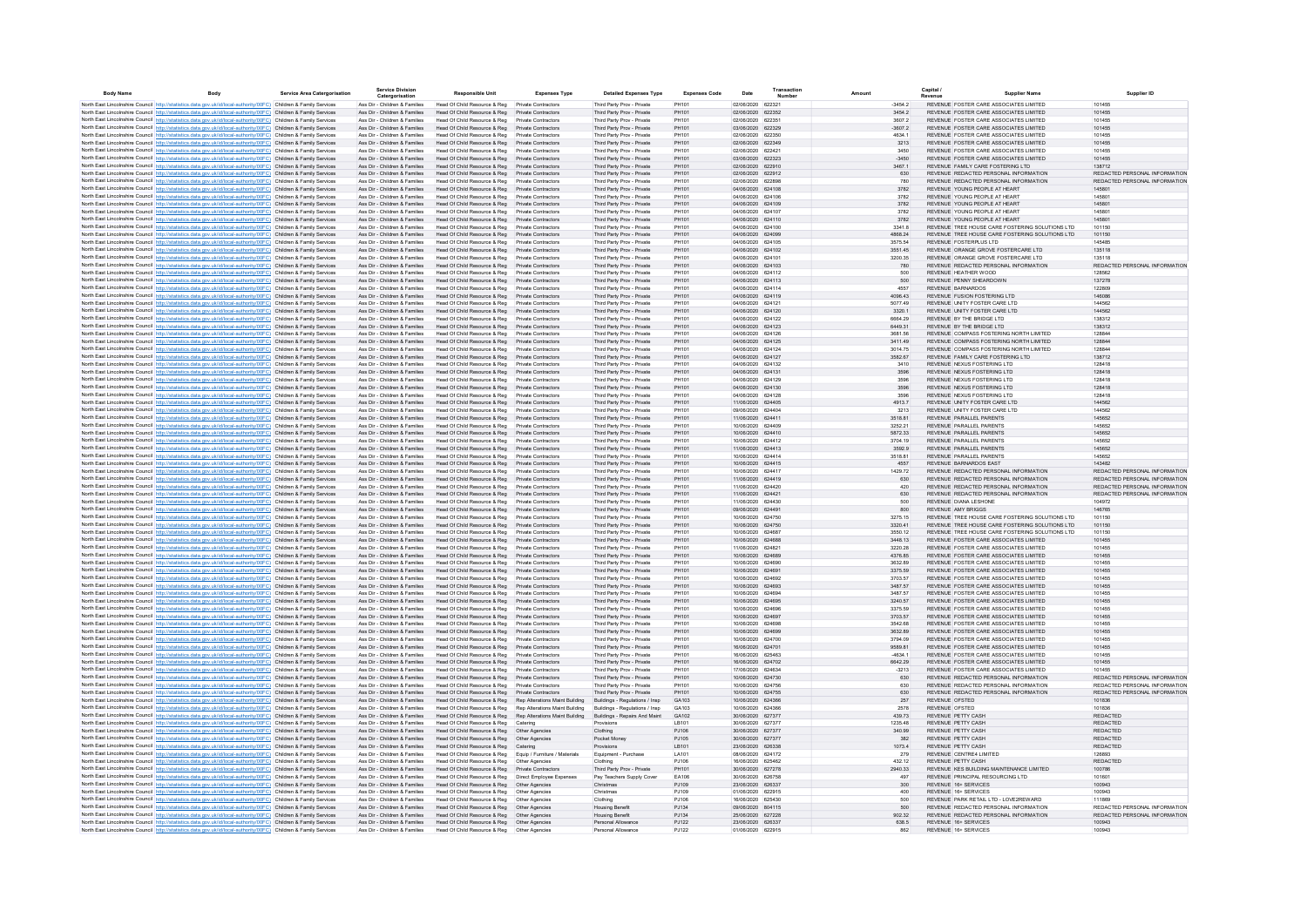| <b>Body Name</b> | Body                                                                                                                                                                                                                                   | Service Area Catergorisation | <b>Service Division</b><br>Catergorisation                     | <b>Responsible Unit</b>                                      | <b>Expenses Type</b>                              | <b>Detailed Expenses Type</b>                            | <b>Expenses Code</b> | Date                                   | Transactio | Amount             | Capital<br>Supplier Name                                                           | <b>Supplier ID</b>                                             |
|------------------|----------------------------------------------------------------------------------------------------------------------------------------------------------------------------------------------------------------------------------------|------------------------------|----------------------------------------------------------------|--------------------------------------------------------------|---------------------------------------------------|----------------------------------------------------------|----------------------|----------------------------------------|------------|--------------------|------------------------------------------------------------------------------------|----------------------------------------------------------------|
|                  | North East Lincolnshire Council http://statistics.data.gov.uk/id/local-authority/00FC) Children & Family Services                                                                                                                      |                              | Ass Dir - Children & Families                                  | Head Of Child Resource & Reg                                 | Private Contractors                               | Third Party Prov - Private                               | PH101                | 02/06/2020 622321                      |            | $-34542$           | REVENUE FOSTER CARE ASSOCIATES LIMITED                                             | 101455                                                         |
|                  | North East Lincolnshire Council http://statistics.data.gov.uk/id/local-authority/00FC) Children & Family Services                                                                                                                      |                              | Ass Dir - Children & Families                                  | Head Of Child Resource & Reg                                 | Private Contractors                               | Third Party Prov - Private                               | PH101                | 02/06/2020 622352                      |            | 3454.2             | REVENUE FOSTER CARE ASSOCIATES LIMITED                                             | 101455                                                         |
|                  | North East Lincolnshire Council http://statistics.data.gov.uk/id/local-authority/00FC) Children & Family Services                                                                                                                      |                              | Ass Dir - Children & Families                                  | Head Of Child Resource & Reg                                 | Private Contractors                               | Third Party Prov - Private                               | PH101                | 02/06/2020 622351                      |            | 3607.2             | REVENUE FOSTER CARE ASSOCIATES LIMITED                                             | 101455                                                         |
|                  | North East Lincolnshire Council http://statistics.data.gov.uk/id/local-authority/00FC) Children & Family Services                                                                                                                      |                              | Ass Dir - Children & Families                                  | Head Of Child Resource & Reg                                 | Private Contractors                               | Third Party Prov - Private                               | PH101                | 03/06/2020 622329                      |            | $-3607.2$          | REVENUE FOSTER CARE ASSOCIATES LIMITED                                             | 101455                                                         |
|                  | North East Lincolnshire Council http://statistics.data.gov.uk/id/local-authority/00FC) Children & Family Services<br>North East Lincolnshire Council http://statistics.data.gov.uk/id/local-authority/00FC) Children & Family Services |                              | Ass Dir - Children & Families<br>Ass Dir - Children & Families | Head Of Child Resource & Reg<br>Head Of Child Resource & Reg | Private Contractors<br>Private Contractors        | Third Party Prov - Private                               | PH101<br>PH101       | 02/06/2020<br>02/06/2020 622349        | 622350     | 4634.1<br>3213     | REVENUE FOSTER CARE ASSOCIATES LIMITED<br>REVENUE FOSTER CARE ASSOCIATES LIMITED   | 101455<br>101455                                               |
|                  | North East Lincolnshire Council http://statistics.data.gov.uk/id/local-authority/00FC) Children & Family Services                                                                                                                      |                              | Ass Dir - Children & Families                                  | Head Of Child Resource & Reg                                 | Private Contractors                               | Third Party Prov - Private<br>Third Party Prov - Private | PH101                | 02/06/2020                             | 622421     | 3450               | REVENUE FOSTER CARE ASSOCIATES LIMITED                                             | 101455                                                         |
|                  | North East Lincolnshire Council http://statistics.data.gov.uk/id/local-authority/00FC) Children & Family Services                                                                                                                      |                              | Ass Dir - Children & Families                                  | Head Of Child Resource & Reg                                 | Private Contractors                               | Third Party Prov - Private                               | PH101                | 03/06/2020 622323                      |            | $-3450$            | REVENUE FOSTER CARE ASSOCIATES LIMITED                                             | 101455                                                         |
|                  | North East Lincolnshire Council http://statistics.data.gov.uk/id/local-authority/00FC) Children & Family Services                                                                                                                      |                              | Ass Dir - Children & Families                                  | Head Of Child Resource & Reg                                 | Private Contractors                               | Third Party Prov - Private                               | PH101                | 02/06/2020 622910                      |            | 3467.1             | REVENUE FAMILY CARE FOSTERING LTD                                                  | 138712                                                         |
|                  | North East Lincolnshire Council http://statistics.data.gov.uk/id/local-authority/00FC) Children & Family Services                                                                                                                      |                              | Ass Dir - Children & Families                                  | Head Of Child Resource & Reg                                 | Private Contractors                               | Third Party Prov - Private                               | PH101                | 02/06/2020 622912                      |            | 630                | REVENUE REDACTED PERSONAL INFORMATION                                              | REDACTED PERSONAL INFORMATION                                  |
|                  | North East Lincolnshire Council http://statistics.data.gov.uk/id/local-authority/00FC) Children & Family Services                                                                                                                      |                              | Ass Dir - Children & Families                                  | Head Of Child Resource & Reg                                 | Private Contractors                               | Third Party Prov - Private                               | PH101                | 02/06/2020 622898                      |            | 780                | REVENUE REDACTED PERSONAL INFORMATION                                              | REDACTED PERSONAL INFORMATION                                  |
|                  | North East Lincolnshire Council http://statistics.data.gov.uk/id/local-authority/00FC) Children & Family Services<br>North East Lincolnshire Council http://statistics.data.gov.uk/id/local-authority/00FC) Children & Family Services |                              | Ass Dir - Children & Families<br>Ass Dir - Children & Families | Head Of Child Resource & Reg<br>Head Of Child Resource & Reg | <b>Private Contractors</b><br>Private Contractors | Third Party Prov - Private<br>Third Party Prov - Private | PH101<br>PH101       | 04/06/2020 624108<br>04/06/2020 624106 |            | 3782<br>3782       | REVENUE YOUNG PEOPLE AT HEART<br>REVENUE YOUNG PEOPLE AT HEART                     | 145801<br>145801                                               |
|                  | North East Lincolnshire Council http://statistics.data.gov.uk/id/local-authority/00EC) Children & Family Services                                                                                                                      |                              | Ass Dir - Children & Families                                  | Head Of Child Resource & Reg                                 | Private Contractors                               | Third Party Prov - Private                               | PH101                | 04/06/2020 624109                      |            | 3782               | REVENUE YOUNG PEOPLE AT HEART                                                      | 145801                                                         |
|                  | North East Lincolnshire Council http://statistics.data.gov.uk/id/local-authority/00FC) Children & Family Services                                                                                                                      |                              | Ass Dir - Children & Families                                  | Head Of Child Resource & Reg                                 | Private Contractors                               | Third Party Prov - Private                               | PH101                | 04/06/2020 624107                      |            | 3782               | REVENUE YOUNG PEOPLE AT HEART                                                      | 145801                                                         |
|                  | North East Lincolnshire Council http://statistics.data.gov.uk/id/local-authority/00FC) Children & Family Services                                                                                                                      |                              | Ass Dir - Children & Families                                  | Head Of Child Resource & Reg                                 | Private Contractors                               | Third Party Prov - Private                               | PH101                | 04/06/2020 624110                      |            | 3782               | REVENUE YOUNG PEOPLE AT HEART                                                      | 145801                                                         |
|                  | North East Lincolnshire Council http://statistics.data.gov.uk/id/local-authority/00FC) Children & Family Services                                                                                                                      |                              | Ass Dir - Children & Families                                  | Head Of Child Resource & Reg                                 | Private Contractors                               | Third Party Prov - Private                               | PH101                | 04/06/2020 624100                      |            | 3341.8             | REVENUE TREE HOUSE CARE FOSTERING SOLUTIONS LTD                                    | 101150                                                         |
|                  | North East Lincolnshire Council http://statistics.data.gov.uk/id/local-authority/00FC) Children & Family Services                                                                                                                      |                              | Ass Dir - Children & Families                                  | Head Of Child Resource & Reg                                 | Private Contractors                               | Third Party Prov - Private                               | PH101                | 04/06/2020 624099                      |            | 4868.24            | REVENUE TREE HOUSE CARE FOSTERING SOLUTIONS LTD                                    | 101150                                                         |
|                  | North East Lincolnshire Council http://statistics.data.gov.uk/id/local-authority/00FC) Children & Family Services                                                                                                                      |                              | Ass Dir - Children & Families                                  | Head Of Child Resource & Reg                                 | Private Contractors<br>Private Contractors        | Third Party Prov - Private                               | PH101<br>PH101       | 04/06/2020 624105<br>04/06/2020 624102 |            | 3575.54            | REVENUE FOSTERPLUS LTD<br>REVENUE ORANGE GROVE FOSTERCARE LTD                      | 145485<br>135118                                               |
|                  | North East Lincolnshire Council http://statistics.data.gov.uk/id/local-authority/00FC) Children & Family Services<br>North East Lincolnshire Council http://statistics.data.gov.uk/id/local-authority/00FC) Children & Family Services |                              | Ass Dir - Children & Families<br>Ass Dir - Children & Families | Head Of Child Resource & Reg<br>Head Of Child Resource & Reg | Private Contractors                               | Third Party Prov - Private<br>Third Party Prov - Private | PH101                | 04/06/2020 624101                      |            | 3551.45<br>3200.35 | REVENUE ORANGE GROVE FOSTERCARE LTD                                                | 135118                                                         |
|                  | North East Lincolnshire Council http://statistics.data.gov.uk/id/local-authority/00FC) Children & Family Services                                                                                                                      |                              | Ass Dir - Children & Families                                  | Head Of Child Resource & Reg                                 | Private Contractors                               | Third Party Prov - Private                               | PH101                | 04/06/2020 624103                      |            | 780                | REVENUE REDACTED PERSONAL INFORMATION                                              | REDACTED PERSONAL INFORMATION                                  |
|                  | North East Lincolnshire Council http://statistics.data.gov.uk/id/local-authority/00FC) Children & Family Services                                                                                                                      |                              | Ass Dir - Children & Families                                  | Head Of Child Resource & Reg                                 | Private Contractors                               | Third Party Prov - Private                               | PH101                | 04/06/2020 624112                      |            | 500                | REVENUE HEATHER WOOD                                                               | 128562                                                         |
|                  | North East Lincolnshire Council http://statistics.data.gov.uk/id/local-authority/00FC) Children & Family Services                                                                                                                      |                              | Ass Dir - Children & Families                                  | Head Of Child Resource & Reg                                 | Private Contractors                               | Third Party Prov - Private                               | PH101                | 04/06/2020 624113                      |            | 500                | REVENUE PENNY SHEARDOWN                                                            | 137278                                                         |
|                  | North East Lincolnshire Council http://statistics.data.gov.uk/id/local-authority/00FC) Children & Family Services                                                                                                                      |                              | Ass Dir - Children & Families                                  | Head Of Child Resource & Reg                                 | Private Contractors                               | Third Party Prov - Private                               | PH101                | 04/06/2020 624114                      |            | 4557               | REVENUE BARNARDOS                                                                  | 122809                                                         |
|                  | North East Lincolnshire Council http://statistics.data.gov.uk/id/local-authority/00FC) Children & Family Services                                                                                                                      |                              | Ass Dir - Children & Families                                  | Head Of Child Resource & Reg                                 | Private Contractors                               | Third Party Prov - Private                               | PH101                | 04/06/2020 624119                      |            | 4096.43            | REVENUE FUSION FOSTERING LTD                                                       | 146086                                                         |
|                  | North East Lincolnshire Council http://statistics.data.gov.uk/id/local-authority/00FC) Children & Family Services                                                                                                                      |                              | Ass Dir - Children & Families<br>Ass Dir - Children & Families | Head Of Child Resource & Reg<br>Head Of Child Resource & Reg | Private Contractors<br>Private Contractors        | Third Party Prov - Private<br>Third Party Prov - Private | PH101<br>PH101       | 04/06/2020 624121<br>04/06/2020 624120 |            | 5077.49            | REVENUE UNITY FOSTER CARE LTD<br>REVENUE UNITY FOSTER CARE LTD                     | 144562<br>144562                                               |
|                  | North East Lincolnshire Council http://statistics.data.gov.uk/id/local-authority/00FC) Children & Family Services<br>North East Lincolnshire Council http://statistics.data.gov.uk/id/local-authority/00FC) Children & Family Services |                              | Ass Dir - Children & Families                                  | Head Of Child Resource & Reg                                 | Private Contractors                               | Third Party Prov - Private                               | PH101                | 04/06/2020 624122                      |            | 3320.1<br>6664.29  | REVENUE BY THE BRIDGE LTD                                                          | 138312                                                         |
|                  | North East Lincolnshire Council http://statistics.data.gov.uk/id/local-authority/00EC) Children & Family Services                                                                                                                      |                              | Ass Dir - Children & Families                                  | Head Of Child Resource & Reg                                 | Private Contractors                               | Third Party Prov - Private                               | PH101                | 04/06/2020 624123                      |            | 6449.31            | REVENUE BY THE BRIDGE LTD.                                                         | 138312                                                         |
|                  | North East Lincolnshire Council http://statistics.data.gov.uk/id/local-authority/00FC) Children & Family Services                                                                                                                      |                              | Ass Dir - Children & Families                                  | Head Of Child Resource & Reg                                 | Private Contractors                               | Third Party Prov - Private                               | PH101                | 04/06/2020 624126                      |            | 3681.56            | REVENUE COMPASS FOSTERING NORTH LIMITED                                            | 128844                                                         |
|                  | North East Lincolnshire Council http://statistics.data.gov.uk/id/local-authority/00FC) Children & Family Services                                                                                                                      |                              | Ass Dir - Children & Families                                  | Head Of Child Resource & Reg                                 | Private Contractors                               | Third Party Prov - Private                               | PH101                | 04/06/2020 624125                      |            | 3411.49            | REVENUE COMPASS FOSTERING NORTH LIMITED                                            | 128844                                                         |
|                  | North East Lincolnshire Council http://statistics.data.gov.uk/id/local-authority/00FC) Children & Family Services                                                                                                                      |                              | Ass Dir - Children & Families                                  | Head Of Child Resource & Reg                                 | Private Contractors                               | Third Party Prov - Private                               | PH101                | 04/06/2020 624124                      |            | 3014 75            | REVENUE, COMPASS FOSTERING NORTH LIMITED                                           | 128844                                                         |
|                  | North East Lincolnshire Council http://statistics.data.gov.uk/id/local-authority/00FC) Children & Family Services                                                                                                                      |                              | Ass Dir - Children & Families                                  | Head Of Child Resource & Reg                                 | Private Contractors                               | Third Party Prov - Private                               | PH101                | 04/06/2020 624127                      |            | 3582.67            | REVENUE FAMILY CARE FOSTERING LTD                                                  | 138712                                                         |
|                  | North East Lincolnshire Council http://statistics.data.gov.uk/id/local-authority/00FC) Children & Family Services                                                                                                                      |                              | Ass Dir - Children & Families<br>Ass Dir - Children & Families | Head Of Child Resource & Reg<br>Head Of Child Resource & Reg | Private Contractors<br>Private Contractors        | Third Party Prov - Private                               | PH101<br>PH101       | 04/06/2020 624132<br>04/06/2020 624131 |            | 3410<br>3596       | REVENUE NEXUS FOSTERING LTD<br>REVENUE NEXUS FOSTERING LTD                         | 128418<br>128418                                               |
|                  | North East Lincolnshire Council http://statistics.data.gov.uk/id/local-authority/00FC) Children & Family Services<br>North East Lincolnshire Council http://statistics.data.gov.uk/id/local-authority/00FC) Children & Family Services |                              | Ass Dir - Children & Families                                  | Head Of Child Resource & Reg                                 | Private Contractors                               | Third Party Prov - Private<br>Third Party Prov - Private | PH101                | 04/06/2020                             | 624129     | 3596               | REVENUE NEXUS FOSTERING LTD                                                        | 128418                                                         |
|                  | North East Lincolnshire Council http://statistics.data.gov.uk/id/local-authority/00FC) Children & Family Services                                                                                                                      |                              | Ass Dir - Children & Families                                  | Head Of Child Resource & Reg                                 | Private Contractors                               | Third Party Prov - Private                               | PH101                | 04/06/2020 624130                      |            | 3596               | REVENUE NEXUS FOSTERING LTD                                                        | 128418                                                         |
|                  | North East Lincolnshire Council http://statistics.data.gov.uk/id/local-authority/00FC) Children & Family Services                                                                                                                      |                              | Ass Dir - Children & Families                                  | Head Of Child Resource & Reg                                 | <b>Private Contractors</b>                        | Third Party Prov - Private                               | PH101                | 04/06/2020 624128                      |            |                    | REVENUE NEXUS FOSTERING LTD                                                        | 128418                                                         |
|                  | North East Lincolnshire Council http://statistics.data.gov.uk/id/local-authority/00FC) Children & Family Services                                                                                                                      |                              | Ass Dir - Children & Families                                  | Head Of Child Resource & Reg                                 | Private Contractors                               | Third Party Prov - Private                               | PH101                | 11/06/2020 624405                      |            | 4913.7             | REVENUE UNITY FOSTER CARE LTD                                                      | 144562                                                         |
|                  | North East Lincolnshire Council http://statistics.data.gov.uk/id/local-authority/00FC) Children & Family Services                                                                                                                      |                              | Ass Dir - Children & Families                                  | Head Of Child Resource & Reg                                 | Private Contractors                               | Third Party Prov - Private                               | PH101                | 09/06/2020 624404                      |            | 3213               | REVENUE UNITY FOSTER CARE LTD                                                      | 144562                                                         |
|                  | North East Lincolnshire Council http://statistics.data.gov.uk/id/local-authority/00FC) Children & Family Services                                                                                                                      |                              | Ass Dir - Children & Families                                  | Head Of Child Resource & Reg                                 | Private Contractors                               | Third Party Prov - Private                               | PH101                | 11/06/2020 624411<br>10/06/2020 624409 |            | 3518.81            | REVENUE PARALLEL PARENTS<br>REVENUE PARALLEL PARENTS                               | 145652<br>145652                                               |
|                  | North East Lincolnshire Council http://statistics.data.gov.uk/id/local-authority/00FC) Children & Family Services<br>North East Lincolnshire Council http://statistics.data.gov.uk/id/local-authority/00FC) Children & Family Services |                              | Ass Dir - Children & Families<br>Ass Dir - Children & Families | Head Of Child Resource & Reg<br>Head Of Child Resource & Reg | <b>Private Contractors</b><br>Private Contractors | Third Party Prov - Private<br>Third Party Prov - Private | PH101<br>PH101       | 10/06/2020 624410                      |            | 3252.21<br>5872.33 | REVENUE PARALLEL PARENTS                                                           | 145652                                                         |
|                  | North East Lincolnshire Council http://statistics.data.gov.uk/id/local-authority/00FC) Children & Family Services                                                                                                                      |                              | Ass Dir - Children & Families                                  | Head Of Child Resource & Reg                                 | <b>Private Contractors</b>                        | Third Party Prov - Private                               | PH101                | 10/06/2020 624412                      |            | 3704.19            | REVENUE PARALLEL PARENTS                                                           | 145652                                                         |
|                  | North East Lincolnshire Council http://statistics.data.gov.uk/id/local-authority/00EC) Children & Family Services                                                                                                                      |                              | Ass Dir - Children & Families                                  | Head Of Child Resource & Reg                                 | Private Contractors                               | Third Party Prov - Private                               | PH101                | 11/06/2020 624413                      |            | 3592.9             | REVENUE PARALLEL PARENTS                                                           | 145652                                                         |
|                  | North East Lincolnshire Council http://statistics.data.gov.uk/id/local-authority/00FC) Children & Family Services                                                                                                                      |                              | Ass Dir - Children & Families                                  | Head Of Child Resource & Reg                                 | Private Contractors                               | Third Party Prov - Private                               | PH101                | 10/06/2020 624414                      |            | 3518.81            | REVENUE PARALLEL PARENTS                                                           | 145652                                                         |
|                  | North East Lincolnshire Council http://statistics.data.gov.uk/id/local-authority/00FC) Children & Family Services                                                                                                                      |                              | Ass Dir - Children & Families                                  | Head Of Child Resource & Reg                                 | Private Contractors                               | Third Party Prov - Private                               | PH101                | 10/06/2020 624415                      |            | 4557               | REVENUE BARNARDOS FAST                                                             | 143482                                                         |
|                  | North East Lincolnshire Council http://statistics.data.gov.uk/id/local-authority/00FC) Children & Family Services                                                                                                                      |                              | Ass Dir - Children & Families                                  | Head Of Child Resource & Reg                                 | Private Contractors                               | Third Party Prov - Private                               | PH101                | 10/06/2020 624417                      |            | 1429.72            | REVENUE REDACTED PERSONAL INFORMATION                                              | REDACTED PERSONAL INFORMATION                                  |
|                  | North East Lincolnshire Council http://statistics.data.gov.uk/id/local-authority/00FC) Children & Family Services                                                                                                                      |                              | Ass Dir - Children & Families<br>Ass Dir - Children & Families | Head Of Child Resource & Reg<br>Head Of Child Resource & Reg | Private Contractors<br><b>Private Contractors</b> | Third Party Prov - Private<br>Third Party Prov - Private | PH101<br>PH101       | 11/06/2020 624419<br>11/06/2020 624420 |            | 630<br>420         | REVENUE REDACTED PERSONAL INFORMATION<br>REVENUE REDACTED PERSONAL INFORMATION     | REDACTED PERSONAL INFORMATION<br>REDACTED PERSONAL INFORMATION |
|                  | North East Lincolnshire Council http://statistics.data.gov.uk/id/local-authority/00FC) Children & Family Services<br>North East Lincolnshire Council http://statistics.data.gov.uk/id/local-authority/00FC) Children & Family Services |                              | Ass Dir - Children & Families                                  | Head Of Child Resource & Reg                                 | <b>Private Contractors</b>                        | Third Party Prov - Private                               | PH101                | 11/06/2020 624421                      |            | 630                | REVENUE REDACTED PERSONAL INFORMATION                                              | REDACTED PERSONAL INFORMATION                                  |
|                  | North East Lincolnshire Council http://statistics.data.gov.uk/id/local-authority/00FC) Children & Family Services                                                                                                                      |                              | Ass Dir - Children & Families                                  | Head Of Child Resource & Reg                                 | Private Contractors                               | Third Party Prov - Private                               | PH101                | 11/06/2020 624430                      |            | 500                | REVENUE DIANA LESHONE                                                              |                                                                |
|                  | North East Lincolnshire Council http://statistics.data.gov.uk/id/local-authority/00FC) Children & Family Services                                                                                                                      |                              | Ass Dir - Children & Families                                  | Head Of Child Resource & Reg                                 | Private Contractors                               | Third Party Prov - Private                               | PH101                | 09/06/2020 624491                      |            | 800                | REVENUE AMY BRIGGS                                                                 | 146765                                                         |
|                  | North East Lincolnshire Council http://statistics.data.gov.uk/id/local-authority/00FC) Children & Family Services                                                                                                                      |                              | Ass Dir - Children & Families                                  | Head Of Child Resource & Reg                                 | Private Contractors                               | Third Party Prov - Private                               | PH101                | 10/06/2020 624750                      |            | 3275.15            | REVENUE TREE HOUSE CARE FOSTERING SOLUTIONS LTD                                    | 101150                                                         |
|                  | North East Lincolnshire Council http://statistics.data.gov.uk/id/local-authority/00FC) Children & Family Services                                                                                                                      |                              | Ass Dir - Children & Families                                  | Head Of Child Resource & Reg                                 | Private Contractors                               | Third Party Prov - Private                               | PH101                | 10/06/2020 624750                      |            | 3320.41            | REVENUE TREE HOUSE CARE FOSTERING SOLUTIONS LTD                                    | 101150                                                         |
|                  | North East Lincolnshire Council http://statistics.data.gov.uk/id/local-authority/00FC) Children & Family Services                                                                                                                      |                              | Ass Dir - Children & Families                                  | Head Of Child Resource & Reg                                 | <b>Private Contractors</b>                        | Third Party Prov - Private                               | PH101                | 10/06/2020 624687                      |            | 3550.12            | REVENUE TREE HOUSE CARE FOSTERING SOLUTIONS LTD                                    | 101150                                                         |
|                  | North East Lincolnshire Council http://statistics.data.gov.uk/id/local-authority/00FC) Children & Family Services<br>North East Lincolnshire Council http://statistics.data.gov.uk/id/local-authority/00FC) Children & Family Services |                              | Ass Dir - Children & Families<br>Ass Dir - Children & Families | Head Of Child Resource & Reg<br>Head Of Child Resource & Reg | Private Contractors<br><b>Private Contractors</b> | Third Party Prov - Private<br>Third Party Prov - Private | PH101<br>PH101       | 10/06/2020 624688<br>11/06/2020 624821 |            | 3448.13<br>3220.28 | REVENUE FOSTER CARE ASSOCIATES LIMITED<br>REVENUE FOSTER CARE ASSOCIATES LIMITED   | 101455<br>101455                                               |
|                  | North East Lincolnshire Council http://statistics.data.gov.uk/id/local-authority/00FC) Children & Family Services                                                                                                                      |                              | Ass Dir - Children & Families                                  | Head Of Child Resource & Reg                                 | <b>Private Contractors</b>                        | Third Party Prov - Private                               | PH101                | 10/06/2020 624689                      |            | 4376.85            | REVENUE FOSTER CARE ASSOCIATES LIMITED                                             | 101455                                                         |
|                  | North East Lincolnshire Council http://statistics.data.gov.uk/id/local-authority/00FC) Children & Family Services                                                                                                                      |                              | Ass Dir - Children & Families                                  | Head Of Child Resource & Reg                                 | <b>Private Contractors</b>                        | Third Party Prov - Private                               | PH101                | 10/06/2020 624690                      |            | 3632.89            | REVENUE FOSTER CARE ASSOCIATES LIMITED                                             | 101455                                                         |
|                  | North East Lincolnshire Council http://statistics.data.gov.uk/id/local-authority/00FC) Children & Family Services                                                                                                                      |                              | Ass Dir - Children & Families                                  | Head Of Child Resource & Reg                                 | Private Contractors                               | Third Party Prov - Private                               | PH101                | 10/06/2020 624691                      |            | 3375.59            | REVENUE FOSTER CARE ASSOCIATES LIMITED.                                            | 101455                                                         |
|                  | North East Lincolnshire Council http://statistics.data.gov.uk/id/local-authority/00FC) Children & Family Services                                                                                                                      |                              | Ass Dir - Children & Families                                  | Head Of Child Resource & Reg                                 | Private Contractors                               | Third Party Prov - Private                               | PH101                | 10/06/2020 624692                      |            | 3703.57            | REVENUE FOSTER CARE ASSOCIATES LIMITED.                                            | 101455                                                         |
|                  | North East Lincolnshire Council http://statistics.data.gov.uk/id/local-authority/00FC) Children & Family Services                                                                                                                      |                              | Ass Dir - Children & Families                                  | Head Of Child Resource & Reg                                 | Private Contractors                               | Third Party Prov - Private                               | PH101                | 10/06/2020 624693                      |            | 3487.57            | REVENUE FOSTER CARE ASSOCIATES LIMITED.                                            | 101455                                                         |
|                  | North East Lincolnshire Council http://statistics.data.gov.uk/id/local-authority/00FC) Children & Family Services                                                                                                                      |                              | Ass Dir - Children & Families                                  | Head Of Child Resource & Reg                                 | Private Contractors                               | Third Party Prov - Private                               | PH101<br>PH101       | 10/06/2020 624694<br>10/06/2020 624695 |            | 3487.57            | REVENUE FOSTER CARE ASSOCIATES LIMITED.<br>REVENUE FOSTER CARE ASSOCIATES LIMITED. | 101455<br>101455                                               |
|                  | North East Lincolnshire Council http://statistics.data.gov.uk/id/local-authority/00FC) Children & Family Services                                                                                                                      |                              | Ass Dir - Children & Families<br>Ass Dir - Children & Families | Head Of Child Resource & Reg<br>Head Of Child Resource & Reg | Private Contractors<br>Private Contractors        | Third Party Prov - Private<br>Third Party Prov - Private | PH101                | 10/06/2020 624696                      |            | 3240.57<br>3375.59 | REVENUE FOSTER CARE ASSOCIATES LIMITED                                             | 101455                                                         |
|                  | North East Lincolnshire Council http://statistics.data.gov.uk/id/local-authority/00FC) Children & Family Services<br>North East Lincolnshire Council http://statistics.data.gov.uk/id/local-authority/00FC) Children & Family Services |                              | Ass Dir - Children & Families                                  | Head Of Child Resource & Reg                                 | Private Contractors                               | Third Party Prov - Private                               | PH101                | 10/06/2020 624697                      |            | 3703.57            | REVENUE FOSTER CARE ASSOCIATES LIMITED                                             | 101455                                                         |
|                  | North East Lincolnshire Council http://statistics.data.gov.uk/id/local-authority/00FC) Children & Family Services                                                                                                                      |                              | Ass Dir - Children & Families                                  | Head Of Child Resource & Reg                                 | <b>Private Contractors</b>                        | Third Party Prov - Private                               | <b>PH101</b>         | 10/06/2020 624698                      |            | 3542.68            | REVENUE FOSTER CARE ASSOCIATES LIMITED                                             | 101455                                                         |
|                  | North East Lincolnshire Council http://statistics.data.gov.uk/id/local-authority/00FC) Children & Family Services                                                                                                                      |                              | Ass Dir - Children & Families                                  | Head Of Child Resource & Reg                                 | Private Contractors                               | Third Party Prov - Private                               | PH101                | 10/06/2020 624699                      |            | 3632.89            | REVENUE FOSTER CARE ASSOCIATES LIMITED                                             | 101455                                                         |
|                  | North East Lincolnshire Council http://statistics.data.gov.uk/id/local-authority/00FC) Children & Family Services                                                                                                                      |                              | Ass Dir - Children & Families                                  | Head Of Child Resource & Reg                                 | Private Contractors                               | Third Party Prov - Private                               | PH101                | 10/06/2020                             | 624700     | 3794.09            | REVENUE FOSTER CARE ASSOCIATES LIMITED                                             | 101455                                                         |
|                  | North East Lincolnshire Council http://statistics.data.gov.uk/id/local-authority/00FC) Children & Family Services                                                                                                                      |                              | Ass Dir - Children & Families                                  | Head Of Child Resource & Reg                                 | Private Contractors                               | Third Party Prov - Private                               | PH101                | 16/06/2020 624701                      |            | 9589.81            | REVENUE FOSTER CARE ASSOCIATES LIMITED                                             | 101455                                                         |
|                  | North East Lincolnshire Council http://statistics.data.gov.uk/id/local-authority/00FC) Children & Family Services                                                                                                                      |                              | Ass Dir - Children & Families                                  | Head Of Child Resource & Reg                                 | <b>Private Contractors</b>                        | Third Party Prov - Private                               | PH101                | 16/06/2020                             | 625463     | $-4634.1$          | REVENUE FOSTER CARE ASSOCIATES LIMITED                                             | 101455                                                         |
|                  | North East Lincolnshire Council http://statistics.data.gov.uk/id/local-authority/00FC) Children & Family Services<br>North East Lincolnshire Council http://statistics.data.gov.uk/id/local-authority/00FC) Children & Family Services |                              | Ass Dir - Children & Families<br>Ass Dir - Children & Families | Head Of Child Resource & Reg<br>Head Of Child Resource & Reg | Private Contractors<br>Private Contractors        | Third Party Prov - Private<br>Third Party Prov - Private | PH101<br>PH101       | 16/06/2020 624702<br>17/06/2020 624634 |            | 6642.29<br>$-3213$ | REVENUE FOSTER CARE ASSOCIATES LIMITED<br>REVENUE FOSTER CARE ASSOCIATES LIMITED   | 101455<br>101455                                               |
|                  | North East Lincolnshire Council http://statistics.data.gov.uk/id/local-authority/00FC) Children & Family Services                                                                                                                      |                              | Ass Dir - Children & Families                                  | Head Of Child Resource & Reg                                 | Private Contractors                               | Third Party Prov - Private                               | PH101                | 10/06/2020 624730                      |            | 630                | REVENUE REDACTED PERSONAL INFORMATION                                              | REDACTED PERSONAL INFORMATION                                  |
|                  | North East Lincolnshire Council http://statistics.data.gov.uk/id/local-authority/00FC) Children & Family Services                                                                                                                      |                              | Ass Dir - Children & Families                                  | Head Of Child Resource & Reg                                 | <b>Private Contractors</b>                        | Third Party Prov - Private                               | PH101                | 10/06/2020 624756                      |            | 630                | REVENUE REDACTED PERSONAL INFORMATION                                              | REDACTED PERSONAL INFORMATION                                  |
|                  | North East Lincolnshire Council http://statistics.data.gov.uk/id/local-authority/00FC) Children & Family Services                                                                                                                      |                              | Ass Dir - Children & Families                                  | Head Of Child Resource & Reg                                 | Private Contractors                               | Third Party Prov - Private                               | PH101                | 10/06/2020 624755                      |            | 630                | REVENUE REDACTED PERSONAL INFORMATION                                              | REDACTED PERSONAL INFORMATION                                  |
|                  | North East Lincolnshire Council http://statistics.data.gov.uk/id/local-authority/00FC) Children & Family Services                                                                                                                      |                              | Ass Dir - Children & Families                                  | Head Of Child Resource & Reg                                 | Ren Alterations Maint Building                    | Buildings - Regulations / Insp.                          | GA103                | 10/06/2020 624366                      |            | 257                | REVENUE OFSTED                                                                     | 101836                                                         |
|                  | North East Lincolnshire Council http://statistics.data.gov.uk/id/local-authority/00FC) Children & Family Services                                                                                                                      |                              | Ass Dir - Children & Families                                  | Head Of Child Resource & Reg                                 | Rep Alterations Maint Building                    | Buildings - Regulations / Inso                           | GA103                | 10/06/2020 624366                      |            | 2578               | REVENUE OFSTED                                                                     | 101836                                                         |
|                  | North East Lincolnshire Council http://statistics.data.gov.uk/id/local-authority/00FC) Children & Family Services                                                                                                                      |                              | Ass Dir - Children & Families<br>Ass Dir - Children & Families | Head Of Child Resource & Reg<br>Head Of Child Resource & Reg | Rep Alterations Maint Building                    | Buildings - Repairs And Maint                            | GA102<br>I B101      | 30/06/2020 627377<br>30/06/2020 627377 |            | 439.73<br>1235 48  | REVENUE PETTY CASH<br>REVENUE PETTY CASH                                           | <b>REDACTED</b><br><b>REDACTED</b>                             |
|                  | North East Lincolnshire Council http://statistics.data.gov.uk/id/local-authority/00FC) Children & Family Services<br>North East Lincolnshire Council http://statistics.data.gov.uk/id/local-authority/00FC) Children & Family Services |                              | Ass Dir - Children & Families                                  | Head Of Child Resource & Reg                                 | Caterino<br>Other Agencies                        | Provisions<br>Clothing                                   | PJ106                | 30/06/2020 627377                      |            | 340.99             | REVENUE PETTY CASH                                                                 | <b>REDACTED</b>                                                |
|                  | North East Lincolnshire Council http://statistics.data.gov.uk/id/local-authority/00FC) Children & Family Services                                                                                                                      |                              | Ass Dir - Children & Families                                  | Head Of Child Resource & Reg                                 | Other Agencies                                    | Pocket Money                                             | PJ105                | 30/06/2020 627377                      |            | 382                | REVENUE PETTY CASH                                                                 | REDACTED                                                       |
|                  | North East Lincolnshire Council http://statistics.data.gov.uk/id/local-authority/00FC) Children & Family Services                                                                                                                      |                              | Ass Dir - Children & Families                                  | Head Of Child Resource & Reg                                 | Catering                                          | Provisions                                               | LB101                | 23/06/2020 626338                      |            | 1073.4             | REVENUE PETTY CASH                                                                 | REDACTED                                                       |
|                  | North East Lincolnshire Council http://statistics.data.gov.uk/id/local-authority/00FC) Children & Family Services                                                                                                                      |                              | Ass Dir - Children & Families                                  | Head Of Child Resource & Reg                                 | Equip / Furniture / Materials                     | Equipment - Purchase                                     | LA101                | 08/06/2020 624172                      |            | 279                | REVENUE CENTRE4 LIMITED                                                            | 126893                                                         |
|                  | North East Lincolnshire Council http://statistics.data.gov.uk/id/local-authority/00FC) Children & Family Services                                                                                                                      |                              | Ass Dir - Children & Families                                  | Head Of Child Resource & Reg                                 | Other Agencies                                    | Clothing                                                 | PJ106                | 16/06/2020 625462                      |            | 432.12             | REVENUE PETTY CASH                                                                 | REDACTED                                                       |
|                  | North East Lincolnshire Council http://statistics.data.gov.uk/id/local-authority/00FC) Children & Family Services                                                                                                                      |                              | Ass Dir - Children & Families                                  | Head Of Child Resource & Reg                                 | Private Contractors                               | Third Party Prov - Private                               | PH101                | 30/06/2020 627278                      |            | 2940.33            | REVENUE KES BUILDING MAINTENANCE LIMITED                                           | 100786                                                         |
|                  | North East Lincolnshire Council http://statistics.data.gov.uk/id/local-authority/00FC) Children & Family Services                                                                                                                      |                              | Ass Dir - Children & Families<br>Ass Dir - Children & Families | Head Of Child Resource & Reg                                 | Direct Employee Expenses                          | Pay Teachers Supply Cover                                | EA106<br>PJ109       | 30/06/2020 626758<br>23/06/2020 626337 |            | 497<br>300         | REVENUE PRINCIPAL RESOURCING LTD<br>REVENUE 16+ SERVICES                           | 101601<br>100943                                               |
|                  | North East Lincolnshire Council http://statistics.data.gov.uk/id/local-authority/00FC) Children & Family Services<br>North East Lincolnshire Council http://statistics.data.gov.uk/id/local-authority/00FC) Children & Family Services |                              | Ass Dir - Children & Families                                  | Head Of Child Resource & Reg<br>Head Of Child Resource & Reg | Other Agencies<br>Other Agencies                  | Christmas<br>Christmas                                   | PJ109                | 01/06/2020 622915                      |            | 400                | REVENUE 16+ SERVICES                                                               | 100943                                                         |
|                  | North East Lincolnshire Council http://statistics.data.gov.uk/id/local-authority/00FC) Children & Family Services                                                                                                                      |                              | Ass Dir - Children & Families                                  | Head Of Child Resource & Reg                                 | Other Agencies                                    | Clothing                                                 | PJ106                | 16/06/2020 625430                      |            | 500                | REVENUE PARK RETAIL LTD - LOVE2REWARD                                              | 111869                                                         |
|                  | North East Lincolnshire Council http://statistics.data.gov.uk/id/local-authority/00FC) Children & Family Services                                                                                                                      |                              | Ass Dir - Children & Families                                  | Head Of Child Resource & Reg                                 | Other Agencies                                    | <b>Housing Benefi</b>                                    | PJ134                | 09/06/2020 804115                      |            | 500                | REVENUE REDACTED PERSONAL INFORMATION                                              | REDACTED PERSONAL INFORMATION                                  |
|                  | North East Lincolnshire Council http://statistics.data.gov.uk/id/local-authority/00FC) Children & Family Services                                                                                                                      |                              | Ass Dir - Children & Families                                  | Head Of Child Resource & Reg                                 | Other Agencies                                    | <b>Housing Benefit</b>                                   | PJ134                | 25/06/2020 627228                      |            | 902.32             | REVENUE REDACTED PERSONAL INFORMATION                                              | REDACTED PERSONAL INFORMATION                                  |
|                  | North East Lincolnshire Council http://statistics.data.gov.uk/id/local-authority/00FC) Children & Family Services                                                                                                                      |                              | Ass Dir - Children & Families                                  | Head Of Child Resource & Reg  Other Agencies                 |                                                   | Personal Allowance                                       | PJ122                | 23/06/2020 626337                      |            | 638.5              | REVENUE 16+ SERVICES                                                               | 100943                                                         |
|                  | North East Lincolnshire Council http://statistics.data.gov.uk/id/local-authority/00FC) Children & Family Services                                                                                                                      |                              | Ass Dir - Children & Families                                  | Head Of Child Resource & Reg                                 | Other Agencies                                    | Personal Allowance                                       | P.1122               | 01/06/2020 622915                      |            | 862                | REVENUE 16+ SERVICES                                                               | 100943                                                         |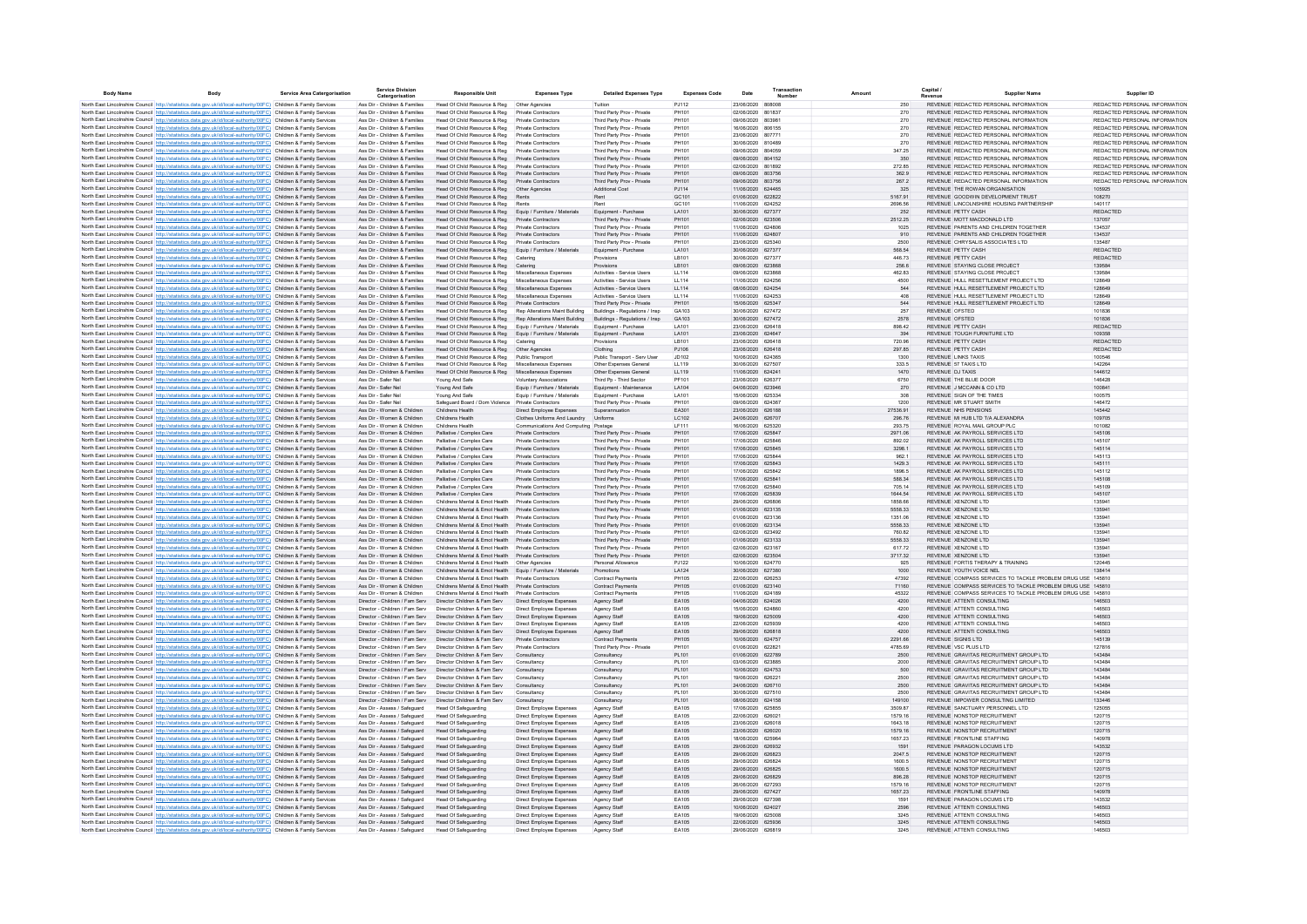| <b>Body Name</b> | Body                                                                                                                                                                                                                                   | Service Area Catergorisation | <b>Service Division</b><br>Catergorisation                       | <b>Responsible Unit</b>                                                              | <b>Expenses Type</b>                                             | <b>Detailed Expenses Type</b>                            | <b>Expenses Code</b>  | Date                                   | Transaction<br>Numbe | Amount             | Capital /<br>Supplier Name                                                                 | Supplier ID                                                    |
|------------------|----------------------------------------------------------------------------------------------------------------------------------------------------------------------------------------------------------------------------------------|------------------------------|------------------------------------------------------------------|--------------------------------------------------------------------------------------|------------------------------------------------------------------|----------------------------------------------------------|-----------------------|----------------------------------------|----------------------|--------------------|--------------------------------------------------------------------------------------------|----------------------------------------------------------------|
|                  | North East Lincolnshire Council http://statistics.data.gov.uk/id/local-authority/00FC) Children & Family Services                                                                                                                      |                              | Ass Dir - Children & Families                                    | Head Of Child Resource & Reg                                                         | Other Agencies                                                   | Tuition                                                  | P.1112                | 23/06/2020 808008                      |                      | 250                | REVENUE REDACTED PERSONAL INFORMATION                                                      | REDACTED PERSONAL INFORMATION                                  |
|                  | North East Lincolnshire Council http://statistics.data.gov.uk/id/local-authority/00FC) Children & Family Services                                                                                                                      |                              | Ass Dir - Children & Families                                    | Head Of Child Resource & Reg                                                         | Private Contractors                                              | Third Party Prov - Private                               | PH101                 | 02/06/2020 801837                      |                      | 270                | REVENUE REDACTED PERSONAL INFORMATION                                                      | REDACTED PERSONAL INFORMATION                                  |
|                  | North East Lincolnshire Council http://statistics.data.gov.uk/id/local-authority/00FC) Children & Family Services                                                                                                                      |                              | Ass Dir - Children & Families                                    | Head Of Child Resource & Reg                                                         | Private Contractors                                              | Third Party Prov - Private                               | PH101                 | 09/06/2020 803981                      |                      | 270                | REVENUE REDACTED PERSONAL INFORMATION                                                      | REDACTED PERSONAL INFORMATION                                  |
|                  | North East Lincolnshire Council http://statistics.data.gov.uk/id/local-authority/00FC) Children & Family Services                                                                                                                      |                              | Ass Dir - Children & Families                                    | Head Of Child Resource & Reg                                                         | Private Contractors                                              | Third Party Prov - Private                               | <b>PH101</b>          | 16/06/2020 806155                      |                      | 270                | REVENUE REDACTED PERSONAL INFORMATION                                                      | REDACTED PERSONAL INFORMATION                                  |
|                  | North East Lincolnshire Council http://statistics.data.gov.uk/id/local-authority/00FC) Children & Family Services<br>North East Lincolnshire Council http://statistics.data.gov.uk/id/local-authority/00FC) Children & Family Services |                              | Ass Dir - Children & Families<br>Ass Dir - Children & Families   | Head Of Child Resource & Reg                                                         | Private Contractors<br>Private Contractors                       | Third Party Prov - Private<br>Third Party Prov - Private | PH101<br>PH101        | 23/06/2020<br>30/06/2020 810489        | 807771               | 270<br>270         | REVENUE REDACTED PERSONAL INFORMATION<br>REVENUE REDACTED PERSONAL INFORMATION             | REDACTED PERSONAL INFORMATION<br>REDACTED PERSONAL INFORMATION |
|                  | North East Lincolnshire Council http://statistics.data.gov.uk/id/local-authority/00FC) Children & Family Services                                                                                                                      |                              | Ass Dir - Children & Families                                    | Head Of Child Resource & Reg<br>Head Of Child Resource & Reg                         | Private Contractors                                              | Third Party Prov - Private                               | PH101                 | 09/06/2020                             | 804059               | 347.25             | REVENUE REDACTED PERSONAL INFORMATION                                                      | REDACTED PERSONAL INFORMATION                                  |
|                  | North East Lincolnshire Council http://statistics.data.gov.uk/id/local-authority/00FC) Children & Family Services                                                                                                                      |                              | Ass Dir - Children & Families                                    | Head Of Child Resource & Reg                                                         | <b>Private Contractors</b>                                       | Third Party Prov - Private                               | PH101                 | 09/06/2020 804152                      |                      | 350                | REVENUE REDACTED PERSONAL INFORMATION                                                      | REDACTED PERSONAL INFORMATION                                  |
|                  | North East Lincolnshire Council http://statistics.data.gov.uk/id/local-authority/00FC) Children & Family Services                                                                                                                      |                              | Ass Dir - Children & Families                                    | Head Of Child Resource & Reg                                                         | Private Contractors                                              | Third Party Prov - Private                               | PH101                 | 02/06/2020 801892                      |                      | 272.85             | REVENUE REDACTED PERSONAL INFORMATION                                                      | REDACTED PERSONAL INFORMATION                                  |
|                  | North East Lincolnshire Council http://statistics.data.gov.uk/id/local-authority/00FC) Children & Family Services                                                                                                                      |                              | Ass Dir - Children & Families                                    | Head Of Child Resource & Reg                                                         | Private Contractors                                              | Third Party Prov - Private                               | PH101                 | 09/06/2020 803756                      |                      | 362.9              | REVENUE REDACTED PERSONAL INFORMATION                                                      | REDACTED PERSONAL INFORMATION                                  |
|                  | North East Lincolnshire Council http://statistics.data.gov.uk/id/local-authority/00FC) Children & Family Services                                                                                                                      |                              | Ass Dir - Children & Families                                    | Head Of Child Resource & Reg                                                         | Private Contractors                                              | Third Party Prov - Private                               | PH101                 | 09/06/2020 803756                      |                      | 267.2              | REVENUE REDACTED PERSONAL INFORMATION                                                      | REDACTED PERSONAL INFORMATION                                  |
|                  | North East Lincolnshire Council http://statistics.data.gov.uk/id/local-authority/00FC) Children & Family Services                                                                                                                      |                              | Ass Dir - Children & Families<br>Ass Dir - Children & Families   | Head Of Child Resource & Reg                                                         | Other Agencies                                                   | Additional Cost<br>Rent                                  | PJ114<br>GC101        | 11/06/2020 624465<br>01/06/2020 622822 |                      | 325<br>5167 91     | REVENUE THE ROWAN ORGANISATION<br>REVENUE GOODWIN DEVELOPMENT TRUST                        | 105925<br>108270                                               |
|                  | North East Lincolnshire Council http://statistics.data.gov.uk/id/local-authority/00FC) Children & Family Services<br>North East Lincolnshire Council http://statistics.data.gov.uk/id/local-authority/00EC) Children & Family Services |                              | Ass Dir - Children & Families                                    | Head Of Child Resource & Reg<br>Head Of Child Resource & Reg                         | Rents<br>Rents                                                   | Rent                                                     | GC101                 | 11/06/2020 624252                      |                      | 2696.56            | REVENUE LINCOLNSHIRE HOUSING PARTNERSHIP                                                   | 140117                                                         |
|                  | North East Lincolnshire Council http://statistics.data.gov.uk/id/local-authority/00FC) Children & Family Services                                                                                                                      |                              | Ass Dir - Children & Families                                    | Head Of Child Resource & Reg                                                         | Foujo / Fumiture / Materials                                     | Equipment - Purchase                                     | LA101                 | 30/06/2020 627377                      |                      | 252                | REVENUE PETTY CASH                                                                         | <b>REDACTED</b>                                                |
|                  | North East Lincolnshire Council http://statistics.data.gov.uk/id/local-authority/00FC) Children & Family Services                                                                                                                      |                              | Ass Dir - Children & Families                                    | Head Of Child Resource & Reg                                                         | Private Contractors                                              | Third Party Prov - Private                               | PH101                 | 02/06/2020 623506                      |                      | 2512.25            | REVENUE MOTT MACDONALD LTD.                                                                | 137057                                                         |
|                  | North East Lincolnshire Council http://statistics.data.gov.uk/id/local-authority/00FC) Children & Family Services                                                                                                                      |                              | Ass Dir - Children & Families                                    | Head Of Child Resource & Reg                                                         | Private Contractors                                              | Third Party Prov - Private                               | PH101                 | 11/06/2020 624806                      |                      | 1025               | REVENUE PARENTS AND CHILDREN TOGETHER                                                      | 134537                                                         |
|                  | North East Lincolnshire Council http://statistics.data.gov.uk/id/local-authority/00FC) Children & Family Services                                                                                                                      |                              | Ass Dir - Children & Families                                    | Head Of Child Resource & Reg                                                         | Private Contractors                                              | Third Party Prov - Private                               | PH101                 | 11/06/2020 624807                      |                      | 910                | REVENUE PARENTS AND CHILDREN TOGETHER                                                      | 134537                                                         |
|                  | North East Lincolnshire Council http://statistics.data.gov.uk/id/local-authority/00FC) Children & Family Services                                                                                                                      |                              | Ass Dir - Children & Families                                    | Head Of Child Resource & Reg                                                         | Private Contractors                                              | Third Party Prov - Private                               | PH101                 | 23/06/2020 625340                      |                      | 2500               | REVENUE CHRYSALIS ASSOCIATES LTD                                                           | 135487                                                         |
|                  | North East Lincolnshire Council http://statistics.data.gov.uk/id/local-authority/00FC) Children & Family Services<br>North East Lincolnshire Council http://statistics.data.gov.uk/id/local-authority/00FC) Children & Family Services |                              | Ass Dir - Children & Families<br>Ass Dir - Children & Families   | Head Of Child Resource & Reg<br>Head Of Child Resource & Reg                         | Equip / Furniture / Materials                                    | Equipment - Purchase                                     | LA101<br>LB101        | 30/06/2020 627377<br>30/06/2020 627377 |                      | 568.54<br>446.73   | REVENUE PETTY CASH<br>REVENUE PETTY CASH                                                   | REDACTED<br>REDACTED                                           |
|                  | North East Lincolnshire Council http://statistics.data.gov.uk/id/local-authority/00FC) Children & Family Services                                                                                                                      |                              | Ass Dir - Children & Families                                    | Head Of Child Resource & Reg                                                         | Catering<br>Catering                                             | Provisions<br>Provisions                                 | LB101                 | 09/06/2020 623868                      |                      | 256.6              | REVENUE STAYING CLOSE PROJECT                                                              | 139584                                                         |
|                  | North East Lincolnshire Council http://statistics.data.gov.uk/id/local-authority/00FC) Children & Family Services                                                                                                                      |                              | Ass Dir - Children & Families                                    | Head Of Child Resource & Reg                                                         | Miscellaneous Expenses                                           | Activities - Service Users                               | LL114                 | 09/06/2020 623868                      |                      | 462.83             | REVENUE STAYING CLOSE PROJECT                                                              | 139584                                                         |
|                  | North East Lincolnshire Council http://statistics.data.gov.uk/id/local-authority/00FC) Children & Family Services                                                                                                                      |                              | Ass Dir - Children & Families                                    | Head Of Child Resource & Reg                                                         | Miscellaneous Expenses                                           | Activities - Service Users                               | LL114                 | 11/06/2020 624256                      |                      | 4500               | REVENUE HULL RESETTLEMENT PROJECT LTD                                                      | 128649                                                         |
|                  | North East Lincolnshire Council http://statistics.data.gov.uk/id/local-authority/00FC) Children & Family Services                                                                                                                      |                              | Ass Dir - Children & Families                                    | Head Of Child Resource & Reg                                                         | Miscellaneous Expenses                                           | Activities - Service Users                               | LL114                 | 08/06/2020 624254                      |                      | 544                | REVENUE HULL RESETTLEMENT PROJECT LTD                                                      | 128649                                                         |
|                  | North East Lincolnshire Council http://statistics.data.gov.uk/id/local-authority/00FC) Children & Family Services                                                                                                                      |                              | Ass Dir - Children & Families                                    | Head Of Child Resource & Reg                                                         | Miscellaneous Expenses                                           | Activities - Service Users                               | LL114                 | 11/06/2020 624253                      |                      | 408                | REVENUE HULL RESETTLEMENT PROJECT LTD                                                      | 128649                                                         |
|                  | North East Lincolnshire Council http://statistics.data.gov.uk/id/local-authority/00FC) Children & Family Services                                                                                                                      |                              | Ass Dir - Children & Families                                    | Head Of Child Resource & Reg                                                         | Private Contractors                                              | Third Party Prov - Private                               | PH101                 | 15/06/2020 625347                      |                      | 544                | REVENUE HULL RESETTLEMENT PROJECT LTD                                                      | 128649                                                         |
|                  | North East Lincolnshire Council http://statistics.data.gov.uk/id/local-authority/00FC) Children & Family Services<br>North East Lincolnshire Council http://statistics.data.gov.uk/id/local-authority/00FC) Children & Family Services |                              | Ass Dir - Children & Families<br>Ass Dir - Children & Families   | Head Of Child Resource & Reg                                                         | Rep Alterations Maint Building<br>Rep Alterations Maint Building | Buildings - Regulations / Insp                           | GA103<br>GA103        | 30/06/2020 627472<br>30/06/2020 627472 |                      | 257<br>2578        | REVENUE OFSTED<br>REVENUE OFSTED                                                           | 101836<br>101836                                               |
|                  | North East Lincolnshire Council http://statistics.data.gov.uk/id/local-authority/00EC) Children & Family Services                                                                                                                      |                              | Ass Dir - Children & Families                                    | Head Of Child Resource & Reg<br>Head Of Child Resource & Reg                         | Foujo / Fumiture / Materials                                     | Buildings - Regulations / Insp.<br>Foulnment - Purchase  | LA101                 | 23/06/2020 626418                      |                      | 898.42             | REVENUE PETTY CASH                                                                         | <b>REDACTED</b>                                                |
|                  | North East Lincolnshire Council http://statistics.data.gov.uk/id/local-authority/00FC) Children & Family Services                                                                                                                      |                              | Ass Dir - Children & Families                                    | Head Of Child Resource & Reg                                                         | Equip / Furniture / Materials                                    | Equipment - Purchase                                     | LA101                 | 23/06/2020 624647                      |                      | 394                | REVENUE TOUGH FURNITURE LTD.                                                               | 109358                                                         |
|                  | North East Lincolnshire Council http://statistics.data.gov.uk/id/local-authority/00FC) Children & Family Services                                                                                                                      |                              | Ass Dir - Children & Families                                    | Head Of Child Resource & Reg                                                         | Caterino                                                         | Provisions                                               | I R101                | 23/06/2020 626418                      |                      | 720.96             | REVENUE PETTY CASH                                                                         | <b>REDACTED</b>                                                |
|                  | North East Lincolnshire Council http://statistics.data.gov.uk/id/local-authority/00FC) Children & Family Services                                                                                                                      |                              | Ass Dir - Children & Families                                    | Head Of Child Resource & Reg                                                         | Other Agencies                                                   | Clothing                                                 | PJ106                 | 23/06/2020 626418                      |                      | 297.85             | REVENUE PETTY CASH                                                                         | <b>REDACTED</b>                                                |
|                  | North East Lincolnshire Council http://statistics.data.gov.uk/id/local-authority/00FC) Children & Family Services                                                                                                                      |                              | Ass Dir - Children & Families                                    | Head Of Child Resource & Reg                                                         | Public Transport                                                 | Public Transport - Serv User                             | JD102                 | 10/06/2020 624365                      |                      | 1300               | <b>REVENUE LINKS TAXIS</b>                                                                 | 100546                                                         |
|                  | North East Lincolnshire Council http://statistics.data.gov.uk/id/local-authority/00FC) Children & Family Services                                                                                                                      |                              | Ass Dir - Children & Families                                    | Head Of Child Resource & Reg                                                         | Miscellaneous Expense                                            | Other Expenses General                                   | 11119                 | 30/06/2020 627507                      |                      | 333.5              | REVENUE 57 TAXIS LTD                                                                       | 142264                                                         |
|                  | North East Lincolnshire Council http://statistics.data.gov.uk/id/local-authority/00FC) Children & Family Services<br>North East Lincolnshire Council http://statistics.data.gov.uk/id/local-authority/00FC) Children & Family Services |                              | Ass Dir - Children & Families<br>Ass Dir - Safer Ne              | Head Of Child Resource & Reg<br>Young And Safe                                       | Miscellaneous Expenses<br>Voluntary Associations                 | Other Expenses General<br>Third Pp - Third Sector        | LL119<br>PF101        | 11/06/2020 624241<br>23/06/2020        | 626377               | 1470<br>6750       | REVENUE DJ TAXIS<br>REVENUE THE BLUE DOOR                                                  | 144612<br>146428                                               |
|                  | North East Lincolnshire Council http://statistics.data.gov.uk/id/local-authority/00FC) Children & Family Services                                                                                                                      |                              | Ass Dir - Safer Nel                                              | Young And Safe                                                                       | Equip / Furniture / Materials                                    | Equipment - Maintenance                                  | LA104                 | 04/06/2020 623946                      |                      | 270                | REVENUE J MCCANN & CO LTD                                                                  | 100841                                                         |
|                  | North East Lincolnshire Council http://statistics.data.gov.uk/id/local-authority/00FC) Children & Family Services                                                                                                                      |                              | Ass Dir - Safer Ne                                               | Young And Safe                                                                       | Equip / Furniture / Materials                                    | Equipment - Purchase                                     | LA101                 | 15/06/2020 625334                      |                      | 308                | REVENUE SIGN OF THE TIMES                                                                  | 100575                                                         |
|                  | North East Lincolnshire Council http://statistics.data.gov.uk/id/local-authority/00FC) Children & Family Services                                                                                                                      |                              | Ass Dir - Safer Nel                                              | Safeguard Board / Dom Violence                                                       | Private Contractors                                              | Third Party Prov - Private                               | PH101                 | 09/06/2020 624367                      |                      | 1200               | REVENUE MR STUART SMITH                                                                    | 146472                                                         |
|                  | North East Lincolnshire Council http://statistics.data.gov.uk/id/local-authority/00FC) Children & Family Services                                                                                                                      |                              | Ass Dir - Women & Children                                       | Childrens Health                                                                     | Direct Employee Expenses                                         | Superannuation                                           | EA301                 | 23/06/2020 626188                      |                      | 27536.91           | <b>REVENUE NHS PENSIONS</b>                                                                | 145442                                                         |
|                  | North East Lincolnshire Council http://statistics.data.gov.uk/id/local-authority/00FC) Children & Family Services                                                                                                                      |                              | Ass Dir - Women & Children                                       | Childrens Health                                                                     | Clothes Uniforms And Laundry Uniforms                            |                                                          | LC102                 | 24/06/2020 626707                      |                      | 296.76             | REVENUE MI HUB LTD T/A ALEXANDRA                                                           | 109705                                                         |
|                  | North East Lincolnshire Council http://statistics.data.gov.uk/id/local-authority/00FC) Children & Family Services                                                                                                                      |                              | Ass Dir - Women & Children                                       | Childrens Health                                                                     | Communications And Computing Postage                             |                                                          | LF111                 | 16/06/2020 625320                      |                      | 293.75             | REVENUE ROYAL MAIL GROUP PLC<br>REVENUE AK PAYROLL SERVICES LTD                            | 101082                                                         |
|                  | North East Lincolnshire Council http://statistics.data.gov.uk/id/local-authority/00FC) Children & Family Services<br>North East Lincolnshire Council http://statistics.data.gov.uk/id/local-authority/00FC) Children & Family Services |                              | Ass Dir - Women & Children<br>Ass Dir - Women & Children         | Palliative / Complex Care<br>Palliative / Complex Care                               | Private Contractors<br>Private Contractors                       | Third Party Prov - Private<br>Third Party Prov - Private | PH101<br>PH101        | 17/06/2020 625847<br>17/06/2020 625846 |                      | 2971.06<br>892.02  | REVENUE AK PAYROLL SERVICES LTD                                                            | 145106<br>145107                                               |
|                  | North East Lincolnshire Council http://statistics.data.gov.uk/id/local-authority/00EC) Children & Family Services                                                                                                                      |                              | Ass Dir - Women & Children                                       | Palliative / Complex Care                                                            | Private Contractors                                              | Third Party Prov - Private                               | PH101                 | 17/06/2020 625845                      |                      | 3298.1             | REVENUE AK PAYROLL SERVICES LTD.                                                           | 145114                                                         |
|                  | North East Lincolnshire Council http://statistics.data.gov.uk/id/local-authority/00FC) Children & Family Services                                                                                                                      |                              | Ass Dir - Women & Children                                       | Palliative / Complex Care                                                            | Private Contractors                                              | Third Party Prov - Private                               | PH101                 | 17/06/2020 625844                      |                      | 9621               | REVENUE AK PAYROLL SERVICES LTD.                                                           | 145113                                                         |
|                  | North East Lincolnshire Council http://statistics.data.gov.uk/id/local-authority/00FC) Children & Family Services                                                                                                                      |                              | Ass Dir - Women & Children                                       | Palliative / Complex Care                                                            | Private Contractors                                              | Third Party Prov - Private                               | PH101                 | 17/06/2020 625843                      |                      | 1429.3             | REVENUE AK PAYROLL SERVICES LTD                                                            | 145111                                                         |
|                  | North East Lincolnshire Council http://statistics.data.gov.uk/id/local-authority/00FC) Children & Family Services                                                                                                                      |                              | Ass Dir - Women & Children                                       | Palliative / Complex Care                                                            | Private Contractors                                              | Third Party Prov - Private                               | PH101                 | 17/06/2020 625842                      |                      | 1896.5             | REVENUE AK PAYROLL SERVICES LTD.                                                           | 145112                                                         |
|                  | North East Lincolnshire Council http://statistics.data.gov.uk/id/local-authority/00FC) Children & Family Services                                                                                                                      |                              | Ass Dir - Women & Children<br>Ass Dir - Women & Children         | Palliative / Complex Care                                                            | Private Contractors<br>Private Contractors                       | Third Party Prov - Private                               | PH101<br>PH101        | 17/06/2020 625841<br>17/06/2020 625840 |                      | 588.34             | REVENUE AK PAYROLL SERVICES LTD.<br>REVENUE AK PAYROLL SERVICES LTD                        | 145108<br>145109                                               |
|                  | North East Lincolnshire Council http://statistics.data.gov.uk/id/local-authority/00FC) Children & Family Services<br>North East Lincolnshire Council http://statistics.data.gov.uk/id/local-authority/00FC) Children & Family Services |                              | Ass Dir - Women & Children                                       | Palliative / Complex Care<br>Palliative / Complex Care                               | Private Contractors                                              | Third Party Prov - Private<br>Third Party Prov - Private | PH101                 | 17/06/2020 625839                      |                      | 705.14<br>1644.54  | REVENUE AK PAYROLL SERVICES LTD                                                            | 145107                                                         |
|                  | North East Lincolnshire Council http://statistics.data.gov.uk/id/local-authority/00FC) Children & Family Services                                                                                                                      |                              | Ass Dir - Women & Children                                       | Childrens Mental & Emot Health                                                       | Private Contractors                                              | Third Party Prov - Private                               | PH101                 | 29/06/2020 626806                      |                      | 1858.66            | REVENUE XENZONE LTD                                                                        | 13594                                                          |
|                  | North East Lincolnshire Council http://statistics.data.gov.uk/id/local-authority/00FC) Children & Family Services                                                                                                                      |                              | Ass Dir - Women & Children                                       | Childrens Mental & Emot Health                                                       | Private Contractors                                              | Third Party Prov - Private                               | PH101                 | 01/06/2020 623135                      |                      | 5558.33            | REVENUE XENZONE LTD                                                                        | 135941                                                         |
|                  | North East Lincolnshire Council http://statistics.data.gov.uk/id/local-authority/00FC) Children & Family Services                                                                                                                      |                              | Ass Dir - Women & Children                                       | Childrens Mental & Emot Health                                                       | Private Contractors                                              | Third Party Prov - Private                               | PH101                 | 01/06/2020 623136                      |                      | 1351.06            | REVENUE XENZONE LTD                                                                        | 13594                                                          |
|                  | North East Lincolnshire Council http://statistics.data.gov.uk/id/local-authority/00FC) Children & Family Services                                                                                                                      |                              | Ass Dir - Women & Children                                       | Childrens Mental & Emot Health                                                       | Private Contractors                                              | Third Party Prov - Private                               | PH101                 | 01/06/2020 623134                      |                      | 5558.33            | REVENUE XENZONE LTD                                                                        | 135941                                                         |
|                  | North East Lincolnshire Council http://statistics.data.gov.uk/id/local-authority/00FC) Children & Family Services                                                                                                                      |                              | Ass Dir - Women & Children<br>Ass Dir - Women & Children         | Childrens Mental & Emot Health Private Contractors<br>Childrens Mental & Emot Health | Private Contractors                                              | Third Party Prov - Private                               | PH101<br>PH101        | 02/06/2020 623492<br>01/06/2020 623133 |                      | 760.82<br>5558.33  | REVENUE XENZONE LTD<br>REVENUE XENZONE LTD                                                 | 135941<br>135941                                               |
|                  | North East Lincolnshire Council http://statistics.data.gov.uk/id/local-authority/00FC) Children & Family Services<br>North East Lincolnshire Council http://statistics.data.gov.uk/id/local-authority/00FC) Children & Family Services |                              | Ass Dir - Women & Children                                       | Childrens Mental & Emot Health                                                       | Private Contractors                                              | Third Party Prov - Private<br>Third Party Prov - Private | PH101                 | 02/06/2020 623167                      |                      | 617.72             | REVENUE XENZONE LTD                                                                        | 135941                                                         |
|                  | North East Lincolnshire Council http://statistics.data.gov.uk/id/local-authority/00FC) Children & Family Services                                                                                                                      |                              | Ass Dir - Women & Children                                       | Childrens Mental & Emot Health                                                       | Private Contractors                                              | Third Party Prov - Private                               | PH101                 | 02/06/2020 623504                      |                      | 3717.32            | REVENUE XENZONE LTD                                                                        | 135941                                                         |
|                  | North East Lincolnshire Council http://statistics.data.gov.uk/id/local-authority/00FC) Children & Family Services                                                                                                                      |                              | Ass Dir - Women & Children                                       | Childrens Mental & Emot Health  Other Agencies                                       |                                                                  | Personal Allowance                                       | PJ122                 | 10/06/2020 624770                      |                      | 925                | REVENUE FORTIS THERAPY & TRAINING                                                          | 120445                                                         |
|                  | North East Lincolnshire Council http://statistics.data.gov.uk/id/local-authority/00FC) Children & Family Services                                                                                                                      |                              | Ass Dir - Women & Children                                       | Childrens Mental & Emot Health Fouin / Furniture / Materials                         |                                                                  | Promotions                                               | I A124                | 30/06/2020 627380                      |                      | 1000               | REVENUE YOUTH VOICE NEL                                                                    | 138414                                                         |
|                  | North East Lincolnshire Council http://statistics.data.gov.uk/id/local-authority/00FC) Children & Family Services                                                                                                                      |                              | Ass Dir - Women & Children                                       | Childrens Mental & Fmot Health Private Contractors                                   |                                                                  | Contract Payments                                        | PH105                 | 22/06/2020 626253                      |                      | 47392              | REVENUE, COMPASS SERVICES TO TACKLE PROBLEM DRUG USE 145810                                |                                                                |
|                  | North East Lincolnshire Council http://statistics.data.gov.uk/id/local-authority/00FC) Children & Family Services                                                                                                                      |                              | Ass Dir - Women & Children                                       | Childrens Mental & Emot Health Private Contractors                                   |                                                                  | Contract Payments                                        | PH105                 | 01/06/2020 623140                      |                      | 71160              | REVENUE, COMPASS SERVICES TO TACKLE PROBLEM DRUG USE, 145810                               |                                                                |
|                  | North East Lincolnshire Council http://statistics.data.gov.uk/id/local-authority/00FC) Children & Family Services                                                                                                                      |                              | Ass Dir - Women & Children<br>Director - Children / Fam Serv     | Childrens Mental & Emot Health Private Contractors<br>Director Children & Fam Serv   |                                                                  | Contract Payments                                        | PH105<br>EA105        | 11/06/2020 624189<br>04/06/2020 624026 |                      | 45322<br>4200      | REVENUE, COMPASS SERVICES TO TACKLE PROBLEM DRUG USE, 145810<br>REVENUE ATTENTI CONSULTING | 146503                                                         |
|                  | North East Lincolnshire Council http://statistics.data.gov.uk/id/local-authority/00FC) Children & Family Services<br>North East Lincolnshire Council http://statistics.data.gov.uk/id/local-authority/00FC) Children & Family Services |                              | Director - Children / Fam Serv                                   | Director Children & Fam Serv                                                         | Direct Employee Expenses<br>Direct Employee Expenses             | Agency Staff<br>Agency Staff                             | <b>FA105</b>          | 15/06/2020 624860                      |                      | 4200               | REVENUE ATTENTI CONSULTING                                                                 | 146503                                                         |
|                  | North East Lincolnshire Council http://statistics.data.gov.uk/id/local-authority/00FC) Children & Family Services                                                                                                                      |                              | Director - Children / Fam Serv                                   | Director Children & Fam Serv                                                         | Direct Employee Expenses                                         | Agency Staff                                             | EA105                 | 19/06/2020 625009                      |                      | 4200               | REVENUE ATTENTI CONSULTING                                                                 | 146503                                                         |
|                  | North East Lincolnshire Council http://statistics.data.gov.uk/id/local-authority/00FC) Children & Family Services                                                                                                                      |                              | Director - Children / Fam Serv                                   | Director Children & Fam Serv                                                         | Direct Employee Expenses                                         | Agency Staff                                             | EA105                 | 22/06/2020 625939                      |                      | 4200               | REVENUE ATTENTI CONSULTING                                                                 | 146503                                                         |
|                  | North East Lincolnshire Council http://statistics.data.gov.uk/id/local-authority/00FC) Children & Family Services                                                                                                                      |                              | Director - Children / Fam Serv                                   | Director Children & Fam Serv                                                         | Direct Employee Expenses                                         | Agency Staff                                             | EA105                 | 29/06/2020 626818                      |                      | 4200               | REVENUE ATTENTI CONSULTING                                                                 | 146503                                                         |
|                  | North East Lincolnshire Council http://statistics.data.gov.uk/id/local-authority/00FC) Children & Family Services                                                                                                                      |                              | Director - Children / Fam Serv                                   | Director Children & Fam Serv                                                         | Private Contractors                                              | Contract Payments                                        | PH105                 | 10/06/2020 624757                      |                      | 2291.66            | REVENUE SIGNIS LTD                                                                         | 145139                                                         |
|                  | North East Lincolnshire Council http://statistics.data.gov.uk/id/local-authority/00FC) Children & Family Services                                                                                                                      |                              | Director - Children / Fam Serv                                   | Director Children & Fam Serv                                                         | Private Contractors                                              | Third Party Prov - Private                               | PH101                 | 01/06/2020 622821                      |                      | 4785.69            | REVENUE VSC PLUS LTD                                                                       | 127816                                                         |
|                  | North East Lincolnshire Council http://statistics.data.gov.uk/id/local-authority/00FC) Children & Family Services                                                                                                                      |                              | Director - Children / Fam Serv<br>Director - Children / Fam Serv | Director Children & Fam Serv<br>Director Children & Fam Serv                         | Consultancy                                                      | Consultancy<br>Consultancy                               | PL101                 | 01/06/2020 622789<br>03/06/2020 623885 |                      | 2500               | REVENUE GRAVITAS RECRUITMENT GROUP LTD<br>REVENUE GRAVITAS RECRUITMENT GROUP LTD           | 143484<br>143484                                               |
|                  | North East Lincolnshire Council http://statistics.data.gov.uk/id/local-authority/00FC) Children & Family Services<br>North East Lincolnshire Council http://statistics.data.gov.uk/id/local-authority/00FC) Children & Family Services |                              | Director - Children / Fam Serv                                   | Director Children & Fam Serv                                                         | Consultancy<br>Consultancy                                       | Consultancy                                              | PL101<br>PL101        | 10/06/2020 624753                      |                      | 2000<br>500        | REVENUE GRAVITAS RECRUITMENT GROUP LTD                                                     | 143484                                                         |
|                  | North East Lincolnshire Council http://statistics.data.gov.uk/id/local-authority/00FC) Children & Family Services                                                                                                                      |                              | Director - Children / Fam Serv                                   | Director Children & Fam Serv                                                         | Consultancy                                                      | Consultancy                                              | PL101                 | 19/06/2020 626221                      |                      | 2500               | REVENUE GRAVITAS RECRUITMENT GROUP LTD                                                     | 143484                                                         |
|                  | North East Lincolnshire Council http://statistics.data.gov.uk/id/local-authority/00FC) Children & Family Services                                                                                                                      |                              | Director - Children / Fam Serv                                   | Director Children & Fam Serv                                                         | Consultancy                                                      | Consultancy                                              | PL101                 | 24/06/2020 626710                      |                      | 2500               | REVENUE GRAVITAS RECRUITMENT GROUP LTD                                                     | 143484                                                         |
|                  | North East Lincolnshire Council http://statistics.data.gov.uk/id/local-authority/00FC) Children & Family Services                                                                                                                      |                              | Director - Children / Fam Serv                                   | Director Children & Fam Serv                                                         | Consultancy                                                      | Consultancy                                              | PL101                 | 30/06/2020 627510                      |                      | 2500               | REVENUE GRAVITAS RECRUITMENT GROUP LTD                                                     | 143484                                                         |
|                  | North East Lincolnshire Council http://statistics.data.gov.uk/id/local-authority/00FC) Children & Family Services                                                                                                                      |                              | Director - Children / Fam Serv                                   | Director Children & Fam Serv                                                         | Consultancy                                                      | Consultancy                                              | PI 101                | 08/06/2020 624158                      |                      | 149100             | REVENUE IMPOWER CONSULTING LIMITED.                                                        | 133446                                                         |
|                  | North East Lincolnshire Council http://statistics.data.gov.uk/id/local-authority/00FC) Children & Family Services                                                                                                                      |                              | Ass Dir - Assess / Safeguard                                     | Head Of Safeguarding                                                                 | Direct Employee Expenses                                         | Agency Staff                                             | <b>FA105</b>          | 17/06/2020 625855                      |                      | 3509.87            | REVENUE SANCTUARY PERSONNEL LTD.                                                           | 125055                                                         |
|                  | North East Lincolnshire Council http://statistics.data.gov.uk/id/local-authority/00FC) Children & Family Services                                                                                                                      |                              | Ass Dir - Assess / Safeguard<br>Ass Dir - Assess / Safeguard     | <b>Head Of Safeguarding</b><br>Head Of Safeguarding                                  | Direct Employee Expenses<br>Direct Employee Expenses             | Agency Staff<br>Agency Staff                             | FA105<br><b>FA105</b> | 22/06/2020 626021<br>23/06/2020 626018 |                      | 1579 16<br>1643 18 | REVENUE NONSTOP RECRUITMENT<br>REVENUE NONSTOP RECRUITMENT                                 | 120715<br>120715                                               |
|                  | North East Lincolnshire Council http://statistics.data.gov.uk/id/local-authority/00FC) Children & Family Services<br>North East Lincolnshire Council http://statistics.data.gov.uk/id/local-authority/00FC) Children & Family Services |                              | Ass Dir - Assess / Safeguard                                     | <b>Head Of Safeguarding</b>                                                          | Direct Employee Expenses                                         | Agency Staff                                             | EA105                 | 23/06/2020 626020                      |                      | 1579.16            | REVENUE NONSTOP RECRUITMENT                                                                | 120715                                                         |
|                  | North East Lincolnshire Council http://statistics.data.gov.uk/id/local-authority/00FC) Children & Family Services                                                                                                                      |                              | Ass Dir - Assess / Safeguard                                     | <b>Head Of Safeguarding</b>                                                          | Direct Employee Expenses                                         | Agency Staff                                             | <b>FA105</b>          | 18/06/2020 625964                      |                      | 1657.23            | REVENUE FRONTLINE STAFFING                                                                 | 140978                                                         |
|                  | North East Lincolnshire Council http://statistics.data.gov.uk/id/local-authority/00FC) Children & Family Services                                                                                                                      |                              | Ass Dir - Assess / Safeguard                                     | Head Of Safeguarding                                                                 | Direct Employee Expenses                                         | Agency Staff                                             | EA105                 | 29/06/2020 626932                      |                      | 1591               | REVENUE PARAGON LOCUMS LTD                                                                 | 143532                                                         |
|                  | North East Lincolnshire Council http://statistics.data.gov.uk/id/local-authority/00FC) Children & Family Services                                                                                                                      |                              | Ass Dir - Assess / Safeguard                                     | <b>Head Of Safeguarding</b>                                                          | Direct Employee Expenses                                         | Agency Staff                                             | EA105                 | 29/06/2020 626823                      |                      | 2047.5             | REVENUE NONSTOP RECRUITMENT                                                                | 120715                                                         |
|                  | North East Lincolnshire Council http://statistics.data.gov.uk/id/local-authority/00FC) Children & Family Services                                                                                                                      |                              | Ass Dir - Assess / Safeguard                                     | Head Of Safeguarding                                                                 | Direct Employee Expenses                                         | Agency Staff                                             | EA105                 | 29/06/2020 626824                      |                      | 1600.5             | REVENUE NONSTOP RECRUITMENT                                                                | 120715                                                         |
|                  | North East Lincolnshire Council http://statistics.data.gov.uk/id/local-authority/00FC) Children & Family Services                                                                                                                      |                              | Ass Dir - Assess / Safeguard                                     | Head Of Safeguarding                                                                 | Direct Employee Expenses                                         | Agency Staff                                             | EA105<br>EA105        | 29/06/2020<br>29/06/2020 626829        | 626825               | 1600.5             | REVENUE NONSTOP RECRUITMENT<br>REVENUE NONSTOP RECRUITMENT                                 | 120715                                                         |
|                  | North East Lincolnshire Council http://statistics.data.gov.uk/id/local-authority/00FC) Children & Family Services<br>North East Lincolnshire Council http://statistics.data.gov.uk/id/local-authority/00FC) Children & Family Services |                              | Ass Dir - Assess / Safeguard<br>Ass Dir - Assess / Safeguard     | <b>Head Of Safeguarding</b><br><b>Head Of Safeguarding</b>                           | Direct Employee Expenses<br>Direct Employee Expenses             | Agency Staff<br>Agency Staff                             | EA105                 | 26/06/2020 627293                      |                      | 896.28<br>1579.16  | REVENUE NONSTOP RECRUITMENT                                                                | 120715<br>120715                                               |
|                  | North East Lincolnshire Council http://statistics.data.gov.uk/id/local-authority/00FC) Children & Family Services                                                                                                                      |                              | Ass Dir - Assess / Safeguard                                     | Head Of Safeguarding                                                                 | Direct Employee Expenses                                         | Agency Staff                                             | EA105                 | 29/06/2020 627427                      |                      | 1657.23            | REVENUE FRONTLINE STAFFING                                                                 | 140978                                                         |
|                  | North East Lincolnshire Council http://statistics.data.gov.uk/id/local-authority/00FC) Children & Family Services                                                                                                                      |                              | Ass Dir - Assess / Safeguard                                     | <b>Head Of Safeguarding</b>                                                          | Direct Employee Expenses                                         | Agency Staff                                             | EA105                 | 29/06/2020 627398                      |                      | 1591               | REVENUE PARAGON LOCUMS LTD                                                                 | 143532                                                         |
|                  | North East Lincolnshire Council http://statistics.data.gov.uk/id/local-authority/00FC) Children & Family Services                                                                                                                      |                              | Ass Dir - Assess / Safeguard                                     | <b>Head Of Safeguarding</b>                                                          | Direct Employee Expenses                                         | Agency Staff                                             | EA105                 | 10/06/2020 624027                      |                      | 2596               | REVENUE ATTENTI CONSULTING                                                                 | 146503                                                         |
|                  | North East Lincolnshire Council http://statistics.data.gov.uk/id/local-authority/00FC) Children & Family Services                                                                                                                      |                              | Ass Dir - Assess / Safeguard                                     | Head Of Safeguarding                                                                 | Direct Employee Expenses                                         | Agency Staff                                             | EA105                 | 19/06/2020 625008                      |                      | 3245               | REVENUE ATTENTI CONSULTING                                                                 | 146503                                                         |
|                  | North East Lincolnshire Council http://statistics.data.gov.uk/id/local-authority/00FC) Children & Family Services                                                                                                                      |                              | Ass Dir - Assess / Safeguard                                     | Head Of Safeguarding                                                                 | Direct Employee Expenses                                         | Agency Staff                                             | FA105                 | 22/06/2020 625936                      |                      | 3245               | REVENUE ATTENTI CONSULTING                                                                 | 146503                                                         |
|                  | North East Lincolnshire Council http://statistics.data.gov.uk/id/local-authority/00FC) Children & Family Services                                                                                                                      |                              | Ass Dir - Assess / Safeguard                                     | Head Of Safeguarding                                                                 | Direct Employee Expenses                                         | Agency Staff                                             | FA105                 | 29/06/2020 626819                      |                      | 3245               | REVENUE ATTENTI CONSULTING                                                                 | 146503                                                         |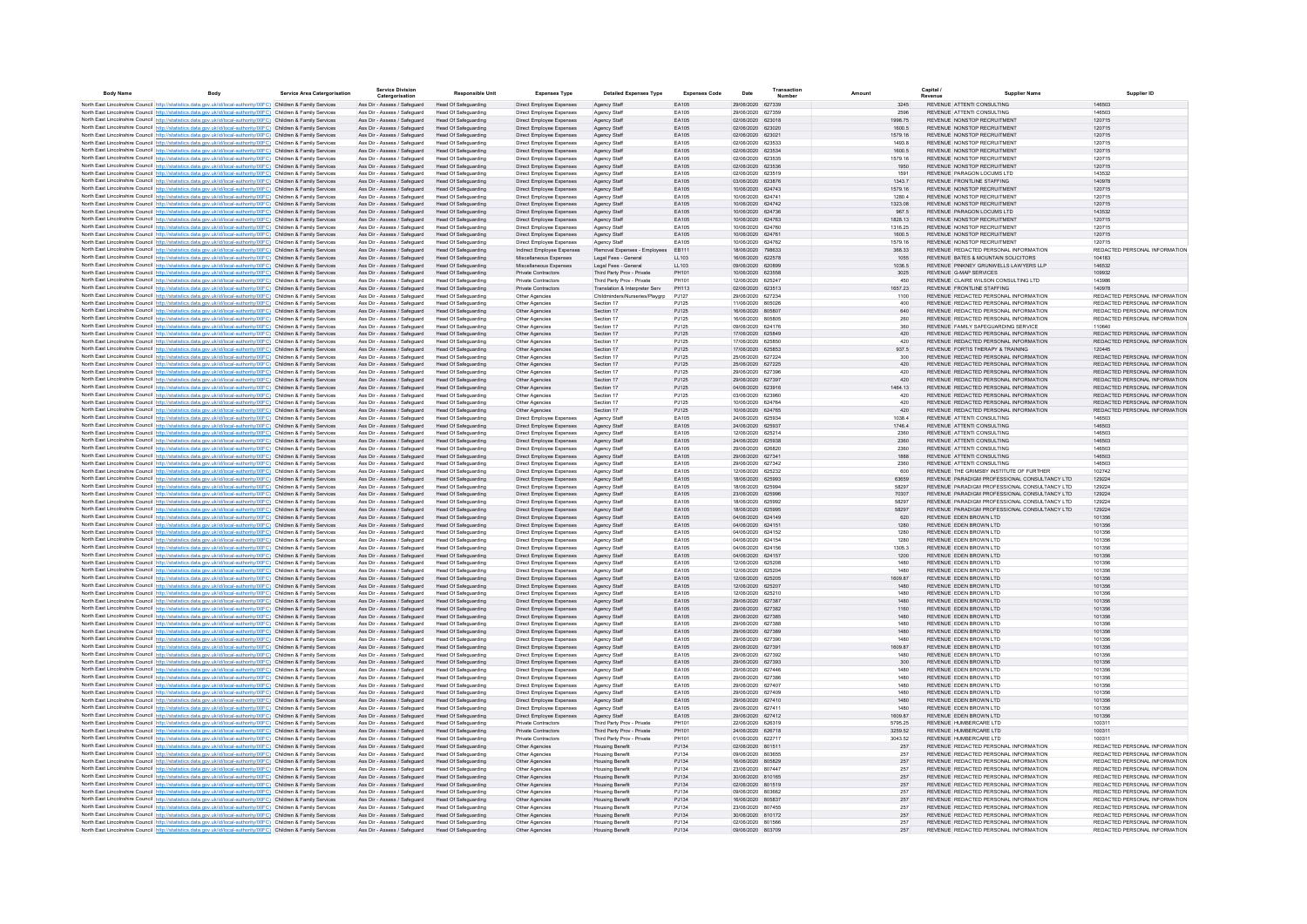| <b>Body Name</b> | Body                                                                                                                                                                                                                                   | Service Area Catergorisation | <b>Service Division</b><br>Catergorisation                   | <b>Responsible Unit</b>                                    | <b>Expenses Type</b>                                 | <b>Detailed Expenses Type</b>                            | <b>Expenses Code</b>  | Date                                   | Transaction<br>Number | Amount           | Capital                                                                                        | Supplier Name |                                                                |
|------------------|----------------------------------------------------------------------------------------------------------------------------------------------------------------------------------------------------------------------------------------|------------------------------|--------------------------------------------------------------|------------------------------------------------------------|------------------------------------------------------|----------------------------------------------------------|-----------------------|----------------------------------------|-----------------------|------------------|------------------------------------------------------------------------------------------------|---------------|----------------------------------------------------------------|
|                  | North East Lincolnshire Council http://statistics.data.gov.uk/id/local-authority/00FC) Children & Family Services                                                                                                                      |                              | Ass Dir - Assess / Safeguard                                 | <b>Head Of Safeguarding</b>                                | Direct Employee Expenses                             | Agency Staff                                             | EA105                 | 29/06/2020 627339                      |                       | 3245             | REVENUE ATTENTI CONSULTING                                                                     |               | 146503                                                         |
|                  | North East Lincolnshire Council http://statistics.data.gov.uk/id/local-authority/00FC) Children & Family Services                                                                                                                      |                              | Ass Dir - Assess / Safeguard                                 | <b>Head Of Safeguarding</b>                                | Direct Employee Expenses                             | Agency Staff                                             | FA105                 | 29/06/2020 627359                      |                       | 2596             | REVENUE ATTENTI CONSULTING                                                                     |               | 146503                                                         |
|                  | North East Lincolnshire Council http://statistics.data.gov.uk/id/local-authority/00FC) Children & Family Services                                                                                                                      |                              | Ass Dir - Assess / Safeguard                                 | <b>Head Of Safeguarding</b>                                | Direct Employee Expenses                             | Agency Staff                                             | FA105                 | 02/06/2020 623018                      |                       | 1998.75          | REVENUE NONSTOP RECRUITMENT                                                                    |               | 120715                                                         |
|                  | North East Lincolnshire Council http://statistics.data.gov.uk/id/local-authority/00FC) Children & Family Services                                                                                                                      |                              | Ass Dir - Assess / Safeguard                                 | Head Of Safeguarding                                       | Direct Employee Expenses                             | Agency Staff                                             | EA105                 | 02/06/2020 623020                      |                       | 1600.5           | REVENUE NONSTOP RECRUITMENT                                                                    |               | 120715                                                         |
|                  | North East Lincolnshire Council http://statistics.data.gov.uk/id/local-authority/00FC) Children & Family Services                                                                                                                      |                              | Ass Dir - Assess / Safeguard                                 | <b>Head Of Safeguarding</b>                                | Direct Employee Expenses                             | Agency Staff                                             | EA105                 | 02/06/2020 623021                      |                       | 1579.16          | REVENUE NONSTOP RECRUITMENT                                                                    |               | 120715                                                         |
|                  | North East Lincolnshire Council http://statistics.data.gov.uk/id/local-authority/00FC) Children & Family Services<br>North East Lincolnshire Council http://statistics.data.gov.uk/id/local-authority/00FC) Children & Family Services |                              | Ass Dir - Assess / Safeguard<br>Ass Dir - Assess / Safeguard | <b>Head Of Safeguarding</b><br><b>Head Of Safeguarding</b> | Direct Employee Expenses<br>Direct Employee Expenses | Agency Staff<br>Agency Staff                             | EA105<br>EA105        | 02/06/2020 623533<br>02/06/2020 623534 |                       | 1493.8<br>1600.5 | REVENUE NONSTOP RECRUITMENT<br>REVENUE NONSTOP RECRUITMENT                                     |               | 120715<br>120715                                               |
|                  | North East Lincolnshire Council http://statistics.data.gov.uk/id/local-authority/00FC) Children & Family Services                                                                                                                      |                              | Ass Dir - Assess / Safeguard                                 | <b>Head Of Safeguarding</b>                                | Direct Employee Expenses                             | Agency Staff                                             | EA105                 | 02/06/2020 623535                      |                       | 1579.16          | REVENUE NONSTOP RECRUITMENT                                                                    |               | 120715                                                         |
|                  | North East Lincolnshire Council http://statistics.data.gov.uk/id/local-authority/00FC) Children & Family Services                                                                                                                      |                              | Ass Dir - Assess / Safeguard                                 | <b>Head Of Safeguarding</b>                                | Direct Employee Expenses                             | Agency Staff                                             | EA105                 | 02/06/2020 623536                      |                       | 1950             | REVENUE NONSTOP RECRUITMENT                                                                    |               | 120715                                                         |
|                  | North East Lincolnshire Council http://statistics.data.gov.uk/id/local-authority/00FC) Children & Family Services                                                                                                                      |                              | Ass Dir - Assess / Safeguard                                 | <b>Head Of Safeguarding</b>                                | Direct Employee Expenses                             | Agency Staff                                             | EA105                 | 02/06/2020 623519                      |                       | 1591             | REVENUE PARAGON LOCUMS LTD                                                                     |               | 143532                                                         |
|                  | North East Lincolnshire Council http://statistics.data.gov.uk/id/local-authority/00FC) Children & Family Services                                                                                                                      |                              | Ass Dir - Assess / Safeguard                                 | <b>Head Of Safeguarding</b>                                | Direct Employee Expenses                             | Agency Staff                                             | EA105                 | 03/06/2020 623876                      |                       | 1343.7           | REVENUE FRONTLINE STAFFING                                                                     |               | 140978                                                         |
|                  | North East Lincolnshire Council http://statistics.data.gov.uk/id/local-authority/00FC) Children & Family Services                                                                                                                      |                              | Ass Dir - Assess / Safeguard                                 | <b>Head Of Safeguarding</b>                                | Direct Employee Expenses                             | Agency Staff                                             | EA105                 | 10/06/2020 624743                      |                       | 1579.16          | REVENUE NONSTOP RECRUITMENT                                                                    |               | 120715                                                         |
|                  | North East Lincolnshire Council http://statistics.data.gov.uk/id/local-authority/00FC) Children & Family Services<br>North East Lincolnshire Council http://statistics.data.gov.uk/id/local-authority/00EC) Children & Family Services |                              | Ass Dir - Assess / Saferward<br>Ass Dir - Assess / Safeguard | <b>Head Of Safeguarding</b><br><b>Head Of Safeguarding</b> | Direct Employee Expenses<br>Direct Employee Expenses | Agency Staff<br>Agency Staff                             | FA105<br>FA105        | 10/06/2020 624741<br>10/06/2020 624742 |                       | 12804<br>1323.08 | REVENUE NONSTOP RECRUITMENT<br>REVENUE NONSTOP RECRUITMENT                                     |               | 120715<br>120715                                               |
|                  | North East Lincolnshire Council http://statistics.data.gov.uk/id/local-authority/00FC) Children & Family Services                                                                                                                      |                              | Ass Dir - Assess / Safeguard                                 | Head Of Safeguarding                                       | Direct Employee Expenses                             | Agency Staff                                             | FA105                 | 10/06/2020 624736                      |                       | 967.5            | REVENUE PARAGON LOCUMS LTD                                                                     |               | 143532                                                         |
|                  | North East Lincolnshire Council http://statistics.data.gov.uk/id/local-authority/00FC) Children & Family Services                                                                                                                      |                              | Ass Dir - Assess / Safeguard                                 | Head Of Safeguarding                                       | Direct Employee Expenses                             | Agency Staff                                             | FA105                 | 10/06/2020 624763                      |                       | 1828.13          | REVENUE NONSTOP RECRUITMENT                                                                    |               | 120715                                                         |
|                  | North East Lincolnshire Council http://statistics.data.gov.uk/id/local-authority/00FC) Children & Family Services                                                                                                                      |                              | Ass Dir - Assess / Safeguard                                 | <b>Head Of Safeguarding</b>                                | Direct Employee Expenses                             | Agency Staff                                             | <b>FA105</b>          | 10/06/2020 624760                      |                       | 1316 25          | REVENUE NONSTOP RECRUITMENT                                                                    |               | 120715                                                         |
|                  | North East Lincolnshire Council http://statistics.data.gov.uk/id/local-authority/00FC) Children & Family Services                                                                                                                      |                              | Ass Dir - Assess / Safeguard                                 | Head Of Safeguarding                                       | Direct Employee Expenses                             | Agency Staff                                             | FA105                 | 10/06/2020 624761                      |                       | 1600 5           | REVENUE NONSTOP RECRUITMENT                                                                    |               | 120715                                                         |
|                  | North East Lincolnshire Council http://statistics.data.gov.uk/id/local-authority/00FC) Children & Family Services                                                                                                                      |                              | Ass Dir - Assess / Safeguard                                 | <b>Head Of Safeguarding</b>                                | Direct Employee Expenses                             | Agency Staff                                             | <b>FA105</b>          | 10/06/2020 624762                      |                       | 1579.16          | REVENUE NONSTOP RECRUITMENT                                                                    |               | 120715                                                         |
|                  | North East Lincolnshire Council http://statistics.data.gov.uk/id/local-authority/00FC) Children & Family Services                                                                                                                      |                              | Ass Dir - Assess / Safeguard                                 | Head Of Safeguarding                                       | Indirect Employee Expenses                           | Removal Expenses - Employ                                | EB111                 | 18/06/2020 798633                      |                       | 368.33           | REVENUE REDACTED PERSONAL INFORMATION                                                          |               | REDACTED PERSONAL INFORMATION                                  |
|                  | North East Lincolnshire Council http://statistics.data.gov.uk/id/local-authority/00FC) Children & Family Services<br>North East Lincolnshire Council http://statistics.data.gov.uk/id/local-authority/00FC) Children & Family Services |                              | Ass Dir - Assess / Safeguard<br>Ass Dir - Assess / Safeguard | <b>Head Of Safeguarding</b><br>Head Of Safeguarding        | Miscellaneous Expenses<br>Miscellaneous Expenses     | Legal Fees - General<br>Legal Fees - General             | LL103<br>LL103        | 16/06/2020 622578<br>09/06/2020        | 620899                | 1055<br>1036.5   | REVENUE BATES & MOUNTAIN SOLICITORS<br>REVENUE PINKNEY GRUNWELLS LAWYERS LLP                   |               | 104183<br>146532                                               |
|                  | North East Lincolnshire Council http://statistics.data.gov.uk/id/local-authority/00FC) Children & Family Services                                                                                                                      |                              | Ass Dir - Assess / Safeguard                                 | <b>Head Of Safeguarding</b>                                | Private Contractors                                  | Third Party Prov - Private                               | PH101                 | 10/06/2020 623558                      |                       | 3025             | REVENUE G-MAP SERVICES                                                                         |               | 109932                                                         |
|                  | North East Lincolnshire Council http://statistics.data.gov.uk/id/local-authority/00FC) Children & Family Services                                                                                                                      |                              | Ass Dir - Assess / Safeguard                                 | <b>Head Of Safeguarding</b>                                | Private Contractors                                  | Third Party Prov - Private                               | PH101                 | 12/06/2020 625247                      |                       | 450              | REVENUE CLAIRE WILSON CONSULTING LTD                                                           |               | 143986                                                         |
|                  | North East Lincolnshire Council http://statistics.data.gov.uk/id/local-authority/00FC) Children & Family Services                                                                                                                      |                              | Ass Dir - Assess / Safeguard                                 | <b>Head Of Safeguarding</b>                                | Private Contractors                                  | Translation & Interpreter Serv                           | PH113                 | 02/06/2020 623513                      |                       | 1657.23          | REVENUE FRONTLINE STAFFING                                                                     |               | 140978                                                         |
|                  | North East Lincolnshire Council http://statistics.data.gov.uk/id/local-authority/00FC) Children & Family Services                                                                                                                      |                              | Ass Dir - Assess / Safeguard                                 | Head Of Safeguarding                                       | Other Agencies                                       | Childminders/Nurseries/Playgrp                           | PJ127                 | 29/06/2020 627234                      |                       | 1100             | REVENUE REDACTED PERSONAL INFORMATION                                                          |               | REDACTED PERSONAL INFORMATION                                  |
|                  | North East Lincolnshire Council http://statistics.data.gov.uk/id/local-authority/00FC) Children & Family Services                                                                                                                      |                              | Ass Dir - Assess / Safeguard                                 | <b>Head Of Safeguarding</b>                                | Other Agencies                                       | Section 17                                               | PJ125                 | 11/06/2020 805026                      |                       | 400              | REVENUE REDACTED PERSONAL INFORMATION                                                          |               | REDACTED PERSONAL INFORMATION                                  |
|                  | North East Lincolnshire Council http://statistics.data.gov.uk/id/local-authority/00FC) Children & Family Services                                                                                                                      |                              | Ass Dir - Assess / Safeguard                                 | <b>Head Of Safeguarding</b>                                | Other Agencies                                       | Section 17                                               | PJ125                 | 16/06/2020 805807                      |                       | 640              | REVENUE REDACTED PERSONAL INFORMATION                                                          |               | REDACTED PERSONAL INFORMATION                                  |
|                  | North East Lincolnshire Council http://statistics.data.gov.uk/id/local-authority/00FC) Children & Family Services<br>North East Lincolnshire Council http://statistics.data.gov.uk/id/local-authority/00EC) Children & Family Services |                              | Ass Dir - Assess / Safeguard<br>Ass Dir - Assess / Saferward | Head Of Safeguarding<br>Head Of Safeguarding               | Other Agencies<br>Other Agencies                     | Section 17<br>Section 17                                 | PJ125<br>P.1125       | 16/06/2020 805805<br>09/06/2020 624176 |                       | 260<br>360       | REVENUE REDACTED PERSONAL INFORMATION<br>REVENUE, FAMILY SAFEGUARDING SERVICE                  |               | REDACTED PERSONAL INFORMATION<br>110640                        |
|                  | North East Lincolnshire Council http://statistics.data.gov.uk/id/local-authority/00FC) Children & Family Services                                                                                                                      |                              | Ass Dir - Assess / Safeguard                                 | Head Of Safeguarding                                       | Other Agencies                                       | Section 17                                               | PJ125                 | 17/06/2020 625849                      |                       | 420              | REVENUE REDACTED PERSONAL INFORMATION                                                          |               | REDACTED PERSONAL INFORMATION                                  |
|                  | North East Lincolnshire Council http://statistics.data.gov.uk/id/local-authority/00FC) Children & Family Services                                                                                                                      |                              | Ass Dir - Assess / Safeguard                                 | Head Of Safeguarding                                       | Other Agencies                                       | Section 17                                               | P.1125                | 17/06/2020 625850                      |                       | 420              | REVENUE REDACTED PERSONAL INFORMATION                                                          |               | REDACTED PERSONAL INFORMATION                                  |
|                  | North East Lincolnshire Council http://statistics.data.gov.uk/id/local-authority/00FC) Children & Family Services                                                                                                                      |                              | Ass Dir - Assess / Safeguard                                 | <b>Head Of Safeguarding</b>                                | Other Agencies                                       | Section 17                                               | PJ125                 | 17/06/2020 625853                      |                       | 937.5            | REVENUE FORTIS THERAPY & TRAINING                                                              |               | 120445                                                         |
|                  | North East Lincolnshire Council http://statistics.data.gov.uk/id/local-authority/00FC) Children & Family Services                                                                                                                      |                              | Ass Dir - Assess / Safeguard                                 | Head Of Safeguarding                                       | Other Agencies                                       | Section 17                                               | <b>PJ125</b>          | 25/06/2020 627224                      |                       | 300              | REVENUE REDACTED PERSONAL INFORMATION                                                          |               | REDACTED PERSONAL INFORMATION                                  |
|                  | North East Lincolnshire Council http://statistics.data.gov.uk/id/local-authority/00FC) Children & Family Services                                                                                                                      |                              | Ass Dir - Assess / Safeguard                                 | Head Of Safeguarding                                       | Other Agencies                                       | Section 17                                               | PJ125                 | 25/06/2020 627225                      |                       | 420              | REVENUE REDACTED PERSONAL INFORMATION                                                          |               | REDACTED PERSONAL INFORMATION                                  |
|                  | North East Lincolnshire Council http://statistics.data.gov.uk/id/local-authority/00FC) Children & Family Services                                                                                                                      |                              | Ass Dir - Assess / Safeguard                                 | Head Of Safeguarding                                       | Other Agencies                                       | Section 17                                               | PJ125                 | 29/06/2020 627396                      |                       | 420              | REVENUE REDACTED PERSONAL INFORMATION                                                          |               | REDACTED PERSONAL INFORMATION                                  |
|                  | North East Lincolnshire Council http://statistics.data.gov.uk/id/local-authority/00FC) Children & Family Services<br>North East Lincolnshire Council http://statistics.data.gov.uk/id/local-authority/00FC) Children & Family Services |                              | Ass Dir - Assess / Safeguard<br>Ass Dir - Assess / Safeguard | <b>Head Of Safeguarding</b><br>Head Of Safeguarding        | Other Agencies                                       | Section 17<br>Section 17                                 | PJ125                 | 29/06/2020 627397<br>04/06/2020 623916 |                       | 420<br>1464.13   | REVENUE REDACTED PERSONAL INFORMATION<br>REVENUE REDACTED PERSONAL INFORMATION                 |               | REDACTED PERSONAL INFORMATION<br>REDACTED PERSONAL INFORMATION |
|                  | North East Lincolnshire Council http://statistics.data.gov.uk/id/local-authority/00FC) Children & Family Services                                                                                                                      |                              | Ass Dir - Assess / Safeguard                                 | Head Of Safeguarding                                       | Other Agencies<br>Other Agencies                     | Section 17                                               | PJ125<br>PJ125        | 03/06/2020 623960                      |                       | 420              | REVENUE REDACTED PERSONAL INFORMATION                                                          |               | REDACTED PERSONAL INFORMATION                                  |
|                  | North East Lincolnshire Council http://statistics.data.gov.uk/id/local-authority/00FC) Children & Family Services                                                                                                                      |                              | Ass Dir - Assess / Safeguard                                 | <b>Head Of Safeguarding</b>                                | Other Agencies                                       | Section 17                                               | PJ125                 | 10/06/2020 624764                      |                       | 420              | REVENUE REDACTED PERSONAL INFORMATION                                                          |               | REDACTED PERSONAL INFORMATION                                  |
|                  | North East Lincolnshire Council http://statistics.data.gov.uk/id/local-authority/00FC) Children & Family Services                                                                                                                      |                              | Ass Dir - Assess / Safeguard                                 | <b>Head Of Safeguarding</b>                                | Other Agencies                                       | Section 17                                               | PJ125                 | 10/06/2020 624765                      |                       | 420              | REVENUE REDACTED PERSONAL INFORMATION                                                          |               | REDACTED PERSONAL INFORMATION                                  |
|                  | North East Lincolnshire Council http://statistics.data.gov.uk/id/local-authority/00FC) Children & Family Services                                                                                                                      |                              | Ass Dir - Assess / Safeguard                                 | <b>Head Of Safeguarding</b>                                | Direct Employee Expenses                             | Agency Staff                                             | EA105                 | 24/06/2020 625934                      |                       | 1038.4           | REVENUE ATTENTI CONSULTING                                                                     |               | 146503                                                         |
|                  | North East Lincolnshire Council http://statistics.data.gov.uk/id/local-authority/00FC) Children & Family Services                                                                                                                      |                              | Ass Dir - Assess / Safeguard                                 | <b>Head Of Safeguarding</b>                                | Direct Employee Expenses                             | Agency Staff                                             | EA105                 | 24/06/2020 625937                      |                       | 1746.4           | REVENUE ATTENTI CONSULTING                                                                     |               | 146503                                                         |
|                  | North East Lincolnshire Council http://statistics.data.gov.uk/id/local-authority/00FC) Children & Family Services                                                                                                                      |                              | Ass Dir - Assess / Safeguard                                 | <b>Head Of Safeguarding</b>                                | Direct Employee Expenses                             | Agency Staff                                             | EA105                 | 12/06/2020 625214                      |                       | 2360             | REVENUE ATTENTI CONSULTING                                                                     |               | 146503                                                         |
|                  | North East Lincolnshire Council http://statistics.data.gov.uk/id/local-authority/00FC) Children & Family Services<br>North East Lincolnshire Council http://statistics.data.gov.uk/id/local-authority/00EC) Children & Family Services |                              | Ass Dir - Assess / Safeguard<br>Ass Dir - Assess / Safeguard | <b>Head Of Safeguarding</b><br>Head Of Safeguarding        | Direct Employee Expenses<br>Direct Employee Expenses | Agency Staff<br>Agency Staff                             | EA105<br>FA105        | 24/06/2020 625938<br>29/06/2020 626820 |                       | 2360<br>2360     | REVENUE ATTENTI CONSULTING<br>REVENUE ATTENTI CONSULTING                                       |               | 146503<br>146503                                               |
|                  | North East Lincolnshire Council http://statistics.data.gov.uk/id/local-authority/00FC) Children & Family Services                                                                                                                      |                              | Ass Dir - Assess / Safeguard                                 | Head Of Safeguarding                                       | Direct Employee Expenses                             | Agency Staff                                             | FA105                 | 29/06/2020 627341                      |                       | 1888             | REVENUE ATTENTI CONSULTING                                                                     |               | 146503                                                         |
|                  | North East Lincolnshire Council http://statistics.data.gov.uk/id/local-authority/00FC) Children & Family Services                                                                                                                      |                              | Ass Dir - Assess / Safeguard                                 | Head Of Safeguarding                                       | Direct Employee Expenses                             | Agency Staff                                             | FA105                 | 29/06/2020 627342                      |                       | 2360             | REVENUE ATTENTI CONSULTING                                                                     |               | 146503                                                         |
|                  | North East Lincolnshire Council http://statistics.data.gov.uk/id/local-authority/00FC) Children & Family Services                                                                                                                      |                              | Ass Dir - Assess / Safeguard                                 | <b>Head Of Safeguarding</b>                                | Direct Employee Expenses                             | Agency Staff                                             | FA105                 | 12/06/2020 625232                      |                       | 600              | REVENUE THE GRIMSRY INSTITUTE OF FURTHER                                                       |               | 102742                                                         |
|                  | North East Lincolnshire Council http://statistics.data.gov.uk/id/local-authority/00FC) Children & Family Services                                                                                                                      |                              | Ass Dir - Assess / Safeguard                                 | Head Of Safeguarding                                       | Direct Employee Expenses                             | Agency Staff                                             | EA105                 | 18/06/2020 625993                      |                       | 63659            | REVENUE PARADIGM PROFESSIONAL CONSULTANCY LTD.                                                 |               | 129224                                                         |
|                  | North East Lincolnshire Council http://statistics.data.gov.uk/id/local-authority/00FC) Children & Family Services                                                                                                                      |                              | Ass Dir - Assess / Safeguard                                 | <b>Head Of Safeguarding</b>                                | Direct Employee Expenses                             | Agency Staff                                             | <b>FA105</b>          | 18/06/2020 625994                      |                       | 58297            | REVENUE, PARADIGM PROFESSIONAL CONSULTANCY LTD.                                                |               | 129224                                                         |
|                  | North East Lincolnshire Council http://statistics.data.gov.uk/id/local-authority/00FC) Children & Family Services                                                                                                                      |                              | Ass Dir - Assess / Safeguard                                 | Head Of Safeguarding                                       | Direct Employee Expenses                             | Agency Staff                                             | EA105                 | 23/06/2020 625996                      |                       | 70307            | REVENUE PARADIGM PROFESSIONAL CONSULTANCY LTD                                                  |               | 129224                                                         |
|                  | North East Lincolnshire Council http://statistics.data.gov.uk/id/local-authority/00FC) Children & Family Services<br>North East Lincolnshire Council http://statistics.data.gov.uk/id/local-authority/00FC) Children & Family Services |                              | Ass Dir - Assess / Safeguard<br>Ass Dir - Assess / Safeguard | <b>Head Of Safeguarding</b><br><b>Head Of Safeguarding</b> | Direct Employee Expenses<br>Direct Employee Expenses | Agency Staff<br>Agency Staff                             | EA105<br>EA105        | 18/06/2020 625992<br>18/06/2020        | 625995                | 58297<br>58297   | REVENUE PARADIGM PROFESSIONAL CONSULTANCY LTD<br>REVENUE PARADIGM PROFESSIONAL CONSULTANCY LTD |               | 129224<br>129224                                               |
|                  | North East Lincolnshire Council http://statistics.data.gov.uk/id/local-authority/00FC) Children & Family Services                                                                                                                      |                              | Ass Dir - Assess / Safeguard                                 | Head Of Safeguarding                                       | Direct Employee Expenses                             | Agency Staff                                             | EA105                 | 04/06/2020 624149                      |                       | 620              | REVENUE EDEN BROWN LTD                                                                         |               | 101356                                                         |
|                  | North East Lincolnshire Council http://statistics.data.gov.uk/id/local-authority/00FC) Children & Family Services                                                                                                                      |                              | Ass Dir - Assess / Safeguard                                 | <b>Head Of Safeguarding</b>                                | Direct Employee Expenses                             | Agency Staff                                             | EA105                 | 04/06/2020 624151                      |                       | 1280             | REVENUE EDEN BROWN LTD                                                                         |               | 101356                                                         |
|                  | North East Lincolnshire Council http://statistics.data.gov.uk/id/local-authority/00FC) Children & Family Services                                                                                                                      |                              | Ass Dir - Assess / Safeguard                                 | <b>Head Of Safeguarding</b>                                | Direct Employee Expenses                             | Agency Staff                                             | EA105                 | 04/06/2020 624152                      |                       | 1280             | REVENUE EDEN BROWN LTD                                                                         |               | 101356                                                         |
|                  | North East Lincolnshire Council http://statistics.data.gov.uk/id/local-authority/00FC) Children & Family Services                                                                                                                      |                              | Ass Dir - Assess / Safeguard                                 | <b>Head Of Safeguarding</b>                                | Direct Employee Expenses                             | Agency Staff                                             | EA105                 | 04/06/2020 624154                      |                       | 1280             | REVENUE EDEN BROWN LTD                                                                         |               | 101356                                                         |
|                  | North East Lincolnshire Council http://statistics.data.gov.uk/id/local-authority/00FC) Children & Family Services                                                                                                                      |                              | Ass Dir - Assess / Safeguard                                 | <b>Head Of Safeguarding</b>                                | Direct Employee Expenses                             | Agency Staff                                             | EA105                 | 04/06/2020 624156                      |                       | 1305.3           | REVENUE EDEN BROWN LTD                                                                         |               | 101356                                                         |
|                  | North East Lincolnshire Council http://statistics.data.gov.uk/id/local-authority/00FC) Children & Family Services                                                                                                                      |                              | Ass Dir - Assess / Safeguard                                 | Head Of Safeguarding                                       | Direct Employee Expenses                             | Agency Staff                                             | EA105                 | 04/06/2020 624157<br>12/06/2020 625208 |                       | 1200             | REVENUE EDEN BROWN LTD<br>REVENUE EDEN BROWN LTD                                               |               | 101356                                                         |
|                  | North East Lincolnshire Council http://statistics.data.gov.uk/id/local-authority/00FC) Children & Family Services<br>North East Lincolnshire Council http://statistics.data.gov.uk/id/local-authority/00FC) Children & Family Services |                              | Ass Dir - Assess / Safeguard<br>Ass Dir - Assess / Saferward | <b>Head Of Safeguarding</b><br>Head Of Safeguarding        | Direct Employee Expenses<br>Direct Employee Expenses | Agency Staff<br>Agency Staff                             | EA105<br><b>FA105</b> | 12/06/2020 625204                      |                       | 1480<br>1480     | REVENUE EDEN BROWN LTD                                                                         |               | 101356<br>101356                                               |
|                  | North East Lincolnshire Council http://statistics.data.gov.uk/id/local-authority/00FC) Children & Family Services                                                                                                                      |                              | Ass Dir - Assess / Safeguard                                 | <b>Head Of Safeguarding</b>                                | Direct Employee Expenses                             | Agency Staff                                             | FA105                 | 12/06/2020 625205                      |                       | 1609 87          | REVENUE EDEN BROWN LTD                                                                         |               | 101356                                                         |
|                  | North East Lincolnshire Council http://statistics.data.gov.uk/id/local-authority/00FC) Children & Family Services                                                                                                                      |                              | Ass Dir - Assess / Safeguard                                 | <b>Head Of Safeguarding</b>                                | Direct Employee Expenses                             | Agency Staff                                             | FA105                 | 12/06/2020 625207                      |                       | 1480             | REVENUE EDEN BROWN LTD                                                                         |               | 101356                                                         |
|                  | North East Lincolnshire Council http://statistics.data.gov.uk/id/local-authority/00FC) Children & Family Services                                                                                                                      |                              | Ass Dir - Assess / Safeguard                                 | Head Of Safeguarding                                       | Direct Employee Expenses                             | Agency Staff                                             | FA105                 | 12/06/2020 625210                      |                       | 1480             | REVENUE EDEN BROWN LTD                                                                         |               | 101356                                                         |
|                  | North East Lincolnshire Council http://statistics.data.gov.uk/id/local-authority/00FC) Children & Family Services                                                                                                                      |                              | Ass Dir - Assess / Safeguard                                 | <b>Head Of Safeguarding</b>                                | Direct Employee Expenses                             | Agency Staff                                             | FA105                 | 29/06/2020 627387                      |                       | 1480             | REVENUE FDEN BROWN LTD                                                                         |               | 101356                                                         |
|                  | North East Lincolnshire Council http://statistics.data.gov.uk/id/local-authority/00FC) Children & Family Services                                                                                                                      |                              | Ass Dir - Assess / Safeguard                                 | <b>Head Of Safeguarding</b>                                | Direct Employee Expenses                             | Agency Staff                                             | EA105                 | 29/06/2020 627382                      |                       | 1160             | REVENUE EDEN BROWN LTD                                                                         |               | 101356                                                         |
|                  | North East Lincolnshire Council http://statistics.data.gov.uk/id/local-authority/00FC) Children & Family Services<br>North East Lincolnshire Council http://statistics.data.gov.uk/id/local-authority/00FC) Children & Family Services |                              | Ass Dir - Assess / Safeguard<br>Ass Dir - Assess / Safeguard | <b>Head Of Safeguarding</b><br>Head Of Safeguarding        | Direct Employee Expenses<br>Direct Employee Expenses | Agency Staff<br>Agency Staff                             | EA105<br>EA105        | 29/06/2020 627385<br>29/06/2020 627388 |                       | 1480<br>1480     | REVENUE EDEN BROWN LTD<br>REVENUE EDEN BROWN LTD                                               |               | 101356<br>101356                                               |
|                  | North East Lincolnshire Council http://statistics.data.gov.uk/id/local-authority/00FC) Children & Family Services                                                                                                                      |                              | Ass Dir - Assess / Safeguard                                 | <b>Head Of Safeguarding</b>                                | Direct Employee Expenses                             | Agency Staff                                             | EA105                 | 29/06/2020 627389                      |                       | 1480             | REVENUE EDEN BROWN LTD                                                                         |               | 101356                                                         |
|                  | North East Lincolnshire Council http://statistics.data.gov.uk/id/local-authority/00FC) Children & Family Services                                                                                                                      |                              | Ass Dir - Assess / Safeguard                                 | Head Of Safeguarding                                       | Direct Employee Expenses                             | Agency Stat                                              | EA105                 | 29/06/2020                             | 627390                | 1480             | REVENUE EDEN BROWN LTD                                                                         |               | 101356                                                         |
|                  | North East Lincolnshire Council http://statistics.data.gov.uk/id/local-authority/00FC) Children & Family Services                                                                                                                      |                              | Ass Dir - Assess / Safeguard                                 | <b>Head Of Safeguarding</b>                                | Direct Employee Expenses                             | Agency Staff                                             | EA105                 | 29/06/2020 627391                      |                       | 1609.87          | REVENUE EDEN BROWN LTD                                                                         |               | 101356                                                         |
|                  | North East Lincolnshire Council http://statistics.data.gov.uk/id/local-authority/00FC) Children & Family Services                                                                                                                      |                              | Ass Dir - Assess / Safeguard                                 | <b>Head Of Safeguarding</b>                                | Direct Employee Expenses                             | Agency Staff                                             | EA105                 | 29/06/2020 627392                      |                       | 1480             | REVENUE EDEN BROWN LTD                                                                         |               | 101356                                                         |
|                  | North East Lincolnshire Council http://statistics.data.gov.uk/id/local-authority/00FC) Children & Family Services                                                                                                                      |                              | Ass Dir - Assess / Safeguard                                 | Head Of Safeguarding                                       | Direct Employee Expenses                             | Agency Staff                                             | EA105                 | 29/06/2020 627393                      |                       | 300              | REVENUE EDEN BROWN LTD                                                                         |               | 101356                                                         |
|                  | North East Lincolnshire Council http://statistics.data.gov.uk/id/local-authority/00FC) Children & Family Services                                                                                                                      |                              | Ass Dir - Assess / Safeguard                                 | <b>Head Of Safeguarding</b>                                | Direct Employee Expenses                             | Agency Staff                                             | EA105                 | 29/06/2020 627446                      |                       | 1480             | REVENUE EDEN BROWN LTD                                                                         |               | 101356                                                         |
|                  | North East Lincolnshire Council http://statistics.data.gov.uk/id/local-authority/00FC) Children & Family Services<br>North East Lincolnshire Council http://statistics.data.gov.uk/id/local-authority/00FC) Children & Family Services |                              | Ass Dir - Assess / Safeguard<br>Ass Dir - Assess / Safeguard | <b>Head Of Safeguarding</b><br><b>Head Of Safeguarding</b> | Direct Employee Expenses<br>Direct Employee Expenses | Agency Staff<br>Agency Staff                             | EA105<br>EA105        | 29/06/2020 627386<br>29/06/2020 627407 |                       | 1480<br>1480     | REVENUE EDEN BROWN LTD<br>REVENUE EDEN BROWN LTD                                               |               | 101356<br>101356                                               |
|                  | North East Lincolnshire Council http://statistics.data.gov.uk/id/local-authority/00FC) Children & Family Services                                                                                                                      |                              | Ass Dir - Assess / Safeguard                                 | Head Of Safeguarding                                       | Direct Employee Expenses                             | Agency Staff                                             | EA105                 | 29/06/2020 627409                      |                       | 1480             | REVENUE EDEN BROWN LTD                                                                         |               | 101356                                                         |
|                  | North East Lincolnshire Council http://statistics.data.gov.uk/id/local-authority/00FC) Children & Family Services                                                                                                                      |                              | Ass Dir - Assess / Safeguard                                 | Head Of Safeguarding                                       | Direct Employee Expenses                             | Agency Staff                                             | FA105                 | 29/06/2020 627410                      |                       | 1480             | REVENUE EDEN BROWN LTD                                                                         |               | 101356                                                         |
|                  | North East Lincolnshire Council http://statistics.data.gov.uk/id/local-authority/00FC) Children & Family Services                                                                                                                      |                              | Ass Dir - Assess / Safeguard                                 | Head Of Safeguarding                                       | Direct Employee Expenses                             | Agency Staff                                             | FA105                 | 29/06/2020 627411                      |                       | 1480             | REVENUE EDEN BROWN LTD                                                                         |               | 101356                                                         |
|                  | North East Lincolnshire Council http://statistics.data.gov.uk/id/local-authority/00FC) Children & Family Services                                                                                                                      |                              | Ass Dir - Assess / Safeguard                                 | Head Of Safeguarding                                       | Direct Employee Expenses                             | Agency Staff                                             | FA105                 | 29/06/2020 627412                      |                       | 1609 87          | REVENUE EDEN BROWN LTD                                                                         |               | 101356                                                         |
|                  | North East Lincolnshire Council http://statistics.data.gov.uk/id/local-authority/00FC) Children & Family Services                                                                                                                      |                              | Ass Dir - Assess / Safeguard                                 | Head Of Safeguarding                                       | Private Contractors                                  | Third Party Prov - Private                               | PH101                 | 22/06/2020 626319                      |                       | 5795 25          | REVENUE HUMBERCARE LTD                                                                         |               | 100311                                                         |
|                  | North East Lincolnshire Council http://statistics.data.gov.uk/id/local-authority/00FC) Children & Family Services                                                                                                                      |                              | Ass Dir - Assess / Safeguard<br>Ass Dir - Assess / Safeguard | <b>Head Of Safeguarding</b><br>Head Of Safeguarding        | Private Contractors<br>Private Contractors           | Third Party Prov - Private<br>Third Party Prov - Private | PH101<br>PH101        | 24/06/2020 626718<br>01/06/2020 622717 |                       | 3259.52          | REVENUE HUMBERCARE LTD<br>REVENUE HUMBERCARE LTD                                               |               | 100311<br>100311                                               |
|                  | North East Lincolnshire Council http://statistics.data.gov.uk/id/local-authority/00FC) Children & Family Services<br>North East Lincolnshire Council http://statistics.data.gov.uk/id/local-authority/00FC) Children & Family Services |                              | Ass Dir - Assess / Safeguard                                 | Head Of Safeguarding                                       | Other Agencies                                       | <b>Housing Benefit</b>                                   | PJ134                 | 02/06/2020 801511                      |                       | 3043.52<br>257   | REVENUE REDACTED PERSONAL INFORMATION                                                          |               | REDACTED PERSONAL INFORMATION                                  |
|                  | North East Lincolnshire Council http://statistics.data.gov.uk/id/local-authority/00FC) Children & Family Services                                                                                                                      |                              | Ass Dir - Assess / Safeguard                                 | Head Of Safeguarding                                       | Other Agencies                                       | <b>Housing Benef</b>                                     | PJ134                 | 09/06/2020                             | 803655                | 257              | REVENUE REDACTED PERSONAL INFORMATION                                                          |               | REDACTED PERSONAL INFORMATION                                  |
|                  | North East Lincolnshire Council http://statistics.data.gov.uk/id/local-authority/00FC) Children & Family Services                                                                                                                      |                              | Ass Dir - Assess / Safeguard                                 | Head Of Safeguarding                                       | Other Agencies                                       | <b>Housing Benefi</b>                                    | PJ134                 | 16/06/2020 805829                      |                       | 257              | REVENUE REDACTED PERSONAL INFORMATION                                                          |               | REDACTED PERSONAL INFORMATION                                  |
|                  | North East Lincolnshire Council http://statistics.data.gov.uk/id/local-authority/00FC) Children & Family Services                                                                                                                      |                              | Ass Dir - Assess / Safeguard                                 | Head Of Safeguarding                                       | Other Agencies                                       | <b>Housing Benefi</b>                                    | PJ134                 | 23/06/2020                             | 807447                | 257              | REVENUE REDACTED PERSONAL INFORMATION                                                          |               | REDACTED PERSONAL INFORMATION                                  |
|                  | North East Lincolnshire Council http://statistics.data.gov.uk/id/local-authority/00FC) Children & Family Services                                                                                                                      |                              | Ass Dir - Assess / Safeguard                                 | <b>Head Of Safeguarding</b>                                | Other Agencies                                       | <b>Housing Benefi</b>                                    | PJ134                 | 30/06/2020 810165                      |                       | 257              | REVENUE REDACTED PERSONAL INFORMATION                                                          |               | REDACTED PERSONAL INFORMATION                                  |
|                  | North East Lincolnshire Council http://statistics.data.gov.uk/id/local-authority/00FC) Children & Family Services                                                                                                                      |                              | Ass Dir - Assess / Safeguard                                 | Head Of Safeguarding                                       | Other Agencies                                       | <b>Housing Benefit</b>                                   | PJ134                 | 02/06/2020 801519                      |                       | 257              | REVENUE REDACTED PERSONAL INFORMATION                                                          |               | REDACTED PERSONAL INFORMATION                                  |
|                  | North East Lincolnshire Council http://statistics.data.gov.uk/id/local-authority/00FC) Children & Family Services                                                                                                                      |                              | Ass Dir - Assess / Safeguard                                 | <b>Head Of Safeguarding</b>                                | Other Agencies                                       | <b>Housing Benefi</b>                                    | PJ134                 | 09/06/2020 803662                      |                       | 257              | REVENUE REDACTED PERSONAL INFORMATION<br>REVENUE REDACTED PERSONAL INFORMATION                 |               | REDACTED PERSONAL INFORMATION<br>REDACTED PERSONAL INFORMATION |
|                  | North East Lincolnshire Council http://statistics.data.gov.uk/id/local-authority/00FC) Children & Family Services<br>North East Lincolnshire Council http://statistics.data.gov.uk/id/local-authority/00FC) Children & Family Services |                              | Ass Dir - Assess / Safeguard<br>Ass Dir - Assess / Safeguard | <b>Head Of Safeguarding</b><br><b>Head Of Safeguarding</b> | Other Agencies<br>Other Agencies                     | <b>Housing Benefit</b><br><b>Housing Benefi</b>          | PJ134<br>PJ134        | 16/06/2020 805837<br>23/06/2020 807455 |                       | 257<br>257       | REVENUE REDACTED PERSONAL INFORMATION                                                          |               | REDACTED PERSONAL INFORMATION                                  |
|                  | North East Lincolnshire Council http://statistics.data.gov.uk/id/local-authority/00FC) Children & Family Services                                                                                                                      |                              | Ass Dir - Assess / Safeguard                                 | Head Of Safeguarding                                       | Other Agencies                                       | <b>Housing Benefit</b>                                   | PJ134                 | 30/06/2020 810172                      |                       | 257              | REVENUE REDACTED PERSONAL INFORMATION                                                          |               | REDACTED PERSONAL INFORMATION                                  |
|                  | North East Lincolnshire Council http://statistics.data.gov.uk/id/local-authority/00FC) Children & Family Services                                                                                                                      |                              | Ass Dir - Assess / Safeguard                                 | Head Of Safeguarding                                       | Other Agencies                                       | <b>Housing Benefit</b>                                   | P.1134                | 02/06/2020 801566                      |                       | 257              | REVENUE REDACTED PERSONAL INFORMATION                                                          |               | REDACTED PERSONAL INFORMATION                                  |
|                  | North East Lincolnshire Council http://statistics.data.gov.uk/id/local-authority/00FC) Children & Family Services                                                                                                                      |                              | Ass Dir - Assess / Safeguard                                 | Head Of Safeguarding                                       | Other Agencies                                       | <b>Housing Benefit</b>                                   | P.1134                | 09/06/2020 803709                      |                       | 257              | REVENUE REDACTED PERSONAL INFORMATION                                                          |               | REDACTED PERSONAL INFORMATION                                  |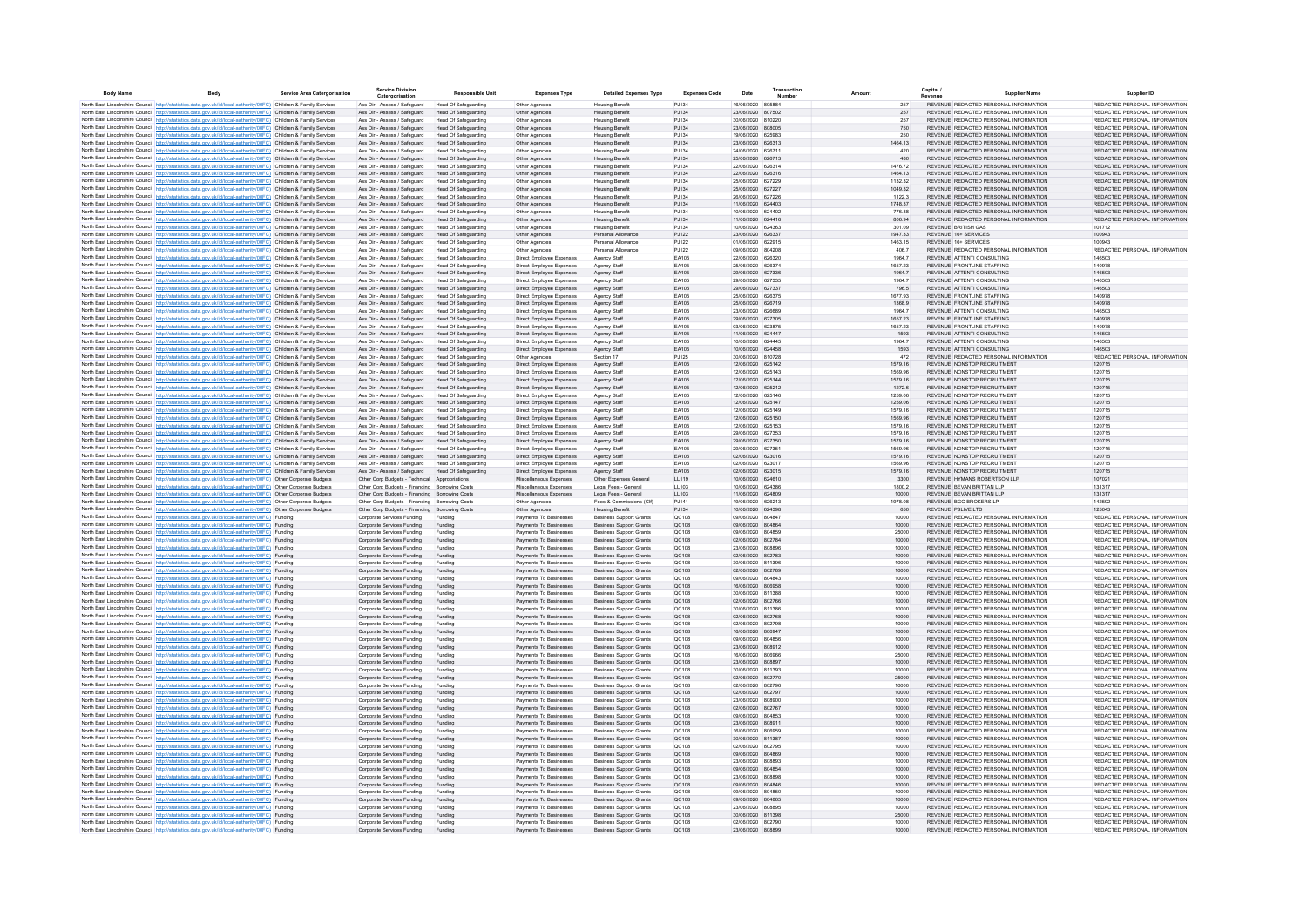| <b>Body Name</b> | Body                                                                                                                                                                                                                                   | Service Area Catergorisation | <b>Service Division</b><br>Catergorisation                                                      | <b>Responsible Unit</b>                                    | <b>Expenses Type</b>                                 | <b>Detailed Expenses Type</b>                                    | <b>Expenses Code</b>  | Date                                   | Transactio |                    | Capital i<br>Supplier Name                                                     | Supplier ID                                                    |
|------------------|----------------------------------------------------------------------------------------------------------------------------------------------------------------------------------------------------------------------------------------|------------------------------|-------------------------------------------------------------------------------------------------|------------------------------------------------------------|------------------------------------------------------|------------------------------------------------------------------|-----------------------|----------------------------------------|------------|--------------------|--------------------------------------------------------------------------------|----------------------------------------------------------------|
|                  | North East Lincolnshire Council http://statistics.data.gov.uk/id/local-authority/00FC) Children & Family Services                                                                                                                      |                              | Ass Dir - Assess / Safeguard                                                                    | Head Of Safeguarding                                       | Other Agencies                                       | <b>Housing Benefit</b>                                           | P.1134                | 16/06/2020 805884                      |            | 257                | REVENUE REDACTED PERSONAL INFORMATION                                          | REDACTED PERSONAL INFORMATION                                  |
|                  | North East Lincolnshire Council http://statistics.data.gov.uk/id/local-authority/00FC) Children & Family Services                                                                                                                      |                              | Ass Dir - Assess / Safeguard                                                                    | <b>Head Of Safeguarding</b>                                | Other Agencies                                       | <b>Housing Benefit</b>                                           | PJ134                 | 23/06/2020 807502                      |            | 257                | REVENUE REDACTED PERSONAL INFORMATION                                          | REDACTED PERSONAL INFORMATION                                  |
|                  | North East Lincolnshire Council http://statistics.data.gov.uk/id/local-authority/00FC) Children & Family Services                                                                                                                      |                              | Ass Dir - Assess / Safeguard                                                                    | Head Of Safeguarding                                       | Other Agencies                                       | <b>Housing Benefit</b>                                           | P.1134                | 30/06/2020 810220                      |            | 257                | REVENUE REDACTED PERSONAL INFORMATION                                          | REDACTED PERSONAL INFORMATION                                  |
|                  | North East Lincolnshire Council http://statistics.data.gov.uk/id/local-authority/00FC) Children & Family Services                                                                                                                      |                              | Ass Dir - Assess / Safeguard                                                                    | Head Of Safeguarding                                       | Other Agencies                                       | <b>Housing Benefit</b>                                           | PJ134                 | 23/06/2020 808005                      |            | 750                | REVENUE REDACTED PERSONAL INFORMATION                                          | REDACTED PERSONAL INFORMATION                                  |
|                  | North East Lincolnshire Council http://statistics.data.gov.uk/id/local-authority/00FC) Children & Family Services<br>North East Lincolnshire Council http://statistics.data.gov.uk/id/local-authority/00FC) Children & Family Services |                              | Ass Dir - Assess / Safeguard<br>Ass Dir - Assess / Safeguard                                    | Head Of Safeguarding<br>Head Of Safeguarding               | Other Agencies                                       | <b>Housing Benef</b>                                             | PJ134<br>PJ134        | 19/06/2020<br>23/06/2020 626313        | 625983     | 250<br>1464.13     | REVENUE REDACTED PERSONAL INFORMATION<br>REVENUE REDACTED PERSONAL INFORMATION | REDACTED PERSONAL INFORMATION<br>REDACTED PERSONAL INFORMATION |
|                  | North East Lincolnshire Council http://statistics.data.gov.uk/id/local-authority/00FC) Children & Family Services                                                                                                                      |                              | Ass Dir - Assess / Safeguard                                                                    | Head Of Safeguarding                                       | Other Agencies<br>Other Agencies                     | <b>Housing Benefit</b><br><b>Housing Benefi</b>                  | PJ134                 | 24/06/2020                             | 626711     | 420                | REVENUE REDACTED PERSONAL INFORMATION                                          | REDACTED PERSONAL INFORMATION                                  |
|                  | North East Lincolnshire Council http://statistics.data.gov.uk/id/local-authority/00FC) Children & Family Services                                                                                                                      |                              | Ass Dir - Assess / Safeguard                                                                    | <b>Head Of Safeguarding</b>                                | Other Agencies                                       | <b>Housing Benefi</b>                                            | PJ134                 | 25/06/2020 626713                      |            | 480                | REVENUE REDACTED PERSONAL INFORMATION                                          | REDACTED PERSONAL INFORMATION                                  |
|                  | North East Lincolnshire Council http://statistics.data.gov.uk/id/local-authority/00FC) Children & Family Services                                                                                                                      |                              | Ass Dir - Assess / Safeguard                                                                    | <b>Head Of Safeguarding</b>                                | Other Agencies                                       | <b>Housing Benefi</b>                                            | PJ134                 | 22/06/2020 626314                      |            | 1476.72            | REVENUE REDACTED PERSONAL INFORMATION                                          | REDACTED PERSONAL INFORMATION                                  |
|                  | North East Lincolnshire Council http://statistics.data.gov.uk/id/local-authority/00FC) Children & Family Services                                                                                                                      |                              | Ass Dir - Assess / Safeguard                                                                    | <b>Head Of Safeguarding</b>                                | Other Agencies                                       | <b>Housing Benefi</b>                                            | PJ134                 | 22/06/2020 626316                      |            | 1464.13            | REVENUE REDACTED PERSONAL INFORMATION                                          | REDACTED PERSONAL INFORMATION                                  |
|                  | North East Lincolnshire Council http://statistics.data.gov.uk/id/local-authority/00FC) Children & Family Services                                                                                                                      |                              | Ass Dir - Assess / Safeguard                                                                    | <b>Head Of Safeguarding</b>                                | Other Agencies                                       | <b>Housing Benefi</b>                                            | PJ134                 | 25/06/2020 627229                      |            | 1132.32            | REVENUE REDACTED PERSONAL INFORMATION                                          | REDACTED PERSONAL INFORMATION<br>REDACTED PERSONAL INFORMATION |
|                  | North East Lincolnshire Council http://statistics.data.gov.uk/id/local-authority/00FC) Children & Family Services<br>North East Lincolnshire Council http://statistics.data.gov.uk/id/local-authority/00FC) Children & Family Services |                              | Ass Dir - Assess / Safeguard<br>Ass Dir - Assess / Safeguard                                    | <b>Head Of Safeguarding</b><br>Head Of Safeguarding        | Other Agencies<br>Other Agencies                     | <b>Housing Benefit</b><br><b>Housing Benefit</b>                 | PJ134<br>PJ134        | 25/06/2020 627227<br>26/06/2020 627226 |            | 1049.32<br>1122.3  | REVENUE REDACTED PERSONAL INFORMATION<br>REVENUE REDACTED PERSONAL INFORMATION | REDACTED PERSONAL INFORMATION                                  |
|                  | North East Lincolnshire Council http://statistics.data.gov.uk/id/local-authority/00EC) Children & Family Services                                                                                                                      |                              | Ass Dir - Assess / Safeguard                                                                    | Head Of Safeguarding                                       | Other Agencies                                       | <b>Housing Benefit</b>                                           | P.1134                | 11/06/2020 624403                      |            | 1748.37            | REVENUE REDACTED PERSONAL INFORMATION                                          | REDACTED PERSONAL INFORMATION                                  |
|                  | North East Lincolnshire Council http://statistics.data.gov.uk/id/local-authority/00FC) Children & Family Services                                                                                                                      |                              | Ass Dir - Assess / Saferward                                                                    | Head Of Safeguarding                                       | Other Agencies                                       | <b>Housing Benefit</b>                                           | P.1134                | 10/06/2020 624402                      |            | 77688              | REVENUE REDACTED PERSONAL INFORMATION                                          | REDACTED PERSONAL INFORMATION                                  |
|                  | North East Lincolnshire Council http://statistics.data.gov.uk/id/local-authority/00FC) Children & Family Services                                                                                                                      |                              | Ass Dir - Assess / Safeguard                                                                    | Head Of Safeguarding                                       | Other Agencies                                       | <b>Housing Benefit</b>                                           | PJ134                 | 11/06/2020 624416                      |            | 806.94             | REVENUE REDACTED PERSONAL INFORMATION                                          | REDACTED PERSONAL INFORMATION                                  |
|                  | North East Lincolnshire Council http://statistics.data.gov.uk/id/local-authority/00FC) Children & Family Services                                                                                                                      |                              | Ass Dir - Assess / Safeguard                                                                    | <b>Head Of Safeguarding</b>                                | Other Agencies                                       | <b>Housing Benefit</b>                                           | P.1134                | 10/06/2020 624363                      |            | 301.09             | REVENUE BRITISH GAS                                                            | 101712                                                         |
|                  | North East Lincolnshire Council http://statistics.data.gov.uk/id/local-authority/00FC) Children & Family Services                                                                                                                      |                              | Ass Dir - Assess / Safeguard                                                                    | Head Of Safeguarding                                       | Other Agencies                                       | Personal Allowano                                                | PJ122                 | 23/06/2020 626337                      |            | 1947.33            | REVENUE 16+ SERVICES                                                           | 100943                                                         |
|                  | North East Lincolnshire Council http://statistics.data.gov.uk/id/local-authority/00FC) Children & Family Services                                                                                                                      |                              | Ass Dir - Assess / Safeguard<br>Ass Dir - Assess / Safeguard                                    | <b>Head Of Safeguarding</b><br>Head Of Safeguarding        | Other Agencies                                       | Personal Allowano<br>Personal Allowano                           | PJ122<br>PJ122        | 01/06/2020 622915<br>09/06/2020 804208 |            | 1463.15<br>406.7   | REVENUE 16+ SERVICES<br>REVENUE REDACTED PERSONAL INFORMATION                  | 100943<br>REDACTED PERSONAL INFORMATION                        |
|                  | North East Lincolnshire Council http://statistics.data.gov.uk/id/local-authority/00FC) Children & Family Services<br>North East Lincolnshire Council http://statistics.data.gov.uk/id/local-authority/00FC) Children & Family Services |                              | Ass Dir - Assess / Safeguard                                                                    | <b>Head Of Safeguarding</b>                                | Other Agencies<br>Direct Employee Expenses           | Agency Staff                                                     | EA105                 | 22/06/2020 626320                      |            | 1964.7             | REVENUE ATTENTI CONSULTING                                                     | 146503                                                         |
|                  | North East Lincolnshire Council http://statistics.data.gov.uk/id/local-authority/00FC) Children & Family Services                                                                                                                      |                              | Ass Dir - Assess / Safeguard                                                                    | Head Of Safeguarding                                       | Direct Employee Expenses                             | Agency Stat                                                      | EA105                 | 25/06/2020                             | 626374     | 1657.23            | REVENUE FRONTLINE STAFFING                                                     | 140978                                                         |
|                  | North East Lincolnshire Council http://statistics.data.gov.uk/id/local-authority/00FC) Children & Family Services                                                                                                                      |                              | Ass Dir - Assess / Safeguard                                                                    | <b>Head Of Safeguarding</b>                                | Direct Employee Expenses                             | Agency Staff                                                     | EA105                 | 29/06/2020 627336                      |            | 1964.7             | REVENUE ATTENTI CONSULTING                                                     | 146503                                                         |
|                  | North East Lincolnshire Council http://statistics.data.gov.uk/id/local-authority/00FC) Children & Family Services                                                                                                                      |                              | Ass Dir - Assess / Safeguard                                                                    | Head Of Safeguarding                                       | Direct Employee Expenses                             | Agency Stat                                                      | EA105                 | 29/06/2020                             | 627335     | 1964.7             | REVENUE ATTENTI CONSULTING                                                     | 146503                                                         |
|                  | North East Lincolnshire Council http://statistics.data.gov.uk/id/local-authority/00FC) Children & Family Services                                                                                                                      |                              | Ass Dir - Assess / Safeguard                                                                    | <b>Head Of Safeguarding</b>                                | Direct Employee Expenses                             | Agency Staff                                                     | EA105                 | 29/06/2020 627337                      |            | 796.5              | REVENUE ATTENTI CONSULTING                                                     | 146503                                                         |
|                  | North East Lincolnshire Council http://statistics.data.gov.uk/id/local-authority/00FC) Children & Family Services                                                                                                                      |                              | Ass Dir - Assess / Safeguard                                                                    | <b>Head Of Safeguarding</b>                                | Direct Employee Expenses                             | Agency Staff                                                     | EA105                 | 25/06/2020 626375                      |            | 1677.93            | REVENUE FRONTLINE STAFFING                                                     | 140978                                                         |
|                  | North East Lincolnshire Council http://statistics.data.gov.uk/id/local-authority/00FC) Children & Family Services                                                                                                                      |                              | Ass Dir - Assess / Safeguard<br>Ass Dir - Assess / Safeguard                                    | <b>Head Of Safeguarding</b><br><b>Head Of Safeguarding</b> | Direct Employee Expenses<br>Direct Employee Expenses | Agency Staff<br>Agency Staff                                     | EA105<br>EA105        | 25/06/2020 626719<br>23/06/2020 626689 |            | 1368.9<br>1964.7   | REVENUE FRONTLINE STAFFING<br>REVENUE ATTENTI CONSULTING                       | 140978<br>146503                                               |
|                  | North East Lincolnshire Council http://statistics.data.gov.uk/id/local-authority/00FC) Children & Family Services<br>North East Lincolnshire Council http://statistics.data.gov.uk/id/local-authority/00FC) Children & Family Services |                              | Ass Dir - Assess / Safeguard                                                                    | Head Of Safeguarding                                       | Direct Employee Expenses                             | Agency Staff                                                     | EA105                 | 29/06/2020 627305                      |            | 1657.23            | REVENUE FRONTLINE STAFFING                                                     | 140978                                                         |
|                  | North East Lincolnshire Council http://statistics.data.gov.uk/id/local-authority/00FC) Children & Family Services                                                                                                                      |                              | Ass Dir - Assess / Safeguard                                                                    | Head Of Safeguarding                                       | Direct Employee Expenses                             | Agency Staff                                                     | EA105                 | 03/06/2020 623875                      |            | 1657.23            | REVENUE FRONTLINE STAFFING                                                     | 140978                                                         |
|                  | North East Lincolnshire Council http://statistics.data.gov.uk/id/local-authority/00FC) Children & Family Services                                                                                                                      |                              | Ass Dir - Assess / Safeguard                                                                    | Head Of Safeguarding                                       | Direct Employee Expenses                             | Agency Staff                                                     | EA105                 | 11/06/2020 624447                      |            | 1593               | REVENUE ATTENTI CONSULTING                                                     | 146503                                                         |
|                  | North East Lincolnshire Council http://statistics.data.gov.uk/id/local-authority/00FC) Children & Family Services                                                                                                                      |                              | Ass Dir - Assess / Safeguard                                                                    | Head Of Safeguarding                                       | Direct Employee Expenses                             | Agency Staff                                                     | FA105                 | 10/06/2020 624445                      |            | 19647              | REVENUE ATTENTI CONSULTING                                                     | 146503                                                         |
|                  | North East Lincolnshire Council http://statistics.data.gov.uk/id/local-authority/00FC) Children & Family Services                                                                                                                      |                              | Ass Dir - Assess / Safeguard                                                                    | Head Of Safeguarding                                       | Direct Employee Expenses                             | Agency Staff                                                     | FA105                 | 10/06/2020 624458                      |            | 1593               | REVENUE ATTENTI CONSULTING                                                     | 146503                                                         |
|                  | North East Lincolnshire Council http://statistics.data.gov.uk/id/local-authority/00FC) Children & Family Services                                                                                                                      |                              | Ass Dir - Assess / Safeguard                                                                    | <b>Head Of Safeguarding</b>                                | Other Agencies                                       | Section 17                                                       | P.1125                | 30/06/2020 810728                      |            | 472                | REVENUE REDACTED PERSONAL INFORMATION                                          | REDACTED PERSONAL INFORMATION                                  |
|                  | North East Lincolnshire Council http://statistics.data.gov.uk/id/local-authority/00FC) Children & Family Services<br>North East Lincolnshire Council http://statistics.data.gov.uk/id/local-authority/00FC) Children & Family Services |                              | Ass Dir - Assess / Safeguard<br>Ass Dir - Assess / Safeguard                                    | <b>Head Of Safeguarding</b><br><b>Head Of Safeguarding</b> | Direct Employee Expenses<br>Direct Employee Expenses | Agency Staff                                                     | FA105<br><b>FA105</b> | 12/06/2020 625142<br>12/06/2020 625143 |            | 1579.16<br>38.9351 | REVENUE NONSTOP RECRUITMENT<br>REVENUE NONSTOP RECRUITMENT                     | 120715<br>120715                                               |
|                  | North East Lincolnshire Council http://statistics.data.gov.uk/id/local-authority/00FC) Children & Family Services                                                                                                                      |                              | Ass Dir - Assess / Safeguard                                                                    | Head Of Safeguarding                                       | Direct Employee Expenses                             | Agency Staff<br>Agency Staff                                     | EA105                 | 12/06/2020 625144                      |            | 1579.16            | REVENUE NONSTOP RECRUITMENT                                                    | 120715                                                         |
|                  | North East Lincolnshire Council http://statistics.data.gov.uk/id/local-authority/00FC) Children & Family Services                                                                                                                      |                              | Ass Dir - Assess / Safeguard                                                                    | <b>Head Of Safeguarding</b>                                | Direct Employee Expenses                             | Agency Staff                                                     | EA105                 | 12/06/2020 625212                      |            | 1272.6             | REVENUE NONSTOP RECRUITMENT                                                    | 120715                                                         |
|                  | North East Lincolnshire Council http://statistics.data.gov.uk/id/local-authority/00FC) Children & Family Services                                                                                                                      |                              | Ass Dir - Assess / Safeguard                                                                    | Head Of Safeguarding                                       | Direct Employee Expenses                             | Agency Stat                                                      | EA105                 | 12/06/2020                             | 625146     | 1259.06            | REVENUE NONSTOP RECRUITMENT                                                    | 120715                                                         |
|                  | North East Lincolnshire Council http://statistics.data.gov.uk/id/local-authority/00FC) Children & Family Services                                                                                                                      |                              | Ass Dir - Assess / Safeguard                                                                    | <b>Head Of Safeguarding</b>                                | Direct Employee Expenses                             | Agency Staff                                                     | EA105                 | 12/06/2020 625147                      |            | 1259.06            | REVENUE NONSTOP RECRUITMENT                                                    | 120715                                                         |
|                  | North East Lincolnshire Council http://statistics.data.gov.uk/id/local-authority/00FC) Children & Family Services                                                                                                                      |                              | Ass Dir - Assess / Safeguard                                                                    | Head Of Safeguarding                                       | Direct Employee Expenses                             | Agency Staff                                                     | EA105                 | 12/06/2020                             | 625149     | 1579.16            | REVENUE NONSTOP RECRUITMENT                                                    | 120715                                                         |
|                  | North East Lincolnshire Council http://statistics.data.gov.uk/id/local-authority/00FC) Children & Family Services                                                                                                                      |                              | Ass Dir - Assess / Safeguard                                                                    | <b>Head Of Safeguarding</b>                                | Direct Employee Expenses                             | Agency Staff                                                     | EA105<br>EA105        | 12/06/2020 625150<br>12/06/2020 625153 |            | 1569.96<br>1579.16 | REVENUE NONSTOP RECRUITMENT<br>REVENUE NONSTOP RECRUITMENT                     | 120715<br>120715                                               |
|                  | North East Lincolnshire Council http://statistics.data.gov.uk/id/local-authority/00FC) Children & Family Services<br>North East Lincolnshire Council http://statistics.data.gov.uk/id/local-authority/00FC) Children & Family Services |                              | Ass Dir - Assess / Safeguard<br>Ass Dir - Assess / Safeguard                                    | <b>Head Of Safeguarding</b><br><b>Head Of Safeguarding</b> | Direct Employee Expenses<br>Direct Employee Expenses | Agency Staff<br>Agency Staff                                     | EA105                 | 29/06/2020 627353                      |            | 1579.16            | REVENUE NONSTOP RECRUITMENT                                                    | 120715                                                         |
|                  | North East Lincolnshire Council http://statistics.data.gov.uk/id/local-authority/00FC) Children & Family Services                                                                                                                      |                              | Ass Dir - Assess / Safeguard                                                                    | Head Of Safeguarding                                       | Direct Employee Expenses                             | Agency Staff                                                     | EA105                 | 29/06/2020 627350                      |            | 1579.16            | REVENUE NONSTOP RECRUITMENT                                                    | 120715                                                         |
|                  | North East Lincolnshire Council http://statistics.data.gov.uk/id/local-authority/00FC) Children & Family Services                                                                                                                      |                              | Ass Dir - Assess / Safeguard                                                                    | Head Of Safeguarding                                       | Direct Employee Expenses                             | Agency Staff                                                     | EA105                 | 29/06/2020 627351                      |            | 1569.96            | REVENUE NONSTOP RECRUITMENT                                                    | 120715                                                         |
|                  | North East Lincolnshire Council http://statistics.data.gov.uk/id/local-authority/00FC) Children & Family Services                                                                                                                      |                              | Ass Dir - Assess / Safeguard                                                                    | Head Of Safeguarding                                       | Direct Employee Expenses                             | Agency Staff                                                     | EA105                 | 02/06/2020 623016                      |            | 1579.16            | REVENUE NONSTOP RECRUITMENT                                                    | 120715                                                         |
|                  | North East Lincolnshire Council http://statistics.data.gov.uk/id/local-authority/00FC) Children & Family Services                                                                                                                      |                              | Ass Dir - Assess / Safeguard                                                                    | Head Of Safeguarding                                       | Direct Employee Expenses                             | Agency Staff                                                     | EA105                 | 02/06/2020 623017                      |            | 1569.96            | REVENUE NONSTOP RECRUITMENT                                                    | 120715                                                         |
|                  | North East Lincolnshire Council http://statistics.data.gov.uk/id/local-authority/00FC) Children & Family Services                                                                                                                      |                              | Ass Dir - Assess / Safeguard                                                                    | Head Of Safeguarding                                       | Direct Employee Expenses                             | Agency Staff                                                     | EA105                 | 02/06/2020 623015                      |            | 1579.16            | REVENUE NONSTOP RECRUITMENT                                                    | 120715                                                         |
|                  | North East Lincolnshire Council http://statistics.data.gov.uk/id/local-authority/00FC) Other Corporate Budgets<br>North East Lincolnshire Council http://statistics.data.gov.uk/id/local-authority/00FC) Other Corporate Budgets       |                              | Other Corp Budgets - Technical Appropriations<br>Other Corp Budgets - Financing Borrowing Costs |                                                            | Miscellaneous Expenses<br>Miscellaneous Expenses     | Other Expenses General<br>Legal Fees - General                   | 11119<br>11 103       | 10/06/2020 624610<br>10/06/2020 624386 |            | 3300<br>1800 2     | REVENUE HYMANS ROBERTSON LLP<br>REVENUE REVAN BRITTAN I I P                    | 107021<br>131317                                               |
|                  | North East Lincolnshire Council http://statistics.data.gov.uk/id/local-authority/00FC) Other Corporate Budgets                                                                                                                         |                              | Other Corp Budgets - Financing Borrowing Costs                                                  |                                                            | Miscellaneous Expenses                               | Legal Fees - General                                             | LL103                 | 11/06/2020 624809                      |            | 10000              | REVENUE REVAN BRITTAN I I P                                                    | 131317                                                         |
|                  | North East Lincolnshire Council http://statistics.data.gov.uk/id/local-authority/00FC) Other Corporate Budgets                                                                                                                         |                              | Other Corp Budgets - Financing Borrowing Costs                                                  |                                                            | Other Agencies                                       | Fees & Commissions (Clf)                                         | PJ141                 | 19/06/2020 626213                      |            | 1978.08            | REVENUE BGC BROKERS LP                                                         | 142592                                                         |
|                  | North East Lincolnshire Council http://statistics.data.gov.uk/id/local-authority/00FC) Other Corporate Budgets                                                                                                                         |                              | Other Corp Budgets - Financing Borrowing Costs                                                  |                                                            | Other Agencies                                       | <b>Housing Benefit</b>                                           | PJ134                 | 10/06/2020                             | 624398     | 650                | REVENUE PSLIVE LTD                                                             | 125043                                                         |
|                  | North East Lincolnshire Council http://statistics.data.gov.uk/id/local-authority/00FC) Funding                                                                                                                                         |                              | Corporate Services Funding                                                                      | Funding                                                    | Payments To Businesses                               | <b>Business Support Grants</b>                                   | QC108                 | 09/06/2020 804847                      |            | 10000              | REVENUE REDACTED PERSONAL INFORMATION                                          | REDACTED PERSONAL INFORMATION                                  |
|                  | North East Lincolnshire Council http://statistics.data.gov.uk/id/local-authority/00FC) Funding                                                                                                                                         |                              | Corporate Services Funding                                                                      | Funding                                                    | Payments To Businesses                               | <b>Business Support Grants</b>                                   | QC108                 | 09/06/2020                             | 804864     | 10000              | REVENUE REDACTED PERSONAL INFORMATION                                          | REDACTED PERSONAL INFORMATION                                  |
|                  | North East Lincolnshire Council http://statistics.data.gov.uk/id/local-authority/00FC) Funding                                                                                                                                         |                              | Corporate Services Funding                                                                      | Funding                                                    | Payments To Businesses                               | <b>Business Support Grants</b>                                   | QC108                 | 09/06/2020 804859                      |            | 25000              | REVENUE REDACTED PERSONAL INFORMATION                                          | REDACTED PERSONAL INFORMATION                                  |
|                  | North East Lincolnshire Council http://statistics.data.gov.uk/id/local-authority/00FC) Funding<br>North East Lincolnshire Council http://statistics.data.gov.uk/id/local-authority/00FC) Funding                                       |                              | Corporate Services Funding<br>Corporate Services Funding                                        | Funding<br>Funding                                         | Payments To Businesses<br>Payments To Businesses     | <b>Business Support Grants</b><br><b>Business Support Grants</b> | QC108<br>QC108        | 02/06/2020 802784<br>23/06/2020        | 808896     | 10000<br>10000     | REVENUE REDACTED PERSONAL INFORMATION<br>REVENUE REDACTED PERSONAL INFORMATION | REDACTED PERSONAL INFORMATION<br>REDACTED PERSONAL INFORMATION |
|                  | North East Lincolnshire Council http://statistics.data.gov.uk/id/local-authority/00FC) Funding                                                                                                                                         |                              | Corporate Services Funding                                                                      | Funding                                                    | Payments To Businesses                               | <b>Business Support Grants</b>                                   | QC108                 | 02/06/2020 802783                      |            | 10000              | REVENUE REDACTED PERSONAL INFORMATION                                          | REDACTED PERSONAL INFORMATION                                  |
|                  | North East Lincolnshire Council http://statistics.data.gov.uk/id/local-authority/00FC) Funding                                                                                                                                         |                              | Corporate Services Funding                                                                      | Funding                                                    | Payments To Businesses                               | <b>Business Support Grants</b>                                   | QC108                 | 30/06/2020 811396                      |            | 10000              | REVENUE REDACTED PERSONAL INFORMATION                                          | REDACTED PERSONAL INFORMATION                                  |
|                  | North East Lincolnshire Council http://statistics.data.gov.uk/id/local-authority/00FC) Funding                                                                                                                                         |                              | Corporate Services Funding                                                                      | Funding                                                    | Payments To Businesses                               | <b>Business Support Grants</b>                                   | QC108                 | 02/06/2020 802789                      |            | 10000              | REVENUE REDACTED PERSONAL INFORMATION                                          | REDACTED PERSONAL INFORMATION                                  |
|                  | North East Lincolnshire Council http://statistics.data.gov.uk/id/local-authority/00FC) Funding                                                                                                                                         |                              | Corporate Services Funding                                                                      | Funding                                                    | Payments To Businesses                               | <b>Business Support Grants</b>                                   | QC108                 | 09/06/2020 804843                      |            | 10000              | REVENUE REDACTED PERSONAL INFORMATION                                          | REDACTED PERSONAL INFORMATION                                  |
|                  | North East Lincolnshire Council http://statistics.data.gov.uk/id/local-authority/00FC) Funding                                                                                                                                         |                              | Corporate Services Funding                                                                      | Funding                                                    | Payments To Businesses                               | <b>Business Support Grants</b>                                   | QC108                 | 16/06/2020 806958                      |            | 10000              | REVENUE REDACTED PERSONAL INFORMATION                                          | REDACTED PERSONAL INFORMATION                                  |
|                  | North East Lincolnshire Council http://statistics.data.gov.uk/id/local-authority/00FC) Funding                                                                                                                                         |                              | Corporate Services Funding                                                                      | Funding                                                    | Payments To Businesses                               | <b>Business Support Grants</b>                                   | QC108                 | 30/06/2020 811388                      |            | 10000              | REVENUE REDACTED PERSONAL INFORMATION                                          | REDACTED PERSONAL INFORMATION<br>REDACTED PERSONAL INFORMATION |
|                  | North East Lincolnshire Council http://statistics.data.gov.uk/id/local-authority/00FC) Funding<br>North East Lincolnshire Council http://statistics.data.gov.uk/id/local-authority/00FC) Funding                                       |                              | Corporate Services Funding<br>Corporate Services Funding                                        | Funding<br>Funding                                         | Payments To Businesses<br>Payments To Businesses     | <b>Business Support Grants</b><br><b>Business Sunnort Grants</b> | QC108<br>OC108        | 02/06/2020 802766<br>30/06/2020 811386 |            | 10000<br>10000     | REVENUE REDACTED PERSONAL INFORMATION<br>REVENUE REDACTED PERSONAL INFORMATION | REDACTED PERSONAL INFORMATION                                  |
|                  | North East Lincolnshire Council http://statistics.data.gov.uk/id/local-authority/00FC) Funding                                                                                                                                         |                              | Corporate Services Funding                                                                      | Funding                                                    | Payments To Businesses                               | <b>Business Support Grants</b>                                   | OC108                 | 02/06/2020 802768                      |            | 10000              | REVENUE REDACTED PERSONAL INFORMATION                                          | REDACTED PERSONAL INFORMATION                                  |
|                  | North East Lincolnshire Council http://statistics.data.gov.uk/id/local-authority/00FC) Funding                                                                                                                                         |                              | Corporate Services Funding                                                                      | Funding                                                    | Payments To Businesses                               | <b>Business Sunnort Grants</b>                                   | OC108                 | 02/06/2020 802798                      |            | 10000              | REVENUE REDACTED PERSONAL INFORMATION                                          | REDACTED PERSONAL INFORMATION                                  |
|                  | North East Lincolnshire Council http://statistics.data.gov.uk/id/local-authority/00FC) Funding                                                                                                                                         |                              | Corporate Services Funding                                                                      | Funding                                                    | Payments To Businesses                               | <b>Business Support Grants</b>                                   | QC108                 | 16/06/2020 806947                      |            | 10000              | REVENUE REDACTED PERSONAL INFORMATION                                          | REDACTED PERSONAL INFORMATION                                  |
|                  | North East Lincolnshire Council http://statistics.data.gov.uk/id/local-authority/00FC) Funding                                                                                                                                         |                              | Corporate Services Funding                                                                      | Funding                                                    | Payments To Businesses                               | <b>Business Support Grants</b>                                   | QC108                 | 09/06/2020                             | 804856     | 10000              | REVENUE REDACTED PERSONAL INFORMATION                                          | REDACTED PERSONAL INFORMATION                                  |
|                  | North East Lincolnshire Council http://statistics.data.gov.uk/id/local-authority/00FC) Funding                                                                                                                                         |                              | Corporate Services Funding                                                                      | Funding                                                    | Payments To Businesses                               | <b>Business Support Grants</b>                                   | QC108                 | 23/06/2020 808912                      |            | 10000              | REVENUE REDACTED PERSONAL INFORMATION                                          | REDACTED PERSONAL INFORMATION                                  |
|                  | North East Lincolnshire Council http://statistics.data.gov.uk/id/local-authority/00FC) Funding                                                                                                                                         |                              | Corporate Services Funding                                                                      | Funding                                                    | Payments To Businesses                               | <b>Business Support Grants</b>                                   | QC108                 | 16/06/2020                             | 806966     | 25000              | REVENUE REDACTED PERSONAL INFORMATION                                          | REDACTED PERSONAL INFORMATION                                  |
|                  | North East Lincolnshire Council http://statistics.data.gov.uk/id/local-authority/00FC) Funding<br>North East Lincolnshire Council http://statistics.data.gov.uk/id/local-authority/00FC) Funding                                       |                              | Corporate Services Funding<br>Corporate Services Funding                                        | Funding<br>Funding                                         | Payments To Businesses<br>Payments To Businesses     | <b>Business Support Grants</b><br><b>Business Support Grants</b> | QC108<br>QC10         | 23/06/2020 808897<br>30/06/2020 811393 |            | 10000<br>10000     | REVENUE REDACTED PERSONAL INFORMATION<br>REVENUE REDACTED PERSONAL INFORMATION | REDACTED PERSONAL INFORMATION<br>REDACTED PERSONAL INFORMATION |
|                  | North East Lincolnshire Council http://statistics.data.gov.uk/id/local-authority/00FC) Funding                                                                                                                                         |                              | Corporate Services Funding                                                                      | Funding                                                    | Payments To Businesses                               | <b>Business Support Grants</b>                                   | QC108                 | 02/06/2020 802770                      |            | 25000              | REVENUE REDACTED PERSONAL INFORMATION                                          | REDACTED PERSONAL INFORMATION                                  |
|                  | North East Lincolnshire Council http://statistics.data.gov.uk/id/local-authority/00FC) Funding                                                                                                                                         |                              | Corporate Services Funding                                                                      | Funding                                                    | Payments To Businesses                               | <b>Business Support Grants</b>                                   | QC10                  | 02/06/2020                             | 802796     | 10000              | REVENUE REDACTED PERSONAL INFORMATION                                          | REDACTED PERSONAL INFORMATION                                  |
|                  | North East Lincolnshire Council http://statistics.data.gov.uk/id/local-authority/00FC) Funding                                                                                                                                         |                              | Corporate Services Funding                                                                      | Funding                                                    | Payments To Businesses                               | <b>Business Support Grants</b>                                   | QC108                 | 02/06/2020 802797                      |            | 10000              | REVENUE REDACTED PERSONAL INFORMATION                                          | REDACTED PERSONAL INFORMATION                                  |
|                  | North East Lincolnshire Council http://statistics.data.gov.uk/id/local-authority/00FC) Funding                                                                                                                                         |                              | Corporate Services Funding                                                                      | Funding                                                    | Payments To Businesses                               | <b>Business Support Grants</b>                                   | QC108                 | 23/06/2020 808900                      |            | 10000              | REVENUE REDACTED PERSONAL INFORMATION                                          | REDACTED PERSONAL INFORMATION                                  |
|                  | North East Lincolnshire Council http://statistics.data.gov.uk/id/local-authority/00FC) Funding                                                                                                                                         |                              | Corporate Services Funding                                                                      | Funding                                                    | Payments To Businesses                               | <b>Business Support Grants</b>                                   | QC108                 | 02/06/2020 802767                      |            | 10000              | REVENUE REDACTED PERSONAL INFORMATION                                          | REDACTED PERSONAL INFORMATION                                  |
|                  | North East Lincolnshire Council http://statistics.data.gov.uk/id/local-authority/00FC) Funding<br>North East Lincolnshire Council http://statistics.data.gov.uk/id/local-authority/00FC) Funding                                       |                              | Corporate Services Funding<br>Corporate Services Funding                                        | Funding<br>Funding                                         | Payments To Businesses<br>Payments To Businesses     | <b>Business Support Grants</b><br><b>Business Support Grants</b> | QC108<br>QC108        | 09/06/2020 804853<br>23/06/2020 808911 |            | 10000<br>10000     | REVENUE REDACTED PERSONAL INFORMATION<br>REVENUE REDACTED PERSONAL INFORMATION | REDACTED PERSONAL INFORMATION<br>REDACTED PERSONAL INFORMATION |
|                  | North East Lincolnshire Council http://statistics.data.gov.uk/id/local-authority/00FC) Funding                                                                                                                                         |                              | Corporate Services Funding                                                                      | Funding                                                    | Payments To Businesses                               | <b>Business Support Grants</b>                                   | QC108                 | 16/06/2020 806959                      |            | 10000              | REVENUE REDACTED PERSONAL INFORMATION                                          | REDACTED PERSONAL INFORMATION                                  |
|                  | North East Lincolnshire Council http://statistics.data.gov.uk/id/local-authority/00FC) Funding                                                                                                                                         |                              | Corporate Services Funding                                                                      | Funding                                                    | Payments To Businesses                               | <b>Business Support Grants</b>                                   | QC108                 | 30/06/2020 811387                      |            | 10000              | REVENUE REDACTED PERSONAL INFORMATION                                          | REDACTED PERSONAL INFORMATION                                  |
|                  | North East Lincolnshire Council http://statistics.data.gov.uk/id/local-authority/00FC) Funding                                                                                                                                         |                              | Corporate Services Funding                                                                      | Funding                                                    | Payments To Businesses                               | <b>Business Support Grants</b>                                   | OC108                 | 02/06/2020 802795                      |            | 10000              | REVENUE REDACTED PERSONAL INFORMATION                                          | REDACTED PERSONAL INFORMATION                                  |
|                  | North East Lincolnshire Council http://statistics.data.gov.uk/id/local-authority/00FC) Funding                                                                                                                                         |                              | Corporate Services Funding                                                                      | Funding                                                    | Payments To Businesses                               | <b>Business Support Grants</b>                                   | QC108                 | 09/06/2020 804869                      |            | 10000              | REVENUE REDACTED PERSONAL INFORMATION                                          | REDACTED PERSONAL INFORMATION                                  |
|                  | North East Lincolnshire Council http://statistics.data.gov.uk/id/local-authority/00FC) Funding                                                                                                                                         |                              | Corporate Services Funding                                                                      | Funding                                                    | Payments To Businesses                               | <b>Business Support Grants</b>                                   | QC108                 | 23/06/2020 808893                      |            | 10000              | REVENUE REDACTED PERSONAL INFORMATION                                          | REDACTED PERSONAL INFORMATION                                  |
|                  | North East Lincolnshire Council http://statistics.data.gov.uk/id/local-authority/00FC) Funding                                                                                                                                         |                              | Corporate Services Funding                                                                      | Funding                                                    | Payments To Businesses                               | <b>Business Support Grants</b>                                   | QC108                 | 09/06/2020 804854                      |            | 10000              | REVENUE REDACTED PERSONAL INFORMATION                                          | REDACTED PERSONAL INFORMATION                                  |
|                  | North East Lincolnshire Council http://statistics.data.gov.uk/id/local-authority/00FC) Funding<br>North East Lincolnshire Council http://statistics.data.gov.uk/id/local-authority/00FC) Funding                                       |                              | Corporate Services Funding<br>Corporate Services Funding                                        | Funding<br>Funding                                         | Payments To Businesses<br>Payments To Businesses     | <b>Business Support Grants</b><br><b>Business Support Grants</b> | QC108<br>QC108        | 23/06/2020 808898<br>09/06/2020        | 804846     | 10000<br>10000     | REVENUE REDACTED PERSONAL INFORMATION<br>REVENUE REDACTED PERSONAL INFORMATION | REDACTED PERSONAL INFORMATION<br>REDACTED PERSONAL INFORMATION |
|                  | North East Lincolnshire Council http://statistics.data.gov.uk/id/local-authority/00FC) Funding                                                                                                                                         |                              | Corporate Services Funding                                                                      | Funding                                                    | Payments To Businesses                               | <b>Business Support Grants</b>                                   | QC108                 | 09/06/2020 804850                      |            | 10000              | REVENUE REDACTED PERSONAL INFORMATION                                          | REDACTED PERSONAL INFORMATION                                  |
|                  | North East Lincolnshire Council http://statistics.data.gov.uk/id/local-authority/00FC) Funding                                                                                                                                         |                              | Corporate Services Funding                                                                      | Funding                                                    | Payments To Businesses                               | <b>Business Support Grants</b>                                   | QC108                 | 09/06/2020                             | 804865     | 10000              | REVENUE REDACTED PERSONAL INFORMATION                                          | REDACTED PERSONAL INFORMATION                                  |
|                  | North East Lincolnshire Council http://statistics.data.gov.uk/id/local-authority/00FC) Funding                                                                                                                                         |                              | Corporate Services Funding                                                                      | Funding                                                    | Payments To Businesses                               | <b>Business Support Grants</b>                                   | QC108                 | 23/06/2020 808895                      |            | 10000              | REVENUE REDACTED PERSONAL INFORMATION                                          | REDACTED PERSONAL INFORMATION                                  |
|                  | North East Lincolnshire Council http://statistics.data.gov.uk/id/local-authority/00FC) Funding                                                                                                                                         |                              | Corporate Services Funding                                                                      | Funding                                                    | Payments To Businesses                               | <b>Business Support Grants</b>                                   | OC108                 | 30/06/2020 811398                      |            | 25000              | REVENUE REDACTED PERSONAL INFORMATION                                          | REDACTED PERSONAL INFORMATION                                  |
|                  | North East Lincolnshire Council http://statistics.data.gov.uk/id/local-authority/00FC) Funding                                                                                                                                         |                              | Corporate Services Funding                                                                      | Funding                                                    | Payments To Businesses                               | <b>Business Support Grants</b>                                   | QC108                 | 02/06/2020 802790                      |            | 10000              | REVENUE REDACTED PERSONAL INFORMATION                                          | REDACTED PERSONAL INFORMATION                                  |
|                  | North East Lincolnshire Council http://statistics.data.gov.uk/id/local-authority/00FC) Funding                                                                                                                                         |                              | Corporate Services Funding                                                                      | Funding                                                    | Payments To Businesses                               | <b>Business Support Grants</b>                                   | QC108                 | 23/06/2020 808899                      |            | 10000              | REVENUE REDACTED PERSONAL INFORMATION                                          | REDACTED PERSONAL INFORMATION                                  |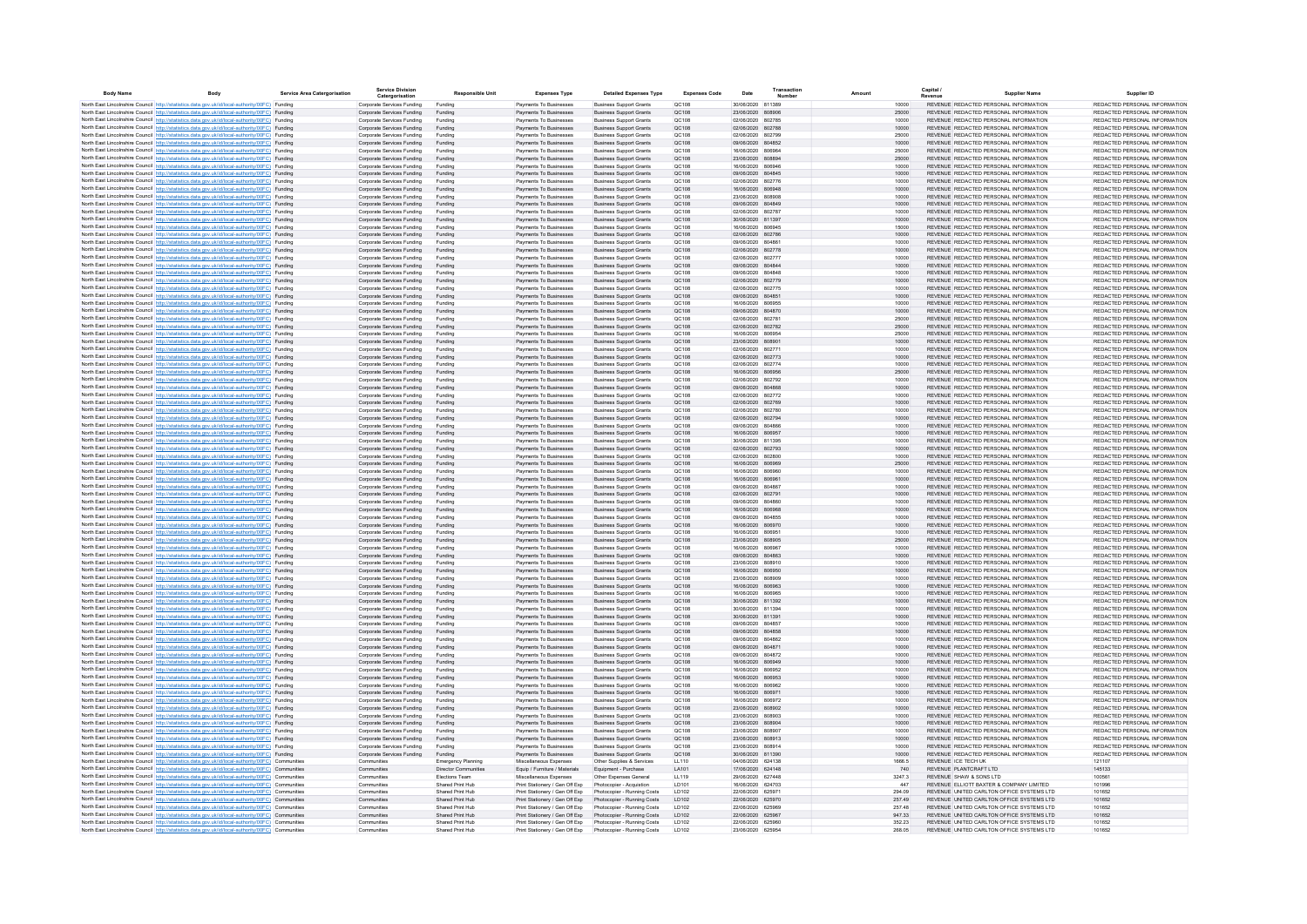| <b>Body Name</b> | <b>Body</b>                                                                                                                                                                                              | <b>Service Area Catergorisation</b> | <b>Service Division</b><br>Catergorisation               | <b>Responsible Unit</b>            | <b>Expenses Type</b>                                             | <b>Detailed Expenses Type</b>                                    | <b>Expenses Code</b> | Date                                   | Transactio |                | Capital<br><b>Supplier Name</b>                                                | Supplier ID                                                    |
|------------------|----------------------------------------------------------------------------------------------------------------------------------------------------------------------------------------------------------|-------------------------------------|----------------------------------------------------------|------------------------------------|------------------------------------------------------------------|------------------------------------------------------------------|----------------------|----------------------------------------|------------|----------------|--------------------------------------------------------------------------------|----------------------------------------------------------------|
|                  | North East Lincolnshire Council http://statistics.data.gov.uk/id/local-authority/00FC) Funding                                                                                                           |                                     | Corporate Services Funding                               | Funding                            | Payments To Businesses                                           | <b>Business Support Grants</b>                                   | OC108                | 30/06/2020 811389                      |            | 10000          | REVENUE REDACTED PERSONAL INFORMATION                                          | REDACTED PERSONAL INFORMATION                                  |
|                  | North East Lincolnshire Council http://statistics.data.gov.uk/id/local-authority/00FC) Funding                                                                                                           |                                     | Corporate Services Funding                               | Funding                            | Payments To Businesses                                           | <b>Business Support Grants</b>                                   | QC108                | 23/06/2020 808906                      |            | 25000          | REVENUE REDACTED PERSONAL INFORMATION                                          | REDACTED PERSONAL INFORMATION                                  |
|                  | North East Lincolnshire Council http://statistics.data.gov.uk/id/local-authority/00FC) Funding                                                                                                           |                                     | Corporate Services Funding                               | Funding                            | Payments To Businesses                                           | <b>Business Support Grants</b>                                   | QC108                | 02/06/2020 802785                      |            | 10000          | REVENUE REDACTED PERSONAL INFORMATION                                          | REDACTED PERSONAL INFORMATION                                  |
|                  | North East Lincolnshire Council http://statistics.data.gov.uk/id/local-authority/00FC) Funding                                                                                                           |                                     | Corporate Services Funding                               | Funding                            | Payments To Businesses                                           | <b>Business Support Grants</b>                                   | QC108                | 02/06/2020 802788                      |            | 10000          | REVENUE REDACTED PERSONAL INFORMATION                                          | REDACTED PERSONAL INFORMATION                                  |
|                  | North East Lincolnshire Council http://statistics.data.gov.uk/id/local-authority/00FC) Funding<br>North East Lincolnshire Council http://statistics.data.gov.uk/id/local-authority/00FC) Funding         |                                     | Corporate Services Funding<br>Corporate Services Funding | Funding<br>Funding                 | Payments To Businesses<br>Payments To Businesses                 | <b>Business Support Grants</b>                                   | QC108<br>QC108       | 02/06/2020 802799<br>09/06/2020 804852 |            | 25000<br>10000 | REVENUE REDACTED PERSONAL INFORMATION<br>REVENUE REDACTED PERSONAL INFORMATION | REDACTED PERSONAL INFORMATION<br>REDACTED PERSONAL INFORMATION |
|                  | North East Lincolnshire Council http://statistics.data.gov.uk/id/local-authority/00FC) Funding                                                                                                           |                                     | Corporate Services Funding                               | Funding                            | Payments To Businesses                                           | <b>Business Support Grants</b><br><b>Business Support Grants</b> | QC108                | 16/06/2020 806964                      |            | 25000          | REVENUE REDACTED PERSONAL INFORMATION                                          | REDACTED PERSONAL INFORMATION                                  |
|                  | North East Lincolnshire Council http://statistics.data.gov.uk/id/local-authority/00FC) Funding                                                                                                           |                                     | Corporate Services Funding                               | Funding                            | Payments To Businesses                                           | <b>Business Support Grants</b>                                   | QC108                | 23/06/2020 808894                      |            | 25000          | REVENUE REDACTED PERSONAL INFORMATION                                          | REDACTED PERSONAL INFORMATION                                  |
|                  | North East Lincolnshire Council http://statistics.data.gov.uk/id/local-authority/00FC) Funding                                                                                                           |                                     | Corporate Services Funding                               | Funding                            | Payments To Businesses                                           | <b>Business Support Grants</b>                                   | QC108                | 16/06/2020 806946                      |            | 10000          | REVENUE REDACTED PERSONAL INFORMATION                                          | REDACTED PERSONAL INFORMATION                                  |
|                  | North East Lincolnshire Council http://statistics.data.gov.uk/id/local-authority/00FC) Funding                                                                                                           |                                     | Corporate Services Funding                               | Funding                            | Payments To Businesses                                           | <b>Business Support Grants</b>                                   | QC108                | 09/06/2020 804845                      |            | 10000          | REVENUE REDACTED PERSONAL INFORMATION                                          | REDACTED PERSONAL INFORMATION                                  |
|                  | North East Lincolnshire Council http://statistics.data.gov.uk/id/local-authority/00FC) Funding                                                                                                           |                                     | Corporate Services Funding                               | Funding                            | Payments To Businesses                                           | <b>Business Support Grants</b>                                   | QC108                | 02/06/2020 802776                      |            | 10000          | REVENUE REDACTED PERSONAL INFORMATION                                          | REDACTED PERSONAL INFORMATION                                  |
|                  | North East Lincolnshire Council http://statistics.data.gov.uk/id/local-authority/00FC) Funding<br>North East Lincolnshire Council http://statistics.data.gov.uk/id/local-authority/00FC) Funding         |                                     | Corporate Services Funding<br>Corporate Services Funding | Funding<br>Funding                 | Payments To Businesses<br>Payments To Businesses                 | <b>Business Support Grants</b><br><b>Business Sunnort Grants</b> | QC108<br>OC108       | 16/06/2020 806948<br>23/06/2020 808908 |            | 10000<br>10000 | REVENUE REDACTED PERSONAL INFORMATION<br>REVENUE REDACTED PERSONAL INFORMATION | REDACTED PERSONAL INFORMATION<br>REDACTED PERSONAL INFORMATION |
|                  | North East Lincolnshire Council http://statistics.data.gov.uk/id/local-authority/00EC) Funding                                                                                                           |                                     | Corporate Services Funding                               | Funding                            | Payments To Businesses                                           | <b>Business Support Grants</b>                                   | OC108                | 09/06/2020 804849                      |            | 10000          | REVENUE REDACTED PERSONAL INFORMATION                                          | REDACTED PERSONAL INFORMATION                                  |
|                  | North East Lincolnshire Council http://statistics.data.gov.uk/id/local-authority/00FC) Funding                                                                                                           |                                     | Corporate Services Funding                               | Funding                            | Payments To Businesses                                           | <b>Business Support Grants</b>                                   | OC108                | 02/06/2020 802787                      |            | 10000          | REVENUE REDACTED PERSONAL INFORMATION                                          | REDACTED PERSONAL INFORMATION                                  |
|                  | North East Lincolnshire Council http://statistics.data.gov.uk/id/local-authority/00FC) Funding                                                                                                           |                                     | Corporate Services Funding                               | Funding                            | Payments To Businesses                                           | <b>Business Support Grants</b>                                   | QC108                | 30/06/2020 811397                      |            | 10000          | REVENUE REDACTED PERSONAL INFORMATION                                          | REDACTED PERSONAL INFORMATION                                  |
|                  | North East Lincolnshire Council http://statistics.data.gov.uk/id/local-authority/00FC) Funding                                                                                                           |                                     | Corporate Services Funding                               | Funding                            | Payments To Businesses                                           | <b>Business Support Grants</b>                                   | QC108                | 16/06/2020 806945                      |            | 15000          | REVENUE REDACTED PERSONAL INFORMATION                                          | REDACTED PERSONAL INFORMATION                                  |
|                  | North East Lincolnshire Council http://statistics.data.gov.uk/id/local-authority/00FC) Funding                                                                                                           |                                     | Corporate Services Funding                               | Funding                            | Payments To Businesses                                           | <b>Business Support Grants</b>                                   | QC108                | 02/06/2020 802786                      |            | 10000          | REVENUE REDACTED PERSONAL INFORMATION                                          | REDACTED PERSONAL INFORMATION                                  |
|                  | North East Lincolnshire Council http://statistics.data.gov.uk/id/local-authority/00FC) Funding                                                                                                           |                                     | Corporate Services Funding                               | Funding                            | Payments To Businesses                                           | <b>Business Support Grants</b>                                   | QC108                | 09/06/2020 804861                      |            | 10000          | REVENUE REDACTED PERSONAL INFORMATION                                          | REDACTED PERSONAL INFORMATION<br>REDACTED PERSONAL INFORMATION |
|                  | North East Lincolnshire Council http://statistics.data.gov.uk/id/local-authority/00FC) Funding<br>North East Lincolnshire Council http://statistics.data.gov.uk/id/local-authority/00FC) Funding         |                                     | Corporate Services Funding<br>Corporate Services Funding | Funding<br>Funding                 | Payments To Businesses<br>Payments To Businesses                 | <b>Business Support Grants</b><br><b>Business Support Grants</b> | QC108<br>QC108       | 02/06/2020 802778<br>02/06/2020 802777 |            | 10000<br>10000 | REVENUE REDACTED PERSONAL INFORMATION<br>REVENUE REDACTED PERSONAL INFORMATION | REDACTED PERSONAL INFORMATION                                  |
|                  | North East Lincolnshire Council http://statistics.data.gov.uk/id/local-authority/00FC) Funding                                                                                                           |                                     | Corporate Services Funding                               | Funding                            | Payments To Businesses                                           | <b>Business Support Grants</b>                                   | QC108                | 09/06/2020 804844                      |            | 10000          | REVENUE REDACTED PERSONAL INFORMATION                                          | REDACTED PERSONAL INFORMATION                                  |
|                  | North East Lincolnshire Council http://statistics.data.gov.uk/id/local-authority/00FC) Funding                                                                                                           |                                     | Corporate Services Funding                               | Funding                            | Payments To Businesses                                           | <b>Business Support Grants</b>                                   | QC108                | 09/06/2020 804848                      |            | 10000          | REVENUE REDACTED PERSONAL INFORMATION                                          | REDACTED PERSONAL INFORMATION                                  |
|                  | North East Lincolnshire Council http://statistics.data.gov.uk/id/local-authority/00FC) Funding                                                                                                           |                                     | Corporate Services Funding                               | Funding                            | Payments To Businesses                                           | <b>Business Support Grants</b>                                   | QC108                | 02/06/2020 802779                      |            | 10000          | REVENUE REDACTED PERSONAL INFORMATION                                          | REDACTED PERSONAL INFORMATION                                  |
|                  | North East Lincolnshire Council http://statistics.data.gov.uk/id/local-authority/00FC) Funding                                                                                                           |                                     | Corporate Services Funding                               | Funding                            | Payments To Businesses                                           | <b>Business Support Grants</b>                                   | QC108                | 02/06/2020 802775                      |            | 10000          | REVENUE REDACTED PERSONAL INFORMATION                                          | REDACTED PERSONAL INFORMATION                                  |
|                  | North East Lincolnshire Council http://statistics.data.gov.uk/id/local-authority/00FC) Funding                                                                                                           |                                     | Corporate Services Funding                               | Funding                            | Payments To Businesses                                           | <b>Business Support Grants</b>                                   | QC108                | 09/06/2020 804851                      |            | 10000          | REVENUE REDACTED PERSONAL INFORMATION                                          | REDACTED PERSONAL INFORMATION                                  |
|                  | North East Lincolnshire Council http://statistics.data.gov.uk/id/local-authority/00FC) Funding                                                                                                           |                                     | Corporate Services Funding                               | Funding                            | Payments To Businesses                                           | <b>Business Support Grants</b>                                   | QC108<br>QC108       | 16/06/2020 806955<br>09/06/2020 804870 |            | 10000          | REVENUE REDACTED PERSONAL INFORMATION<br>REVENUE REDACTED PERSONAL INFORMATION | REDACTED PERSONAL INFORMATION<br>REDACTED PERSONAL INFORMATION |
|                  | North East Lincolnshire Council http://statistics.data.gov.uk/id/local-authority/00FC) Funding<br>North East Lincolnshire Council http://statistics.data.gov.uk/id/local-authority/00FC) Funding         |                                     | Corporate Services Funding<br>Corporate Services Funding | Funding<br>Funding                 | Payments To Businesses<br>Payments To Businesses                 | <b>Business Support Grants</b><br><b>Business Support Grants</b> | QC108                | 02/06/2020 802781                      |            | 10000<br>25000 | REVENUE REDACTED PERSONAL INFORMATION                                          | REDACTED PERSONAL INFORMATION                                  |
|                  | North East Lincolnshire Council http://statistics.data.gov.uk/id/local-authority/00EC) Funding                                                                                                           |                                     | Corporate Services Funding                               | Funding                            | Payments To Businesses                                           | <b>Business Support Grants</b>                                   | OC108                | 02/06/2020 802782                      |            | 25000          | REVENUE REDACTED PERSONAL INFORMATION                                          | REDACTED PERSONAL INFORMATION                                  |
|                  | North East Lincolnshire Council http://statistics.data.gov.uk/id/local-authority/00FC) Funding                                                                                                           |                                     | Corporate Services Funding                               | Funding                            | Payments To Businesses                                           | <b>Business Support Grants</b>                                   | OC108                | 16/06/2020 806954                      |            | 25000          | REVENUE REDACTED PERSONAL INFORMATION                                          | REDACTED PERSONAL INFORMATION                                  |
|                  | North East Lincolnshire Council http://statistics.data.gov.uk/id/local-authority/00FC) Funding                                                                                                           |                                     | Corporate Services Funding                               | Funding                            | Payments To Businesses                                           | <b>Business Support Grants</b>                                   | QC108                | 23/06/2020 808901                      |            | 10000          | REVENUE REDACTED PERSONAL INFORMATION                                          | REDACTED PERSONAL INFORMATION                                  |
|                  | North East Lincolnshire Council http://statistics.data.gov.uk/id/local-authority/00FC) Funding                                                                                                           |                                     | Corporate Services Funding                               | Funding                            | Payments To Businesses                                           | <b>Business Support Grants</b>                                   | OC108                | 02/06/2020 802771                      |            | 10000          | REVENUE REDACTED PERSONAL INFORMATION                                          | REDACTED PERSONAL INFORMATION                                  |
|                  | North East Lincolnshire Council http://statistics.data.gov.uk/id/local-authority/00FC) Funding                                                                                                           |                                     | Corporate Services Funding                               | Funding                            | Payments To Businesses                                           | <b>Business Support Grants</b>                                   | QC108                | 02/06/2020 802773                      |            | 10000          | REVENUE REDACTED PERSONAL INFORMATION                                          | REDACTED PERSONAL INFORMATION                                  |
|                  | North East Lincolnshire Council http://statistics.data.gov.uk/id/local-authority/00FC) Funding                                                                                                           |                                     | Corporate Services Funding                               | Funding                            | Payments To Businesses                                           | <b>Business Support Grants</b>                                   | QC108                | 02/06/2020 802774                      |            | 10000          | REVENUE REDACTED PERSONAL INFORMATION                                          | REDACTED PERSONAL INFORMATION                                  |
|                  | North East Lincolnshire Council http://statistics.data.gov.uk/id/local-authority/00FC) Funding<br>North East Lincolnshire Council http://statistics.data.gov.uk/id/local-authority/00FC) Funding         |                                     | Corporate Services Funding<br>Corporate Services Funding | Funding<br>Funding                 | Payments To Businesses<br>Payments To Businesses                 | <b>Business Support Grants</b><br><b>Business Support Grants</b> | QC108<br>QC108       | 16/06/2020 806956<br>02/06/2020 802792 |            | 25000<br>10000 | REVENUE REDACTED PERSONAL INFORMATION<br>REVENUE REDACTED PERSONAL INFORMATION | REDACTED PERSONAL INFORMATION<br>REDACTED PERSONAL INFORMATION |
|                  | North East Lincolnshire Council http://statistics.data.gov.uk/id/local-authority/00FC) Funding                                                                                                           |                                     | Corporate Services Funding                               | Funding                            | Payments To Businesses                                           | <b>Business Support Grants</b>                                   | QC108                | 09/06/2020 804868                      |            | 10000          | REVENUE REDACTED PERSONAL INFORMATION                                          | REDACTED PERSONAL INFORMATION                                  |
|                  | North East Lincolnshire Council http://statistics.data.gov.uk/id/local-authority/00FC) Funding                                                                                                           |                                     | Corporate Services Funding                               | Funding                            | Payments To Businesses                                           | <b>Business Support Grants</b>                                   | QC108                | 02/06/2020 802772                      |            | 10000          | REVENUE REDACTED PERSONAL INFORMATION                                          | REDACTED PERSONAL INFORMATION                                  |
|                  | North East Lincolnshire Council http://statistics.data.gov.uk/id/local-authority/00FC) Funding                                                                                                           |                                     | Corporate Services Funding                               | Funding                            | Payments To Businesses                                           | <b>Business Support Grants</b>                                   | QC108                | 02/06/2020 802769                      |            | 10000          | REVENUE REDACTED PERSONAL INFORMATION                                          | REDACTED PERSONAL INFORMATION                                  |
|                  | North East Lincolnshire Council http://statistics.data.gov.uk/id/local-authority/00FC) Funding                                                                                                           |                                     | Corporate Services Funding                               | Funding                            | Payments To Businesses                                           | <b>Business Support Grants</b>                                   | QC108                | 02/06/2020 802780                      |            | 10000          | REVENUE REDACTED PERSONAL INFORMATION                                          | REDACTED PERSONAL INFORMATION                                  |
|                  | North East Lincolnshire Council http://statistics.data.gov.uk/id/local-authority/00FC) Funding                                                                                                           |                                     | Corporate Services Funding                               | Funding                            | Payments To Businesses                                           | <b>Business Support Grants</b>                                   | QC108                | 02/06/2020 802794                      |            | 10000          | REVENUE REDACTED PERSONAL INFORMATION                                          | REDACTED PERSONAL INFORMATION                                  |
|                  | North East Lincolnshire Council http://statistics.data.gov.uk/id/local-authority/00FC) Funding                                                                                                           |                                     | Corporate Services Funding                               | Funding                            | Payments To Businesses                                           | <b>Business Support Grants</b>                                   | QC108                | 09/06/2020 804866                      |            | 10000          | REVENUE REDACTED PERSONAL INFORMATION<br>REVENUE REDACTED PERSONAL INFORMATION | REDACTED PERSONAL INFORMATION<br>REDACTED PERSONAL INFORMATION |
|                  | North East Lincolnshire Council http://statistics.data.gov.uk/id/local-authority/00FC) Funding<br>North East Lincolnshire Council http://statistics.data.gov.uk/id/local-authority/00FC) Funding         |                                     | Corporate Services Funding<br>Corporate Services Funding | Funding<br>Funding                 | Payments To Businesses<br>Payments To Businesses                 | <b>Business Support Grants</b><br><b>Business Support Grants</b> | QC108<br>QC108       | 16/06/2020 806957<br>30/06/2020 811395 |            | 10000<br>10000 | REVENUE REDACTED PERSONAL INFORMATION                                          | REDACTED PERSONAL INFORMATION                                  |
|                  | North East Lincolnshire Council http://statistics.data.gov.uk/id/local-authority/00EC) Funding                                                                                                           |                                     | Corporate Services Funding                               | Funding                            | Payments To Businesses                                           | <b>Business Support Grants</b>                                   | OC108                | 02/06/2020 802793                      |            | 10000          | REVENUE REDACTED PERSONAL INFORMATION                                          | REDACTED PERSONAL INFORMATION                                  |
|                  | North East Lincolnshire Council http://statistics.data.gov.uk/id/local-authority/00FC) Funding                                                                                                           |                                     | Corporate Services Funding                               | Funding                            | Payments To Businesses                                           | <b>Business Support Grants</b>                                   | OC108                | 02/06/2020 802800                      |            | 10000          | REVENUE REDACTED PERSONAL INFORMATION                                          | REDACTED PERSONAL INFORMATION                                  |
|                  | North East Lincolnshire Council http://statistics.data.gov.uk/id/local-authority/00FC) Funding                                                                                                           |                                     | Corporate Services Funding                               | Funding                            | Payments To Businesses                                           | <b>Business Support Grants</b>                                   | OC108                | 16/06/2020 806969                      |            | 25000          | REVENUE REDACTED PERSONAL INFORMATION                                          | REDACTED PERSONAL INFORMATION                                  |
|                  | North East Lincolnshire Council http://statistics.data.gov.uk/id/local-authority/00FC) Funding                                                                                                           |                                     | Corporate Services Funding                               | Funding                            | Payments To Businesses                                           | <b>Business Support Grants</b>                                   | OC108                | 16/06/2020 806960                      |            | 10000          | REVENUE REDACTED PERSONAL INFORMATION                                          | REDACTED PERSONAL INFORMATION                                  |
|                  | North East Lincolnshire Council http://statistics.data.gov.uk/id/local-authority/00FC) Funding                                                                                                           |                                     | Corporate Services Funding                               | Funding                            | Payments To Businesses<br>Payments To Businesses                 | <b>Business Support Grants</b>                                   | QC108                | 16/06/2020 806961<br>09/06/2020 804867 |            | 10000          | REVENUE REDACTED PERSONAL INFORMATION<br>REVENUE REDACTED PERSONAL INFORMATION | REDACTED PERSONAL INFORMATION<br>REDACTED PERSONAL INFORMATION |
|                  | North East Lincolnshire Council http://statistics.data.gov.uk/id/local-authority/00FC) Funding<br>North East Lincolnshire Council http://statistics.data.gov.uk/id/local-authority/00FC) Funding         |                                     | Corporate Services Funding<br>Corporate Services Funding | Funding<br>Funding                 | Payments To Businesses                                           | <b>Business Support Grants</b><br><b>Business Support Grants</b> | QC108<br>QC108       | 02/06/2020 802791                      |            | 10000<br>10000 | REVENUE REDACTED PERSONAL INFORMATION                                          | REDACTED PERSONAL INFORMATION                                  |
|                  | North East Lincolnshire Council http://statistics.data.gov.uk/id/local-authority/00FC) Funding                                                                                                           |                                     | Corporate Services Funding                               | Funding                            | Payments To Businesses                                           | <b>Business Support Grants</b>                                   | QC108                | 09/06/2020 804860                      |            | 10000          | REVENUE REDACTED PERSONAL INFORMATION                                          | REDACTED PERSONAL INFORMATION                                  |
|                  | North East Lincolnshire Council http://statistics.data.gov.uk/id/local-authority/00FC) Funding                                                                                                           |                                     | Corporate Services Funding                               | Funding                            | Payments To Businesses                                           | <b>Business Support Grants</b>                                   | QC108                | 16/06/2020 806968                      |            | 10000          | REVENUE REDACTED PERSONAL INFORMATION                                          | REDACTED PERSONAL INFORMATION                                  |
|                  | North East Lincolnshire Council http://statistics.data.gov.uk/id/local-authority/00FC) Funding                                                                                                           |                                     | Corporate Services Funding                               | Funding                            | Payments To Businesses                                           | <b>Business Support Grants</b>                                   | QC108                | 09/06/2020 804855                      |            | 10000          | REVENUE REDACTED PERSONAL INFORMATION                                          | REDACTED PERSONAL INFORMATION                                  |
|                  | North East Lincolnshire Council http://statistics.data.gov.uk/id/local-authority/00FC) Funding                                                                                                           |                                     | Corporate Services Funding                               | Funding                            | Payments To Businesses                                           | <b>Business Support Grants</b>                                   | QC108                | 16/06/2020 806970                      |            | 10000          | REVENUE REDACTED PERSONAL INFORMATION                                          | REDACTED PERSONAL INFORMATION                                  |
|                  | North East Lincolnshire Council http://statistics.data.gov.uk/id/local-authority/00FC) Funding                                                                                                           |                                     | Corporate Services Funding                               | Funding                            | Payments To Businesses                                           | <b>Business Support Grants</b>                                   | QC108                | 16/06/2020 806951                      |            | 10000          | REVENUE REDACTED PERSONAL INFORMATION                                          | REDACTED PERSONAL INFORMATION                                  |
|                  | North East Lincolnshire Council http://statistics.data.gov.uk/id/local-authority/00FC) Funding<br>North East Lincolnshire Council http://statistics.data.gov.uk/id/local-authority/00FC) Funding         |                                     | Corporate Services Funding<br>Corporate Services Funding | Funding                            | Payments To Businesses<br>Payments To Businesses                 | <b>Business Support Grants</b><br><b>Business Support Grants</b> | QC108<br>QC108       | 23/06/2020 808905<br>16/06/2020 806967 |            | 25000<br>10000 | REVENUE REDACTED PERSONAL INFORMATION<br>REVENUE REDACTED PERSONAL INFORMATION | REDACTED PERSONAL INFORMATION<br>REDACTED PERSONAL INFORMATION |
|                  | North East Lincolnshire Council http://statistics.data.gov.uk/id/local-authority/00FC) Funding                                                                                                           |                                     | Corporate Services Funding                               | Funding<br>Funding                 | Payments To Businesses                                           | <b>Business Support Grants</b>                                   | QC108                | 09/06/2020 804863                      |            | 10000          | REVENUE REDACTED PERSONAL INFORMATION                                          | REDACTED PERSONAL INFORMATION                                  |
|                  | North East Lincolnshire Council http://statistics.data.gov.uk/id/local-authority/00FC) Funding                                                                                                           |                                     | Corporate Services Funding                               | Funding                            | Payments To Businesses                                           | <b>Business Support Grants</b>                                   | QC108                | 23/06/2020 808910                      |            | 10000          | REVENUE REDACTED PERSONAL INFORMATION                                          | REDACTED PERSONAL INFORMATION                                  |
|                  | North East Lincolnshire Council http://statistics.data.gov.uk/id/local-authority/00EC) Funding                                                                                                           |                                     | Corporate Services Funding                               | Funding                            | Payments To Businesses                                           | <b>Business Sunnort Grants</b>                                   | OC108                | 16/06/2020 806950                      |            | 10000          | REVENUE REDACTED PERSONAL INFORMATION                                          | REDACTED PERSONAL INFORMATION                                  |
|                  | North East Lincolnshire Council http://statistics.data.gov.uk/id/local-authority/00FC) Funding                                                                                                           |                                     | Corporate Services Funding                               | Funding                            | Payments To Businesses                                           | <b>Business Support Grants</b>                                   | OC108                | 23/06/2020 808909                      |            | 10000          | REVENUE REDACTED PERSONAL INFORMATION                                          | REDACTED PERSONAL INFORMATION                                  |
|                  | North East Lincolnshire Council http://statistics.data.gov.uk/id/local-authority/00FC) Funding                                                                                                           |                                     | Corporate Services Funding                               | Funding                            | Payments To Businesses                                           | <b>Business Support Grants</b>                                   | OC108                | 16/06/2020 806963                      |            | 10000          | REVENUE REDACTED PERSONAL INFORMATION                                          | REDACTED PERSONAL INFORMATION                                  |
|                  | North East Lincolnshire Council http://statistics.data.gov.uk/id/local-authority/00FC) Funding                                                                                                           |                                     | Corporate Services Funding                               | Funding                            | Payments To Businesses                                           | <b>Business Support Grants</b>                                   | OC108                | 16/06/2020 806965                      |            | 10000          | REVENUE REDACTED PERSONAL INFORMATION                                          | REDACTED PERSONAL INFORMATION                                  |
|                  | North East Lincolnshire Council http://statistics.data.gov.uk/id/local-authority/00FC) Funding                                                                                                           |                                     | Corporate Services Funding<br>Corporate Services Funding | Funding<br>Funding                 | Payments To Businesses<br>Payments To Businesses                 | <b>Business Support Grants</b><br><b>Business Support Grants</b> | QC108<br>QC108       | 30/06/2020 811392<br>30/06/2020 811394 |            | 10000<br>10000 | REVENUE REDACTED PERSONAL INFORMATION<br>REVENUE REDACTED PERSONAL INFORMATION | REDACTED PERSONAL INFORMATION<br>REDACTED PERSONAL INFORMATION |
|                  | North East Lincolnshire Council http://statistics.data.gov.uk/id/local-authority/00FC) Funding<br>North East Lincolnshire Council http://statistics.data.gov.uk/id/local-authority/00FC) Funding         |                                     | Corporate Services Funding                               | Funding                            | Payments To Businesses                                           | <b>Business Support Grants</b>                                   | QC108                | 30/06/2020 811391                      |            | 10000          | REVENUE REDACTED PERSONAL INFORMATION                                          | REDACTED PERSONAL INFORMATION                                  |
|                  | North East Lincolnshire Council http://statistics.data.gov.uk/id/local-authority/00FC) Funding                                                                                                           |                                     | Corporate Services Funding                               | Funding                            | Payments To Businesses                                           | <b>Business Support Grants</b>                                   | QC108                | 09/06/2020 804857                      |            | 10000          | REVENUE REDACTED PERSONAL INFORMATION                                          | REDACTED PERSONAL INFORMATION                                  |
|                  | North East Lincolnshire Council http://statistics.data.gov.uk/id/local-authority/00FC) Funding                                                                                                           |                                     | Corporate Services Funding                               | Funding                            | Payments To Businesses                                           | <b>Business Support Grants</b>                                   | QC108                | 09/06/2020 804858                      |            | 10000          | REVENUE REDACTED PERSONAL INFORMATION                                          | REDACTED PERSONAL INFORMATION                                  |
|                  | North East Lincolnshire Council http://statistics.data.gov.uk/id/local-authority/00FC) Funding                                                                                                           |                                     | Corporate Services Funding                               | Funding                            | Payments To Businesses                                           | <b>Business Support Grants</b>                                   | QC108                | 09/06/2020 804862                      |            | 10000          | REVENUE REDACTED PERSONAL INFORMATION                                          | REDACTED PERSONAL INFORMATION                                  |
|                  | North East Lincolnshire Council http://statistics.data.gov.uk/id/local-authority/00FC) Funding                                                                                                           |                                     | Corporate Services Funding                               | Funding                            | Payments To Businesses                                           | <b>Business Support Grants</b>                                   | QC108                | 09/06/2020 804871                      |            | 10000          | REVENUE REDACTED PERSONAL INFORMATION                                          | REDACTED PERSONAL INFORMATION                                  |
|                  | North East Lincolnshire Council http://statistics.data.gov.uk/id/local-authority/00FC) Funding                                                                                                           |                                     | Corporate Services Funding                               | Funding                            | Payments To Businesses                                           | <b>Business Support Grants</b>                                   | QC108                | 09/06/2020 804872                      |            | 10000          | REVENUE REDACTED PERSONAL INFORMATION                                          | REDACTED PERSONAL INFORMATION                                  |
|                  | North East Lincolnshire Council http://statistics.data.gov.uk/id/local-authority/00FC) Funding<br>North East Lincolnshire Council http://statistics.data.gov.uk/id/local-authority/00FC) Funding         |                                     | Corporate Services Funding                               | Funding<br>Funding                 | Payments To Businesses<br>Payments To Businesses                 | <b>Business Support Grants</b>                                   | QC108<br>QC108       | 16/06/2020 806949<br>16/06/2020 806952 |            | 10000<br>10000 | REVENUE REDACTED PERSONAL INFORMATION<br>REVENUE REDACTED PERSONAL INFORMATION | REDACTED PERSONAL INFORMATION<br>REDACTED PERSONAL INFORMATION |
|                  | North East Lincolnshire Council http://statistics.data.gov.uk/id/local-authority/00FC) Funding                                                                                                           |                                     | Corporate Services Funding<br>Corporate Services Funding | Funding                            | Payments To Businesses                                           | <b>Business Support Grants</b><br><b>Business Support Grants</b> | QC108                | 16/06/2020 806953                      |            | 10000          | REVENUE REDACTED PERSONAL INFORMATION                                          | REDACTED PERSONAL INFORMATION                                  |
|                  | North East Lincolnshire Council http://statistics.data.gov.uk/id/local-authority/00FC) Funding                                                                                                           |                                     | Corporate Services Funding                               | Funding                            | Payments To Businesses                                           | <b>Business Support Grants</b>                                   | QC108                | 16/06/2020 806962                      |            | 10000          | REVENUE REDACTED PERSONAL INFORMATION                                          | REDACTED PERSONAL INFORMATION                                  |
|                  | North East Lincolnshire Council http://statistics.data.gov.uk/id/local-authority/00FC) Funding                                                                                                           |                                     | Corporate Services Funding                               | Funding                            | Payments To Businesses                                           | <b>Business Support Grants</b>                                   | QC108                | 16/06/2020 806971                      |            | 10000          | REVENUE REDACTED PERSONAL INFORMATION                                          | REDACTED PERSONAL INFORMATION                                  |
|                  | North East Lincolnshire Council http://statistics.data.gov.uk/id/local-authority/00EC). Funding                                                                                                          |                                     | Corporate Services Funding                               | Funding                            | Payments To Businesses                                           | <b>Business Sunnort Grants</b>                                   | OC108                | 16/06/2020 806972                      |            | 10000          | REVENUE REDACTED PERSONAL INFORMATION                                          | REDACTED PERSONAL INFORMATION                                  |
|                  | North East Lincolnshire Council http://statistics.data.gov.uk/id/local-authority/00FC) Funding                                                                                                           |                                     | Corporate Services Funding                               | Funding                            | Payments To Businesses                                           | <b>Business Support Grants</b>                                   | OC108                | 23/06/2020 808902                      |            | 10000          | REVENUE REDACTED PERSONAL INFORMATION                                          | REDACTED PERSONAL INFORMATION                                  |
|                  | North East Lincolnshire Council http://statistics.data.gov.uk/id/local-authority/00FC) Funding                                                                                                           |                                     | Corporate Services Funding                               | Funding                            | Payments To Businesses                                           | <b>Business Support Grants</b>                                   | OC108                | 23/06/2020 808903                      |            | 10000          | REVENUE REDACTED PERSONAL INFORMATION                                          | REDACTED PERSONAL INFORMATION                                  |
|                  | North East Lincolnshire Council http://statistics.data.gov.uk/id/local-authority/00FC) Funding<br>North East Lincolnshire Council http://statistics.data.gov.uk/id/local-authority/00FC) Funding         |                                     | Corporate Services Funding<br>Corporate Services Funding | Funding<br>Funding                 | Payments To Businesses<br>Payments To Businesses                 | <b>Business Support Grants</b><br><b>Business Support Grants</b> | QC108<br>QC108       | 23/06/2020 808904<br>23/06/2020 808907 |            | 10000<br>10000 | REVENUE REDACTED PERSONAL INFORMATION<br>REVENUE REDACTED PERSONAL INFORMATION | REDACTED PERSONAL INFORMATION<br>REDACTED PERSONAL INFORMATION |
|                  | North East Lincolnshire Council http://statistics.data.gov.uk/id/local-authority/00FC) Funding                                                                                                           |                                     | Corporate Services Funding                               | Funding                            | Payments To Businesses                                           | <b>Business Support Grants</b>                                   | QC108                | 23/06/2020 808913                      |            | 10000          | REVENUE REDACTED PERSONAL INFORMATION                                          | REDACTED PERSONAL INFORMATION                                  |
|                  | North East Lincolnshire Council http://statistics.data.gov.uk/id/local-authority/00FC) Funding                                                                                                           |                                     | Corporate Services Funding                               | Funding                            | Payments To Businesses                                           | <b>Business Support Grants</b>                                   | QC108                | 23/06/2020 808914                      |            | 10000          | REVENUE REDACTED PERSONAL INFORMATION                                          | REDACTED PERSONAL INFORMATION                                  |
|                  | North East Lincolnshire Council http://statistics.data.gov.uk/id/local-authority/00FC) Funding                                                                                                           |                                     | Corporate Services Funding                               | Funding                            | Payments To Businesses                                           | <b>Business Support Grants</b>                                   | QC108                | 30/06/2020 811390                      |            | 10000          | REVENUE REDACTED PERSONAL INFORMATION                                          | REDACTED PERSONAL INFORMATION                                  |
|                  | North East Lincolnshire Council http://statistics.data.gov.uk/id/local-authority/00FC) Communitie                                                                                                        |                                     | Communities                                              | Emergency Planning                 | Miscellaneous Expenses                                           | Other Supplies & Services                                        | LL110                | 04/06/2020 624138                      |            | 1666.5         | REVENUE ICE TECH UK                                                            | 121107                                                         |
|                  | North East Lincolnshire Council http://statistics.data.gov.uk/id/local-authority/00FC) Communities                                                                                                       |                                     | Communities                                              | <b>Director Communities</b>        | Equip / Furniture / Materials                                    | Equipment - Purchase                                             | LA101                | 17/06/2020 624148                      |            | 740            | REVENUE PLANTCRAFT LTD                                                         | 145133                                                         |
|                  | North East Lincolnshire Council http://statistics.data.gov.uk/id/local-authority/00FC) Communities                                                                                                       |                                     | Communities                                              | Elections Team<br>Shared Print Hub | Miscellaneous Expenses                                           | Other Expenses General                                           | LL119<br>LD101       | 29/06/2020 627448<br>16/06/2020 624703 |            | 3247.3<br>447  | REVENUE SHAW & SONS LTD<br>REVENUE ELLIOTT BAXTER & COMPANY LIMITED            | 100561<br>101996                                               |
|                  | North East Lincolnshire Council http://statistics.data.gov.uk/id/local-authority/00FC) Communities<br>North East Lincolnshire Council http://statistics.data.gov.uk/id/local-authority/00FC) Communities |                                     | Communities<br>Communities                               | Shared Print Hub                   | Print Stationery / Gen Off Exp<br>Print Stationery / Gen Off Exp | Photocopier - Acquistion<br>Photocopier - Running Costs          | LD102                | 22/06/2020 625971                      |            | 294.09         | REVENUE UNITED CARLTON OFFICE SYSTEMS LTD                                      | 101652                                                         |
|                  | North East Lincolnshire Council http://statistics.data.gov.uk/id/local-authority/00FC) Communities                                                                                                       |                                     | Communities                                              | Shared Print Hub                   | Print Stationery / Gen Off Exp                                   | Photocopier - Running Costs                                      | LD102                | 22/06/2020 625970                      |            | 257.49         | REVENUE UNITED CARLTON OFFICE SYSTEMS LTD                                      | 101652                                                         |
|                  | North East Lincolnshire Council http://statistics.data.gov.uk/id/local-authority/00FC) Communities                                                                                                       |                                     | Communities                                              | Shared Print Hub                   | Print Stationery / Gen Off Exp                                   | Photocopier - Running Costs                                      | LD102                | 22/06/2020 625969                      |            | 257.48         | REVENUE UNITED CARLTON OFFICE SYSTEMS LTD                                      | 101652                                                         |
|                  | North East Lincolnshire Council http://statistics.data.gov.uk/id/local-authority/00FC) Communities                                                                                                       |                                     | Communities                                              | Shared Print Hub                   | Print Stationery / Gen Off Exp                                   | Photocopier - Running Costs                                      | LD102                | 22/06/2020 625967                      |            | 947.33         | REVENUE UNITED CARLTON OFFICE SYSTEMS LTD                                      | 101652                                                         |
|                  | North East Lincolnshire Council http://statistics.data.gov.uk/id/local-authority/00FC) Communities                                                                                                       |                                     | Communities                                              | Shared Print Hub                   | Print Stationery / Gen Off Exp                                   | Photocopier - Running Costs                                      | ID102                | 22/06/2020 625960                      |            | 352.23         | REVENUE UNITED CARLTON OFFICE SYSTEMS LTD                                      | 101652                                                         |
|                  | North East Lincolnshire Council http://statistics.data.gov.uk/id/local-auth                                                                                                                              | Communities                         | Communities                                              | Shared Print Hub                   | Print Stationery / Gen Off Exp                                   | Photocopier - Running Costs                                      | <b>ID102</b>         | 23/06/2020 625954                      |            | 268.05         | REVENUE UNITED CARLTON OFFICE SYSTEMS LTD                                      | 101652                                                         |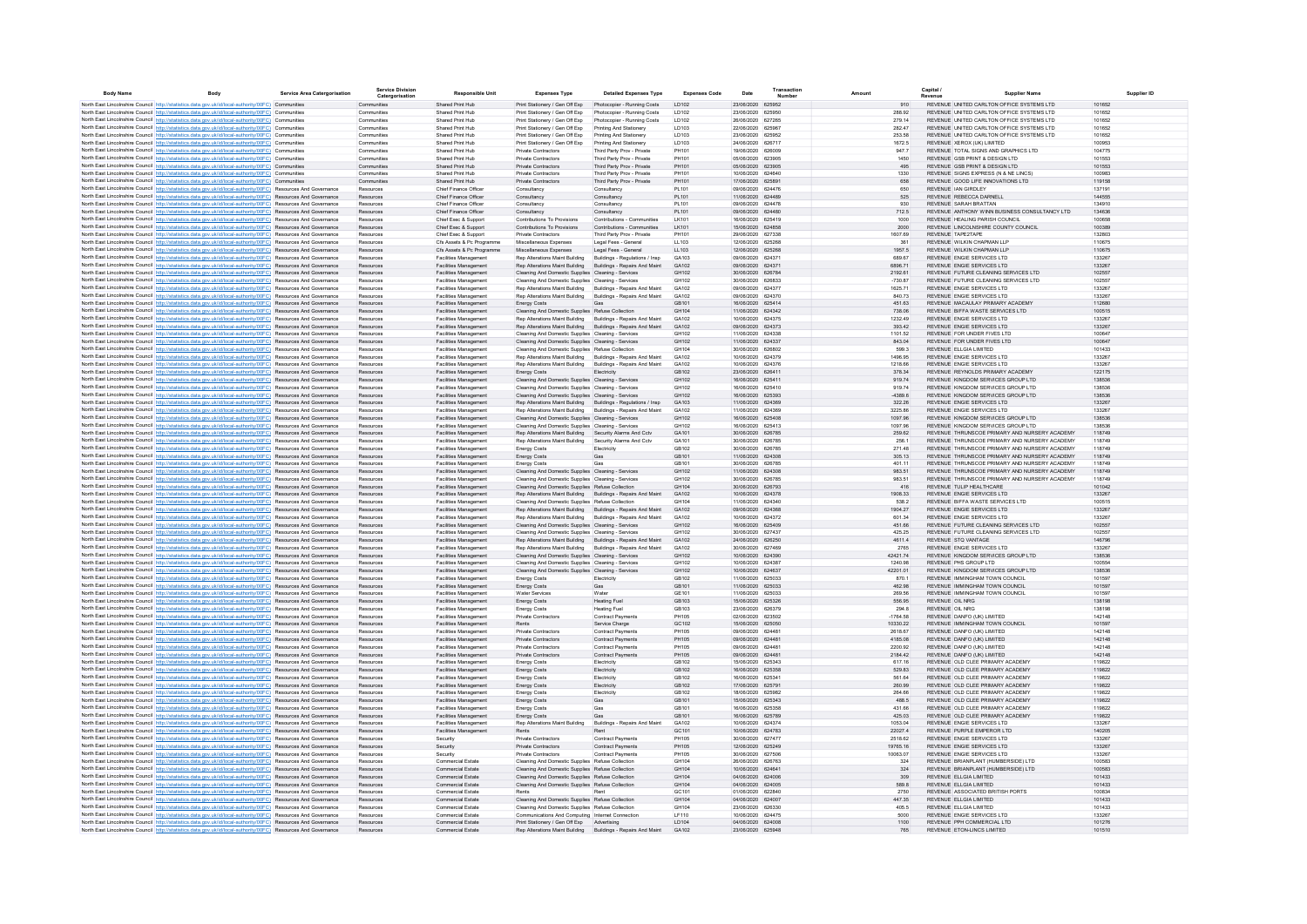| <b>Body Name</b><br>Body                                                                                                                                                                                                           | <b>Service Area Catergorisation</b> | <b>Service Division</b><br>Catergorisation | <b>Responsible Unit</b>                                      | <b>Expenses Type</b>                                                                                       | <b>Detailed Expenses Type</b>                            | <b>Expenses Code</b>       | Date                                   | Transaction<br>Number | Amount               | Capital                                                              | <b>Supplier Name</b>                                                     |                  |
|------------------------------------------------------------------------------------------------------------------------------------------------------------------------------------------------------------------------------------|-------------------------------------|--------------------------------------------|--------------------------------------------------------------|------------------------------------------------------------------------------------------------------------|----------------------------------------------------------|----------------------------|----------------------------------------|-----------------------|----------------------|----------------------------------------------------------------------|--------------------------------------------------------------------------|------------------|
| North East Lincolnshire Council http://statistics.data.gov.uk/id/local-authority/00FC) Communities                                                                                                                                 |                                     | Communities                                | Shared Print Hub                                             | Print Stationery / Gen Off Exp                                                                             | Photocopier - Running Costs                              | ID102                      | 23/06/2020 625952                      |                       | 910                  |                                                                      | REVENUE UNITED CARLTON OFFICE SYSTEMS LTD                                | 101652           |
| North East Lincolnshire Council http://statistics.data.gov.uk/id/local-authority/00FC) Communities                                                                                                                                 |                                     | Communities                                | Shared Print Hub                                             | Print Stationery / Gen Off Exp                                                                             | Photocopier - Running Costs                              | ID102                      | 23/06/2020 625950                      |                       | 288.92               |                                                                      | REVENUE UNITED CARLTON OFFICE SYSTEMS LTD                                | 101652           |
| North East Lincolnshire Council http://statistics.data.gov.uk/id/local-authority/00FC) Communities                                                                                                                                 |                                     | Communities                                | Shared Print Hub                                             | Print Stationery / Gen Off Exp                                                                             | Photocopier - Running Costs                              | LD102                      | 26/06/2020 627265                      |                       | 279.14               |                                                                      | REVENUE UNITED CARLTON OFFICE SYSTEMS LTD                                | 101652           |
| North East Lincolnshire Council http://statistics.data.gov.uk/id/local-authority/00FC) Communities                                                                                                                                 |                                     | Communities                                | Shared Print Hub                                             | Print Stationery / Gen Off Exp                                                                             | Printing And Stationery                                  | LD103                      | 22/06/2020 625967                      |                       | 282.47               |                                                                      | REVENUE UNITED CARLTON OFFICE SYSTEMS LTD                                | 101652           |
| North East Lincolnshire Council http://statistics.data.gov.uk/id/local-authority/00FC) Communities                                                                                                                                 |                                     | Communities                                | Shared Print Hub                                             | Print Stationery / Gen Off Exp                                                                             | Printing And Stationery                                  | LD103                      | 23/06/2020 625952                      |                       | 253.58               |                                                                      | REVENUE UNITED CARLTON OFFICE SYSTEMS LTD                                | 101652           |
| North East Lincolnshire Council http://statistics.data.gov.uk/id/local-authority/00FC) Communities                                                                                                                                 |                                     | Communities                                | Shared Print Hub                                             | Print Stationery / Gen Off Exp                                                                             | Printing And Stationery                                  | LD103                      | 24/06/2020 626717                      |                       | 1672.5               | REVENUE XEROX (UK) LIMITED                                           |                                                                          | 100953           |
| North East Lincolnshire Council http://statistics.data.gov.uk/id/local-authority/00FC) Communities                                                                                                                                 |                                     | Communities                                | Shared Print Hub                                             | Private Contractors                                                                                        | Third Party Prov - Private                               | PH101                      | 19/06/2020 626009                      |                       | 947.7                |                                                                      | REVENUE TOTAL SIGNS AND GRAPHICS LTD                                     | 104775           |
| North East Lincolnshire Council http://statistics.data.gov.uk/id/local-authority/00FC) Communities                                                                                                                                 |                                     | Communities                                | Shared Print Hub<br>Shared Print Hub                         | Private Contractors                                                                                        | Third Party Prov - Private<br>Third Party Prov - Private | PH101<br>PH101             | 05/06/2020 623905<br>05/06/2020 623905 |                       | 1450<br>495          | REVENUE GSB PRINT & DESIGN LTD<br>REVENUE GSB PRINT & DESIGN LTD     |                                                                          | 101553<br>101553 |
| North East Lincolnshire Council http://statistics.data.gov.uk/id/local-authority/00FC) Communities<br>North East Lincolnshire Council http://statistics.data.gov.uk/id/local-authority/00FC) Communities                           |                                     | Communities<br>Communities                 | Shared Print Hub                                             | Private Contractors<br>Private Contractors                                                                 | Third Party Prov - Private                               | PH101                      | 10/06/2020 624640                      |                       | 1330                 |                                                                      | REVENUE SIGNS EXPRESS (N & NE LINCS)                                     | 100983           |
| North East Lincolnshire Council http://statistics.data.gov.uk/id/local-authority/00FC) Communities                                                                                                                                 |                                     | Communities                                | Shared Print Hub                                             | Private Contractors                                                                                        | Third Party Prov - Private                               | PH101                      | 17/06/2020 625891                      |                       | 658                  | REVENUE GOOD LIFE INNOVATIONS LTD                                    |                                                                          | 119158           |
| North East Lincolnshire Council http://statistics.data.gov.uk/id/local-authority/00FC) Resources And Governance                                                                                                                    |                                     | Resources                                  | Chief Finance Officer                                        | Consultancy                                                                                                | Consultancy                                              | PL101                      | 09/06/2020 624476                      |                       | 650                  | REVENUE IAN GIRDLEY                                                  |                                                                          | 137191           |
| North East Lincolnshire Council http://statistics.data.gov.uk/id/local-authority/00FC) Resources And Governance                                                                                                                    |                                     | Resources                                  | Chief Finance Officer                                        | Consultancy                                                                                                | Consultancy                                              | PL101                      | 11/06/2020 624489                      |                       | 525                  | REVENUE REBECCA DARNELL                                              |                                                                          | 144555           |
| North East Lincolnshire Council http://statistics.data.gov.uk/id/local-authority/00FC) Resources And Governance                                                                                                                    |                                     | Resources                                  | Chief Finance Officer                                        | Consultancy                                                                                                | Consultancy                                              | PL101                      | 09/06/2020 624478                      |                       | 930                  | REVENUE SARAH BRATTAN                                                |                                                                          | 134910           |
| North East Lincolnshire Council http://statistics.data.gov.uk/id/local-authority/00FC) Resources And Governance                                                                                                                    |                                     | Resources                                  | Chief Finance Officer                                        | Consultancy                                                                                                | Consultancy                                              | PL101                      | 09/06/2020 624480                      |                       | 712.5                |                                                                      | REVENUE ANTHONY WINN BUSINESS CONSULTANCY LTD                            | 134636           |
| North East Lincolnshire Council http://statistics.data.gov.uk/id/local-authority/00FC) Resources And Governance                                                                                                                    |                                     | Resources                                  | Chief Exec & Sunnort                                         | Contributions To Provisions                                                                                | Contributions - Communities                              | <b>IK101</b>               | 16/06/2020 625419                      |                       | 1000                 | REVENUE HEALING PARISH COUNCIL                                       |                                                                          | 100658           |
| North East Lincolnshire Council http://statistics.data.gov.uk/id/local-authority/00FC) Resources And Governance                                                                                                                    |                                     | Resources                                  | Chief Exec & Support                                         | Contributions To Provisions                                                                                | Contributions - Communities                              | I K101                     | 15/06/2020 624858                      |                       | 2000                 |                                                                      | REVENUE LINCOLNSHIRE COUNTY COUNCIL                                      | 100389           |
| North East Lincolnshire Council http://statistics.data.gov.uk/id/local-authority/00FC) Resources And Governance                                                                                                                    |                                     | Resources                                  | Chief Exec & Sunnort                                         | Private Contractors                                                                                        | Third Party Prov - Private                               | PH101                      | 29/06/2020 627338                      |                       | 1607.69              | REVENUE TAPE2TAPE                                                    |                                                                          | 132803           |
| North East Lincolnshire Council http://statistics.data.gov.uk/id/local-authority/00FC) Resources And Governance                                                                                                                    |                                     | Resources<br>Resources                     | Cfs Assets & Pc Programme<br>Cfs Assets & Pc Programme       | Miscellaneous Expenses<br>Miscellaneous Expenses                                                           | Legal Fees - General<br>Legal Fees - General             | 11 103<br>LL103            | 12/06/2020 625268<br>12/06/2020 625268 |                       | 361<br>1957.5        | REVENUE WILKIN CHAPMAN I LP<br>REVENUE WILKIN CHAPMAN LLP            |                                                                          | 110675<br>110675 |
| North East Lincolnshire Council http://statistics.data.gov.uk/id/local-authority/00FC) Resources And Governance<br>North East Lincolnshire Council http://statistics.data.gov.uk/id/local-authority/00FC) Resources And Governance |                                     | Resources                                  | Facilities Management                                        | Rep Alterations Maint Building                                                                             | Buildings - Regulations / Insp.                          | GA103                      | 09/06/2020 62437                       |                       | 689.67               | REVENUE ENGIE SERVICES LTD                                           |                                                                          | 133267           |
| North East Lincolnshire Council http://statistics.data.gov.uk/id/local-authority/00FC) Resources And Governance                                                                                                                    |                                     | Resources                                  | Facilities Management                                        | Rep Alterations Maint Building                                                                             | Buildings - Repairs And Maint                            | GA102                      | 09/06/2020 624371                      |                       | 6896.71              | REVENUE ENGIE SERVICES LTD                                           |                                                                          | 133267           |
| North East Lincolnshire Council http://statistics.data.gov.uk/id/local-authority/00FC) Resources And Governance                                                                                                                    |                                     | Resources                                  | Facilities Management                                        | Cleaning And Domestic Supplies Cleaning - Services                                                         |                                                          | GH102                      | 30/06/2020 626784                      |                       | 2192.61              |                                                                      | REVENUE FUTURE CLEANING SERVICES LTD                                     | 102557           |
| North East Lincolnshire Council http://statistics.data.gov.uk/id/local-authority/00FC) Resources And Governance                                                                                                                    |                                     | Resources                                  | Facilities Management                                        | Cleaning And Domestic Supplies Cleaning - Services                                                         |                                                          | GH102                      | 30/06/2020 626833                      |                       | $-730.87$            |                                                                      | REVENUE FUTURE CLEANING SERVICES LTD                                     | 102557           |
| North East Lincolnshire Council http://statistics.data.gov.uk/id/local-authority/00FC) Resources And Governance                                                                                                                    |                                     | Resources                                  | Facilities Management                                        | Rep Alterations Maint Building Buildings - Repairs And Maint                                               |                                                          | GA102                      | 09/06/2020 624377                      |                       | 1625.71              | REVENUE ENGIE SERVICES LTD                                           |                                                                          | 133267           |
| North East Lincolnshire Council http://statistics.data.gov.uk/id/local-authority/00FC) Resources And Governance                                                                                                                    |                                     | Resources                                  | Facilities Management                                        | Rep Alterations Maint Building                                                                             | <b>Buildings - Repairs And Maint</b>                     | GA102                      | 09/06/2020 624370                      |                       | 840.73               | REVENUE ENGIE SERVICES LTD                                           |                                                                          | 133267           |
| North East Lincolnshire Council http://statistics.data.gov.uk/id/local-authority/00FC) Resources And Governance                                                                                                                    |                                     | Resources                                  | Facilities Management                                        | <b>Energy Costs</b>                                                                                        |                                                          | GB101                      | 16/06/2020 625414                      |                       | 451.63               |                                                                      | REVENUE MACAULAY PRIMARY ACADEMY                                         | 112680           |
| North East Lincolnshire Council http://statistics.data.gov.uk/id/local-authority/00FC) Resources And Governance                                                                                                                    |                                     | <b>Resources</b>                           | <b>Facilities Management</b>                                 | Cleaning And Domestic Supplies Refuse Collection                                                           |                                                          | GH104                      | 11/06/2020 624342                      |                       | 738.06               | REVENUE BIFFA WASTE SERVICES LTD                                     |                                                                          | 100515           |
| North East Lincolnshire Council http://statistics.data.gov.uk/id/local-authority/00FC) Resources And Governance                                                                                                                    |                                     | Resources                                  | <b>Facilities Management</b>                                 | Rep Alterations Maint Building Buildings - Repairs And Maint                                               |                                                          | GA102                      | 10/06/2020 624375                      |                       | 1232.49              | REVENUE ENGIE SERVICES LTD                                           |                                                                          | 133267           |
| North East Lincolnshire Council http://statistics.data.gov.uk/id/local-authority/00FC) Resources And Governance                                                                                                                    |                                     | Resources                                  | <b>Facilities Management</b>                                 | Rep Alterations Maint Building Buildings - Repairs And Maint                                               |                                                          | GA102                      | 09/06/2020 624373                      |                       | 393.42               | REVENUE ENGIE SERVICES LTD<br>REVENUE FOR UNDER FIVES LTD            |                                                                          | 133267           |
| North East Lincolnshire Council http://statistics.data.gov.uk/id/local-authority/00FC) Resources And Governance<br>North East Lincolnshire Council http://statistics.data.gov.uk/id/local-authority/00FC) Resources And Governance |                                     | Resources<br>Resources                     | <b>Facilities Management</b><br><b>Facilities Management</b> | Cleaning And Domestic Supplies Cleaning - Services<br>Cleaning And Domestic Supplies Cleaning - Services   |                                                          | GH102<br>GH102             | 11/06/2020 624338<br>11/06/2020 624337 |                       | 1101.52<br>843.04    | REVENUE FOR UNDER FIVES LTD                                          |                                                                          | 100647<br>100647 |
| North East Lincolnshire Council http://statistics.data.gov.uk/id/local-authority/00FC) Resources And Governance                                                                                                                    |                                     | Resources                                  | Facilities Management                                        | Cleaning And Domestic Supplies Refuse Collection                                                           |                                                          | GH104                      | 30/06/2020 626802                      |                       | 599.3                | REVENUE ELLGIA LIMITED                                               |                                                                          | 101433           |
| North East Lincolnshire Council http://statistics.data.gov.uk/id/local-authority/00FC) Resources And Governance                                                                                                                    |                                     | Resources                                  | Facilities Management                                        | Rep Alterations Maint Building Buildings - Repairs And Maint                                               |                                                          | GA102                      | 10/06/2020 624379                      |                       | 1496.95              | REVENUE ENGIE SERVICES LTD                                           |                                                                          | 133267           |
| North East Lincolnshire Council http://statistics.data.gov.uk/id/local-authority/00FC) Resources And Governance                                                                                                                    |                                     | Resources                                  | Facilities Management                                        | Rep Alterations Maint Building                                                                             | Buildings - Repairs And Maint                            | GA102                      | 10/06/2020 624376                      |                       | 1218.66              | REVENUE ENGIE SERVICES LTD                                           |                                                                          | 133267           |
| North East Lincolnshire Council http://statistics.data.gov.uk/id/local-authority/00FC) Resources And Governance                                                                                                                    |                                     | Resources                                  | Facilities Management                                        | <b>Energy Costs</b>                                                                                        | Electricity                                              | GR102                      | 23/06/2020 626411                      |                       | 378.34               |                                                                      | REVENUE REYNOLDS PRIMARY ACADEMY                                         | 122175           |
| North East Lincolnshire Council http://statistics.data.gov.uk/id/local-authority/00FC) Resources And Governance                                                                                                                    |                                     | Resources                                  | Facilities Management                                        | Cleaning And Domestic Supplies Cleaning - Services                                                         |                                                          | GH102                      | 16/06/2020 625411                      |                       | 919.74               |                                                                      | REVENUE KINGDOM SERVICES GROUP LTD                                       | 138536           |
| North East Lincolnshire Council http://statistics.data.gov.uk/id/local-authority/00FC) Resources And Governance                                                                                                                    |                                     | Resources                                  | Facilities Management                                        | Cleaning And Domestic Supplies Cleaning - Services                                                         |                                                          | GH102                      | 16/06/2020 625410                      |                       | 919.74               |                                                                      | REVENUE KINGDOM SERVICES GROUP LTD                                       | 138536           |
| North East Lincolnshire Council http://statistics.data.gov.uk/id/local-authority/00FC) Resources And Governance                                                                                                                    |                                     | Resources                                  | Facilities Management                                        | Cleaning And Domestic Supplies Cleaning - Services                                                         |                                                          | GH102                      | 16/06/2020 625393                      |                       | $-4389.6$            |                                                                      | REVENUE KINGDOM SERVICES GROUP LTD                                       | 138536           |
| North East Lincolnshire Council http://statistics.data.gov.uk/id/local-authority/00FC) Resources And Governance                                                                                                                    |                                     | Resources                                  | Facilities Management                                        | Rep Alterations Maint Building Buildings - Regulations / Insp                                              |                                                          | GA103                      | 11/06/2020 624369                      |                       | 322.26               | REVENUE ENGIE SERVICES LTD                                           |                                                                          | 133267           |
| North East Lincolnshire Council http://statistics.data.gov.uk/id/local-authority/00FC) Resources And Governance                                                                                                                    |                                     | Resources                                  | Facilities Management                                        | Rep Alterations Maint Building                                                                             | Buildings - Repairs And Maint                            | GA102                      | 11/06/2020 624369                      |                       | 3225.86              | REVENUE ENGIE SERVICES LTD                                           |                                                                          | 133267           |
| North East Lincolnshire Council http://statistics.data.gov.uk/id/local-authority/00FC) Resources And Governance                                                                                                                    |                                     | Resources                                  | Facilities Management<br>Facilities Managemen                | Cleaning And Domestic Supplies Cleaning - Services<br>Cleaning And Domestic Supplies Cleaning - Services   |                                                          | GH102<br>GH102             | 16/06/2020 625408<br>16/06/2020 625413 |                       | 1097.96<br>1097.96   |                                                                      | REVENUE KINGDOM SERVICES GROUP LTD<br>REVENUE KINGDOM SERVICES GROUP LTD | 138536<br>138536 |
| North East Lincolnshire Council http://statistics.data.gov.uk/id/local-authority/00FC) Resources And Governance<br>North East Lincolnshire Council http://statistics.data.gov.uk/id/local-authority/00FC) Resources And Governance |                                     | Resources<br>Resources                     | Facilities Management                                        | Rep Alterations Maint Building Security Alarms And Cctv                                                    |                                                          | GA101                      | 30/06/2020 626785                      |                       | 259.62               |                                                                      | REVENUE THRUNSCOE PRIMARY AND NURSERY ACADEMY                            | 118749           |
| North East Lincolnshire Council http://statistics.data.gov.uk/id/local-authority/00FC) Resources And Governance                                                                                                                    |                                     | Resources                                  | Facilities Management                                        | Rep Alterations Maint Building Security Alarms And Cctv                                                    |                                                          | GA101                      | 30/06/2020 626785                      |                       | 256.1                |                                                                      | REVENUE THRUNSCOF PRIMARY AND NURSERY ACADEMY                            | 118749           |
| North East Lincolnshire Council http://statistics.data.gov.uk/id/local-authority/00FC) Resources And Governance                                                                                                                    |                                     | Resources                                  | <b>Facilities Management</b>                                 | <b>Energy Costs</b>                                                                                        | Electricity                                              | GB102                      | 30/06/2020 626785                      |                       | 271.48               |                                                                      | REVENUE THRUNSCOE PRIMARY AND NURSERY ACADEMY                            | 118749           |
| North East Lincolnshire Council http://statistics.data.gov.uk/id/local-authority/00FC) Resources And Governance                                                                                                                    |                                     | Resources                                  | <b>Facilities Management</b>                                 | <b>Energy Costs</b>                                                                                        | Gas                                                      | GB101                      | 11/06/2020 624308                      |                       | 305.13               |                                                                      | REVENUE THRUNSCOE PRIMARY AND NURSERY ACADEMY                            | 118749           |
| North East Lincolnshire Council http://statistics.data.gov.uk/id/local-authority/00FC) Resources And Governance                                                                                                                    |                                     | Resources                                  | <b>Facilities Management</b>                                 | <b>Energy Costs</b>                                                                                        | Gas                                                      | GB101                      | 30/06/2020 626785                      |                       | 401.11               |                                                                      | REVENUE THRUNSCOE PRIMARY AND NURSERY ACADEMY                            | 118749           |
| North East Lincolnshire Council http://statistics.data.gov.uk/id/local-authority/00FC) Resources And Governance                                                                                                                    |                                     | Resources                                  | <b>Facilities Management</b>                                 | Cleaning And Domestic Supplies Cleaning - Services                                                         |                                                          | GH102                      | 11/06/2020 624308                      |                       | 983.51               |                                                                      | REVENUE THRUNSCOE PRIMARY AND NURSERY ACADEMY                            | 118749           |
| North East Lincolnshire Council http://statistics.data.gov.uk/id/local-authority/00FC) Resources And Governance                                                                                                                    |                                     | Resources                                  | Facilities Management                                        | Cleaning And Domestic Supplies Cleaning - Services                                                         |                                                          | GH102                      | 30/06/2020 626785                      |                       | 983.51               |                                                                      | REVENUE THRUNSCOE PRIMARY AND NURSERY ACADEMY                            | 118749           |
| North East Lincolnshire Council http://statistics.data.gov.uk/id/local-authority/00FC) Resources And Governance                                                                                                                    |                                     | Resources                                  | Facilities Management                                        | Cleaning And Domestic Supplies Refuse Collection                                                           |                                                          | GH104                      | 30/06/2020 626793                      |                       | 416                  | REVENUE TULIP HEALTHCARE                                             |                                                                          | 101042           |
| North East Lincolnshire Council http://statistics.data.gov.uk/id/local-authority/00FC) Resources And Governance                                                                                                                    |                                     | Resources                                  | Facilities Management                                        | Rep Alterations Maint Building Buildings - Repairs And Maint                                               |                                                          | GA102                      | 10/06/2020 624378                      |                       | 1908.33              | REVENUE ENGIE SERVICES LTD                                           |                                                                          | 133267           |
| North East Lincolnshire Council http://statistics.data.gov.uk/id/local-authority/00FC) Resources And Governance<br>North East Lincolnshire Council http://statistics.data.gov.uk/id/local-authority/00FC) Resources And Governance |                                     | Resources                                  | Facilities Management                                        | Cleaning And Domestic Supplies Refuse Collection                                                           |                                                          | GH <sub>104</sub><br>GA102 | 11/06/2020 624340<br>09/06/2020 624368 |                       | 538.2                | REVENUE BIFFA WASTE SERVICES LTD<br>REVENUE ENGIE SERVICES LTD       |                                                                          | 100515<br>133267 |
| North East Lincolnshire Council http://statistics.data.gov.uk/id/local-authority/00FC) Resources And Governance                                                                                                                    |                                     | Resources<br>Resources                     | Facilities Management<br>Facilities Management               | Rep Alterations Maint Building Buildings - Repairs And Maint<br>Rep Alterations Maint Building             | Buildings - Repairs And Maint                            | GA102                      | 10/06/2020 624372                      |                       | 1904.27<br>601.34    | REVENUE ENGIE SERVICES LTD                                           |                                                                          | 133267           |
| North East Lincolnshire Council http://statistics.data.gov.uk/id/local-authority/00FC) Resources And Governance                                                                                                                    |                                     | Resources                                  | Facilities Management                                        | Cleaning And Domestic Supplies Cleaning - Services                                                         |                                                          | GH102                      | 16/06/2020 625409                      |                       | 451.66               |                                                                      | REVENUE FUTURE CLEANING SERVICES LTD                                     | 102557           |
| North East Lincolnshire Council http://statistics.data.gov.uk/id/local-authority/00FC) Resources And Governance                                                                                                                    |                                     | Resources                                  | Facilities Managemen                                         | Cleaning And Domestic Supplies Cleaning - Services                                                         |                                                          | GH102                      | 30/06/2020 627437                      |                       | 425.25               |                                                                      | REVENUE FUTURE CLEANING SERVICES LTD                                     | 102557           |
| North East Lincolnshire Council http://statistics.data.gov.uk/id/local-authority/00FC) Resources And Governance                                                                                                                    |                                     | Resources                                  | Facilities Management                                        | Rep Alterations Maint Building Buildings - Repairs And Maint                                               |                                                          | GA102                      | 24/06/2020 626250                      |                       | 4611.4               | REVENUE STO VANTAGE                                                  |                                                                          | 146796           |
| North East Lincolnshire Council http://statistics.data.gov.uk/id/local-authority/00FC) Resources And Governance                                                                                                                    |                                     | Resources                                  | Facilities Managemen                                         | Rep Alterations Maint Building Buildings - Repairs And Maint                                               |                                                          | GA102                      | 30/06/2020 627469                      |                       | 2765                 | REVENUE ENGIE SERVICES LTD                                           |                                                                          | 133267           |
| North East Lincolnshire Council http://statistics.data.gov.uk/id/local-authority/00FC) Resources And Governance                                                                                                                    |                                     | Resources                                  | <b>Facilities Management</b>                                 | Cleaning And Domestic Supplies Cleaning - Services                                                         |                                                          | GH102                      | 10/06/2020 624390                      |                       | 42421.74             |                                                                      | REVENUE KINGDOM SERVICES GROUP LTD                                       | 138536           |
| North East Lincolnshire Council http://statistics.data.gov.uk/id/local-authority/00FC) Resources And Governance                                                                                                                    |                                     | Resources                                  | <b>Facilities Management</b>                                 | Cleaning And Domestic Supplies Cleaning - Services                                                         |                                                          | GH102                      | 10/06/2020 624387                      |                       | 1240.98              | REVENUE PHS GROUP LTD                                                |                                                                          | 100554           |
| North East Lincolnshire Council http://statistics.data.gov.uk/id/local-authority/00FC) Resources And Governance                                                                                                                    |                                     | Resources                                  | Facilities Management                                        | Cleaning And Domestic Supplies Cleaning - Services                                                         |                                                          | GH102                      | 10/06/2020 624637                      |                       | 42201.01             |                                                                      | REVENUE KINGDOM SERVICES GROUP LTD                                       | 138536           |
| North East Lincolnshire Council http://statistics.data.gov.uk/id/local-authority/00FC) Resources And Governance                                                                                                                    |                                     | Resources                                  | Facilities Management                                        | <b>Energy Costs</b>                                                                                        | Electricity                                              | GB102<br>GR101             | 11/06/2020 625033                      |                       | 870.1                | REVENUE IMMINGHAM TOWN COUNCIL                                       |                                                                          | 101597           |
| North East Lincolnshire Council http://statistics.data.gov.uk/id/local-authority/00FC) Resources And Governance<br>North East Lincolnshire Council http://statistics.data.gov.uk/id/local-authority/00FC) Resources And Governance |                                     | Resources<br>Resources                     | <b>Facilities Management</b><br><b>Facilities Management</b> | <b>Energy Costs</b><br>Water Services                                                                      | Gas<br>Water                                             | GE101                      | 11/06/2020 625033<br>11/06/2020 625033 |                       | 462.98<br>269.56     | REVENUE IMMINGHAM TOWN COUNCIL<br>REVENUE IMMINGHAM TOWN COUNCIL     |                                                                          | 101597<br>101597 |
| North East Lincolnshire Council http://statistics.data.gov.uk/id/local-authority/00FC) Resources And Governance                                                                                                                    |                                     | Resources                                  | Facilities Management                                        | Energy Costs                                                                                               | <b>Heating Fuel</b>                                      | GB103                      | 15/06/2020 625326                      |                       | 556.95               | REVENUE OIL NRG                                                      |                                                                          | 138198           |
| North East Lincolnshire Council http://statistics.data.gov.uk/id/local-authority/00FC) Resources And Governance                                                                                                                    |                                     | Resources                                  | <b>Facilities Management</b>                                 | <b>Energy Costs</b>                                                                                        | <b>Heating Fuel</b>                                      | GB103                      | 23/06/2020 626379                      |                       | 294.8                | <b>REVENUE OIL NRG</b>                                               |                                                                          | 138198           |
| North East Lincolnshire Council http://statistics.data.gov.uk/id/local-authority/00FC) Resources And Governance                                                                                                                    |                                     | Resources                                  | <b>Facilities Management</b>                                 | <b>Private Contractors</b>                                                                                 | <b>Contract Payments</b>                                 | PH105                      | 02/06/2020 623502                      |                       | $-1764.58$           | REVENUE DANFO (UK) LIMITED                                           |                                                                          | 142148           |
| North East Lincolnshire Council http://statistics.data.gov.uk/id/local-authority/00FC) Resources And Governance                                                                                                                    |                                     | Resources                                  | Facilities Management                                        | Rents                                                                                                      | Service Charge                                           | GC102                      | 15/06/2020 625050                      |                       | 10330.22             | REVENUE IMMINGHAM TOWN COUNCIL                                       |                                                                          | 101597           |
| North East Lincolnshire Council http://statistics.data.gov.uk/id/local-authority/00FC) Resources And Governance                                                                                                                    |                                     | Resources                                  | Facilities Management                                        | Private Contractors                                                                                        | Contract Payments                                        | <b>PH105</b>               | 09/06/2020 624481                      |                       | 2618.67              | REVENUE DANFO (UK) LIMITED                                           |                                                                          | 142148           |
| North East Lincolnshire Council http://statistics.data.gov.uk/id/local-authority/00FC) Resources And Governance                                                                                                                    |                                     | Resources                                  | Facilities Management                                        | Private Contractors                                                                                        | Contract Payments                                        | PH105                      | 09/06/2020 624481                      |                       | 4185.08              | REVENUE DANFO (UK) LIMITED                                           |                                                                          | 142148           |
| North East Lincolnshire Council http://statistics.data.gov.uk/id/local-authority/00FC) Resources And Governance                                                                                                                    |                                     | Resources                                  | Facilities Management                                        | Private Contractors                                                                                        | Contract Payment                                         | PH105                      | 09/06/2020 624481                      |                       | 2200.92              | REVENUE DANFO (UK) LIMITED                                           |                                                                          | 142148           |
| North East Lincolnshire Council http://statistics.data.gov.uk/id/local-authority/00FC) Resources And Governance                                                                                                                    |                                     | Resources                                  | Facilities Management                                        | Private Contractors                                                                                        | Contract Payments                                        | PH105                      | 09/06/2020 624481                      |                       | 2184.42              | REVENUE DANFO (UK) LIMITED                                           |                                                                          | 142148           |
| North East Lincolnshire Council http://statistics.data.gov.uk/id/local-authority/00FC) Resources And Governance                                                                                                                    |                                     | Resources<br>Resources                     | Facilities Management<br>Facilities Management               | <b>Energy Costs</b><br><b>Energy Costs</b>                                                                 | Electricity<br>Electricity                               | GR102<br>GR102             | 15/06/2020 625343<br>16/06/2020 625358 |                       | 617.16<br>529.83     | REVENUE OLD CLEE PRIMARY ACADEMY<br>REVENUE OLD CLEE PRIMARY ACADEMY |                                                                          | 119822<br>119822 |
| North East Lincolnshire Council http://statistics.data.gov.uk/id/local-authority/00FC) Resources And Governance<br>North East Lincolnshire Council http://statistics.data.gov.uk/id/local-authority/00FC) Resources And Governance |                                     | <b>Resources</b>                           | Facilities Managemen                                         | <b>Energy Costs</b>                                                                                        | Electricity                                              | GB102                      | 16/06/2020 62534                       |                       | 561.64               | REVENUE OLD CLEE PRIMARY ACADEMY                                     |                                                                          | 119822           |
| North East Lincolnshire Council http://statistics.data.gov.uk/id/local-authority/00FC) Resources And Governance                                                                                                                    |                                     | Resources                                  | Facilities Management                                        | <b>Energy Costs</b>                                                                                        | Electricity                                              | GB102                      | 17/06/2020 625791                      |                       | 260.99               | REVENUE OLD CLEE PRIMARY ACADEMY                                     |                                                                          | 119822           |
| North East Lincolnshire Council http://statistics.data.gov.uk/id/local-authority/00FC) Resources And Governance                                                                                                                    |                                     | Resources                                  | Facilities Management                                        | <b>Energy Costs</b>                                                                                        | Electricity                                              | GB102                      | 18/06/2020 625982                      |                       | 264.66               | REVENUE OLD CLEE PRIMARY ACADEMY                                     |                                                                          | 119822           |
| North East Lincolnshire Council http://statistics.data.gov.uk/id/local-authority/00FC) Resources And Governance                                                                                                                    |                                     | Resources                                  | Facilities Management                                        | <b>Energy Costs</b>                                                                                        | Gas                                                      | GB101                      | 15/06/2020 625343                      |                       | 488.5                | REVENUE OLD CLEE PRIMARY ACADEMY                                     |                                                                          | 119822           |
| North East Lincolnshire Council http://statistics.data.gov.uk/id/local-authority/00FC) Resources And Governance                                                                                                                    |                                     | Resources                                  | Facilities Management                                        | <b>Energy Costs</b>                                                                                        | Gas                                                      | GB101                      | 16/06/2020 625358                      |                       | 431.66               | REVENUE OLD CLEE PRIMARY ACADEMY                                     |                                                                          | 119822           |
| North East Lincolnshire Council http://statistics.data.gov.uk/id/local-authority/00FC) Resources And Governance                                                                                                                    |                                     | Resources                                  | <b>Facilities Management</b>                                 | <b>Energy Costs</b>                                                                                        | Gas                                                      | GB101                      | 16/06/2020 625789                      |                       | 425.03               | REVENUE OLD CLEE PRIMARY ACADEMY                                     |                                                                          | 119822           |
| North East Lincolnshire Council http://statistics.data.gov.uk/id/local-authority/00FC) Resources And Governance                                                                                                                    |                                     | Resources                                  | Facilities Management                                        | Rep Alterations Maint Building                                                                             | Buildings - Repairs And Maint                            | GA102                      | 10/06/2020 624374                      |                       | 1053.04              | REVENUE ENGIE SERVICES LTD                                           |                                                                          | 133267           |
| North East Lincolnshire Council http://statistics.data.gov.uk/id/local-authority/00FC) Resources And Governance                                                                                                                    |                                     | Resources                                  | <b>Facilities Management</b>                                 | Rents                                                                                                      | Rent                                                     | GC <sub>101</sub>          | 10/06/2020 624783                      |                       | 22027.4              | REVENUE PURPLE EMPEROR LTD                                           |                                                                          | 140205           |
| North East Lincolnshire Council http://statistics.data.gov.uk/id/local-authority/00FC) Resources And Governance                                                                                                                    |                                     | Resources                                  | Security                                                     | <b>Private Contractors</b>                                                                                 | Contract Payments<br><b>Contract Payments</b>            | PH105<br>PH105             | 30/06/2020 627477                      |                       | 2518.62              | REVENUE ENGIE SERVICES LTD<br>REVENUE ENGIE SERVICES LTD             |                                                                          | 133267<br>133267 |
| North East Lincolnshire Council http://statistics.data.gov.uk/id/local-authority/00FC) Resources And Governance<br>North East Lincolnshire Council http://statistics.data.gov.uk/id/local-authority/00FC) Resources And Governance |                                     | Resources<br>Resources                     | Security                                                     | <b>Private Contractors</b><br>Private Contractors                                                          | <b>Contract Payments</b>                                 | PH105                      | 12/06/2020 625249<br>30/06/2020 627506 |                       | 19765.16<br>10063.07 | REVENUE ENGIE SERVICES LTD                                           |                                                                          | 133267           |
| North East Lincolnshire Council http://statistics.data.gov.uk/id/local-authority/00EC) Resources And Governance                                                                                                                    |                                     | Resources                                  | Security<br>Commercial Estate                                | Cleaning And Domestic Supplies Refuse Collection                                                           |                                                          | GH104                      | 26/06/2020 626763                      |                       | 324                  |                                                                      | REVENUE BRIANPLANT (HUMBERSIDE) LTD                                      | 100583           |
| North East Lincolnshire Council http://statistics.data.gov.uk/id/local-authority/00FC) Resources And Governance                                                                                                                    |                                     | Resources                                  | Commercial Estate                                            | Cleaning And Domestic Supplies Refuse Collection                                                           |                                                          | GH104                      | 10/06/2020 624641                      |                       | 324                  |                                                                      | REVENUE BRIANPLANT (HUMBERSIDE) LTD                                      | 100583           |
| North East Lincolnshire Council http://statistics.data.gov.uk/id/local-authority/00FC) Resources And Governance                                                                                                                    |                                     | Resources                                  | Commercial Estate                                            | Cleaning And Domestic Supplies Refuse Collection                                                           |                                                          | GH104                      | 04/06/2020 624006                      |                       | 309                  | REVENUE ELLGIA LIMITED                                               |                                                                          | 101433           |
| North East Lincolnshire Council http://statistics.data.gov.uk/id/local-authority/00FC) Resources And Governance                                                                                                                    |                                     | Resources                                  | Commercial Estate                                            | Cleaning And Domestic Supplies Refuse Collection                                                           |                                                          | GH <sub>104</sub>          | 04/06/2020 624005                      |                       | 589.8                | REVENUE ELLGIA LIMITED                                               |                                                                          | 101433           |
| North East Lincolnshire Council http://statistics.data.gov.uk/id/local-authority/00FC) Resources And Governance                                                                                                                    |                                     | Resources                                  | Commercial Estate                                            |                                                                                                            | Rent                                                     | GC101                      | 01/06/2020 622840                      |                       | 2750                 | REVENUE ASSOCIATED BRITISH PORTS                                     |                                                                          | 100834           |
| North East Lincolnshire Council http://statistics.data.gov.uk/id/local-authority/00FC) Resources And Governance                                                                                                                    |                                     | Resources                                  | Commercial Estate                                            | Cleaning And Domestic Supplies Refuse Collection                                                           |                                                          | GH104                      | 04/06/2020 624007                      |                       | 447.35               | REVENUE ELLGIA LIMITED                                               |                                                                          | 101433           |
| North East Lincolnshire Council http://statistics.data.gov.uk/id/local-authority/00FC) Resources And Governance                                                                                                                    |                                     | Resources                                  | Commercial Estate                                            | Cleaning And Domestic Supplies Refuse Collection                                                           |                                                          | GH104                      | 23/06/2020 626330                      |                       | 405.5                | REVENUE ELLGIA LIMITED                                               |                                                                          | 101433           |
| North East Lincolnshire Council http://statistics.data.gov.uk/id/local-authority/00FC) Resources And Governance                                                                                                                    |                                     | Resources                                  | Commercial Estate                                            | Communications And Computing Internet Connection                                                           |                                                          | LF110                      | 10/06/2020 624475                      |                       | 5000                 | REVENUE ENGIE SERVICES LTD                                           |                                                                          | 133267           |
| North East Lincolnshire Council http://statistics.data.gov.uk/id/local-authority/00FC) Resources And Governance<br>North East Lincolnshire Council http://statistics.data.gov.uk/id/local-authority/00FC) Resources And Governance |                                     | <b>Resources</b><br>Resources              | Commercial Estate<br>Commercial Estate                       | Print Stationery / Gen Off Exp Advertising<br>Rep Alterations Maint Building Buildings - Repairs And Maint |                                                          | LD104<br>GA102             | 04/06/2020 624008<br>23/06/2020 625948 |                       | 1100<br>765          | REVENUE PPH COMMERCIAL LTD<br>REVENUE ETON-LINCS LIMITED             |                                                                          | 101276<br>101510 |
|                                                                                                                                                                                                                                    |                                     |                                            |                                                              |                                                                                                            |                                                          |                            |                                        |                       |                      |                                                                      |                                                                          |                  |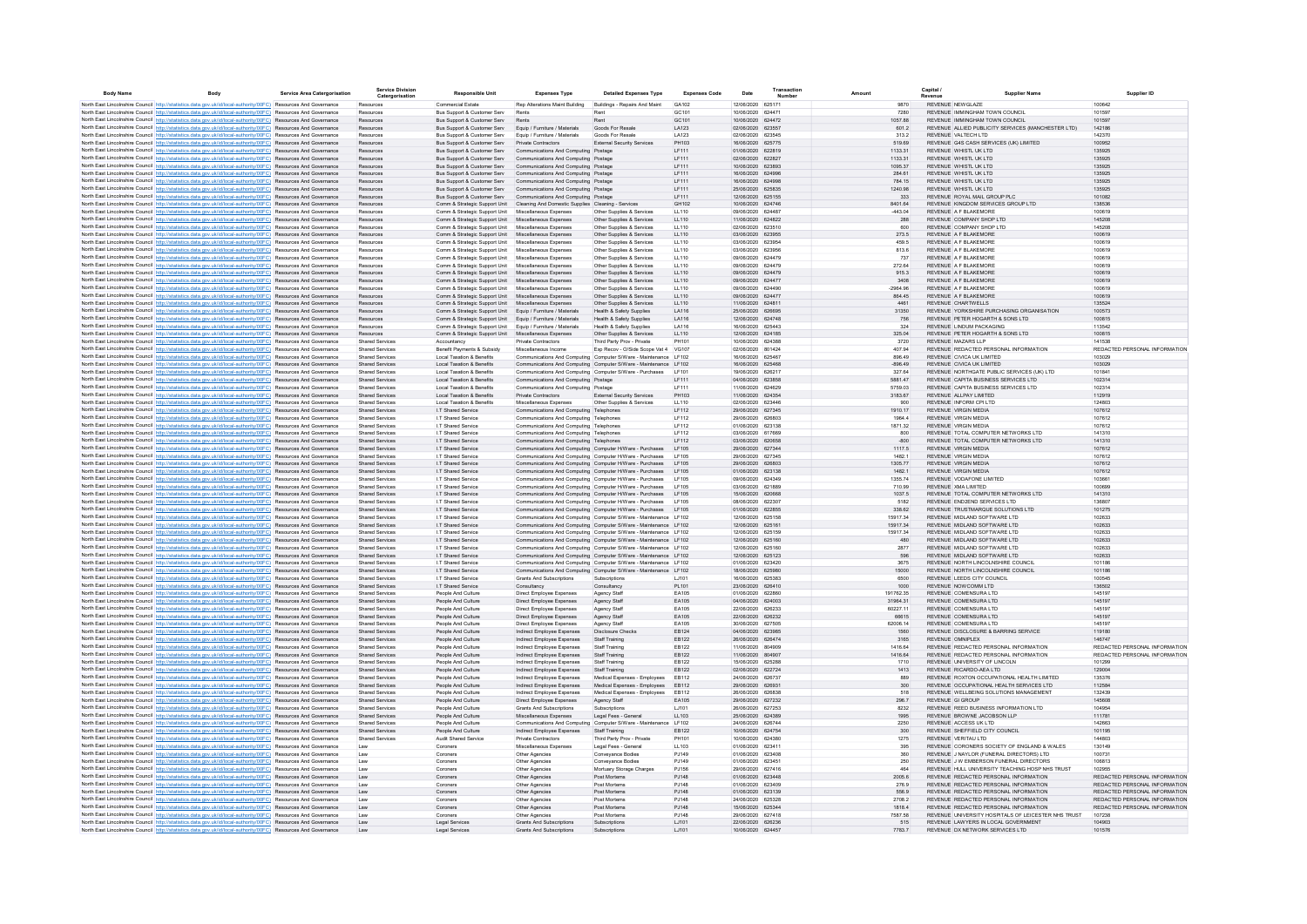| <b>Body Name</b> | <b>Body</b>                                                                                                                                                                                                                        | <b>Service Area Catergorisation</b> | <b>Service Division</b><br>Catergorisation       | <b>Responsible Unit</b>                                                               | <b>Expenses Type</b>                                                                                                                 | <b>Detailed Expenses Type</b>                                    | <b>Expenses Code</b> | Date                                   | Transaction | Amount                |                | Capital<br>Supplier Name                                                                  | Supplier ID                             |
|------------------|------------------------------------------------------------------------------------------------------------------------------------------------------------------------------------------------------------------------------------|-------------------------------------|--------------------------------------------------|---------------------------------------------------------------------------------------|--------------------------------------------------------------------------------------------------------------------------------------|------------------------------------------------------------------|----------------------|----------------------------------------|-------------|-----------------------|----------------|-------------------------------------------------------------------------------------------|-----------------------------------------|
|                  | North East Lincolnshire Council http://statistics.data.gov.uk/id/local-authority/00FC) Resources And Governance                                                                                                                    |                                     | Resources                                        | Commercial Estate                                                                     | Rep Alterations Maint Building Buildings - Repairs And Maint                                                                         |                                                                  | GA102                | 12/06/2020 625171                      |             |                       | 9870           | REVENUE NEWGLAZE                                                                          | 100642                                  |
|                  | North East Lincolnshire Council http://statistics.data.gov.uk/id/local-authority/00FC) Resources And Governance                                                                                                                    |                                     | Resources                                        | Bus Support & Customer Serv                                                           | Rents                                                                                                                                | Rent                                                             | GC101                | 10/06/2020 624471                      |             |                       | 7280           | REVENUE IMMINGHAM TOWN COUNCIL                                                            | 101597                                  |
|                  | North East Lincolnshire Council http://statistics.data.gov.uk/id/local-authority/00FC) Resources And Governance                                                                                                                    |                                     | Resources                                        | Bus Support & Customer Serv                                                           | Rents                                                                                                                                | Rent                                                             | GC101                | 10/06/2020 624472                      |             | 1057.88               |                | REVENUE IMMINGHAM TOWN COUNCIL                                                            | 101597                                  |
|                  | North East Lincolnshire Council http://statistics.data.gov.uk/id/local-authority/00FC) Resources And Governance                                                                                                                    |                                     | Resources                                        | Bus Support & Customer Serv                                                           | Equip / Furniture / Materials                                                                                                        | Goods For Resale                                                 | LA123                | 02/06/2020 623557                      |             |                       | 601.2          | REVENUE ALLIED PUBLICITY SERVICES (MANCHESTER LTD)                                        | 142186                                  |
|                  | North East Lincolnshire Council http://statistics.data.gov.uk/id/local-authority/00FC) Resources And Governance<br>North East Lincolnshire Council http://statistics.data.gov.uk/id/local-authority/00FC) Resources And Governance |                                     | Resources<br>Resources                           | Bus Support & Customer Serv<br>Bus Support & Customer Serv                            | Equip / Furniture / Materials<br>Private Contractors                                                                                 | Goods For Resale<br><b>External Security Servicer</b>            | LA123<br>PH103       | 02/06/2020 623545<br>16/06/2020 625775 |             | 519.69                | 313.2          | REVENUE VALTECH LTD<br>REVENUE G4S CASH SERVICES (UK) LIMITED                             | 142370<br>100952                        |
|                  | North East Lincolnshire Council http://statistics.data.gov.uk/id/local-authority/00FC) Resources And Governance                                                                                                                    |                                     | <b>Resources</b>                                 | Bus Support & Customer Serv                                                           | Communications And Computing Postage                                                                                                 |                                                                  | LF111                | 01/06/2020 622819                      |             | 1133.31               |                | REVENUE WHISTL UK LTD                                                                     | 135925                                  |
|                  | North East Lincolnshire Council http://statistics.data.gov.uk/id/local-authority/00FC) Resources And Governance                                                                                                                    |                                     | Resources                                        | Bus Support & Customer Serv                                                           | Communications And Computing Postage                                                                                                 |                                                                  | LF111                | 02/06/2020 622827                      |             | 1133.31               |                | REVENUE WHISTL UK LTD                                                                     | 135925                                  |
|                  | North East Lincolnshire Council http://statistics.data.gov.uk/id/local-authority/00FC) Resources And Governance                                                                                                                    |                                     | Resources                                        | Bus Support & Customer Serv                                                           | Communications And Computing Postage                                                                                                 |                                                                  | LF111                | 10/06/2020 623893                      |             | 1095.37               |                | REVENUE WHISTL UK LTD                                                                     | 135925                                  |
|                  | North East Lincolnshire Council http://statistics.data.gov.uk/id/local-authority/00FC) Resources And Governance                                                                                                                    |                                     | Resources                                        | Bus Support & Customer Serv                                                           | Communications And Computing Postage                                                                                                 |                                                                  | LF111                | 16/06/2020 624996                      |             | 284.61                |                | REVENUE WHISTL UK LTD                                                                     | 135925                                  |
|                  | North East Lincolnshire Council http://statistics.data.gov.uk/id/local-authority/00FC) Resources And Governance                                                                                                                    |                                     | Resources<br>Resources                           | Bus Support & Customer Serv<br>Bus Support & Customer Serv                            | Communications And Computing Postage<br>Communications And Computing Postage                                                         |                                                                  | LF111<br>LF111       | 16/06/2020<br>25/06/2020 625835        | 624998      | 784.15<br>1240.98     |                | REVENUE WHISTL UK LTD<br>REVENUE WHISTL UK LTD                                            | 135925<br>135925                        |
|                  | North East Lincolnshire Council http://statistics.data.gov.uk/id/local-authority/00FC) Resources And Governance<br>North East Lincolnshire Council http://statistics.data.gov.uk/id/local-authority/00FC) Resources And Governance |                                     | Resources                                        | Bus Support & Customer Serv                                                           | Communications And Computing Postage                                                                                                 |                                                                  | LF111                | 12/06/2020 625155                      |             |                       | 333            | REVENUE ROYAL MAIL GROUP PLC                                                              | 101082                                  |
|                  | North East Lincolnshire Council http://statistics.data.gov.uk/id/local-authority/00FC) Resources And Governance                                                                                                                    |                                     | Resources                                        | Comm & Strategic Support Unit Cleaning And Domestic Supplies Cleaning - Services      |                                                                                                                                      |                                                                  | GH102                | 10/06/2020 624746                      |             | 8401.64               |                | REVENUE KINGDOM SERVICES GROUP LTD                                                        | 138536                                  |
|                  | North East Lincolnshire Council http://statistics.data.gov.uk/id/local-authority/00FC) Resources And Governance                                                                                                                    |                                     | Resources                                        | Comm & Strategic Support Unit                                                         | Miscellaneous Expenses                                                                                                               | Other Supplies & Services                                        | LL110                | 09/06/2020 624487                      |             | -443.04               |                | REVENUE A F BLAKEMORE                                                                     | 100619                                  |
|                  | North East Lincolnshire Council http://statistics.data.gov.uk/id/local-authority/00FC) Resources And Governance                                                                                                                    |                                     | Resources                                        | Comm & Strategic Support Unit Miscellaneous Expenses                                  |                                                                                                                                      | Other Supplies & Services                                        | LL110                | 11/06/2020 624822                      |             |                       | 288            | REVENUE COMPANY SHOP LTD                                                                  | 145208                                  |
|                  | North East Lincolnshire Council http://statistics.data.gov.uk/id/local-authority/00FC) Resources And Governance                                                                                                                    |                                     | Resources                                        | Comm & Strategic Support Unit                                                         | Miscellaneous Expenses                                                                                                               | Other Supplies & Services                                        | LL110                | 02/06/2020 623510                      |             |                       | 600            | REVENUE COMPANY SHOP LTD                                                                  | 145208                                  |
|                  | North East Lincolnshire Council http://statistics.data.gov.uk/id/local-authority/00FC) Resources And Governance<br>North East Lincolnshire Council http://statistics.data.gov.uk/id/local-authority/00FC) Resources And Governance |                                     | Resources                                        | Comm & Strategic Support Unit Miscellaneous Expenses                                  |                                                                                                                                      | Other Supplies & Services                                        | LL110                | 03/06/2020 623955                      |             |                       | 273.5          | REVENUE A F BLAKEMORE                                                                     | 100619                                  |
|                  | North East Lincolnshire Council http://statistics.data.gov.uk/id/local-authority/00FC) Resources And Governance                                                                                                                    |                                     | Resources<br>Resources                           | Comm & Strategic Support Unit<br>Comm & Strategic Support Unit Miscellaneous Expenses | Miscellaneous Expenses                                                                                                               | Other Supplies & Services<br>Other Supplies & Services           | LL110<br>LL110       | 03/06/2020 623954<br>03/06/2020 623956 |             |                       | 459.5<br>813.6 | REVENUE A F BLAKEMORE<br>REVENUE A F BLAKEMORE                                            | 100619<br>100619                        |
|                  | North East Lincolnshire Council http://statistics.data.gov.uk/id/local-authority/00FC) Resources And Governance                                                                                                                    |                                     | Resources                                        | Comm & Strategic Support Unit Miscellaneous Expenses                                  |                                                                                                                                      | Other Supplies & Services                                        | LL110                | 09/06/2020 624479                      |             |                       | 737            | REVENUE A F BLAKEMORE                                                                     | 100619                                  |
|                  | North East Lincolnshire Council http://statistics.data.gov.uk/id/local-authority/00FC) Resources And Governance                                                                                                                    |                                     | Resources                                        | Comm & Strategic Support Unit                                                         | Miscellaneous Expenses                                                                                                               | Other Supplies & Services                                        | LL110                | 09/06/2020 624479                      |             | 272.64                |                | REVENUE A F BLAKEMORE                                                                     | 100619                                  |
|                  | North East Lincolnshire Council http://statistics.data.gov.uk/id/local-authority/00FC) Resources And Governance                                                                                                                    |                                     | <b>Resources</b>                                 | Comm & Strategic Support Unit                                                         | Miscellaneous Expenses                                                                                                               | Other Supplies & Services                                        | LL110                | 09/06/2020 624479                      |             |                       | 915.3          | REVENUE A F BLAKEMORE                                                                     | 100619                                  |
|                  | North East Lincolnshire Council http://statistics.data.gov.uk/id/local-authority/00FC) Resources And Governance                                                                                                                    |                                     | Resources                                        | Comm & Strategic Support Unit                                                         | Miscellaneous Expenses                                                                                                               | Other Supplies & Services                                        | LL110                | 09/06/2020 624477                      |             |                       | 3408           | REVENUE A F BLAKEMORE                                                                     | 100619                                  |
|                  | North East Lincolnshire Council http://statistics.data.gov.uk/id/local-authority/00FC) Resources And Governance                                                                                                                    |                                     | <b>Resources</b>                                 | Comm & Strategic Support Unit                                                         | Miscellaneous Expenses                                                                                                               | Other Supplies & Services                                        | LL110                | 09/06/2020 624490                      |             | $-2964.96$            |                | REVENUE A F BLAKEMORE                                                                     | 100619                                  |
|                  | North East Lincolnshire Council http://statistics.data.gov.uk/id/local-authority/00FC) Resources And Governance                                                                                                                    |                                     | Resources                                        | Comm & Strategic Support Unit                                                         | Miscellaneous Expenses                                                                                                               | Other Supplies & Services                                        | LL110                | 09/06/2020 624477                      |             | 864.45                | 4461           | REVENUE A F BLAKEMORE                                                                     | 100619                                  |
|                  | North East Lincolnshire Council http://statistics.data.gov.uk/id/local-authority/00FC) Resources And Governance<br>North East Lincolnshire Council http://statistics.data.gov.uk/id/local-authority/00FC) Resources And Governance |                                     | Resources<br>Resources                           | Comm & Strategic Support Unit<br>Comm & Strategic Support Unit                        | Miscellaneous Expenses<br>Equip / Furniture / Materials                                                                              | Other Supplies & Services<br>Health & Safety Supplies            | LL110<br>LA116       | 11/06/2020 624811<br>25/06/2020        | 626695      |                       | 31350          | REVENUE CHARTWELLS<br>REVENUE YORKSHIRE PURCHASING ORGANISATION                           | 135524<br>100573                        |
|                  | North East Lincolnshire Council http://statistics.data.gov.uk/id/local-authority/00FC) Resources And Governance                                                                                                                    |                                     | Resources                                        | Comm & Strategic Support Unit Equip / Furniture / Materials                           |                                                                                                                                      | Health & Safety Supplies                                         | LA116                | 12/06/2020 624748                      |             |                       | 756            | REVENUE PETER HOGARTH & SONS LTD                                                          | 100815                                  |
|                  | North East Lincolnshire Council http://statistics.data.gov.uk/id/local-authority/00FC) Resources And Governance                                                                                                                    |                                     | Resources                                        | Comm & Strategic Support Unit                                                         | Equip / Furniture / Materials                                                                                                        | <b>Health &amp; Safety Supplies</b>                              | LA116                | 16/06/2020 625443                      |             |                       | 324            | REVENUE LINDUM PACKAGING                                                                  | 113542                                  |
|                  | North East Lincolnshire Council http://statistics.data.gov.uk/id/local-authority/00FC) Resources And Governance                                                                                                                    |                                     | Resources                                        | Comm & Strategic Support Unit Miscellaneous Expenses                                  |                                                                                                                                      | Other Supplies & Services                                        | LL110                | 12/06/2020 624185                      |             | 325.04                |                | REVENUE PETER HOGARTH & SONS LTD                                                          | 100815                                  |
|                  | North East Lincolnshire Council http://statistics.data.gov.uk/id/local-authority/00FC) Resources And Governance                                                                                                                    |                                     | <b>Shared Services</b>                           | Accountancy                                                                           | <b>Private Contractors</b>                                                                                                           | Third Party Prov - Private                                       | PH101                | 10/06/2020 624388                      |             |                       | 3720           | REVENUE MAZARS LLP                                                                        | 141538                                  |
|                  | North East Lincolnshire Council http://statistics.data.gov.uk/id/local-authority/00FC) Resources And Governance                                                                                                                    |                                     | <b>Shared Services</b>                           | Benefit Payments & Subsidy                                                            | Miscellaneous Income                                                                                                                 | Exp Recov - O/Side Scope Vat 4 VG107                             |                      | 02/06/2020 801424                      |             | 407.94                |                | REVENUE REDACTED PERSONAL INFORMATION                                                     | REDACTED PERSONAL INFORMATION           |
|                  | North East Lincolnshire Council http://statistics.data.gov.uk/id/local-authority/00FC) Resources And Governance                                                                                                                    |                                     | <b>Shared Services</b>                           | Local Taxation & Benefits                                                             | Communications And Computing Computer S/Ware - Maintenance LF102                                                                     |                                                                  |                      | 16/06/2020 625467                      |             |                       | 896.49         | REVENUE CIVICA UK LIMITED                                                                 | 103029                                  |
|                  | North East Lincolnshire Council http://statistics.data.gov.uk/id/local-authority/00FC) Resources And Governance<br>North East Lincolnshire Council http://statistics.data.gov.uk/id/local-authority/00FC) Resources And Governance |                                     | <b>Shared Services</b><br><b>Shared Services</b> | Local Taxation & Benefits<br>Local Taxation & Benefits                                | Communications And Computing Computer S/Ware - Maintenance LF102<br>Communications And Computing Computer S/Ware - Purchases         |                                                                  | <b>IF101</b>         | 16/06/2020 625468<br>19/06/2020 626217 |             | $-896.49$<br>327.64   |                | REVENUE CIVICA UK LIMITED<br>REVENUE NORTHGATE PUBLIC SERVICES (UK) LTD                   | 103029<br>101841                        |
|                  | North East Lincolnshire Council http://statistics.data.gov.uk/id/local-authority/00FC) Resources And Governance                                                                                                                    |                                     | Shared Services                                  | Local Taxation & Benefits                                                             | Communications And Computing Postage                                                                                                 |                                                                  | IF111                | 04/06/2020 623858                      |             | 5881.47               |                | REVENUE CAPITA BUSINESS SERVICES LTD                                                      | 102314                                  |
|                  | North East Lincolnshire Council http://statistics.data.gov.uk/id/local-authority/00FC) Resources And Governance                                                                                                                    |                                     | <b>Shared Services</b>                           | Local Taxation & Benefits                                                             | Communications And Computing Postage                                                                                                 |                                                                  | LF111                | 11/06/2020 624629                      |             | 5759.03               |                | REVENUE CAPITA BUSINESS SERVICES LTD                                                      | 102314                                  |
|                  | North East Lincolnshire Council http://statistics.data.gov.uk/id/local-authority/00FC) Resources And Governance                                                                                                                    |                                     | Shared Services                                  | Local Taxation & Benefits                                                             | Private Contractors                                                                                                                  | <b>External Security Services</b>                                | PH103                | 11/06/2020 624354                      |             | 3183.67               |                | REVENUE ALLPAY LIMITED                                                                    | 112919                                  |
|                  | North East Lincolnshire Council http://statistics.data.gov.uk/id/local-authority/00FC) Resources And Governance                                                                                                                    |                                     | <b>Shared Services</b>                           | Local Taxation & Benefits                                                             | Miscellaneous Expenses                                                                                                               | Other Supplies & Services                                        | LL110                | 02/06/2020 623446                      |             |                       | 900            | REVENUE INFORM CPLLTD.                                                                    | 124803                                  |
|                  | North East Lincolnshire Council http://statistics.data.gov.uk/id/local-authority/00FC) Resources And Governance                                                                                                                    |                                     | <b>Shared Services</b>                           | I.T Shared Service                                                                    | Communications And Computing Telephones                                                                                              |                                                                  | LF112                | 29/06/2020 627345                      |             |                       | 1910.17        | REVENUE VIRGIN MEDIA                                                                      | 107612                                  |
|                  | North East Lincolnshire Council http://statistics.data.gov.uk/id/local-authority/00FC) Resources And Governance<br>North East Lincolnshire Council http://statistics.data.gov.uk/id/local-authority/00FC) Resources And Governance |                                     | Shared Services<br><b>Shared Services</b>        | I.T Shared Service<br>I.T Shared Service                                              | Communications And Computing Telephones<br>Communications And Computing Telephones                                                   |                                                                  | LF112<br>LF112       | 29/06/2020 626803<br>01/06/2020 623138 |             | 1871.32               | 1964.4         | REVENUE VIRGIN MEDIA<br>REVENUE VIRGIN MEDIA                                              | 107612<br>107612                        |
|                  | North East Lincolnshire Council http://statistics.data.gov.uk/id/local-authority/00FC) Resources And Governance                                                                                                                    |                                     | Shared Services                                  | I.T Shared Service                                                                    | Communications And Computing Telephones                                                                                              |                                                                  | LF112                | 03/06/2020 617669                      |             |                       | 800            | REVENUE TOTAL COMPUTER NETWORKS LTD                                                       | 141310                                  |
|                  | North East Lincolnshire Council http://statistics.data.gov.uk/id/local-authority/00FC) Resources And Governance                                                                                                                    |                                     | Shared Services                                  | I.T Shared Service                                                                    | Communications And Computing Telephones                                                                                              |                                                                  | LF112                | 03/06/2020 620658                      |             |                       | $-800$         | REVENUE TOTAL COMPUTER NETWORKS LTD                                                       | 141310                                  |
|                  | North East Lincolnshire Council http://statistics.data.gov.uk/id/local-authority/00FC) Resources And Governance                                                                                                                    |                                     | Shared Services                                  | I.T Shared Service                                                                    | Communications And Computing Computer H/Ware - Purchases LF105                                                                       |                                                                  |                      | 29/06/2020 627344                      |             |                       | 1117.5         | REVENUE VIRGIN MEDIA                                                                      | 107612                                  |
|                  | North East Lincolnshire Council http://statistics.data.gov.uk/id/local-authority/00FC) Resources And Governance                                                                                                                    |                                     | <b>Shared Services</b>                           | I.T Shared Service                                                                    | Communications And Computing Computer H/Ware - Purchases                                                                             |                                                                  | LF105                | 29/06/2020 627345                      |             | 1482.1                |                | REVENUE VIRGIN MEDIA                                                                      | 107612                                  |
|                  | North East Lincolnshire Council http://statistics.data.gov.uk/id/local-authority/00FC) Resources And Governance                                                                                                                    |                                     | Shared Services                                  | I.T Shared Service                                                                    | Communications And Computing Computer H/Ware - Purchases LF105                                                                       |                                                                  |                      | 29/06/2020 626803                      |             | 1305.77               |                | REVENUE VIRGIN MEDIA                                                                      | 107612                                  |
|                  | North East Lincolnshire Council http://statistics.data.gov.uk/id/local-authority/00FC) Resources And Governance                                                                                                                    |                                     | <b>Shared Services</b>                           | I.T Shared Service                                                                    | Communications And Computing Computer H/Ware - Purchases                                                                             |                                                                  | I F105               | 01/06/2020 623138                      |             | 1482.1                |                | REVENUE VIRGIN MEDIA                                                                      | 107612                                  |
|                  | North East Lincolnshire Council http://statistics.data.gov.uk/id/local-authority/00FC) Resources And Governance<br>North East Lincolnshire Council http://statistics.data.gov.uk/id/local-authority/00FC) Resources And Governance |                                     | <b>Shared Services</b><br><b>Shared Services</b> | I.T Shared Service<br>I.T Shared Service                                              | Communications And Computing Computer H/Ware - Purchases LF105<br>Communications And Computing Computer H/Ware - Purchases           |                                                                  | LE105                | 09/06/2020 624349<br>03/06/2020 621889 |             | 1355.74               | 710.99         | REVENUE VODAFONE LIMITED<br>REVENUE XMA LIMITED                                           | 103661<br>100699                        |
|                  | North East Lincolnshire Council http://statistics.data.gov.uk/id/local-authority/00FC) Resources And Governance                                                                                                                    |                                     | <b>Shared Services</b>                           | I.T Shared Service                                                                    | Communications And Computing Computer H/Ware - Purchases LF105                                                                       |                                                                  |                      | 15/06/2020 620668                      |             |                       | 1037.5         | REVENUE TOTAL COMPUTER NETWORKS LTD                                                       | 141310                                  |
|                  | North East Lincolnshire Council http://statistics.data.gov.uk/id/local-authority/00FC) Resources And Governance                                                                                                                    |                                     | Shared Services                                  | I.T Shared Service                                                                    | Communications And Computing Computer H/Ware - Purchases                                                                             |                                                                  | I F105               | 08/06/2020 622307                      |             |                       | 5182           | REVENUE END2END SERVICES LTD                                                              | 136807                                  |
|                  | North East Lincolnshire Council http://statistics.data.gov.uk/id/local-authority/00FC) Resources And Governance                                                                                                                    |                                     | Shared Services                                  | I.T Shared Service                                                                    | Communications And Computing Computer H/Ware - Purchases LF105                                                                       |                                                                  |                      | 01/06/2020 622855                      |             |                       | 338.62         | REVENUE TRUSTMARQUE SOLUTIONS LTD                                                         | 101275                                  |
|                  | North East Lincolnshire Council http://statistics.data.gov.uk/id/local-authority/00FC) Resources And Governance                                                                                                                    |                                     | <b>Shared Services</b>                           | I.T Shared Service                                                                    | Communications And Computing Computer S/Ware - Maintenance LF102                                                                     |                                                                  |                      | 12/06/2020 625158                      |             | 15917.34              |                | REVENUE MIDI AND SOFTWARE LTD                                                             | 102633                                  |
|                  | North East Lincolnshire Council http://statistics.data.gov.uk/id/local-authority/00FC) Resources And Governance                                                                                                                    |                                     | Shared Services                                  | I.T Shared Service                                                                    | Communications And Computing Computer S/Ware - Maintenance LF102                                                                     |                                                                  |                      | 12/06/2020 625161                      |             | 15917.34              |                | REVENUE MIDLAND SOFTWARE LTD                                                              | 102633                                  |
|                  | North East Lincolnshire Council http://statistics.data.gov.uk/id/local-authority/00FC) Resources And Governance<br>North East Lincolnshire Council http://statistics.data.gov.uk/id/local-authority/00FC) Resources And Governance |                                     | <b>Shared Services</b><br><b>Shared Services</b> | I.T Shared Service<br>I.T Shared Service                                              | Communications And Computing Computer S/Ware - Maintenance LF102<br>Communications And Computing Computer S/Ware - Maintenance LF102 |                                                                  |                      | 12/06/2020 625159<br>12/06/2020 625160 |             | 15917.34              | 480            | REVENUE MIDLAND SOFTWARE LTD<br>REVENUE MIDLAND SOFTWARE LTD                              | 102633<br>102633                        |
|                  | North East Lincolnshire Council http://statistics.data.gov.uk/id/local-authority/00FC) Resources And Governance                                                                                                                    |                                     | <b>Shared Services</b>                           | I.T Shared Service                                                                    | Communications And Computing Computer S/Ware - Maintenance LF102                                                                     |                                                                  |                      | 12/06/2020 625160                      |             |                       | 2877           | REVENUE MIDLAND SOFTWARE LTD                                                              | 102633                                  |
|                  | North East Lincolnshire Council http://statistics.data.gov.uk/id/local-authority/00FC) Resources And Governance                                                                                                                    |                                     | Shared Services                                  | I.T Shared Service                                                                    | Communications And Computing Computer S/Ware - Maintenance LF102                                                                     |                                                                  |                      | 12/06/2020 625123                      |             |                       | 596            | REVENUE MIDLAND SOFTWARE LTD                                                              | 102633                                  |
|                  | North East Lincolnshire Council http://statistics.data.gov.uk/id/local-authority/00FC) Resources And Governance                                                                                                                    |                                     | <b>Shared Services</b>                           | I.T Shared Service                                                                    |                                                                                                                                      | Communications And Computing Computer S/Ware - Maintenance LF102 |                      | 01/06/2020 623420                      |             |                       | 3675           | REVENUE NORTH LINCOLNSHIRE COUNCIL                                                        | 101186                                  |
|                  | North East Lincolnshire Council http://statistics.data.gov.uk/id/local-authority/00FC) Resources And Governance                                                                                                                    |                                     | Shared Services                                  | I.T Shared Service                                                                    | Communications And Computing Computer S/Ware - Maintenance LF102                                                                     |                                                                  |                      | 18/06/2020 625980                      |             |                       | 15000          | REVENUE NORTH LINCOLNSHIRE COUNCIL                                                        | 101186                                  |
|                  | North East Lincolnshire Council http://statistics.data.gov.uk/id/local-authority/00FC) Resources And Governance                                                                                                                    |                                     | <b>Shared Services</b>                           | I.T Shared Service                                                                    | Grants And Subscriptions                                                                                                             | Subscriptions                                                    | LJ101                | 16/06/2020 625383                      |             |                       | 6500           | REVENUE LEEDS CITY COUNCIL                                                                | 100545                                  |
|                  | North East Lincolnshire Council http://statistics.data.gov.uk/id/local-authority/00FC) Resources And Governance                                                                                                                    |                                     | <b>Shared Services</b>                           | I.T Shared Service                                                                    | Consultancy                                                                                                                          | Consultancy                                                      | PL101                | 23/06/2020 626410                      |             |                       | 1000           | REVENUE NOWCOMM LTD                                                                       | 136502<br>145197                        |
|                  | North East Lincolnshire Council http://statistics.data.gov.uk/id/local-authority/00FC) Resources And Governance<br>North East Lincolnshire Council http://statistics.data.gov.uk/id/local-authority/00FC) Resources And Governance |                                     | Shared Services<br><b>Shared Services</b>        | People And Culture<br>People And Culture                                              | Direct Employee Expenses<br>Direct Employee Expenses                                                                                 | Agency Staff<br>Agency Staff                                     | EA105<br>EA105       | 01/06/2020 622860<br>04/06/2020 624003 |             | 191762.35<br>31964.31 |                | REVENUE COMENSURA LTD<br>REVENUE COMENSURA LTD                                            | 145197                                  |
|                  | North East Lincolnshire Council http://statistics.data.gov.uk/id/local-authority/00FC) Resources And Governance                                                                                                                    |                                     | <b>Shared Services</b>                           | People And Culture                                                                    | Direct Employee Expenses                                                                                                             | Agency Staff                                                     | EA105                | 22/06/2020 626233                      |             | 60227.11              |                | REVENUE COMENSURA LTD                                                                     | 145197                                  |
|                  | North East Lincolnshire Council http://statistics.data.gov.uk/id/local-authority/00FC) Resources And Governance                                                                                                                    |                                     | <b>Shared Services</b>                           | People And Culture                                                                    | Direct Employee Expenses                                                                                                             | Agency Staff                                                     | EA105                | 22/06/2020 626232                      |             | 66615                 |                | REVENUE COMENSURA LTD                                                                     | 145197                                  |
|                  | North East Lincolnshire Council http://statistics.data.gov.uk/id/local-authority/00FC) Resources And Governance                                                                                                                    |                                     | <b>Shared Services</b>                           | People And Culture                                                                    | Direct Employee Expenses                                                                                                             | Agency Staff                                                     | EA105                | 30/06/2020 627505                      |             | 62006.14              |                | REVENUE COMENSURA LTD                                                                     | 145197                                  |
|                  | North East Lincolnshire Council http://statistics.data.gov.uk/id/local-authority/00EC). Resources And Governance                                                                                                                   |                                     | Shared Services                                  | People And Culture                                                                    | Indirect Employee Expenses                                                                                                           | <b>Disclosure Checks</b>                                         | FR124                | 04/06/2020 623985                      |             |                       | 1560           | REVENUE DISCLOSURE & BARRING SERVICE                                                      | 119180                                  |
|                  | North East Lincolnshire Council http://statistics.data.gov.uk/id/local-authority/00FC) Resources And Governance                                                                                                                    |                                     | Shared Services                                  | People And Culture<br>People And Culture                                              | Indirect Employee Expenses                                                                                                           | Staff Training<br>Staff Training                                 | EB122<br>FR122       | 26/06/2020 626474<br>11/06/2020 804909 |             | 1416.64               | 3165           | REVENUE OMNIPLEX<br>REVENUE REDACTED PERSONAL INFORMATION                                 | 146747<br>REDACTED PERSONAL INFORMATION |
|                  | North East Lincolnshire Council http://statistics.data.gov.uk/id/local-authority/00FC) Resources And Governance                                                                                                                    |                                     | <b>Shared Services</b><br>Shared Services        | People And Culture                                                                    | Indirect Employee Expenses<br>Indirect Employee Expenses                                                                             | Staff Training                                                   | EB122                | 11/06/2020 804907                      |             | 1416.64               |                | REVENUE REDACTED PERSONAL INFORMATION                                                     | REDACTED PERSONAL INFORMATION           |
|                  | North East Lincolnshire Council http://statistics.data.gov.uk/id/local-authority/00FC) Resources And Governance<br>North East Lincolnshire Council http://statistics.data.gov.uk/id/local-authority/00FC) Resources And Governance |                                     | <b>Shared Services</b>                           | People And Culture                                                                    | Indirect Employee Expenses                                                                                                           | Staff Training                                                   | FR122                | 15/06/2020 625288                      |             |                       | 1710           | REVENUE UNIVERSITY OF LINCOLN                                                             | 101299                                  |
|                  | North East Lincolnshire Council http://statistics.data.gov.uk/id/local-authority/00FC) Resources And Governance                                                                                                                    |                                     | Shared Services                                  | People And Culture                                                                    | Indirect Employee Expenses                                                                                                           | Staff Training                                                   | EB122                | 02/06/2020 622724                      |             |                       | 1413           | REVENUE RICARDO-AEA LTD                                                                   | 129004                                  |
|                  | North East Lincolnshire Council http://statistics.data.gov.uk/id/local-authority/00FC) Resources And Governance                                                                                                                    |                                     | <b>Shared Services</b>                           | People And Culture                                                                    | Indirect Employee Expenses                                                                                                           | Medical Expenses - Employees                                     | EB112                | 24/06/2020 626737                      |             |                       | 889            | REVENUE ROXTON OCCUPATIONAL HEALTH LIMITED                                                | 135376                                  |
|                  | North East Lincolnshire Council http://statistics.data.gov.uk/id/local-authority/00FC) Resources And Governance                                                                                                                    |                                     | <b>Shared Services</b>                           | People And Culture                                                                    | Indirect Employee Expenses                                                                                                           | Medical Expenses - Employees                                     | EB112                | 29/06/2020 626931                      |             |                       | 300            | REVENUE OCCUPATIONAL HEALTH SERVICES LTD                                                  | 112584                                  |
|                  | North East Lincolnshire Council http://statistics.data.gov.uk/id/local-authority/00FC) Resources And Governance                                                                                                                    |                                     | <b>Shared Services</b>                           | People And Culture                                                                    | Indirect Employee Expenses                                                                                                           | Medical Expenses - Employees                                     | EB112                | 26/06/2020 626838                      |             |                       | 518            | REVENUE WELLBEING SOLUTIONS MANAGEMENT                                                    | 132439                                  |
|                  | North East Lincolnshire Council http://statistics.data.gov.uk/id/local-authority/00FC) Resources And Governance                                                                                                                    |                                     | <b>Shared Services</b><br><b>Shared Services</b> | People And Culture                                                                    | Direct Employee Expenses                                                                                                             | Agency Staff                                                     | EA105<br>LJ101       | 29/06/2020 627232<br>26/06/2020 627253 |             |                       | 296.7          | REVENUE GI GROUP                                                                          | 145608<br>104954                        |
|                  | North East Lincolnshire Council http://statistics.data.gov.uk/id/local-authority/00FC) Resources And Governance<br>North East Lincolnshire Council http://statistics.data.gov.uk/id/local-authority/00FC) Resources And Governance |                                     | <b>Shared Services</b>                           | People And Culture<br>People And Culture                                              | Grants And Subscriptions<br>Miscellaneous Expenses                                                                                   | Subscriptions<br>Legal Fees - General                            | LL103                | 25/06/2020 624389                      |             |                       | 8232<br>1995   | REVENUE REED BUSINESS INFORMATION LTD<br>REVENUE BROWNE JACOBSON LLP                      | 111781                                  |
|                  | North East Lincolnshire Council http://statistics.data.gov.uk/id/local-authority/00FC) Resources And Governance                                                                                                                    |                                     | <b>Shared Services</b>                           | People And Culture                                                                    | Communications And Computing Computer S/Ware - Maintenance LF102                                                                     |                                                                  |                      | 24/06/2020 626744                      |             |                       | 2250           | REVENUE ACCESS UK LTD                                                                     | 142663                                  |
|                  | North East Lincolnshire Council http://statistics.data.gov.uk/id/local-authority/00FC) Resources And Governance                                                                                                                    |                                     | <b>Shared Services</b>                           | People And Culture                                                                    | Indirect Employee Expenses                                                                                                           | Staff Training                                                   | EB122                | 10/06/2020 624754                      |             |                       | 300            | REVENUE SHEFFIELD CITY COUNCIL                                                            | 101195                                  |
|                  | North East Lincolnshire Council http://statistics.data.gov.uk/id/local-authority/00FC) Resources And Governance                                                                                                                    |                                     | <b>Shared Services</b>                           | Audit Shared Service                                                                  | Private Contractors                                                                                                                  | Third Party Prov - Private                                       | PH101                | 10/06/2020 624380                      |             |                       | 1275           | REVENUE VERITAU LTD                                                                       | 144803                                  |
|                  | North East Lincolnshire Council http://statistics.data.gov.uk/id/local-authority/00FC) Resources And Governance                                                                                                                    |                                     | Law                                              | Coroners                                                                              | Miscellaneous Expenses                                                                                                               | Legal Fees - General                                             | LL103                | 01/06/2020 623411                      |             |                       | 395            | REVENUE CORONERS SOCIETY OF ENGLAND & WALES                                               | 130149                                  |
|                  | North East Lincolnshire Council http://statistics.data.gov.uk/id/local-authority/00FC) Resources And Governance                                                                                                                    |                                     | Law                                              | Coroners                                                                              | Other Agencies                                                                                                                       | Conveyance Bodies                                                | P.1149               | 01/06/2020 623408                      |             |                       | 360            | REVENUE JINAYI OR (FUNERAL DIRECTORS) LTD                                                 | 100731                                  |
|                  | North East Lincolnshire Council http://statistics.data.gov.uk/id/local-authority/00EC) Resources And Governance<br>North East Lincolnshire Council http://statistics.data.gov.uk/id/local-authority/00FC) Resources And Governance |                                     | Law<br>I aw                                      | Coroners<br>Coroners                                                                  | Other Agencies<br>Other Agencies                                                                                                     | Conveyance Bodies<br>Mortuary Storage Charges                    | P.1149<br>P.1156     | 01/06/2020 623451<br>29/06/2020 627416 |             |                       | 250<br>464     | REVENUE J W EMBERSON FUNERAL DIRECTORS<br>REVENUE HULL UNIVERSITY TEACHING HOSP NHS TRUST | 106813<br>102955                        |
|                  | North East Lincolnshire Council http://statistics.data.gov.uk/id/local-authority/00FC) Resources And Governance                                                                                                                    |                                     | Law                                              | Coroners                                                                              | Other Agencies                                                                                                                       | Post Mortems                                                     | PJ148                | 01/06/2020 623448                      |             | 2005.6                |                | REVENUE REDACTED PERSONAL INFORMATION                                                     | REDACTED PERSONAL INFORMATION           |
|                  | North East Lincolnshire Council http://statistics.data.gov.uk/id/local-authority/00FC) Resources And Governance                                                                                                                    |                                     | Law                                              | Coroners                                                                              | Other Agencies                                                                                                                       | Post Mortems                                                     | P.1148               | 01/06/2020 623409                      |             |                       | 2769           | REVENUE REDACTED PERSONAL INFORMATION                                                     | REDACTED PERSONAL INFORMATION           |
|                  | North East Lincolnshire Council http://statistics.data.gov.uk/id/local-authority/00FC) Resources And Governance                                                                                                                    |                                     | Law                                              | Coroners                                                                              | Other Agencies                                                                                                                       | Post Mortems                                                     | PJ148                | 01/06/2020 623139                      |             |                       | 556.9          | REVENUE REDACTED PERSONAL INFORMATION                                                     | REDACTED PERSONAL INFORMATION           |
|                  | North East Lincolnshire Council http://statistics.data.gov.uk/id/local-authority/00FC) Resources And Governance                                                                                                                    |                                     |                                                  | Coroners                                                                              | Other Agencies                                                                                                                       | Post Mortems                                                     | PJ148                | 24/06/2020 625328                      |             | 2708.2                |                | REVENUE REDACTED PERSONAL INFORMATION                                                     | REDACTED PERSONAL INFORMATION           |
|                  | North East Lincolnshire Council http://statistics.data.gov.uk/id/local-authority/00FC) Resources And Governance                                                                                                                    |                                     | Law                                              | Coroners                                                                              | Other Agencies                                                                                                                       | Post Mortems                                                     | PJ148                | 15/06/2020 625344                      |             | 1818.4                |                | REVENUE REDACTED PERSONAL INFORMATION                                                     | REDACTED PERSONAL INFORMATION           |
|                  | North East Lincolnshire Council http://statistics.data.gov.uk/id/local-authority/00FC) Resources And Governance                                                                                                                    |                                     | Law                                              | Coroners                                                                              | Other Agencies                                                                                                                       | Post Mortems                                                     | PJ148                | 29/06/2020                             | 627418      | 7587.58               |                | REVENUE UNIVERSITY HOSPITALS OF LEICESTER NHS TRUST                                       | 107238                                  |
|                  | North East Lincolnshire Council http://statistics.data.gov.uk/id/local-authority/00FC) Resources And Governance<br>North East Lincolnshire Council http://statistics.data.gov.uk/id/local-authority/00FC) Resources And Governance |                                     | Law<br>Law                                       | Legal Services                                                                        | <b>Grants And Subscriptions</b><br><b>Grants And Subscriptions</b>                                                                   | Subscriptions<br>Subscriptions                                   | LJ101<br>LJ101       | 22/06/2020 626236<br>10/06/2020 624457 |             |                       | 515<br>7783.7  | REVENUE LAWYERS IN LOCAL GOVERNMENT<br>REVENUE DX NETWORK SERVICES LTD                    | 104903<br>101576                        |
|                  |                                                                                                                                                                                                                                    |                                     |                                                  | Legal Services                                                                        |                                                                                                                                      |                                                                  |                      |                                        |             |                       |                |                                                                                           |                                         |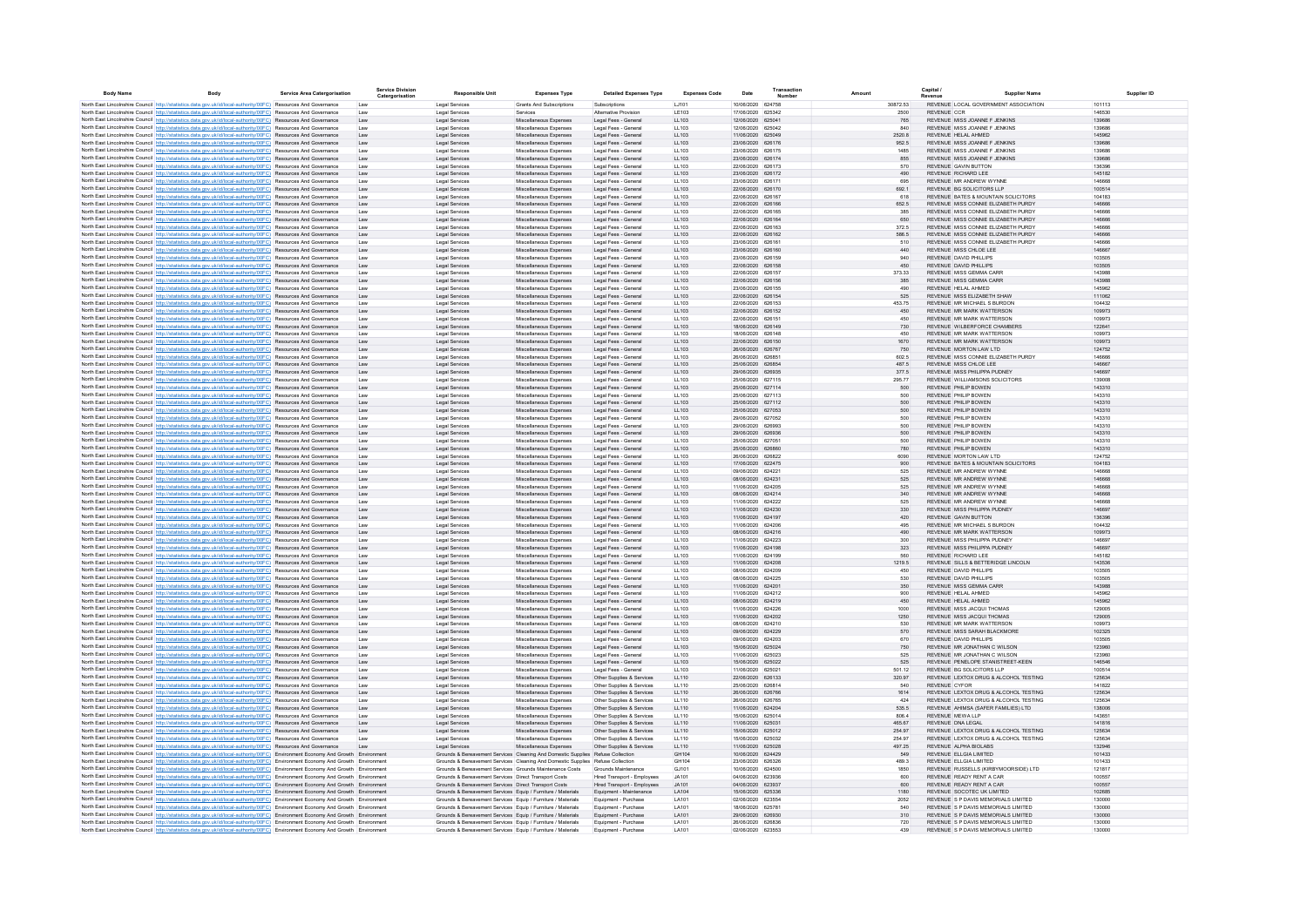| <b>Body Name</b> | Rody                                                                                                                                                                                                                                                                   | <b>Service Area Catergorisation</b> | <b>Service Division</b><br>Catergorisation | <b>Responsible Unit</b>                                                                                                      | <b>Expenses Type</b>                             | <b>Detailed Expenses Type</b>                              | <b>Expenses Code</b> | Date                                   | Transaction | Amount           | Capital<br><b>Revenue</b>                                                      | <b>Supplier Name</b> | Supplier ID |
|------------------|------------------------------------------------------------------------------------------------------------------------------------------------------------------------------------------------------------------------------------------------------------------------|-------------------------------------|--------------------------------------------|------------------------------------------------------------------------------------------------------------------------------|--------------------------------------------------|------------------------------------------------------------|----------------------|----------------------------------------|-------------|------------------|--------------------------------------------------------------------------------|----------------------|-------------|
|                  | North East Lincolnshire Council http://statistics.data.gov.uk/id/local-authority/00FC) Resources And Governance                                                                                                                                                        |                                     | Law                                        | Legal Services                                                                                                               | Grants And Subscriptions                         | Subscriptions                                              | LJ101                | 10/06/2020 624758                      |             | 30872.53         | REVENUE LOCAL GOVERNMENT ASSOCIATION                                           | 101113               |             |
|                  | North East Lincolnshire Council http://statistics.data.gov.uk/id/local-authority/00FC) Resources And Governance                                                                                                                                                        |                                     | Law                                        | <b>Legal Services</b>                                                                                                        | Services                                         | Alternative Provision                                      | LE103                | 17/06/2020 625342                      |             | 2500             | <b>REVENUE CCR</b>                                                             | 146530               |             |
|                  | North East Lincolnshire Council http://statistics.data.gov.uk/id/local-authority/00FC) Resources And Governance<br>North East Lincolnshire Council http://statistics.data.gov.uk/id/local-authority/00FC) Resources And Governance                                     |                                     | Law<br>Law                                 | Legal Services<br><b>Legal Services</b>                                                                                      | Miscellaneous Expenses<br>Miscellaneous Expenses | Legal Fees - General<br>Legal Fees - General               | LL103<br>11 103      | 12/06/2020 625041<br>12/06/2020 625042 |             | 765<br>840       | REVENUE MISS JOANNE F JENKINS<br>REVENUE MISS JOANNE F JENKINS                 | 139686<br>139686     |             |
|                  | North East Lincolnshire Council http://statistics.data.gov.uk/id/local-authority/00FC) Resources And Governance                                                                                                                                                        |                                     | Law                                        | Legal Services                                                                                                               | Miscellaneous Expenses                           | Legal Fees - General                                       | LL103                | 11/06/2020 625049                      |             | 2520.8           | REVENUE HELAL AHMED                                                            | 145962               |             |
|                  | North East Lincolnshire Council http://statistics.data.gov.uk/id/local-authority/00FC) Resources And Governance                                                                                                                                                        |                                     | Law                                        | Legal Services                                                                                                               | Miscellaneous Expenses                           | Legal Fees - Genera                                        | LL103                | 23/06/2020 626176                      |             | 952.5            | REVENUE MISS JOANNE F JENKINS                                                  | 139686               |             |
|                  | North East Lincolnshire Council http://statistics.data.gov.uk/id/local-authority/00FC) Resources And Governance                                                                                                                                                        |                                     | Law                                        | <b>Legal Services</b>                                                                                                        | Miscellaneous Expense                            | Legal Fees - Genera                                        | LL103                | 23/06/2020 626175                      |             | 1485             | REVENUE MISS JOANNE F JENKINS                                                  | 139686               |             |
|                  | North East Lincolnshire Council http://statistics.data.gov.uk/id/local-authority/00FC) Resources And Governance<br>North East Lincolnshire Council http://statistics.data.gov.uk/id/local-authority/00FC) Resources And Governance                                     |                                     | Law                                        | Legal Services<br><b>Legal Services</b>                                                                                      | Miscellaneous Expenses<br>Miscellaneous Expense  | Legal Fees - General<br>Legal Fees - Genera                | LL103<br>LL103       | 23/06/2020 626174<br>22/06/2020 626173 |             | 855<br>570       | REVENUE MISS JOANNE F JENKINS<br>REVENUE GAVIN BUTTON                          | 139686<br>136396     |             |
|                  | North East Lincolnshire Council http://statistics.data.gov.uk/id/local-authority/00FC) Resources And Governance                                                                                                                                                        |                                     | Law                                        | Legal Services                                                                                                               | Miscellaneous Expenses                           | Legal Fees - General                                       | LL103                | 23/06/2020 626172                      |             | 490              | REVENUE RICHARD LEE                                                            | 145182               |             |
|                  | North East Lincolnshire Council http://statistics.data.gov.uk/id/local-authority/00FC) Resources And Governance                                                                                                                                                        |                                     | Law                                        | <b>Legal Services</b>                                                                                                        | Miscellaneous Expense                            | Legal Fees - Genera                                        | LL103                | 23/06/2020 626171                      |             | 695              | REVENUE MR ANDREW WYNNE                                                        | 146668               |             |
|                  | North East Lincolnshire Council http://statistics.data.gov.uk/id/local-authority/00FC) Resources And Governance                                                                                                                                                        |                                     | Law                                        | Legal Services                                                                                                               | Miscellaneous Expenses                           | Legal Fees - General                                       | LL103                | 22/06/2020 626170<br>22/06/2020 626167 |             | 692.1            | REVENUE BG SOLICITORS LLP<br>REVENUE BATES & MOUNTAIN SOLICITORS               | 100514               |             |
|                  | North East Lincolnshire Council http://statistics.data.gov.uk/id/local-authority/00FC) Resources And Governance<br>North East Lincolnshire Council http://statistics.data.gov.uk/id/local-authority/00FC) Resources And Governance                                     |                                     | Law<br>Law                                 | Legal Services<br>Legal Services                                                                                             | Miscellaneous Expenses<br>Miscellaneous Expenses | Legal Fees - General<br>Legal Fees - General               | LL103<br>LL103       | 22/06/2020 626166                      |             | 618<br>652.5     | REVENUE MISS CONNIE ELIZABETH PURDY                                            | 104183<br>146666     |             |
|                  | North East Lincolnshire Council http://statistics.data.gov.uk/id/local-authority/00FC) Resources And Governance                                                                                                                                                        |                                     | Law                                        | Legal Services                                                                                                               | Miscellaneous Expenses                           | Legal Fees - General                                       | LL103                | 22/06/2020 626165                      |             | 385              | REVENUE MISS CONNIE ELIZABETH PURDY                                            | 146666               |             |
|                  | North East Lincolnshire Council http://statistics.data.gov.uk/id/local-authority/00FC) Resources And Governance                                                                                                                                                        |                                     | Law                                        | Legal Services                                                                                                               | Miscellaneous Expenses                           | Legal Fees - General                                       | LL103                | 22/06/2020 626164                      |             | 650              | REVENUE MISS CONNIE ELIZABETH PURDY                                            | 146666               |             |
|                  | North East Lincolnshire Council http://statistics.data.gov.uk/id/local-authority/00FC) Resources And Governance                                                                                                                                                        |                                     | Law<br>Law                                 | <b>Legal Services</b>                                                                                                        | Miscellaneous Expenses<br>Miscellaneous Expenses | Legal Fees - General<br>Legal Fees - General               | LL103<br>LL103       | 22/06/2020 626163<br>22/06/2020 626162 |             | 372.5<br>586.5   | REVENUE MISS CONNIE ELIZABETH PURDY<br>REVENUE MISS CONNIE ELIZABETH PURDY     | 146666<br>146666     |             |
|                  | North East Lincolnshire Council http://statistics.data.gov.uk/id/local-authority/00FC) Resources And Governance<br>North East Lincolnshire Council http://statistics.data.gov.uk/id/local-authority/00FC) Resources And Governance                                     |                                     | Law                                        | Legal Services<br><b>Legal Services</b>                                                                                      | Miscellaneous Expenses                           | Legal Fees - General                                       | LL103                | 23/06/2020 626161                      |             | 510              | REVENUE MISS CONNIE ELIZABETH PURDY                                            | 146666               |             |
|                  | North East Lincolnshire Council http://statistics.data.gov.uk/id/local-authority/00FC) Resources And Governance                                                                                                                                                        |                                     | Law                                        | Legal Services                                                                                                               | Miscellaneous Expenses                           | Legal Fees - General                                       | LL103                | 23/06/2020 626160                      |             | 440              | REVENUE MISS CHLOF LEE                                                         | 146667               |             |
|                  | North East Lincolnshire Council http://statistics.data.gov.uk/id/local-authority/00FC) Resources And Governance                                                                                                                                                        |                                     |                                            | Legal Services                                                                                                               | Miscellaneous Expenses                           | Legal Fees - Genera                                        | LL103                | 23/06/2020 626159                      |             | 940              | REVENUE DAVID PHILLIPS                                                         | 103505               |             |
|                  | North East Lincolnshire Council http://statistics.data.gov.uk/id/local-authority/00FC) Resources And Governance<br>North East Lincolnshire Council http://statistics.data.gov.uk/id/local-authority/00FC) Resources And Governance                                     |                                     | Law<br>Law                                 | <b>Legal Services</b><br>Legal Services                                                                                      | Miscellaneous Expenses<br>Miscellaneous Expense  | Legal Fees - General<br>Legal Fees - Genera                | LL103<br>LL103       | 22/06/2020 626158<br>22/06/2020 626157 |             | 450<br>373.33    | REVENUE DAVID PHILLIPS<br>REVENUE MISS GEMMA CARF                              | 103505<br>143988     |             |
|                  | North East Lincolnshire Council http://statistics.data.gov.uk/id/local-authority/00FC) Resources And Governance                                                                                                                                                        |                                     | Law                                        | <b>Legal Services</b>                                                                                                        | Miscellaneous Expenses                           | Legal Fees - General                                       | LL103                | 22/06/2020 626156                      |             | 385              | REVENUE MISS GEMMA CARR                                                        | 143988               |             |
|                  | North East Lincolnshire Council http://statistics.data.gov.uk/id/local-authority/00FC) Resources And Governance                                                                                                                                                        |                                     | Law                                        | <b>Legal Services</b>                                                                                                        | Miscellaneous Expense                            | Legal Fees - Genera                                        | LL103                | 23/06/2020 626155                      |             | 490              | REVENUE HELAL AHMED                                                            | 145962               |             |
|                  | North East Lincolnshire Council http://statistics.data.gov.uk/id/local-authority/00FC) Resources And Governance                                                                                                                                                        |                                     | Law                                        | Legal Services                                                                                                               | Miscellaneous Expenses                           | Legal Fees - General                                       | LL103                | 22/06/2020 626154                      |             | 525              | REVENUE MISS ELIZABETH SHAW                                                    | 111062               |             |
|                  | North East Lincolnshire Council http://statistics.data.gov.uk/id/local-authority/00FC) Resources And Governance<br>North East Lincolnshire Council http://statistics.data.gov.uk/id/local-authority/00FC) Resources And Governance                                     |                                     | Law<br>Law                                 | Legal Services<br>Legal Services                                                                                             | Miscellaneous Expenses<br>Miscellaneous Expenses | Legal Fees - Genera<br>Legal Fees - General                | LL103<br>LL103       | 22/06/2020 626153<br>22/06/2020 626152 |             | 453.75<br>450    | REVENUE MR MICHAEL S BURDON<br>REVENUE MR MARK WATTERSON                       | 104432<br>109973     |             |
|                  | North East Lincolnshire Council http://statistics.data.gov.uk/id/local-authority/00FC) Resources And Governance                                                                                                                                                        |                                     | Law                                        | Legal Services                                                                                                               | Miscellaneous Expenses                           | Legal Fees - General                                       | LL103                | 22/06/2020 626151                      |             | 450              | REVENUE MR MARK WATTERSON                                                      | 109973               |             |
|                  | North East Lincolnshire Council http://statistics.data.gov.uk/id/local-authority/00FC) Resources And Governance                                                                                                                                                        |                                     | Law                                        | Legal Services                                                                                                               | Miscellaneous Expenses                           | Legal Fees - General                                       | LL103                | 18/06/2020 626149                      |             | 730              | REVENUE WILBERFORCE CHAMBERS                                                   | 122641               |             |
|                  | North East Lincolnshire Council http://statistics.data.gov.uk/id/local-authority/00FC) Resources And Governance                                                                                                                                                        |                                     | Law                                        | Legal Services                                                                                                               | Miscellaneous Expenses                           | Legal Fees - General                                       | LL103                | 18/06/2020 626148                      |             | 450              | REVENUE MR MARK WATTERSON                                                      | 109973               |             |
|                  | North East Lincolnshire Council http://statistics.data.gov.uk/id/local-authority/00FC) Resources And Governance                                                                                                                                                        |                                     | Law                                        | Legal Services                                                                                                               | Miscellaneous Expenses                           | Legal Fees - General                                       | LL103                | 22/06/2020 626150                      |             | 1670             | <b>REVENUE MR MARK WATTERSON</b><br>REVENUE MORTON LAW LTD                     | 109973               |             |
|                  | North East Lincolnshire Council http://statistics.data.gov.uk/id/local-authority/00FC) Resources And Governance<br>North East Lincolnshire Council http://statistics.data.gov.uk/id/local-authority/00FC) Resources And Governance                                     |                                     | Law<br>Law                                 | Legal Services<br><b>Legal Services</b>                                                                                      | Miscellaneous Expenses<br>Miscellaneous Expenses | Legal Fees - General<br>Legal Fees - General               | LL103<br>LL103       | 26/06/2020 626767<br>26/06/2020 626851 |             | 750<br>602.5     | REVENUE MISS CONNIE ELIZABETH PURDY                                            | 124752<br>146666     |             |
|                  | North East Lincolnshire Council http://statistics.data.gov.uk/id/local-authority/00FC) Resources And Governance                                                                                                                                                        |                                     | Law                                        | <b>Legal Services</b>                                                                                                        | Miscellaneous Expenses                           | Legal Fees - General                                       | LL103                | 25/06/2020 626854                      |             | 487.5            | REVENUE MISS CHLOE LEE                                                         | 146667               |             |
|                  | North East Lincolnshire Council http://statistics.data.gov.uk/id/local-authority/00FC) Resources And Governance                                                                                                                                                        |                                     | Law                                        | Legal Services                                                                                                               | Miscellaneous Expenses                           | Legal Fees - General                                       | LL103                | 29/06/2020 626935                      |             | 377.5            | REVENUE MISS PHILIPPA PUDNEY                                                   | 146697               |             |
|                  | North East Lincolnshire Council http://statistics.data.gov.uk/id/local-authority/00FC) Resources And Governance                                                                                                                                                        |                                     | Law                                        | Legal Services                                                                                                               | Miscellaneous Expenses                           | Legal Fees - Genera                                        | LL103                | 25/06/2020 627115                      |             | 295.77           | REVENUE WILLIAMSONS SOLICITORS                                                 | 139008               |             |
|                  | North East Lincolnshire Council http://statistics.data.gov.uk/id/local-authority/00FC) Resources And Governance<br>North East Lincolnshire Council http://statistics.data.gov.uk/id/local-authority/00FC) Resources And Governance                                     |                                     | Law<br>Lav                                 | <b>Legal Services</b><br>Legal Services                                                                                      | Miscellaneous Expenses<br>Miscellaneous Expense  | Legal Fees - Genera<br>Legal Fees - Genera                 | LL103<br>LL103       | 25/06/2020 627114<br>25/06/2020 627113 |             | 500<br>500       | REVENUE PHILIP BOWEN<br>REVENUE PHILIP BOWEN                                   | 143310<br>143310     |             |
|                  | North East Lincolnshire Council http://statistics.data.gov.uk/id/local-authority/00FC) Resources And Governance                                                                                                                                                        |                                     | Law                                        | Legal Services                                                                                                               | Miscellaneous Expenses                           | Legal Fees - Genera                                        | LL103                | 25/06/2020 627112                      |             | 500              | REVENUE PHILIP BOWEN                                                           | 143310               |             |
|                  | North East Lincolnshire Council http://statistics.data.gov.uk/id/local-authority/00FC) Resources And Governance                                                                                                                                                        |                                     | Law                                        | Legal Services                                                                                                               | Miscellaneous Expenses                           | Legal Fees - General                                       | LL103                | 25/06/2020 627053                      |             | 500              | REVENUE PHILIP BOWEN                                                           | 143310               |             |
|                  | North East Lincolnshire Council http://statistics.data.gov.uk/id/local-authority/00FC) Resources And Governance<br>North East Lincolnshire Council http://statistics.data.gov.uk/id/local-authority/00FC) Resources And Governance                                     |                                     | Law<br>Law                                 | Legal Services<br><b>Legal Services</b>                                                                                      | Miscellaneous Expenses<br>Miscellaneous Expense  | Legal Fees - Genera<br>Legal Fees - Genera                 | LL103<br>LL103       | 29/06/2020 627052<br>29/06/2020 626993 |             | 500<br>500       | REVENUE PHILIP BOWEN<br>REVENUE PHILIP BOWEN                                   | 143310<br>143310     |             |
|                  | North East Lincolnshire Council http://statistics.data.gov.uk/id/local-authority/00FC) Resources And Governance                                                                                                                                                        |                                     | Law                                        | Legal Services                                                                                                               | Miscellaneous Expenses                           | Legal Fees - General                                       | LL103                | 29/06/2020 626936                      |             | 500              | REVENUE PHILIP BOWEN                                                           | 143310               |             |
|                  | North East Lincolnshire Council http://statistics.data.gov.uk/id/local-authority/00FC) Resources And Governance                                                                                                                                                        |                                     | Law                                        | Legal Services                                                                                                               | Miscellaneous Expenses                           | Legal Fees - General                                       | LL103                | 25/06/2020 627051                      |             | 500              | REVENUE PHILIP ROWEN                                                           | 143310               |             |
|                  | North East Lincolnshire Council http://statistics.data.gov.uk/id/local-authority/00FC) Resources And Governance                                                                                                                                                        |                                     | Law                                        | Legal Services                                                                                                               | Miscellaneous Expenses                           | Legal Fees - General                                       | LL103                | 25/06/2020 626860                      |             | 780              | REVENUE PHILIP BOWEN                                                           | 143310               |             |
|                  | North East Lincolnshire Council http://statistics.data.gov.uk/id/local-authority/00FC) Resources And Governance                                                                                                                                                        |                                     | Law                                        | Legal Services                                                                                                               | Miscellaneous Expenses                           | Legal Fees - General                                       | LL103                | 26/06/2020 626822                      |             | 6090             | REVENUE MORTON LAW LTD                                                         | 124752               |             |
|                  | North East Lincolnshire Council http://statistics.data.gov.uk/id/local-authority/00FC) Resources And Governance<br>North East Lincolnshire Council http://statistics.data.gov.uk/id/local-authority/00FC) Resources And Governance                                     |                                     | Law<br>Law                                 | Legal Services<br>Legal Services                                                                                             | Miscellaneous Expenses<br>Miscellaneous Expenses | Legal Fees - General<br>Legal Fees - General               | LL103<br>LL103       | 17/06/2020 622475<br>09/06/2020 624221 |             | 900<br>525       | REVENUE BATES & MOUNTAIN SOLICITORS<br>REVENUE MR ANDREW WYNNE                 | 104183<br>146668     |             |
|                  | North East Lincolnshire Council http://statistics.data.gov.uk/id/local-authority/00FC) Resources And Governance                                                                                                                                                        |                                     | Law                                        | Legal Services                                                                                                               | Miscellaneous Expenses                           | Legal Fees - General                                       | LL103                | 08/06/2020 624231                      |             | 525              | REVENUE MR ANDREW WYNNE                                                        | 146668               |             |
|                  | North East Lincolnshire Council http://statistics.data.gov.uk/id/local-authority/00FC) Resources And Governance                                                                                                                                                        |                                     | Law                                        | <b>Legal Services</b>                                                                                                        | Miscellaneous Expenses                           | Legal Fees - General                                       | LL103                | 11/06/2020 624205                      |             | 525              | REVENUE MR ANDREW WYNNE                                                        | 146668               |             |
|                  | North East Lincolnshire Council http://statistics.data.gov.uk/id/local-authority/00FC) Resources And Governance                                                                                                                                                        |                                     | Law                                        | Legal Services                                                                                                               | Miscellaneous Expenses                           | Legal Fees - General                                       | LL103                | 08/06/2020 624214                      |             | 340              | REVENUE MR ANDREW WYNNE                                                        | 146668               |             |
|                  | North East Lincolnshire Council http://statistics.data.gov.uk/id/local-authority/00FC) Resources And Governance<br>North East Lincolnshire Council http://statistics.data.gov.uk/id/local-authority/00FC) Resources And Governance                                     |                                     | Law<br>Law                                 | Legal Services<br>Legal Services                                                                                             | Miscellaneous Expenses<br>Miscellaneous Expenses | Legal Fees - General<br>Legal Fees - General               | LL103<br>LL103       | 11/06/2020 624222<br>11/06/2020 624230 |             | 525<br>330       | REVENUE MR ANDREW WYNNE<br>REVENUE MISS PHILIPPA PUDNEY                        | 146668<br>146697     |             |
|                  | North East Lincolnshire Council http://statistics.data.gov.uk/id/local-authority/00FC) Resources And Governance                                                                                                                                                        |                                     | Law                                        | <b>Legal Services</b>                                                                                                        | Miscellaneous Expenses                           | Legal Fees - General                                       | LL103                | 11/06/2020 624197                      |             | 420              | REVENUE GAVIN BUTTON                                                           | 136396               |             |
|                  | North East Lincolnshire Council http://statistics.data.gov.uk/id/local-authority/00FC) Resources And Governance                                                                                                                                                        |                                     |                                            | Legal Services                                                                                                               | Miscellaneous Expense                            | Legal Fees - Genera                                        | LL103                | 11/06/2020 624206                      |             | 495              | REVENUE MR MICHAEL S BURDON                                                    | 104432               |             |
|                  | North East Lincolnshire Council http://statistics.data.gov.uk/id/local-authority/00FC) Resources And Governance                                                                                                                                                        |                                     | Law                                        | Legal Services                                                                                                               | Miscellaneous Expenses                           | Legal Fees - Genera                                        | LL103                | 08/06/2020 624216                      |             | 490              | REVENUE MR MARK WATTERSON                                                      | 109973               |             |
|                  | North East Lincolnshire Council http://statistics.data.gov.uk/id/local-authority/00FC) Resources And Governance<br>North East Lincolnshire Council http://statistics.data.gov.uk/id/local-authority/00FC) Resources And Governance                                     |                                     | Lav<br>Law                                 | <b>Legal Services</b><br>Legal Services                                                                                      | Miscellaneous Expense<br>Miscellaneous Expenses  | Legal Fees - Genera<br>Legal Fees - General                | LL103<br>LL103       | 11/06/2020 624223<br>11/06/2020 624198 |             | 300<br>323       | REVENUE MISS PHILIPPA PUDNEY<br>REVENUE MISS PHILIPPA PUDNEY                   | 146697<br>146697     |             |
|                  | North East Lincolnshire Council http://statistics.data.gov.uk/id/local-authority/00FC) Resources And Governance                                                                                                                                                        |                                     | Law                                        | <b>Legal Services</b>                                                                                                        | Miscellaneous Expense                            | Legal Fees - Genera                                        | LL103                | 1/06/2020 624199                       |             |                  | REVENUE RICHARD LEE                                                            | 145182               |             |
|                  | North East Lincolnshire Council http://statistics.data.gov.uk/id/local-authority/00FC) Resources And Governance                                                                                                                                                        |                                     | Law                                        | Legal Services                                                                                                               | Miscellaneous Expenses                           | Legal Fees - General                                       | LL103                | 11/06/2020 624208                      |             | 1219.5           | REVENUE SILLS & BETTERIDGE LINCOLN                                             | 143536               |             |
|                  | North East Lincolnshire Council http://statistics.data.gov.uk/id/local-authority/00FC) Resources And Governance                                                                                                                                                        |                                     | Law                                        | Legal Services                                                                                                               | Miscellaneous Expenses                           | Legal Fees - General                                       | LL103                | 08/06/2020 624209                      |             | 450              | REVENUE DAVID PHILLIPS                                                         | 103505               |             |
|                  | North East Lincolnshire Council http://statistics.data.gov.uk/id/local-authority/00FC) Resources And Governance<br>North East Lincolnshire Council http://statistics.data.gov.uk/id/local-authority/00FC) Resources And Governance                                     |                                     | Law<br>Law                                 | Legal Services<br>Legal Services                                                                                             | Miscellaneous Expenses<br>Miscellaneous Expenses | Legal Fees - General<br>Legal Fees - General               | LL103<br>LL103       | 08/06/2020 624225<br>11/06/2020 624201 |             | 530<br>350       | REVENUE DAVID PHILLIPS<br>REVENUE MISS GEMMA CARR                              | 103505<br>143988     |             |
|                  | North East Lincolnshire Council http://statistics.data.gov.uk/id/local-authority/00FC) Resources And Governance                                                                                                                                                        |                                     | Law                                        | Legal Services                                                                                                               | Miscellaneous Expenses                           | Legal Fees - General                                       | LL103                | 11/06/2020 624212                      |             | 900              | REVENUE HELAL AHMED                                                            | 145962               |             |
|                  | North East Lincolnshire Council http://statistics.data.gov.uk/id/local-authority/00FC) Resources And Governance                                                                                                                                                        |                                     | Law                                        | Legal Services                                                                                                               | Miscellaneous Expenses                           | Legal Fees - General                                       | LL103                | 08/06/2020 624219                      |             | 450              | REVENUE HELAL AHMED                                                            | 145962               |             |
|                  | North East Lincolnshire Council http://statistics.data.gov.uk/id/local-authority/00FC) Resources And Governance                                                                                                                                                        |                                     | Law                                        | Legal Services                                                                                                               | Miscellaneous Expenses                           | Legal Fees - General                                       | LL103                | 11/06/2020 624226                      |             | 1000             | REVENUE MISS JACQUI THOMAS                                                     | 129005               |             |
|                  | North East Lincolnshire Council http://statistics.data.gov.uk/id/local-authority/00FC) Resources And Governance<br>North East Lincolnshire Council http://statistics.data.gov.uk/id/local-authority/00FC) Resources And Governance                                     |                                     | Law<br>Law                                 | Legal Services<br>Legal Services                                                                                             | Miscellaneous Expenses<br>Miscellaneous Expenses | Legal Fees - General<br>Legal Fees - General               | LL103<br>11 103      | 11/06/2020 624202<br>08/06/2020 624210 |             | 1250<br>530      | REVENUE MISS JACQUI THOMAS<br>REVENUE MR MARK WATTERSON                        | 129005<br>109973     |             |
|                  | North East Lincolnshire Council http://statistics.data.gov.uk/id/local-authority/00FC) Resources And Governance                                                                                                                                                        |                                     | Law                                        | Legal Services                                                                                                               | Miscellaneous Expenses                           | Legal Fees - General                                       | LL103                | 09/06/2020 624229                      |             | 570              | REVENUE MISS SARAH BLACKMORE                                                   | 102325               |             |
|                  | North East Lincolnshire Council http://statistics.data.gov.uk/id/local-authority/00FC) Resources And Governance                                                                                                                                                        |                                     | Lav                                        | Legal Services                                                                                                               | Miscellaneous Expense                            | Legal Fees - Genera                                        | LL103                | 09/06/2020 624203                      |             | 670              | REVENUE DAVID PHILLIPS                                                         | 103505               |             |
|                  | North East Lincolnshire Council http://statistics.data.gov.uk/id/local-authority/00FC) Resources And Governance                                                                                                                                                        |                                     | Law                                        | Legal Services                                                                                                               | Miscellaneous Expenses                           | Legal Fees - General                                       | LL103                | 15/06/2020 625024                      |             | 750              | REVENUE MR JONATHAN C WILSON                                                   | 123960               |             |
|                  | North East Lincolnshire Council http://statistics.data.gov.uk/id/local-authority/00FC) Resources And Governance                                                                                                                                                        |                                     | Law                                        | Legal Services                                                                                                               | Miscellaneous Expense<br>Miscellaneous Expenses  | Legal Fees - Genera<br>Legal Fees - General                | LL103<br>LL103       | 11/06/2020 625023<br>15/06/2020 625022 |             | 525<br>525       | REVENUE MR JONATHAN C WILSON<br>REVENUE PENELOPE STANISTREET-KEEN              | 123960<br>146546     |             |
|                  | North East Lincolnshire Council http://statistics.data.gov.uk/id/local-authority/00FC) Resources And Governance<br>North East Lincolnshire Council http://statistics.data.gov.uk/id/local-authority/00FC) Resources And Governance                                     |                                     | Law                                        | Legal Services<br><b>Legal Services</b>                                                                                      | Miscellaneous Expense                            | Legal Fees - Genera                                        | LL103                | 11/06/2020 625021                      |             | 501.12           | REVENUE BG SOLICITORS LLP                                                      | 100514               |             |
|                  | North East Lincolnshire Council http://statistics.data.gov.uk/id/local-authority/00FC) Resources And Governance                                                                                                                                                        |                                     | Law                                        | Legal Services                                                                                                               | Miscellaneous Expenses                           | Other Supplies & Services                                  | LL110                | 22/06/2020 626133                      |             | 320.97           | REVENUE LEXTOX DRUG & ALCOHOL TESTING                                          | 125634               |             |
|                  | North East Lincolnshire Council http://statistics.data.gov.uk/id/local-authority/00FC) Resources And Governance                                                                                                                                                        |                                     | Law                                        | <b>Legal Services</b>                                                                                                        | Miscellaneous Expenses                           | Other Supplies & Services                                  | LL110                | 25/06/2020 626814                      |             | 540              | REVENUE CYFOR                                                                  | 141822               |             |
|                  | North East Lincolnshire Council http://statistics.data.gov.uk/id/local-authority/00FC) Resources And Governance                                                                                                                                                        |                                     | Law                                        | Legal Services                                                                                                               | Miscellaneous Expenses                           | Other Supplies & Services                                  | LL110                | 26/06/2020 626766                      |             | 1614             | REVENUE LEXTOX DRUG & ALCOHOL TESTING                                          | 125634               |             |
|                  | North East Lincolnshire Council http://statistics.data.gov.uk/id/local-authority/00FC) Resources And Governance<br>North East Lincolnshire Council http://statistics.data.gov.uk/id/local-authority/00FC) Resources And Governance                                     |                                     | Law<br>Law                                 | Legal Services<br>Legal Services                                                                                             | Miscellaneous Expenses<br>Miscellaneous Expenses | Other Supplies & Services<br>Other Supplies & Services     | LL110<br>LL110       | 26/06/2020 626765<br>11/06/2020 624204 |             | 424<br>535.5     | REVENUE LEXTOX DRUG & ALCOHOL TESTING<br>REVENUE AHIMSA (SAFER FAMILIES) LTD   | 125634<br>138006     |             |
|                  | North East Lincolnshire Council http://statistics.data.gov.uk/id/local-authority/00FC) Resources And Governance                                                                                                                                                        |                                     | Law                                        | Legal Services                                                                                                               | Miscellaneous Expenses                           | Other Supplies & Services                                  | LL110                | 15/06/2020 625014                      |             | 806.4            | REVENUE MEWA LLP                                                               | 143651               |             |
|                  | North East Lincolnshire Council http://statistics.data.gov.uk/id/local-authority/00FC) Resources And Governance                                                                                                                                                        |                                     | Law                                        | Legal Services                                                                                                               | Miscellaneous Expenses                           | Other Supplies & Services                                  | LL110                | 11/06/2020 625031                      |             | 465.67           | REVENUE DNA LEGAL                                                              | 141816               |             |
|                  | North East Lincolnshire Council http://statistics.data.gov.uk/id/local-authority/00FC) Resources And Governance<br>North East Lincolnshire Council http://statistics.data.gov.uk/id/local-authority/00FC) Resources And Governance                                     |                                     | Law<br>Law                                 | Legal Services<br>Legal Services                                                                                             | Miscellaneous Expenses<br>Miscellaneous Expenses | Other Supplies & Services<br>Other Supplies & Services     | LL110<br>LL110       | 15/06/2020 625012<br>15/06/2020 625032 |             | 254.97<br>254.97 | REVENUE LEXTOX DRUG & ALCOHOL TESTING<br>REVENUE LEXTOX DRUG & ALCOHOL TESTING | 125634<br>125634     |             |
|                  | North East Lincolnshire Council http://statistics.data.gov.uk/id/local-authority/00FC) Resources And Governance                                                                                                                                                        |                                     | Law                                        | Legal Services                                                                                                               | Miscellaneous Expenses                           | Other Supplies & Services                                  | LL110                | 11/06/2020 625028                      |             | 497.25           | REVENUE ALPHA BIOLABS                                                          | 132946               |             |
|                  | North East Lincolnshire Council http://statistics.data.gov.uk/id/local-authority/00FC) Environment Economy And Growth Environme                                                                                                                                        |                                     |                                            | Grounds & Bereavement Services Cleaning And Domestic Supplies Refuse Collection                                              |                                                  |                                                            | GH104                | 10/06/2020 624429                      |             | 549              | REVENUE ELLGIA LIMITED                                                         | 101433               |             |
|                  | North East Lincolnshire Council http://statistics.data.gov.uk/id/local-authority/00FC) Environment Economy And Growth Environment                                                                                                                                      |                                     |                                            | Grounds & Bereavement Services Cleaning And Domestic Supplies Refuse Collection                                              |                                                  |                                                            | GH104                | 23/06/2020 626326                      |             | 489.3            | REVENUE ELLGIA LIMITED                                                         | 101433               |             |
|                  | North East Lincolnshire Council http://statistics.data.gov.uk/id/local-authority/00FC) Environment Economy And Growth Environment                                                                                                                                      |                                     |                                            | Grounds & Bereavement Services Grounds Maintenance Costs                                                                     |                                                  | Grounds Maintenano                                         | GJ101                | 10/06/2020 624500                      |             | 1850             | REVENUE RUSSELLS (KIRBYMOORSIDE) LTD                                           | 121817               |             |
|                  | North East Lincolnshire Council http://statistics.data.gov.uk/id/local-authority/00FC) Environment Economy And Growth Environmen<br>North East Lincolnshire Council http://statistics.data.gov.uk/id/local-authority/00FC) Environment Economy And Growth Environment  |                                     |                                            | Grounds & Bereavement Services Direct Transport Costs<br>Grounds & Bereavement Services Direct Transport Costs               |                                                  | Hired Transport - Employeer<br>Hired Transport - Employees | JA101<br>JA101       | 04/06/2020 623936<br>04/06/2020 623937 |             | 600<br>600       | REVENUE READY RENT A CAR<br>REVENUE READY RENT A CAR                           | 100557<br>100557     |             |
|                  | North East Lincolnshire Council http://statistics.data.gov.uk/id/local-authority/00FC) Environment Economy And Growth Environment                                                                                                                                      |                                     |                                            | Grounds & Bereavement Services Equip / Furniture / Materials                                                                 |                                                  | Equipment - Maintenance                                    | LA104                | 15/06/2020 625336                      |             | 1180             | REVENUE SOCOTEC UK LIMITED                                                     | 102685               |             |
|                  | North East Lincolnshire Council http://statistics.data.gov.uk/id/local-authority/00FC) Environment Economy And Growth Environmen                                                                                                                                       |                                     |                                            | Grounds & Bereavement Services Equip / Furniture / Materials                                                                 |                                                  | Equipment - Purchase                                       | LA10                 | 02/06/2020 623554                      |             | 2052             | REVENUE S P DAVIS MEMORIALS LIMITED                                            | 130000               |             |
|                  | North East Lincolnshire Council http://statistics.data.gov.uk/id/local-authority/00FC) Environment Economy And Growth Environmen                                                                                                                                       |                                     |                                            | Grounds & Bereavement Services Equip / Furniture / Materials                                                                 |                                                  | Equipment - Purchase                                       | LA101                | 18/06/2020 625781                      |             | 540              | REVENUE S P DAVIS MEMORIALS LIMITED                                            | 130000               |             |
|                  | North East Lincolnshire Council http://statistics.data.gov.uk/id/local-authority/00FC) Environment Economy And Growth Environment<br>North East Lincolnshire Council http://statistics.data.gov.uk/id/local-authority/00FC) Environment Economy And Growth Environment |                                     |                                            | Grounds & Bereavement Services Equip / Furniture / Materials<br>Grounds & Bereavement Services Equip / Furniture / Materials |                                                  | Equipment - Purchase<br>Equipment - Purchase               | LA101<br>LA101       | 29/06/2020 626930<br>26/06/2020 626836 |             | 310<br>720       | REVENUE S P DAVIS MEMORIALS LIMITED<br>REVENUE S P DAVIS MEMORIALS LIMITED     | 130000<br>130000     |             |
|                  | North East Lincolnshire Council http://statistics.data.gov.uk/id/local-authority/00FC) Environment Economy And Growth Environment                                                                                                                                      |                                     |                                            | Grounds & Bereavement Services Equip / Furniture / Materials                                                                 |                                                  | Equipment - Purchase                                       | LA101                | 02/06/2020 623553                      |             | 439              | REVENUE S P DAVIS MEMORIALS LIMITED                                            | 130000               |             |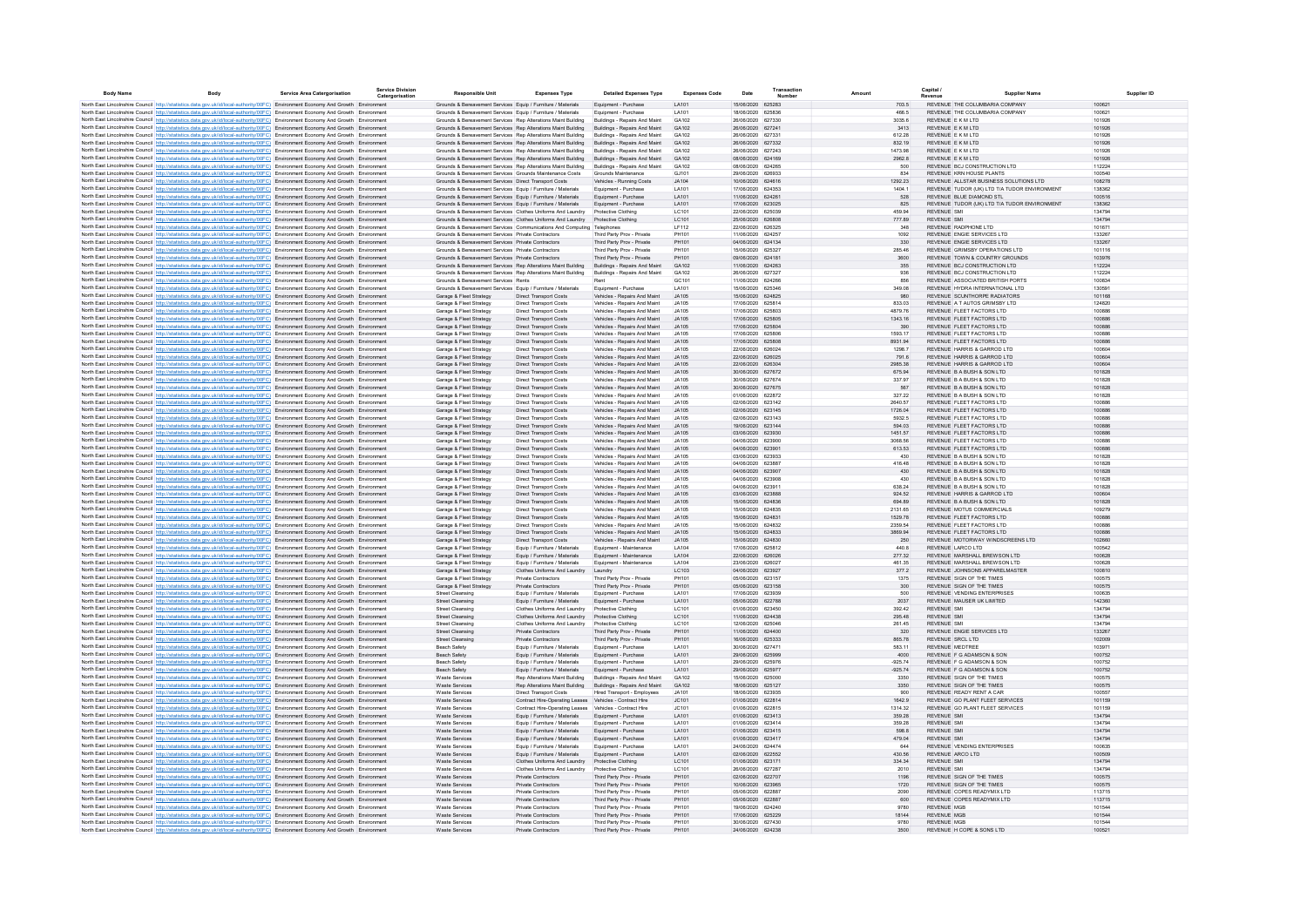| <b>Body Name</b> | Body                                                                                                                                                                                                                                                                   | <b>Service Area Catergorisation</b> | <b>Service Division</b><br>Catergorisation | <b>Responsible Unit</b>                                                                                                   | <b>Expenses Type</b>                                             | <b>Detailed Expenses Type</b>                                  | <b>Expenses Code</b>         | Date                                   | Transaction<br>Number | Amoun              | Capital /<br>Revenu                                            | Supplier Name                                |                  |
|------------------|------------------------------------------------------------------------------------------------------------------------------------------------------------------------------------------------------------------------------------------------------------------------|-------------------------------------|--------------------------------------------|---------------------------------------------------------------------------------------------------------------------------|------------------------------------------------------------------|----------------------------------------------------------------|------------------------------|----------------------------------------|-----------------------|--------------------|----------------------------------------------------------------|----------------------------------------------|------------------|
|                  | North East Lincolnshire Council http://statistics.data.gov.uk/id/local-authority/00FC) Environment Economy And Growth Environment                                                                                                                                      |                                     |                                            | Grounds & Bereavement Services Equip / Furniture / Materials                                                              |                                                                  | Equipment - Purchase                                           | LA101                        | 15/06/2020 625283                      |                       | 703.5              | REVENUE THE COLUMBARIA COMPANY                                 |                                              | 100621           |
|                  | North East Lincolnshire Council http://statistics.data.gov.uk/id/local-authority/00FC) Environment Economy And Growth Environment                                                                                                                                      |                                     |                                            | Grounds & Bereavement Services Equip / Furniture / Materials                                                              |                                                                  | Equipment - Purchase                                           | LA101                        | 18/06/2020 625836                      |                       | 466.5              | REVENUE THE COLUMBARIA COMPANY                                 |                                              | 100621           |
|                  | North East Lincolnshire Council http://statistics.data.gov.uk/id/local-authority/00FC) Environment Economy And Growth Environment                                                                                                                                      |                                     |                                            | Grounds & Bereavement Services Rep Alterations Maint Building                                                             |                                                                  | <b>Buildings - Repairs And Maint</b>                           | GA102                        | 26/06/2020 627330                      |                       | 3035.6             | REVENUE E K M LTD                                              |                                              | 101926           |
|                  | North East Lincolnshire Council http://statistics.data.gov.uk/id/local-authority/00FC) Environment Economy And Growth Environment                                                                                                                                      |                                     |                                            | Grounds & Bereavement Services Rep Alterations Maint Building                                                             |                                                                  | Buildings - Repairs And Maint                                  | GA102                        | 26/06/2020 627241                      |                       | 3413               | REVENUE E K M LTD                                              |                                              | 101926           |
|                  | North East Lincolnshire Council http://statistics.data.gov.uk/id/local-authority/00FC) Environment Economy And Growth Environment                                                                                                                                      |                                     |                                            | Grounds & Bereavement Services Rep Alterations Maint Building                                                             |                                                                  | Buildings - Repairs And Maint                                  | GA102                        | 26/06/2020 62733                       |                       | 612.28             | REVENUE E K M LTD                                              |                                              | 101926           |
|                  | North East Lincolnshire Council http://statistics.data.gov.uk/id/local-authority/00FC) Environment Economy And Growth Environment                                                                                                                                      |                                     |                                            | Grounds & Bereavement Services Rep Alterations Maint Building                                                             |                                                                  | Buildings - Repairs And Maint                                  | GA102                        | 26/06/2020 627332                      |                       | 832.19             | REVENUE E K M LTD                                              |                                              | 101926           |
|                  | North East Lincolnshire Council http://statistics.data.gov.uk/id/local-authority/00FC) Environment Economy And Growth Environment                                                                                                                                      |                                     |                                            | Grounds & Bereavement Services Rep Alterations Maint Building                                                             |                                                                  | Buildings - Repairs And Maint                                  | GA102                        | 26/06/2020 627243                      |                       | 1473.98            | REVENUE E K M LTD                                              |                                              | 101926           |
|                  | North East Lincolnshire Council http://statistics.data.gov.uk/id/local-authority/00FC) Environment Economy And Growth Environment                                                                                                                                      |                                     |                                            | Grounds & Bereavement Services Rep Alterations Maint Building                                                             |                                                                  | Buildings - Repairs And Maint                                  | GA102<br>GA102               | 08/06/2020 624169<br>08/06/2020 624265 |                       | 2962.8             | REVENUE E K M LTD<br>REVENUE BCJ CONSTRUCTION LTD              |                                              | 101926<br>112224 |
|                  | North East Lincolnshire Council http://statistics.data.gov.uk/id/local-authority/00FC) Environment Economy And Growth Environment                                                                                                                                      |                                     |                                            | Grounds & Bereavement Services Rep Alterations Maint Building<br>Grounds & Bereavement Services Grounds Maintenance Costs |                                                                  | Buildings - Repairs And Maint<br>Grounds Maintenance           | GJ101                        | 29/06/2020 626933                      |                       | 500<br>834         | REVENUE KRN HOUSE PLANTS                                       |                                              | 100540           |
|                  | North East Lincolnshire Council http://statistics.data.gov.uk/id/local-authority/00FC) Environment Economy And Growth Environment<br>North East Lincolnshire Council http://statistics.data.gov.uk/id/local-authority/00FC) Environment Economy And Growth Environment |                                     |                                            | Grounds & Bereavement Services Direct Transport Costs                                                                     |                                                                  | Vehicles - Running Costs                                       | JA104                        | 10/06/2020 624616                      |                       | 1292.23            |                                                                | REVENUE ALLSTAR BUSINESS SOLUTIONS LTD       | 108278           |
|                  | North East Lincolnshire Council http://statistics.data.gov.uk/id/local-authority/00FC) Environment Economy And Growth Environment                                                                                                                                      |                                     |                                            | Grounds & Bereavement Services Equip / Furniture / Materials                                                              |                                                                  | Equipment - Purchase                                           | LA101                        | 17/06/2020 624353                      |                       | 1404.1             |                                                                | REVENUE TUDOR (UK) LTD T/A TUDOR ENVIRONMENT | 138362           |
|                  | North East Lincolnshire Council http://statistics.data.gov.uk/id/local-authority/00FC) Environment Economy And Growth Environment                                                                                                                                      |                                     |                                            | Grounds & Bereavement Services Equip / Furniture / Materials                                                              |                                                                  | Equipment - Purchase                                           | LA101                        | 11/06/2020 624261                      |                       | 528                | REVENUE BLUE DIAMOND STL                                       |                                              | 100516           |
|                  | North East Lincolnshire Council http://statistics.data.gov.uk/id/local-authority/00FC) Environment Economy And Growth Environment                                                                                                                                      |                                     |                                            | Grounds & Bereavement Services Equip / Furniture / Materials                                                              |                                                                  | Equipment - Purchase                                           | LA101                        | 17/06/2020 623025                      |                       | 825                |                                                                | REVENUE TUDOR (UK) LTD T/A TUDOR ENVIRONMENT | 138362           |
|                  | North East Lincolnshire Council http://statistics.data.gov.uk/id/local-authority/00FC) Environment Economy And Growth Environment                                                                                                                                      |                                     |                                            | Grounds & Bereavement Services Clothes Uniforms And Laundry                                                               |                                                                  | Protective Clothing                                            | LC101                        | 22/06/2020 625039                      |                       | 459.94             | <b>REVENUE SMI</b>                                             |                                              | 134794           |
|                  | North East Lincolnshire Council http://statistics.data.gov.uk/id/local-authority/00FC) Environment Economy And Growth Environment                                                                                                                                      |                                     |                                            | Grounds & Bereavement Services Clothes Uniforms And Laundry                                                               |                                                                  | Protective Clothing                                            | IC101                        | 25/06/2020 626808                      |                       | 777.89             | REVENUE SML                                                    |                                              | 134794           |
|                  | North East Lincolnshire Council http://statistics.data.gov.uk/id/local-authority/00FC) Environment Economy And Growth Environment                                                                                                                                      |                                     |                                            | Grounds & Bereavement Services Communications And Computing Telephones                                                    |                                                                  |                                                                | IF112                        | 22/06/2020 626325                      |                       | 348                | REVENUE RADPHONE LTD                                           |                                              | 101671           |
|                  | North East Lincolnshire Council http://statistics.data.gov.uk/id/local-authority/00FC) Environment Economy And Growth Environment                                                                                                                                      |                                     |                                            | Grounds & Bereavement Services Private Contractors                                                                        |                                                                  | Third Party Prov - Private                                     | PH101                        | 11/06/2020 624257                      |                       | 1092               | REVENUE ENGIE SERVICES LTD                                     |                                              | 133267           |
|                  | North East Lincolnshire Council http://statistics.data.gov.uk/id/local-authority/00FC) Environment Economy And Growth Environment                                                                                                                                      |                                     |                                            | Grounds & Bereavement Services Private Contractors<br>Grounds & Bereavement Services Private Contractors                  |                                                                  | Third Party Prov - Private<br>Third Party Prov - Private       | PH101<br>PH101               | 04/06/2020 624134<br>15/06/2020 625327 |                       | 330                | REVENUE ENGIE SERVICES LTD<br>REVENUE GRIMSBY OPERATIONS LTD   |                                              | 133267<br>101116 |
|                  | North East Lincolnshire Council http://statistics.data.gov.uk/id/local-authority/00FC) Environment Economy And Growth Environment                                                                                                                                      |                                     |                                            |                                                                                                                           |                                                                  |                                                                |                              |                                        |                       | 285.46             |                                                                |                                              |                  |
|                  | North East Lincolnshire Council http://statistics.data.gov.uk/id/local-authority/00FC) Environment Economy And Growth Environment<br>North East Lincolnshire Council http://statistics.data.gov.uk/id/local-authority/00FC) Environment Economy And Growth Environment |                                     |                                            | Grounds & Bereavement Services Private Contractors<br>Grounds & Bereavement Services Rep Alterations Maint Building       |                                                                  | Third Party Prov - Private<br>Buildings - Repairs And Maint    | PH101<br>GA102               | 09/06/2020 624181<br>11/06/2020 624263 |                       | 3600<br>355        | REVENUE TOWN & COUNTRY GROUNDS<br>REVENUE BCJ CONSTRUCTION LTD |                                              | 103976<br>112224 |
|                  | North East Lincolnshire Council http://statistics.data.gov.uk/id/local-authority/00FC) Environment Economy And Growth Environment                                                                                                                                      |                                     |                                            | Grounds & Bereavement Services Rep Alterations Maint Building                                                             |                                                                  | Buildings - Repairs And Maint                                  | GA102                        | 26/06/2020 627327                      |                       | 936                | REVENUE BCJ CONSTRUCTION LTD                                   |                                              | 112224           |
|                  | North East Lincolnshire Council http://statistics.data.gov.uk/id/local-authority/00FC) Environment Economy And Growth Environment                                                                                                                                      |                                     |                                            | Grounds & Bereavement Services Rents                                                                                      |                                                                  |                                                                | GC101                        | 11/06/2020 624266                      |                       | 856                | REVENUE ASSOCIATED BRITISH PORTS                               |                                              | 100834           |
|                  | North East Lincolnshire Council http://statistics.data.gov.uk/id/local-authority/00FC) Environment Economy And Growth Environment                                                                                                                                      |                                     |                                            | Grounds & Bereavement Services Equip / Furniture / Materials                                                              |                                                                  | Equipment - Purchase                                           | LA101                        | 15/06/2020 625346                      |                       | 349.08             | REVENUE HYDRA INTERNATIONAL LTD                                |                                              | 130591           |
|                  | North East Lincolnshire Council http://statistics.data.gov.uk/id/local-authority/00FC) Environment Economy And Growth Environment                                                                                                                                      |                                     |                                            | Garage & Fleet Strategy                                                                                                   | <b>Direct Transport Costs</b>                                    | Vehicles - Repairs And Maint                                   | <b>JA105</b>                 | 15/06/2020 624825                      |                       | 980                | REVENUE SCUNTHORPE RADIATORS                                   |                                              | 101168           |
|                  | North East Lincolnshire Council http://statistics.data.gov.uk/id/local-authority/00FC) Environment Economy And Growth Environment                                                                                                                                      |                                     |                                            | Garage & Fleet Strategy                                                                                                   | <b>Direct Transport Costs</b>                                    | Vehicles - Repairs And Maint                                   | <b>JA105</b>                 | 17/06/2020 625814                      |                       | 833.03             | REVENUE A T AUTOS GRIMSBY LTD                                  |                                              | 124820           |
|                  | North East Lincolnshire Council http://statistics.data.gov.uk/id/local-authority/00FC) Environment Economy And Growth Environment                                                                                                                                      |                                     |                                            | Garage & Fleet Strategy                                                                                                   | Direct Transport Costs                                           | Vehicles - Repairs And Maint                                   | <b>JA105</b>                 | 17/06/2020 625803                      |                       | 4879.76            | REVENUE FLEET FACTORS LTD                                      |                                              | 100886           |
|                  | North East Lincolnshire Council http://statistics.data.gov.uk/id/local-authority/00FC). Environment Economy And Growth Environment                                                                                                                                     |                                     |                                            | Garage & Fleet Strategy                                                                                                   | <b>Direct Transport Costs</b>                                    | Vehicles - Repairs And Maint                                   | JA105                        | 17/06/2020 625805                      |                       | 1343.16            | REVENUE FLEET FACTORS LTD                                      |                                              | 100886           |
|                  | North East Lincolnshire Council http://statistics.data.gov.uk/id/local-authority/00FC) Environment Economy And Growth Environment                                                                                                                                      |                                     |                                            | Garage & Fleet Strategy                                                                                                   | <b>Direct Transport Costs</b>                                    | Vehicles - Repairs And Maint                                   | JA105                        | 17/06/2020 625804                      |                       | 390                | REVENUE FLEET FACTORS LTD                                      |                                              | 100886           |
|                  | North East Lincolnshire Council http://statistics.data.gov.uk/id/local-authority/00FC) Environment Economy And Growth Environment                                                                                                                                      |                                     |                                            | Garage & Fleet Strategy                                                                                                   | <b>Direct Transport Costs</b>                                    | Vehicles - Repairs And Maint                                   | JA105                        | 17/06/2020 625806                      |                       | 1593.17            | REVENUE FLEET FACTORS LTD                                      |                                              | 100886           |
|                  | North East Lincolnshire Council http://statistics.data.gov.uk/id/local-authority/00FC) Environment Economy And Growth Environment<br>North East Lincolnshire Council http://statistics.data.gov.uk/id/local-authority/00FC) Environment Economy And Growth Environment |                                     |                                            | Garage & Fleet Strategy<br>Garage & Fleet Strategy                                                                        | <b>Direct Transport Costs</b><br><b>Direct Transport Costs</b>   | Vehicles - Repairs And Maint<br>Vehicles - Repairs And Maint   | <b>JA105</b><br>JA105        | 17/06/2020 625808<br>22/06/2020 626024 |                       | 8931.94<br>1298.7  | REVENUE FLEET FACTORS LTD<br>REVENUE HARRIS & GARROD LTD       |                                              | 100886<br>100604 |
|                  | North East Lincolnshire Council http://statistics.data.gov.uk/id/local-authority/00FC) Environment Economy And Growth Environment                                                                                                                                      |                                     |                                            | Garage & Fleet Strategy                                                                                                   | <b>Direct Transport Costs</b>                                    | Vehicles - Repairs And Maint                                   | <b>JA105</b>                 | 22/06/2020 626025                      |                       | 791.6              | REVENUE HARRIS & GARROD LTD                                    |                                              | 100604           |
|                  | North East Lincolnshire Council http://statistics.data.gov.uk/id/local-authority/00FC) Environment Economy And Growth Environment                                                                                                                                      |                                     |                                            | Garage & Fleet Strategy                                                                                                   | <b>Direct Transport Costs</b>                                    | Vehicles - Renairs And Maint                                   | <b>JA105</b>                 | 22/06/2020 626304                      |                       | 2985.38            | REVENUE HARRIS & GARROD LTD                                    |                                              | 100604           |
|                  | North East Lincolnshire Council http://statistics.data.gov.uk/id/local-authority/00FC) Environment Economy And Growth Environment                                                                                                                                      |                                     |                                            | Garage & Fleet Strategy                                                                                                   | <b>Direct Transport Costs</b>                                    | Vehicles - Repairs And Maint                                   | JA105                        | 30/06/2020 627672                      |                       | 675.94             | REVENUE B A BUSH & SON LTD.                                    |                                              | 101828           |
|                  | North East Lincolnshire Council http://statistics.data.gov.uk/id/local-authority/00FC) Environment Economy And Growth Environment                                                                                                                                      |                                     |                                            | Garage & Fleet Strategy                                                                                                   | Direct Transport Costs                                           | Vehicles - Repairs And Maint                                   | <b>JA105</b>                 | 30/06/2020 627674                      |                       | 337.97             | REVENUE B A BUSH & SON LTD                                     |                                              | 101828           |
|                  | North East Lincolnshire Council http://statistics.data.gov.uk/id/local-authority/00FC) Environment Economy And Growth Environment                                                                                                                                      |                                     |                                            | Garage & Fleet Strategy                                                                                                   | Direct Transport Costs                                           | Vehicles - Repairs And Maint                                   | <b>JA105</b>                 | 30/06/2020 627675                      |                       | 567                | REVENUE B A BUSH & SON LTD                                     |                                              | 101828           |
|                  | North East Lincolnshire Council http://statistics.data.gov.uk/id/local-authority/00FC) Environment Economy And Growth Environment                                                                                                                                      |                                     |                                            | Garage & Fleet Strategy                                                                                                   | Direct Transport Costs                                           | Vehicles - Repairs And Maint                                   | <b>JA105</b>                 | 01/06/2020 622872                      |                       | 327.22             | REVENUE B A BUSH & SON LTD                                     |                                              | 101828           |
|                  | North East Lincolnshire Council http://statistics.data.gov.uk/id/local-authority/00FC) Environment Economy And Growth Environment                                                                                                                                      |                                     |                                            | Garage & Fleet Strategy                                                                                                   | Direct Transport Costs                                           | Vehicles - Repairs And Maint                                   | <b>JA105</b>                 | 02/06/2020 623142                      |                       | 2640.57            | REVENUE FLEET FACTORS LTD                                      |                                              | 100886           |
|                  | North East Lincolnshire Council http://statistics.data.gov.uk/id/local-authority/00FC) Environment Economy And Growth Environment                                                                                                                                      |                                     |                                            | Garage & Fleet Strategy                                                                                                   | <b>Direct Transport Costs</b>                                    | Vehicles - Repairs And Maint                                   | JA105                        | 02/06/2020 623145                      |                       | 1726.04            | REVENUE FLEET FACTORS LTD                                      |                                              | 100886           |
|                  | North East Lincolnshire Council http://statistics.data.gov.uk/id/local-authority/00FC) Environment Economy And Growth Environment                                                                                                                                      |                                     |                                            | Garage & Fleet Strategy                                                                                                   | Direct Transport Costs                                           | Vehicles - Repairs And Maint                                   | <b>JA105</b>                 | 02/06/2020 623143                      |                       | 5932.5             | REVENUE FLEET FACTORS LTD                                      |                                              | 100886           |
|                  | North East Lincolnshire Council http://statistics.data.gov.uk/id/local-authority/00FC) Environment Economy And Growth Environment                                                                                                                                      |                                     |                                            | Garage & Fleet Strategy                                                                                                   | Direct Transport Costs                                           | Vehicles - Repairs And Maint                                   | <b>JA105</b>                 | 19/06/2020 623144                      |                       | 594.03             | REVENUE FLEET FACTORS LTD                                      |                                              | 100886           |
|                  | North East Lincolnshire Council http://statistics.data.gov.uk/id/local-authority/00FC) Environment Economy And Growth Environment                                                                                                                                      |                                     |                                            | Garage & Fleet Strategy                                                                                                   | Direct Transport Costs                                           | Vehicles - Repairs And Maint                                   | JA105                        | 03/06/2020 623930                      |                       | 1451.57            | REVENUE FLEET FACTORS LTD                                      |                                              | 100886           |
|                  | North East Lincolnshire Council http://statistics.data.gov.uk/id/local-authority/00FC) Environment Economy And Growth Environment<br>North East Lincolnshire Council http://statistics.data.gov.uk/id/local-authority/00FC) Environment Economy And Growth Environment |                                     |                                            | Garage & Fleet Strategy<br>Garage & Fleet Strategy                                                                        | <b>Direct Transport Costs</b><br><b>Direct Transport Costs</b>   | Vehicles - Repairs And Maint<br>Vehicles - Repairs And Maint   | <b>JA105</b><br>JA105        | 04/06/2020 623900<br>04/06/2020 623901 |                       | 3068.56<br>613.53  | REVENUE FLEET FACTORS LTD<br>REVENUE FLEET FACTORS LTD         |                                              | 100886<br>100886 |
|                  | North East Lincolnshire Council http://statistics.data.gov.uk/id/local-authority/00FC) Environment Economy And Growth Environment                                                                                                                                      |                                     |                                            | Garage & Fleet Strategy                                                                                                   | <b>Direct Transport Costs</b>                                    | Vehicles - Repairs And Maint                                   | <b>JA105</b>                 | 03/06/2020 623933                      |                       | 430                | REVENUE B A BUSH & SON LTD                                     |                                              | 101828           |
|                  | North East Lincolnshire Council http://statistics.data.gov.uk/id/local-authority/00FC) Environment Economy And Growth Environment                                                                                                                                      |                                     |                                            | Garage & Fleet Strategy                                                                                                   | <b>Direct Transport Costs</b>                                    | Vehicles - Repairs And Maint                                   | JA105                        | 04/06/2020 623887                      |                       | 416.48             | REVENUE B A BUSH & SON LTD                                     |                                              | 101828           |
|                  | North East Lincolnshire Council http://statistics.data.gov.uk/id/local-authority/00FC) Environment Economy And Growth Environment                                                                                                                                      |                                     |                                            | Garage & Fleet Strategy                                                                                                   | <b>Direct Transport Costs</b>                                    | Vehicles - Repairs And Maint                                   | JA105                        | 04/06/2020 623907                      |                       | 430                | REVENUE B A BUSH & SON LTD                                     |                                              | 101828           |
|                  | North East Lincolnshire Council http://statistics.data.gov.uk/id/local-authority/00FC) Environment Economy And Growth Environment                                                                                                                                      |                                     |                                            | Garage & Fleet Strategy                                                                                                   | <b>Direct Transport Costs</b>                                    | Vehicles - Repairs And Maint                                   | JA105                        | 04/06/2020 623908                      |                       | 430                | REVENUE B A BUSH & SON LTD                                     |                                              | 101828           |
|                  | North East Lincolnshire Council http://statistics.data.gov.uk/id/local-authority/00FC) Environment Economy And Growth Environment                                                                                                                                      |                                     |                                            | Garage & Fleet Strategy                                                                                                   | <b>Direct Transport Costs</b>                                    | Vehicles - Repairs And Maint                                   | <b>JA105</b>                 | 04/06/2020 62391                       |                       | 638.24             | REVENUE B A BUSH & SON LTD                                     |                                              | 101828           |
|                  | North East Lincolnshire Council http://statistics.data.gov.uk/id/local-authority/00FC) Environment Economy And Growth Environment                                                                                                                                      |                                     |                                            | Garage & Fleet Strategy                                                                                                   | <b>Direct Transport Costs</b>                                    | Vehicles - Repairs And Maint                                   | JA105                        | 03/06/2020 623888                      |                       | 924.52             | REVENUE HARRIS & GARROD LTD                                    |                                              | 100604           |
|                  | North East Lincolnshire Council http://statistics.data.gov.uk/id/local-authority/00FC) Environment Economy And Growth Environment                                                                                                                                      |                                     |                                            | Garage & Fleet Strategy                                                                                                   | Direct Transport Costs                                           | Vehicles - Repairs And Maint                                   | <b>JA105</b>                 | 15/06/2020 624836                      |                       | 694.89             | REVENUE B A BUSH & SON LTD                                     |                                              | 101828           |
|                  | North East Lincolnshire Council http://statistics.data.gov.uk/id/local-authority/00FC) Environment Economy And Growth Environment                                                                                                                                      |                                     |                                            | Garage & Fleet Strategy                                                                                                   | Direct Transport Costs                                           | Vehicles - Repairs And Maint                                   | 14105                        | 15/06/2020 624835                      |                       | 2131.65            | REVENUE MOTUS COMMERCIALS                                      |                                              | 109279           |
|                  | North East Lincolnshire Council http://statistics.data.gov.uk/id/local-authority/00FC) Environment Economy And Growth Environment                                                                                                                                      |                                     |                                            | Garage & Fleet Strategy                                                                                                   | <b>Direct Transport Costs</b>                                    | Vehicles - Repairs And Maint                                   | <b>JA105</b><br><b>JA105</b> | 15/06/2020 624831                      |                       | 1529.78            | REVENUE FLEET FACTORS LTD<br>REVENUE FLEET FACTORS LTD         |                                              | 100886<br>100886 |
|                  | North East Lincolnshire Council http://statistics.data.gov.uk/id/local-authority/00FC) Environment Economy And Growth Environment<br>North East Lincolnshire Council http://statistics.data.gov.uk/id/local-authority/00FC) Environment Economy And Growth Environment |                                     |                                            | Garage & Fleet Strategy<br>Garage & Fleet Strategy                                                                        | Direct Transport Costs<br><b>Direct Transport Costs</b>          | Vehicles - Repairs And Maint<br>Vehicles - Repairs And Maint   | <b>JA105</b>                 | 15/06/2020 624832<br>15/06/2020 624833 |                       | 2359.54<br>3869.94 | REVENUE FLEET FACTORS LTD                                      |                                              | 100886           |
|                  | North East Lincolnshire Council http://statistics.data.gov.uk/id/local-authority/00FC) Environment Economy And Growth Environment                                                                                                                                      |                                     |                                            | Garage & Fleet Strategy                                                                                                   | <b>Direct Transport Costs</b>                                    | Vehicles - Repairs And Maint                                   | JA105                        | 15/06/2020 624830                      |                       | 250                | REVENUE MOTORWAY WINDSCREENS LTD                               |                                              | 102660           |
|                  | North East Lincolnshire Council http://statistics.data.gov.uk/id/local-authority/00FC) Environment Economy And Growth Environmen                                                                                                                                       |                                     |                                            | Garage & Fleet Strategy                                                                                                   | Equip / Furniture / Materials                                    | Equipment - Maintenance                                        | LA104                        | 17/06/2020 625812                      |                       | 440.8              | REVENUE LARCO LTD                                              |                                              | 100542           |
|                  | North East Lincolnshire Council http://statistics.data.gov.uk/id/local-authority/00FC) Environment Economy And Growth Environment                                                                                                                                      |                                     |                                            | Garage & Fleet Strategy                                                                                                   | Equip / Furniture / Materials                                    | Equipment - Maintenance                                        | LA104                        | 22/06/2020 626026                      |                       | 277.32             | REVENUE MARSHALL BREWSON LTD                                   |                                              | 100628           |
|                  | North East Lincolnshire Council http://statistics.data.gov.uk/id/local-authority/00FC) Environment Economy And Growth Environment                                                                                                                                      |                                     |                                            | Garage & Fleet Strategy                                                                                                   | Equip / Furniture / Materials                                    | Equipment - Maintenance                                        | LA104                        | 23/06/2020 626027                      |                       | 461.35             | REVENUE MARSHALL BREWSON LTD                                   |                                              | 100628           |
|                  | North East Lincolnshire Council http://statistics.data.gov.uk/id/local-authority/00FC) Environment Economy And Growth Environment                                                                                                                                      |                                     |                                            | Garage & Fleet Strategy                                                                                                   | Clothes Uniforms And Laundry                                     | Laundry                                                        | LC103                        | 04/06/2020 623927                      |                       | 377.2              | REVENUE JOHNSONS APPARELMASTER                                 |                                              | 100810           |
|                  | North East Lincolnshire Council http://statistics.data.gov.uk/id/local-authority/00FC) Environment Economy And Growth Environment                                                                                                                                      |                                     |                                            | Garage & Fleet Strategy                                                                                                   | Private Contractors                                              | Third Party Prov - Private                                     | PH101                        | 05/06/2020 623157                      |                       | 1375               | REVENUE SIGN OF THE TIMES                                      |                                              | 100575           |
|                  | North East Lincolnshire Council http://statistics.data.gov.uk/id/local-authority/00FC) Environment Economy And Growth Environment                                                                                                                                      |                                     |                                            | Garage & Fleet Strategy                                                                                                   | Private Contractors                                              | Third Party Prov - Private                                     | PH101                        | 05/06/2020 623158                      |                       | 300                | REVENUE SIGN OF THE TIMES                                      |                                              | 100575           |
|                  | North East Lincolnshire Council http://statistics.data.gov.uk/id/local-authority/00FC) Environment Economy And Growth Environment                                                                                                                                      |                                     |                                            | Street Cleansing                                                                                                          | Equip / Furniture / Materials                                    | Equipment - Purchase                                           | LA101                        | 17/06/2020 623939                      |                       | 500                | REVENUE VENDING ENTERPRISES                                    |                                              | 100635           |
|                  | North East Lincolnshire Council http://statistics.data.gov.uk/id/local-authority/00FC) Environment Economy And Growth Environment<br>North East Lincolnshire Council http://statistics.data.gov.uk/id/local-authority/00FC) Environment Economy And Growth Environment |                                     |                                            | Street Cleansing<br>Street Cleansing                                                                                      | Equip / Furniture / Materials<br>Clothes Uniforms And Laundry    | Equipment - Purchase<br>Protective Clothing                    | LA101<br>LC101               | 05/06/2020 622788<br>01/06/2020 623450 |                       | 2037<br>392.42     | REVENUE MAUSER UK LIMITED<br><b>REVENUE SMI</b>                |                                              | 142360<br>134794 |
|                  | North East Lincolnshire Council http://statistics.data.gov.uk/id/local-authority/00FC) Environment Economy And Growth Environment                                                                                                                                      |                                     |                                            | Street Cleansing                                                                                                          | Clothes Uniforms And Laundry                                     | Protective Clothing                                            | LC101                        | 11/06/2020 624438                      |                       | 295.48             | <b>REVENUE SMI</b>                                             |                                              | 134794           |
|                  | North East Lincolnshire Council http://statistics.data.gov.uk/id/local-authority/00FC) Environment Economy And Growth Environment                                                                                                                                      |                                     |                                            | <b>Street Cleansing</b>                                                                                                   | Clothes Uniforms And Laundry                                     | Protective Clothing                                            | LC101                        | 12/06/2020 625046                      |                       | 261.45             | <b>REVENUE SMI</b>                                             |                                              | 134794           |
|                  | North East Lincolnshire Council http://statistics.data.gov.uk/id/local-authority/00FC) Environment Economy And Growth Environment                                                                                                                                      |                                     |                                            | Street Cleansing                                                                                                          | Private Contractors                                              | Third Party Prov - Private                                     | PH101                        | 11/06/2020 624400                      |                       | 320                | REVENUE ENGIE SERVICES LTD                                     |                                              | 133267           |
|                  | North East Lincolnshire Council http://statistics.data.gov.uk/id/local-authority/00FC) Environment Economy And Growth Environment                                                                                                                                      |                                     |                                            | Street Cleansin                                                                                                           | Private Contractors                                              | Third Party Prov - Private                                     | PH101                        | 16/06/2020 625333                      |                       | 865.78             | REVENUE SRCL LTD                                               |                                              | 102009           |
|                  | North East Lincolnshire Council http://statistics.data.gov.uk/id/local-authority/00FC) Environment Economy And Growth Environment                                                                                                                                      |                                     |                                            | Beach Safety                                                                                                              | Equip / Fumiture / Materials                                     | Equipment - Purchase                                           | LA101                        | 30/06/2020 627471                      |                       | 583.11             | <b>REVENUE MEDTREE</b>                                         |                                              | 103971           |
|                  | North East Lincolnshire Council http://statistics.data.gov.uk/id/local-authority/00FC) Environment Economy And Growth Environment                                                                                                                                      |                                     |                                            | Beach Safety                                                                                                              | Equip / Furniture / Materials                                    | Equipment - Purchase                                           | LA101                        | 29/06/2020 625999                      |                       | 4000               | REVENUE F G ADAMSON & SON                                      |                                              | 100752           |
|                  | North East Lincolnshire Council http://statistics.data.gov.uk/id/local-authority/00FC) Environment Economy And Growth Environment                                                                                                                                      |                                     |                                            | Beach Safety                                                                                                              | Equip / Furniture / Materials                                    | Equipment - Purchase                                           | LA101                        | 29/06/2020 625976                      |                       | $-925.74$          | REVENUE E G ADAMSON & SON                                      |                                              | 100752           |
|                  | North East Lincolnshire Council http://statistics.data.gov.uk/id/local-authority/00FC) Environment Economy And Growth Environment                                                                                                                                      |                                     |                                            | Beach Safety                                                                                                              | Equip / Furniture / Materials                                    | Equipment - Purchase                                           | LA101                        | 29/06/2020 625977                      |                       | $-925.74$          | REVENUE E G ADAMSON & SON                                      |                                              | 100752           |
|                  | North East Lincolnshire Council http://statistics.data.gov.uk/id/local-authority/00FC) Environment Economy And Growth Environmen<br>North East Lincolnshire Council http://statistics.data.gov.uk/id/local-authority/00FC) Environment Economy And Growth Environment  |                                     |                                            | Waste Service<br><b>Waste Services</b>                                                                                    | Rep Alterations Maint Building<br>Rep Alterations Maint Building | Buildings - Repairs And Maint<br>Buildings - Repairs And Maint | GA102<br>GA102               | 15/06/2020 625000<br>18/06/2020 625127 |                       | 3350<br>3350       | REVENUE SIGN OF THE TIMES<br>REVENUE SIGN OF THE TIMES         |                                              | 100575<br>100575 |
|                  | North East Lincolnshire Council http://statistics.data.gov.uk/id/local-authority/00FC) Environment Economy And Growth Environment                                                                                                                                      |                                     |                                            | Waste Services                                                                                                            | Direct Transport Costs                                           | Hired Transport - Employees                                    | JA101                        | 18/06/2020 623935                      |                       | 900                | REVENUE READY RENT A CAR                                       |                                              | 100557           |
|                  | North East Lincolnshire Council http://statistics.data.gov.uk/id/local-authority/00FC) Environment Economy And Growth Environment                                                                                                                                      |                                     |                                            | Waste Services                                                                                                            | Contract Hire-Operating Leases                                   | Vehicles - Contract Hire                                       | JC101                        | 01/06/2020 622814                      |                       | 1642.9             | REVENUE GO PLANT FLEET SERVICES                                |                                              | 101159           |
|                  | North East Lincolnshire Council http://statistics.data.gov.uk/id/local-authority/00FC) Environment Economy And Growth Environment                                                                                                                                      |                                     |                                            | <b>Waste Services</b>                                                                                                     | Contract Hire-Operating Leases Vehicles - Contract Hire          |                                                                | JC101                        | 01/06/2020 622815                      |                       | 1314.32            | REVENUE GO PLANT FLEET SERVICES                                |                                              | 101159           |
|                  | North East Lincolnshire Council http://statistics.data.gov.uk/id/local-authority/00FC) Environment Economy And Growth Environment                                                                                                                                      |                                     |                                            | <b>Waste Services</b>                                                                                                     | Equip / Furniture / Materials                                    | Equipment - Purchase                                           | LA101                        | 01/06/2020 623413                      |                       | 359.28             | <b>REVENUE SMI</b>                                             |                                              | 134794           |
|                  | North East Lincolnshire Council http://statistics.data.gov.uk/id/local-authority/00FC) Environment Economy And Growth Environment                                                                                                                                      |                                     |                                            | <b>Waste Services</b>                                                                                                     | Equip / Furniture / Materials                                    | Equipment - Purchase                                           | LA101                        | 01/06/2020 623414                      |                       | 359.28             | <b>REVENUE SMI</b>                                             |                                              | 134794           |
|                  | North East Lincolnshire Council http://statistics.data.gov.uk/id/local-authority/00FC) Environment Economy And Growth Environment                                                                                                                                      |                                     |                                            | <b>Waste Services</b>                                                                                                     | Equip / Furniture / Materials                                    | Equipment - Purchase                                           | LA101                        | 01/06/2020 623415                      |                       | 598.8              | REVENUE SMI                                                    |                                              | 134794           |
|                  | North East Lincolnshire Council http://statistics.data.gov.uk/id/local-authority/00FC) Environment Economy And Growth Environment                                                                                                                                      |                                     |                                            | <b>Waste Services</b>                                                                                                     | Equip / Furniture / Materials                                    | Equipment - Purchase                                           | LA101                        | 01/06/2020 623417                      |                       | 479.04             | <b>REVENUE SMI</b>                                             |                                              | 134794           |
|                  | North East Lincolnshire Council http://statistics.data.gov.uk/id/local-authority/00FC) Environment Economy And Growth Environment                                                                                                                                      |                                     |                                            | <b>Waste Services</b>                                                                                                     | Equip / Furniture / Materials                                    | Equipment - Purchase                                           | LA101                        | 24/06/2020 624474                      |                       | 644                | REVENUE VENDING ENTERPRISES                                    |                                              | 100635           |
|                  | North East Lincolnshire Council http://statistics.data.gov.uk/id/local-authority/00FC) Environment Economy And Growth Environment                                                                                                                                      |                                     |                                            | Waste Services                                                                                                            | Equip / Furniture / Materials                                    | Foujoment - Purchase                                           | LA101                        | 02/06/2020 622552                      |                       | 430.56             | REVENUE ARCO LTD                                               |                                              | 100509           |
|                  | North East Lincolnshire Council http://statistics.data.gov.uk/id/local-authority/00FC) Environment Economy And Growth Environment                                                                                                                                      |                                     |                                            | <b>Waste Services</b><br>Waste Services                                                                                   | Clothes Uniforms And Laundry<br>Clothes Uniforms And Laundry     | Protective Clothing<br>Protective Clothing                     | LC101<br>LC101               | 01/06/2020 623171<br>26/06/2020 627287 |                       | 334.34<br>2010     | REVENUE SML<br><b>REVENUE SMI</b>                              |                                              | 134794<br>134794 |
|                  | North East Lincolnshire Council http://statistics.data.gov.uk/id/local-authority/00FC) Environment Economy And Growth Environment<br>North East Lincolnshire Council http://statistics.data.gov.uk/id/local-authority/00FC) Environment Economy And Growth Environment |                                     |                                            | Waste Services                                                                                                            | Private Contractors                                              | Third Party Prov - Private                                     | PH101                        | 02/06/2020 622707                      |                       | 1196               | REVENUE SIGN OF THE TIMES                                      |                                              | 100575           |
|                  | North East Lincolnshire Council http://statistics.data.gov.uk/id/local-authority/00FC) Environment Economy And Growth Environment                                                                                                                                      |                                     |                                            | Waste Services                                                                                                            | Private Contractors                                              | Third Party Prov - Private                                     | PH101                        | 10/06/2020 623965                      |                       | 1720               | REVENUE SIGN OF THE TIMES                                      |                                              | 100575           |
|                  | North East Lincolnshire Council http://statistics.data.gov.uk/id/local-authority/00FC) Environment Economy And Growth Environment                                                                                                                                      |                                     |                                            | Waste Services                                                                                                            | Private Contractors                                              | Third Party Prov - Private                                     | PH101                        | 05/06/2020 622887                      |                       | 2090               | REVENUE COPES READYMIX LTD                                     |                                              | 113715           |
|                  | North East Lincolnshire Council http://statistics.data.gov.uk/id/local-authority/00FC) Environment Economy And Growth Environment                                                                                                                                      |                                     |                                            | <b>Waste Services</b>                                                                                                     | Private Contractors                                              | Third Party Prov - Private                                     | PH101                        | 05/06/2020 622887                      |                       | 600                | REVENUE COPES READYMIX LTD                                     |                                              | 113715           |
|                  | North East Lincolnshire Council http://statistics.data.gov.uk/id/local-authority/00FC) Environment Economy And Growth Environmen                                                                                                                                       |                                     |                                            | Waste Service                                                                                                             | Private Contractors                                              | Third Party Prov - Private                                     | PH101                        | 19/06/2020 624240                      |                       | 9780               | <b>REVENUE MGB</b>                                             |                                              | 101544           |
|                  | North East Lincolnshire Council http://statistics.data.gov.uk/id/local-authority/00FC) Environment Economy And Growth Environment                                                                                                                                      |                                     |                                            | Waste Services                                                                                                            | Private Contractors                                              | Third Party Prov - Private                                     | PH101                        | 17/06/2020 625229                      |                       | 18144              | <b>REVENUE MGB</b>                                             |                                              | 101544           |
|                  | North East Lincolnshire Council http://statistics.data.gov.uk/id/local-authority/00FC) Environment Economy And Growth Environment                                                                                                                                      |                                     |                                            | Waste Services                                                                                                            | Private Contractors                                              | Third Party Prov - Private                                     | PH101                        | 30/06/2020 627430                      |                       | 9780               | <b>REVENUE MGB</b>                                             |                                              | 101544           |
|                  | North East Lincolnshire Council http://statistics.data.gov.uk/id/local-authority/00FC) Environment Economy And Growth Environment                                                                                                                                      |                                     |                                            | <b>Waste Services</b>                                                                                                     | Private Contractors                                              | Third Party Prov - Private                                     | PH101                        | 24/06/2020 624238                      |                       | 3500               | REVENUE H COPE & SONS LTD                                      |                                              | 100521           |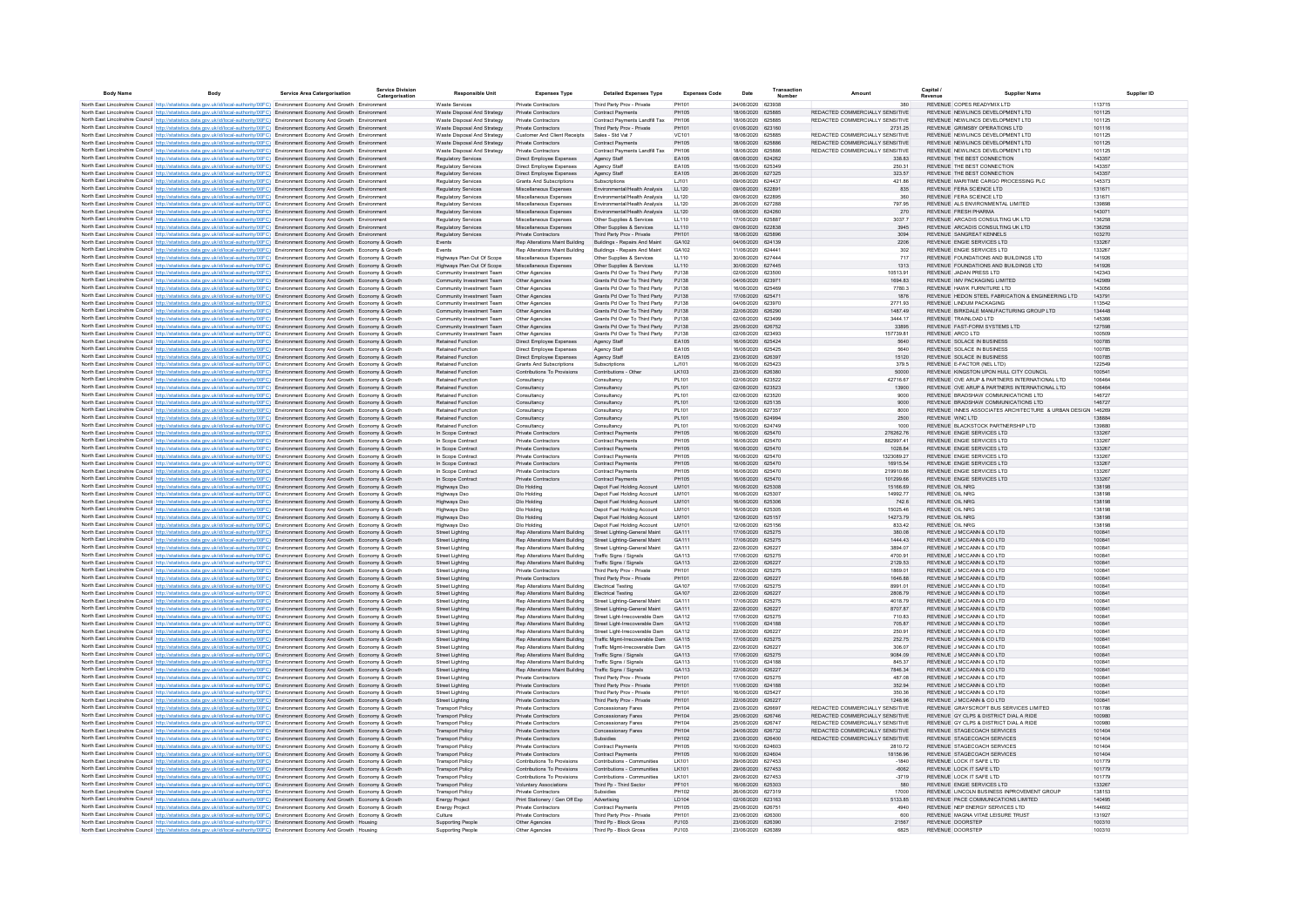| <b>Body Name</b> | <b>Body</b>                                                                                                                                                                                                                                                                      | <b>Service Area Catergorisation</b> | <b>Service Division</b><br>Catergorisation | <b>Responsible Unit</b>                                    | <b>Expenses Type</b>                                             | <b>Detailed Expenses Type</b>                                    | <b>Expenses Code</b>  | Date                                   | Transaction | Amount                                                             | Capital /<br><b>Supplier Name</b>                                                |                  |
|------------------|----------------------------------------------------------------------------------------------------------------------------------------------------------------------------------------------------------------------------------------------------------------------------------|-------------------------------------|--------------------------------------------|------------------------------------------------------------|------------------------------------------------------------------|------------------------------------------------------------------|-----------------------|----------------------------------------|-------------|--------------------------------------------------------------------|----------------------------------------------------------------------------------|------------------|
|                  | North East Lincolnshire Council http://statistics.data.gov.uk/id/local-authority/00FC) Environment Economy And Growth Environment                                                                                                                                                |                                     |                                            | Waste Services                                             | Private Contractors                                              | Third Party Prov - Private                                       | PH101                 | 24/06/2020 623938                      |             | 380                                                                | REVENUE COPES READYMIX ITD                                                       | 113715           |
|                  | North East Lincolnshire Council http://statistics.data.gov.uk/id/local-authority/00FC) Environment Economy And Growth Environment                                                                                                                                                |                                     |                                            | Waste Disposal And Strategy                                | Private Contractors                                              | Contract Payments                                                | <b>PH105</b>          | 18/06/2020 625885                      |             | REDACTED COMMERCIALLY SENSITIVE                                    | REVENUE NEWLINGS DEVELOPMENT LTD.                                                | 101125           |
|                  | North East Lincolnshire Council http://statistics.data.gov.uk/id/local-authority/00FC) Environment Economy And Growth Environment                                                                                                                                                |                                     |                                            | Waste Disposal And Strategy<br>Waste Disposal And Strategy | Private Contractors<br>Private Contractors                       | Contract Payments Landfill Tax<br>Third Party Prov - Private     | PH106<br>PH101        | 18/06/2020 625885<br>01/06/2020 623160 |             | REDACTED COMMERCIALLY SENSITIVE<br>2731.25                         | REVENUE NEWLINGS DEVELOPMENT LTD<br>REVENUE GRIMSBY OPERATIONS LTD               | 101125<br>101116 |
|                  | North East Lincolnshire Council http://statistics.data.gov.uk/id/local-authority/00FC) Environment Economy And Growth Environment<br>North East Lincolnshire Council http://statistics.data.gov.uk/id/local-authority/00FC) Environment Economy And Growth Environmen            |                                     |                                            | Waste Disposal And Strategy                                | Customer And Client Receipts                                     | Sales - Std Vat 7                                                | VC101                 | 18/06/2020 62588                       |             | REDACTED COMMERCIALLY SENSITIVE                                    | REVENUE NEWLINCS DEVELOPMENT LTD                                                 | 101125           |
|                  | North East Lincolnshire Council http://statistics.data.gov.uk/id/local-authority/00FC) Environment Economy And Growth Environment                                                                                                                                                |                                     |                                            | Waste Disposal And Strategy                                | Private Contractors                                              | Contract Payments                                                | PH105                 | 18/06/2020 625886                      |             | REDACTED COMMERCIALLY SENSITIVE                                    | REVENUE NEWLINCS DEVELOPMENT LTD                                                 | 101125           |
|                  | North East Lincolnshire Council http://statistics.data.gov.uk/id/local-authority/00FC) Environment Economy And Growth Environmen                                                                                                                                                 |                                     |                                            | Waste Disposal And Strategy                                | Private Contractors                                              | Contract Payments Landfill Tax                                   | PH106                 | 18/06/2020 62588                       |             | REDACTED COMMERCIALLY SENSITIVE                                    | REVENUE NEWLINCS DEVELOPMENT LTD                                                 | 101125           |
|                  | North East Lincolnshire Council http://statistics.data.gov.uk/id/local-authority/00FC) Environment Economy And Growth Environment                                                                                                                                                |                                     |                                            | <b>Regulatory Services</b><br>Regulatory Services          | Direct Employee Expenses                                         | Agency Staff                                                     | EA105<br>EA105        | 08/06/2020 624262<br>15/06/2020 625349 |             | 338.83<br>250.31                                                   | REVENUE THE BEST CONNECTION<br>REVENUE THE BEST CONNECTION                       | 143357<br>143357 |
|                  | North East Lincolnshire Council http://statistics.data.gov.uk/id/local-authority/00FC) Environment Economy And Growth Environmen<br>North East Lincolnshire Council http://statistics.data.gov.uk/id/local-authority/00FC) Environment Economy And Growth Environment            |                                     |                                            | <b>Regulatory Services</b>                                 | Direct Employee Expenses<br>Direct Employee Expenses             | Agency Staff<br>Agency Staff                                     | EA105                 | 26/06/2020 627325                      |             | 323.57                                                             | REVENUE THE BEST CONNECTION                                                      | 143357           |
|                  | North East Lincolnshire Council http://statistics.data.gov.uk/id/local-authority/00FC) Environment Economy And Growth Environment                                                                                                                                                |                                     |                                            | <b>Regulatory Services</b>                                 | <b>Grants And Subscriptions</b>                                  | Subscriptions                                                    | LJ101                 | 09/06/2020 624437                      |             | 421.86                                                             | REVENUE MARITIME CARGO PROCESSING PLC                                            | 145373           |
|                  | North East Lincolnshire Council http://statistics.data.gov.uk/id/local-authority/00FC) Environment Economy And Growth Environment                                                                                                                                                |                                     |                                            | <b>Regulatory Services</b>                                 | Miscellaneous Expenses                                           | Environmental/Health Analysis                                    | LL120                 | 09/06/2020 622891                      |             | 835                                                                | REVENUE FERA SCIENCE LTD                                                         | 131671           |
|                  | North East Lincolnshire Council http://statistics.data.gov.uk/id/local-authority/00FC) Environment Economy And Growth Environment<br>North East Lincolnshire Council http://statistics.data.gov.uk/id/local-authority/00FC) Environment Economy And Growth Environment           |                                     |                                            | <b>Regulatory Services</b><br><b>Regulatory Services</b>   | Miscellaneous Expenses<br>Miscellaneous Expenses                 | Environmental/Health Analysis<br>Environmental/Health Analysis   | LL120<br>LL120        | 09/06/2020 622895<br>26/06/2020 627288 |             | 360<br>797.95                                                      | REVENUE FERA SCIENCE LTD<br>REVENUE ALS ENVIRONMENTAL LIMITED                    | 131671<br>139898 |
|                  | North East Lincolnshire Council http://statistics.data.gov.uk/id/local-authority/00FC) Environment Economy And Growth Environment                                                                                                                                                |                                     |                                            | <b>Regulatory Services</b>                                 | Miscellaneous Expenses                                           | Environmental/Health Analysis                                    | LL120                 | 08/06/2020 624260                      |             | 270                                                                | REVENUE FRESH PHARMA                                                             | 143071           |
|                  | North East Lincolnshire Council http://statistics.data.gov.uk/id/local-authority/00FC) Environment Economy And Growth Environment                                                                                                                                                |                                     |                                            | <b>Regulatory Services</b>                                 | Miscellaneous Expenses                                           | Other Sunnlies & Services                                        | 11110                 | 17/06/2020 625887                      |             | 30377                                                              | REVENUE ARCADIS CONSULTING UK LTD.                                               | 136258           |
|                  | North East Lincolnshire Council http://statistics.data.gov.uk/id/local-authority/00FC) Environment Economy And Growth Environment                                                                                                                                                |                                     |                                            | <b>Regulatory Services</b>                                 | Miscellaneous Expenses                                           | Other Supplies & Services                                        | 11110                 | 09/06/2020 622838                      |             | 3945                                                               | REVENUE ARCADIS CONSULTING UK LTD.                                               | 136258           |
|                  | North East Lincolnshire Council http://statistics.data.gov.uk/id/local-authority/00FC) Environment Economy And Growth Environment<br>North East Lincolnshire Council http://statistics.data.gov.uk/id/local-authority/00FC) Environment Economy And Growth Economy & Growth      |                                     |                                            | <b>Regulatory Services</b><br>Events                       | Private Contractors<br>Rep Alterations Maint Building            | Third Party Prov - Private<br>Buildings - Repairs And Maint      | PH101<br>GA102        | 18/06/2020 625896<br>04/06/2020 624139 |             | 3094<br>2206                                                       | REVENUE SANGREAT KENNELS<br>REVENUE ENGIE SERVICES LTD                           | 103270<br>133267 |
|                  | North East Lincolnshire Council http://statistics.data.gov.uk/id/local-authority/00FC) Environment Economy And Growth Economy & Growth                                                                                                                                           |                                     |                                            | <b>Fyents</b>                                              | Rep Alterations Maint Building                                   | Buildings - Repairs And Maint                                    | GA102                 | 11/06/2020 624441                      |             | 302                                                                | REVENUE ENGIE SERVICES LTD                                                       | 133267           |
|                  | North East Lincolnshire Council http://statistics.data.gov.uk/id/local-authority/00FC) Environment Economy And Growth Economy & Growth                                                                                                                                           |                                     |                                            | Highways Plan Out Of Scope                                 | Miscellaneous Expenses                                           | Other Supplies & Services                                        | LL110                 | 30/06/2020 627444                      |             | 717                                                                | REVENUE FOUNDATIONS AND BUILDINGS LTD                                            | 141926           |
|                  | North East Lincolnshire Council http://statistics.data.gov.uk/id/local-authority/00FC) Environment Economy And Growth Economy & Growth                                                                                                                                           |                                     |                                            | Highways Plan Out Of Scope                                 | Miscellaneous Expenses                                           | Other Supplies & Services                                        | LL110                 | 30/06/2020 627445                      |             | 1313                                                               | REVENUE FOUNDATIONS AND BUILDINGS LTD                                            | 141926           |
|                  | North East Lincolnshire Council http://statistics.data.gov.uk/id/local-authority/00FC) Environment Economy And Growth Economy & Growth                                                                                                                                           |                                     |                                            | Community Investment Team                                  | Other Agencies                                                   | Grants Pd Over To Third Party                                    | PJ138                 | 02/06/2020 623500                      |             | 10513.91                                                           | REVENUE JADAN PRESS LTD                                                          | 142343           |
|                  | North East Lincolnshire Council http://statistics.data.gov.uk/id/local-authority/00FC) Environment Economy And Growth Economy & Growth<br>North East Lincolnshire Council http://statistics.data.gov.uk/id/local-authority/00FC) Environment Economy And Growth Economy & Growth |                                     |                                            | Community Investment Team<br>Community Investment Team     | Other Agencies<br>Other Agencies                                 | Grants Pd Over To Third Party<br>Grants Pd Over To Third Party   | PJ138<br>PJ138        | 04/06/2020 62397<br>16/06/2020 62546   |             | 1694.83<br>7780.3                                                  | REVENUE IMV PACKAGING LIMITED<br>REVENUE HAWK FURNITURE LTD                      | 142989<br>143056 |
|                  | North East Lincolnshire Council http://statistics.data.gov.uk/id/local-authority/00FC) Environment Economy And Growth Economy & Growth                                                                                                                                           |                                     |                                            | Community Investment Team                                  | Other Agencies                                                   | Grants Pd Over To Third Party                                    | PJ138                 | 17/06/2020 625471                      |             | 1876                                                               | REVENUE HEDON STEEL FABRICATION & ENGINEERING LTD                                | 143791           |
|                  | North East Lincolnshire Council http://statistics.data.gov.uk/id/local-authority/00FC) Environment Economy And Growth Economy & Growth                                                                                                                                           |                                     |                                            | Community Investment Team                                  | Other Agencies                                                   | Grants Pd Over To Third Party                                    | PJ138                 | 04/06/2020 623970                      |             | 2771.93                                                            | REVENUE LINDUM PACKAGING                                                         | 113542           |
|                  | North East Lincolnshire Council http://statistics.data.gov.uk/id/local-authority/00FC) Environment Economy And Growth Economy & Growth                                                                                                                                           |                                     |                                            | Community Investment Team                                  | Other Agencies                                                   | Grants Pd Over To Third Party                                    | PJ138                 | 22/06/2020 626290                      |             | 1487.49                                                            | REVENUE BIRKDALE MANUFACTURING GROUP LTD                                         | 134448           |
|                  | North East Lincolnshire Council http://statistics.data.gov.uk/id/local-authority/00FC) Environment Economy And Growth Economy & Growth<br>North East Lincolnshire Council http://statistics.data.gov.uk/id/local-authority/00FC) Environment Economy And Growth Economy & Growth |                                     |                                            | Community Investment Team<br>Community Investment Team     | Other Agencies<br>Other Agencies                                 | Grants Pd Over To Third Party<br>Grants Pd Over To Third Party   | PJ138<br>PJ138        | 02/06/2020 623499<br>25/06/2020 626752 |             | 3444.17<br>33895                                                   | REVENUE TRAINLOAD LTD<br>REVENUE FAST-FORM SYSTEMS LTD                           | 145366<br>127598 |
|                  | North East Lincolnshire Council http://statistics.data.gov.uk/id/local-authority/00FC) Environment Economy And Growth Economy & Growth                                                                                                                                           |                                     |                                            | Community Investment Team                                  | Other Agencies                                                   | Grants Pd Over To Third Party                                    | PJ138                 | 02/06/2020 623493                      |             | 157739.81                                                          | REVENUE ARCO LTD                                                                 | 100509           |
|                  | North East Lincolnshire Council http://statistics.data.gov.uk/id/local-authority/00FC) Environment Economy And Growth Economy & Growth                                                                                                                                           |                                     |                                            | Retained Function                                          | Direct Employee Expenses                                         | Agency Staff                                                     | EA105                 | 16/06/2020 625424                      |             | 5640                                                               | REVENUE SOLACE IN BUSINESS                                                       | 100785           |
|                  | North East Lincolnshire Council http://statistics.data.gov.uk/id/local-authority/00FC) Environment Economy And Growth Economy & Growth                                                                                                                                           |                                     |                                            | <b>Retained Function</b>                                   | Direct Employee Expenses                                         | Agency Staff                                                     | EA105                 | 16/06/2020 625425                      |             | 5640                                                               | REVENUE SOLACE IN BUSINESS                                                       | 100785           |
|                  | North East Lincolnshire Council http://statistics.data.gov.uk/id/local-authority/00FC) Environment Economy And Growth Economy & Growth                                                                                                                                           |                                     |                                            | <b>Retained Function</b>                                   | Direct Employee Expenses                                         | Agency Staff                                                     | EA105                 | 23/06/2020 626397                      |             | 15120                                                              | REVENUE SOLACE IN BUSINESS                                                       | 100785           |
|                  | North East Lincolnshire Council http://statistics.data.gov.uk/id/local-authority/00FC) Environment Economy And Growth Economy & Growth<br>North East Lincolnshire Council http://statistics.data.gov.uk/id/local-authority/00FC) Environment Economy And Growth Economy & Growth |                                     |                                            | <b>Retained Function</b><br><b>Retained Function</b>       | Grants And Subscriptions<br>Contributions To Provisions          | Subscriptions<br>Contributions - Other                           | 1.1101<br>LK103       | 16/06/2020 625423<br>23/06/2020 626380 |             | 379.5<br>50000                                                     | REVENUE E-FACTOR (NEL LTD)<br>REVENUE KINGSTON UPON HULL CITY COUNCIL            | 122549<br>100541 |
|                  | North East Lincolnshire Council http://statistics.data.gov.uk/id/local-authority/00FC) Environment Economy And Growth Economy & Growth                                                                                                                                           |                                     |                                            | Retained Function                                          | Consultancy                                                      | Consultancy                                                      | PL101                 | 02/06/2020 623522                      |             | 42716.67                                                           | REVENUE OVE ARUP & PARTNERS INTERNATIONAL LTD                                    | 106464           |
|                  | North East Lincolnshire Council http://statistics.data.gov.uk/id/local-authority/00FC) Environment Economy And Growth Economy & Growth                                                                                                                                           |                                     |                                            | Retained Function                                          | Consultancy                                                      | Consultancy                                                      | PL101                 | 02/06/2020 623523                      |             | 13900                                                              | REVENUE OVE ARUP & PARTNERS INTERNATIONAL LTD                                    | 106464           |
|                  | North East Lincolnshire Council http://statistics.data.gov.uk/id/local-authority/00FC) Environment Economy And Growth Economy & Growth                                                                                                                                           |                                     |                                            | Retained Function                                          | Consultancy                                                      | Consultancy                                                      | PL101                 | 02/06/2020 623520                      |             | 9000                                                               | REVENUE BRADSHAW COMMUNICATIONS LTD                                              | 146727           |
|                  | North East Lincolnshire Council http://statistics.data.gov.uk/id/local-authority/00FC) Environment Economy And Growth Economy & Growth                                                                                                                                           |                                     |                                            | Retained Function                                          | Consultancy                                                      | Consultancy                                                      | PL101                 | 12/06/2020 625135                      |             | 9000                                                               | REVENUE BRADSHAW COMMUNICATIONS LTD                                              | 146727           |
|                  | North East Lincolnshire Council http://statistics.data.gov.uk/id/local-authority/00FC) Environment Economy And Growth Economy & Growth                                                                                                                                           |                                     |                                            | Retained Function<br>Retained Function                     | Consultancy<br>Consultancy                                       | Consultancy<br>Consultancy                                       | PL101<br>PL101        | 29/06/2020 627357<br>15/06/2020 624994 |             | 8000<br>2500                                                       | REVENUE INNES ASSOCIATES ARCHITECTURE & URBAN DESIGN 146269<br>REVENUE WNC LTD   | 138884           |
|                  | North East Lincolnshire Council http://statistics.data.gov.uk/id/local-authority/00FC) Environment Economy And Growth Economy & Growth<br>North East Lincolnshire Council http://statistics.data.gov.uk/id/local-authority/00FC) Environment Economy And Growth Economy & Growth |                                     |                                            | Retained Function                                          | Consultancy                                                      | Consultancy                                                      | PL101                 | 10/06/2020 624749                      |             | 1000                                                               | REVENUE BLACKSTOCK PARTNERSHIP LTD                                               | 139880           |
|                  | North East Lincolnshire Council http://statistics.data.gov.uk/id/local-authority/00FC) Environment Economy And Growth Economy & Growth                                                                                                                                           |                                     |                                            | In Scope Contract                                          | Private Contractor                                               | Contract Payment                                                 | PH105                 | 16/06/2020 625470                      |             | 276262.76                                                          | REVENUE ENGIE SERVICES LTD                                                       | 133267           |
|                  | North East Lincolnshire Council http://statistics.data.gov.uk/id/local-authority/00FC) Environment Economy And Growth Economy & Growth                                                                                                                                           |                                     |                                            | In Scope Contract                                          | Private Contractors                                              | Contract Payments                                                | PH105                 | 16/06/2020 625470                      |             | 882997.41                                                          | REVENUE ENGIE SERVICES LTD                                                       | 133267           |
|                  | North East Lincolnshire Council http://statistics.data.gov.uk/id/local-authority/00FC) Environment Economy And Growth Economy & Growth                                                                                                                                           |                                     |                                            | In Scope Contract                                          | Private Contractors                                              | <b>Contract Payments</b>                                         | PH105                 | 16/06/2020 625470                      |             | 1028.84                                                            | REVENUE ENGIE SERVICES LTD                                                       | 133267           |
|                  | North East Lincolnshire Council http://statistics.data.gov.uk/id/local-authority/00FC) Environment Economy And Growth Economy & Growth                                                                                                                                           |                                     |                                            | In Scope Contract<br>In Scope Contract                     | <b>Private Contractors</b>                                       | <b>Contract Payments</b><br><b>Contract Payments</b>             | PH105                 | 16/06/2020 625470                      |             | 1323089.27                                                         | REVENUE ENGIE SERVICES LTD<br>REVENUE ENGIE SERVICES LTD                         | 133267<br>133267 |
|                  | North East Lincolnshire Council http://statistics.data.gov.uk/id/local-authority/00FC) Environment Economy And Growth Economy & Growth<br>North East Lincolnshire Council http://statistics.data.gov.uk/id/local-authority/00FC) Environment Economy And Growth Economy & Growth |                                     |                                            | In Scope Contract                                          | <b>Private Contractors</b><br><b>Private Contractors</b>         | <b>Contract Payments</b>                                         | PH105<br>PH105        | 16/06/2020 625470<br>16/06/2020 625470 |             | 16915.54<br>219910.86                                              | REVENUE ENGIE SERVICES LTD                                                       | 133267           |
|                  | North East Lincolnshire Council http://statistics.data.gov.uk/id/local-authority/00FC) Environment Economy And Growth Economy & Growth                                                                                                                                           |                                     |                                            | In Scope Contract                                          | Private Contractors                                              | <b>Contract Payments</b>                                         | PH105                 | 16/06/2020 625470                      |             | 101299.66                                                          | REVENUE ENGIE SERVICES LTD                                                       | 133267           |
|                  | North East Lincolnshire Council http://statistics.data.gov.uk/id/local-authority/00FC) Environment Economy And Growth Economy & Growth                                                                                                                                           |                                     |                                            | Highways Dso                                               | Dlo Holding                                                      | Depot Fuel Holding Account                                       | LM101                 | 16/06/2020 625308                      |             | 15166.69                                                           | <b>REVENUE OIL NRG</b>                                                           | 138198           |
|                  | North East Lincolnshire Council http://statistics.data.gov.uk/id/local-authority/00FC) Environment Economy And Growth Economy & Growth                                                                                                                                           |                                     |                                            | Highways Dso                                               | Dlo Holding                                                      | Depot Fuel Holding Account                                       | LM101                 | 16/06/2020 625307                      |             | 14992.77                                                           | <b>REVENUE OIL NRG</b>                                                           | 138198           |
|                  | North East Lincolnshire Council http://statistics.data.gov.uk/id/local-authority/00FC) Environment Economy And Growth Economy & Growth<br>North East Lincolnshire Council http://statistics.data.gov.uk/id/local-authority/00FC) Environment Economy And Growth Economy & Growth |                                     |                                            | Highways Dso<br><b>Highways Dsc</b>                        | Dio Holding<br>Dio Holding                                       | Depot Fuel Holding Account<br>Depot Fuel Holding Account         | LM101<br>1.841.01     | 16/06/2020 625306<br>16/06/2020 625305 |             | 742.6<br>15025.46                                                  | REVENUE OIL NRG<br>REVENUE OIL NRG                                               | 138198<br>138198 |
|                  | North East Lincolnshire Council http://statistics.data.gov.uk/id/local-authority/00FC) Environment Economy And Growth Economy & Growth                                                                                                                                           |                                     |                                            | <b>Highways Dsc</b>                                        | Dlo Holding                                                      | Depot Fuel Holding Account                                       | LM101                 | 12/06/2020 625157                      |             | 14273.79                                                           | REVENUE OIL NRG                                                                  | 138198           |
|                  | North East Lincolnshire Council http://statistics.data.gov.uk/id/local-authority/00FC) Environment Economy And Growth Economy & Growth                                                                                                                                           |                                     |                                            | <b>Highways Dsc</b>                                        | Dio Holding                                                      | Depot Fuel Holding Account                                       | LM101                 | 12/06/2020 625156                      |             | 833.42                                                             | REVENUE OIL NRG                                                                  | 138198           |
|                  | North East Lincolnshire Council http://statistics.data.gov.uk/id/local-authority/00FC) Environment Economy And Growth Economy & Growth                                                                                                                                           |                                     |                                            | <b>Street Lighting</b>                                     | Rep Alterations Maint Building                                   | Street Lighting-General Maint                                    | GA111                 | 17/06/2020 625275                      |             | 380.08                                                             | REVENUE J MCCANN & CO LTD                                                        | 100841           |
|                  | North East Lincolnshire Council http://statistics.data.gov.uk/id/local-authority/00FC) Environment Economy And Growth Economy & Growth                                                                                                                                           |                                     |                                            | <b>Street Lighting</b><br><b>Street Lighting</b>           | Rep Alterations Maint Building<br>Rep Alterations Maint Building | Street Lighting-General Maint<br>Street Lighting-General Maint   | GA111<br>GA111        | 17/06/2020 625275<br>22/06/2020 626227 |             | 1444.43<br>3894.07                                                 | REVENUE J MCCANN & CO LTD<br>REVENUE J MCCANN & CO LTD                           | 100841<br>100841 |
|                  | North East Lincolnshire Council http://statistics.data.gov.uk/id/local-authority/00FC) Environment Economy And Growth Economy & Growth<br>North East Lincolnshire Council http://statistics.data.gov.uk/id/local-authority/00FC) Environment Economy And Growth Economy & Growth |                                     |                                            | <b>Street Lighting</b>                                     | Rep Alterations Maint Building                                   | Traffic Signs / Signals                                          | GA113                 | 17/06/2020 625275                      |             | 4700.91                                                            | REVENUE J MCCANN & CO LTD                                                        | 100841           |
|                  | North East Lincolnshire Council http://statistics.data.gov.uk/id/local-authority/00FC) Environment Economy And Growth Economy & Growth                                                                                                                                           |                                     |                                            | Street Lighting                                            | Rep Alterations Maint Building                                   | Traffic Signs / Signals                                          | GA113                 | 22/06/2020 626227                      |             | 2129.53                                                            | REVENUE J MCCANN & CO LTD                                                        | 100841           |
|                  | North East Lincolnshire Council http://statistics.data.gov.uk/id/local-authority/00FC) Environment Economy And Growth Economy & Growth                                                                                                                                           |                                     |                                            | <b>Street Lighting</b>                                     | Private Contractors                                              | Third Party Prov - Private                                       | PH101                 | 17/06/2020 625275                      |             | 1869.01                                                            | REVENUE J MCCANN & CO LTD                                                        | 100841           |
|                  | North East Lincolnshire Council http://statistics.data.gov.uk/id/local-authority/00FC) Environment Economy And Growth Economy & Growth                                                                                                                                           |                                     |                                            | <b>Street Lighting</b>                                     | Private Contractors                                              | Third Party Prov - Private                                       | PH101                 | 22/06/2020 626227                      |             | 1646.88                                                            | REVENUE J MCCANN & CO LTD                                                        | 100841           |
|                  | North East Lincolnshire Council http://statistics.data.gov.uk/id/local-authority/00FC) Environment Economy And Growth Economy & Growth<br>North East Lincolnshire Council http://statistics.data.gov.uk/id/local-authority/00FC) Environment Economy And Growth Economy & Growth |                                     |                                            | Street Lighting<br>Street Lighting                         | Rep Alterations Maint Building<br>Rep Alterations Maint Building | <b>Electrical Testing</b><br>Electrical Testing                  | GA107<br>GA107        | 17/06/2020 625275<br>22/06/2020 626227 |             | 8991.01<br>2808.79                                                 | REVENUE J MCCANN & CO LTD<br>REVENUE J MCCANN & CO LTD                           | 100841<br>100841 |
|                  | North East Lincolnshire Council http://statistics.data.gov.uk/id/local-authority/00FC) Environment Economy And Growth Economy & Growth                                                                                                                                           |                                     |                                            | Street Lighting                                            | Rep Alterations Maint Building                                   | Street Lighting-General Maint                                    | GA111                 | 17/06/2020 625275                      |             | 4018.79                                                            | REVENUE J MCCANN & CO LTD                                                        | 100841           |
|                  | North East Lincolnshire Council http://statistics.data.gov.uk/id/local-authority/00FC) Environment Economy And Growth Economy & Growth                                                                                                                                           |                                     |                                            | <b>Street Lighting</b>                                     | Rep Alterations Maint Building                                   | Street Lighting-General Maint                                    | GA111                 | 22/06/2020 626227                      |             | 8707.87                                                            | REVENUE J MCCANN & CO LTD                                                        | 100841           |
|                  | North East Lincolnshire Council http://statistics.data.gov.uk/id/local-authority/00FC) Environment Economy And Growth Economy & Growth                                                                                                                                           |                                     |                                            | <b>Street Lighting</b>                                     | Rep Alterations Maint Building                                   | Street Light-Irrecoverable Dam                                   | GA112                 | 17/06/2020 625275                      |             | 710.83                                                             | REVENUE J MCCANN & CO LTD                                                        | 100841           |
|                  | North East Lincolnshire Council http://statistics.data.gov.uk/id/local-authority/00FC) Environment Economy And Growth Economy & Growth                                                                                                                                           |                                     |                                            | <b>Street Lighting</b>                                     | Rep Alterations Maint Building<br>Rep Alterations Maint Building | Street Light-Irrecoverable Dam                                   | GA112<br>GA112        | 11/06/2020 624188                      |             | 705.87                                                             | REVENUE J MCCANN & CO LTD                                                        | 100841<br>100841 |
|                  | North East Lincolnshire Council http://statistics.data.gov.uk/id/local-authority/00FC) Environment Economy And Growth Economy & Growth<br>North East Lincolnshire Council http://statistics.data.gov.uk/id/local-authority/00FC) Environment Economy And Growth Economy & Growth |                                     |                                            | Street Lighting<br>Street Lighting                         | Rep Alterations Maint Building                                   | Street Light-Irrecoverable Dam<br>Traffic Mgmt-Irrecoverable Dam | GA115                 | 22/06/2020 626227<br>17/06/2020 625275 |             | 250.91<br>252.75                                                   | REVENUE J MCCANN & CO LTD<br>REVENUE J MCCANN & CO LTD                           | 100841           |
|                  | North East Lincolnshire Council http://statistics.data.gov.uk/id/local-authority/00FC) Environment Economy And Growth Economy & Growth                                                                                                                                           |                                     |                                            | Street Lighting                                            | Rep Alterations Maint Building                                   | Traffic Mgmt-Irrecoverable Dam                                   | GA115                 | 22/06/2020 626227                      |             | 306.07                                                             | REVENUE J MCCANN & CO LTD                                                        | 100841           |
|                  | North East Lincolnshire Council http://statistics.data.gov.uk/id/local-authority/00FC) Environment Economy And Growth Economy & Growth                                                                                                                                           |                                     |                                            | <b>Street Lighting</b>                                     | Rep Alterations Maint Building                                   | Traffic Signs / Signals                                          | GA113                 | 17/06/2020 625275                      |             | 9084.09                                                            | REVENUE J MCCANN & CO LTD                                                        | 100841           |
|                  | North East Lincolnshire Council http://statistics.data.gov.uk/id/local-authority/00FC) Environment Economy And Growth Economy & Growth                                                                                                                                           |                                     |                                            | <b>Street Lighting</b>                                     | Rep Alterations Maint Building                                   | Traffic Signs / Signals                                          | GA113                 | 11/06/2020 624188                      |             | 845.37                                                             | REVENUE J MCCANN & CO LTD                                                        | 100841           |
|                  | North East Lincolnshire Council http://statistics.data.gov.uk/id/local-authority/00FC) Environment Economy And Growth Economy & Growth                                                                                                                                           |                                     |                                            | <b>Street Lighting</b>                                     | Rep Alterations Maint Building<br>Private Contractors            | Traffic Signs / Signals                                          | GA113<br>PH101        | 22/06/2020 626227<br>17/06/2020 625275 |             | 7846.34<br>487.08                                                  | REVENUE J MCCANN & CO LTD<br>REVENUE J MCCANN & CO LTD                           | 100841<br>100841 |
|                  | North East Lincolnshire Council http://statistics.data.gov.uk/id/local-authority/00FC) Environment Economy And Growth Economy & Growth<br>North East Lincolnshire Council http://statistics.data.gov.uk/id/local-authority/00FC) Environment Economy And Growth Economy & Growth |                                     |                                            | <b>Street Lighting</b><br><b>Street Lighting</b>           | Private Contractors                                              | Third Party Prov - Private<br>Third Party Prov - Private         | PH101                 | 11/06/2020 624188                      |             | 352.94                                                             | REVENUE J MCCANN & CO LTD                                                        | 100841           |
|                  | North East Lincolnshire Council http://statistics.data.gov.uk/id/local-authority/00FC) Environment Economy And Growth Economy & Growth                                                                                                                                           |                                     |                                            | <b>Street Lighting</b>                                     | Private Contractors                                              | Third Party Prov - Private                                       | PH101                 | 16/06/2020 625427                      |             | 350.36                                                             | REVENUE J MCCANN & CO LTD                                                        | 100841           |
|                  | North East Lincolnshire Council http://statistics.data.gov.uk/id/local-authority/00FC) Environment Economy And Growth Economy & Growth                                                                                                                                           |                                     |                                            | <b>Street Lighting</b>                                     | Private Contractors                                              | Third Party Prov - Private                                       | PH101                 | 22/06/2020 626227                      |             | 1248.96                                                            | REVENUE J MCCANN & CO LTD                                                        | 100841           |
|                  | North East Lincolnshire Council http://statistics.data.gov.uk/id/local-authority/00FC) Environment Economy And Growth Economy & Growth                                                                                                                                           |                                     |                                            | <b>Transport Policy</b>                                    | Private Contractors                                              | Concessionary Fares                                              | PH104                 | 23/06/2020 626697                      |             | REDACTED COMMERCIALLY SENSITIVE                                    | REVENUE GRAYSCROFT BUS SERVICES LIMITED                                          | 101786           |
|                  | North East Lincolnshire Council http://statistics.data.gov.uk/id/local-authority/00FC) Environment Economy And Growth Economy & Growth<br>North East Lincolnshire Council http://statistics.data.gov.uk/id/local-authority/00FC) Environment Economy And Growth Economy & Growth |                                     |                                            | <b>Transport Policy</b><br><b>Transport Policy</b>         | Private Contractors<br>Private Contractors                       | Concessionary Fares                                              | PH104<br>PH104        | 25/06/2020 626746<br>25/06/2020 626747 |             | REDACTED COMMERCIALLY SENSITIVE<br>REDACTED COMMERCIALLY SENSITIVE | REVENUE GY CLPS & DISTRICT DIAL A RIDE<br>REVENUE GY CLPS & DISTRICT DIAL A RIDE | 100980<br>100980 |
|                  | North East Lincolnshire Council http://statistics.data.gov.uk/id/local-authority/00FC) Environment Economy And Growth Economy & Growth                                                                                                                                           |                                     |                                            | <b>Transport Policy</b>                                    | Private Contractors                                              | Concessionary Fares<br>Concessionary Fares                       | PH104                 | 24/06/2020 626732                      |             | REDACTED COMMERCIALLY SENSITIVE                                    | REVENUE STAGECOACH SERVICES                                                      | 101404           |
|                  | North East Lincolnshire Council http://statistics.data.gov.uk/id/local-authority/00FC) Environment Economy And Growth Economy & Growth                                                                                                                                           |                                     |                                            | <b>Transport Policy</b>                                    | Private Contractors                                              | <b>Subsidies</b>                                                 | PH102                 | 23/06/2020 626400                      |             | REDACTED COMMERCIALLY SENSITIVE                                    | REVENUE STAGECOACH SERVICES                                                      | 101404           |
|                  | North East Lincolnshire Council   http://statistics.data.gov.uk/id/local-authority/00FC)   Environment Economy And Growth   Economy & Growth                                                                                                                                     |                                     |                                            | <b>Transport Policy</b>                                    | <b>Private Contractors</b>                                       | <b>Contract Payments</b>                                         | PH105                 | 10/06/2020 624603                      |             | 2810.72                                                            | REVENUE STAGECOACH SERVICES                                                      | 101404           |
|                  | North East Lincolnshire Council http://statistics.data.gov.uk/id/local-authority/00FC) Environment Economy And Growth Economy & Growth                                                                                                                                           |                                     |                                            | <b>Transport Policy</b>                                    | Private Contractors                                              | <b>Contract Payments</b>                                         | PH105                 | 10/06/2020 624604                      |             | 18156.96                                                           | REVENUE STAGECOACH SERVICES                                                      | 101404           |
|                  | North East Lincolnshire Council http://statistics.data.gov.uk/id/local-authority/00FC) Environment Economy And Growth Economy & Growth<br>North East Lincolnshire Council http://statistics.data.gov.uk/id/local-authority/00FC) Environment Economy And Growth Economy & Growth |                                     |                                            | <b>Transport Policy</b><br><b>Transport Policy</b>         | Contributions To Provisions<br>Contributions To Provisions       | Contributions - Communities<br>Contributions - Communities       | I K101<br>I K101      | 29/06/2020 627453<br>29/06/2020 627453 |             | $-1840$<br>$-6062$                                                 | REVENUE LOCK IT SAFE LTD<br>REVENUE LOCK IT SAFE LTD                             | 101779<br>101779 |
|                  | North East Lincolnshire Council http://statistics.data.gov.uk/id/local-authority/00FC) Environment Economy And Growth Economy & Growth                                                                                                                                           |                                     |                                            | <b>Transport Policy</b>                                    | Contributions To Provisions                                      | Contributions - Communities                                      | I K101                | 29/06/2020 627453                      |             | $-3719$                                                            | REVENUE LOCK IT SAFE LTD                                                         | 101779           |
|                  | North East Lincolnshire Council http://statistics.data.gov.uk/id/local-authority/00FC) Environment Economy And Growth Economy & Growth                                                                                                                                           |                                     |                                            | <b>Transport Policy</b>                                    | <b>Voluntary Associations</b>                                    | Third Pp - Third Sector                                          | PF101                 | 16/06/2020 625303                      |             | 580                                                                | REVENUE ENGIE SERVICES LTD                                                       | 133267           |
|                  | North East Lincolnshire Council http://statistics.data.gov.uk/id/local-authority/00FC) Environment Economy And Growth Economy & Growth                                                                                                                                           |                                     |                                            | Transport Polic                                            | Private Contractors                                              | Subsidies                                                        | PH102                 | 26/06/2020 627319                      |             | 17000                                                              | REVENUE LINCOLN BUSINESS INPROVEMENT GROUP                                       | 138153           |
|                  | North East Lincolnshire Council http://statistics.data.gov.uk/id/local-authority/00FC) Environment Economy And Growth Economy & Growth                                                                                                                                           |                                     |                                            | Energy Project                                             | Print Stationery / Gen Off Exp                                   | Advertising                                                      | LD104                 | 02/06/2020 623163                      |             | 5133.85                                                            | REVENUE PACE COMMUNICATIONS LIMITED                                              | 140495           |
|                  | North East Lincolnshire Council http://statistics.data.gov.uk/id/local-authority/00FC) Environment Economy And Growth Economy & Growth<br>North East Lincolnshire Council http://statistics.data.gov.uk/id/local-authority/00FC) Environment Economy And Growth Economy & Growth |                                     |                                            | Energy Projec<br>Culture                                   | Private Contractors<br>Private Contractors                       | Contract Payments<br>Third Party Prov - Private                  | <b>PH105</b><br>PH101 | 25/06/2020 62675<br>23/06/2020 626300  |             | 4940<br>600                                                        | REVENUE NEP ENERGY SERVICES LTD<br>REVENUE MAGNA VITAE LEISURE TRUST             | 144602<br>131927 |
|                  | North East Lincolnshire Council http://statistics.data.gov.uk/id/local-authority/00FC) Environment Economy And Growth Housing                                                                                                                                                    |                                     |                                            | <b>Supporting People</b>                                   | Other Agencies                                                   | Third Pp - Block Gross                                           | PJ103                 | 23/06/2020 626390                      |             | 21567                                                              | REVENUE DOORSTEP                                                                 | 100310           |
|                  | North East Lincolnshire Council http://statistics.data.gov.uk/id/local-authority/00FC) Environment Economy And Growth Housing                                                                                                                                                    |                                     |                                            | Supporting People                                          | Other Agencies                                                   | Third Pp - Block Gross                                           | PJ103                 | 23/06/2020 626389                      |             | 6825                                                               | REVENUE DOORSTER                                                                 | 100310           |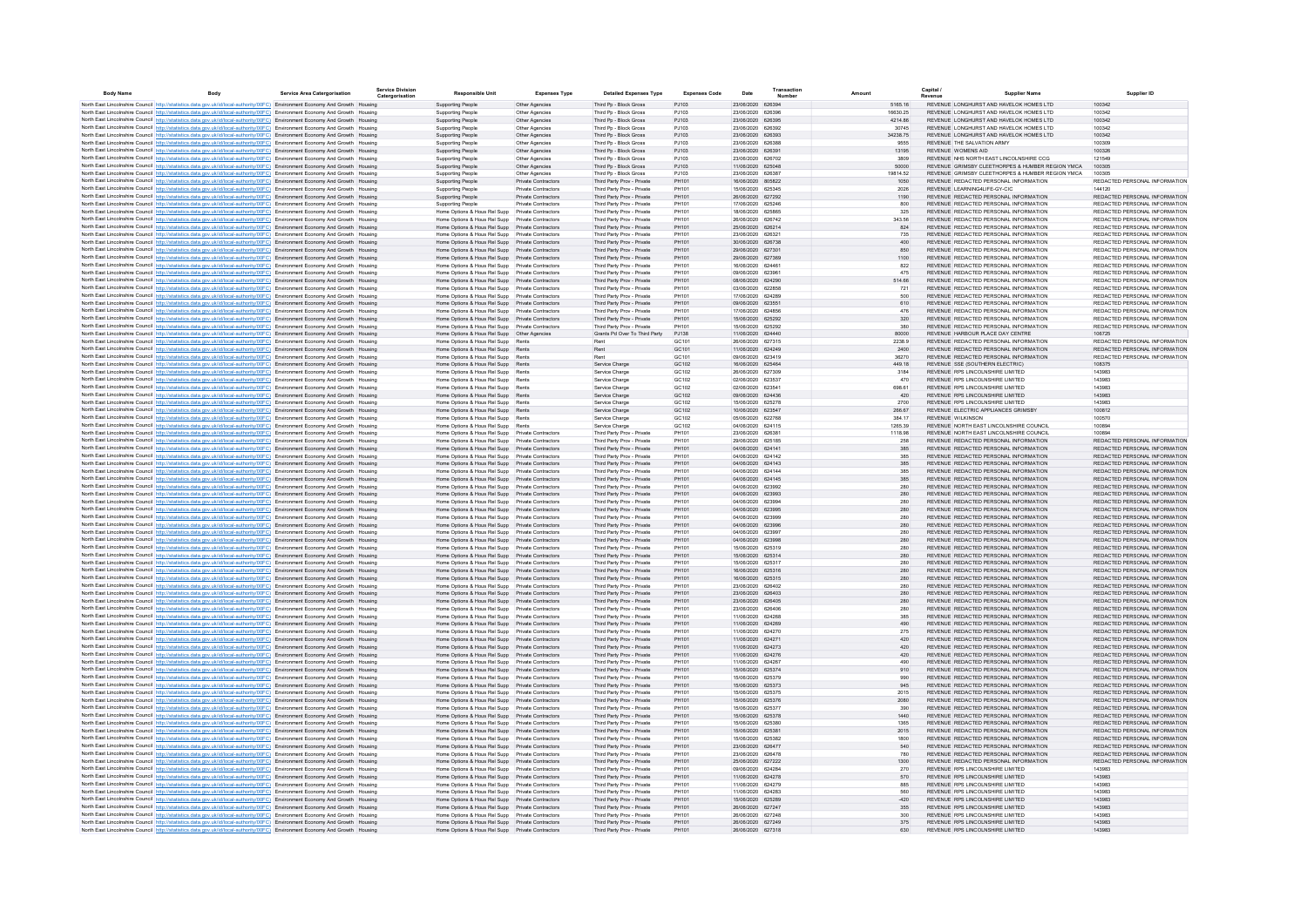| <b>Body Name</b> | Body                                                                                                                                                                                                                                                           | Service Area Catergorisation | <b>Service Division</b><br>Catergorisation | <b>Responsible Unit</b>                                                                              | <b>Expenses Type</b>                              | <b>Detailed Expenses Type</b>                            | <b>Expenses Code</b>                   | Date                                   | Transaction<br>Numbe |                    | Capital                                                                        | Supplier Name                                    |                                                                |
|------------------|----------------------------------------------------------------------------------------------------------------------------------------------------------------------------------------------------------------------------------------------------------------|------------------------------|--------------------------------------------|------------------------------------------------------------------------------------------------------|---------------------------------------------------|----------------------------------------------------------|----------------------------------------|----------------------------------------|----------------------|--------------------|--------------------------------------------------------------------------------|--------------------------------------------------|----------------------------------------------------------------|
|                  | North East Lincolnshire Council http://statistics.data.gov.uk/id/local-authority/00FC) Environment Economy And Growth Housing                                                                                                                                  |                              |                                            | Supporting People                                                                                    | Other Agencies                                    | Third Pp - Block Gross                                   | PJ103                                  | 23/06/2020 626394                      |                      | 5165.16            |                                                                                | REVENUE LONGHURST AND HAVELOK HOMES LTD          | 100342                                                         |
|                  | North East Lincolnshire Council http://statistics.data.gov.uk/id/local-authority/00FC) Environment Economy And Growth Housing                                                                                                                                  |                              |                                            | <b>Supporting People</b>                                                                             | Other Agencies                                    | Third Pp - Block Gross                                   | P.1103                                 | 23/06/2020 626396                      |                      | 16630.25           |                                                                                | REVENUE LONGHURST AND HAVELOK HOMES LTD.         | 100342                                                         |
|                  | North East Lincolnshire Council http://statistics.data.gov.uk/id/local-authority/00FC) Environment Economy And Growth Housing                                                                                                                                  |                              |                                            | Supporting People                                                                                    | Other Agencies                                    | Third Pp - Block Gross                                   | PJ103                                  | 23/06/2020 626395                      |                      | 4214.86            |                                                                                | REVENUE LONGHURST AND HAVELOK HOMES LTD          | 100342                                                         |
|                  | North East Lincolnshire Council http://statistics.data.gov.uk/id/local-authority/00FC) Environment Economy And Growth Housing                                                                                                                                  |                              |                                            | Supporting People                                                                                    | Other Agencies                                    | Third Pp - Block Gross                                   | PJ103                                  | 23/06/2020 626392                      |                      | 30745              |                                                                                | REVENUE LONGHURST AND HAVELOK HOMES LTD          | 100342                                                         |
|                  | North East Lincolnshire Council http://statistics.data.gov.uk/id/local-authority/00FC) Environment Economy And Growth Housing                                                                                                                                  |                              |                                            | <b>Supporting People</b>                                                                             | Other Agencies                                    | Third Pp - Block Gross                                   | PJ103                                  | 23/06/2020 626393                      |                      | 34238.75           |                                                                                | REVENUE LONGHURST AND HAVELOK HOMES LTD          | 100342                                                         |
|                  | North East Lincolnshire Council http://statistics.data.gov.uk/id/local-authority/00FC) Environment Economy And Growth Housing<br>North East Lincolnshire Council http://statistics.data.gov.uk/id/local-authority/00FC) Environment Economy And Growth Housing |                              |                                            | <b>Supporting People</b><br><b>Supporting People</b>                                                 | Other Agencies<br>Other Agencies                  | Third Po - Block Gross<br>Third Pp - Block Gross         | PJ103<br>PJ103                         | 23/06/2020 626388<br>23/06/2020 626391 |                      | 9555<br>13195      | REVENUE THE SALVATION ARMY<br><b>REVENUE WOMENS AID</b>                        |                                                  | 100309<br>100326                                               |
|                  | North East Lincolnshire Council http://statistics.data.gov.uk/id/local-authority/00FC) Environment Economy And Growth Housing                                                                                                                                  |                              |                                            | <b>Supporting People</b>                                                                             | Other Agencies                                    | Third Pp - Block Gross                                   | PJ103                                  | 23/06/2020 626702                      |                      | 3809               |                                                                                | REVENUE NHS NORTH EAST LINCOLNSHIRE CCG          | 121549                                                         |
|                  | North East Lincolnshire Council http://statistics.data.gov.uk/id/local-authority/00FC) Environment Economy And Growth Housing                                                                                                                                  |                              |                                            | Supporting People                                                                                    | Other Agencies                                    | Third Pp - Block Gross                                   | PJ103                                  | 11/06/2020 625048                      |                      | 50000              |                                                                                | REVENUE GRIMSBY CLEETHORPES & HUMBER REGION YMCA | 100305                                                         |
|                  | North East Lincolnshire Council http://statistics.data.gov.uk/id/local-authority/00FC) Environment Economy And Growth Housing                                                                                                                                  |                              |                                            | <b>Supporting People</b>                                                                             | Other Agencies                                    | Third Pp - Block Gross                                   | PJ103                                  | 23/06/2020 626387                      |                      | 19814.52           |                                                                                | REVENUE GRIMSBY CLEETHORPES & HUMBER REGION YMCA | 100305                                                         |
|                  | North East Lincolnshire Council http://statistics.data.gov.uk/id/local-authority/00FC) Environment Economy And Growth Housing                                                                                                                                  |                              |                                            | <b>Supporting People</b>                                                                             | Private Contractors                               | Third Party Prov - Private                               | PH101                                  | 16/06/2020 805822                      |                      | 1050               | REVENUE REDACTED PERSONAL INFORMATION                                          |                                                  | REDACTED PERSONAL INFORMATION                                  |
|                  | North East Lincolnshire Council http://statistics.data.gov.uk/id/local-authority/00FC) Environment Economy And Growth Housing                                                                                                                                  |                              |                                            | Supporting People                                                                                    | Private Contractors                               | Third Party Prov - Private                               | PH101                                  | 15/06/2020 625345                      |                      | 2026               | REVENUE LEARNING4LIFE-GY-CIC                                                   |                                                  | 144120                                                         |
|                  | North East Lincolnshire Council http://statistics.data.gov.uk/id/local-authority/00FC) Environment Economy And Growth Housing                                                                                                                                  |                              |                                            | Supporting People                                                                                    | Private Contractors                               | Third Party Prov - Private                               | PH101                                  | 26/06/2020 627292                      |                      | 1190               | REVENUE REDACTED PERSONAL INFORMATION                                          |                                                  | REDACTED PERSONAL INFORMATION                                  |
|                  | North East Lincolnshire Council http://statistics.data.gov.uk/id/local-authority/00EC) Environment Fonnomy And Growth Housing<br>North East Lincolnshire Council http://statistics.data.gov.uk/id/local-authority/00FC) Environment Economy And Growth Housing |                              |                                            | Supporting People<br>Home Options & Hous Rel Supp                                                    | Private Contractors<br><b>Private Contractors</b> | Third Party Prov - Private<br>Third Party Prov - Private | PH101<br>PH101                         | 17/06/2020 625246<br>18/06/2020 625865 |                      | 800<br>325         | REVENUE REDACTED PERSONAL INFORMATION<br>REVENUE REDACTED PERSONAL INFORMATION |                                                  | REDACTED PERSONAL INFORMATION<br>REDACTED PERSONAL INFORMATION |
|                  | North East Lincolnshire Council http://statistics.data.gov.uk/id/local-authority/00FC) Environment Economy And Growth Housing                                                                                                                                  |                              |                                            | Home Options & Hous Rel Supp Private Contractors                                                     |                                                   | Third Party Prov - Private                               | PH101                                  | 26/06/2020 626742                      |                      | 343.56             | REVENUE REDACTED PERSONAL INFORMATION                                          |                                                  | REDACTED PERSONAL INFORMATION                                  |
|                  | North East Lincolnshire Council http://statistics.data.gov.uk/id/local-authority/00FC) Environment Economy And Growth Housing                                                                                                                                  |                              |                                            | Home Options & Hous Rel Supp Private Contractors                                                     |                                                   | Third Party Prov - Private                               | PH101                                  | 25/06/2020 626214                      |                      | 824                | REVENUE REDACTED PERSONAL INFORMATION                                          |                                                  | REDACTED PERSONAL INFORMATION                                  |
|                  | North East Lincolnshire Council http://statistics.data.gov.uk/id/local-authority/00FC) Environment Economy And Growth Housing                                                                                                                                  |                              |                                            | Home Options & Hous Rel Supp Private Contractors                                                     |                                                   | Third Party Prov - Private                               | PH101                                  | 23/06/2020 626321                      |                      | 735                | REVENUE REDACTED PERSONAL INFORMATION                                          |                                                  | REDACTED PERSONAL INFORMATION                                  |
|                  | North East Lincolnshire Council http://statistics.data.gov.uk/id/local-authority/00FC) Environment Economy And Growth Housing                                                                                                                                  |                              |                                            | Home Options & Hous Rel Supp Private Contractors                                                     |                                                   | Third Party Prov - Private                               | PH101                                  | 30/06/2020 626738                      |                      | 400                | REVENUE REDACTED PERSONAL INFORMATION                                          |                                                  | REDACTED PERSONAL INFORMATION                                  |
|                  | North East Lincolnshire Council http://statistics.data.gov.uk/id/local-authority/00FC) Environment Economy And Growth Housing                                                                                                                                  |                              |                                            | Home Options & Hous Rel Supp Private Contractors                                                     |                                                   | Third Party Prov - Private                               | PH101                                  | 29/06/2020 627301                      |                      | 850                | REVENUE REDACTED PERSONAL INFORMATION                                          |                                                  | REDACTED PERSONAL INFORMATION                                  |
|                  | North East Lincolnshire Council http://statistics.data.gov.uk/id/local-authority/00FC) Environment Economy And Growth Housing                                                                                                                                  |                              |                                            | Home Options & Hous Rel Supp Private Contractors                                                     |                                                   | Third Party Prov - Private                               | PH101                                  | 29/06/2020 627369                      |                      | 1100               | REVENUE REDACTED PERSONAL INFORMATION                                          |                                                  | REDACTED PERSONAL INFORMATION                                  |
|                  | North East Lincolnshire Council http://statistics.data.gov.uk/id/local-authority/00FC) Environment Economy And Growth Housing                                                                                                                                  |                              |                                            | Home Options & Hous Rel Supp Private Contractors                                                     |                                                   | Third Party Prov - Private                               | PH101<br>PH101                         | 16/06/2020 62446<br>09/06/2020 62396   |                      | 822<br>475         | REVENUE REDACTED PERSONAL INFORMATION<br>REVENUE REDACTED PERSONAL INFORMATION |                                                  | REDACTED PERSONAL INFORMATION<br>REDACTED PERSONAL INFORMATION |
|                  | North East Lincolnshire Council http://statistics.data.gov.uk/id/local-authority/00FC) Environment Economy And Growth Housing<br>North East Lincolnshire Council http://statistics.data.gov.uk/id/local-authority/00FC) Environment Economy And Growth Housing |                              |                                            | Home Options & Hous Rel Supp Private Contractors<br>Home Options & Hous Rel Supp Private Contractors |                                                   | Third Party Prov - Private<br>Third Party Prov - Private | PH101                                  | 08/06/2020 624290                      |                      | 514.66             | REVENUE REDACTED PERSONAL INFORMATION                                          |                                                  | REDACTED PERSONAL INFORMATION                                  |
|                  | North East Lincolnshire Council http://statistics.data.gov.uk/id/local-authority/00FC) Environment Economy And Growth Housing                                                                                                                                  |                              |                                            | Home Options & Hous Rel Supp Private Contractors                                                     |                                                   | Third Party Prov - Private                               | PH101                                  | 03/06/2020 622858                      |                      | 721                | REVENUE REDACTED PERSONAL INFORMATION                                          |                                                  | REDACTED PERSONAL INFORMATION                                  |
|                  | North East Lincolnshire Council http://statistics.data.gov.uk/id/local-authority/00FC) Environment Economy And Growth Housing                                                                                                                                  |                              |                                            | Home Options & Hous Rel Supp Private Contractors                                                     |                                                   | Third Party Prov - Private                               | PH101                                  | 17/06/2020 624289                      |                      | 500                | REVENUE REDACTED PERSONAL INFORMATION                                          |                                                  | REDACTED PERSONAL INFORMATION                                  |
|                  | North East Lincolnshire Council http://statistics.data.gov.uk/id/local-authority/00FC) Environment Economy And Growth Housing                                                                                                                                  |                              |                                            | Home Options & Hous Rel Supp Private Contractors                                                     |                                                   | Third Party Prov - Private                               | PH101                                  | 09/06/2020 623551                      |                      | 610                | REVENUE REDACTED PERSONAL INFORMATION                                          |                                                  | REDACTED PERSONAL INFORMATION                                  |
|                  | North East Lincolnshire Council http://statistics.data.gov.uk/id/local-authority/00FC) Environment Economy And Growth Housing                                                                                                                                  |                              |                                            | Home Options & Hous Rel Supp Private Contractors                                                     |                                                   | Third Party Prov - Private                               | PH101                                  | 17/06/2020 624856                      |                      | 476                | REVENUE REDACTED PERSONAL INFORMATION                                          |                                                  | REDACTED PERSONAL INFORMATION                                  |
|                  | North East Lincolnshire Council http://statistics.data.gov.uk/id/local-authority/00FC) Environment Economy And Growth Housing                                                                                                                                  |                              |                                            | Home Options & Hous Rel Supp Private Contractors                                                     |                                                   | Third Party Prov - Private                               | PH101                                  | 15/06/2020 625292                      |                      | 320                | REVENUE REDACTED PERSONAL INFORMATION                                          |                                                  | REDACTED PERSONAL INFORMATION                                  |
|                  | North East Lincolnshire Council Intro listatistics data nov ukild/local-authority/00FC) Fovironment Fconomy And Growth Housing                                                                                                                                 |                              |                                            | Home Options & Hous Rel Supp Private Contractors                                                     |                                                   | Third Party Prov - Private                               | PH101                                  | 15/06/2020 625292                      |                      | 380                | REVENUE REDACTED PERSONAL INFORMATION                                          |                                                  | REDACTED PERSONAL INFORMATION                                  |
|                  | North East Lincolnshire Council http://statistics.data.gov.uk/id/local-authority/00FC) Environment Economy And Growth Housing                                                                                                                                  |                              |                                            | Home Options & Hous Rel Supp   Other Agencies                                                        |                                                   | Grants Pd Over To Third Party                            | P.1138                                 | 11/06/2020 624440                      |                      | 80000              | REVENUE HARBOUR PLACE DAY CENTRE                                               |                                                  | 106725                                                         |
|                  | North East Lincolnshire Council http://statistics.data.gov.uk/id/local-authority/00FC) Environment Economy And Growth Housing<br>North East Lincolnshire Council http://statistics.data.gov.uk/id/local-authority/00FC) Environment Economy And Growth Housing |                              |                                            | Home Options & Hous Rel Supp Rents<br>Home Options & Hous Rel Supp Rents                             |                                                   | Rent<br>Rent                                             | GC <sub>101</sub><br>GC <sub>101</sub> | 26/06/2020 627315<br>11/06/2020 624249 |                      | 2238.9<br>2400     | REVENUE REDACTED PERSONAL INFORMATION<br>REVENUE REDACTED PERSONAL INFORMATION |                                                  | REDACTED PERSONAL INFORMATION<br>REDACTED PERSONAL INFORMATION |
|                  | North East Lincolnshire Council http://statistics.data.gov.uk/id/local-authority/00FC) Environment Economy And Growth Housing                                                                                                                                  |                              |                                            | Home Options & Hous Rel Supp Rents                                                                   |                                                   | Rent                                                     | GC <sub>101</sub>                      | 09/06/2020 623419                      |                      | 36270              | REVENUE REDACTED PERSONAL INFORMATION                                          |                                                  | REDACTED PERSONAL INFORMATION                                  |
|                  | North East Lincolnshire Council http://statistics.data.gov.uk/id/local-authority/00FC) Environment Economy And Growth Housing                                                                                                                                  |                              |                                            | Home Options & Hous Rel Supp Rents                                                                   |                                                   | Service Charg                                            | GC102                                  | 16/06/2020 625464                      |                      | 449.18             | REVENUE SSE (SOUTHERN ELECTRIC)                                                |                                                  | 108375                                                         |
|                  | North East Lincolnshire Council http://statistics.data.gov.uk/id/local-authority/00FC) Environment Economy And Growth Housing                                                                                                                                  |                              |                                            | Home Options & Hous Rel Supp Rents                                                                   |                                                   | Service Charge                                           | GC102                                  | 26/06/2020 627309                      |                      | 3184               | REVENUE RPS LINCOLNSHIRE LIMITED                                               |                                                  | 143983                                                         |
|                  | North East Lincolnshire Council http://statistics.data.gov.uk/id/local-authority/00FC) Environment Economy And Growth Housing                                                                                                                                  |                              |                                            | Home Options & Hous Rel Supp Rents                                                                   |                                                   | Service Charge                                           | GC102                                  | 02/06/2020 623537                      |                      | 470                | REVENUE RPS LINCOLNSHIRE LIMITED                                               |                                                  | 143983                                                         |
|                  | North East Lincolnshire Council http://statistics.data.gov.uk/id/local-authority/00FC) Environment Economy And Growth Housing                                                                                                                                  |                              |                                            | Home Options & Hous Rel Supp Rents                                                                   |                                                   | Service Charge                                           | GC102                                  | 02/06/2020 62354                       |                      | 698.61             | REVENUE RPS LINCOLNSHIRE LIMITED                                               |                                                  | 143983                                                         |
|                  | North East Lincolnshire Council http://statistics.data.gov.uk/id/local-authority/00FC) Environment Economy And Growth Housing                                                                                                                                  |                              |                                            | Home Options & Hous Rel Supp Rents                                                                   |                                                   | Service Charge                                           | GC102                                  | 09/06/2020 624436                      |                      | 420                | REVENUE RPS LINCOLNSHIRE LIMITED                                               |                                                  | 143983                                                         |
|                  | North East Lincolnshire Council http://statistics.data.gov.uk/id/local-authority/00FC) Environment Economy And Growth Housing                                                                                                                                  |                              |                                            | Home Options & Hous Rel Supp Rents                                                                   |                                                   | Service Charge                                           | GC102                                  | 15/06/2020 625278                      |                      | 2700               | REVENUE RPS LINCOLNSHIRE LIMITED                                               |                                                  | 143983                                                         |
|                  | North East Lincolnshire Council http://statistics.data.gov.uk/id/local-authority/00FC) Environment Economy And Growth Housing                                                                                                                                  |                              |                                            | Home Options & Hous Rel Supp Rents                                                                   |                                                   | Service Charge                                           | GC102                                  | 10/06/2020 623547                      |                      | 266.67             | REVENUE ELECTRIC APPLIANCES GRIMSBY<br>REVENUE WILKINSON                       |                                                  | 100812                                                         |
|                  | North East Lincolnshire Council http://statistics.data.gov.uk/id/local-authority/00FC) Environment Economy And Growth Housing<br>North East Lincolnshire Council http://statistics.data.gov.uk/id/local-authority/00FC) Environment Economy And Growth Housing |                              |                                            | Home Options & Hous Rel Supp Rents<br>Home Options & Hous Rel Supp Rents                             |                                                   | Service Charge<br>Service Charge                         | GC102<br>GC102                         | 05/06/2020 622768<br>04/06/2020 624115 |                      | 384.17<br>1265.39  |                                                                                | REVENUE NORTH EAST LINCOLNSHIRE COUNCIL          | 100570<br>100894                                               |
|                  | North East Lincolnshire Council http://statistics.data.gov.uk/id/local-authority/00FC) Environment Economy And Growth Housing                                                                                                                                  |                              |                                            | Home Options & Hous Rel Supp Private Contractors                                                     |                                                   | Third Party Prov - Private                               | PH101                                  | 23/06/2020 626381                      |                      | 1118.98            | REVENUE NORTH EAST LINCOLNSHIRE COUNCIL                                        |                                                  | 100894                                                         |
|                  | North East Lincolnshire Council http://statistics.data.gov.uk/id/local-authority/00FC) Environment Economy And Growth Housing                                                                                                                                  |                              |                                            | Home Options & Hous Rel Supp Private Contractors                                                     |                                                   | Third Party Prov - Private                               | PH101                                  | 29/06/2020 625185                      |                      | 258                | REVENUE REDACTED PERSONAL INFORMATION                                          |                                                  | REDACTED PERSONAL INFORMATION                                  |
|                  | North East Lincolnshire Council http://statistics.data.gov.uk/id/local-authority/00FC) Environment Economy And Growth Housing                                                                                                                                  |                              |                                            | Home Options & Hous Rel Supp Private Contractors                                                     |                                                   | Third Party Prov - Private                               | PH101                                  | 04/06/2020 624141                      |                      | 385                | REVENUE REDACTED PERSONAL INFORMATION                                          |                                                  | REDACTED PERSONAL INFORMATION                                  |
|                  | North East Lincolnshire Council http://statistics.data.gov.uk/id/local-authority/00FC) Environment Economy And Growth Housing                                                                                                                                  |                              |                                            | Home Options & Hous Rel Supp Private Contractors                                                     |                                                   | Third Party Prov - Private                               | PH101                                  | 04/06/2020 624142                      |                      | 385                | REVENUE REDACTED PERSONAL INFORMATION                                          |                                                  | REDACTED PERSONAL INFORMATION                                  |
|                  | North East Lincolnshire Council http://statistics.data.gov.uk/id/local-authority/00FC) Environment Economy And Growth Housing                                                                                                                                  |                              |                                            | Home Options & Hous Rel Supp Private Contractors                                                     |                                                   | Third Party Prov - Private                               | PH101                                  | 04/06/2020 624143                      |                      | 385                | REVENUE REDACTED PERSONAL INFORMATION                                          |                                                  | REDACTED PERSONAL INFORMATION                                  |
|                  | North East Lincolnshire Council http://statistics.data.gov.uk/id/local-authority/00FC) Environment Economy And Growth Housing                                                                                                                                  |                              |                                            | Home Options & Hous Rel Supp Private Contractors                                                     |                                                   | Third Party Prov - Private                               | PH101                                  | 04/06/2020 624144                      |                      | 385                | REVENUE REDACTED PERSONAL INFORMATION                                          |                                                  | REDACTED PERSONAL INFORMATION                                  |
|                  | North East Lincolnshire Council http://statistics.data.gov.uk/id/local-authority/00FC) Environment Economy And Growth Housing                                                                                                                                  |                              |                                            | Home Options & Hous Rel Supp Private Contractors                                                     |                                                   | Third Party Prov - Private                               | PH101                                  | 04/06/2020 624145<br>04/06/2020 623992 |                      | 385                | REVENUE REDACTED PERSONAL INFORMATION                                          |                                                  | REDACTED PERSONAL INFORMATION                                  |
|                  | North East Lincolnshire Council http://statistics.data.gov.uk/id/local-authority/00FC) Environment Economy And Growth Housing<br>North East Lincolnshire Council http://statistics.data.gov.uk/id/local-authority/00FC) Environment Economy And Growth Housing |                              |                                            | Home Options & Hous Rel Supp Private Contractors<br>Home Options & Hous Rel Supp Private Contractors |                                                   | Third Party Prov - Private<br>Third Party Prov - Private | PH101<br>PH101                         | 04/06/2020 623993                      |                      | 280<br>${\bf 280}$ | REVENUE REDACTED PERSONAL INFORMATION<br>REVENUE REDACTED PERSONAL INFORMATION |                                                  | REDACTED PERSONAL INFORMATION<br>REDACTED PERSONAL INFORMATION |
|                  | North East Lincolnshire Council http://statistics.data.gov.uk/id/local-authority/00FC) Environment Economy And Growth Housing                                                                                                                                  |                              |                                            | Home Options & Hous Rel Supp    Private Contractors                                                  |                                                   | Third Party Prov - Private                               | PH101                                  | 04/06/2020 623994                      |                      | 280                | REVENUE REDACTED PERSONAL INFORMATION                                          |                                                  | REDACTED PERSONAL INFORMATION                                  |
|                  | North East Lincolnshire Council http://statistics.data.gov.uk/id/local-authority/00FC) Environment Economy And Growth Housing                                                                                                                                  |                              |                                            | Home Options & Hous Rel Supp Private Contractors                                                     |                                                   | Third Party Prov - Private                               | PH101                                  | 04/06/2020 623995                      |                      | 280                | REVENUE REDACTED PERSONAL INFORMATION                                          |                                                  | REDACTED PERSONAL INFORMATION                                  |
|                  | North East Lincolnshire Council http://statistics.data.gov.uk/id/local-authority/00FC) Environment Economy And Growth Housing                                                                                                                                  |                              |                                            | Home Options & Hous Rel Supp Private Contractors                                                     |                                                   | Third Party Prov - Private                               | PH101                                  | 04/06/2020 623999                      |                      | 280                | REVENUE REDACTED PERSONAL INFORMATION                                          |                                                  | REDACTED PERSONAL INFORMATION                                  |
|                  | North East Lincolnshire Council http://statistics.data.gov.uk/id/local-authority/00FC) Environment Economy And Growth Housing                                                                                                                                  |                              |                                            | Home Options & Hous Rel Supp Private Contractors                                                     |                                                   | Third Party Prov - Private                               | PH101                                  | 04/06/2020 623996                      |                      | 280                | REVENUE REDACTED PERSONAL INFORMATION                                          |                                                  | REDACTED PERSONAL INFORMATION                                  |
|                  | North East Lincolnshire Council http://statistics.data.gov.uk/id/local-authority/00FC) Environment Economy And Growth Housing                                                                                                                                  |                              |                                            | Home Options & Hous Rel Supp Private Contractors                                                     |                                                   | Third Party Prov - Private                               | PH101                                  | 04/06/2020 623997                      |                      | 280                | REVENUE REDACTED PERSONAL INFORMATION                                          |                                                  | REDACTED PERSONAL INFORMATION                                  |
|                  | North East Lincolnshire Council http://statistics.data.gov.uk/id/local-authority/00FC) Environment Economy And Growth Housing                                                                                                                                  |                              |                                            | Home Options & Hous Rel Supp Private Contractors                                                     |                                                   | Third Party Prov - Private                               | PH101                                  | 04/06/2020 623998                      |                      | 280                | REVENUE REDACTED PERSONAL INFORMATION                                          |                                                  | REDACTED PERSONAL INFORMATION<br>REDACTED PERSONAL INFORMATION |
|                  | North East Lincolnshire Council http://statistics.data.gov.uk/id/local-authority/00FC) Environment Economy And Growth Housing<br>North East Lincolnshire Council http://statistics.data.gov.uk/id/local-authority/00FC) Environment Economy And Growth Housing |                              |                                            | Home Options & Hous Rel Supp Private Contractors<br>Home Options & Hous Rel Supp Private Contractors |                                                   | Third Party Prov - Private<br>Third Party Prov - Private | PH101<br>PH101                         | 15/06/2020 625319<br>15/06/2020 625314 |                      | 280<br>280         | REVENUE REDACTED PERSONAL INFORMATION<br>REVENUE REDACTED PERSONAL INFORMATION |                                                  | REDACTED PERSONAL INFORMATION                                  |
|                  | North East Lincolnshire Council http://statistics.data.gov.uk/id/local-authority/00FC) Environment Economy And Growth Housing                                                                                                                                  |                              |                                            | Home Options & Hous Rel Supp Private Contractors                                                     |                                                   | Third Party Prov - Private                               | PH101                                  | 15/06/2020 625317                      |                      | 280                | REVENUE REDACTED PERSONAL INFORMATION                                          |                                                  | REDACTED PERSONAL INFORMATION                                  |
|                  | North East Lincolnshire Council Intro Ustatistics data gov uk/id/local-authority/00FC) Foyironment Foonomy And Growth Housing                                                                                                                                  |                              |                                            | Home Options & Hous Rel Supp Private Contractors                                                     |                                                   | Third Party Prov - Private                               | PH101                                  | 16/06/2020 625316                      |                      | 280                | REVENUE REDACTED PERSONAL INFORMATION                                          |                                                  | REDACTED PERSONAL INFORMATION                                  |
|                  | North East Lincolnshire Council http://statistics.data.gov.uk/id/local-authority/00FC) Environment Economy And Growth Housing                                                                                                                                  |                              |                                            | Home Options & Hous Rel Supp Private Contractors                                                     |                                                   | Third Party Prov - Private                               | PH101                                  | 16/06/2020 625315                      |                      | 280                | REVENUE REDACTED PERSONAL INFORMATION                                          |                                                  | REDACTED PERSONAL INFORMATION                                  |
|                  | North East Lincolnshire Council http://statistics.data.gov.uk/id/local-authority/00FC) Environment Economy And Growth Housing                                                                                                                                  |                              |                                            | Home Options & Hous Rel Supp Private Contractors                                                     |                                                   | Third Party Prov - Private                               | PH101                                  | 23/06/2020 626402                      |                      | 280                | REVENUE REDACTED PERSONAL INFORMATION                                          |                                                  | REDACTED PERSONAL INFORMATION                                  |
|                  | North East Lincolnshire Council http://statistics.data.gov.uk/id/local-authority/00FC) Environment Economy And Growth Housing                                                                                                                                  |                              |                                            | Home Options & Hous Rel Supp Private Contractors                                                     |                                                   | Third Party Prov - Private                               | PH101                                  | 23/06/2020 626403                      |                      | 280                | REVENUE REDACTED PERSONAL INFORMATION                                          |                                                  | REDACTED PERSONAL INFORMATION                                  |
|                  | North East Lincolnshire Council http://statistics.data.gov.uk/id/local-authority/00FC) Environment Economy And Growth Housing                                                                                                                                  |                              |                                            | Home Options & Hous Rel Supp Private Contractors                                                     |                                                   | Third Party Prov - Private                               | PH101                                  | 23/06/2020 626405                      |                      | 280                | REVENUE REDACTED PERSONAL INFORMATION                                          |                                                  | REDACTED PERSONAL INFORMATION                                  |
|                  | North East Lincolnshire Council http://statistics.data.gov.uk/id/local-authority/00FC) Environment Economy And Growth Housing                                                                                                                                  |                              |                                            | Home Options & Hous Rel Supp Private Contractors                                                     |                                                   | Third Party Prov - Private<br>Third Party Prov - Private | PH101<br>PH101                         | 23/06/2020 626406<br>11/06/2020 624268 |                      | 280<br>385         | REVENUE REDACTED PERSONAL INFORMATION<br>REVENUE REDACTED PERSONAL INFORMATION |                                                  | REDACTED PERSONAL INFORMATION<br>REDACTED PERSONAL INFORMATION |
|                  | North East Lincolnshire Council http://statistics.data.gov.uk/id/local-authority/00FC) Environment Economy And Growth Housing<br>North East Lincolnshire Council http://statistics.data.gov.uk/id/local-authority/00FC) Environment Economy And Growth Housing |                              |                                            | Home Options & Hous Rel Supp Private Contractors<br>Home Options & Hous Rel Supp Private Contractors |                                                   | Third Party Prov - Private                               | PH101                                  | 11/06/2020 624269                      |                      | 490                | REVENUE REDACTED PERSONAL INFORMATION                                          |                                                  | REDACTED PERSONAL INFORMATION                                  |
|                  | North East Lincolnshire Council http://statistics.data.gov.uk/id/local-authority/00FC) Environment Economy And Growth Housing                                                                                                                                  |                              |                                            | Home Options & Hous Rel Supp Private Contractors                                                     |                                                   | Third Party Prov - Private                               | PH101                                  | 11/06/2020 624270                      |                      | 275                | REVENUE REDACTED PERSONAL INFORMATION                                          |                                                  | REDACTED PERSONAL INFORMATION                                  |
|                  | North East Lincolnshire Council http://statistics.data.gov.uk/id/local-authority/00FC) Environment Economy And Growth Housing                                                                                                                                  |                              |                                            | Home Options & Hous Rel Supp Private Contractors                                                     |                                                   | Third Party Prov - Private                               | PH101                                  | 11/06/2020 624271                      |                      | 420                | REVENUE REDACTED PERSONAL INFORMATION                                          |                                                  | REDACTED PERSONAL INFORMATION                                  |
|                  | North East Lincolnshire Council http://statistics.data.gov.uk/id/local-authority/00FC) Environment Economy And Growth Housing                                                                                                                                  |                              |                                            | Home Options & Hous Rel Supp Private Contractors                                                     |                                                   | Third Party Prov - Private                               | PH101                                  | 11/06/2020 624273                      |                      | 420                | REVENUE REDACTED PERSONAL INFORMATION                                          |                                                  | REDACTED PERSONAL INFORMATION                                  |
|                  | North East Lincolnshire Council http://statistics.data.gov.uk/id/local-authority/00FC) Environment Economy And Growth Housing                                                                                                                                  |                              |                                            | Home Options & Hous Rel Supp Private Contractors                                                     |                                                   | Third Party Prov - Private                               | PH101                                  | 11/06/2020 624276                      |                      | 420                | REVENUE REDACTED PERSONAL INFORMATION                                          |                                                  | REDACTED PERSONAL INFORMATION                                  |
|                  | North East Lincolnshire Council http://statistics.data.gov.uk/id/local-authority/00FC) Environment Economy And Growth Housing                                                                                                                                  |                              |                                            | Home Options & Hous Rel Supp Private Contractors                                                     |                                                   | Third Party Prov - Private                               | PH101                                  | 11/06/2020 624267                      |                      | 490                | REVENUE REDACTED PERSONAL INFORMATION                                          |                                                  | REDACTED PERSONAL INFORMATION                                  |
|                  | North East Lincolnshire Council http://statistics.data.gov.uk/id/local-authority/00FC) Environment Economy And Growth Housing                                                                                                                                  |                              |                                            | Home Options & Hous Rel Supp Private Contractors                                                     |                                                   | Third Party Prov - Private                               | PH101                                  | 15/06/2020 625374                      |                      | 910                | REVENUE REDACTED PERSONAL INFORMATION                                          |                                                  | REDACTED PERSONAL INFORMATION                                  |
|                  | North East Lincolnshire Council http://statistics.data.gov.uk/id/local-authority/00FC) Environment Economy And Growth Housing                                                                                                                                  |                              |                                            | Home Options & Hous Rel Supp Private Contractors                                                     |                                                   | Third Party Prov - Private                               | PH101                                  | 15/06/2020 625379                      |                      | 990<br>945         | REVENUE REDACTED PERSONAL INFORMATION<br>REVENUE REDACTED PERSONAL INFORMATION |                                                  | REDACTED PERSONAL INFORMATION                                  |
|                  | North East Lincolnshire Council http://statistics.data.gov.uk/id/local-authority/00FC) Environment Economy And Growth Housing<br>North East Lincolnshire Council http://statistics.data.gov.uk/id/local-authority/00FC) Environment Economy And Growth Housing |                              |                                            | Home Options & Hous Rel Supp Private Contractors                                                     |                                                   | Third Party Prov - Private<br>Third Party Prov - Private | PH101<br>PH101                         | 15/06/2020 625373<br>15/06/2020 625375 |                      | 2015               | REVENUE REDACTED PERSONAL INFORMATION                                          |                                                  | REDACTED PERSONAL INFORMATION<br>REDACTED PERSONAL INFORMATION |
|                  | North East Lincolnshire Council http://statistics.data.gov.uk/id/local-authority/00FC) Environment Economy And Growth Housing                                                                                                                                  |                              |                                            | Home Options & Hous Rel Supp Private Contractors<br>Home Options & Hous Rel Supp Private Contractors |                                                   | Third Party Prov - Private                               | PH101                                  | 15/06/2020 625376                      |                      | 2080               | REVENUE REDACTED PERSONAL INFORMATION                                          |                                                  | REDACTED PERSONAL INFORMATION                                  |
|                  | North East Lincolnshire Council http://statistics.data.gov.uk/id/local-authority/00FC) Environment Economy And Growth Housing                                                                                                                                  |                              |                                            | Home Options & Hous Rel Supp Private Contractors                                                     |                                                   | Third Party Prov - Private                               | PH101                                  | 15/06/2020 625377                      |                      | 390                | REVENUE REDACTED PERSONAL INFORMATION                                          |                                                  | REDACTED PERSONAL INFORMATION                                  |
|                  | North East Lincolnshire Council http://statistics.data.gov.uk/id/local-authority/00FC) Environment Economy And Growth Housing                                                                                                                                  |                              |                                            | Home Options & Hous Rel Supp Private Contractors                                                     |                                                   | Third Party Prov - Private                               | PH101                                  | 15/06/2020 625378                      |                      | 1440               | REVENUE REDACTED PERSONAL INFORMATION                                          |                                                  | REDACTED PERSONAL INFORMATION                                  |
|                  | North East Lincolnshire Council http://statistics.data.gov.uk/id/local-authority/00FC) Environment Economy And Growth Housing                                                                                                                                  |                              |                                            | Home Options & Hous Rel Supp Private Contractors                                                     |                                                   | Third Party Prov - Private                               | PH101                                  | 15/06/2020 625380                      |                      | 1365               | REVENUE REDACTED PERSONAL INFORMATION                                          |                                                  | REDACTED PERSONAL INFORMATION                                  |
|                  | North East Lincolnshire Council http://statistics.data.gov.uk/id/local-authority/00FC) Environment Economy And Growth Housing                                                                                                                                  |                              |                                            | Home Options & Hous Rel Supp Private Contractors                                                     |                                                   | Third Party Prov - Private                               | PH101                                  | 15/06/2020 625381                      |                      | 2015               | REVENUE REDACTED PERSONAL INFORMATION                                          |                                                  | REDACTED PERSONAL INFORMATION                                  |
|                  | North East Lincolnshire Council http://statistics.data.gov.uk/id/local-authority/00FC) Environment Economy And Growth Housing                                                                                                                                  |                              |                                            | Home Options & Hous Rel Supp Private Contractors                                                     |                                                   | Third Party Prov - Private                               | PH101                                  | 15/06/2020 625382                      |                      | 1800               | REVENUE REDACTED PERSONAL INFORMATION                                          |                                                  | REDACTED PERSONAL INFORMATION                                  |
|                  | North East Lincolnshire Council http://statistics.data.gov.uk/id/local-authority/00FC) Environment Economy And Growth Housing                                                                                                                                  |                              |                                            | Home Options & Hous Rel Supp Private Contractors                                                     |                                                   | Third Party Prov - Private                               | PH101                                  | 23/06/2020 626477                      |                      | 540                | REVENUE REDACTED PERSONAL INFORMATION                                          |                                                  | REDACTED PERSONAL INFORMATION                                  |
|                  | North East Lincolnshire Council http://statistics.data.gov.uk/id/local-authority/00FC) Environment Economy And Growth Housing<br>North East Lincolnshire Council http://statistics.data.gov.uk/id/local-authority/00FC) Environment Economy And Growth Housing |                              |                                            | Home Options & Hous Rel Supp Private Contractors                                                     |                                                   | Third Party Prov - Private                               | PH101<br>PH101                         | 23/06/2020<br>25/06/2020 627222        | 626478               | 780<br>1300        | REVENUE REDACTED PERSONAL INFORMATION<br>REVENUE REDACTED PERSONAL INFORMATION |                                                  | REDACTED PERSONAL INFORMATION<br>REDACTED PERSONAL INFORMATION |
|                  | North East Lincolnshire Council http://statistics.data.gov.uk/id/local-authority/00FC) Environment Economy And Growth Housing                                                                                                                                  |                              |                                            | Home Options & Hous Rel Supp Private Contractors<br>Home Options & Hous Rel Supp Private Contractors |                                                   | Third Party Prov - Private<br>Third Party Prov - Private | PH101                                  | 09/06/2020                             | 624284               | 270                | REVENUE RPS LINCOLNSHIRE LIMITED                                               |                                                  |                                                                |
|                  | North East Lincolnshire Council http://statistics.data.gov.uk/id/local-authority/00FC) Environment Economy And Growth Housing                                                                                                                                  |                              |                                            | Home Options & Hous Rel Supp Private Contractors                                                     |                                                   | Third Party Prov - Private                               | PH101                                  | 11/06/2020 624278                      |                      | 570                | REVENUE RPS LINCOLNSHIRE LIMITED                                               |                                                  | 143983                                                         |
|                  | North East Lincolnshire Council http://statistics.data.gov.uk/id/local-authority/00FC) Environment Economy And Growth Housing                                                                                                                                  |                              |                                            | Home Options & Hous Rel Supp Private Contractors                                                     |                                                   | Third Party Prov - Private                               | PH101                                  | 11/06/2020 624279                      |                      | 885                | REVENUE RPS LINCOLNSHIRE LIMITED                                               |                                                  | 143983                                                         |
|                  | North East Lincolnshire Council http://statistics.data.gov.uk/id/local-authority/00FC) Environment Economy And Growth Housing                                                                                                                                  |                              |                                            | Home Options & Hous Rel Supp Private Contractors                                                     |                                                   | Third Party Prov - Private                               | PH101                                  | 11/06/2020 624283                      |                      | 560                | REVENUE RPS LINCOLNSHIRE LIMITED                                               |                                                  | 143983                                                         |
|                  | North East Lincolnshire Council http://statistics.data.gov.uk/id/local-authority/00FC) Environment Economy And Growth Housing                                                                                                                                  |                              |                                            | Home Options & Hous Rel Supp Private Contractors                                                     |                                                   | Third Party Prov - Private                               | PH101                                  | 15/06/2020 625289                      |                      | $-420$             | REVENUE RPS LINCOLNSHIRE LIMITED                                               |                                                  | 143983                                                         |
|                  | North East Lincolnshire Council http://statistics.data.gov.uk/id/local-authority/00FC) Environment Economy And Growth Housing                                                                                                                                  |                              |                                            | Home Options & Hous Rel Supp Private Contractors                                                     |                                                   | Third Party Prov - Private                               | PH101                                  | 26/06/2020 627247                      |                      | 355                | REVENUE RPS LINCOLNSHIRE LIMITED                                               |                                                  | 143983                                                         |
|                  | North East Lincolnshire Council http://statistics.data.gov.uk/id/local-authority/00FC) Environment Economy And Growth Housing                                                                                                                                  |                              |                                            | Home Options & Hous Rel Supp Private Contractors                                                     |                                                   | Third Party Prov - Private                               | PH101                                  | 26/06/2020 627248                      |                      | 300                | REVENUE RPS LINCOLNSHIRE LIMITED                                               |                                                  | 143983                                                         |
|                  | North East Lincolnshire Council http://statistics.data.gov.uk/id/local-authority/00FC) Environment Economy And Growth Housing                                                                                                                                  |                              |                                            | Home Options & Hous Rel Supp Private Contractors                                                     |                                                   | Third Party Prov - Private<br>Third Party Prov - Private | PH101<br>PH101                         | 26/06/2020 627249<br>26/06/2020 627318 |                      | 375<br>630         | REVENUE RPS LINCOLNSHIRE LIMITED<br>REVENUE RPS LINCOLNSHIRE LIMITED           |                                                  | 143983<br>143983                                               |
|                  | North East Lincolnshire Council http://statistics.data.gov.uk/id/local-authority/00FC) Environment Economy And Growth Housing                                                                                                                                  |                              |                                            | Home Options & Hous Rel Supp Private Contractors                                                     |                                                   |                                                          |                                        |                                        |                      |                    |                                                                                |                                                  |                                                                |